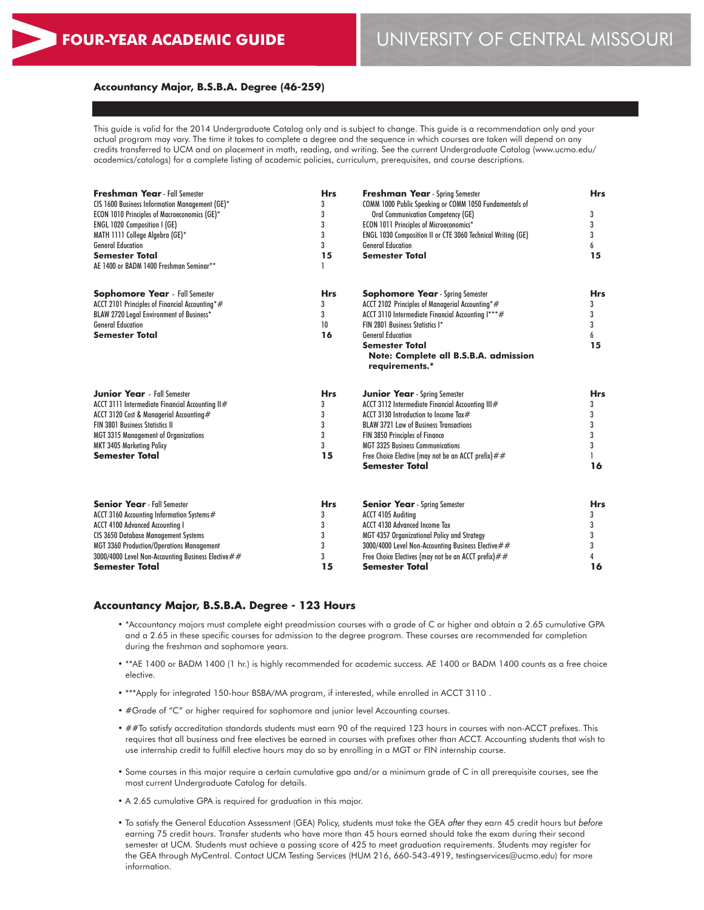# **FOUR-YEAR ACADEMIC GUIDE** UNIVERSITY OF CENTRAL MISSOURI

#### **Accountancy Major, B.S.B.A. Degree (46-259)**

This guide is valid for the 2014 Undergraduate Catalog only and is subject to change. This guide is a recommendation only and your actual program may vary. The time it takes to complete a degree and the sequence in which courses are taken will depend on any credits transferred to UCM and on placement in math, reading, and writing. See the current Undergraduate Catalog (www.ucmo.edu/ academics/catalogs) for a complete listing of academic policies, curriculum, prerequisites, and course descriptions.

| <b>Freshman Year</b> - Fall Semester<br>CIS 1600 Business Information Management (GE)*<br><b>ECON 1010 Principles of Macroeconomics (GE)*</b><br>ENGL 1020 Composition I (GE)<br>MATH 1111 College Algebra (GE)*<br><b>General Education</b><br><b>Semester Total</b><br>AE 1400 or BADM 1400 Freshman Seminar** | <b>Hrs</b><br>3<br>3<br>3<br>3<br>3<br>15 | <b>Freshman Year</b> - Spring Semester<br>COMM 1000 Public Speaking or COMM 1050 Fundamentals of<br><b>Oral Communication Competency (GE)</b><br>ECON 1011 Principles of Microeconomics*<br>ENGL 1030 Composition II or CTE 3060 Technical Writing (GE)<br><b>General Education</b><br><b>Semester Total</b>                                      | <b>Hrs</b><br>3<br>3<br>3<br>6<br>15      |
|------------------------------------------------------------------------------------------------------------------------------------------------------------------------------------------------------------------------------------------------------------------------------------------------------------------|-------------------------------------------|---------------------------------------------------------------------------------------------------------------------------------------------------------------------------------------------------------------------------------------------------------------------------------------------------------------------------------------------------|-------------------------------------------|
| <b>Sophomore Year</b> - Fall Semester<br>ACCT 2101 Principles of Financial Accounting*#<br>BLAW 2720 Legal Environment of Business*<br><b>General Education</b><br><b>Semester Total</b>                                                                                                                         | <b>Hrs</b><br>3<br>3<br>10<br>16          | <b>Sophomore Year</b> - Spring Semester<br>ACCT 2102 Principles of Managerial Accounting*#<br>ACCT 3110 Intermediate Financial Accounting I***#<br>FIN 2801 Business Statistics I*<br><b>General Education</b><br><b>Semester Total</b><br>Note: Complete all B.S.B.A. admission<br>requirements.*                                                | <b>Hrs</b><br>3<br>3<br>3<br>6<br>15      |
| <b>Junior Year</b> - Fall Semester<br>ACCT 3111 Intermediate Financial Accounting II#<br>ACCT 3120 Cost & Managerial Accounting#<br><b>FIN 3801 Business Statistics II</b><br><b>MGT 3315 Management of Organizations</b><br><b>MKT 3405 Marketing Policy</b><br><b>Semester Total</b>                           | <b>Hrs</b><br>3<br>3<br>3<br>3<br>3<br>15 | <b>Junior Year</b> - Spring Semester<br>ACCT 3112 Intermediate Financial Accounting III#<br>ACCT 3130 Introduction to Income Tax#<br><b>BLAW 3721 Law of Business Transactions</b><br>FIN 3850 Principles of Finance<br><b>MGT 3325 Business Communications</b><br>Free Choice Elective (may not be an ACCT prefix) $##$<br><b>Semester Total</b> | <b>Hrs</b><br>3<br>3<br>3<br>3<br>3<br>16 |
| <b>Senior Year</b> - Fall Semester<br>ACCT 3160 Accounting Information Systems#<br><b>ACCT 4100 Advanced Accounting I</b><br><b>CIS 3650 Database Management Systems</b><br><b>MGT 3360 Production/Operations Management</b><br>3000/4000 Level Non-Accounting Business Elective##<br><b>Semester Total</b>      | <b>Hrs</b><br>3<br>3<br>3<br>3<br>3<br>15 | <b>Senior Year</b> - Spring Semester<br><b>ACCT 4105 Auditing</b><br><b>ACCT 4130 Advanced Income Tax</b><br>MGT 4357 Organizational Policy and Strategy<br>3000/4000 Level Non-Accounting Business Elective ##<br>Free Choice Electives (may not be an ACCT prefix) $##$<br><b>Semester Total</b>                                                | <b>Hrs</b><br>3<br>3<br>3<br>3<br>16      |

#### **Accountancy Major, B.S.B.A. Degree - 123 Hours**

- \*Accountancy majors must complete eight preadmission courses with a grade of C or higher and obtain a 2.65 cumulative GPA and a 2.65 in these specific courses for admission to the degree program. These courses are recommended for completion during the freshman and sophomore years.
- \*\*AE 1400 or BADM 1400 (1 hr.) is highly recommended for academic success. AE 1400 or BADM 1400 counts as a free choice elective.
- \*\*\*Apply for integrated 150-hour BSBA/MA program, if interested, while enrolled in ACCT 3110 .
- #Grade of "C" or higher required for sophomore and junior level Accounting courses.
- ##To satisfy accreditation standards students must earn 90 of the required 123 hours in courses with non-ACCT prefixes. This requires that all business and free electives be earned in courses with prefixes other than ACCT. Accounting students that wish to use internship credit to fulfill elective hours may do so by enrolling in a MGT or FIN internship course.
- Some courses in this major require a certain cumulative gpa and/or a minimum grade of C in all prerequisite courses, see the most current Undergraduate Catalog for details.
- A 2.65 cumulative GPA is required for graduation in this major.
- To satisfy the General Education Assessment (GEA) Policy, students must take the GEA *after* they earn 45 credit hours but *before* earning 75 credit hours. Transfer students who have more than 45 hours earned should take the exam during their second semester at UCM. Students must achieve a passing score of 425 to meet graduation requirements. Students may register for the GEA through MyCentral. Contact UCM Testing Services (HUM 216, 660-543-4919, testingservices@ucmo.edu) for more information.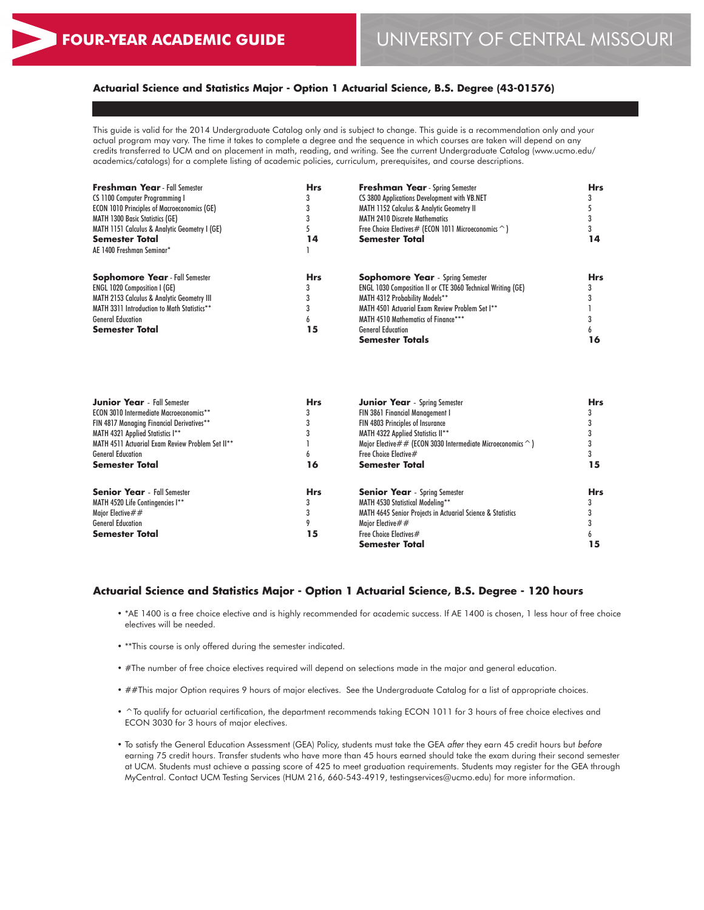# **Actuarial Science and Statistics Major - Option 1 Actuarial Science, B.S. Degree (43-01576)**

This guide is valid for the 2014 Undergraduate Catalog only and is subject to change. This guide is a recommendation only and your actual program may vary. The time it takes to complete a degree and the sequence in which courses are taken will depend on any credits transferred to UCM and on placement in math, reading, and writing. See the current Undergraduate Catalog (www.ucmo.edu/ academics/catalogs) for a complete listing of academic policies, curriculum, prerequisites, and course descriptions.

| <b>Freshman Year - Fall Semester</b>                  | <b>Hrs</b> | <b>Freshman Year</b> - Spring Semester                         | Hrs |
|-------------------------------------------------------|------------|----------------------------------------------------------------|-----|
| CS 1100 Computer Programming I                        |            | CS 3800 Applications Development with VB.NET                   |     |
| <b>ECON 1010 Principles of Macroeconomics (GE)</b>    |            | <b>MATH 1152 Calculus &amp; Analytic Geometry II</b>           |     |
| <b>MATH 1300 Basic Statistics (GE)</b>                |            | <b>MATH 2410 Discrete Mathematics</b>                          |     |
| MATH 1151 Calculus & Analytic Geometry I (GE)         |            | Free Choice Electives # (ECON 1011 Microeconomics $\hat{\ }$ ) |     |
| <b>Semester Total</b>                                 | 14         | <b>Semester Total</b>                                          | 14  |
| AE 1400 Freshman Seminar*                             |            |                                                                |     |
| <b>Sophomore Year</b> - Fall Semester                 | <b>Hrs</b> | <b>Sophomore Year</b> - Spring Semester                        | Hrs |
| <b>ENGL 1020 Composition I (GE)</b>                   |            | ENGL 1030 Composition II or CTE 3060 Technical Writing (GE)    |     |
| <b>MATH 2153 Calculus &amp; Analytic Geometry III</b> |            | MATH 4312 Probability Models**                                 |     |
| MATH 3311 Introduction to Math Statistics**           |            | MATH 4501 Actuarial Exam Review Problem Set I**                |     |
| <b>General Education</b>                              |            | MATH 4510 Mathematics of Finance***                            |     |
| <b>Semester Total</b>                                 | 15         | <b>General Education</b>                                       |     |
|                                                       |            | <b>Semester Totals</b>                                         | 16  |

| <b>Junior Year</b> - Fall Semester               | <b>Hrs</b> | <b>Junior Year</b> - Spring Semester                                      | <b>Hrs</b> |
|--------------------------------------------------|------------|---------------------------------------------------------------------------|------------|
| <b>ECON 3010 Intermediate Macroeconomics**</b>   |            | <b>FIN 3861 Financial Management I</b>                                    |            |
| FIN 4817 Managing Financial Derivatives**        |            | FIN 4803 Principles of Insurance                                          |            |
| MATH 4321 Applied Statistics I**                 |            | MATH 4322 Applied Statistics II**                                         |            |
| MATH 4511 Actuarial Exam Review Problem Set II** |            | Major Elective $\#$ # (ECON 3030 Intermediate Microeconomics $\hat{\ }$ ) |            |
| <b>General Education</b>                         | h          | Free Choice Elective#                                                     |            |
| <b>Semester Total</b>                            | 16         | <b>Semester Total</b>                                                     |            |
| <b>Senior Year</b> - Fall Semester               | <b>Hrs</b> | <b>Senior Year</b> - Spring Semester                                      | <b>Hrs</b> |
| MATH 4520 Life Contingencies I**                 |            | MATH 4530 Statistical Modelina**                                          |            |
| Maior Elective $\# \#$                           |            | MATH 4645 Senior Projects in Actuarial Science & Statistics               |            |
| <b>General Education</b>                         |            | Major Elective $\# \#$                                                    |            |
| <b>Semester Total</b>                            | 15         | Free Choice Electives#                                                    |            |
|                                                  |            | <b>Semester Total</b>                                                     |            |

#### **Actuarial Science and Statistics Major - Option 1 Actuarial Science, B.S. Degree - 120 hours**

- \*AE 1400 is a free choice elective and is highly recommended for academic success. If AE 1400 is chosen, 1 less hour of free choice electives will be needed.
- \*\*This course is only offered during the semester indicated.
- #The number of free choice electives required will depend on selections made in the major and general education.
- ##This major Option requires 9 hours of major electives. See the Undergraduate Catalog for a list of appropriate choices.
- ^To qualify for actuarial certification, the department recommends taking ECON 1011 for 3 hours of free choice electives and ECON 3030 for 3 hours of major electives.
- To satisfy the General Education Assessment (GEA) Policy, students must take the GEA *after* they earn 45 credit hours but *before* earning 75 credit hours. Transfer students who have more than 45 hours earned should take the exam during their second semester at UCM. Students must achieve a passing score of 425 to meet graduation requirements. Students may register for the GEA through MyCentral. Contact UCM Testing Services (HUM 216, 660-543-4919, testingservices@ucmo.edu) for more information.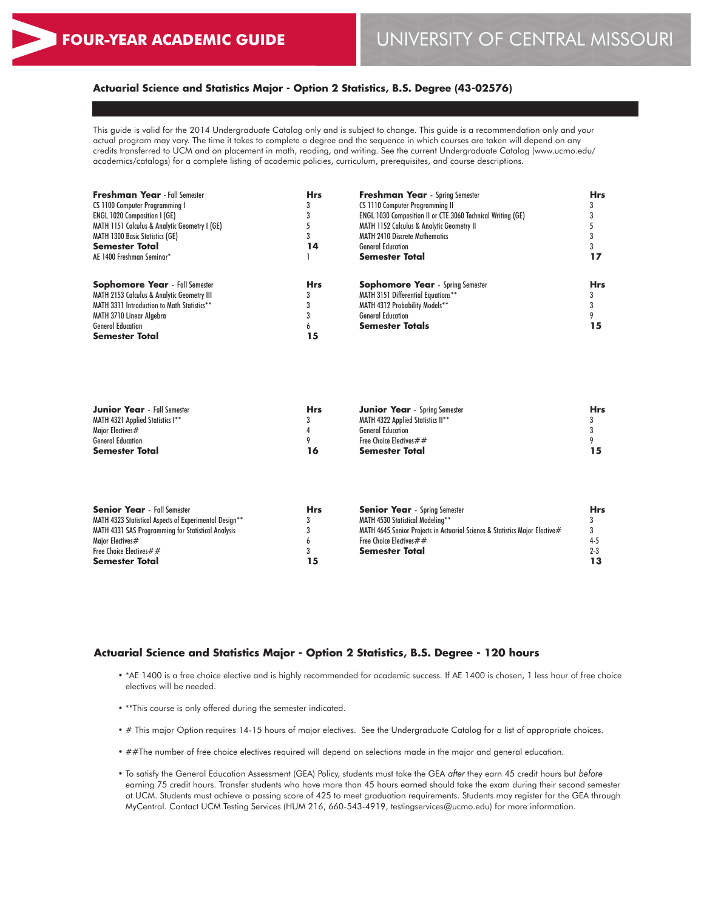# **Actuarial Science and Statistics Major - Option 2 Statistics, B.S. Degree (43-02576)**

This guide is valid for the 2014 Undergraduate Catalog only and is subject to change. This guide is a recommendation only and your actual program may vary. The time it takes to complete a degree and the sequence in which courses are taken will depend on any credits transferred to UCM and on placement in math, reading, and writing. See the current Undergraduate Catalog (www.ucmo.edu/ academics/catalogs) for a complete listing of academic policies, curriculum, prerequisites, and course descriptions.

| <b>Freshman Year</b> - Fall Semester                  | <b>Hrs</b> | <b>Freshman Year</b> - Spring Semester                             | <b>Hrs</b> |
|-------------------------------------------------------|------------|--------------------------------------------------------------------|------------|
| CS 1100 Computer Programming I                        |            | CS 1110 Computer Programming II                                    |            |
| <b>ENGL 1020 Composition I (GE)</b>                   |            | <b>ENGL 1030 Composition II or CTE 3060 Technical Writing (GE)</b> |            |
| MATH 1151 Calculus & Analytic Geometry I (GE)         |            | MATH 1152 Calculus & Analytic Geometry II                          |            |
| <b>MATH 1300 Basic Statistics (GE)</b>                |            | <b>MATH 2410 Discrete Mathematics</b>                              |            |
| <b>Semester Total</b>                                 | 14         | <b>General Education</b>                                           |            |
| AE 1400 Freshman Seminar*                             |            | <b>Semester Total</b>                                              |            |
| <b>Sophomore Year</b> - Fall Semester                 | <b>Hrs</b> | <b>Sophomore Year</b> - Spring Semester                            | <b>Hrs</b> |
| <b>MATH 2153 Calculus &amp; Analytic Geometry III</b> |            | <b>MATH 3151 Differential Equations**</b>                          |            |
| MATH 3311 Introduction to Math Statistics**           |            | MATH 4312 Probability Models**                                     |            |
| MATH 3710 Linear Algebra                              |            | <b>General Education</b>                                           |            |
| <b>General Education</b>                              |            | <b>Semester Totals</b>                                             | 15         |
| <b>Semester Total</b>                                 | 15         |                                                                    |            |

| <b>Junior Year</b> - Fall Semester<br>MATH 4321 Applied Statistics I**<br>Maior Electives# | <b>Hrs</b> | <b>Junior Year</b> - Spring Semester<br>MATH 4322 Applied Statistics II**<br><b>General Education</b> | <b>Hrs</b> |
|--------------------------------------------------------------------------------------------|------------|-------------------------------------------------------------------------------------------------------|------------|
| <b>General Education</b><br><b>Semester Total</b>                                          | 16         | Free Choice Electives $##$<br><b>Semester Total</b>                                                   |            |

| <b>Senior Year</b> - Fall Semester                        | <b>Hrs</b> | <b>Senior Year</b> - Spring Semester                                         | <b>Hrs</b> |
|-----------------------------------------------------------|------------|------------------------------------------------------------------------------|------------|
| MATH 4323 Statistical Aspects of Experimental Design**    |            | <b>MATH 4530 Statistical Modeling**</b>                                      |            |
| <b>MATH 4331 SAS Programming for Statistical Analysis</b> |            | MATH 4645 Senior Projects in Actuarial Science & Statistics Major Elective # |            |
| Maior Electives#                                          |            | Free Choice Electives $\# \#$                                                |            |
| Free Choice Electives $##$                                |            | <b>Semester Total</b>                                                        |            |
| <b>Semester Total</b>                                     | 15         |                                                                              |            |

# **Actuarial Science and Statistics Major - Option 2 Statistics, B.S. Degree - 120 hours**

- \*AE 1400 is a free choice elective and is highly recommended for academic success. If AE 1400 is chosen, 1 less hour of free choice electives will be needed.
- \*\*This course is only offered during the semester indicated.
- # This major Option requires 14-15 hours of major electives. See the Undergraduate Catalog for a list of appropriate choices.
- ##The number of free choice electives required will depend on selections made in the major and general education.
- To satisfy the General Education Assessment (GEA) Policy, students must take the GEA *after* they earn 45 credit hours but *before* earning 75 credit hours. Transfer students who have more than 45 hours earned should take the exam during their second semester at UCM. Students must achieve a passing score of 425 to meet graduation requirements. Students may register for the GEA through MyCentral. Contact UCM Testing Services (HUM 216, 660-543-4919, testingservices@ucmo.edu) for more information.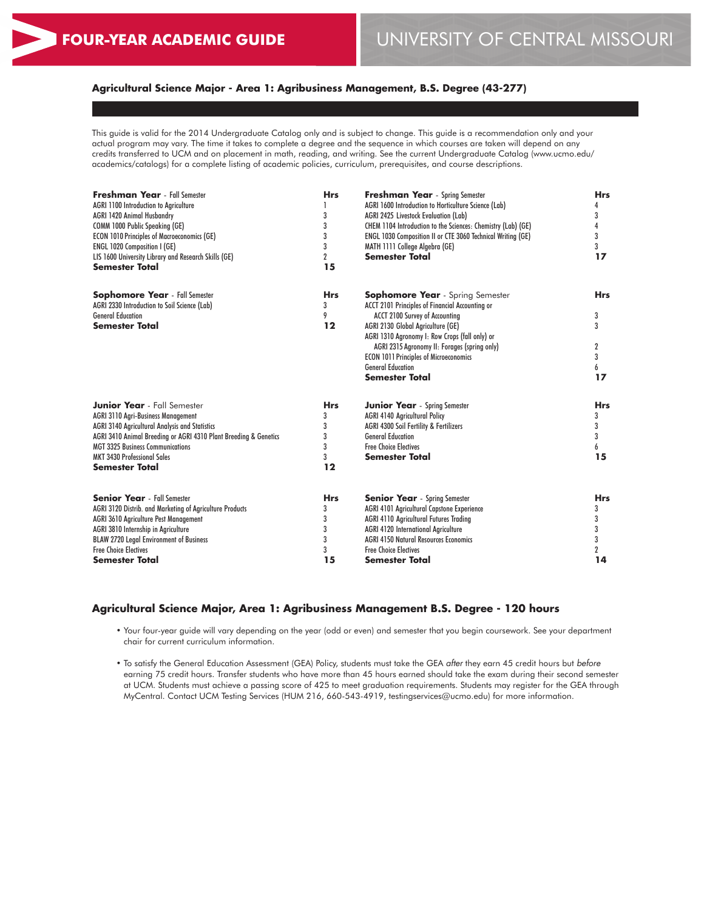# **Agricultural Science Major - Area 1: Agribusiness Management, B.S. Degree (43-277)**

This guide is valid for the 2014 Undergraduate Catalog only and is subject to change. This guide is a recommendation only and your actual program may vary. The time it takes to complete a degree and the sequence in which courses are taken will depend on any credits transferred to UCM and on placement in math, reading, and writing. See the current Undergraduate Catalog (www.ucmo.edu/ academics/catalogs) for a complete listing of academic policies, curriculum, prerequisites, and course descriptions.

| <b>Freshman Year</b> - Fall Semester                             | <b>Hrs</b>     | <b>Freshman Year</b> - Spring Semester                       | <b>Hrs</b>  |  |
|------------------------------------------------------------------|----------------|--------------------------------------------------------------|-------------|--|
| <b>AGRI 1100 Introduction to Agriculture</b>                     | 3              | AGRI 1600 Introduction to Horticulture Science (Lab)         | 4<br>3      |  |
| <b>AGRI 1420 Animal Husbandry</b>                                |                | AGRI 2425 Livestock Evaluation (Lab)                         |             |  |
| COMM 1000 Public Speaking (GE)                                   | 3              | CHEM 1104 Introduction to the Sciences: Chemistry (Lab) (GE) | 4           |  |
| <b>ECON 1010 Principles of Macroeconomics (GE)</b>               | 3              | ENGL 1030 Composition II or CTE 3060 Technical Writing (GE)  | 3           |  |
| <b>ENGL 1020 Composition I (GE)</b>                              | 3              | MATH 1111 College Algebra (GE)                               | 3           |  |
| LIS 1600 University Library and Research Skills (GE)             | $\overline{2}$ | <b>Semester Total</b>                                        | 17          |  |
| Semester Total                                                   | 15             |                                                              |             |  |
| <b>Sophomore Year</b> - Fall Semester                            | <b>Hrs</b>     | <b>Sophomore Year</b> - Spring Semester                      | <b>Hrs</b>  |  |
| AGRI 2330 Introduction to Soil Science (Lab)                     | 3              | ACCT 2101 Principles of Financial Accounting or              |             |  |
| <b>General Education</b>                                         | 9              | ACCT 2100 Survey of Accounting                               | 3           |  |
| <b>Semester Total</b>                                            | 12             | AGRI 2130 Global Agriculture (GE)                            | 3           |  |
|                                                                  |                | AGRI 1310 Agronomy I: Row Crops (fall only) or               |             |  |
|                                                                  |                | AGRI 2315 Agronomy II: Forages (spring only)                 | 2           |  |
|                                                                  |                | <b>ECON 1011 Principles of Microeconomics</b>                | 3           |  |
|                                                                  |                | <b>General Education</b>                                     | 6           |  |
|                                                                  |                | <b>Semester Total</b>                                        | 17          |  |
| <b>Junior Year</b> - Fall Semester                               | <b>Hrs</b>     | <b>Junior Year</b> - Spring Semester                         | <b>Hrs</b>  |  |
| <b>AGRI 3110 Agri-Business Management</b>                        | 3              | <b>AGRI 4140 Agricultural Policy</b>                         | 3           |  |
| AGRI 3140 Agricultural Analysis and Statistics                   | 3              | <b>AGRI 4300 Soil Fertility &amp; Fertilizers</b>            | 3           |  |
| AGRI 3410 Animal Breeding or AGRI 4310 Plant Breeding & Genetics | 3              | <b>General Education</b>                                     | 3           |  |
| <b>MGT 3325 Business Communications</b>                          | 3              | <b>Free Choice Electives</b>                                 | 6           |  |
| <b>MKT 3430 Professional Sales</b>                               | 3              | <b>Semester Total</b>                                        | 15          |  |
| <b>Semester Total</b>                                            | $12 \$         |                                                              |             |  |
| <b>Senior Year</b> - Fall Semester                               | <b>Hrs</b>     | <b>Senior Year</b> - Spring Semester                         | <b>Hrs</b>  |  |
| AGRI 3120 Distrib. and Marketing of Agriculture Products         | 3              | <b>AGRI 4101 Agricultural Capstone Experience</b>            | 3           |  |
| <b>AGRI 3610 Agriculture Pest Management</b>                     | 3              | <b>AGRI 4110 Agricultural Futures Trading</b>                | 3           |  |
| AGRI 3810 Internship in Agriculture                              | 3              | <b>AGRI 4120 International Agriculture</b>                   | 3           |  |
| <b>BLAW 2720 Legal Environment of Business</b>                   | 3              | <b>AGRI 4150 Natural Resources Economics</b>                 | 3           |  |
| <b>Free Choice Electives</b>                                     | 3              | <b>Free Choice Electives</b>                                 | $\mathbf 2$ |  |
| Semester Total                                                   | 15             | <b>Semester Total</b>                                        | 14          |  |
|                                                                  |                |                                                              |             |  |

#### **Agricultural Science Major, Area 1: Agribusiness Management B.S. Degree - 120 hours**

• Your four-year guide will vary depending on the year (odd or even) and semester that you begin coursework. See your department chair for current curriculum information.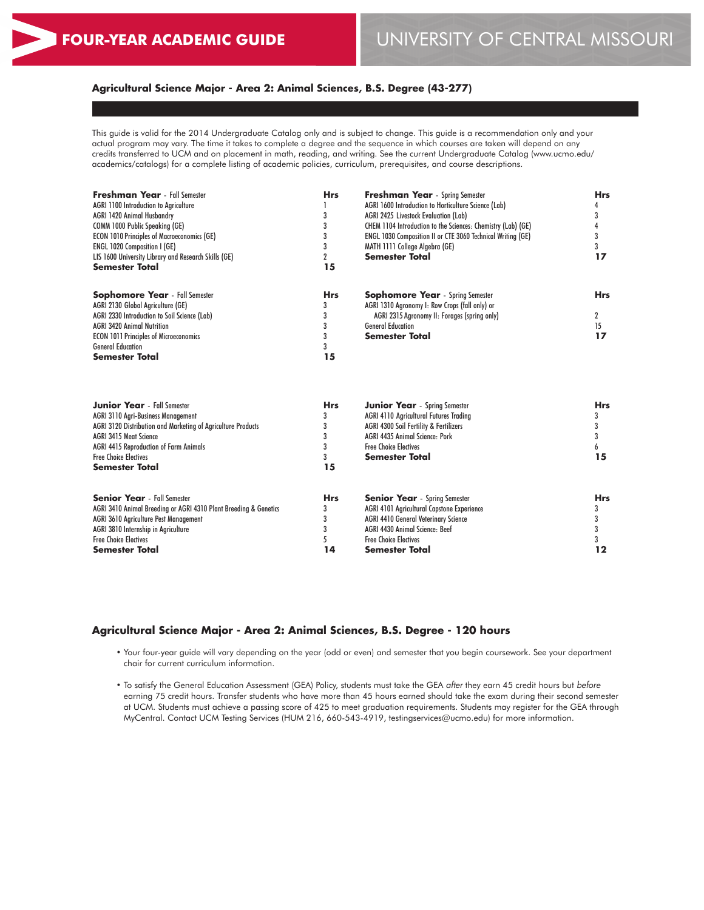# **Agricultural Science Major - Area 2: Animal Sciences, B.S. Degree (43-277)**

This guide is valid for the 2014 Undergraduate Catalog only and is subject to change. This guide is a recommendation only and your actual program may vary. The time it takes to complete a degree and the sequence in which courses are taken will depend on any credits transferred to UCM and on placement in math, reading, and writing. See the current Undergraduate Catalog (www.ucmo.edu/ academics/catalogs) for a complete listing of academic policies, curriculum, prerequisites, and course descriptions.

| <b>Freshman Year</b> - Fall Semester                             | <b>Hrs</b>     | <b>Freshman Year</b> - Spring Semester                       | <b>Hrs</b> |  |
|------------------------------------------------------------------|----------------|--------------------------------------------------------------|------------|--|
| <b>AGRI 1100 Introduction to Agriculture</b>                     | 3              | AGRI 1600 Introduction to Horticulture Science (Lab)         | 4<br>3     |  |
| <b>AGRI 1420 Animal Husbandry</b>                                |                | AGRI 2425 Livestock Evaluation (Lab)                         |            |  |
| COMM 1000 Public Speaking (GE)                                   | 3              | CHEM 1104 Introduction to the Sciences: Chemistry (Lab) (GE) | 4          |  |
| <b>ECON 1010 Principles of Macroeconomics (GE)</b>               | 3              | ENGL 1030 Composition II or CTE 3060 Technical Writing (GE)  | 3          |  |
| ENGL 1020 Composition I (GE)                                     | 3              | MATH 1111 College Algebra (GE)                               | 3          |  |
| LIS 1600 University Library and Research Skills (GE)             | $\overline{2}$ | <b>Semester Total</b>                                        | 17         |  |
| Semester Total                                                   | 15             |                                                              |            |  |
| <b>Sophomore Year</b> - Fall Semester                            | <b>Hrs</b>     | <b>Sophomore Year</b> - Spring Semester                      | <b>Hrs</b> |  |
| AGRI 2130 Global Agriculture (GE)                                | 3              | AGRI 1310 Agronomy I: Row Crops (fall only) or               |            |  |
| AGRI 2330 Introduction to Soil Science (Lab)                     | 3              | AGRI 2315 Agronomy II: Forages (spring only)                 | 2          |  |
| <b>AGRI 3420 Animal Nutrition</b>                                | 3              | <b>General Education</b>                                     | 15         |  |
| <b>ECON 1011 Principles of Microeconomics</b>                    | 3              | <b>Semester Total</b>                                        | 17         |  |
| <b>General Education</b>                                         | 3              |                                                              |            |  |
| Semester Total                                                   | 15             |                                                              |            |  |
|                                                                  |                |                                                              |            |  |
| <b>Junior Year</b> - Fall Semester                               | <b>Hrs</b>     | <b>Junior Year</b> - Spring Semester                         | <b>Hrs</b> |  |
| <b>AGRI 3110 Agri-Business Management</b>                        | 3              | <b>AGRI 4110 Agricultural Futures Trading</b>                | 3          |  |
| AGRI 3120 Distribution and Marketing of Agriculture Products     | 3              | AGRI 4300 Soil Fertility & Fertilizers                       | 3          |  |
| <b>AGRI 3415 Meat Science</b>                                    | 3              | AGRI 4435 Animal Science: Pork                               | 3          |  |
| <b>AGRI 4415 Reproduction of Farm Animals</b>                    | 3              | <b>Free Choice Electives</b>                                 | 6          |  |
| <b>Free Choice Electives</b>                                     | 3              | <b>Semester Total</b>                                        | 15         |  |
| Semester Total                                                   | 15             |                                                              |            |  |
| <b>Senior Year</b> - Fall Semester                               | <b>Hrs</b>     | <b>Senior Year</b> - Spring Semester                         | <b>Hrs</b> |  |
| AGRI 3410 Animal Breeding or AGRI 4310 Plant Breeding & Genetics | 3              | AGRI 4101 Agricultural Capstone Experience                   | 3          |  |
| AGRI 3610 Agriculture Pest Management                            | 3              | <b>AGRI 4410 General Veterinary Science</b>                  | 3          |  |
| AGRI 3810 Internship in Agriculture                              | 3              | AGRI 4430 Animal Science: Beef                               | 3          |  |
| <b>Free Choice Electives</b>                                     | 5              | <b>Free Choice Electives</b>                                 | 3          |  |
| Semester Total                                                   | 14             | <b>Semester Total</b>                                        | 12         |  |
|                                                                  |                |                                                              |            |  |

#### **Agricultural Science Major - Area 2: Animal Sciences, B.S. Degree - 120 hours**

• Your four-year guide will vary depending on the year (odd or even) and semester that you begin coursework. See your department chair for current curriculum information.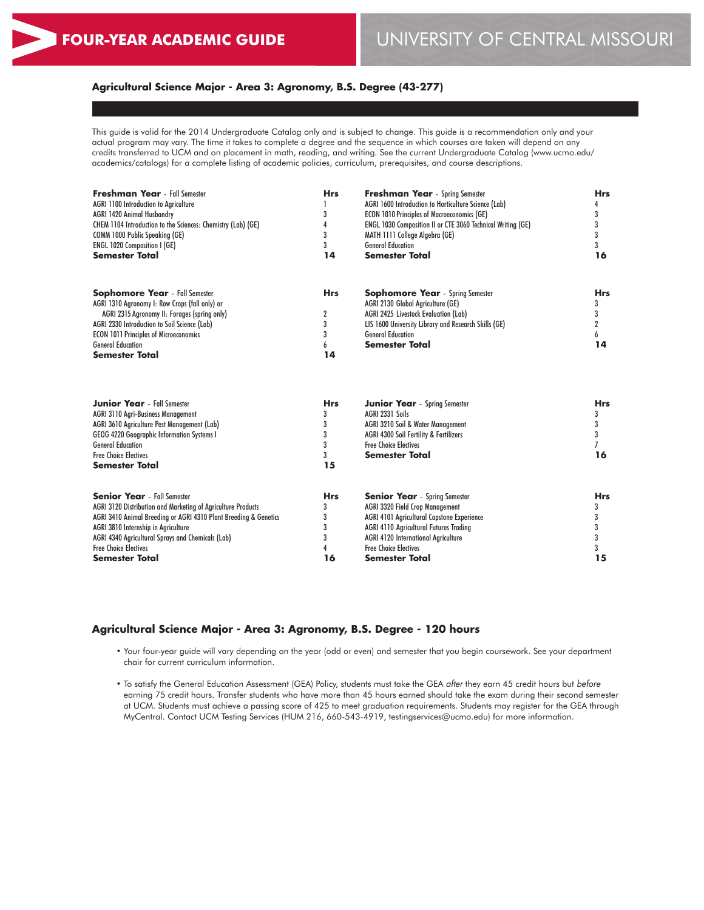# **Agricultural Science Major - Area 3: Agronomy, B.S. Degree (43-277)**

This guide is valid for the 2014 Undergraduate Catalog only and is subject to change. This guide is a recommendation only and your actual program may vary. The time it takes to complete a degree and the sequence in which courses are taken will depend on any credits transferred to UCM and on placement in math, reading, and writing. See the current Undergraduate Catalog (www.ucmo.edu/ academics/catalogs) for a complete listing of academic policies, curriculum, prerequisites, and course descriptions.

| <b>Freshman Year</b> - Fall Semester<br><b>AGRI 1100 Introduction to Agriculture</b><br><b>AGRI 1420 Animal Husbandry</b><br>CHEM 1104 Introduction to the Sciences: Chemistry (Lab) (GE)<br><b>COMM 1000 Public Speaking (GE)</b><br><b>ENGL 1020 Composition I (GE)</b><br><b>Semester Total</b>                   | <b>Hrs</b><br>3<br>4<br>3<br>3<br>14              | <b>Freshman Year</b> - Spring Semester<br>AGRI 1600 Introduction to Horticulture Science (Lab)<br><b>ECON 1010 Principles of Macroeconomics (GE)</b><br>ENGL 1030 Composition II or CTE 3060 Technical Writing (GE)<br>MATH 1111 College Algebra (GE)<br><b>General Education</b><br><b>Semester Total</b> | <b>Hrs</b><br>4<br>3<br>3<br>3<br>3<br>16         |
|----------------------------------------------------------------------------------------------------------------------------------------------------------------------------------------------------------------------------------------------------------------------------------------------------------------------|---------------------------------------------------|------------------------------------------------------------------------------------------------------------------------------------------------------------------------------------------------------------------------------------------------------------------------------------------------------------|---------------------------------------------------|
| <b>Sophomore Year</b> - Fall Semester<br>AGRI 1310 Agronomy I: Row Crops (fall only) or<br>AGRI 2315 Agronomy II: Forages (spring only)<br>AGRI 2330 Introduction to Soil Science (Lab)<br><b>ECON 1011 Principles of Microeconomics</b><br><b>General Education</b><br>Semester Total                               | <b>Hrs</b><br>$\overline{2}$<br>3<br>3<br>6<br>14 | <b>Sophomore Year</b> - Spring Semester<br>AGRI 2130 Global Agriculture (GE)<br>AGRI 2425 Livestock Evaluation (Lab)<br>LIS 1600 University Library and Research Skills (GE)<br><b>General Education</b><br><b>Semester Total</b>                                                                          | <b>Hrs</b><br>3<br>3<br>$\overline{2}$<br>6<br>14 |
| <b>Junior Year</b> - Fall Semester<br><b>AGRI 3110 Agri-Business Management</b><br>AGRI 3610 Agriculture Pest Management (Lab)<br>GEOG 4220 Geographic Information Systems I<br><b>General Education</b><br><b>Free Choice Electives</b><br>Semester Total                                                           | <b>Hrs</b><br>3<br>3<br>3<br>3<br>3<br>15         | <b>Junior Year</b> - Spring Semester<br>AGRI 2331 Soils<br>AGRI 3210 Soil & Water Management<br>AGRI 4300 Soil Fertility & Fertilizers<br><b>Free Choice Electives</b><br><b>Semester Total</b>                                                                                                            | <b>Hrs</b><br>3<br>3<br>3<br>$\overline{7}$<br>16 |
| <b>Senior Year</b> - Fall Semester<br>AGRI 3120 Distribution and Marketing of Agriculture Products<br>AGRI 3410 Animal Breeding or AGRI 4310 Plant Breeding & Genetics<br>AGRI 3810 Internship in Agriculture<br>AGRI 4340 Agricultural Sprays and Chemicals (Lab)<br><b>Free Choice Electives</b><br>Semester Total | <b>Hrs</b><br>3<br>3<br>3<br>3<br>4<br>16         | <b>Senior Year</b> - Spring Semester<br><b>AGRI 3320 Field Crop Management</b><br>AGRI 4101 Agricultural Capstone Experience<br><b>AGRI 4110 Agricultural Futures Trading</b><br><b>AGRI 4120 International Agriculture</b><br><b>Free Choice Electives</b><br><b>Semester Total</b>                       | <b>Hrs</b><br>3<br>3<br>3<br>3<br>3<br>15         |

#### **Agricultural Science Major - Area 3: Agronomy, B.S. Degree - 120 hours**

• Your four-year guide will vary depending on the year (odd or even) and semester that you begin coursework. See your department chair for current curriculum information.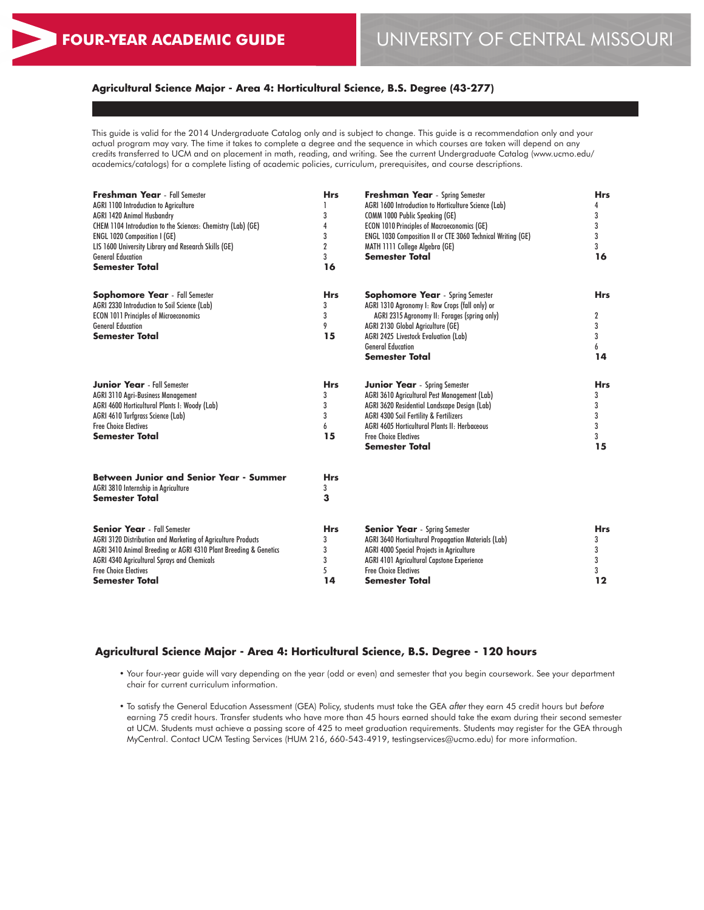# **Agricultural Science Major - Area 4: Horticultural Science, B.S. Degree (43-277)**

This guide is valid for the 2014 Undergraduate Catalog only and is subject to change. This guide is a recommendation only and your actual program may vary. The time it takes to complete a degree and the sequence in which courses are taken will depend on any credits transferred to UCM and on placement in math, reading, and writing. See the current Undergraduate Catalog (www.ucmo.edu/ academics/catalogs) for a complete listing of academic policies, curriculum, prerequisites, and course descriptions.

| AGRI 1600 Introduction to Horticulture Science (Lab)<br><b>AGRI 1100 Introduction to Agriculture</b><br>4<br>3<br>3<br><b>AGRI 1420 Animal Husbandry</b><br>COMM 1000 Public Speaking (GE)<br>3<br>4<br><b>ECON 1010 Principles of Macroeconomics (GE)</b><br>CHEM 1104 Introduction to the Sciences: Chemistry (Lab) (GE)<br>3<br>3<br><b>ENGL 1020 Composition I (GE)</b><br>ENGL 1030 Composition II or CTE 3060 Technical Writing (GE)<br>2<br>3<br>LIS 1600 University Library and Research Skills (GE)<br>MATH 1111 College Algebra (GE)<br>3<br><b>Semester Total</b><br>16<br><b>General Education</b><br><b>Semester Total</b><br>16<br><b>Sophomore Year</b> - Spring Semester<br><b>Sophomore Year</b> - Fall Semester<br><b>Hrs</b><br><b>Hrs</b><br>AGRI 2330 Introduction to Soil Science (Lab)<br>3<br>AGRI 1310 Agronomy I: Row Crops (fall only) or<br>3<br><b>ECON 1011 Principles of Microeconomics</b><br>AGRI 2315 Agronomy II: Forages (spring only)<br>2<br>9<br>3<br><b>General Education</b><br>AGRI 2130 Global Agriculture (GE)<br>15<br>3<br><b>Semester Total</b><br>AGRI 2425 Livestock Evaluation (Lab)<br><b>General Education</b><br>6<br><b>Semester Total</b><br>14<br><b>Junior Year</b> - Fall Semester<br><b>Hrs</b><br><b>Junior Year</b> - Spring Semester<br><b>Hrs</b><br>AGRI 3610 Agricultural Pest Management (Lab)<br><b>AGRI 3110 Agri-Business Management</b><br>3<br>3<br>AGRI 4600 Horticultural Plants I: Woody (Lab)<br>3<br>AGRI 3620 Residential Landscape Design (Lab)<br>3<br>3<br>AGRI 4610 Turfgrass Science (Lab)<br><b>AGRI 4300 Soil Fertility &amp; Fertilizers</b><br>3<br><b>Free Choice Electives</b><br>AGRI 4605 Horticultural Plants II: Herbaceous<br>6<br>3<br>15<br><b>Semester Total</b><br><b>Free Choice Electives</b><br>3<br>15<br><b>Semester Total</b><br><b>Between Junior and Senior Year - Summer</b><br><b>Hrs</b><br>AGRI 3810 Internship in Agriculture<br>3<br>3<br><b>Semester Total</b><br><b>Senior Year</b> - Fall Semester<br><b>Senior Year</b> - Spring Semester<br><b>Hrs</b><br><b>Hrs</b><br>AGRI 3120 Distribution and Marketing of Agriculture Products<br>3<br>AGRI 3640 Horticultural Propagation Materials (Lab)<br>3<br>3<br>3<br>AGRI 3410 Animal Breeding or AGRI 4310 Plant Breeding & Genetics<br>AGRI 4000 Special Projects in Agriculture<br>3<br>AGRI 4101 Agricultural Capstone Experience<br>3<br><b>AGRI 4340 Agricultural Sprays and Chemicals</b><br>5<br><b>Free Choice Electives</b><br><b>Free Choice Electives</b><br>3<br>14<br>12<br><b>Semester Total</b><br><b>Semester Total</b> | <b>Freshman Year</b> - Fall Semester | <b>Hrs</b> | <b>Freshman Year</b> - Spring Semester | <b>Hrs</b> |  |
|------------------------------------------------------------------------------------------------------------------------------------------------------------------------------------------------------------------------------------------------------------------------------------------------------------------------------------------------------------------------------------------------------------------------------------------------------------------------------------------------------------------------------------------------------------------------------------------------------------------------------------------------------------------------------------------------------------------------------------------------------------------------------------------------------------------------------------------------------------------------------------------------------------------------------------------------------------------------------------------------------------------------------------------------------------------------------------------------------------------------------------------------------------------------------------------------------------------------------------------------------------------------------------------------------------------------------------------------------------------------------------------------------------------------------------------------------------------------------------------------------------------------------------------------------------------------------------------------------------------------------------------------------------------------------------------------------------------------------------------------------------------------------------------------------------------------------------------------------------------------------------------------------------------------------------------------------------------------------------------------------------------------------------------------------------------------------------------------------------------------------------------------------------------------------------------------------------------------------------------------------------------------------------------------------------------------------------------------------------------------------------------------------------------------------------------------------------------------------------------------------------------------------------------------------------------------------------------------------------|--------------------------------------|------------|----------------------------------------|------------|--|
|                                                                                                                                                                                                                                                                                                                                                                                                                                                                                                                                                                                                                                                                                                                                                                                                                                                                                                                                                                                                                                                                                                                                                                                                                                                                                                                                                                                                                                                                                                                                                                                                                                                                                                                                                                                                                                                                                                                                                                                                                                                                                                                                                                                                                                                                                                                                                                                                                                                                                                                                                                                                            |                                      |            |                                        |            |  |
|                                                                                                                                                                                                                                                                                                                                                                                                                                                                                                                                                                                                                                                                                                                                                                                                                                                                                                                                                                                                                                                                                                                                                                                                                                                                                                                                                                                                                                                                                                                                                                                                                                                                                                                                                                                                                                                                                                                                                                                                                                                                                                                                                                                                                                                                                                                                                                                                                                                                                                                                                                                                            |                                      |            |                                        |            |  |
|                                                                                                                                                                                                                                                                                                                                                                                                                                                                                                                                                                                                                                                                                                                                                                                                                                                                                                                                                                                                                                                                                                                                                                                                                                                                                                                                                                                                                                                                                                                                                                                                                                                                                                                                                                                                                                                                                                                                                                                                                                                                                                                                                                                                                                                                                                                                                                                                                                                                                                                                                                                                            |                                      |            |                                        |            |  |
|                                                                                                                                                                                                                                                                                                                                                                                                                                                                                                                                                                                                                                                                                                                                                                                                                                                                                                                                                                                                                                                                                                                                                                                                                                                                                                                                                                                                                                                                                                                                                                                                                                                                                                                                                                                                                                                                                                                                                                                                                                                                                                                                                                                                                                                                                                                                                                                                                                                                                                                                                                                                            |                                      |            |                                        |            |  |
|                                                                                                                                                                                                                                                                                                                                                                                                                                                                                                                                                                                                                                                                                                                                                                                                                                                                                                                                                                                                                                                                                                                                                                                                                                                                                                                                                                                                                                                                                                                                                                                                                                                                                                                                                                                                                                                                                                                                                                                                                                                                                                                                                                                                                                                                                                                                                                                                                                                                                                                                                                                                            |                                      |            |                                        |            |  |
|                                                                                                                                                                                                                                                                                                                                                                                                                                                                                                                                                                                                                                                                                                                                                                                                                                                                                                                                                                                                                                                                                                                                                                                                                                                                                                                                                                                                                                                                                                                                                                                                                                                                                                                                                                                                                                                                                                                                                                                                                                                                                                                                                                                                                                                                                                                                                                                                                                                                                                                                                                                                            |                                      |            |                                        |            |  |
|                                                                                                                                                                                                                                                                                                                                                                                                                                                                                                                                                                                                                                                                                                                                                                                                                                                                                                                                                                                                                                                                                                                                                                                                                                                                                                                                                                                                                                                                                                                                                                                                                                                                                                                                                                                                                                                                                                                                                                                                                                                                                                                                                                                                                                                                                                                                                                                                                                                                                                                                                                                                            |                                      |            |                                        |            |  |
|                                                                                                                                                                                                                                                                                                                                                                                                                                                                                                                                                                                                                                                                                                                                                                                                                                                                                                                                                                                                                                                                                                                                                                                                                                                                                                                                                                                                                                                                                                                                                                                                                                                                                                                                                                                                                                                                                                                                                                                                                                                                                                                                                                                                                                                                                                                                                                                                                                                                                                                                                                                                            |                                      |            |                                        |            |  |
|                                                                                                                                                                                                                                                                                                                                                                                                                                                                                                                                                                                                                                                                                                                                                                                                                                                                                                                                                                                                                                                                                                                                                                                                                                                                                                                                                                                                                                                                                                                                                                                                                                                                                                                                                                                                                                                                                                                                                                                                                                                                                                                                                                                                                                                                                                                                                                                                                                                                                                                                                                                                            |                                      |            |                                        |            |  |
|                                                                                                                                                                                                                                                                                                                                                                                                                                                                                                                                                                                                                                                                                                                                                                                                                                                                                                                                                                                                                                                                                                                                                                                                                                                                                                                                                                                                                                                                                                                                                                                                                                                                                                                                                                                                                                                                                                                                                                                                                                                                                                                                                                                                                                                                                                                                                                                                                                                                                                                                                                                                            |                                      |            |                                        |            |  |
|                                                                                                                                                                                                                                                                                                                                                                                                                                                                                                                                                                                                                                                                                                                                                                                                                                                                                                                                                                                                                                                                                                                                                                                                                                                                                                                                                                                                                                                                                                                                                                                                                                                                                                                                                                                                                                                                                                                                                                                                                                                                                                                                                                                                                                                                                                                                                                                                                                                                                                                                                                                                            |                                      |            |                                        |            |  |
|                                                                                                                                                                                                                                                                                                                                                                                                                                                                                                                                                                                                                                                                                                                                                                                                                                                                                                                                                                                                                                                                                                                                                                                                                                                                                                                                                                                                                                                                                                                                                                                                                                                                                                                                                                                                                                                                                                                                                                                                                                                                                                                                                                                                                                                                                                                                                                                                                                                                                                                                                                                                            |                                      |            |                                        |            |  |
|                                                                                                                                                                                                                                                                                                                                                                                                                                                                                                                                                                                                                                                                                                                                                                                                                                                                                                                                                                                                                                                                                                                                                                                                                                                                                                                                                                                                                                                                                                                                                                                                                                                                                                                                                                                                                                                                                                                                                                                                                                                                                                                                                                                                                                                                                                                                                                                                                                                                                                                                                                                                            |                                      |            |                                        |            |  |
|                                                                                                                                                                                                                                                                                                                                                                                                                                                                                                                                                                                                                                                                                                                                                                                                                                                                                                                                                                                                                                                                                                                                                                                                                                                                                                                                                                                                                                                                                                                                                                                                                                                                                                                                                                                                                                                                                                                                                                                                                                                                                                                                                                                                                                                                                                                                                                                                                                                                                                                                                                                                            |                                      |            |                                        |            |  |
|                                                                                                                                                                                                                                                                                                                                                                                                                                                                                                                                                                                                                                                                                                                                                                                                                                                                                                                                                                                                                                                                                                                                                                                                                                                                                                                                                                                                                                                                                                                                                                                                                                                                                                                                                                                                                                                                                                                                                                                                                                                                                                                                                                                                                                                                                                                                                                                                                                                                                                                                                                                                            |                                      |            |                                        |            |  |
|                                                                                                                                                                                                                                                                                                                                                                                                                                                                                                                                                                                                                                                                                                                                                                                                                                                                                                                                                                                                                                                                                                                                                                                                                                                                                                                                                                                                                                                                                                                                                                                                                                                                                                                                                                                                                                                                                                                                                                                                                                                                                                                                                                                                                                                                                                                                                                                                                                                                                                                                                                                                            |                                      |            |                                        |            |  |
|                                                                                                                                                                                                                                                                                                                                                                                                                                                                                                                                                                                                                                                                                                                                                                                                                                                                                                                                                                                                                                                                                                                                                                                                                                                                                                                                                                                                                                                                                                                                                                                                                                                                                                                                                                                                                                                                                                                                                                                                                                                                                                                                                                                                                                                                                                                                                                                                                                                                                                                                                                                                            |                                      |            |                                        |            |  |
|                                                                                                                                                                                                                                                                                                                                                                                                                                                                                                                                                                                                                                                                                                                                                                                                                                                                                                                                                                                                                                                                                                                                                                                                                                                                                                                                                                                                                                                                                                                                                                                                                                                                                                                                                                                                                                                                                                                                                                                                                                                                                                                                                                                                                                                                                                                                                                                                                                                                                                                                                                                                            |                                      |            |                                        |            |  |
|                                                                                                                                                                                                                                                                                                                                                                                                                                                                                                                                                                                                                                                                                                                                                                                                                                                                                                                                                                                                                                                                                                                                                                                                                                                                                                                                                                                                                                                                                                                                                                                                                                                                                                                                                                                                                                                                                                                                                                                                                                                                                                                                                                                                                                                                                                                                                                                                                                                                                                                                                                                                            |                                      |            |                                        |            |  |
|                                                                                                                                                                                                                                                                                                                                                                                                                                                                                                                                                                                                                                                                                                                                                                                                                                                                                                                                                                                                                                                                                                                                                                                                                                                                                                                                                                                                                                                                                                                                                                                                                                                                                                                                                                                                                                                                                                                                                                                                                                                                                                                                                                                                                                                                                                                                                                                                                                                                                                                                                                                                            |                                      |            |                                        |            |  |
|                                                                                                                                                                                                                                                                                                                                                                                                                                                                                                                                                                                                                                                                                                                                                                                                                                                                                                                                                                                                                                                                                                                                                                                                                                                                                                                                                                                                                                                                                                                                                                                                                                                                                                                                                                                                                                                                                                                                                                                                                                                                                                                                                                                                                                                                                                                                                                                                                                                                                                                                                                                                            |                                      |            |                                        |            |  |
|                                                                                                                                                                                                                                                                                                                                                                                                                                                                                                                                                                                                                                                                                                                                                                                                                                                                                                                                                                                                                                                                                                                                                                                                                                                                                                                                                                                                                                                                                                                                                                                                                                                                                                                                                                                                                                                                                                                                                                                                                                                                                                                                                                                                                                                                                                                                                                                                                                                                                                                                                                                                            |                                      |            |                                        |            |  |
|                                                                                                                                                                                                                                                                                                                                                                                                                                                                                                                                                                                                                                                                                                                                                                                                                                                                                                                                                                                                                                                                                                                                                                                                                                                                                                                                                                                                                                                                                                                                                                                                                                                                                                                                                                                                                                                                                                                                                                                                                                                                                                                                                                                                                                                                                                                                                                                                                                                                                                                                                                                                            |                                      |            |                                        |            |  |
|                                                                                                                                                                                                                                                                                                                                                                                                                                                                                                                                                                                                                                                                                                                                                                                                                                                                                                                                                                                                                                                                                                                                                                                                                                                                                                                                                                                                                                                                                                                                                                                                                                                                                                                                                                                                                                                                                                                                                                                                                                                                                                                                                                                                                                                                                                                                                                                                                                                                                                                                                                                                            |                                      |            |                                        |            |  |
|                                                                                                                                                                                                                                                                                                                                                                                                                                                                                                                                                                                                                                                                                                                                                                                                                                                                                                                                                                                                                                                                                                                                                                                                                                                                                                                                                                                                                                                                                                                                                                                                                                                                                                                                                                                                                                                                                                                                                                                                                                                                                                                                                                                                                                                                                                                                                                                                                                                                                                                                                                                                            |                                      |            |                                        |            |  |
|                                                                                                                                                                                                                                                                                                                                                                                                                                                                                                                                                                                                                                                                                                                                                                                                                                                                                                                                                                                                                                                                                                                                                                                                                                                                                                                                                                                                                                                                                                                                                                                                                                                                                                                                                                                                                                                                                                                                                                                                                                                                                                                                                                                                                                                                                                                                                                                                                                                                                                                                                                                                            |                                      |            |                                        |            |  |
|                                                                                                                                                                                                                                                                                                                                                                                                                                                                                                                                                                                                                                                                                                                                                                                                                                                                                                                                                                                                                                                                                                                                                                                                                                                                                                                                                                                                                                                                                                                                                                                                                                                                                                                                                                                                                                                                                                                                                                                                                                                                                                                                                                                                                                                                                                                                                                                                                                                                                                                                                                                                            |                                      |            |                                        |            |  |
|                                                                                                                                                                                                                                                                                                                                                                                                                                                                                                                                                                                                                                                                                                                                                                                                                                                                                                                                                                                                                                                                                                                                                                                                                                                                                                                                                                                                                                                                                                                                                                                                                                                                                                                                                                                                                                                                                                                                                                                                                                                                                                                                                                                                                                                                                                                                                                                                                                                                                                                                                                                                            |                                      |            |                                        |            |  |
|                                                                                                                                                                                                                                                                                                                                                                                                                                                                                                                                                                                                                                                                                                                                                                                                                                                                                                                                                                                                                                                                                                                                                                                                                                                                                                                                                                                                                                                                                                                                                                                                                                                                                                                                                                                                                                                                                                                                                                                                                                                                                                                                                                                                                                                                                                                                                                                                                                                                                                                                                                                                            |                                      |            |                                        |            |  |
|                                                                                                                                                                                                                                                                                                                                                                                                                                                                                                                                                                                                                                                                                                                                                                                                                                                                                                                                                                                                                                                                                                                                                                                                                                                                                                                                                                                                                                                                                                                                                                                                                                                                                                                                                                                                                                                                                                                                                                                                                                                                                                                                                                                                                                                                                                                                                                                                                                                                                                                                                                                                            |                                      |            |                                        |            |  |

#### **Agricultural Science Major - Area 4: Horticultural Science, B.S. Degree - 120 hours**

• Your four-year guide will vary depending on the year (odd or even) and semester that you begin coursework. See your department chair for current curriculum information.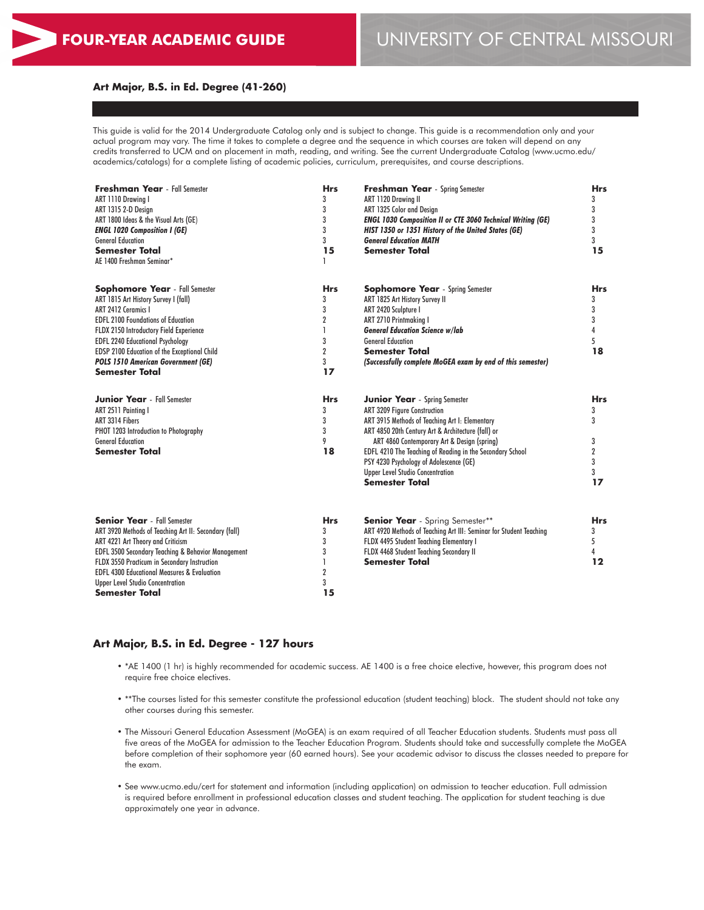#### **Art Major, B.S. in Ed. Degree (41-260)**

This guide is valid for the 2014 Undergraduate Catalog only and is subject to change. This guide is a recommendation only and your actual program may vary. The time it takes to complete a degree and the sequence in which courses are taken will depend on any credits transferred to UCM and on placement in math, reading, and writing. See the current Undergraduate Catalog (www.ucmo.edu/ academics/catalogs) for a complete listing of academic policies, curriculum, prerequisites, and course descriptions.

| Freshman Year - Fall Semester<br>ART 1110 Drawina I<br>ART 1315 2-D Design<br>ART 1800 Ideas & the Visual Arts (GE)<br><b>ENGL 1020 Composition I (GE)</b><br><b>General Education</b><br><b>Semester Total</b><br>AE 1400 Freshman Seminar*                                                                                                                         | <b>Hrs</b><br>3<br>3<br>3<br>3<br>3<br>15<br>ı                                         | <b>Freshman Year</b> - Spring Semester<br>ART 1120 Drawing II<br>ART 1325 Color and Design<br><b>ENGL 1030 Composition II or CTE 3060 Technical Writing (GE)</b><br>HIST 1350 or 1351 History of the United States (GE)<br><b>General Education MATH</b><br><b>Semester Total</b>                                                                                                                       | <b>Hrs</b><br>3<br>3<br>3<br>3<br>3<br>15      |
|----------------------------------------------------------------------------------------------------------------------------------------------------------------------------------------------------------------------------------------------------------------------------------------------------------------------------------------------------------------------|----------------------------------------------------------------------------------------|---------------------------------------------------------------------------------------------------------------------------------------------------------------------------------------------------------------------------------------------------------------------------------------------------------------------------------------------------------------------------------------------------------|------------------------------------------------|
| <b>Sophomore Year</b> - Fall Semester<br>ART 1815 Art History Survey I (fall)<br>ART 2412 Ceramics I<br><b>EDFL 2100 Foundations of Education</b><br>FLDX 2150 Introductory Field Experience<br><b>EDFL 2240 Educational Psychology</b><br>EDSP 2100 Education of the Exceptional Child<br><b>POLS 1510 American Government (GE)</b><br><b>Semester Total</b>        | <b>Hrs</b><br>3<br>3<br>$\overline{\mathbf{2}}$<br>1<br>3<br>$\overline{2}$<br>3<br>17 | <b>Sophomore Year</b> - Spring Semester<br>ART 1825 Art History Survey II<br>ART 2420 Sculpture I<br>ART 2710 Printmaking I<br><b>General Education Science w/lab</b><br><b>General Education</b><br><b>Semester Total</b><br>(Successfully complete MoGEA exam by end of this semester)                                                                                                                | <b>Hrs</b><br>3<br>3<br>3<br>4<br>5<br>18      |
| <b>Junior Year</b> - Fall Semester<br>ART 2511 Paintina I<br>ART 3314 Fibers<br>PHOT 1203 Introduction to Photography<br><b>General Education</b><br><b>Semester Total</b>                                                                                                                                                                                           | <b>Hrs</b><br>3<br>3<br>3<br>9<br>18                                                   | <b>Junior Year</b> - Spring Semester<br>ART 3209 Figure Construction<br>ART 3915 Methods of Teaching Art I: Elementary<br>ART 4850 20th Century Art & Architecture (fall) or<br>ART 4860 Contemporary Art & Design (spring)<br>EDFL 4210 The Teaching of Reading in the Secondary School<br>PSY 4230 Psychology of Adolescence (GE)<br><b>Upper Level Studio Concentration</b><br><b>Semester Total</b> | <b>Hrs</b><br>3<br>3<br>3<br>2<br>3<br>3<br>17 |
| <b>Senior Year</b> - Fall Semester<br>ART 3920 Methods of Teaching Art II: Secondary (fall)<br>ART 4221 Art Theory and Criticism<br>EDFL 3500 Secondary Teaching & Behavior Management<br>FLDX 3550 Practicum in Secondary Instruction<br><b>EDFL 4300 Educational Measures &amp; Evaluation</b><br><b>Upper Level Studio Concentration</b><br><b>Semester Total</b> | <b>Hrs</b><br>3<br>3<br>3<br><sub>1</sub><br>$\boldsymbol{2}$<br>3<br>15               | <b>Senior Year</b> - Spring Semester**<br>ART 4920 Methods of Teaching Art III: Seminar for Student Teaching<br>FLDX 4495 Student Teaching Elementary I<br>FLDX 4468 Student Teaching Secondary II<br><b>Semester Total</b>                                                                                                                                                                             | <b>Hrs</b><br>3<br>5<br>4<br>12                |

#### **Art Major, B.S. in Ed. Degree - 127 hours**

- \*AE 1400 (1 hr) is highly recommended for academic success. AE 1400 is a free choice elective, however, this program does not require free choice electives.
- \*\*The courses listed for this semester constitute the professional education (student teaching) block. The student should not take any other courses during this semester.
- The Missouri General Education Assessment (MoGEA) is an exam required of all Teacher Education students. Students must pass all five areas of the MoGEA for admission to the Teacher Education Program. Students should take and successfully complete the MoGEA before completion of their sophomore year (60 earned hours). See your academic advisor to discuss the classes needed to prepare for the exam.
- See www.ucmo.edu/cert for statement and information (including application) on admission to teacher education. Full admission is required before enrollment in professional education classes and student teaching. The application for student teaching is due approximately one year in advance.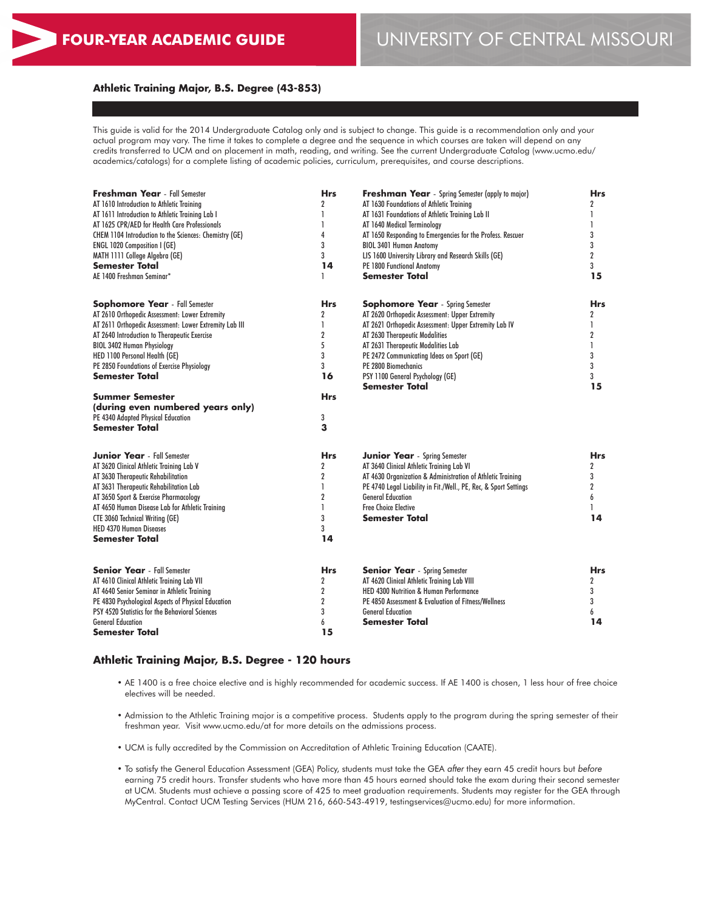#### **Athletic Training Major, B.S. Degree (43-853)**

This guide is valid for the 2014 Undergraduate Catalog only and is subject to change. This guide is a recommendation only and your actual program may vary. The time it takes to complete a degree and the sequence in which courses are taken will depend on any credits transferred to UCM and on placement in math, reading, and writing. See the current Undergraduate Catalog (www.ucmo.edu/ academics/catalogs) for a complete listing of academic policies, curriculum, prerequisites, and course descriptions.

| Freshman Year - Fall Semester                          | <b>Hrs</b>       | <b>Freshman Year</b> - Spring Semester (apply to major)          | <b>Hrs</b>     |
|--------------------------------------------------------|------------------|------------------------------------------------------------------|----------------|
| AT 1610 Introduction to Athletic Training              | $\overline{2}$   | AT 1630 Foundations of Athletic Training                         | $\overline{2}$ |
| AT 1611 Introduction to Athletic Training Lab I        | 1                | AT 1631 Foundations of Athletic Training Lab II                  | 1              |
| AT 1625 CPR/AED for Health Care Professionals          | 1                | AT 1640 Medical Terminology                                      | 1              |
| CHEM 1104 Introduction to the Sciences: Chemistry (GE) | 4                | AT 1650 Responding to Emergencies for the Profess. Rescuer       | 3              |
| <b>ENGL 1020 Composition I (GE)</b>                    | 3                | <b>BIOL 3401 Human Anatomy</b>                                   | 3              |
| MATH 1111 College Algebra (GE)                         | 3                | LIS 1600 University Library and Research Skills (GE)             | $\overline{2}$ |
| <b>Semester Total</b>                                  | 14               | PE 1800 Functional Anatomy                                       | 3              |
| AE 1400 Freshman Seminar*                              | ı                | <b>Semester Total</b>                                            | 15             |
| <b>Sophomore Year</b> - Fall Semester                  | <b>Hrs</b>       | <b>Sophomore Year</b> - Spring Semester                          | Hrs            |
| AT 2610 Orthopedic Assessment: Lower Extremity         | $\mathbf 2$      | AT 2620 Orthopedic Assessment: Upper Extremity                   | 2              |
| AT 2611 Orthopedic Assessment: Lower Extremity Lab III | 1                | AT 2621 Orthopedic Assessment: Upper Extremity Lab IV            | 1              |
| AT 2640 Introduction to Therapeutic Exercise           | $\boldsymbol{2}$ | AT 2630 Therapeutic Modalities                                   | $\overline{2}$ |
| <b>BIOL 3402 Human Physiology</b>                      | 5                | AT 2631 Therapeutic Modalities Lab                               | 1              |
| HED 1100 Personal Health (GE)                          | 3                | PE 2472 Communicating Ideas on Sport (GE)                        | 3              |
| PE 2850 Foundations of Exercise Physiology             | 3                | PE 2800 Biomechanics                                             | 3              |
| <b>Semester Total</b>                                  | 16               | PSY 1100 General Psychology (GE)                                 | 3              |
|                                                        |                  | <b>Semester Total</b>                                            | 15             |
| Summer Semester                                        | <b>Hrs</b>       |                                                                  |                |
| (during even numbered years only)                      |                  |                                                                  |                |
| PE 4340 Adapted Physical Education                     | 3                |                                                                  |                |
| <b>Semester Total</b>                                  | 3                |                                                                  |                |
| <b>Junior Year</b> - Fall Semester                     | <b>Hrs</b>       | <b>Junior Year</b> - Spring Semester                             | <b>Hrs</b>     |
| AT 3620 Clinical Athletic Training Lab V               | $\overline{2}$   | AT 3640 Clinical Athletic Training Lab VI                        | $\overline{2}$ |
| AT 3630 Therapeutic Rehabilitation                     | $\overline{2}$   | AT 4630 Organization & Administration of Athletic Training       | 3              |
| AT 3631 Therapeutic Rehabilitation Lab                 | 1                | PE 4740 Legal Liability in Fit./Well., PE, Rec, & Sport Settings | $\overline{2}$ |
| AT 3650 Sport & Exercise Pharmacology                  | $\overline{2}$   | <b>General Education</b>                                         | 6              |
| AT 4650 Human Disease Lab for Athletic Training        | 1                | <b>Free Choice Elective</b>                                      |                |
| <b>CTE 3060 Technical Writing (GE)</b>                 | 3                | <b>Semester Total</b>                                            | 14             |
| <b>HED 4370 Human Diseases</b>                         | 3                |                                                                  |                |
| <b>Semester Total</b>                                  | 14               |                                                                  |                |
| <b>Senior Year</b> - Fall Semester                     | <b>Hrs</b>       | <b>Senior Year</b> - Spring Semester                             | <b>Hrs</b>     |
| AT 4610 Clinical Athletic Training Lab VII             | $\overline{2}$   | AT 4620 Clinical Athletic Training Lab VIII                      | $\overline{2}$ |
| AT 4640 Senior Seminar in Athletic Training            | $\overline{2}$   | HED 4300 Nutrition & Human Performance                           | 3              |
| PE 4830 Psychological Aspects of Physical Education    | $\boldsymbol{2}$ | PE 4850 Assessment & Evaluation of Fitness/Wellness              | 3              |
| PSY 4520 Statistics for the Behavioral Sciences        | 3                | <b>General Education</b>                                         | 6              |
| <b>General Education</b>                               | 6                | <b>Semester Total</b>                                            | 14             |
| Semester Total                                         | 15               |                                                                  |                |

#### **Athletic Training Major, B.S. Degree - 120 hours**

- AE 1400 is a free choice elective and is highly recommended for academic success. If AE 1400 is chosen, 1 less hour of free choice electives will be needed.
- Admission to the Athletic Training major is a competitive process. Students apply to the program during the spring semester of their freshman year. Visit www.ucmo.edu/at for more details on the admissions process.
- UCM is fully accredited by the Commission on Accreditation of Athletic Training Education (CAATE).
- To satisfy the General Education Assessment (GEA) Policy, students must take the GEA *after* they earn 45 credit hours but *before* earning 75 credit hours. Transfer students who have more than 45 hours earned should take the exam during their second semester at UCM. Students must achieve a passing score of 425 to meet graduation requirements. Students may register for the GEA through MyCentral. Contact UCM Testing Services (HUM 216, 660-543-4919, testingservices@ucmo.edu) for more information.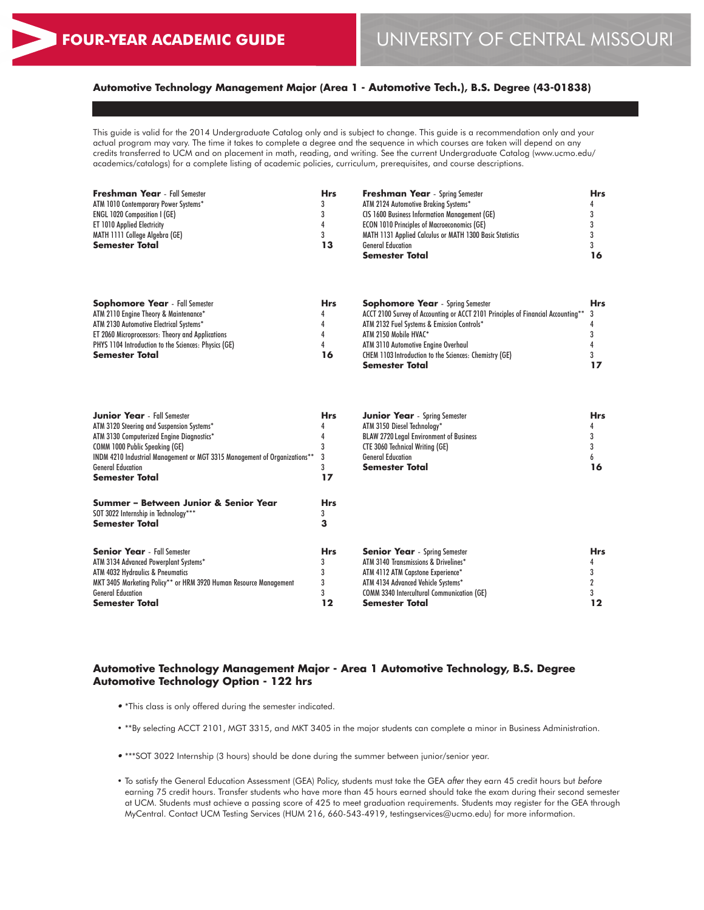# **Automotive Technology Management Major (Area 1 - Automotive Tech.), B.S. Degree (43-01838)**

This guide is valid for the 2014 Undergraduate Catalog only and is subject to change. This guide is a recommendation only and your actual program may vary. The time it takes to complete a degree and the sequence in which courses are taken will depend on any credits transferred to UCM and on placement in math, reading, and writing. See the current Undergraduate Catalog (www.ucmo.edu/ academics/catalogs) for a complete listing of academic policies, curriculum, prerequisites, and course descriptions.

| <b>Freshman Year</b> - Fall Semester | <b>Hrs</b> | <b>Freshman Year</b> - Spring Semester                   | Hrs |
|--------------------------------------|------------|----------------------------------------------------------|-----|
| ATM 1010 Contemporary Power Systems* | 3          | ATM 2124 Automotive Braking Systems*                     |     |
| <b>ENGL 1020 Composition I (GE)</b>  |            | <b>CIS 1600 Business Information Management (GE)</b>     |     |
| <b>ET 1010 Applied Electricity</b>   |            | <b>ECON 1010 Principles of Macroeconomics (GE)</b>       |     |
| MATH 1111 College Algebra (GE)       |            | MATH 1131 Applied Calculus or MATH 1300 Basic Statistics |     |
| <b>Semester Total</b>                | 13         | <b>General Education</b>                                 |     |
|                                      |            | <b>Semester Total</b>                                    | 16  |
|                                      |            |                                                          |     |

| <b>Sophomore Year</b> - Fall Semester                | <b>Hrs</b> | <b>Sophomore Year</b> - Spring Semester                                            | <b>Hrs</b> |
|------------------------------------------------------|------------|------------------------------------------------------------------------------------|------------|
| ATM 2110 Engine Theory & Maintenance*                | 4          | ACCT 2100 Survey of Accounting or ACCT 2101 Principles of Financial Accounting** 3 |            |
| ATM 2130 Automotive Electrical Systems*              |            | ATM 2132 Fuel Systems & Emission Controls*                                         |            |
| ET 2060 Microprocessors: Theory and Applications     |            | ATM 2150 Mobile HVAC*                                                              |            |
| PHYS 1104 Introduction to the Sciences: Physics (GE) |            | ATM 3110 Automotive Engine Overhaul                                                |            |
| <b>Semester Total</b>                                | 16         | <b>CHEM 1103 Introduction to the Sciences: Chemistry (GE)</b>                      |            |
|                                                      |            | <b>Semester Total</b>                                                              |            |

| <b>Junior Year</b> - Fall Semester                                        |            | <b>Junior Year</b> - Spring Semester              | <b>Hrs</b> |
|---------------------------------------------------------------------------|------------|---------------------------------------------------|------------|
| ATM 3120 Steering and Suspension Systems*                                 |            | ATM 3150 Diesel Technology*                       |            |
| ATM 3130 Computerized Engine Diagnostics*                                 |            | <b>BLAW 2720 Legal Environment of Business</b>    |            |
| <b>COMM 1000 Public Speaking (GE)</b>                                     |            | <b>CTE 3060 Technical Writing (GE)</b>            |            |
| INDM 4210 Industrial Management or MGT 3315 Management of Organizations** |            | <b>General Education</b>                          |            |
| <b>General Education</b>                                                  |            | <b>Semester Total</b>                             | 16         |
| <b>Semester Total</b>                                                     | 17         |                                                   |            |
| Summer - Between Junior & Senior Year                                     | <b>Hrs</b> |                                                   |            |
| SOT 3022 Internship in Technology***                                      |            |                                                   |            |
| <b>Semester Total</b>                                                     |            |                                                   |            |
| <b>Senior Year</b> - Fall Semester                                        | <b>Hrs</b> | <b>Senior Year</b> - Spring Semester              | <b>Hrs</b> |
| ATM 3134 Advanced Powerplant Systems*                                     |            | ATM 3140 Transmissions & Drivelines*              |            |
| ATM 4032 Hydraulics & Pneumatics                                          |            | ATM 4112 ATM Capstone Experience*                 |            |
| MKT 3405 Marketing Policy** or HRM 3920 Human Resource Management         |            | ATM 4134 Advanced Vehicle Systems*                |            |
| <b>General Education</b>                                                  |            | <b>COMM 3340 Intercultural Communication (GE)</b> |            |
| <b>Semester Total</b>                                                     | 12         | Semester Total                                    | 12         |

#### **Automotive Technology Management Major - Area 1 Automotive Technology, B.S. Degree Automotive Technology Option - 122 hrs**

- \*This class is only offered during the semester indicated.
- \*\*By selecting ACCT 2101, MGT 3315, and MKT 3405 in the major students can complete a minor in Business Administration.
- \*\*\*SOT 3022 Internship (3 hours) should be done during the summer between junior/senior year.
- To satisfy the General Education Assessment (GEA) Policy, students must take the GEA *after* they earn 45 credit hours but *before* earning 75 credit hours. Transfer students who have more than 45 hours earned should take the exam during their second semester at UCM. Students must achieve a passing score of 425 to meet graduation requirements. Students may register for the GEA through MyCentral. Contact UCM Testing Services (HUM 216, 660-543-4919, testingservices@ucmo.edu) for more information.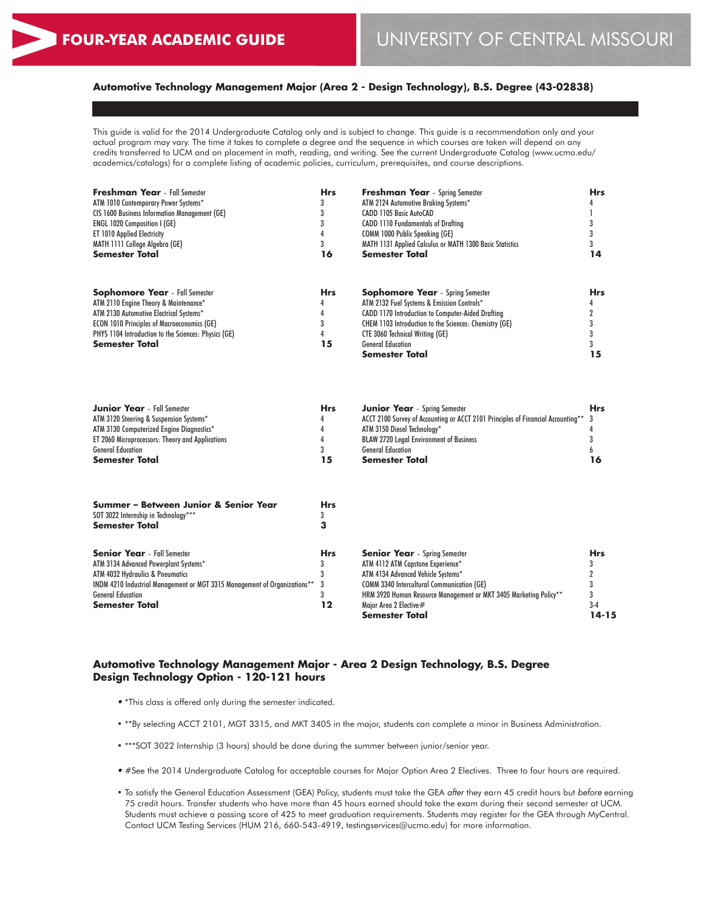**15**

# **Automotive Technology Management Major (Area 2 - Design Technology), B.S. Degree (43-02838)**

This guide is valid for the 2014 Undergraduate Catalog only and is subject to change. This guide is a recommendation only and your actual program may vary. The time it takes to complete a degree and the sequence in which courses are taken will depend on any credits transferred to UCM and on placement in math, reading, and writing. See the current Undergraduate Catalog (www.ucmo.edu/ academics/catalogs) for a complete listing of academic policies, curriculum, prerequisites, and course descriptions.

| <b>Freshman Year</b> - Fall Semester                 | <b>Hrs</b> | <b>Freshman Year</b> - Spring Semester                        | <b>Hrs</b> |
|------------------------------------------------------|------------|---------------------------------------------------------------|------------|
| ATM 1010 Contemporary Power Systems*                 |            | ATM 2124 Automotive Braking Systems*                          |            |
| <b>CIS 1600 Business Information Management (GE)</b> |            | <b>CADD 1105 Basic AutoCAD</b>                                |            |
| <b>ENGL 1020 Composition I (GE)</b>                  |            | <b>CADD 1110 Fundamentals of Drafting</b>                     |            |
| ET 1010 Applied Electricity                          |            | <b>COMM 1000 Public Speaking (GE)</b>                         |            |
| MATH 1111 College Algebra (GE)                       |            | MATH 1131 Applied Calculus or MATH 1300 Basic Statistics      |            |
| <b>Semester Total</b>                                | 16         | <b>Semester Total</b>                                         | 14         |
|                                                      |            |                                                               |            |
| <b>Sophomore Year</b> - Fall Semester                | <b>Hrs</b> | <b>Sophomore Year</b> - Spring Semester                       | <b>Hrs</b> |
| ATM 2110 Engine Theory & Maintenance*                |            | ATM 2132 Fuel Systems & Emission Controls*                    |            |
| ATM 2130 Automotive Electrical Systems*              |            | CADD 1170 Introduction to Computer-Aided Drafting             |            |
| <b>ECON 1010 Principles of Macroeconomics (GE)</b>   |            | <b>CHEM 1103 Introduction to the Sciences: Chemistry (GE)</b> |            |
| PHYS 1104 Introduction to the Sciences: Physics (GE) |            | <b>CTE 3060 Technical Writing (GE)</b>                        |            |
| <b>Semester Total</b>                                | 15         | <b>General Education</b>                                      |            |

| <b>Junior Year</b> - Fall Semester               | Hrs | <b>Junior Year</b> - Spring Semester                                               | <b>Hrs</b> |
|--------------------------------------------------|-----|------------------------------------------------------------------------------------|------------|
| ATM 3120 Steering & Suspension Systems*          |     | ACCT 2100 Survey of Accounting or ACCT 2101 Principles of Financial Accounting** 3 |            |
| ATM 3130 Computerized Engine Diagnostics*        |     | ATM 3150 Diesel Technology*                                                        |            |
| ET 2060 Microprocessors: Theory and Applications |     | <b>BLAW 2720 Legal Environment of Business</b>                                     |            |
| <b>General Education</b>                         |     | <b>General Education</b>                                                           |            |
| <b>Semester Total</b>                            | 15  | Semester Total                                                                     |            |

**Semester Total**

| Summer - Between Junior & Senior Year<br>SOT 3022 Internship in Technology***<br><b>Semester Total</b> | Hrs |                                                                   |            |
|--------------------------------------------------------------------------------------------------------|-----|-------------------------------------------------------------------|------------|
| <b>Senior Year</b> - Fall Semester                                                                     | Hrs | <b>Senior Year</b> - Spring Semester                              | <b>Hrs</b> |
| ATM 3134 Advanced Powerplant Systems*                                                                  |     | ATM 4112 ATM Capstone Experience*                                 |            |
| ATM 4032 Hydraulics & Pneumatics                                                                       |     | ATM 4134 Advanced Vehicle Systems*                                |            |
| INDM 4210 Industrial Management or MGT 3315 Management of Organizations** 3                            |     | <b>COMM 3340 Intercultural Communication (GE)</b>                 |            |
| <b>General Education</b>                                                                               |     | HRM 3920 Human Resource Management or MKT 3405 Marketing Policy** |            |
| <b>Semester Total</b>                                                                                  | 12  | Maior Area 2 Elective#                                            | $3-4$      |
|                                                                                                        |     | <b>Semester Total</b>                                             | 14-15      |

#### **Automotive Technology Management Major - Area 2 Design Technology, B.S. Degree Design Technology Option - 120-121 hours**

- \*This class is offered only during the semester indicated.
- \*\*By selecting ACCT 2101, MGT 3315, and MKT 3405 in the major, students can complete a minor in Business Administration.
- \*\*\*SOT 3022 Internship (3 hours) should be done during the summer between junior/senior year.
- #See the 2014 Undergraduate Catalog for acceptable courses for Major Option Area 2 Electives. Three to four hours are required.
- To satisfy the General Education Assessment (GEA) Policy, students must take the GEA *after* they earn 45 credit hours but *before* earning 75 credit hours. Transfer students who have more than 45 hours earned should take the exam during their second semester at UCM. Students must achieve a passing score of 425 to meet graduation requirements. Students may register for the GEA through MyCentral. Contact UCM Testing Services (HUM 216, 660-543-4919, testingservices@ucmo.edu) for more information.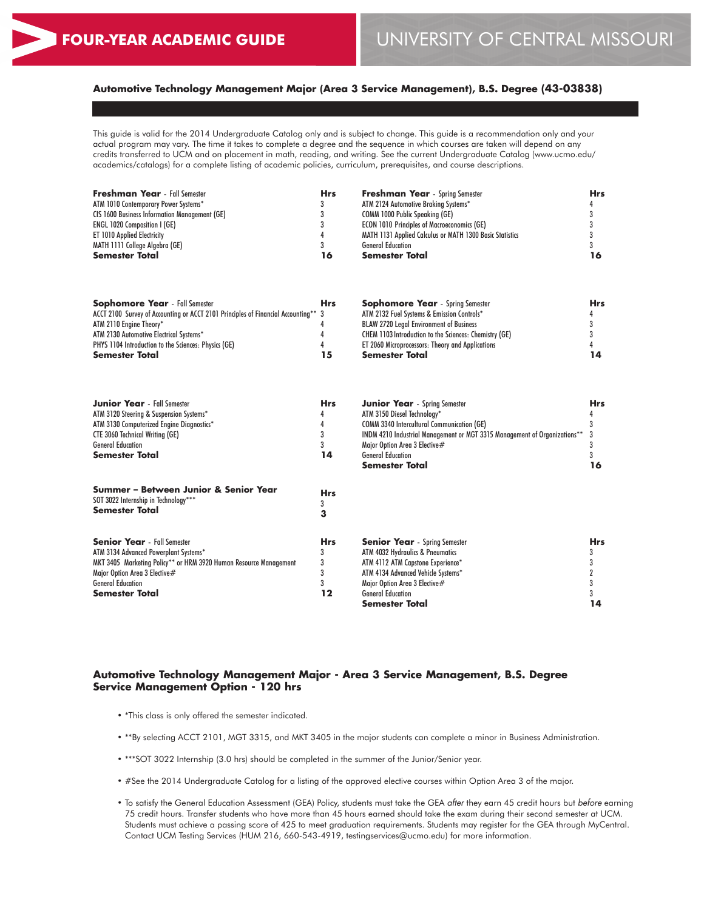# **Automotive Technology Management Major (Area 3 Service Management), B.S. Degree (43-03838)**

This guide is valid for the 2014 Undergraduate Catalog only and is subject to change. This guide is a recommendation only and your actual program may vary. The time it takes to complete a degree and the sequence in which courses are taken will depend on any credits transferred to UCM and on placement in math, reading, and writing. See the current Undergraduate Catalog (www.ucmo.edu/ academics/catalogs) for a complete listing of academic policies, curriculum, prerequisites, and course descriptions.

| <b>Freshman Year</b> - Fall Semester          | Hrs | <b>Freshman Year</b> - Spring Semester                          | Hrs |
|-----------------------------------------------|-----|-----------------------------------------------------------------|-----|
| ATM 1010 Contemporary Power Systems*          |     | ATM 2124 Automotive Braking Systems*                            |     |
| CIS 1600 Business Information Management (GE) |     | COMM 1000 Public Speaking (GE)                                  |     |
| <b>ENGL 1020 Composition I (GE)</b>           |     | <b>ECON 1010 Principles of Macroeconomics (GE)</b>              |     |
| <b>ET 1010 Applied Electricity</b>            |     | <b>MATH 1131 Applied Calculus or MATH 1300 Basic Statistics</b> |     |
| MATH 1111 College Algebra (GE)                |     | <b>General Education</b>                                        |     |
| <b>Semester Total</b>                         | 16  | <b>Semester Total</b>                                           | 16  |

| <b>Sophomore Year</b> - Fall Semester                                              | <b>Hrs</b> | <b>Sophomore Year</b> - Spring Semester                       | Hrs |
|------------------------------------------------------------------------------------|------------|---------------------------------------------------------------|-----|
| ACCT 2100 Survey of Accounting or ACCT 2101 Principles of Financial Accounting** 3 |            | ATM 2132 Fuel Systems & Emission Controls*                    |     |
| ATM 2110 Engine Theory*                                                            |            | <b>BLAW 2720 Legal Environment of Business</b>                |     |
| ATM 2130 Automotive Electrical Systems*                                            |            | <b>CHEM 1103 Introduction to the Sciences: Chemistry (GE)</b> |     |
| PHYS 1104 Introduction to the Sciences: Physics (GE)                               |            | ET 2060 Microprocessors: Theory and Applications              |     |
| <b>Semester Total</b>                                                              | 15         | <b>Semester Total</b>                                         | 14  |

| <b>Junior Year</b> - Fall Semester                                                                     | <b>Hrs</b> | <b>Junior Year</b> - Spring Semester                                        | <b>Hrs</b> |
|--------------------------------------------------------------------------------------------------------|------------|-----------------------------------------------------------------------------|------------|
| ATM 3120 Steering & Suspension Systems*                                                                |            | ATM 3150 Diesel Technology*                                                 |            |
| ATM 3130 Computerized Engine Diagnostics*                                                              |            | <b>COMM 3340 Intercultural Communication (GE)</b>                           |            |
| <b>CTE 3060 Technical Writing (GE)</b>                                                                 |            | INDM 4210 Industrial Management or MGT 3315 Management of Organizations** 3 |            |
| <b>General Education</b>                                                                               |            | Major Option Area 3 Elective#                                               |            |
| <b>Semester Total</b>                                                                                  | 14         | <b>General Education</b>                                                    |            |
|                                                                                                        |            | Semester Total                                                              | 16         |
| Summer – Between Junior & Senior Year<br>SOT 3022 Internship in Technology***<br><b>Semester Total</b> | <b>Hrs</b> |                                                                             |            |
| <b>Senior Year</b> - Fall Semester                                                                     | <b>Hrs</b> | <b>Senior Year</b> - Spring Semester                                        | <b>Hrs</b> |
| ATM 3134 Advanced Powerplant Systems*                                                                  |            | ATM 4032 Hydraulics & Pneumatics                                            |            |
| MKT 3405 Marketing Policy** or HRM 3920 Human Resource Management                                      |            | ATM 4112 ATM Capstone Experience*                                           |            |

ATM 4134 Advanced Vehicle Systems\* Major Option Area 3 Elective # General Education **Semester Total**

# **Automotive Technology Management Major - Area 3 Service Management, B.S. Degree**

3 3 **12**

• \*This class is only offered the semester indicated.

**Service Management Option - 120 hrs**

Major Option Area 3 Elective# General Education **Semester Total**

- \*\*By selecting ACCT 2101, MGT 3315, and MKT 3405 in the major students can complete a minor in Business Administration.
- \*\*\*SOT 3022 Internship (3.0 hrs) should be completed in the summer of the Junior/Senior year.
- #See the 2014 Undergraduate Catalog for a listing of the approved elective courses within Option Area 3 of the major.
- To satisfy the General Education Assessment (GEA) Policy, students must take the GEA *after* they earn 45 credit hours but *before* earning 75 credit hours. Transfer students who have more than 45 hours earned should take the exam during their second semester at UCM. Students must achieve a passing score of 425 to meet graduation requirements. Students may register for the GEA through MyCentral. Contact UCM Testing Services (HUM 216, 660-543-4919, testingservices@ucmo.edu) for more information.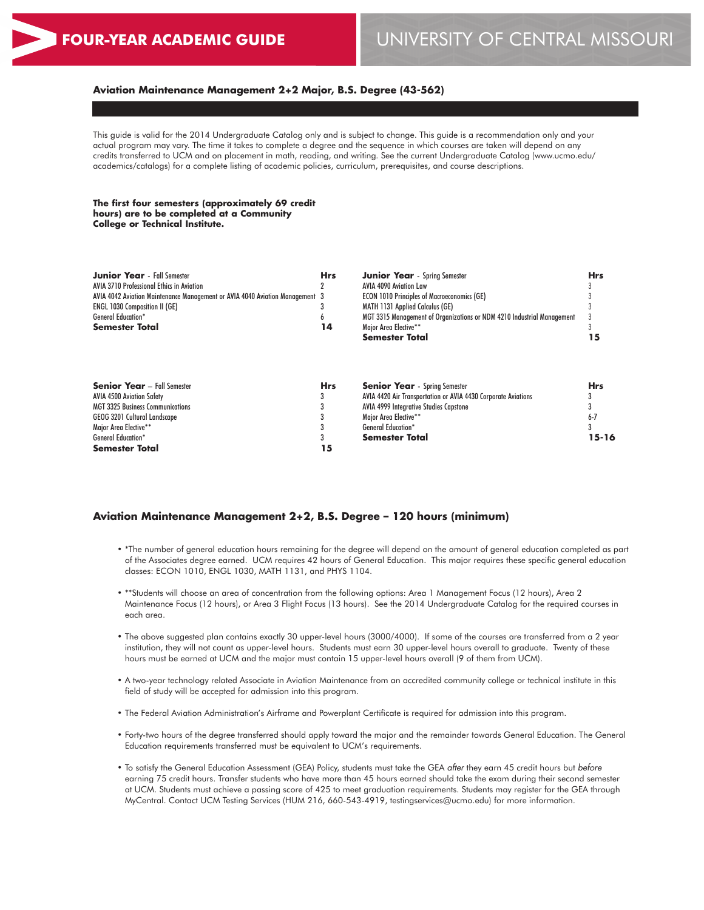#### **Aviation Maintenance Management 2+2 Major, B.S. Degree (43-562)**

This guide is valid for the 2014 Undergraduate Catalog only and is subject to change. This guide is a recommendation only and your actual program may vary. The time it takes to complete a degree and the sequence in which courses are taken will depend on any credits transferred to UCM and on placement in math, reading, and writing. See the current Undergraduate Catalog (www.ucmo.edu/ academics/catalogs) for a complete listing of academic policies, curriculum, prerequisites, and course descriptions.

**The first four semesters (approximately 69 credit hours) are to be completed at a Community College or Technical Institute.**

| <b>Junior Year</b> - Fall Semester                                           | Hrs        | <b>Junior Year</b> - Spring Semester                                   | <b>Hrs</b> |
|------------------------------------------------------------------------------|------------|------------------------------------------------------------------------|------------|
| <b>AVIA 3710 Professional Ethics in Aviation</b>                             |            | AVIA 4090 Aviation Law                                                 |            |
| AVIA 4042 Aviation Maintenance Management or AVIA 4040 Aviation Management 3 |            | <b>ECON 1010 Principles of Macroeconomics (GE)</b>                     |            |
| <b>ENGL 1030 Composition II (GE)</b>                                         |            | <b>MATH 1131 Applied Calculus (GE)</b>                                 |            |
| <b>General Education*</b>                                                    |            | MGT 3315 Management of Organizations or NDM 4210 Industrial Management |            |
| <b>Semester Total</b>                                                        | 14         | Major Area Elective**                                                  |            |
|                                                                              |            | <b>Semester Total</b>                                                  | 15         |
| <b>Senior Year</b> - Fall Semester                                           | <b>Hrs</b> | <b>Senior Year</b> - Spring Semester                                   | <b>Hrs</b> |
|                                                                              |            |                                                                        |            |
| <b>AVIA 4500 Aviation Safety</b>                                             |            | AVIA 4420 Air Transportation or AVIA 4430 Corporate Aviations          |            |
| <b>MGT 3325 Business Communications</b>                                      |            | <b>AVIA 4999 Integrative Studies Capstone</b>                          |            |
| GEOG 3201 Cultural Landscape                                                 |            | Major Area Elective**                                                  | $6 - 7$    |
| Major Area Elective**                                                        |            | <b>General Education*</b>                                              |            |
| <b>General Education*</b>                                                    |            | <b>Semester Total</b>                                                  | 15-16      |
| <b>Semester Total</b>                                                        | 15         |                                                                        |            |

#### **Aviation Maintenance Management 2+2, B.S. Degree – 120 hours (minimum)**

- \*The number of general education hours remaining for the degree will depend on the amount of general education completed as part of the Associates degree earned. UCM requires 42 hours of General Education. This major requires these specific general education classes: ECON 1010, ENGL 1030, MATH 1131, and PHYS 1104.
- \*\*Students will choose an area of concentration from the following options: Area 1 Management Focus (12 hours), Area 2 Maintenance Focus (12 hours), or Area 3 Flight Focus (13 hours). See the 2014 Undergraduate Catalog for the required courses in each area.
- The above suggested plan contains exactly 30 upper-level hours (3000/4000). If some of the courses are transferred from a 2 year institution, they will not count as upper-level hours. Students must earn 30 upper-level hours overall to graduate. Twenty of these hours must be earned at UCM and the major must contain 15 upper-level hours overall (9 of them from UCM).
- A two-year technology related Associate in Aviation Maintenance from an accredited community college or technical institute in this field of study will be accepted for admission into this program.
- The Federal Aviation Administration's Airframe and Powerplant Certificate is required for admission into this program.
- Forty-two hours of the degree transferred should apply toward the major and the remainder towards General Education. The General Education requirements transferred must be equivalent to UCM's requirements.
- To satisfy the General Education Assessment (GEA) Policy, students must take the GEA *after* they earn 45 credit hours but *before* earning 75 credit hours. Transfer students who have more than 45 hours earned should take the exam during their second semester at UCM. Students must achieve a passing score of 425 to meet graduation requirements. Students may register for the GEA through MyCentral. Contact UCM Testing Services (HUM 216, 660-543-4919, testingservices@ucmo.edu) for more information.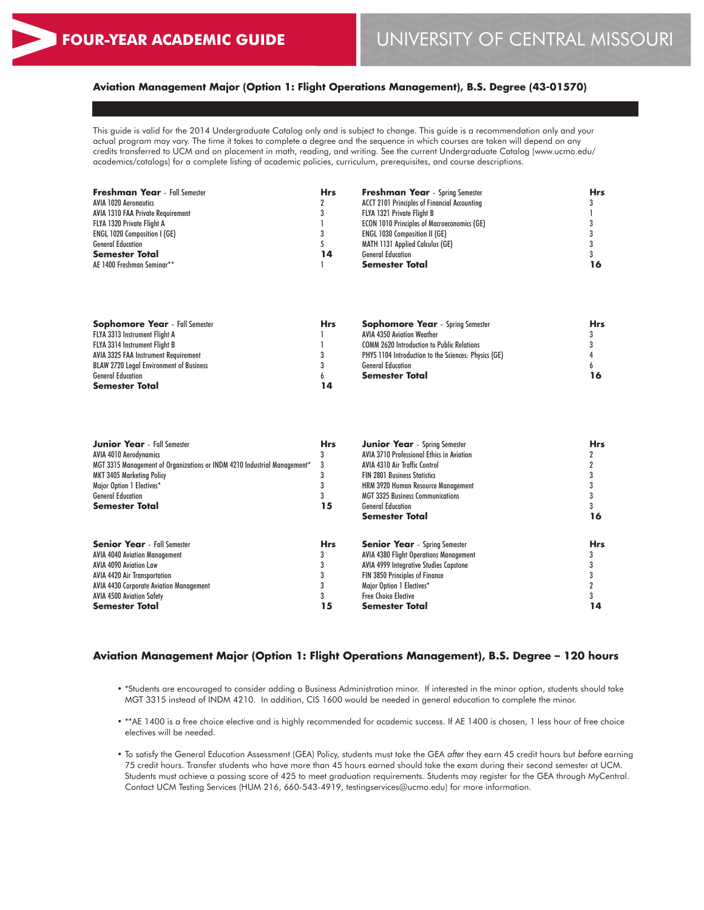# **Aviation Management Major (Option 1: Flight Operations Management), B.S. Degree (43-01570)**

This guide is valid for the 2014 Undergraduate Catalog only and is subject to change. This guide is a recommendation only and your actual program may vary. The time it takes to complete a degree and the sequence in which courses are taken will depend on any credits transferred to UCM and on placement in math, reading, and writing. See the current Undergraduate Catalog (www.ucmo.edu/ academics/catalogs) for a complete listing of academic policies, curriculum, prerequisites, and course descriptions.

| <b>Freshman Year</b> - Fall Semester | <b>Hrs</b> | <b>Freshman Year</b> - Spring Semester              | <b>Hrs</b> |
|--------------------------------------|------------|-----------------------------------------------------|------------|
| <b>AVIA 1020 Aerongutics</b>         |            | <b>ACCT 2101 Principles of Financial Accounting</b> |            |
| AVIA 1310 FAA Private Requirement    |            | FLYA 1321 Private Flight B                          |            |
| FLYA 1320 Private Flight A           |            | <b>ECON 1010 Principles of Macroeconomics (GE)</b>  |            |
| <b>ENGL 1020 Composition I (GE)</b>  |            | <b>ENGL 1030 Composition II (GE)</b>                |            |
| <b>General Education</b>             |            | MATH 1131 Applied Calculus (GE)                     |            |
| <b>Semester Total</b>                | 14         | <b>General Education</b>                            |            |
| AE 1400 Freshman Seminar**           |            | <b>Semester Total</b>                               | 16         |
|                                      |            |                                                     |            |

| <b>Sophomore Year</b> - Fall Semester          | <b>Hrs</b> | <b>Sophomore Year</b> - Spring Semester              | Hrs |
|------------------------------------------------|------------|------------------------------------------------------|-----|
| FLYA 3313 Instrument Flight A                  |            | AVIA 4350 Aviation Weather                           |     |
| <b>FLYA 3314 Instrument Flight B</b>           |            | <b>COMM 2620 Introduction to Public Relations</b>    |     |
| AVIA 3325 FAA Instrument Requirement           |            | PHYS 1104 Introduction to the Sciences: Physics (GE) |     |
| <b>BLAW 2720 Legal Environment of Business</b> |            | <b>General Education</b>                             |     |
| <b>General Education</b>                       |            | Semester Total                                       | 16  |
| <b>Semester Total</b>                          | 14         |                                                      |     |

| <b>Junior Year</b> - Fall Semester                                       | <b>Hrs</b> | <b>Junior Year</b> - Spring Semester          | <b>Hrs</b> |
|--------------------------------------------------------------------------|------------|-----------------------------------------------|------------|
| AVIA 4010 Aerodynamics                                                   |            | AVIA 3710 Professional Ethics in Aviation     |            |
| MGT 3315 Management of Organizations or INDM 4210 Industrial Management* | 3          | <b>AVIA 4310 Air Traffic Control</b>          |            |
| <b>MKT 3405 Marketing Policy</b>                                         |            | <b>FIN 2801 Business Statistics</b>           |            |
| Major Option 1 Electives*                                                |            | HRM 3920 Human Resource Management            |            |
| <b>General Education</b>                                                 |            | <b>MGT 3325 Business Communications</b>       |            |
| <b>Semester Total</b>                                                    | 15         | <b>General Education</b>                      |            |
|                                                                          |            | <b>Semester Total</b>                         | 16         |
| <b>Senior Year</b> - Fall Semester                                       | <b>Hrs</b> | <b>Senior Year</b> - Spring Semester          | <b>Hrs</b> |
| <b>AVIA 4040 Aviation Management</b>                                     |            | <b>AVIA 4380 Flight Operations Management</b> |            |
| <b>AVIA 4090 Aviation Law</b>                                            |            | <b>AVIA 4999 Integrative Studies Capstone</b> |            |
| <b>AVIA 4420 Air Transportation</b>                                      |            | <b>FIN 3850 Principles of Finance</b>         |            |
| <b>AVIA 4430 Corporate Aviation Management</b>                           |            | Major Option 1 Electives*                     |            |
| <b>AVIA 4500 Aviation Safety</b>                                         |            | <b>Free Choice Elective</b>                   |            |
| <b>Semester Total</b>                                                    | 15         | <b>Semester Total</b>                         | 14         |

# **Aviation Management Major (Option 1: Flight Operations Management), B.S. Degree – 120 hours**

- \*Students are encouraged to consider adding a Business Administration minor. If interested in the minor option, students should take MGT 3315 instead of INDM 4210. In addition, CIS 1600 would be needed in general education to complete the minor.
- \*\*AE 1400 is a free choice elective and is highly recommended for academic success. If AE 1400 is chosen, 1 less hour of free choice electives will be needed.
- To satisfy the General Education Assessment (GEA) Policy, students must take the GEA *after* they earn 45 credit hours but *before* earning 75 credit hours. Transfer students who have more than 45 hours earned should take the exam during their second semester at UCM. Students must achieve a passing score of 425 to meet graduation requirements. Students may register for the GEA through MyCentral. Contact UCM Testing Services (HUM 216, 660-543-4919, testingservices@ucmo.edu) for more information.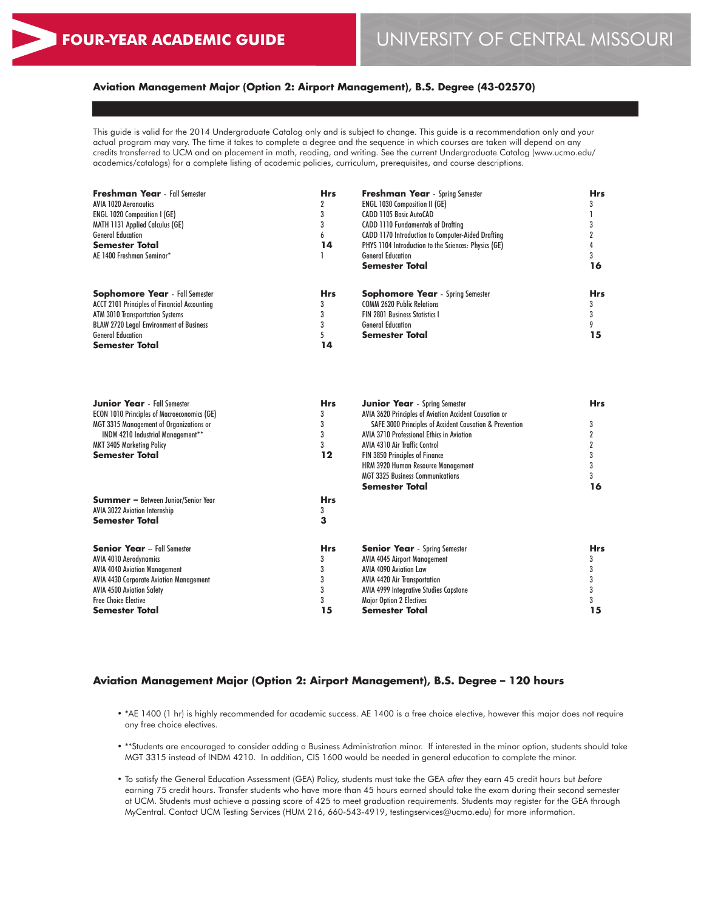# **Aviation Management Major (Option 2: Airport Management), B.S. Degree (43-02570)**

This guide is valid for the 2014 Undergraduate Catalog only and is subject to change. This guide is a recommendation only and your actual program may vary. The time it takes to complete a degree and the sequence in which courses are taken will depend on any credits transferred to UCM and on placement in math, reading, and writing. See the current Undergraduate Catalog (www.ucmo.edu/ academics/catalogs) for a complete listing of academic policies, curriculum, prerequisites, and course descriptions.

| Freshman Year - Fall Semester                       | <b>Hrs</b> | <b>Freshman Year</b> - Spring Semester                  | <b>Hrs</b>     |
|-----------------------------------------------------|------------|---------------------------------------------------------|----------------|
| <b>AVIA 1020 Aeronautics</b>                        | 2          | <b>ENGL 1030 Composition II (GE)</b>                    | 3              |
| ENGL 1020 Composition I (GE)                        | 3          | CADD 1105 Basic AutoCAD                                 | 1              |
| <b>MATH 1131 Applied Calculus (GE)</b>              | 3          | <b>CADD 1110 Fundamentals of Drafting</b>               | 3              |
| <b>General Education</b>                            | 6          | CADD 1170 Introduction to Computer-Aided Drafting       | $\overline{2}$ |
| <b>Semester Total</b>                               | 14         | PHYS 1104 Introduction to the Sciences: Physics (GE)    | 4              |
| AE 1400 Freshman Seminar*                           | 1          | <b>General Education</b>                                | 3              |
|                                                     |            | <b>Semester Total</b>                                   | 16             |
| <b>Sophomore Year</b> - Fall Semester               | Hrs        | <b>Sophomore Year</b> - Spring Semester                 | <b>Hrs</b>     |
| <b>ACCT 2101 Principles of Financial Accounting</b> | 3          | <b>COMM 2620 Public Relations</b>                       | 3              |
| ATM 3010 Transportation Systems                     | 3          | <b>FIN 2801 Business Statistics I</b>                   | 3              |
| <b>BLAW 2720 Legal Environment of Business</b>      | 3          | <b>General Education</b>                                | 9              |
| <b>General Education</b>                            | 5          | Semester Total                                          | 15             |
| <b>Semester Total</b>                               | 14         |                                                         |                |
|                                                     |            |                                                         |                |
| <b>Junior Year</b> - Fall Semester                  | <b>Hrs</b> | Junior Year - Spring Semester                           | <b>Hrs</b>     |
| <b>ECON 1010 Principles of Macroeconomics (GE)</b>  | 3          | AVIA 3620 Principles of Aviation Accident Causation or  |                |
| MGT 3315 Management of Organizations or             | 3          | SAFE 3000 Principles of Accident Causation & Prevention | 3              |
| INDM 4210 Industrial Management**                   | 3          | <b>AVIA 3710 Professional Ethics in Aviation</b>        | $\overline{2}$ |
| <b>MKT 3405 Marketing Policy</b>                    | 3          | <b>AVIA 4310 Air Traffic Control</b>                    | $\mathbf 2$    |
| <b>Semester Total</b>                               | 12         | FIN 3850 Principles of Finance                          | 3              |
|                                                     |            | HRM 3920 Human Resource Management                      | 3              |
|                                                     |            | <b>MGT 3325 Business Communications</b>                 | 3              |
|                                                     |            | Semester Total                                          | 16             |
| <b>Summer</b> - Between Junior/Senior Year          | <b>Hrs</b> |                                                         |                |
| <b>AVIA 3022 Aviation Internship</b>                | 3          |                                                         |                |
| Semester Total                                      | 3          |                                                         |                |
| <b>Senior Year</b> - Fall Semester                  | Hrs        | <b>Senior Year</b> - Spring Semester                    | <b>Hrs</b>     |
| <b>AVIA 4010 Aerodynamics</b>                       | 3          | <b>AVIA 4045 Airport Management</b>                     | 3              |
| <b>AVIA 4040 Aviation Management</b>                | 3          | <b>AVIA 4090 Aviation Law</b>                           | 3              |
| <b>AVIA 4430 Corporate Aviation Management</b>      | 3          | <b>AVIA 4420 Air Transportation</b>                     | 3              |
| <b>AVIA 4500 Aviation Safety</b>                    | 3          | <b>AVIA 4999 Integrative Studies Capstone</b>           | 3              |
| <b>Free Choice Elective</b>                         | 3          | Major Option 2 Electives                                | 3              |
| Semester Total                                      | 15         | Semester Total                                          | 15             |

# **Aviation Management Major (Option 2: Airport Management), B.S. Degree – 120 hours**

- \*AE 1400 (1 hr) is highly recommended for academic success. AE 1400 is a free choice elective, however this major does not require any free choice electives.
- \*\*Students are encouraged to consider adding a Business Administration minor. If interested in the minor option, students should take MGT 3315 instead of INDM 4210. In addition, CIS 1600 would be needed in general education to complete the minor.
- To satisfy the General Education Assessment (GEA) Policy, students must take the GEA *after* they earn 45 credit hours but *before* earning 75 credit hours. Transfer students who have more than 45 hours earned should take the exam during their second semester at UCM. Students must achieve a passing score of 425 to meet graduation requirements. Students may register for the GEA through MyCentral. Contact UCM Testing Services (HUM 216, 660-543-4919, testingservices@ucmo.edu) for more information.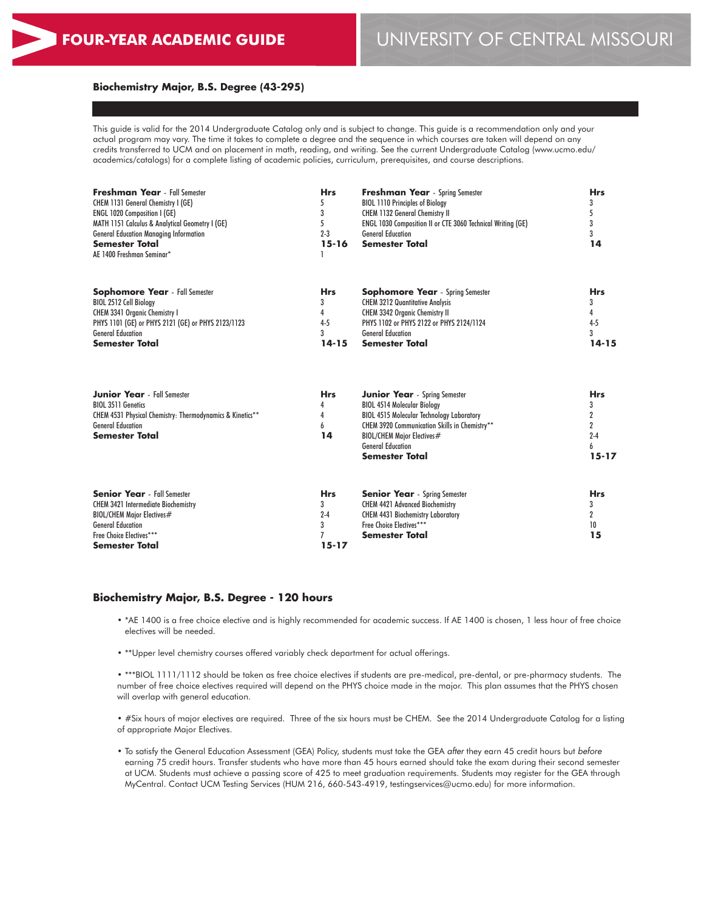# **FOUR-YEAR ACADEMIC GUIDE** UNIVERSITY OF CENTRAL MISSOURI

#### **Biochemistry Major, B.S. Degree (43-295)**

This guide is valid for the 2014 Undergraduate Catalog only and is subject to change. This guide is a recommendation only and your actual program may vary. The time it takes to complete a degree and the sequence in which courses are taken will depend on any credits transferred to UCM and on placement in math, reading, and writing. See the current Undergraduate Catalog (www.ucmo.edu/ academics/catalogs) for a complete listing of academic policies, curriculum, prerequisites, and course descriptions.

| <b>Freshman Year</b> - Fall Semester<br>CHEM 1131 General Chemistry I (GE)<br><b>ENGL 1020 Composition I (GE)</b><br>MATH 1151 Calculus & Analytical Geometry I (GE)<br><b>General Education Managing Information</b><br><b>Semester Total</b><br>AE 1400 Freshman Seminar* | <b>Hrs</b><br>$2 - 3$<br>15-16 | <b>Freshman Year</b> - Spring Semester<br><b>BIOL 1110 Principles of Biology</b><br><b>CHEM 1132 General Chemistry II</b><br>ENGL 1030 Composition II or CTE 3060 Technical Writing (GE)<br><b>General Education</b><br><b>Semester Total</b> | <b>Hrs</b><br>14                      |
|-----------------------------------------------------------------------------------------------------------------------------------------------------------------------------------------------------------------------------------------------------------------------------|--------------------------------|-----------------------------------------------------------------------------------------------------------------------------------------------------------------------------------------------------------------------------------------------|---------------------------------------|
| <b>Sophomore Year</b> - Fall Semester<br>BIOL 2512 Cell Biology<br><b>CHEM 3341 Organic Chemistry I</b><br>PHYS 1101 (GE) or PHYS 2121 (GE) or PHYS 2123/1123<br><b>General Education</b><br><b>Semester Total</b>                                                          | <b>Hrs</b><br>$4 - 5$<br>14-15 | <b>Sophomore Year</b> - Spring Semester<br><b>CHEM 3212 Quantitative Analysis</b><br><b>CHEM 3342 Organic Chemistry II</b><br>PHYS 1102 or PHYS 2122 or PHYS 2124/1124<br><b>General Education</b><br><b>Semester Total</b>                   | <b>Hrs</b><br>$4-5$<br>3<br>$14 - 15$ |

| <b>Junior Year</b> - Fall Semester                        | <b>Hrs</b> | <b>Junior Year</b> - Spring Semester             | <b>Hrs</b> |
|-----------------------------------------------------------|------------|--------------------------------------------------|------------|
| <b>BIOL 3511 Genetics</b>                                 |            | <b>BIOL 4514 Molecular Biology</b>               |            |
| CHEM 4531 Physical Chemistry: Thermodynamics & Kinetics** |            | <b>BIOL 4515 Molecular Technology Laboratory</b> |            |
| <b>General Education</b>                                  | 6          | CHEM 3920 Communication Skills in Chemistry**    |            |
| <b>Semester Total</b>                                     | 14         | BIOL/CHEM Maior Electives#                       | $2 - 4$    |
|                                                           |            | <b>General Education</b>                         | h.         |
|                                                           |            | Semester Total                                   | $15 - 17$  |
| <b>Senior Year</b> - Fall Semester                        | <b>Hrs</b> | <b>Senior Year</b> - Spring Semester             | <b>Hrs</b> |
| <b>CHEM 3421 Intermediate Biochemistry</b>                |            | <b>CHEM 4421 Advanced Biochemistry</b>           |            |
| BIOL/CHEM Major Electives#                                | $2 - 4$    | <b>CHEM 4431 Biochemistry Laboratory</b>         |            |
| <b>General Education</b>                                  |            | Free Choice Electives***                         | 10         |
| Free Choice Electives***                                  |            | <b>Semester Total</b>                            | 15         |
| <b>Semester Total</b>                                     | 15-17      |                                                  |            |

#### **Biochemistry Major, B.S. Degree - 120 hours**

- \*AE 1400 is a free choice elective and is highly recommended for academic success. If AE 1400 is chosen, 1 less hour of free choice electives will be needed.
- \*\*Upper level chemistry courses offered variably check department for actual offerings.

• \*\*\*BIOL 1111/1112 should be taken as free choice electives if students are pre-medical, pre-dental, or pre-pharmacy students. The number of free choice electives required will depend on the PHYS choice made in the major. This plan assumes that the PHYS chosen will overlap with general education.

• #Six hours of major electives are required. Three of the six hours must be CHEM. See the 2014 Undergraduate Catalog for a listing of appropriate Major Electives.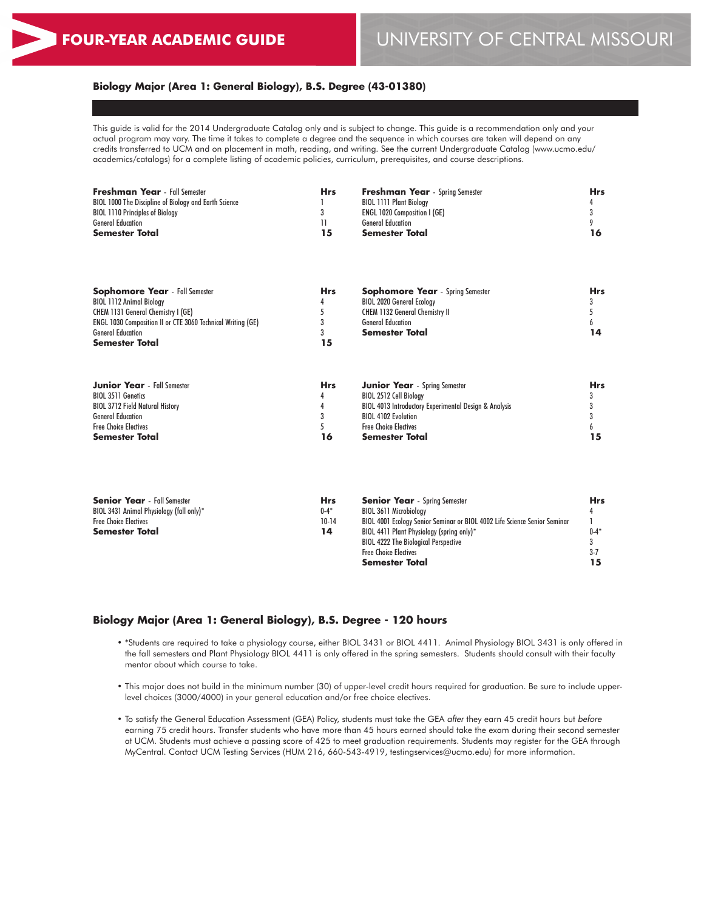## **Biology Major (Area 1: General Biology), B.S. Degree (43-01380)**

This guide is valid for the 2014 Undergraduate Catalog only and is subject to change. This guide is a recommendation only and your actual program may vary. The time it takes to complete a degree and the sequence in which courses are taken will depend on any credits transferred to UCM and on placement in math, reading, and writing. See the current Undergraduate Catalog (www.ucmo.edu/ academics/catalogs) for a complete listing of academic policies, curriculum, prerequisites, and course descriptions.

| <b>Freshman Year</b> - Fall Semester                  | Hrs | <b>Freshman Year</b> - Spring Semester | Hrs |
|-------------------------------------------------------|-----|----------------------------------------|-----|
| BIOL 1000 The Discipline of Biology and Earth Science |     | <b>BIOL 1111 Plant Biology</b>         |     |
| <b>BIOL 1110 Principles of Biology</b>                |     | <b>ENGL 1020 Composition I (GE)</b>    |     |
| <b>General Education</b>                              |     | <b>General Education</b>               |     |
| Semester Total                                        | 15  | <b>Semester Total</b>                  | 16  |
|                                                       |     |                                        |     |

| <b>Sophomore Year</b> - Fall Semester                              | <b>Hrs</b> | <b>Sophomore Year</b> - Spring Semester | Hrs |
|--------------------------------------------------------------------|------------|-----------------------------------------|-----|
| <b>BIOL 1112 Animal Biology</b>                                    |            | <b>BIOL 2020 General Ecology</b>        |     |
| <b>CHEM 1131 General Chemistry I (GE)</b>                          |            | <b>CHEM 1132 General Chemistry II</b>   |     |
| <b>ENGL 1030 Composition II or CTE 3060 Technical Writing (GE)</b> |            | <b>General Education</b>                |     |
| <b>General Education</b>                                           |            | <b>Semester Total</b>                   | 14  |
| <b>Semester Total</b>                                              |            |                                         |     |

| <b>Junior Year</b> - Fall Semester     | <b>Hrs</b> | <b>Junior Year</b> - Spring Semester                             | <b>Hrs</b> |
|----------------------------------------|------------|------------------------------------------------------------------|------------|
| <b>BIOL 3511 Genetics</b>              |            | BIOL 2512 Cell Biology                                           |            |
| <b>BIOL 3712 Field Natural History</b> |            | <b>BIOL 4013 Introductory Experimental Design &amp; Analysis</b> |            |
| <b>General Education</b>               |            | <b>BIOL 4102 Evolution</b>                                       |            |
| <b>Free Choice Electives</b>           |            | <b>Free Choice Electives</b>                                     |            |
| <b>Semester Total</b>                  | 16         | Semester Total                                                   |            |

| <b>Senior Year</b> - Fall Semester       | <b>Hrs</b> | <b>Senior Year</b> - Spring Semester                                      | <b>Hrs</b> |
|------------------------------------------|------------|---------------------------------------------------------------------------|------------|
| BIOL 3431 Animal Physiology (fall only)* | $0 - 4*$   | <b>BIOL 3611 Microbiology</b>                                             |            |
| <b>Free Choice Electives</b>             | $10-14$    | BIOL 4001 Ecology Senior Seminar or BIOL 4002 Life Science Senior Seminar |            |
| <b>Semester Total</b>                    | 14         | BIOL 4411 Plant Physiology (spring only)*                                 | $0 - 4*$   |
|                                          |            | <b>BIOL 4222 The Biological Perspective</b>                               |            |
|                                          |            | <b>Free Choice Electives</b>                                              | $3 - 7$    |
|                                          |            | <b>Semester Total</b>                                                     |            |

# **Biology Major (Area 1: General Biology), B.S. Degree - 120 hours**

- \*Students are required to take a physiology course, either BIOL 3431 or BIOL 4411. Animal Physiology BIOL 3431 is only offered in the fall semesters and Plant Physiology BIOL 4411 is only offered in the spring semesters. Students should consult with their faculty mentor about which course to take.
- This major does not build in the minimum number (30) of upper-level credit hours required for graduation. Be sure to include upperlevel choices (3000/4000) in your general education and/or free choice electives.
- To satisfy the General Education Assessment (GEA) Policy, students must take the GEA *after* they earn 45 credit hours but *before* earning 75 credit hours. Transfer students who have more than 45 hours earned should take the exam during their second semester at UCM. Students must achieve a passing score of 425 to meet graduation requirements. Students may register for the GEA through MyCentral. Contact UCM Testing Services (HUM 216, 660-543-4919, testingservices@ucmo.edu) for more information.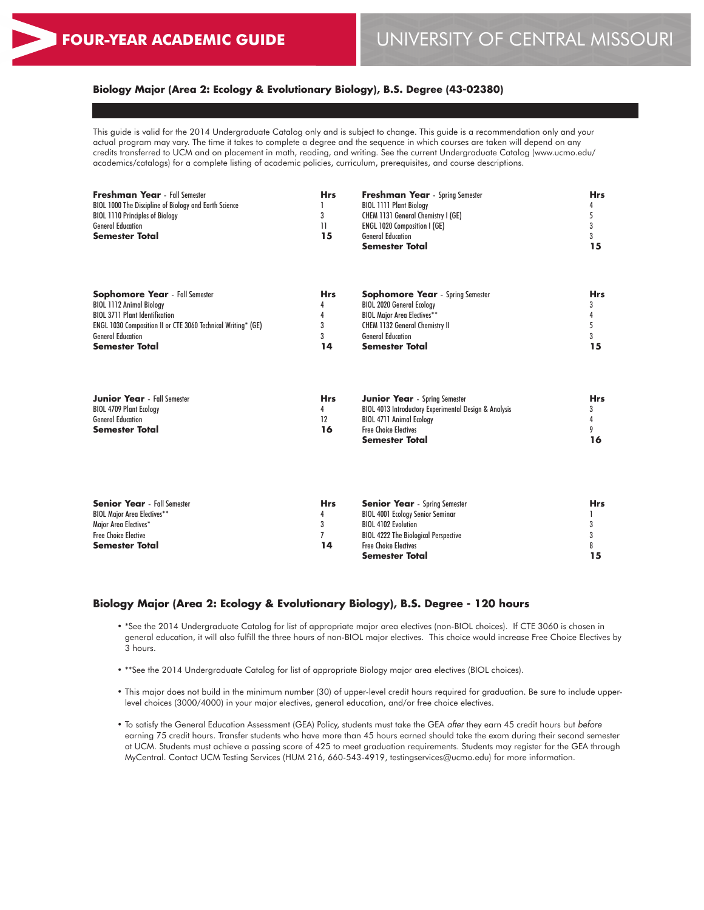# **Biology Major (Area 2: Ecology & Evolutionary Biology), B.S. Degree (43-02380)**

This guide is valid for the 2014 Undergraduate Catalog only and is subject to change. This guide is a recommendation only and your actual program may vary. The time it takes to complete a degree and the sequence in which courses are taken will depend on any credits transferred to UCM and on placement in math, reading, and writing. See the current Undergraduate Catalog (www.ucmo.edu/ academics/catalogs) for a complete listing of academic policies, curriculum, prerequisites, and course descriptions.

| <b>Freshman Year</b> - Fall Semester                                | <b>Hrs</b> | <b>Freshman Year</b> - Spring Semester  | <b>Hrs</b> |  |
|---------------------------------------------------------------------|------------|-----------------------------------------|------------|--|
| BIOL 1000 The Discipline of Biology and Earth Science               |            | <b>BIOL 1111 Plant Biology</b>          |            |  |
| <b>BIOL 1110 Principles of Biology</b>                              |            | CHEM 1131 General Chemistry I (GE)      |            |  |
| <b>General Education</b>                                            | 11         | <b>ENGL 1020 Composition I (GE)</b>     |            |  |
| <b>Semester Total</b>                                               | 15         | <b>General Education</b>                | 15         |  |
|                                                                     |            | Semester Total                          |            |  |
|                                                                     |            |                                         |            |  |
| <b>Sophomore Year</b> - Fall Semester                               | <b>Hrs</b> | <b>Sophomore Year</b> - Spring Semester | <b>Hrs</b> |  |
| <b>BIOL 1112 Animal Biology</b>                                     |            | <b>BIOL 2020 General Ecology</b>        |            |  |
| <b>BIOL 3711 Plant Identification</b>                               |            | <b>BIOL Major Area Electives**</b>      |            |  |
| <b>ENGL 1030 Composition II or CTE 3060 Technical Writing* (GE)</b> |            | <b>CHEM 1132 General Chemistry II</b>   |            |  |
| <b>General Education</b>                                            |            | <b>General Education</b>                |            |  |
| <b>Semester Total</b>                                               | 14         | Semester Total                          | 15         |  |
|                                                                     |            |                                         |            |  |
|                                                                     |            |                                         |            |  |
| $-11n$                                                              |            |                                         |            |  |

| <b>Junior Year</b> - Fall Semester | <b>Hrs</b> | <b>Junior Year</b> - Spring Semester                             | <b>Hrs</b> |
|------------------------------------|------------|------------------------------------------------------------------|------------|
| <b>BIOL 4709 Plant Ecology</b>     |            | <b>BIOL 4013 Introductory Experimental Design &amp; Analysis</b> |            |
| <b>General Education</b>           |            | <b>BIOL 4711 Animal Ecology</b>                                  |            |
| <b>Semester Total</b>              | 16         | <b>Free Choice Electives</b>                                     |            |
|                                    |            | <b>Semester Total</b>                                            |            |

| <b>Senior Year</b> - Fall Semester | <b>Hrs</b> | <b>Senior Year</b> - Spring Semester        | <b>Hrs</b> |
|------------------------------------|------------|---------------------------------------------|------------|
| <b>BIOL Major Area Electives**</b> |            | <b>BIOL 4001 Ecology Senior Seminar</b>     |            |
| Major Area Electives*              |            | <b>BIOL 4102 Evolution</b>                  |            |
| <b>Free Choice Elective</b>        |            | <b>BIOL 4222 The Biological Perspective</b> |            |
| <b>Semester Total</b>              | 14         | <b>Free Choice Electives</b>                |            |
|                                    |            | <b>Semester Total</b>                       |            |

#### **Biology Major (Area 2: Ecology & Evolutionary Biology), B.S. Degree - 120 hours**

- \*See the 2014 Undergraduate Catalog for list of appropriate major area electives (non-BIOL choices). If CTE 3060 is chosen in general education, it will also fulfill the three hours of non-BIOL major electives. This choice would increase Free Choice Electives by 3 hours.
- \*\*See the 2014 Undergraduate Catalog for list of appropriate Biology major area electives (BIOL choices).
- This major does not build in the minimum number (30) of upper-level credit hours required for graduation. Be sure to include upperlevel choices (3000/4000) in your major electives, general education, and/or free choice electives.
- To satisfy the General Education Assessment (GEA) Policy, students must take the GEA *after* they earn 45 credit hours but *before* earning 75 credit hours. Transfer students who have more than 45 hours earned should take the exam during their second semester at UCM. Students must achieve a passing score of 425 to meet graduation requirements. Students may register for the GEA through MyCentral. Contact UCM Testing Services (HUM 216, 660-543-4919, testingservices@ucmo.edu) for more information.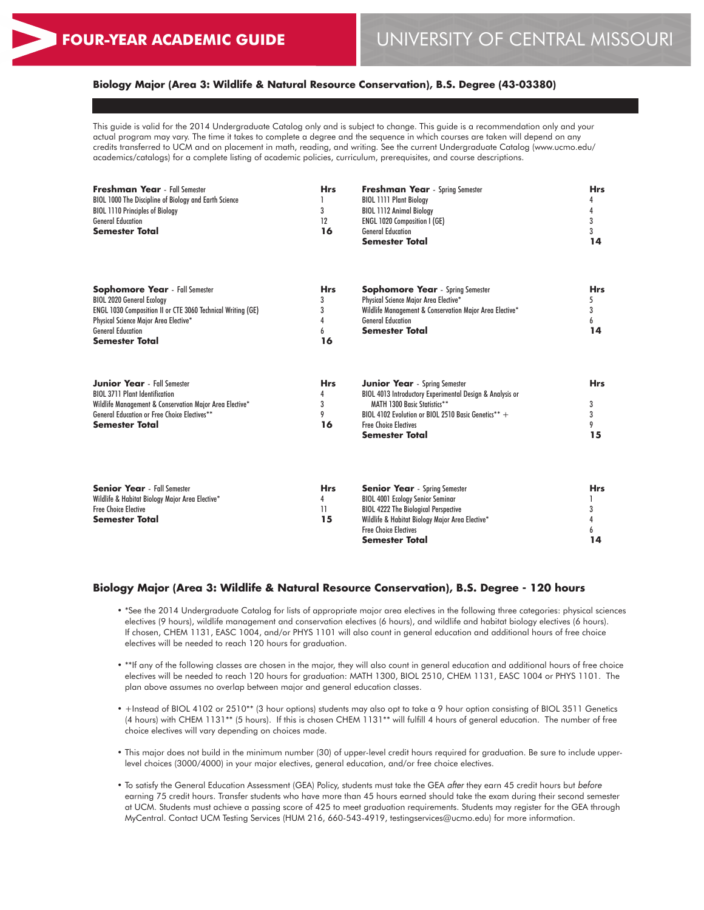6 **14**

#### **Biology Major (Area 3: Wildlife & Natural Resource Conservation), B.S. Degree (43-03380)**

This guide is valid for the 2014 Undergraduate Catalog only and is subject to change. This guide is a recommendation only and your actual program may vary. The time it takes to complete a degree and the sequence in which courses are taken will depend on any credits transferred to UCM and on placement in math, reading, and writing. See the current Undergraduate Catalog (www.ucmo.edu/ academics/catalogs) for a complete listing of academic policies, curriculum, prerequisites, and course descriptions.

| <b>Freshman Year</b> - Fall Semester<br>BIOL 1000 The Discipline of Biology and Earth Science<br><b>BIOL 1110 Principles of Biology</b><br><b>General Education</b><br><b>Semester Total</b>                                                  | <b>Hrs</b><br>3<br>12<br>16          | <b>Freshman Year</b> - Spring Semester<br><b>BIOL 1111 Plant Biology</b><br><b>BIOL 1112 Animal Biology</b><br><b>ENGL 1020 Composition I (GE)</b><br><b>General Education</b><br>Semester Total                                          | <b>Hrs</b><br>4<br>4<br>3<br>3<br>14 |
|-----------------------------------------------------------------------------------------------------------------------------------------------------------------------------------------------------------------------------------------------|--------------------------------------|-------------------------------------------------------------------------------------------------------------------------------------------------------------------------------------------------------------------------------------------|--------------------------------------|
| <b>Sophomore Year</b> - Fall Semester<br><b>BIOL 2020 General Ecology</b><br><b>ENGL 1030 Composition II or CTE 3060 Technical Writing (GE)</b><br>Physical Science Major Area Elective*<br><b>General Education</b><br><b>Semester Total</b> | <b>Hrs</b><br>3<br>3<br>4<br>6<br>16 | <b>Sophomore Year</b> - Spring Semester<br>Physical Science Major Area Elective*<br>Wildlife Management & Conservation Major Area Elective*<br><b>General Education</b><br><b>Semester Total</b>                                          | Hrs<br>5<br>3<br>6<br>14             |
| <b>Junior Year</b> - Fall Semester<br><b>BIOL 3711 Plant Identification</b><br>Wildlife Management & Conservation Major Area Elective*<br><b>General Education or Free Choice Electives**</b><br><b>Semester Total</b>                        | <b>Hrs</b><br>4<br>3<br>9<br>16      | <b>Junior Year</b> - Spring Semester<br>BIOL 4013 Introductory Experimental Design & Analysis or<br>MATH 1300 Basic Statistics**<br>BIOL 4102 Evolution or BIOL 2510 Basic Genetics** +<br><b>Free Choice Electives</b><br>Semester Total | <b>Hrs</b><br>3<br>3<br>9<br>15      |
| <b>Senior Year</b> - Fall Semester<br>Wildlife & Habitat Biology Major Area Elective*<br><b>Free Choice Elective</b><br>Semester Total                                                                                                        | <b>Hrs</b><br>4<br>11<br>15          | <b>Senior Year</b> - Spring Semester<br><b>BIOL 4001 Ecology Senior Seminar</b><br><b>BIOL 4222 The Biological Perspective</b><br>Wildlife & Habitat Biology Major Area Elective*                                                         | <b>Hrs</b><br>3<br>4                 |

# **Biology Major (Area 3: Wildlife & Natural Resource Conservation), B.S. Degree - 120 hours**

• \*See the 2014 Undergraduate Catalog for lists of appropriate major area electives in the following three categories: physical sciences electives (9 hours), wildlife management and conservation electives (6 hours), and wildlife and habitat biology electives (6 hours). If chosen, CHEM 1131, EASC 1004, and/or PHYS 1101 will also count in general education and additional hours of free choice electives will be needed to reach 120 hours for graduation.

Free Choice Electives **Semester Total**

- \*\*If any of the following classes are chosen in the major, they will also count in general education and additional hours of free choice electives will be needed to reach 120 hours for graduation: MATH 1300, BIOL 2510, CHEM 1131, EASC 1004 or PHYS 1101. The plan above assumes no overlap between major and general education classes.
- +Instead of BIOL 4102 or 2510\*\* (3 hour options) students may also opt to take a 9 hour option consisting of BIOL 3511 Genetics (4 hours) with CHEM 1131\*\* (5 hours). If this is chosen CHEM 1131\*\* will fulfill 4 hours of general education. The number of free choice electives will vary depending on choices made.
- This major does not build in the minimum number (30) of upper-level credit hours required for graduation. Be sure to include upperlevel choices (3000/4000) in your major electives, general education, and/or free choice electives.
- To satisfy the General Education Assessment (GEA) Policy, students must take the GEA *after* they earn 45 credit hours but *before* earning 75 credit hours. Transfer students who have more than 45 hours earned should take the exam during their second semester at UCM. Students must achieve a passing score of 425 to meet graduation requirements. Students may register for the GEA through MyCentral. Contact UCM Testing Services (HUM 216, 660-543-4919, testingservices@ucmo.edu) for more information.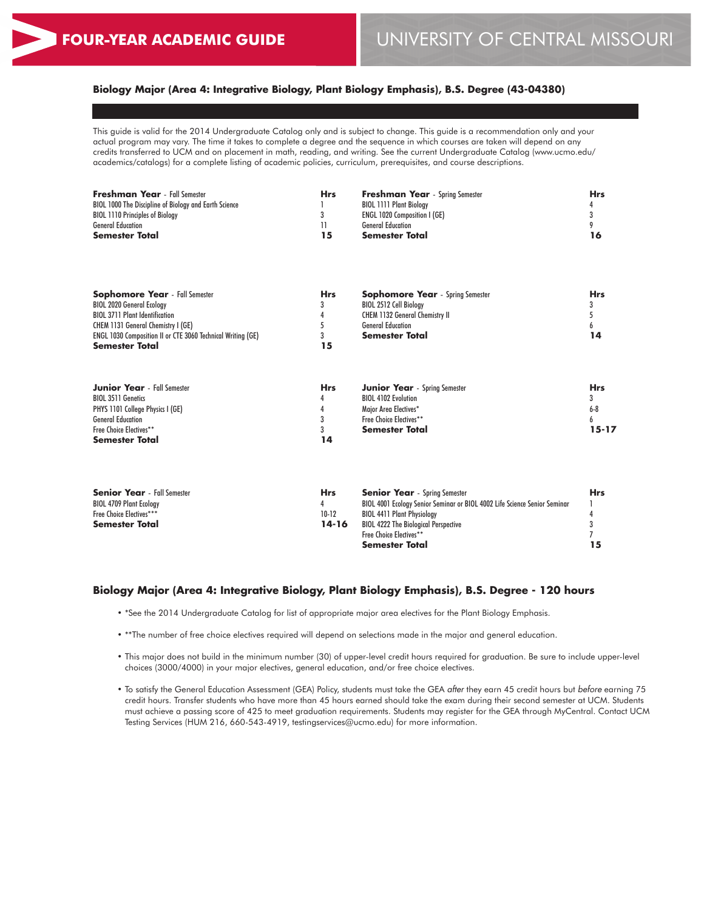# **Biology Major (Area 4: Integrative Biology, Plant Biology Emphasis), B.S. Degree (43-04380)**

This guide is valid for the 2014 Undergraduate Catalog only and is subject to change. This guide is a recommendation only and your actual program may vary. The time it takes to complete a degree and the sequence in which courses are taken will depend on any credits transferred to UCM and on placement in math, reading, and writing. See the current Undergraduate Catalog (www.ucmo.edu/ academics/catalogs) for a complete listing of academic policies, curriculum, prerequisites, and course descriptions.

| <b>Freshman Year</b> - Fall Semester<br>BIOL 1000 The Discipline of Biology and Earth Science<br><b>BIOL 1110 Principles of Biology</b><br><b>General Education</b><br><b>Semester Total</b>                                                     | <b>Hrs</b><br>3<br>11<br>15          | <b>Freshman Year</b> - Spring Semester<br><b>BIOL 1111 Plant Biology</b><br><b>ENGL 1020 Composition I (GE)</b><br><b>General Education</b><br><b>Semester Total</b> | <b>Hrs</b><br>3<br>9<br>16                 |
|--------------------------------------------------------------------------------------------------------------------------------------------------------------------------------------------------------------------------------------------------|--------------------------------------|----------------------------------------------------------------------------------------------------------------------------------------------------------------------|--------------------------------------------|
| <b>Sophomore Year</b> - Fall Semester<br><b>BIOL 2020 General Ecology</b><br><b>BIOL 3711 Plant Identification</b><br>CHEM 1131 General Chemistry I (GE)<br>ENGL 1030 Composition II or CTE 3060 Technical Writing (GE)<br><b>Semester Total</b> | <b>Hrs</b><br>3<br>5<br>3<br>15      | <b>Sophomore Year</b> - Spring Semester<br>BIOL 2512 Cell Biology<br>CHEM 1132 General Chemistry II<br><b>General Education</b><br>Semester Total                    | <b>Hrs</b><br>14                           |
| <b>Junior Year</b> - Fall Semester<br><b>BIOL 3511 Genetics</b><br>PHYS 1101 College Physics I (GE)<br><b>General Education</b><br>Free Choice Electives**<br><b>Semester Total</b>                                                              | <b>Hrs</b><br>4<br>4<br>3<br>3<br>14 | <b>Junior Year</b> - Spring Semester<br><b>BIOL 4102 Evolution</b><br>Major Area Electives*<br>Free Choice Electives**<br><b>Semester Total</b>                      | <b>Hrs</b><br>3<br>$6-8$<br>6<br>$15 - 17$ |

| <b>Hrs</b> | <b>Senior Year</b> - Spring Semester                                      | Hrs. |
|------------|---------------------------------------------------------------------------|------|
|            | BIOL 4001 Ecology Senior Seminar or BIOL 4002 Life Science Senior Seminar |      |
| $10-12$    | <b>BIOL 4411 Plant Physiology</b>                                         |      |
| 14-16      | <b>BIOL 4222 The Biological Perspective</b>                               |      |
|            | <b>Free Choice Electives**</b>                                            |      |
|            | <b>Semester Total</b>                                                     |      |
|            |                                                                           |      |

#### **Biology Major (Area 4: Integrative Biology, Plant Biology Emphasis), B.S. Degree - 120 hours**

- \*See the 2014 Undergraduate Catalog for list of appropriate major area electives for the Plant Biology Emphasis.
- \*\*The number of free choice electives required will depend on selections made in the major and general education.
- This major does not build in the minimum number (30) of upper-level credit hours required for graduation. Be sure to include upper-level choices (3000/4000) in your major electives, general education, and/or free choice electives.
- To satisfy the General Education Assessment (GEA) Policy, students must take the GEA *after* they earn 45 credit hours but *before* earning 75 credit hours. Transfer students who have more than 45 hours earned should take the exam during their second semester at UCM. Students must achieve a passing score of 425 to meet graduation requirements. Students may register for the GEA through MyCentral. Contact UCM Testing Services (HUM 216, 660-543-4919, testingservices@ucmo.edu) for more information.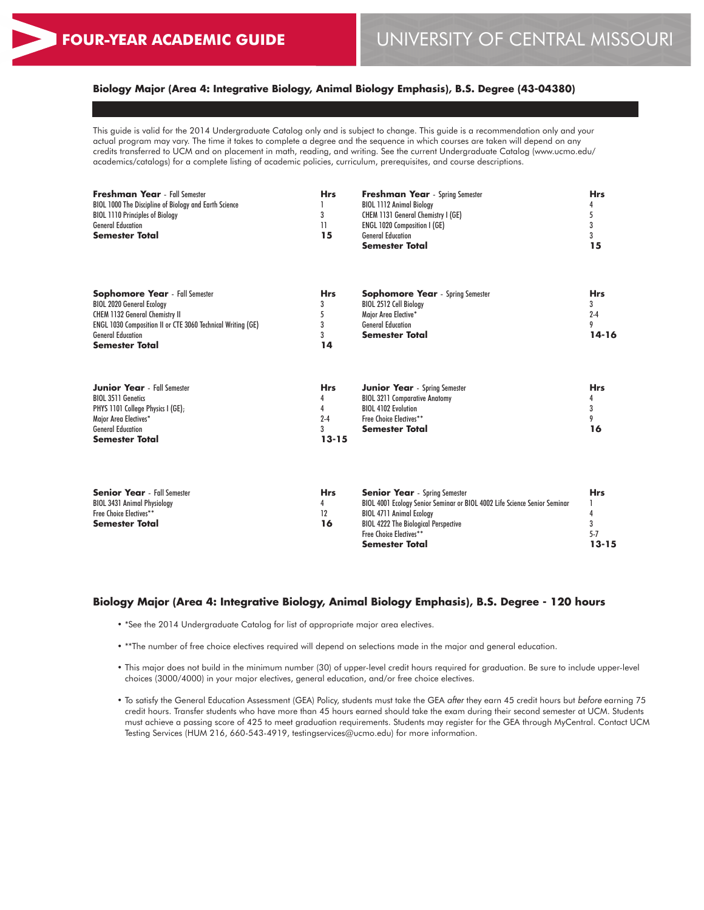**13-15**

# **Biology Major (Area 4: Integrative Biology, Animal Biology Emphasis), B.S. Degree (43-04380)**

This guide is valid for the 2014 Undergraduate Catalog only and is subject to change. This guide is a recommendation only and your actual program may vary. The time it takes to complete a degree and the sequence in which courses are taken will depend on any credits transferred to UCM and on placement in math, reading, and writing. See the current Undergraduate Catalog (www.ucmo.edu/ academics/catalogs) for a complete listing of academic policies, curriculum, prerequisites, and course descriptions.

| <b>Freshman Year</b> - Fall Semester<br>BIOL 1000 The Discipline of Biology and Earth Science<br><b>BIOL 1110 Principles of Biology</b><br><b>General Education</b><br><b>Semester Total</b>                                                  | <b>Hrs</b><br>3<br>11<br>15                       | <b>Freshman Year</b> - Spring Semester<br><b>BIOL 1112 Animal Biology</b><br>CHEM 1131 General Chemistry I (GE)<br><b>ENGL 1020 Composition I (GE)</b><br><b>General Education</b><br><b>Semester Total</b>                                      | <b>Hrs</b><br>5<br>3<br>3<br>15              |
|-----------------------------------------------------------------------------------------------------------------------------------------------------------------------------------------------------------------------------------------------|---------------------------------------------------|--------------------------------------------------------------------------------------------------------------------------------------------------------------------------------------------------------------------------------------------------|----------------------------------------------|
| <b>Sophomore Year</b> - Fall Semester<br><b>BIOL 2020 General Ecology</b><br><b>CHEM 1132 General Chemistry II</b><br><b>ENGL 1030 Composition II or CTE 3060 Technical Writing (GE)</b><br><b>General Education</b><br><b>Semester Total</b> | <b>Hrs</b><br>3<br>5<br>3<br>3<br>14              | <b>Sophomore Year</b> - Spring Semester<br>BIOL 2512 Cell Biology<br>Major Area Elective*<br><b>General Education</b><br><b>Semester Total</b>                                                                                                   | <b>Hrs</b><br>3<br>$2 - 4$<br>9<br>$14 - 16$ |
| <b>Junior Year</b> - Fall Semester<br><b>BIOL 3511 Genetics</b><br>PHYS 1101 College Physics I (GE);<br>Maior Area Electives*<br><b>General Education</b><br><b>Semester Total</b>                                                            | <b>Hrs</b><br>4<br>4<br>$2 - 4$<br>3<br>$13 - 15$ | <b>Junior Year</b> - Spring Semester<br><b>BIOL 3211 Comparative Anatomy</b><br><b>BIOL 4102 Evolution</b><br>Free Choice Electives**<br><b>Semester Total</b>                                                                                   | <b>Hrs</b><br>4<br>3<br>9<br>16              |
| <b>Senior Year</b> - Fall Semester<br><b>BIOL 3431 Animal Physiology</b><br>Free Choice Electives**<br><b>Semester Total</b>                                                                                                                  | <b>Hrs</b><br>4<br>12<br>16                       | <b>Senior Year</b> - Spring Semester<br>BIOL 4001 Ecology Senior Seminar or BIOL 4002 Life Science Senior Seminar<br><b>BIOL 4711 Animal Ecology</b><br><b>BIOL 4222 The Biological Perspective</b><br>Free Choice Electives**<br>Semester Total | <b>Hrs</b><br>3<br>$5 - 7$<br>$13 - 15$      |

#### **Biology Major (Area 4: Integrative Biology, Animal Biology Emphasis), B.S. Degree - 120 hours**

- \*See the 2014 Undergraduate Catalog for list of appropriate major area electives.
- \*\*The number of free choice electives required will depend on selections made in the major and general education.
- This major does not build in the minimum number (30) of upper-level credit hours required for graduation. Be sure to include upper-level choices (3000/4000) in your major electives, general education, and/or free choice electives.
- To satisfy the General Education Assessment (GEA) Policy, students must take the GEA *after* they earn 45 credit hours but *before* earning 75 credit hours. Transfer students who have more than 45 hours earned should take the exam during their second semester at UCM. Students must achieve a passing score of 425 to meet graduation requirements. Students may register for the GEA through MyCentral. Contact UCM Testing Services (HUM 216, 660-543-4919, testingservices@ucmo.edu) for more information.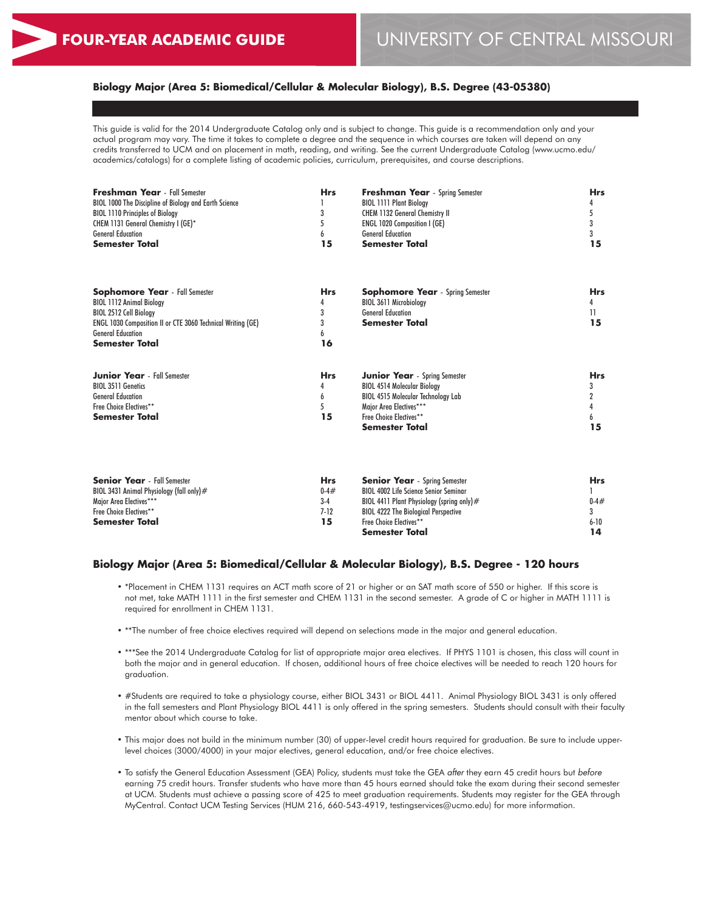# **Biology Major (Area 5: Biomedical/Cellular & Molecular Biology), B.S. Degree (43-05380)**

This guide is valid for the 2014 Undergraduate Catalog only and is subject to change. This guide is a recommendation only and your actual program may vary. The time it takes to complete a degree and the sequence in which courses are taken will depend on any credits transferred to UCM and on placement in math, reading, and writing. See the current Undergraduate Catalog (www.ucmo.edu/ academics/catalogs) for a complete listing of academic policies, curriculum, prerequisites, and course descriptions.

| <b>Freshman Year</b> - Fall Semester<br><b>BIOL 1000 The Discipline of Biology and Earth Science</b><br><b>BIOL 1110 Principles of Biology</b><br>CHEM 1131 General Chemistry I (GE)*<br><b>General Education</b><br><b>Semester Total</b> | <b>Hrs</b><br>6<br>15                | <b>Freshman Year</b> - Spring Semester<br><b>BIOL 1111 Plant Biology</b><br><b>CHEM 1132 General Chemistry II</b><br><b>ENGL 1020 Composition I (GE)</b><br><b>General Education</b><br>Semester Total | <b>Hrs</b><br>4<br>5<br>3<br>3<br>15 |
|--------------------------------------------------------------------------------------------------------------------------------------------------------------------------------------------------------------------------------------------|--------------------------------------|--------------------------------------------------------------------------------------------------------------------------------------------------------------------------------------------------------|--------------------------------------|
| <b>Sophomore Year</b> - Fall Semester<br><b>BIOL 1112 Animal Biology</b><br>BIOL 2512 Cell Biology<br><b>ENGL 1030 Composition II or CTE 3060 Technical Writing (GE)</b><br><b>General Education</b><br><b>Semester Total</b>              | <b>Hrs</b><br>4<br>3<br>3<br>6<br>16 | <b>Sophomore Year</b> - Spring Semester<br>BIOL 3611 Microbiology<br><b>General Education</b><br><b>Semester Total</b>                                                                                 | <b>Hrs</b><br>4<br>11<br>15          |
| <b>Junior Year</b> - Fall Semester<br><b>BIOL 3511 Genetics</b><br><b>General Education</b><br>Free Choice Electives**<br><b>Semester Total</b>                                                                                            | <b>Hrs</b><br>4<br>6<br>5<br>15      | <b>Junior Year</b> - Spring Semester<br><b>BIOL 4514 Molecular Biology</b><br><b>BIOL 4515 Molecular Technology Lab</b><br>Major Area Electives***<br>Free Choice Electives**<br><b>Semester Total</b> | <b>Hrs</b><br>3<br>2<br>15           |

| <b>Senior Year</b> - Fall Semester          | Hrs        | <b>Senior Year</b> - Spring Semester         | <b>Hrs</b> |
|---------------------------------------------|------------|----------------------------------------------|------------|
| BIOL 3431 Animal Physioloay (fall only) $#$ | $0 - 4 \#$ | <b>BIOL 4002 Life Science Senior Seminar</b> |            |
| Maior Area Electives***                     | $3-4$      | BIOL 4411 Plant Physiology (spring only) $#$ | $0 - 4 \#$ |
| Free Choice Electives**                     | $7-12$     | <b>BIOL 4222 The Biological Perspective</b>  |            |
| <b>Semester Total</b>                       | 15         | <b>Free Choice Electives**</b>               | $6 - 10$   |
|                                             |            | <b>Semester Total</b>                        |            |

#### **Biology Major (Area 5: Biomedical/Cellular & Molecular Biology), B.S. Degree - 120 hours**

- \*Placement in CHEM 1131 requires an ACT math score of 21 or higher or an SAT math score of 550 or higher. If this score is not met, take MATH 1111 in the first semester and CHEM 1131 in the second semester. A grade of C or higher in MATH 1111 is required for enrollment in CHEM 1131.
- \*\*The number of free choice electives required will depend on selections made in the major and general education.
- \*\*\*See the 2014 Undergraduate Catalog for list of appropriate major area electives. If PHYS 1101 is chosen, this class will count in both the major and in general education. If chosen, additional hours of free choice electives will be needed to reach 120 hours for graduation.
- #Students are required to take a physiology course, either BIOL 3431 or BIOL 4411. Animal Physiology BIOL 3431 is only offered in the fall semesters and Plant Physiology BIOL 4411 is only offered in the spring semesters. Students should consult with their faculty mentor about which course to take.
- This major does not build in the minimum number (30) of upper-level credit hours required for graduation. Be sure to include upperlevel choices (3000/4000) in your major electives, general education, and/or free choice electives.
- To satisfy the General Education Assessment (GEA) Policy, students must take the GEA *after* they earn 45 credit hours but *before* earning 75 credit hours. Transfer students who have more than 45 hours earned should take the exam during their second semester at UCM. Students must achieve a passing score of 425 to meet graduation requirements. Students may register for the GEA through MyCentral. Contact UCM Testing Services (HUM 216, 660-543-4919, testingservices@ucmo.edu) for more information.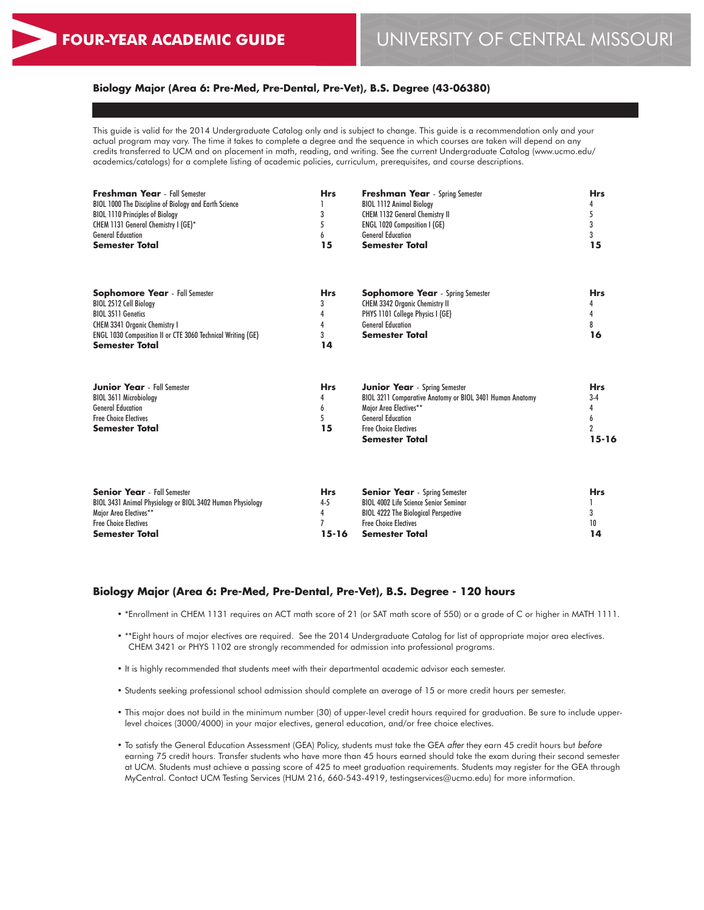# **Biology Major (Area 6: Pre-Med, Pre-Dental, Pre-Vet), B.S. Degree (43-06380)**

This guide is valid for the 2014 Undergraduate Catalog only and is subject to change. This guide is a recommendation only and your actual program may vary. The time it takes to complete a degree and the sequence in which courses are taken will depend on any credits transferred to UCM and on placement in math, reading, and writing. See the current Undergraduate Catalog (www.ucmo.edu/ academics/catalogs) for a complete listing of academic policies, curriculum, prerequisites, and course descriptions.

| <b>Freshman Year</b> - Fall Semester<br><b>BIOL 1000 The Discipline of Biology and Earth Science</b><br><b>BIOL 1110 Principles of Biology</b><br>CHEM 1131 General Chemistry I (GE)*<br><b>General Education</b><br><b>Semester Total</b> | <b>Hrs</b><br>3<br>15           | <b>Freshman Year</b> - Spring Semester<br><b>BIOL 1112 Animal Biology</b><br><b>CHEM 1132 General Chemistry II</b><br><b>ENGL 1020 Composition I (GE)</b><br><b>General Education</b><br><b>Semester Total</b>  | <b>Hrs</b><br>15                 |
|--------------------------------------------------------------------------------------------------------------------------------------------------------------------------------------------------------------------------------------------|---------------------------------|-----------------------------------------------------------------------------------------------------------------------------------------------------------------------------------------------------------------|----------------------------------|
| <b>Sophomore Year</b> - Fall Semester<br>BIOL 2512 Cell Biology<br><b>BIOL 3511 Genetics</b><br><b>CHEM 3341 Organic Chemistry I</b><br><b>ENGL 1030 Composition II or CTE 3060 Technical Writing (GE)</b><br><b>Semester Total</b>        | <b>Hrs</b><br>3<br>14           | <b>Sophomore Year</b> - Spring Semester<br><b>CHEM 3342 Organic Chemistry II</b><br>PHYS 1101 College Physics I (GE)<br><b>General Education</b><br>Semester Total                                              | <b>Hrs</b><br>16                 |
| <b>Junior Year</b> - Fall Semester<br><b>BIOL 3611 Microbiology</b><br><b>General Education</b><br><b>Free Choice Electives</b><br><b>Semester Total</b>                                                                                   | <b>Hrs</b><br>4<br>6<br>5<br>15 | <b>Junior Year</b> - Spring Semester<br>BIOL 3211 Comparative Anatomy or BIOL 3401 Human Anatomy<br>Major Area Electives**<br><b>General Education</b><br><b>Free Choice Electives</b><br><b>Semester Total</b> | <b>Hrs</b><br>$3-4$<br>$15 - 16$ |

| <b>Senior Year</b> - Fall Semester                        | <b>Hrs</b> | <b>Senior Year</b> - Spring Semester         | <b>Hrs</b> |
|-----------------------------------------------------------|------------|----------------------------------------------|------------|
| BIOL 3431 Animal Physiology or BIOL 3402 Human Physiology | $4 - 5$    | <b>BIOL 4002 Life Science Senior Seminar</b> |            |
| Major Area Electives**                                    |            | <b>BIOL 4222 The Biological Perspective</b>  |            |
| <b>Free Choice Electives</b>                              |            | <b>Free Choice Electives</b>                 | 10         |
| <b>Semester Total</b>                                     | $15-16$    | Semester Total                               |            |

#### **Biology Major (Area 6: Pre-Med, Pre-Dental, Pre-Vet), B.S. Degree - 120 hours**

- \*Enrollment in CHEM 1131 requires an ACT math score of 21 (or SAT math score of 550) or a grade of C or higher in MATH 1111.
- \*\*Eight hours of major electives are required. See the 2014 Undergraduate Catalog for list of appropriate major area electives. CHEM 3421 or PHYS 1102 are strongly recommended for admission into professional programs.
- It is highly recommended that students meet with their departmental academic advisor each semester.
- Students seeking professional school admission should complete an average of 15 or more credit hours per semester.
- This major does not build in the minimum number (30) of upper-level credit hours required for graduation. Be sure to include upperlevel choices (3000/4000) in your major electives, general education, and/or free choice electives.
- To satisfy the General Education Assessment (GEA) Policy, students must take the GEA *after* they earn 45 credit hours but *before* earning 75 credit hours. Transfer students who have more than 45 hours earned should take the exam during their second semester at UCM. Students must achieve a passing score of 425 to meet graduation requirements. Students may register for the GEA through MyCentral. Contact UCM Testing Services (HUM 216, 660-543-4919, testingservices@ucmo.edu) for more information.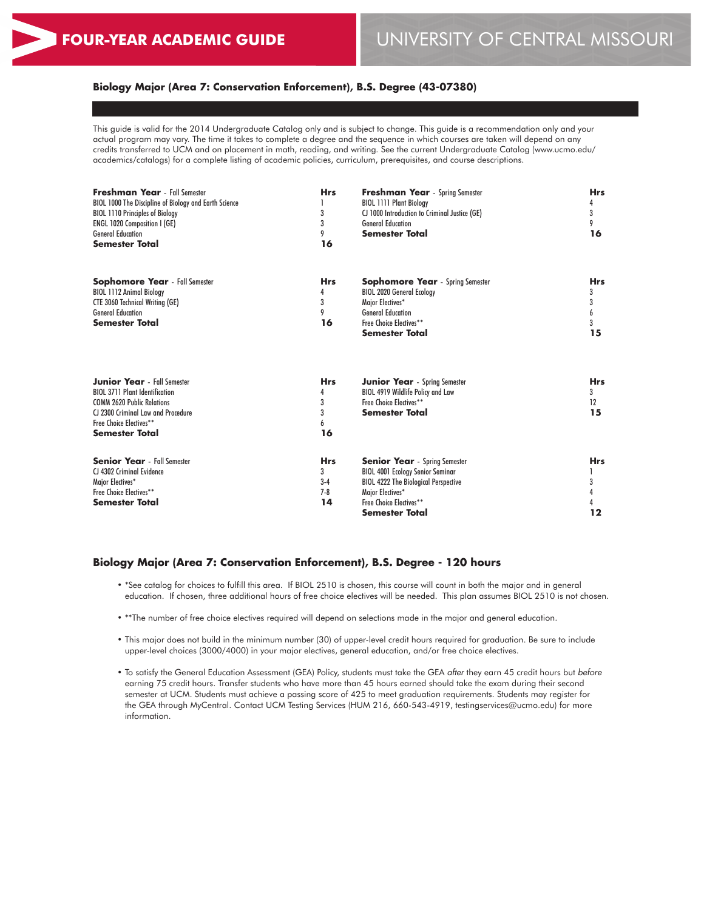# **Biology Major (Area 7: Conservation Enforcement), B.S. Degree (43-07380)**

This guide is valid for the 2014 Undergraduate Catalog only and is subject to change. This guide is a recommendation only and your actual program may vary. The time it takes to complete a degree and the sequence in which courses are taken will depend on any credits transferred to UCM and on placement in math, reading, and writing. See the current Undergraduate Catalog (www.ucmo.edu/ academics/catalogs) for a complete listing of academic policies, curriculum, prerequisites, and course descriptions.

| <b>Freshman Year</b> - Fall Semester<br>BIOL 1000 The Discipline of Biology and Earth Science<br><b>BIOL 1110 Principles of Biology</b><br><b>ENGL 1020 Composition I (GE)</b><br><b>General Education</b><br><b>Semester Total</b> | <b>Hrs</b><br>3<br>3<br>9<br>16         | <b>Freshman Year</b> - Spring Semester<br><b>BIOL 1111 Plant Biology</b><br>CJ 1000 Introduction to Criminal Justice (GE)<br><b>General Education</b><br><b>Semester Total</b>                         | <b>Hrs</b><br>4<br>3<br>9<br>16      |
|-------------------------------------------------------------------------------------------------------------------------------------------------------------------------------------------------------------------------------------|-----------------------------------------|--------------------------------------------------------------------------------------------------------------------------------------------------------------------------------------------------------|--------------------------------------|
| <b>Sophomore Year</b> - Fall Semester<br><b>BIOL 1112 Animal Biology</b><br><b>CTE 3060 Technical Writing (GE)</b><br><b>General Education</b><br><b>Semester Total</b>                                                             | <b>Hrs</b><br>4<br>3<br>9<br>16         | <b>Sophomore Year</b> - Spring Semester<br><b>BIOL 2020 General Ecology</b><br>Major Electives*<br><b>General Education</b><br>Free Choice Electives**<br>Semester Total                               | <b>Hrs</b><br>3<br>3<br>6<br>3<br>15 |
| <b>Junior Year</b> - Fall Semester<br><b>BIOL 3711 Plant Identification</b><br><b>COMM 2620 Public Relations</b><br>CJ 2300 Criminal Law and Procedure<br>Free Choice Electives**<br><b>Semester Total</b>                          | <b>Hrs</b><br>4<br>3<br>3<br>6<br>16    | <b>Junior Year</b> - Spring Semester<br>BIOL 4919 Wildlife Policy and Law<br>Free Choice Electives**<br><b>Semester Total</b>                                                                          | <b>Hrs</b><br>3<br>12<br>15          |
| <b>Senior Year</b> - Fall Semester<br>CJ 4302 Criminal Evidence<br>Major Electives*<br>Free Choice Electives**<br>Semester Total                                                                                                    | <b>Hrs</b><br>3<br>$3-4$<br>$7-8$<br>14 | <b>Senior Year</b> - Spring Semester<br><b>BIOL 4001 Ecology Senior Seminar</b><br><b>BIOL 4222 The Biological Perspective</b><br>Major Electives*<br>Free Choice Electives**<br><b>Semester Total</b> | <b>Hrs</b><br>3<br>4<br>$12 \$       |

#### **Biology Major (Area 7: Conservation Enforcement), B.S. Degree - 120 hours**

- \*See catalog for choices to fulfill this area. If BIOL 2510 is chosen, this course will count in both the major and in general education. If chosen, three additional hours of free choice electives will be needed. This plan assumes BIOL 2510 is not chosen.
- \*\*The number of free choice electives required will depend on selections made in the major and general education.
- This major does not build in the minimum number (30) of upper-level credit hours required for graduation. Be sure to include upper-level choices (3000/4000) in your major electives, general education, and/or free choice electives.
- To satisfy the General Education Assessment (GEA) Policy, students must take the GEA *after* they earn 45 credit hours but *before* earning 75 credit hours. Transfer students who have more than 45 hours earned should take the exam during their second semester at UCM. Students must achieve a passing score of 425 to meet graduation requirements. Students may register for the GEA through MyCentral. Contact UCM Testing Services (HUM 216, 660-543-4919, testingservices@ucmo.edu) for more information.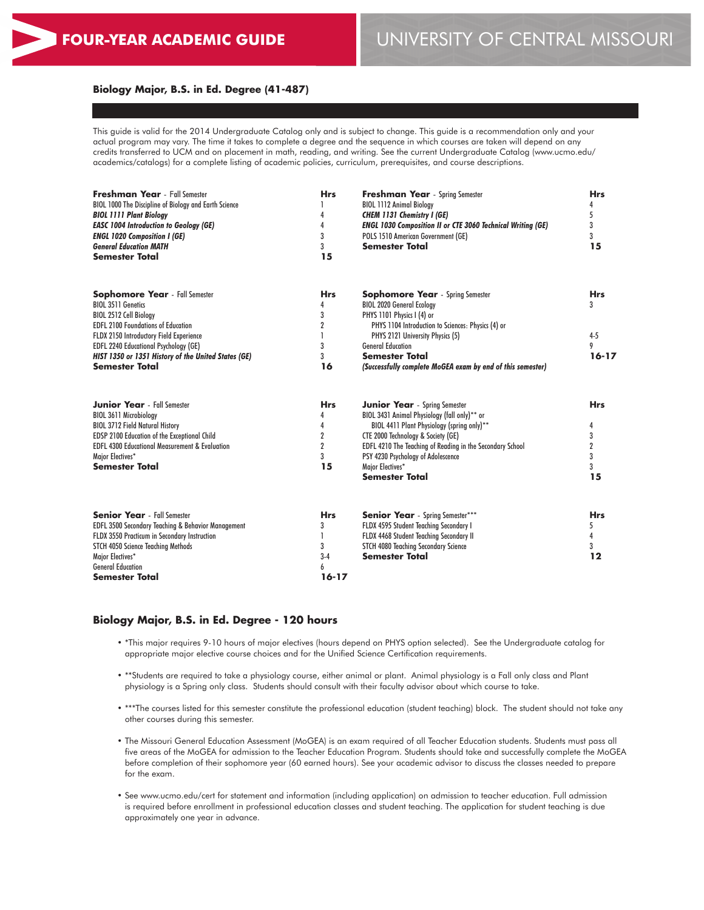#### **Biology Major, B.S. in Ed. Degree (41-487)**

This guide is valid for the 2014 Undergraduate Catalog only and is subject to change. This guide is a recommendation only and your actual program may vary. The time it takes to complete a degree and the sequence in which courses are taken will depend on any credits transferred to UCM and on placement in math, reading, and writing. See the current Undergraduate Catalog (www.ucmo.edu/ academics/catalogs) for a complete listing of academic policies, curriculum, prerequisites, and course descriptions.

| Freshman Year - Fall Semester<br>BIOL 1000 The Discipline of Biology and Earth Science<br><b>BIOL 1111 Plant Biology</b><br><b>EASC 1004 Introduction to Geology (GE)</b><br><b>ENGL 1020 Composition I (GE)</b><br><b>General Education MATH</b><br><b>Semester Total</b> | <b>Hrs</b><br>4<br>4<br>3<br>3<br>15 | <b>Freshman Year</b> - Spring Semester<br><b>BIOL 1112 Animal Biology</b><br><b>CHEM 1131 Chemistry I (GE)</b><br><b>ENGL 1030 Composition II or CTE 3060 Technical Writing (GE)</b><br>POLS 1510 American Government (GE)<br><b>Semester Total</b> | <b>Hrs</b><br>4<br>5<br>3<br>$\overline{3}$<br>15 |
|----------------------------------------------------------------------------------------------------------------------------------------------------------------------------------------------------------------------------------------------------------------------------|--------------------------------------|-----------------------------------------------------------------------------------------------------------------------------------------------------------------------------------------------------------------------------------------------------|---------------------------------------------------|
|                                                                                                                                                                                                                                                                            |                                      |                                                                                                                                                                                                                                                     |                                                   |
| <b>Sophomore Year</b> - Fall Semester<br><b>BIOL 3511 Genetics</b>                                                                                                                                                                                                         | <b>Hrs</b><br>4                      | <b>Sophomore Year</b> - Spring Semester<br><b>BIOL 2020 General Ecology</b>                                                                                                                                                                         | <b>Hrs</b><br>3                                   |
| BIOL 2512 Cell Biology                                                                                                                                                                                                                                                     | 3                                    | PHYS 1101 Physics I (4) or                                                                                                                                                                                                                          |                                                   |
| <b>EDFL 2100 Foundations of Education</b>                                                                                                                                                                                                                                  | $\overline{2}$                       | PHYS 1104 Introduction to Sciences: Physics (4) or                                                                                                                                                                                                  |                                                   |
| FLDX 2150 Introductory Field Experience                                                                                                                                                                                                                                    |                                      | PHYS 2121 University Physics (5)                                                                                                                                                                                                                    | $4 - 5$                                           |
| <b>EDFL 2240 Educational Psychology (GE)</b>                                                                                                                                                                                                                               | 3                                    | <b>General Education</b>                                                                                                                                                                                                                            | 9                                                 |
| HIST 1350 or 1351 History of the United States (GE)                                                                                                                                                                                                                        | 3                                    | <b>Semester Total</b>                                                                                                                                                                                                                               | $16 - 17$                                         |
| <b>Semester Total</b>                                                                                                                                                                                                                                                      | 16                                   | (Successfully complete MoGEA exam by end of this semester)                                                                                                                                                                                          |                                                   |
| <b>Junior Year</b> - Fall Semester                                                                                                                                                                                                                                         | <b>Hrs</b>                           | <b>Junior Year</b> - Spring Semester                                                                                                                                                                                                                | <b>Hrs</b>                                        |
| BIOL 3611 Microbiology                                                                                                                                                                                                                                                     | 4                                    | BIOL 3431 Animal Physiology (fall only)** or                                                                                                                                                                                                        |                                                   |
| <b>BIOL 3712 Field Natural History</b>                                                                                                                                                                                                                                     | 4                                    | BIOL 4411 Plant Physiology (spring only)**                                                                                                                                                                                                          | 4                                                 |
| <b>EDSP 2100 Education of the Exceptional Child</b>                                                                                                                                                                                                                        | $\overline{2}$                       | CTE 2000 Technology & Society (GE)                                                                                                                                                                                                                  | 3                                                 |
| <b>EDFL 4300 Educational Measurement &amp; Evaluation</b>                                                                                                                                                                                                                  | $\overline{2}$                       | EDFL 4210 The Teaching of Reading in the Secondary School                                                                                                                                                                                           | $\overline{2}$                                    |
| Major Electives*                                                                                                                                                                                                                                                           | 3                                    | PSY 4230 Psychology of Adolescence                                                                                                                                                                                                                  | 3                                                 |
| <b>Semester Total</b>                                                                                                                                                                                                                                                      | 15                                   | Major Electives*                                                                                                                                                                                                                                    | $\overline{3}$                                    |
|                                                                                                                                                                                                                                                                            |                                      | <b>Semester Total</b>                                                                                                                                                                                                                               | 15                                                |
| <b>Senior Year</b> - Fall Semester                                                                                                                                                                                                                                         | <b>Hrs</b>                           | <b>Senior Year</b> - Spring Semester***                                                                                                                                                                                                             | <b>Hrs</b>                                        |
| EDFL 3500 Secondary Teaching & Behavior Management                                                                                                                                                                                                                         | 3                                    | FLDX 4595 Student Teaching Secondary I                                                                                                                                                                                                              | 5                                                 |
| FLDX 3550 Practicum in Secondary Instruction                                                                                                                                                                                                                               |                                      | FLDX 4468 Student Teaching Secondary II                                                                                                                                                                                                             | 4                                                 |
| <b>STCH 4050 Science Teaching Methods</b>                                                                                                                                                                                                                                  | 3                                    | STCH 4080 Teaching Secondary Science                                                                                                                                                                                                                | 3                                                 |
| Major Electives*                                                                                                                                                                                                                                                           | $3-4$                                | <b>Semester Total</b>                                                                                                                                                                                                                               | 12                                                |
| <b>General Education</b>                                                                                                                                                                                                                                                   | 6                                    |                                                                                                                                                                                                                                                     |                                                   |
| <b>Semester Total</b>                                                                                                                                                                                                                                                      | $16 - 17$                            |                                                                                                                                                                                                                                                     |                                                   |

# **Biology Major, B.S. in Ed. Degree - 120 hours**

- \*This major requires 9-10 hours of major electives (hours depend on PHYS option selected). See the Undergraduate catalog for appropriate major elective course choices and for the Unified Science Certification requirements.
- \*\*Students are required to take a physiology course, either animal or plant. Animal physiology is a Fall only class and Plant physiology is a Spring only class. Students should consult with their faculty advisor about which course to take.
- \*\*\*The courses listed for this semester constitute the professional education (student teaching) block. The student should not take any other courses during this semester.
- The Missouri General Education Assessment (MoGEA) is an exam required of all Teacher Education students. Students must pass all five areas of the MoGEA for admission to the Teacher Education Program. Students should take and successfully complete the MoGEA before completion of their sophomore year (60 earned hours). See your academic advisor to discuss the classes needed to prepare for the exam.
- See www.ucmo.edu/cert for statement and information (including application) on admission to teacher education. Full admission is required before enrollment in professional education classes and student teaching. The application for student teaching is due approximately one year in advance.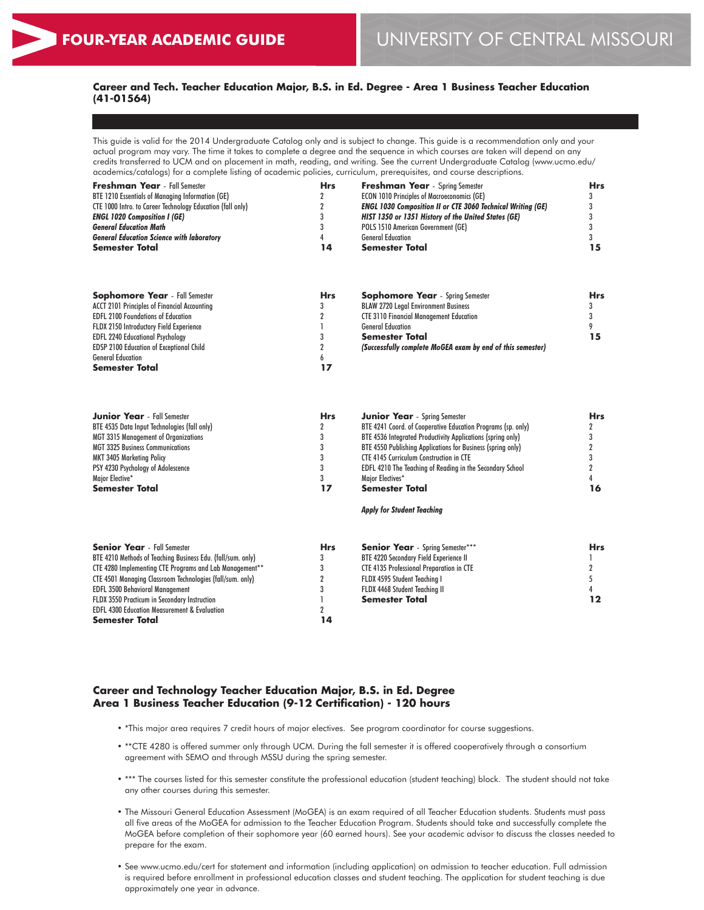**Semester Total**

#### **Career and Tech. Teacher Education Major, B.S. in Ed. Degree - Area 1 Business Teacher Education (41-01564)**  $\overline{a}$

This guide is valid for the 2014 Undergraduate Catalog only and is subject to change. This guide is a recommendation only and your actual program may vary. The time it takes to complete a degree and the sequence in which courses are taken will depend on any credits transferred to UCM and on placement in math, reading, and writing. See the current Undergraduate Catalog (www.ucmo.edu/ academics/catalogs) for a complete listing of academic policies, curriculum, prerequisites, and course descriptions.

| <b>Freshman Year</b> - Fall Semester                       | <b>Hrs</b> | <b>Freshman Year</b> - Spring Semester                             | Hrs |
|------------------------------------------------------------|------------|--------------------------------------------------------------------|-----|
| BTE 1210 Essentials of Managing Information (GE)           |            | <b>ECON 1010 Principles of Macroeconomics (GE)</b>                 |     |
| CTE 1000 Intro. to Career Technology Education (fall only) |            | <b>ENGL 1030 Composition II or CTE 3060 Technical Writing (GE)</b> |     |
| <b>ENGL 1020 Composition I (GE)</b>                        |            | HIST 1350 or 1351 History of the United States (GE)                |     |
| <b>General Education Math</b>                              |            | POLS 1510 American Government (GE)                                 |     |
| <b>General Education Science with laboratory</b>           |            | <b>General Education</b>                                           |     |
| <b>Semester Total</b>                                      | 14         | Semester Total                                                     | 15  |
|                                                            |            |                                                                    |     |

| <b>Sophomore Year</b> - Fall Semester               | <b>Hrs</b> | <b>Sophomore Year</b> - Spring Semester                    | Hrs |
|-----------------------------------------------------|------------|------------------------------------------------------------|-----|
| <b>ACCT 2101 Principles of Financial Accounting</b> |            | <b>BLAW 2720 Legal Environment Business</b>                |     |
| <b>EDFL 2100 Foundations of Education</b>           |            | <b>CTE 3110 Financial Management Education</b>             |     |
| <b>FLDX 2150 Introductory Field Experience</b>      |            | <b>General Education</b>                                   |     |
| <b>EDFL 2240 Educational Psychology</b>             |            | <b>Semester Total</b>                                      | 15  |
| <b>EDSP 2100 Education of Exceptional Child</b>     |            | (Successfully complete MoGEA exam by end of this semester) |     |
| <b>General Education</b>                            |            |                                                            |     |
| <b>Semester Total</b>                               | 17         |                                                            |     |

| <b>Junior Year</b> - Fall Semester                          | <b>Hrs</b> | <b>Junior Year</b> - Spring Semester                             | <b>Hrs</b> |
|-------------------------------------------------------------|------------|------------------------------------------------------------------|------------|
| BTE 4535 Data Input Technologies (fall only)                |            | BTE 4241 Coord. of Cooperative Education Programs (sp. only)     |            |
| <b>MGT 3315 Management of Organizations</b>                 |            | BTE 4536 Integrated Productivity Applications (spring only)      |            |
| <b>MGT 3325 Business Communications</b>                     |            | BTE 4550 Publishing Applications for Business (spring only)      |            |
| <b>MKT 3405 Marketing Policy</b>                            |            | <b>CTE 4145 Curriculum Construction in CTE</b>                   |            |
| PSY 4230 Psychology of Adolescence                          |            | <b>EDFL 4210 The Teaching of Reading in the Secondary School</b> |            |
| Major Elective*                                             |            | Maior Electives*                                                 |            |
| <b>Semester Total</b>                                       | 17         | Semester Total                                                   | 16         |
|                                                             |            | <b>Apply for Student Teaching</b>                                |            |
| <b>Senior Year</b> - Fall Semester                          | <b>Hrs</b> | <b>Senior Year</b> - Spring Semester***                          | <b>Hrs</b> |
| BTE 4210 Methods of Teaching Business Edu. (fall/sum. only) |            | <b>BTE 4220 Secondary Field Experience II</b>                    |            |
| CTE 4280 Implementing CTE Programs and Lab Management**     |            | <b>CTE 4135 Professional Preparation in CTE</b>                  |            |
| CTE 4501 Managing Classroom Technologies (fall/sum. only)   |            | FLDX 4595 Student Teaching I                                     |            |
| <b>EDFL 3500 Behavioral Management</b>                      |            | FLDX 4468 Student Teaching II                                    |            |
| FLDX 3550 Practicum in Secondary Instruction                |            | <b>Semester Total</b>                                            | 12         |
| <b>EDFL 4300 Education Measurement &amp; Evaluation</b>     |            |                                                                  |            |

#### **Career and Technology Teacher Education Major, B.S. in Ed. Degree Area 1 Business Teacher Education (9-12 Certification) - 120 hours**

• \*This major area requires 7 credit hours of major electives. See program coordinator for course suggestions.

**14**

- \*\*CTE 4280 is offered summer only through UCM. During the fall semester it is offered cooperatively through a consortium agreement with SEMO and through MSSU during the spring semester.
- \*\*\* The courses listed for this semester constitute the professional education (student teaching) block. The student should not take any other courses during this semester.
- The Missouri General Education Assessment (MoGEA) is an exam required of all Teacher Education students. Students must pass all five areas of the MoGEA for admission to the Teacher Education Program. Students should take and successfully complete the MoGEA before completion of their sophomore year (60 earned hours). See your academic advisor to discuss the classes needed to prepare for the exam.
- See www.ucmo.edu/cert for statement and information (including application) on admission to teacher education. Full admission is required before enrollment in professional education classes and student teaching. The application for student teaching is due approximately one year in advance.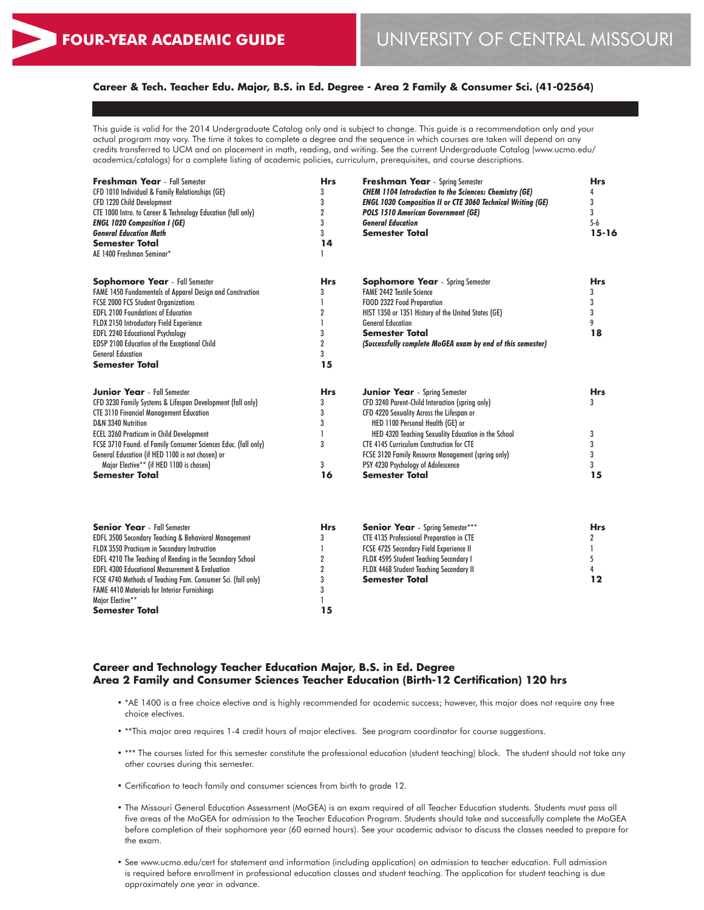# **Career & Tech. Teacher Edu. Major, B.S. in Ed. Degree - Area 2 Family & Consumer Sci. (41-02564)**

This guide is valid for the 2014 Undergraduate Catalog only and is subject to change. This guide is a recommendation only and your actual program may vary. The time it takes to complete a degree and the sequence in which courses are taken will depend on any credits transferred to UCM and on placement in math, reading, and writing. See the current Undergraduate Catalog (www.ucmo.edu/ academics/catalogs) for a complete listing of academic policies, curriculum, prerequisites, and course descriptions.

| <b>Freshman Year</b> - Fall Semester<br>CFD 1010 Individual & Family Relationships (GE)<br>CFD 1220 Child Development<br>CTE 1000 Intro. to Career & Technology Education (fall only)<br><b>ENGL 1020 Composition I (GE)</b><br><b>General Education Math</b><br><b>Semester Total</b><br>AE 1400 Freshman Seminar* | <b>Hrs</b><br>3<br>3<br>$\overline{2}$<br>3<br>3<br>14 | <b>Freshman Year</b> - Spring Semester<br><b>CHEM 1104 Introduction to the Sciences: Chemistry (GE)</b><br><b>ENGL 1030 Composition II or CTE 3060 Technical Writing (GE)</b><br><b>POLS 1510 American Government (GE)</b><br><b>General Education</b><br><b>Semester Total</b> | <b>Hrs</b><br>4<br>3<br>3<br>$5-6$<br>$15 - 16$ |
|---------------------------------------------------------------------------------------------------------------------------------------------------------------------------------------------------------------------------------------------------------------------------------------------------------------------|--------------------------------------------------------|---------------------------------------------------------------------------------------------------------------------------------------------------------------------------------------------------------------------------------------------------------------------------------|-------------------------------------------------|
| <b>Sophomore Year</b> - Fall Semester                                                                                                                                                                                                                                                                               | <b>Hrs</b>                                             | <b>Sophomore Year</b> - Spring Semester                                                                                                                                                                                                                                         | <b>Hrs</b>                                      |
| FAME 1450 Fundamentals of Apparel Design and Construction<br><b>FCSE 2000 FCS Student Organizations</b>                                                                                                                                                                                                             | 3<br>1                                                 | <b>FAME 2442 Textile Science</b><br>FOOD 2322 Food Preparation                                                                                                                                                                                                                  | 3<br>3                                          |
| <b>EDFL 2100 Foundations of Education</b>                                                                                                                                                                                                                                                                           | $\overline{2}$                                         | HIST 1350 or 1351 History of the United States (GE)                                                                                                                                                                                                                             | 3                                               |
| FLDX 2150 Introductory Field Experience                                                                                                                                                                                                                                                                             | 1                                                      | <b>General Education</b>                                                                                                                                                                                                                                                        | 9                                               |
| <b>EDFL 2240 Educational Psychology</b>                                                                                                                                                                                                                                                                             | 3                                                      | Semester Total                                                                                                                                                                                                                                                                  | 18                                              |
| EDSP 2100 Education of the Exceptional Child                                                                                                                                                                                                                                                                        | $\overline{2}$                                         | (Successfully complete MoGEA exam by end of this semester)                                                                                                                                                                                                                      |                                                 |
| <b>General Education</b>                                                                                                                                                                                                                                                                                            | 3                                                      |                                                                                                                                                                                                                                                                                 |                                                 |
| <b>Semester Total</b>                                                                                                                                                                                                                                                                                               | 15                                                     |                                                                                                                                                                                                                                                                                 |                                                 |
| <b>Junior Year</b> - Fall Semester                                                                                                                                                                                                                                                                                  | <b>Hrs</b>                                             | <b>Junior Year</b> - Spring Semester                                                                                                                                                                                                                                            | <b>Hrs</b>                                      |
| CFD 3230 Family Systems & Lifespan Development (fall only)                                                                                                                                                                                                                                                          | 3                                                      | CFD 3240 Parent-Child Interaction (spring only)                                                                                                                                                                                                                                 | 3                                               |
| <b>CTE 3110 Financial Management Education</b>                                                                                                                                                                                                                                                                      | 3                                                      | CFD 4220 Sexuality Across the Lifespan or                                                                                                                                                                                                                                       |                                                 |
| D&N 3340 Nutrition                                                                                                                                                                                                                                                                                                  | 3                                                      | HED 1100 Personal Health (GE) or                                                                                                                                                                                                                                                |                                                 |
| <b>ECEL 3260 Practicum in Child Development</b>                                                                                                                                                                                                                                                                     | $\mathbf{I}$                                           | HED 4320 Teaching Sexuality Education in the School                                                                                                                                                                                                                             | 3                                               |
| FCSE 3710 Found. of Family Consumer Sciences Educ. (fall only)                                                                                                                                                                                                                                                      | 3                                                      | <b>CTE 4145 Curriculum Construction for CTE</b>                                                                                                                                                                                                                                 | 3                                               |
| General Education (if HED 1100 is not chosen) or                                                                                                                                                                                                                                                                    |                                                        | FCSE 3120 Family Resource Management (spring only)                                                                                                                                                                                                                              | 3<br>3                                          |
| Major Elective** (if HED 1100 is chosen)<br><b>Semester Total</b>                                                                                                                                                                                                                                                   | 3<br>16                                                | PSY 4230 Psychology of Adolescence<br><b>Semester Total</b>                                                                                                                                                                                                                     | 15                                              |
|                                                                                                                                                                                                                                                                                                                     |                                                        |                                                                                                                                                                                                                                                                                 |                                                 |
| <b>Senior Year</b> - Fall Semester                                                                                                                                                                                                                                                                                  | <b>Hrs</b>                                             | Senior Year - Spring Semester***                                                                                                                                                                                                                                                | <b>Hrs</b>                                      |
| EDFL 3500 Secondary Teaching & Behavioral Management                                                                                                                                                                                                                                                                | 3                                                      | CTE 4135 Professional Preparation in CTE                                                                                                                                                                                                                                        | 2                                               |
| FLDX 3550 Practicum in Secondary Instruction                                                                                                                                                                                                                                                                        | $\mathbf{I}$                                           | FCSE 4725 Secondary Field Experience II                                                                                                                                                                                                                                         | 1                                               |
| EDFL 4210 The Teaching of Reading in the Secondary School                                                                                                                                                                                                                                                           | $\overline{2}$                                         | FLDX 4595 Student Teaching Secondary I                                                                                                                                                                                                                                          | 5                                               |
| <b>EDFL 4300 Educational Measurement &amp; Evaluation</b>                                                                                                                                                                                                                                                           | $\boldsymbol{2}$                                       | FLDX 4468 Student Teaching Secondary II<br><b>Semester Total</b>                                                                                                                                                                                                                | 4                                               |
| FCSE 4740 Methods of Teaching Fam. Consumer Sci. (fall only)                                                                                                                                                                                                                                                        | 3<br>3                                                 |                                                                                                                                                                                                                                                                                 | $12 \$                                          |
| <b>FAME 4410 Materials for Interior Furnishings</b><br>Major Elective**                                                                                                                                                                                                                                             | 1                                                      |                                                                                                                                                                                                                                                                                 |                                                 |
| Semester Total                                                                                                                                                                                                                                                                                                      | 15                                                     |                                                                                                                                                                                                                                                                                 |                                                 |
|                                                                                                                                                                                                                                                                                                                     |                                                        |                                                                                                                                                                                                                                                                                 |                                                 |

# **Career and Technology Teacher Education Major, B.S. in Ed. Degree Area 2 Family and Consumer Sciences Teacher Education (Birth-12 Certification) 120 hrs**

- \*AE 1400 is a free choice elective and is highly recommended for academic success; however, this major does not require any free choice electives.
- \*\*This major area requires 1-4 credit hours of major electives. See program coordinator for course suggestions.
- \*\*\* The courses listed for this semester constitute the professional education (student teaching) block. The student should not take any other courses during this semester.
- Certification to teach family and consumer sciences from birth to grade 12.
- The Missouri General Education Assessment (MoGEA) is an exam required of all Teacher Education students. Students must pass all five areas of the MoGEA for admission to the Teacher Education Program. Students should take and successfully complete the MoGEA before completion of their sophomore year (60 earned hours). See your academic advisor to discuss the classes needed to prepare for the exam.
- See www.ucmo.edu/cert for statement and information (including application) on admission to teacher education. Full admission is required before enrollment in professional education classes and student teaching. The application for student teaching is due approximately one year in advance.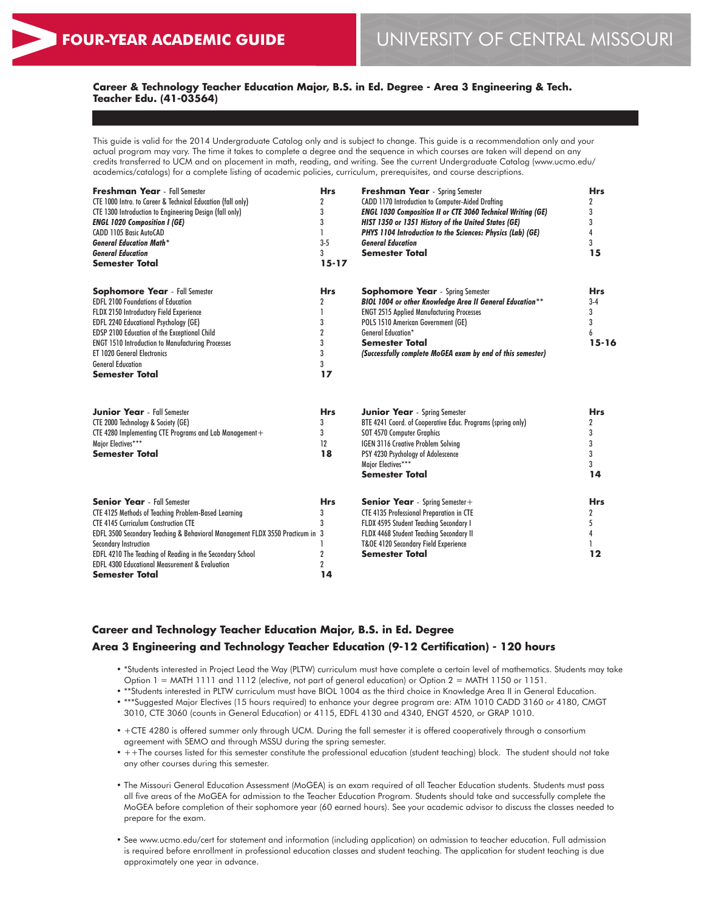# **Career & Technology Teacher Education Major, B.S. in Ed. Degree - Area 3 Engineering & Tech. Teacher Edu. (41-03564)**

This guide is valid for the 2014 Undergraduate Catalog only and is subject to change. This guide is a recommendation only and your actual program may vary. The time it takes to complete a degree and the sequence in which courses are taken will depend on any credits transferred to UCM and on placement in math, reading, and writing. See the current Undergraduate Catalog (www.ucmo.edu/ academics/catalogs) for a complete listing of academic policies, curriculum, prerequisites, and course descriptions.

| <b>Freshman Year</b> - Fall Semester<br>CTE 1000 Intro. to Career & Technical Education (fall only)<br><b>CTE 1300 Introduction to Engineering Design (fall only)</b><br><b>ENGL 1020 Composition I (GE)</b><br>CADD 1105 Basic AutoCAD<br><b>General Education Math*</b><br><b>General Education</b><br><b>Semester Total</b>                                                                               | <b>Hrs</b><br>2<br>3<br>3<br>I.<br>$3 - 5$<br>3<br>$15 - 17$ | <b>Freshman Year</b> - Spring Semester<br>CADD 1170 Introduction to Computer-Aided Drafting<br><b>ENGL 1030 Composition II or CTE 3060 Technical Writing (GE)</b><br>HIST 1350 or 1351 History of the United States (GE)<br>PHYS 1104 Introduction to the Sciences: Physics (Lab) (GE)<br><b>General Education</b><br><b>Semester Total</b> | <b>Hrs</b><br>2<br>3<br>3<br>4<br>3<br>15       |
|--------------------------------------------------------------------------------------------------------------------------------------------------------------------------------------------------------------------------------------------------------------------------------------------------------------------------------------------------------------------------------------------------------------|--------------------------------------------------------------|---------------------------------------------------------------------------------------------------------------------------------------------------------------------------------------------------------------------------------------------------------------------------------------------------------------------------------------------|-------------------------------------------------|
| <b>Sophomore Year</b> - Fall Semester<br><b>EDFL 2100 Foundations of Education</b><br>FLDX 2150 Introductory Field Experience<br><b>EDFL 2240 Educational Psychology (GE)</b><br>EDSP 2100 Education of the Exceptional Child<br><b>ENGT 1510 Introduction to Manufacturing Processes</b><br><b>ET 1020 General Electronics</b><br><b>General Education</b><br><b>Semester Total</b>                         | <b>Hrs</b><br>2<br>3<br>$\overline{2}$<br>3<br>3<br>3<br>17  | <b>Sophomore Year</b> - Spring Semester<br>BIOL 1004 or other Knowledge Area II General Education**<br><b>ENGT 2515 Applied Manufacturing Processes</b><br>POLS 1510 American Government (GE)<br><b>General Education*</b><br><b>Semester Total</b><br>(Successfully complete MoGEA exam by end of this semester)                           | <b>Hrs</b><br>$3-4$<br>3<br>3<br>6<br>$15 - 16$ |
| <b>Junior Year</b> - Fall Semester<br>CTE 2000 Technology & Society (GE)<br>CTE 4280 Implementing CTE Programs and Lab Management +<br>Major Electives***<br><b>Semester Total</b>                                                                                                                                                                                                                           | <b>Hrs</b><br>3<br>3<br>12<br>18                             | <b>Junior Year</b> - Spring Semester<br>BTE 4241 Coord. of Cooperative Educ. Programs (spring only)<br>SOT 4570 Computer Graphics<br><b>IGEN 3116 Creative Problem Solving</b><br>PSY 4230 Psychology of Adolescence<br>Major Electives***<br><b>Semester Total</b>                                                                         | <b>Hrs</b><br>2<br>3<br>3<br>3<br>3<br>14       |
| <b>Senior Year</b> - Fall Semester<br><b>CTE 4125 Methods of Teaching Problem-Based Learning</b><br><b>CTE 4145 Curriculum Construction CTE</b><br>EDFL 3500 Secondary Teaching & Behavioral Management FLDX 3550 Practicum in 3<br><b>Secondary Instruction</b><br>EDFL 4210 The Teaching of Reading in the Secondary School<br><b>EDFL 4300 Educational Measurement &amp; Evaluation</b><br>Semester Total | <b>Hrs</b><br>3<br>2<br>$\overline{2}$<br>14                 | <b>Senior Year</b> - Spring Semester +<br>CTE 4135 Professional Preparation in CTE<br>FLDX 4595 Student Teaching Secondary I<br>FLDX 4468 Student Teaching Secondary II<br><b>T&amp;OE 4120 Secondary Field Experience</b><br><b>Semester Total</b>                                                                                         | <b>Hrs</b><br>2<br>5<br>12                      |

# **Career and Technology Teacher Education Major, B.S. in Ed. Degree Area 3 Engineering and Technology Teacher Education (9-12 Certification) - 120 hours**

- \*Students interested in Project Lead the Way (PLTW) curriculum must have complete a certain level of mathematics. Students may take Option 1 = MATH 1111 and 1112 (elective, not part of general education) or Option 2 = MATH 1150 or 1151.
- \*\*Students interested in PLTW curriculum must have BIOL 1004 as the third choice in Knowledge Area II in General Education.
- \*\*\*Suggested Major Electives (15 hours required) to enhance your degree program are: ATM 1010 CADD 3160 or 4180, CMGT 3010, CTE 3060 (counts in General Education) or 4115, EDFL 4130 and 4340, ENGT 4520, or GRAP 1010.
- +CTE 4280 is offered summer only through UCM. During the fall semester it is offered cooperatively through a consortium agreement with SEMO and through MSSU during the spring semester.
- ++The courses listed for this semester constitute the professional education (student teaching) block. The student should not take any other courses during this semester.
- The Missouri General Education Assessment (MoGEA) is an exam required of all Teacher Education students. Students must pass all five areas of the MoGEA for admission to the Teacher Education Program. Students should take and successfully complete the MoGEA before completion of their sophomore year (60 earned hours). See your academic advisor to discuss the classes needed to prepare for the exam.
- See www.ucmo.edu/cert for statement and information (including application) on admission to teacher education. Full admission is required before enrollment in professional education classes and student teaching. The application for student teaching is due approximately one year in advance.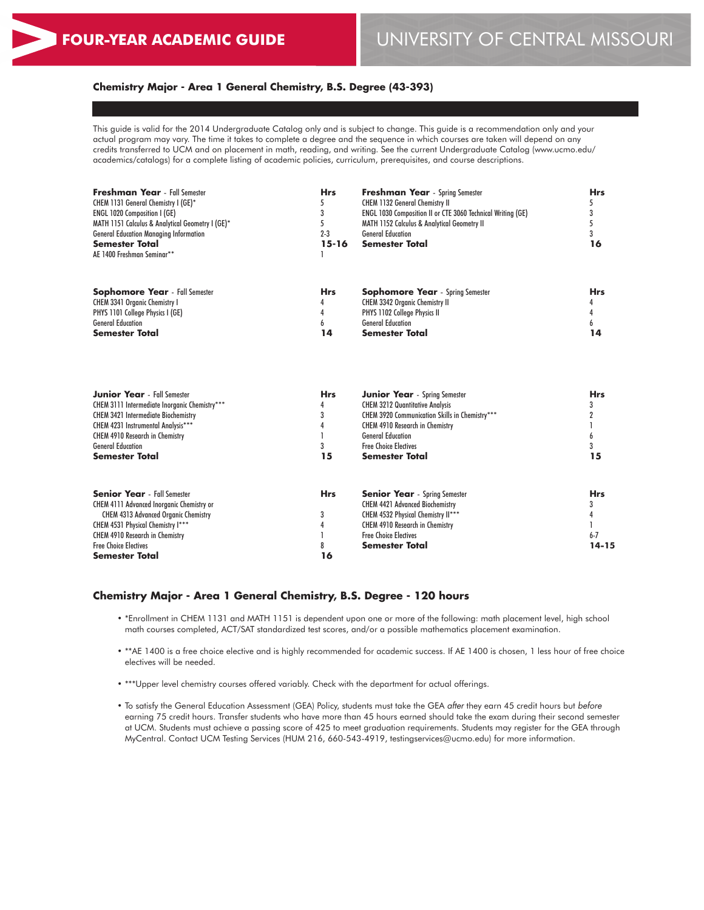# **Chemistry Major - Area 1 General Chemistry, B.S. Degree (43-393)**

This guide is valid for the 2014 Undergraduate Catalog only and is subject to change. This guide is a recommendation only and your actual program may vary. The time it takes to complete a degree and the sequence in which courses are taken will depend on any credits transferred to UCM and on placement in math, reading, and writing. See the current Undergraduate Catalog (www.ucmo.edu/ academics/catalogs) for a complete listing of academic policies, curriculum, prerequisites, and course descriptions.

| <b>Freshman Year</b> - Fall Semester<br>CHEM 1131 General Chemistry I (GE)*<br>ENGL 1020 Composition I (GE)<br>MATH 1151 Calculus & Analytical Geometry I (GE)*<br><b>General Education Managing Information</b><br><b>Semester Total</b><br>AE 1400 Freshman Seminar** | <b>Hrs</b><br>5<br>$2 - 3$<br>$15 - 16$ | <b>Freshman Year</b> - Spring Semester<br><b>CHEM 1132 General Chemistry II</b><br><b>ENGL 1030 Composition II or CTE 3060 Technical Writing (GE)</b><br><b>MATH 1152 Calculus &amp; Analytical Geometry II</b><br><b>General Education</b><br><b>Semester Total</b> | <b>Hrs</b><br>5<br>3<br>5<br>3<br>16 |
|-------------------------------------------------------------------------------------------------------------------------------------------------------------------------------------------------------------------------------------------------------------------------|-----------------------------------------|----------------------------------------------------------------------------------------------------------------------------------------------------------------------------------------------------------------------------------------------------------------------|--------------------------------------|
| <b>Sophomore Year</b> - Fall Semester<br>CHEM 3341 Organic Chemistry I<br>PHYS 1101 College Physics I (GE)<br><b>General Education</b><br><b>Semester Total</b>                                                                                                         | Hrs<br>14                               | <b>Sophomore Year</b> - Spring Semester<br><b>CHEM 3342 Organic Chemistry II</b><br>PHYS 1102 College Physics II<br><b>General Education</b><br><b>Semester Total</b>                                                                                                | <b>Hrs</b><br>14                     |
| <b>Junior Year</b> - Fall Semester<br>CHEM 3111 Intermediate Inorganic Chemistry***<br><b>CHEM 3421 Intermediate Biochemistry</b><br>CHEM 4231 Instrumental Analysis***<br><b>CHEM 4910 Research in Chemistry</b><br><b>General Education</b><br><b>Semester Total</b>  | <b>Hrs</b><br>3<br>15                   | <b>Junior Year</b> - Spring Semester<br><b>CHEM 3212 Quantitative Analysis</b><br><b>CHEM 3920 Communication Skills in Chemistry***</b><br><b>CHEM 4910 Research in Chemistry</b><br><b>General Education</b><br><b>Free Choice Electives</b><br>Semester Total      | <b>Hrs</b><br>3<br>6<br>15           |

| <b>Senior Year</b> - Fall Semester               | <b>Hrs</b> | <b>Senior Year</b> - Spring Semester   | <b>Hrs</b> |
|--------------------------------------------------|------------|----------------------------------------|------------|
| <b>CHEM 4111 Advanced Inorganic Chemistry or</b> |            | <b>CHEM 4421 Advanced Biochemistry</b> |            |
| <b>CHEM 4313 Advanced Organic Chemistry</b>      |            | CHEM 4532 Physical Chemistry II***     |            |
| CHEM 4531 Physical Chemistry I***                |            | <b>CHEM 4910 Research in Chemistry</b> |            |
| <b>CHEM 4910 Research in Chemistry</b>           |            | <b>Free Choice Electives</b>           | $6 - 7$    |
| <b>Free Choice Electives</b>                     |            | <b>Semester Total</b>                  | $14 - 15$  |
| <b>Semester Total</b>                            | 16         |                                        |            |

#### **Chemistry Major - Area 1 General Chemistry, B.S. Degree - 120 hours**

- \*Enrollment in CHEM 1131 and MATH 1151 is dependent upon one or more of the following: math placement level, high school math courses completed, ACT/SAT standardized test scores, and/or a possible mathematics placement examination.
- \*\*AE 1400 is a free choice elective and is highly recommended for academic success. If AE 1400 is chosen, 1 less hour of free choice electives will be needed.
- \*\*\*Upper level chemistry courses offered variably. Check with the department for actual offerings.
- To satisfy the General Education Assessment (GEA) Policy, students must take the GEA *after* they earn 45 credit hours but *before* earning 75 credit hours. Transfer students who have more than 45 hours earned should take the exam during their second semester at UCM. Students must achieve a passing score of 425 to meet graduation requirements. Students may register for the GEA through MyCentral. Contact UCM Testing Services (HUM 216, 660-543-4919, testingservices@ucmo.edu) for more information.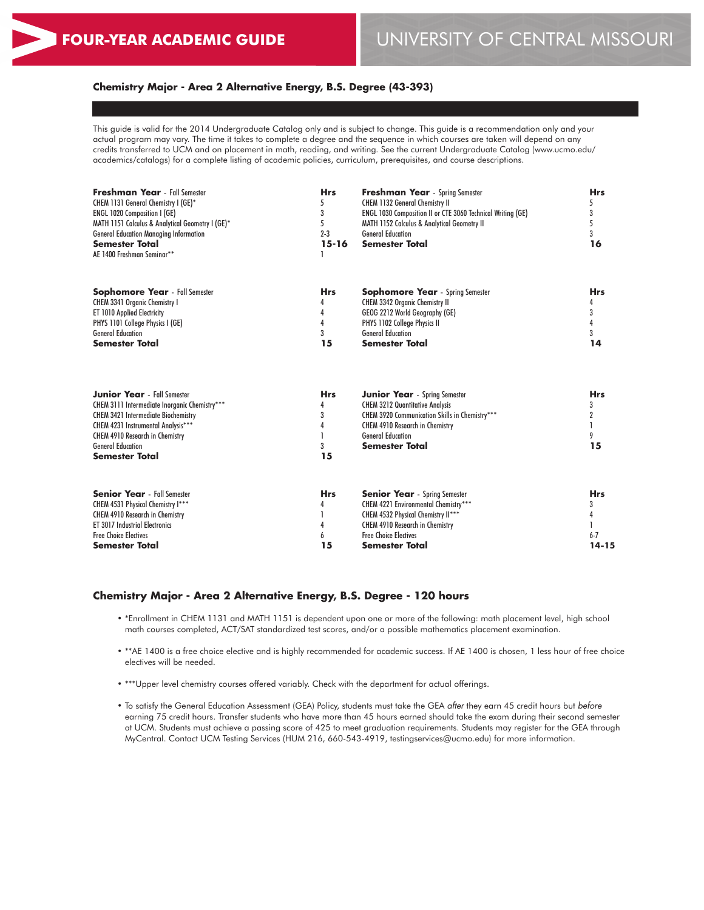# **Chemistry Major - Area 2 Alternative Energy, B.S. Degree (43-393)**

This guide is valid for the 2014 Undergraduate Catalog only and is subject to change. This guide is a recommendation only and your actual program may vary. The time it takes to complete a degree and the sequence in which courses are taken will depend on any credits transferred to UCM and on placement in math, reading, and writing. See the current Undergraduate Catalog (www.ucmo.edu/ academics/catalogs) for a complete listing of academic policies, curriculum, prerequisites, and course descriptions.

| <b>Freshman Year</b> - Fall Semester<br>CHEM 1131 General Chemistry I (GE)*<br>ENGL 1020 Composition I (GE)<br>MATH 1151 Calculus & Analytical Geometry I (GE)*<br><b>General Education Managing Information</b><br><b>Semester Total</b><br>AE 1400 Freshman Seminar** | <b>Hrs</b><br>5<br>3<br>5<br>$2 - 3$<br>$15 - 16$ | <b>Freshman Year</b> - Spring Semester<br><b>CHEM 1132 General Chemistry II</b><br>ENGL 1030 Composition II or CTE 3060 Technical Writing (GE)<br>MATH 1152 Calculus & Analytical Geometry II<br><b>General Education</b><br><b>Semester Total</b> | <b>Hrs</b><br>5<br>3<br>5<br>3<br>16    |
|-------------------------------------------------------------------------------------------------------------------------------------------------------------------------------------------------------------------------------------------------------------------------|---------------------------------------------------|----------------------------------------------------------------------------------------------------------------------------------------------------------------------------------------------------------------------------------------------------|-----------------------------------------|
| <b>Sophomore Year</b> - Fall Semester<br><b>CHEM 3341 Organic Chemistry I</b><br><b>ET 1010 Applied Electricity</b><br>PHYS 1101 College Physics I (GE)<br><b>General Education</b><br><b>Semester Total</b>                                                            | <b>Hrs</b><br>4<br>4<br>3<br>15                   | <b>Sophomore Year</b> - Spring Semester<br><b>CHEM 3342 Organic Chemistry II</b><br>GEOG 2212 World Geography (GE)<br>PHYS 1102 College Physics II<br><b>General Education</b><br><b>Semester Total</b>                                            | <b>Hrs</b><br>4<br>3<br>3<br>14         |
| <b>Junior Year</b> - Fall Semester<br>CHEM 3111 Intermediate Inorganic Chemistry***<br><b>CHEM 3421 Intermediate Biochemistry</b><br>CHEM 4231 Instrumental Analysis***<br><b>CHEM 4910 Research in Chemistry</b><br><b>General Education</b><br><b>Semester Total</b>  | <b>Hrs</b><br>4<br>3<br>4<br>15                   | <b>Junior Year</b> - Spring Semester<br><b>CHEM 3212 Quantitative Analysis</b><br>CHEM 3920 Communication Skills in Chemistry***<br><b>CHEM 4910 Research in Chemistry</b><br><b>General Education</b><br><b>Semester Total</b>                    | <b>Hrs</b><br>3<br>9<br>15              |
| <b>Senior Year</b> - Fall Semester<br>CHEM 4531 Physical Chemistry I***<br><b>CHEM 4910 Research in Chemistry</b><br><b>ET 3017 Industrial Electronics</b><br><b>Free Choice Electives</b><br><b>Semester Total</b>                                                     | <b>Hrs</b><br>4<br>15                             | <b>Senior Year</b> - Spring Semester<br>CHEM 4221 Environmental Chemistry***<br>CHEM 4532 Physical Chemistry II***<br><b>CHEM 4910 Research in Chemistry</b><br><b>Free Choice Electives</b><br><b>Semester Total</b>                              | <b>Hrs</b><br>3<br>$6 - 7$<br>$14 - 15$ |

# **Chemistry Major - Area 2 Alternative Energy, B.S. Degree - 120 hours**

- \*Enrollment in CHEM 1131 and MATH 1151 is dependent upon one or more of the following: math placement level, high school math courses completed, ACT/SAT standardized test scores, and/or a possible mathematics placement examination.
- \*\*AE 1400 is a free choice elective and is highly recommended for academic success. If AE 1400 is chosen, 1 less hour of free choice electives will be needed.
- \*\*\*Upper level chemistry courses offered variably. Check with the department for actual offerings.
- To satisfy the General Education Assessment (GEA) Policy, students must take the GEA *after* they earn 45 credit hours but *before* earning 75 credit hours. Transfer students who have more than 45 hours earned should take the exam during their second semester at UCM. Students must achieve a passing score of 425 to meet graduation requirements. Students may register for the GEA through MyCentral. Contact UCM Testing Services (HUM 216, 660-543-4919, testingservices@ucmo.edu) for more information.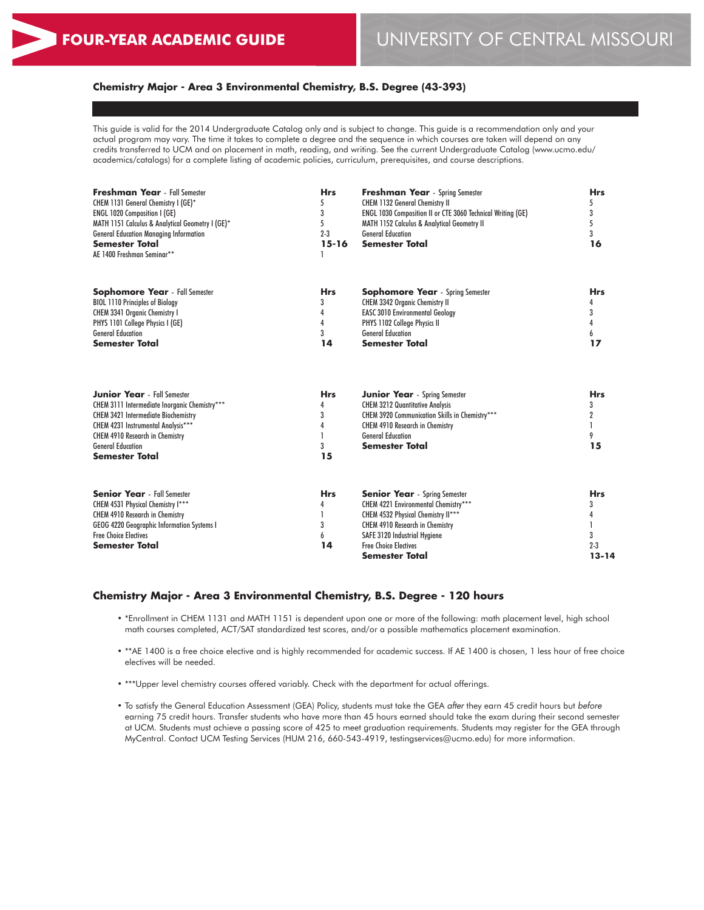# **Chemistry Major - Area 3 Environmental Chemistry, B.S. Degree (43-393)**

This guide is valid for the 2014 Undergraduate Catalog only and is subject to change. This guide is a recommendation only and your actual program may vary. The time it takes to complete a degree and the sequence in which courses are taken will depend on any credits transferred to UCM and on placement in math, reading, and writing. See the current Undergraduate Catalog (www.ucmo.edu/ academics/catalogs) for a complete listing of academic policies, curriculum, prerequisites, and course descriptions.

| <b>Freshman Year</b> - Fall Semester<br>CHEM 1131 General Chemistry I (GE)*<br><b>ENGL 1020 Composition I (GE)</b><br>MATH 1151 Calculus & Analytical Geometry I (GE)*<br><b>General Education Managing Information</b><br><b>Semester Total</b><br>AE 1400 Freshman Seminar** | <b>Hrs</b><br>5<br>3<br>5<br>$2 - 3$<br>$15 - 16$ | <b>Freshman Year</b> - Spring Semester<br><b>CHEM 1132 General Chemistry II</b><br>ENGL 1030 Composition II or CTE 3060 Technical Writing (GE)<br>MATH 1152 Calculus & Analytical Geometry II<br><b>General Education</b><br><b>Semester Total</b>    | <b>Hrs</b><br>5<br>3<br>5<br>3<br>16         |
|--------------------------------------------------------------------------------------------------------------------------------------------------------------------------------------------------------------------------------------------------------------------------------|---------------------------------------------------|-------------------------------------------------------------------------------------------------------------------------------------------------------------------------------------------------------------------------------------------------------|----------------------------------------------|
| <b>Sophomore Year</b> - Fall Semester<br><b>BIOL 1110 Principles of Biology</b><br><b>CHEM 3341 Organic Chemistry I</b><br>PHYS 1101 College Physics I (GE)<br><b>General Education</b><br><b>Semester Total</b>                                                               | <b>Hrs</b><br>3<br>4<br>4<br>3<br>14              | <b>Sophomore Year</b> - Spring Semester<br><b>CHEM 3342 Organic Chemistry II</b><br><b>EASC 3010 Environmental Geology</b><br>PHYS 1102 College Physics II<br><b>General Education</b><br><b>Semester Total</b>                                       | <b>Hrs</b><br>3<br>4<br>6<br>17              |
| <b>Junior Year</b> - Fall Semester<br>CHEM 3111 Intermediate Inorganic Chemistry***<br><b>CHEM 3421 Intermediate Biochemistry</b><br>CHEM 4231 Instrumental Analysis***<br><b>CHEM 4910 Research in Chemistry</b><br><b>General Education</b><br><b>Semester Total</b>         | <b>Hrs</b><br>4<br>3<br>4<br>3<br>15              | <b>Junior Year</b> - Spring Semester<br><b>CHEM 3212 Quantitative Analysis</b><br>CHEM 3920 Communication Skills in Chemistry***<br><b>CHEM 4910 Research in Chemistry</b><br><b>General Education</b><br><b>Semester Total</b>                       | <b>Hrs</b><br>3<br>2<br>9<br>15              |
| <b>Senior Year</b> - Fall Semester<br>CHEM 4531 Physical Chemistry I***<br><b>CHEM 4910 Research in Chemistry</b><br>GEOG 4220 Geographic Information Systems I<br><b>Free Choice Flectives</b><br><b>Semester Total</b>                                                       | <b>Hrs</b><br>4<br>3<br>6<br>14                   | <b>Senior Year</b> - Spring Semester<br>CHEM 4221 Environmental Chemistry***<br>CHEM 4532 Physical Chemistry II***<br><b>CHEM 4910 Research in Chemistry</b><br>SAFE 3120 Industrial Hygiene<br><b>Free Choice Electives</b><br><b>Semester Total</b> | <b>Hrs</b><br>3<br>3<br>$2 - 3$<br>$13 - 14$ |

#### **Chemistry Major - Area 3 Environmental Chemistry, B.S. Degree - 120 hours**

- \*Enrollment in CHEM 1131 and MATH 1151 is dependent upon one or more of the following: math placement level, high school math courses completed, ACT/SAT standardized test scores, and/or a possible mathematics placement examination.
- \*\*AE 1400 is a free choice elective and is highly recommended for academic success. If AE 1400 is chosen, 1 less hour of free choice electives will be needed.
- \*\*\*Upper level chemistry courses offered variably. Check with the department for actual offerings.
- To satisfy the General Education Assessment (GEA) Policy, students must take the GEA *after* they earn 45 credit hours but *before* earning 75 credit hours. Transfer students who have more than 45 hours earned should take the exam during their second semester at UCM. Students must achieve a passing score of 425 to meet graduation requirements. Students may register for the GEA through MyCentral. Contact UCM Testing Services (HUM 216, 660-543-4919, testingservices@ucmo.edu) for more information.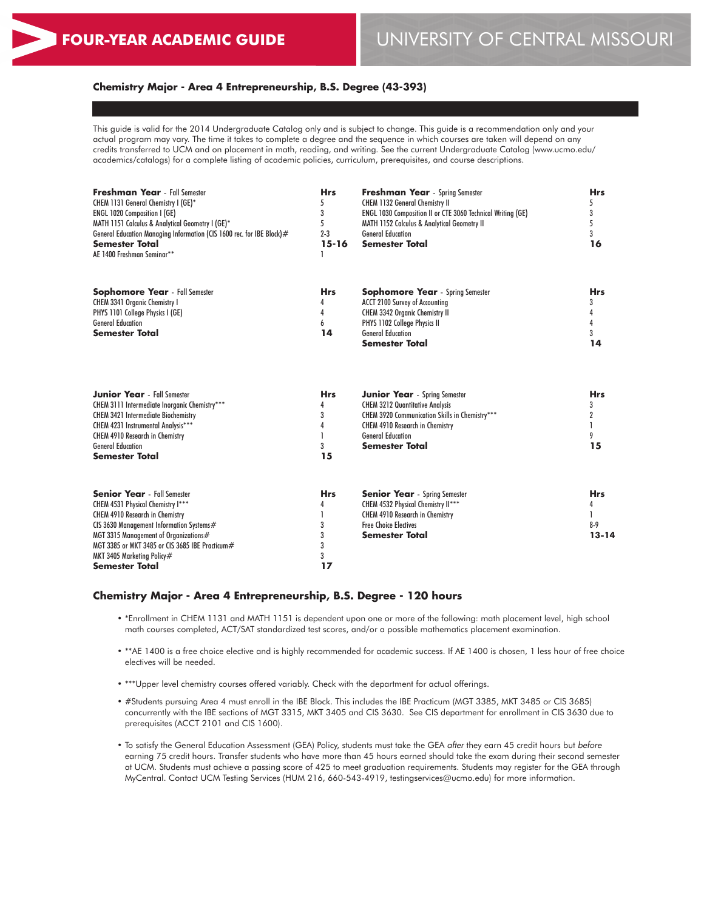# **Chemistry Major - Area 4 Entrepreneurship, B.S. Degree (43-393)**

This guide is valid for the 2014 Undergraduate Catalog only and is subject to change. This guide is a recommendation only and your actual program may vary. The time it takes to complete a degree and the sequence in which courses are taken will depend on any credits transferred to UCM and on placement in math, reading, and writing. See the current Undergraduate Catalog (www.ucmo.edu/ academics/catalogs) for a complete listing of academic policies, curriculum, prerequisites, and course descriptions.

| Freshman Year - Fall Semester<br>CHEM 1131 General Chemistry I (GE)*                      | <b>Hrs</b><br>5 | <b>Freshman Year</b> - Spring Semester<br><b>CHEM 1132 General Chemistry II</b> | <b>Hrs</b><br>5    |  |
|-------------------------------------------------------------------------------------------|-----------------|---------------------------------------------------------------------------------|--------------------|--|
| <b>ENGL 1020 Composition I (GE)</b>                                                       | 3               | ENGL 1030 Composition II or CTE 3060 Technical Writing (GE)                     | 3                  |  |
| MATH 1151 Calculus & Analytical Geometry I (GE)*                                          | 5               | <b>MATH 1152 Calculus &amp; Analytical Geometry II</b>                          | 5                  |  |
| General Education Managing Information (CIS 1600 rec. for IBE Block)#                     | $2 - 3$         | <b>General Education</b>                                                        | 3                  |  |
| <b>Semester Total</b><br>AE 1400 Freshman Seminar**                                       | $15 - 16$       | <b>Semester Total</b>                                                           | 16                 |  |
|                                                                                           |                 |                                                                                 |                    |  |
| <b>Sophomore Year</b> - Fall Semester                                                     | <b>Hrs</b>      | <b>Sophomore Year</b> - Spring Semester                                         | <b>Hrs</b>         |  |
| CHEM 3341 Organic Chemistry I                                                             | 4               | ACCT 2100 Survey of Accounting                                                  | 3                  |  |
| PHYS 1101 College Physics I (GE)                                                          | 4               | CHEM 3342 Organic Chemistry II                                                  |                    |  |
| <b>General Education</b>                                                                  | 6               | PHYS 1102 College Physics II                                                    |                    |  |
| <b>Semester Total</b>                                                                     | 14              | <b>General Education</b><br><b>Semester Total</b>                               | 3<br>14            |  |
|                                                                                           |                 |                                                                                 |                    |  |
| <b>Junior Year</b> - Fall Semester                                                        | <b>Hrs</b>      | <b>Junior Year</b> - Spring Semester                                            | <b>Hrs</b>         |  |
| CHEM 3111 Intermediate Inorganic Chemistry***                                             | 4               | <b>CHEM 3212 Quantitative Analysis</b>                                          | 3                  |  |
| <b>CHEM 3421 Intermediate Biochemistry</b>                                                | 3               | CHEM 3920 Communication Skills in Chemistry***                                  | $\overline{2}$     |  |
| CHEM 4231 Instrumental Analysis***                                                        | 4               | <b>CHEM 4910 Research in Chemistry</b>                                          |                    |  |
| <b>CHEM 4910 Research in Chemistry</b>                                                    |                 | <b>General Education</b>                                                        | 9                  |  |
| <b>General Education</b><br>Semester Total                                                | 3<br>15         | <b>Semester Total</b>                                                           | 15                 |  |
|                                                                                           |                 |                                                                                 |                    |  |
| <b>Senior Year</b> - Fall Semester                                                        | <b>Hrs</b>      | <b>Senior Year</b> - Spring Semester                                            | Hrs                |  |
| CHEM 4531 Physical Chemistry I***                                                         | 4               | CHEM 4532 Physical Chemistry II***                                              | 4                  |  |
| <b>CHEM 4910 Research in Chemistry</b>                                                    |                 | <b>CHEM 4910 Research in Chemistry</b>                                          |                    |  |
| CIS 3630 Management Information Systems#                                                  | 3               | <b>Free Choice Electives</b>                                                    | $8-9$<br>$13 - 14$ |  |
| MGT 3315 Management of Organizations#<br>MGT 3385 or MKT 3485 or CIS 3685 IBE Practicum # | 3               | <b>Semester Total</b>                                                           |                    |  |
|                                                                                           | 3<br>3          |                                                                                 |                    |  |
| MKT 3405 Marketing Policy#<br>Semester Total                                              | 17              |                                                                                 |                    |  |
|                                                                                           |                 |                                                                                 |                    |  |

#### **Chemistry Major - Area 4 Entrepreneurship, B.S. Degree - 120 hours**

- \*Enrollment in CHEM 1131 and MATH 1151 is dependent upon one or more of the following: math placement level, high school math courses completed, ACT/SAT standardized test scores, and/or a possible mathematics placement examination.
- \*\*AE 1400 is a free choice elective and is highly recommended for academic success. If AE 1400 is chosen, 1 less hour of free choice electives will be needed.
- \*\*\*Upper level chemistry courses offered variably. Check with the department for actual offerings.
- #Students pursuing Area 4 must enroll in the IBE Block. This includes the IBE Practicum (MGT 3385, MKT 3485 or CIS 3685) concurrently with the IBE sections of MGT 3315, MKT 3405 and CIS 3630. See CIS department for enrollment in CIS 3630 due to prerequisites (ACCT 2101 and CIS 1600).
- To satisfy the General Education Assessment (GEA) Policy, students must take the GEA *after* they earn 45 credit hours but *before* earning 75 credit hours. Transfer students who have more than 45 hours earned should take the exam during their second semester at UCM. Students must achieve a passing score of 425 to meet graduation requirements. Students may register for the GEA through MyCentral. Contact UCM Testing Services (HUM 216, 660-543-4919, testingservices@ucmo.edu) for more information.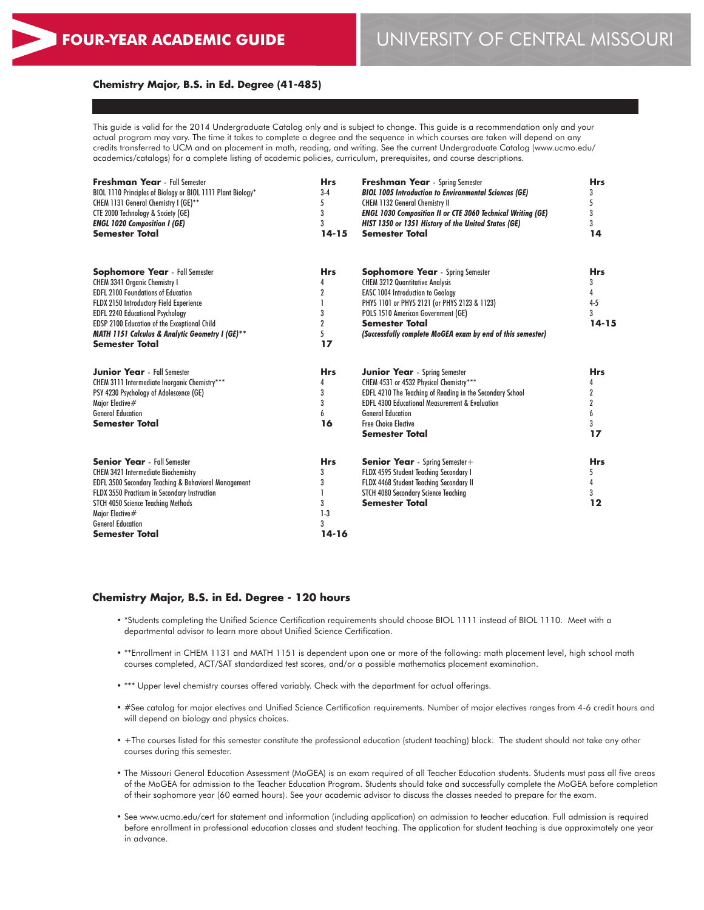#### **Chemistry Major, B.S. in Ed. Degree (41-485)**

This guide is valid for the 2014 Undergraduate Catalog only and is subject to change. This guide is a recommendation only and your actual program may vary. The time it takes to complete a degree and the sequence in which courses are taken will depend on any credits transferred to UCM and on placement in math, reading, and writing. See the current Undergraduate Catalog (www.ucmo.edu/ academics/catalogs) for a complete listing of academic policies, curriculum, prerequisites, and course descriptions.

| <b>Freshman Year</b> - Fall Semester<br>BIOL 1110 Principles of Biology or BIOL 1111 Plant Biology*<br>CHEM 1131 General Chemistry I (GE)**<br>CTE 2000 Technology & Society (GE)<br><b>ENGL 1020 Composition I (GE)</b><br><b>Semester Total</b>                                                                                                | <b>Hrs</b><br>$3-4$<br>5<br>3<br>3<br>$14 - 15$                     | <b>Freshman Year</b> - Spring Semester<br><b>BIOL 1005 Introduction to Environmental Sciences (GE)</b><br><b>CHEM 1132 General Chemistry II</b><br><b>ENGL 1030 Composition II or CTE 3060 Technical Writing (GE)</b><br>HIST 1350 or 1351 History of the United States (GE)<br><b>Semester Total</b>      | <b>Hrs</b><br>5<br>3<br>3<br>14                   |
|--------------------------------------------------------------------------------------------------------------------------------------------------------------------------------------------------------------------------------------------------------------------------------------------------------------------------------------------------|---------------------------------------------------------------------|------------------------------------------------------------------------------------------------------------------------------------------------------------------------------------------------------------------------------------------------------------------------------------------------------------|---------------------------------------------------|
| <b>Sophomore Year</b> - Fall Semester<br>CHEM 3341 Organic Chemistry I<br><b>EDFL 2100 Foundations of Education</b><br>FLDX 2150 Introductory Field Experience<br><b>EDFL 2240 Educational Psychology</b><br>EDSP 2100 Education of the Exceptional Child<br><b>MATH 1151 Calculus &amp; Analytic Geometry I (GE)**</b><br><b>Semester Total</b> | <b>Hrs</b><br>4<br>$\overline{2}$<br>3<br>$\overline{2}$<br>5<br>17 | <b>Sophomore Year</b> - Spring Semester<br><b>CHEM 3212 Quantitative Analysis</b><br><b>EASC 1004 Introduction to Geology</b><br>PHYS 1101 or PHYS 2121 (or PHYS 2123 & 1123)<br>POLS 1510 American Government (GE)<br><b>Semester Total</b><br>(Successfully complete MoGEA exam by end of this semester) | <b>Hrs</b><br>3<br>4<br>$4 - 5$<br>3<br>$14 - 15$ |
| <b>Junior Year</b> - Fall Semester<br>CHEM 3111 Intermediate Inorganic Chemistry***<br>PSY 4230 Psychology of Adolescence (GE)<br>Major Elective#<br><b>General Education</b><br><b>Semester Total</b>                                                                                                                                           | <b>Hrs</b><br>4<br>3<br>3<br>16                                     | <b>Junior Year</b> - Spring Semester<br>CHEM 4531 or 4532 Physical Chemistry***<br>EDFL 4210 The Teaching of Reading in the Secondary School<br><b>EDFL 4300 Educational Measurement &amp; Evaluation</b><br><b>General Education</b><br><b>Free Choice Elective</b><br><b>Semester Total</b>              | <b>Hrs</b><br>4<br>2<br>6<br>3<br>17              |
| <b>Senior Year</b> - Fall Semester<br><b>CHEM 3421 Intermediate Biochemistry</b><br>EDFL 3500 Secondary Teaching & Behavioral Management<br>FLDX 3550 Practicum in Secondary Instruction<br>STCH 4050 Science Teaching Methods<br>Major Elective#<br><b>General Education</b><br>Semester Total                                                  | <b>Hrs</b><br>3<br>3<br>3<br>$1-3$<br>3<br>$14 - 16$                | <b>Senior Year</b> - Spring Semester +<br>FLDX 4595 Student Teaching Secondary I<br>FLDX 4468 Student Teaching Secondary II<br>STCH 4080 Secondary Science Teaching<br><b>Semester Total</b>                                                                                                               | <b>Hrs</b><br>5<br>3<br>12                        |

#### **Chemistry Major, B.S. in Ed. Degree - 120 hours**

- \*Students completing the Unified Science Certification requirements should choose BIOL 1111 instead of BIOL 1110. Meet with a departmental advisor to learn more about Unified Science Certification.
- \*\*Enrollment in CHEM 1131 and MATH 1151 is dependent upon one or more of the following: math placement level, high school math courses completed, ACT/SAT standardized test scores, and/or a possible mathematics placement examination.
- \*\*\* Upper level chemistry courses offered variably. Check with the department for actual offerings.
- #See catalog for major electives and Unified Science Certification requirements. Number of major electives ranges from 4-6 credit hours and will depend on biology and physics choices.
- +The courses listed for this semester constitute the professional education (student teaching) block. The student should not take any other courses during this semester.
- The Missouri General Education Assessment (MoGEA) is an exam required of all Teacher Education students. Students must pass all five areas of the MoGEA for admission to the Teacher Education Program. Students should take and successfully complete the MoGEA before completion of their sophomore year (60 earned hours). See your academic advisor to discuss the classes needed to prepare for the exam.
- See www.ucmo.edu/cert for statement and information (including application) on admission to teacher education. Full admission is required before enrollment in professional education classes and student teaching. The application for student teaching is due approximately one year in advance.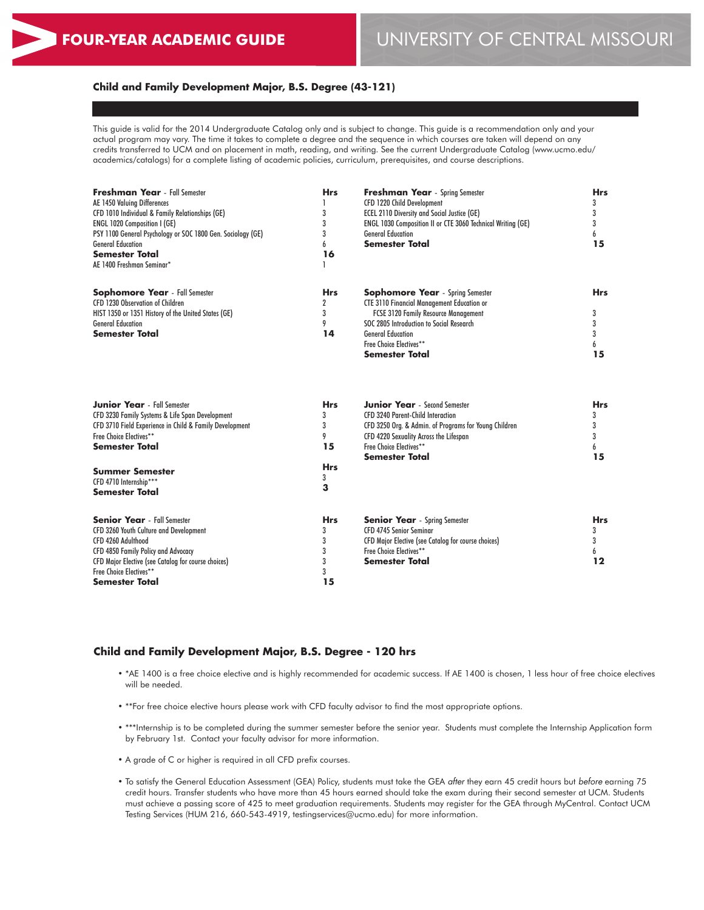# **FOUR-YEAR ACADEMIC GUIDE** UNIVERSITY OF CENTRAL MISSOURI

#### **Child and Family Development Major, B.S. Degree (43-121)**

This guide is valid for the 2014 Undergraduate Catalog only and is subject to change. This guide is a recommendation only and your actual program may vary. The time it takes to complete a degree and the sequence in which courses are taken will depend on any credits transferred to UCM and on placement in math, reading, and writing. See the current Undergraduate Catalog (www.ucmo.edu/ academics/catalogs) for a complete listing of academic policies, curriculum, prerequisites, and course descriptions.

| <b>Freshman Year</b> - Fall Semester<br>AE 1450 Valuing Differences<br>CFD 1010 Individual & Family Relationships (GE)<br>ENGL 1020 Composition I (GE)<br>PSY 1100 General Psychology or SOC 1800 Gen. Sociology (GE)<br><b>General Education</b><br><b>Semester Total</b><br>AE 1400 Freshman Seminar* | <b>Hrs</b><br>3<br>3<br>3<br>6<br>16         | Freshman Year - Spring Semester<br>CFD 1220 Child Development<br><b>ECEL 2110 Diversity and Social Justice (GE)</b><br>ENGL 1030 Composition II or CTE 3060 Technical Writing (GE)<br><b>General Education</b><br><b>Semester Total</b>                          | <b>Hrs</b><br>3<br>3<br>3<br>6<br>15 |
|---------------------------------------------------------------------------------------------------------------------------------------------------------------------------------------------------------------------------------------------------------------------------------------------------------|----------------------------------------------|------------------------------------------------------------------------------------------------------------------------------------------------------------------------------------------------------------------------------------------------------------------|--------------------------------------|
| <b>Sophomore Year</b> - Fall Semester<br>CFD 1230 Observation of Children<br>HIST 1350 or 1351 History of the United States (GE)<br><b>General Education</b><br><b>Semester Total</b>                                                                                                                   | <b>Hrs</b><br>$\overline{2}$<br>3<br>9<br>14 | <b>Sophomore Year</b> - Spring Semester<br><b>CTE 3110 Financial Management Education or</b><br>FCSE 3120 Family Resource Management<br>SOC 2805 Introduction to Social Research<br><b>General Education</b><br>Free Choice Electives**<br><b>Semester Total</b> | <b>Hrs</b><br>3<br>3<br>3<br>6<br>15 |
| <b>Junior Year</b> - Fall Semester<br>CFD 3230 Family Systems & Life Span Development<br>CFD 3710 Field Experience in Child & Family Development<br>Free Choice Electives**<br><b>Semester Total</b>                                                                                                    | <b>Hrs</b><br>3<br>3<br>9<br>15              | <b>Junior Year</b> - Second Semester<br><b>CFD 3240 Parent-Child Interaction</b><br>CFD 3250 Org. & Admin. of Programs for Young Children<br>CFD 4220 Sexuality Across the Lifespan<br>Free Choice Electives**<br><b>Semester Total</b>                          | <b>Hrs</b><br>3<br>3<br>3<br>6<br>15 |
| <b>Summer Semester</b><br>CFD 4710 Internship***<br><b>Semester Total</b>                                                                                                                                                                                                                               | <b>Hrs</b><br>3<br>3                         |                                                                                                                                                                                                                                                                  |                                      |
| <b>Senior Year</b> - Fall Semester<br>CFD 3260 Youth Culture and Development<br>CFD 4260 Adulthood<br>CFD 4850 Family Policy and Advocacy<br><b>CFD Major Elective (see Catalog for course choices)</b><br>Free Choice Electives**<br><b>Semester Total</b>                                             | <b>Hrs</b><br>3<br>3<br>3<br>3<br>3<br>15    | <b>Senior Year</b> - Spring Semester<br>CFD 4745 Senior Seminar<br><b>CFD Major Elective (see Catalog for course choices)</b><br>Free Choice Electives**<br><b>Semester Total</b>                                                                                | <b>Hrs</b><br>3<br>3<br>6<br>12      |

#### **Child and Family Development Major, B.S. Degree - 120 hrs**

- \*AE 1400 is a free choice elective and is highly recommended for academic success. If AE 1400 is chosen, 1 less hour of free choice electives will be needed.
- \*\*For free choice elective hours please work with CFD faculty advisor to find the most appropriate options.
- \*\*\*Internship is to be completed during the summer semester before the senior year. Students must complete the Internship Application form by February 1st. Contact your faculty advisor for more information.
- A grade of C or higher is required in all CFD prefix courses.
- To satisfy the General Education Assessment (GEA) Policy, students must take the GEA *after* they earn 45 credit hours but *before* earning 75 credit hours. Transfer students who have more than 45 hours earned should take the exam during their second semester at UCM. Students must achieve a passing score of 425 to meet graduation requirements. Students may register for the GEA through MyCentral. Contact UCM Testing Services (HUM 216, 660-543-4919, testingservices@ucmo.edu) for more information.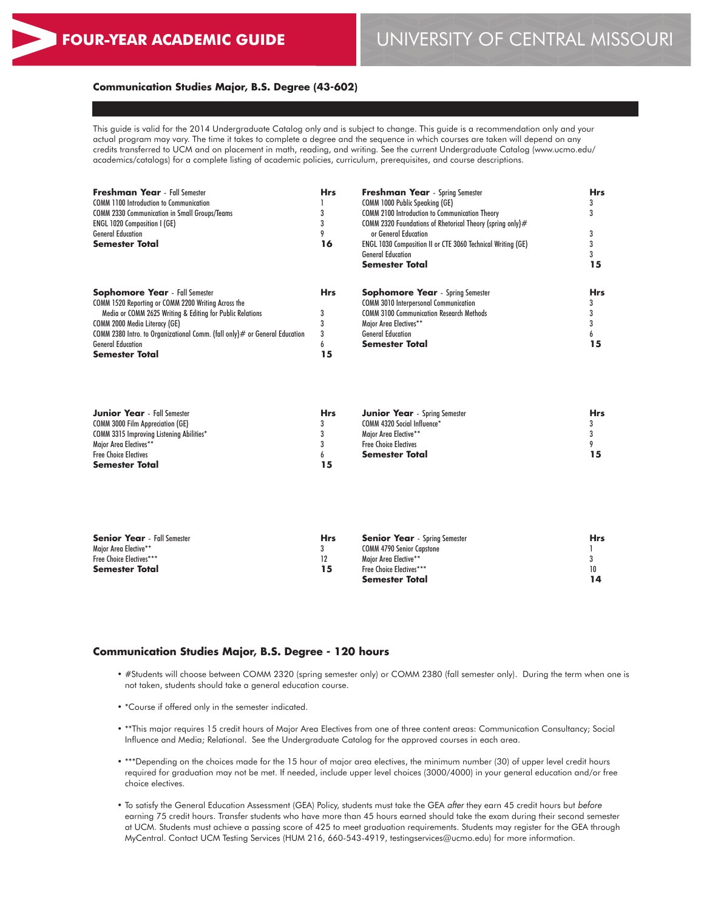# **FOUR-YEAR ACADEMIC GUIDE** UNIVERSITY OF CENTRAL MISSOURI

#### **Communication Studies Major, B.S. Degree (43-602)**

This guide is valid for the 2014 Undergraduate Catalog only and is subject to change. This guide is a recommendation only and your actual program may vary. The time it takes to complete a degree and the sequence in which courses are taken will depend on any credits transferred to UCM and on placement in math, reading, and writing. See the current Undergraduate Catalog (www.ucmo.edu/ academics/catalogs) for a complete listing of academic policies, curriculum, prerequisites, and course descriptions.

| <b>Freshman Year</b> - Fall Semester                                          | <b>Hrs</b> | <b>Freshman Year</b> - Spring Semester                             | <b>Hrs</b> |
|-------------------------------------------------------------------------------|------------|--------------------------------------------------------------------|------------|
| <b>COMM 1100 Introduction to Communication</b>                                |            | COMM 1000 Public Speaking (GE)                                     |            |
| <b>COMM 2330 Communication in Small Groups/Teams</b>                          |            | <b>COMM 2100 Introduction to Communication Theory</b>              |            |
|                                                                               |            |                                                                    |            |
| <b>ENGL 1020 Composition I (GE)</b>                                           |            | COMM 2320 Foundations of Rhetorical Theory (spring only)#          |            |
| <b>General Education</b>                                                      |            | or General Education                                               |            |
| <b>Semester Total</b>                                                         | 16         | <b>ENGL 1030 Composition II or CTE 3060 Technical Writing (GE)</b> |            |
|                                                                               |            | <b>General Education</b>                                           |            |
|                                                                               |            | <b>Semester Total</b>                                              | 15         |
| <b>Sophomore Year</b> - Fall Semester                                         | <b>Hrs</b> | <b>Sophomore Year</b> - Spring Semester                            | <b>Hrs</b> |
| COMM 1520 Reporting or COMM 2200 Writing Across the                           |            | <b>COMM 3010 Interpersonal Communication</b>                       |            |
| Media or COMM 2625 Writing & Editing for Public Relations                     |            | <b>COMM 3100 Communication Research Methods</b>                    |            |
| COMM 2000 Media Literacy (GE)                                                 |            | Major Area Electives**                                             |            |
| COMM 2380 Intro. to Organizational Comm. (fall only) $#$ or General Education | 3          | <b>General Education</b>                                           |            |
| <b>General Education</b>                                                      | h          | <b>Semester Total</b>                                              | 15         |
| <b>Semester Total</b>                                                         | 5          |                                                                    |            |

| <b>Junior Year</b> - Fall Semester              | <b>Hrs</b> | <b>Junior Year</b> - Spring Semester | <b>Hrs</b> |
|-------------------------------------------------|------------|--------------------------------------|------------|
| <b>COMM 3000 Film Appreciation (GE)</b>         |            | COMM 4320 Social Influence*          |            |
| <b>COMM 3315 Improving Listening Abilities*</b> |            | Maior Area Elective**                |            |
| Major Area Electives**                          |            | <b>Free Choice Electives</b>         |            |
| <b>Free Choice Electives</b>                    |            | Semester Total                       |            |
| <b>Semester Total</b>                           | 15         |                                      |            |

| <b>Senior Year</b> - Fall Semester | Hrs | <b>Senior Year</b> - Spring Semester | <b>Hrs</b> |
|------------------------------------|-----|--------------------------------------|------------|
| Maior Area Elective**              |     | <b>COMM 4790 Senior Capstone</b>     |            |
| Free Choice Electives***           |     | Maior Area Elective**                |            |
| <b>Semester Total</b>              | 15  | <b>Free Choice Electives***</b>      | 10         |
|                                    |     | Semester Total                       |            |

#### **Communication Studies Major, B.S. Degree - 120 hours**

- #Students will choose between COMM 2320 (spring semester only) or COMM 2380 (fall semester only). During the term when one is not taken, students should take a general education course.
- \*Course if offered only in the semester indicated.
- \*\*This major requires 15 credit hours of Major Area Electives from one of three content areas: Communication Consultancy; Social Influence and Media; Relational. See the Undergraduate Catalog for the approved courses in each area.
- \*\*\*Depending on the choices made for the 15 hour of major area electives, the minimum number (30) of upper level credit hours required for graduation may not be met. If needed, include upper level choices (3000/4000) in your general education and/or free choice electives.
- To satisfy the General Education Assessment (GEA) Policy, students must take the GEA *after* they earn 45 credit hours but *before* earning 75 credit hours. Transfer students who have more than 45 hours earned should take the exam during their second semester at UCM. Students must achieve a passing score of 425 to meet graduation requirements. Students may register for the GEA through MyCentral. Contact UCM Testing Services (HUM 216, 660-543-4919, testingservices@ucmo.edu) for more information.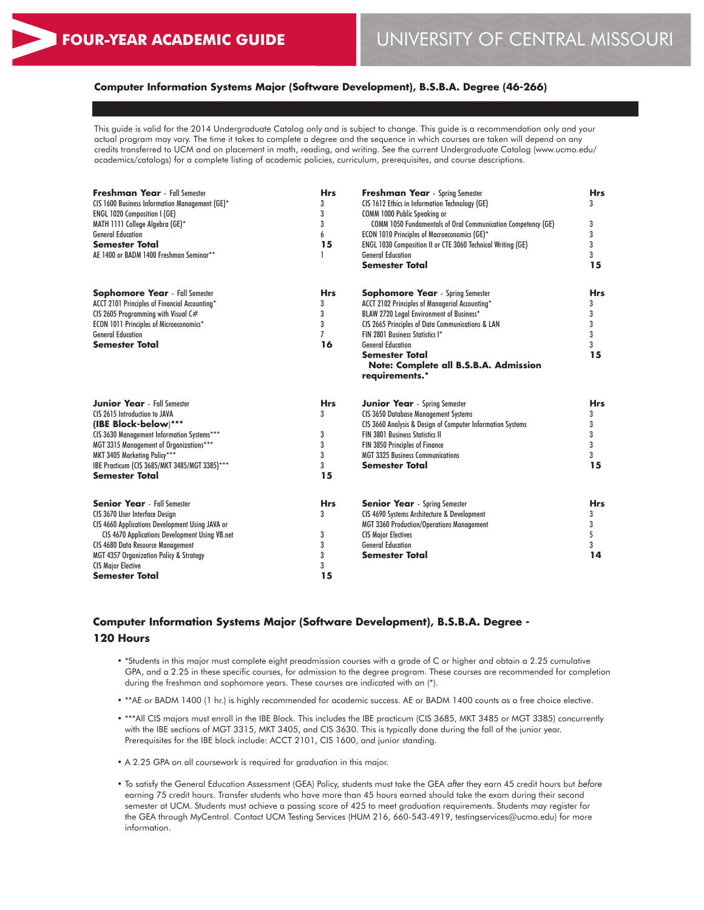# **Computer Information Systems Major (Software Development), B.S.B.A. Degree (46-266)**

This guide is valid for the 2014 Undergraduate Catalog only and is subject to change. This guide is a recommendation only and your actual program may vary. The time it takes to complete a degree and the sequence in which courses are taken will depend on any credits transferred to UCM and on placement in math, reading, and writing. See the current Undergraduate Catalog (www.ucmo.edu/ academics/catalogs) for a complete listing of academic policies, curriculum, prerequisites, and course descriptions.

| <b>Freshman Year</b> - Fall Semester<br>CIS 1600 Business Information Management (GE)*<br><b>ENGL 1020 Composition I (GE)</b><br>MATH 1111 College Algebra (GE)*<br><b>General Education</b><br><b>Semester Total</b><br>AE 1400 or BADM 1400 Freshman Seminar**                                         | <b>Hrs</b><br>3<br>3<br>3<br>6<br>15      | <b>Freshman Year</b> - Spring Semester<br>CIS 1612 Ethics in Information Technology (GE)<br>COMM 1000 Public Speaking or<br>COMM 1050 Fundamentals of Oral Communication Competency (GE)<br>ECON 1010 Principles of Macroeconomics (GE)*<br><b>ENGL 1030 Composition II or CTE 3060 Technical Writing (GE)</b><br><b>General Education</b><br><b>Semester Total</b> | <b>Hrs</b><br>3<br>3<br>3<br>3<br>3<br>15 |
|----------------------------------------------------------------------------------------------------------------------------------------------------------------------------------------------------------------------------------------------------------------------------------------------------------|-------------------------------------------|---------------------------------------------------------------------------------------------------------------------------------------------------------------------------------------------------------------------------------------------------------------------------------------------------------------------------------------------------------------------|-------------------------------------------|
| <b>Sophomore Year</b> - Fall Semester<br>ACCT 2101 Principles of Financial Accounting*<br>CIS 2605 Programming with Visual C#<br>ECON 1011 Principles of Microeconomics*<br><b>General Education</b><br><b>Semester Total</b>                                                                            | <b>Hrs</b><br>3<br>3<br>3<br>7<br>16      | <b>Sophomore Year</b> - Spring Semester<br>ACCT 2102 Principles of Managerial Accounting*<br>BLAW 2720 Legal Environment of Business*<br>CIS 2665 Principles of Data Communications & LAN<br>FIN 2801 Business Statistics I*<br><b>General Education</b><br><b>Semester Total</b><br>Note: Complete all B.S.B.A. Admission<br>requirements.*                        | <b>Hrs</b><br>3<br>3<br>3<br>3<br>3<br>15 |
| <b>Junior Year</b> - Fall Semester<br>CIS 2615 Introduction to JAVA<br>(IBE Block-below)***<br>CIS 3630 Management Information Systems***<br>MGT 3315 Management of Organizations***<br>MKT 3405 Marketing Policy***<br>IBE Practicum (CIS 3685/MKT 3485/MGT 3385)***<br><b>Semester Total</b>           | <b>Hrs</b><br>3<br>3<br>3<br>3<br>3<br>15 | <b>Junior Year</b> - Spring Semester<br><b>CIS 3650 Database Management Systems</b><br>CIS 3660 Analysis & Design of Computer Information Systems<br><b>FIN 3801 Business Statistics II</b><br>FIN 3850 Principles of Finance<br><b>MGT 3325 Business Communications</b><br><b>Semester Total</b>                                                                   | <b>Hrs</b><br>3<br>3<br>3<br>3<br>3<br>15 |
| <b>Senior Year</b> - Fall Semester<br>CIS 3670 User Interface Design<br>CIS 4660 Applications Development Using JAVA or<br>CIS 4670 Applications Development Using VB.net<br>CIS 4680 Data Resource Management<br>MGT 4357 Organization Policy & Strategy<br><b>CIS Major Elective</b><br>Semester Total | <b>Hrs</b><br>3<br>3<br>3<br>3<br>3<br>15 | <b>Senior Year</b> - Spring Semester<br>CIS 4690 Systems Architecture & Development<br><b>MGT 3360 Production/Operations Management</b><br><b>CIS Major Electives</b><br><b>General Education</b><br><b>Semester Total</b>                                                                                                                                          | <b>Hrs</b><br>3<br>3<br>5<br>3<br>14      |

# **Computer Information Systems Major (Software Development), B.S.B.A. Degree - 120 Hours**

- \*Students in this major must complete eight preadmission courses with a grade of C or higher and obtain a 2.25 cumulative GPA, and a 2.25 in these specific courses, for admission to the degree program. These courses are recommended for completion during the freshman and sophomore years. These courses are indicated with an (\*).
- \*\*AE or BADM 1400 (1 hr.) is highly recommended for academic success. AE or BADM 1400 counts as a free choice elective.
- \*\*\*All CIS majors must enroll in the IBE Block. This includes the IBE practicum (CIS 3685, MKT 3485 or MGT 3385) concurrently with the IBE sections of MGT 3315, MKT 3405, and CIS 3630. This is typically done during the fall of the junior year. Prerequisites for the IBE block include: ACCT 2101, CIS 1600, and junior standing.
- A 2.25 GPA on all coursework is required for graduation in this major.
- To satisfy the General Education Assessment (GEA) Policy, students must take the GEA *after* they earn 45 credit hours but *before* earning 75 credit hours. Transfer students who have more than 45 hours earned should take the exam during their second semester at UCM. Students must achieve a passing score of 425 to meet graduation requirements. Students may register for the GEA through MyCentral. Contact UCM Testing Services (HUM 216, 660-543-4919, testingservices@ucmo.edu) for more information.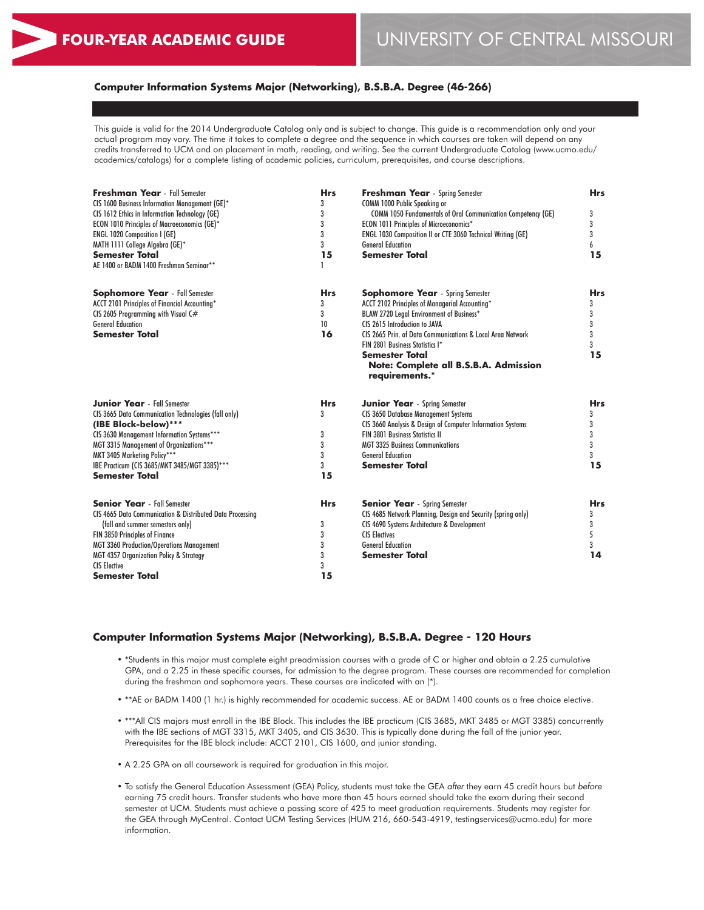## **Computer Information Systems Major (Networking), B.S.B.A. Degree (46-266)**

This guide is valid for the 2014 Undergraduate Catalog only and is subject to change. This guide is a recommendation only and your actual program may vary. The time it takes to complete a degree and the sequence in which courses are taken will depend on any credits transferred to UCM and on placement in math, reading, and writing. See the current Undergraduate Catalog (www.ucmo.edu/ academics/catalogs) for a complete listing of academic policies, curriculum, prerequisites, and course descriptions.

| <b>Freshman Year</b> - Fall Semester<br>CIS 1600 Business Information Management (GE)* | <b>Hrs</b><br>3 | <b>Freshman Year</b> - Spring Semester<br>COMM 1000 Public Speaking or | <b>Hrs</b> |
|----------------------------------------------------------------------------------------|-----------------|------------------------------------------------------------------------|------------|
| CIS 1612 Ethics in Information Technology (GE)                                         | 3               | <b>COMM 1050 Fundamentals of Oral Communication Competency (GE)</b>    | 3          |
| ECON 1010 Principles of Macroeconomics (GE)*                                           | 3               | <b>ECON 1011 Principles of Microeconomics*</b>                         | 3          |
| ENGL 1020 Composition I (GE)                                                           | 3               | ENGL 1030 Composition II or CTE 3060 Technical Writing (GE)            | 3          |
| MATH 1111 College Algebra (GE)*                                                        | 3               | <b>General Education</b>                                               | 6          |
| <b>Semester Total</b>                                                                  | 15              | <b>Semester Total</b>                                                  | 15         |
| AE 1400 or BADM 1400 Freshman Seminar**                                                |                 |                                                                        |            |
| <b>Sophomore Year</b> - Fall Semester                                                  | <b>Hrs</b>      | <b>Sophomore Year</b> - Spring Semester                                | <b>Hrs</b> |
| ACCT 2101 Principles of Financial Accounting*                                          | 3               | ACCT 2102 Principles of Managerial Accounting*                         | 3          |
| CIS 2605 Programming with Visual C#                                                    | 3               | BLAW 2720 Legal Environment of Business*                               | 3          |
| <b>General Education</b>                                                               | 10              | CIS 2615 Introduction to JAVA                                          | 3          |
| <b>Semester Total</b>                                                                  | 16              | CIS 2665 Prin. of Data Communications & Local Area Network             | 3          |
|                                                                                        |                 | FIN 2801 Business Statistics I*                                        | 3          |
|                                                                                        |                 | <b>Semester Total</b>                                                  | 15         |
|                                                                                        |                 | Note: Complete all B.S.B.A. Admission                                  |            |
|                                                                                        |                 | requirements.*                                                         |            |
| <b>Junior Year</b> - Fall Semester                                                     | <b>Hrs</b>      | <b>Junior Year</b> - Spring Semester                                   | <b>Hrs</b> |
| CIS 3665 Data Communication Technologies (fall only)                                   | 3               | <b>CIS 3650 Database Management Systems</b>                            | 3          |
| (IBE Block-below)***                                                                   |                 | CIS 3660 Analysis & Design of Computer Information Systems             | 3          |
| CIS 3630 Management Information Systems***                                             | 3               | <b>FIN 3801 Business Statistics II</b>                                 | 3          |
| MGT 3315 Management of Organizations***                                                | 3               | <b>MGT 3325 Business Communications</b>                                | 3          |
| MKT 3405 Marketing Policy***                                                           | 3               | <b>General Education</b>                                               | 3          |
| IBE Practicum (CIS 3685/MKT 3485/MGT 3385)***                                          | 3               | <b>Semester Total</b>                                                  | 15         |
| <b>Semester Total</b>                                                                  | 15              |                                                                        |            |
| <b>Senior Year</b> - Fall Semester                                                     | <b>Hrs</b>      | <b>Senior Year</b> - Spring Semester                                   | <b>Hrs</b> |
| CIS 4665 Data Communication & Distributed Data Processina                              |                 | CIS 4685 Network Planning, Design and Security (spring only)           | 3          |
| (fall and summer semesters only)                                                       | 3               | CIS 4690 Systems Architecture & Development                            | 3          |
| FIN 3850 Principles of Finance                                                         | 3               | <b>CIS Electives</b>                                                   | 5          |
| <b>MGT 3360 Production/Operations Management</b>                                       | 3               | <b>General Education</b>                                               | 3          |
| MGT 4357 Organization Policy & Strategy                                                | 3               | <b>Semester Total</b>                                                  | 14         |
| <b>CIS Elective</b>                                                                    | 3               |                                                                        |            |
| <b>Semester Total</b>                                                                  | 15              |                                                                        |            |

#### **Computer Information Systems Major (Networking), B.S.B.A. Degree - 120 Hours**

- \*Students in this major must complete eight preadmission courses with a grade of C or higher and obtain a 2.25 cumulative GPA, and a 2.25 in these specific courses, for admission to the degree program. These courses are recommended for completion during the freshman and sophomore years. These courses are indicated with an (\*).
- \*\*AE or BADM 1400 (1 hr.) is highly recommended for academic success. AE or BADM 1400 counts as a free choice elective.
- \*\*\*All CIS majors must enroll in the IBE Block. This includes the IBE practicum (CIS 3685, MKT 3485 or MGT 3385) concurrently with the IBE sections of MGT 3315, MKT 3405, and CIS 3630. This is typically done during the fall of the junior year. Prerequisites for the IBE block include: ACCT 2101, CIS 1600, and junior standing.
- A 2.25 GPA on all coursework is required for graduation in this major.
- To satisfy the General Education Assessment (GEA) Policy, students must take the GEA *after* they earn 45 credit hours but *before* earning 75 credit hours. Transfer students who have more than 45 hours earned should take the exam during their second semester at UCM. Students must achieve a passing score of 425 to meet graduation requirements. Students may register for the GEA through MyCentral. Contact UCM Testing Services (HUM 216, 660-543-4919, testingservices@ucmo.edu) for more information.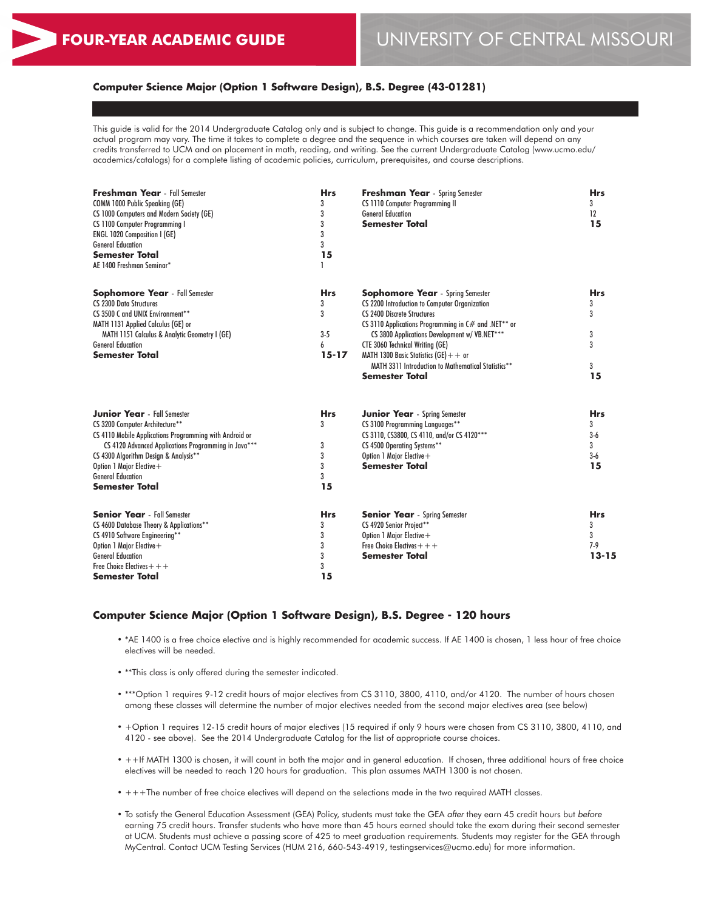## **Computer Science Major (Option 1 Software Design), B.S. Degree (43-01281)**

This guide is valid for the 2014 Undergraduate Catalog only and is subject to change. This guide is a recommendation only and your actual program may vary. The time it takes to complete a degree and the sequence in which courses are taken will depend on any credits transferred to UCM and on placement in math, reading, and writing. See the current Undergraduate Catalog (www.ucmo.edu/ academics/catalogs) for a complete listing of academic policies, curriculum, prerequisites, and course descriptions.

| <b>Freshman Year</b> - Fall Semester<br>COMM 1000 Public Speaking (GE)<br>CS 1000 Computers and Modern Society (GE)<br>CS 1100 Computer Programming I<br>ENGL 1020 Composition I (GE)<br><b>General Education</b><br><b>Semester Total</b><br>AE 1400 Freshman Seminar*                                             | <b>Hrs</b><br>3<br>3<br>3<br>3<br>3<br>15       | <b>Freshman Year</b> - Spring Semester<br>CS 1110 Computer Programming II<br><b>General Education</b><br><b>Semester Total</b>                                                                                                                                                                                                                                                                         | <b>Hrs</b><br>3<br>12<br>15                             |
|---------------------------------------------------------------------------------------------------------------------------------------------------------------------------------------------------------------------------------------------------------------------------------------------------------------------|-------------------------------------------------|--------------------------------------------------------------------------------------------------------------------------------------------------------------------------------------------------------------------------------------------------------------------------------------------------------------------------------------------------------------------------------------------------------|---------------------------------------------------------|
| <b>Sophomore Year</b> - Fall Semester<br><b>CS 2300 Data Structures</b><br>CS 3500 C and UNIX Environment**<br>MATH 1131 Applied Calculus (GE) or<br>MATH 1151 Calculus & Analytic Geometry I (GE)<br><b>General Education</b><br><b>Semester Total</b>                                                             | <b>Hrs</b><br>3<br>3<br>$3-5$<br>6<br>$15 - 17$ | <b>Sophomore Year</b> - Spring Semester<br>CS 2200 Introduction to Computer Organization<br><b>CS 2400 Discrete Structures</b><br>CS 3110 Applications Programming in C# and .NET** or<br>CS 3800 Applications Development w/ VB.NET***<br>CTE 3060 Technical Writing (GE)<br>MATH 1300 Basic Statistics (GE) $+$ + or<br>MATH 3311 Introduction to Mathematical Statistics**<br><b>Semester Total</b> | <b>Hrs</b><br>3<br>3<br>3<br>3<br>3<br>15               |
| <b>Junior Year</b> - Fall Semester<br>CS 3200 Computer Architecture**<br>CS 4110 Mobile Applications Programming with Android or<br>CS 4120 Advanced Applications Programming in Java***<br>CS 4300 Algorithm Design & Analysis**<br>Option 1 Major Elective +<br><b>General Education</b><br><b>Semester Total</b> | <b>Hrs</b><br>3<br>3<br>3<br>3<br>3<br>15       | Junior Year - Spring Semester<br>CS 3100 Programming Languages**<br>CS 3110, CS3800, CS 4110, and/or CS 4120***<br>CS 4500 Operating Systems**<br>Option 1 Major Elective +<br><b>Semester Total</b>                                                                                                                                                                                                   | <b>Hrs</b><br>3<br>$3-6$<br>$\mathbf{3}$<br>$3-6$<br>15 |
| <b>Senior Year</b> - Fall Semester<br>CS 4600 Database Theory & Applications**<br>CS 4910 Software Engineering**<br>Option 1 Major Elective +<br><b>General Education</b><br>Free Choice Electives $++$<br><b>Semester Total</b>                                                                                    | <b>Hrs</b><br>3<br>3<br>3<br>3<br>3<br>15       | <b>Senior Year</b> - Spring Semester<br>CS 4920 Senior Project**<br>Option 1 Major Elective +<br>Free Choice Electives $++$<br><b>Semester Total</b>                                                                                                                                                                                                                                                   | <b>Hrs</b><br>3<br>3<br>$7 - 9$<br>$13 - 15$            |

### **Computer Science Major (Option 1 Software Design), B.S. Degree - 120 hours**

- \*AE 1400 is a free choice elective and is highly recommended for academic success. If AE 1400 is chosen, 1 less hour of free choice electives will be needed.
- \*\*This class is only offered during the semester indicated.
- \*\*\*Option 1 requires 9-12 credit hours of major electives from CS 3110, 3800, 4110, and/or 4120. The number of hours chosen among these classes will determine the number of major electives needed from the second major electives area (see below)
- +Option 1 requires 12-15 credit hours of major electives (15 required if only 9 hours were chosen from CS 3110, 3800, 4110, and 4120 - see above). See the 2014 Undergraduate Catalog for the list of appropriate course choices.
- ++If MATH 1300 is chosen, it will count in both the major and in general education. If chosen, three additional hours of free choice electives will be needed to reach 120 hours for graduation. This plan assumes MATH 1300 is not chosen.
- +++The number of free choice electives will depend on the selections made in the two required MATH classes.
- To satisfy the General Education Assessment (GEA) Policy, students must take the GEA *after* they earn 45 credit hours but *before* earning 75 credit hours. Transfer students who have more than 45 hours earned should take the exam during their second semester at UCM. Students must achieve a passing score of 425 to meet graduation requirements. Students may register for the GEA through MyCentral. Contact UCM Testing Services (HUM 216, 660-543-4919, testingservices@ucmo.edu) for more information.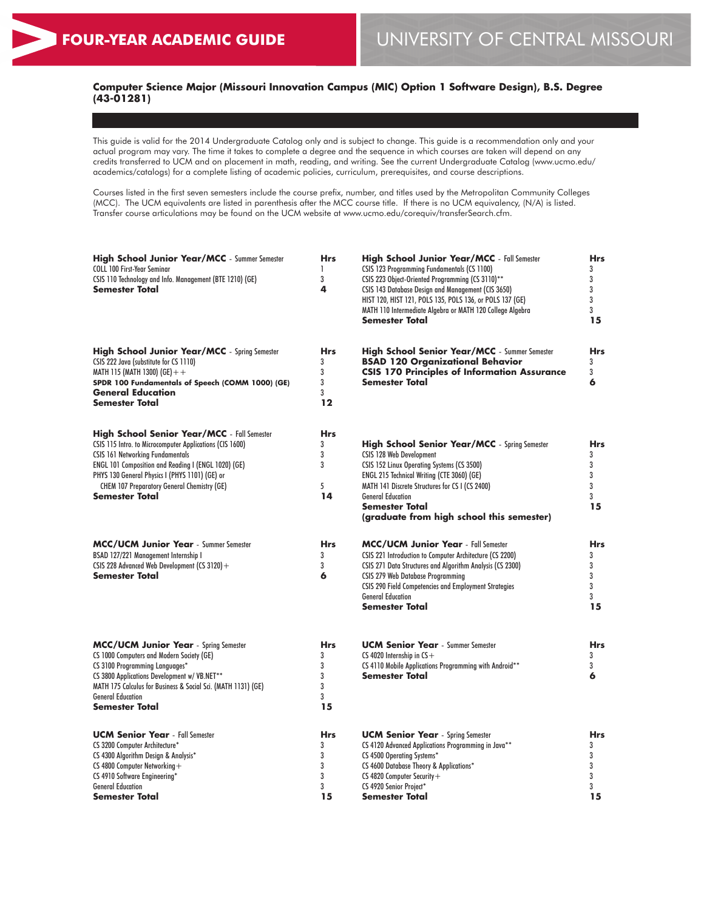## **Computer Science Major (Missouri Innovation Campus (MIC) Option 1 Software Design), B.S. Degree (43-01281)**

This guide is valid for the 2014 Undergraduate Catalog only and is subject to change. This guide is a recommendation only and your actual program may vary. The time it takes to complete a degree and the sequence in which courses are taken will depend on any credits transferred to UCM and on placement in math, reading, and writing. See the current Undergraduate Catalog (www.ucmo.edu/ academics/catalogs) for a complete listing of academic policies, curriculum, prerequisites, and course descriptions.

Courses listed in the first seven semesters include the course prefix, number, and titles used by the Metropolitan Community Colleges (MCC). The UCM equivalents are listed in parenthesis after the MCC course title. If there is no UCM equivalency, (N/A) is listed. Transfer course articulations may be found on the UCM website at www.ucmo.edu/corequiv/transferSearch.cfm.

| <b>High School Junior Year/MCC</b> - Summer Semester<br><b>COLL 100 First-Year Seminar</b><br>CSIS 110 Technology and Info. Management (BTE 1210) (GE)<br><b>Semester Total</b>                                                                                                                                                                   | <b>Hrs</b><br>1<br>3<br>4                 | <b>High School Junior Year/MCC</b> - Fall Semester<br>CSIS 123 Programming Fundamentals (CS 1100)<br>CSIS 223 Object-Oriented Programming (CS 3110)**<br>CSIS 143 Database Design and Management (CIS 3650)<br>HIST 120, HIST 121, POLS 135, POLS 136, or POLS 137 (GE)<br>MATH 110 Intermediate Algebra or MATH 120 College Algebra<br><b>Semester Total</b> | <b>Hrs</b><br>3<br>3<br>3<br>3<br>3<br>15 |
|---------------------------------------------------------------------------------------------------------------------------------------------------------------------------------------------------------------------------------------------------------------------------------------------------------------------------------------------------|-------------------------------------------|---------------------------------------------------------------------------------------------------------------------------------------------------------------------------------------------------------------------------------------------------------------------------------------------------------------------------------------------------------------|-------------------------------------------|
| <b>High School Junior Year/MCC</b> - Spring Semester<br>CSIS 222 Java (substitute for CS 1110)<br>MATH 115 (MATH 1300) (GE) + +<br>SPDR 100 Fundamentals of Speech (COMM 1000) (GE)<br><b>General Education</b><br><b>Semester Total</b>                                                                                                          | <b>Hrs</b><br>3<br>3<br>3<br>3<br>$12 \,$ | <b>High School Senior Year/MCC</b> - Summer Semester<br><b>BSAD 120 Organizational Behavior</b><br><b>CSIS 170 Principles of Information Assurance</b><br><b>Semester Total</b>                                                                                                                                                                               | <b>Hrs</b><br>3<br>3<br>6                 |
| <b>High School Senior Year/MCC</b> - Fall Semester<br>CSIS 115 Intro. to Microcomputer Applications (CIS 1600)<br><b>CSIS 161 Networking Fundamentals</b><br>ENGL 101 Composition and Reading I (ENGL 1020) (GE)<br>PHYS 130 General Physics I (PHYS 1101) (GE) or<br><b>CHEM 107 Preparatory General Chemistry (GE)</b><br><b>Semester Total</b> | <b>Hrs</b><br>3<br>3<br>3<br>5<br>14      | <b>High School Senior Year/MCC</b> - Spring Semester<br>CSIS 128 Web Development<br>CSIS 152 Linux Operating Systems (CS 3500)<br>ENGL 215 Technical Writing (CTE 3060) (GE)<br>MATH 141 Discrete Structures for CS I (CS 2400)<br><b>General Education</b><br><b>Semester Total</b><br>(graduate from high school this semester)                             | <b>Hrs</b><br>3<br>3<br>3<br>3<br>3<br>15 |
| <b>MCC/UCM Junior Year</b> - Summer Semester<br>BSAD 127/221 Management Internship I<br>CSIS 228 Advanced Web Development (CS 3120) +<br><b>Semester Total</b>                                                                                                                                                                                    | <b>Hrs</b><br>3<br>3<br>6                 | <b>MCC/UCM Junior Year</b> - Fall Semester<br>CSIS 221 Introduction to Computer Architecture (CS 2200)<br>CSIS 271 Data Structures and Algorithm Analysis (CS 2300)<br><b>CSIS 279 Web Database Programming</b><br>CSIS 290 Field Competencies and Employment Strategies<br><b>General Education</b><br><b>Semester Total</b>                                 | <b>Hrs</b><br>3<br>3<br>3<br>3<br>3<br>15 |
| <b>MCC/UCM Junior Year</b> - Spring Semester<br>CS 1000 Computers and Modern Society (GE)<br>CS 3100 Programming Languages*<br>CS 3800 Applications Development w/ VB.NET**<br>MATH 175 Calculus for Business & Social Sci. (MATH 1131) (GE)<br><b>General Education</b><br><b>Semester Total</b>                                                 | <b>Hrs</b><br>3<br>3<br>3<br>3<br>3<br>15 | <b>UCM Senior Year</b> - Summer Semester<br>CS 4020 Internship in $CS +$<br>CS 4110 Mobile Applications Programming with Android**<br><b>Semester Total</b>                                                                                                                                                                                                   | Hrs<br>3<br>3<br>6                        |
| <b>UCM Senior Year</b> - Fall Semester<br>CS 3200 Computer Architecture*<br>CS 4300 Algorithm Design & Analysis*<br>CS 4800 Computer Networking+<br>CS 4910 Software Engineering*<br><b>General Education</b><br><b>Semester Total</b>                                                                                                            | <b>Hrs</b><br>3<br>3<br>3<br>3<br>3<br>15 | <b>UCM Senior Year</b> - Spring Semester<br>CS 4120 Advanced Applications Programming in Java**<br>CS 4500 Operating Systems*<br>CS 4600 Database Theory & Applications*<br>CS 4820 Computer Security+<br>CS 4920 Senior Project*<br><b>Semester Total</b>                                                                                                    | Hrs<br>3<br>3<br>3<br>3<br>3<br>15        |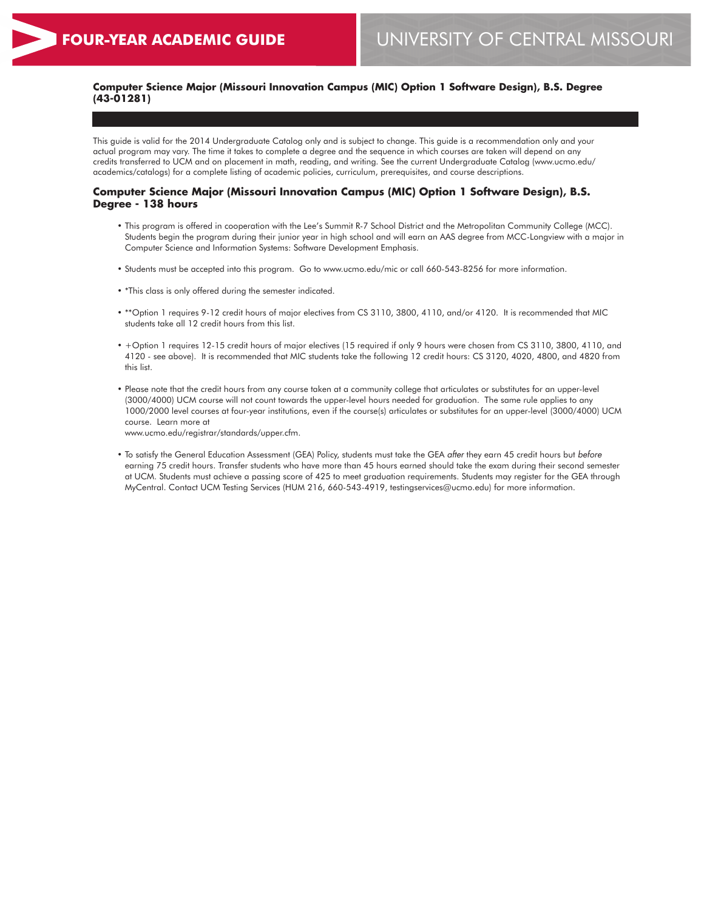## **Computer Science Major (Missouri Innovation Campus (MIC) Option 1 Software Design), B.S. Degree (43-01281)**

This guide is valid for the 2014 Undergraduate Catalog only and is subject to change. This guide is a recommendation only and your actual program may vary. The time it takes to complete a degree and the sequence in which courses are taken will depend on any credits transferred to UCM and on placement in math, reading, and writing. See the current Undergraduate Catalog (www.ucmo.edu/ academics/catalogs) for a complete listing of academic policies, curriculum, prerequisites, and course descriptions.

#### **Computer Science Major (Missouri Innovation Campus (MIC) Option 1 Software Design), B.S. Degree - 138 hours**

- This program is offered in cooperation with the Lee's Summit R-7 School District and the Metropolitan Community College (MCC). Students begin the program during their junior year in high school and will earn an AAS degree from MCC-Longview with a major in Computer Science and Information Systems: Software Development Emphasis.
- Students must be accepted into this program. Go to www.ucmo.edu/mic or call 660-543-8256 for more information.
- \*This class is only offered during the semester indicated.
- \*\*Option 1 requires 9-12 credit hours of major electives from CS 3110, 3800, 4110, and/or 4120. It is recommended that MIC students take all 12 credit hours from this list.
- +Option 1 requires 12-15 credit hours of major electives (15 required if only 9 hours were chosen from CS 3110, 3800, 4110, and 4120 - see above). It is recommended that MIC students take the following 12 credit hours: CS 3120, 4020, 4800, and 4820 from this list.
- Please note that the credit hours from any course taken at a community college that articulates or substitutes for an upper-level (3000/4000) UCM course will not count towards the upper-level hours needed for graduation. The same rule applies to any 1000/2000 level courses at four-year institutions, even if the course(s) articulates or substitutes for an upper-level (3000/4000) UCM course. Learn more at www.ucmo.edu/registrar/standards/upper.cfm.
- To satisfy the General Education Assessment (GEA) Policy, students must take the GEA *after* they earn 45 credit hours but *before* earning 75 credit hours. Transfer students who have more than 45 hours earned should take the exam during their second semester at UCM. Students must achieve a passing score of 425 to meet graduation requirements. Students may register for the GEA through MyCentral. Contact UCM Testing Services (HUM 216, 660-543-4919, testingservices@ucmo.edu) for more information.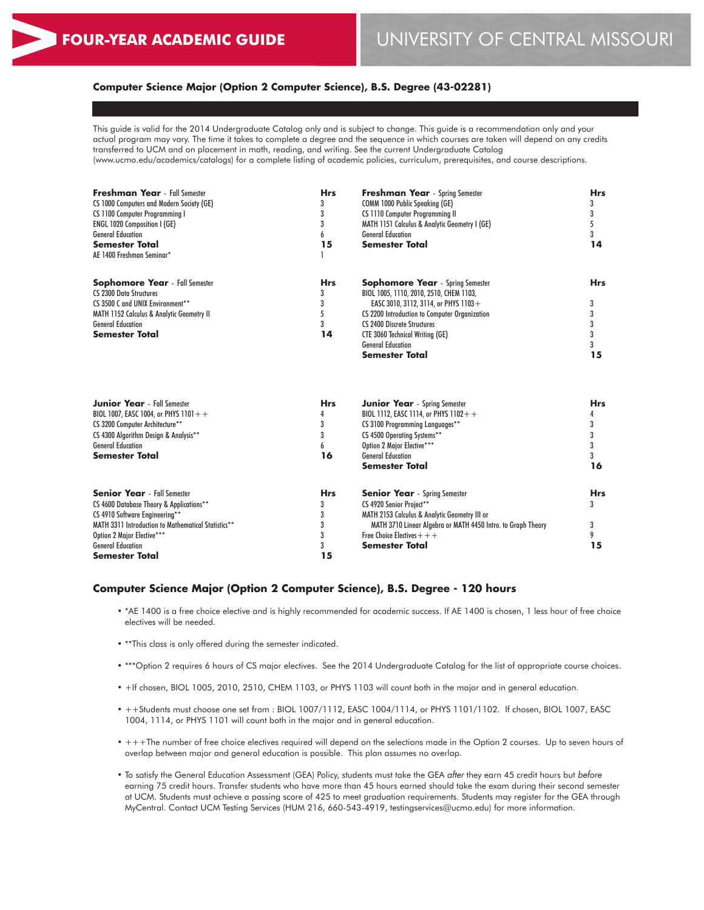## **Computer Science Major (Option 2 Computer Science), B.S. Degree (43-02281)**

This guide is valid for the 2014 Undergraduate Catalog only and is subject to change. This guide is a recommendation only and your actual program may vary. The time it takes to complete a degree and the sequence in which courses are taken will depend on any credits transferred to UCM and on placement in math, reading, and writing. See the current Undergraduate Catalog (www.ucmo.edu/academics/catalogs) for a complete listing of academic policies, curriculum, prerequisites, and course descriptions.

| Freshman Year - Fall Semester<br><b>CS 1000 Computers and Modern Society (GE)</b> | <b>Hrs</b><br>3 | <b>Freshman Year</b> - Spring Semester<br><b>COMM 1000 Public Speaking (GE)</b> | <b>Hrs</b><br>3 |  |
|-----------------------------------------------------------------------------------|-----------------|---------------------------------------------------------------------------------|-----------------|--|
| CS 1100 Computer Programming I                                                    | 3               | CS 1110 Computer Programming II                                                 | 3               |  |
| <b>ENGL 1020 Composition I (GE)</b>                                               | 3               | MATH 1151 Calculus & Analytic Geometry I (GE)                                   | 5               |  |
| <b>General Education</b>                                                          | 6               | <b>General Education</b>                                                        | 3               |  |
| <b>Semester Total</b>                                                             | 15              | <b>Semester Total</b>                                                           | 14              |  |
| AE 1400 Freshman Seminar*                                                         |                 |                                                                                 |                 |  |
| <b>Sophomore Year</b> - Fall Semester                                             | <b>Hrs</b>      | <b>Sophomore Year</b> - Spring Semester                                         | <b>Hrs</b>      |  |
| <b>CS 2300 Data Structures</b>                                                    | 3               | BIOL 1005, 1110, 2010, 2510, CHEM 1103,                                         |                 |  |
| CS 3500 C and UNIX Environment**                                                  | 3               | EASC 3010, 3112, 3114, or PHYS 1103+                                            | 3               |  |
| <b>MATH 1152 Calculus &amp; Analytic Geometry II</b>                              | 5               | CS 2200 Introduction to Computer Organization                                   | 3               |  |
| <b>General Education</b>                                                          | 3               | CS 2400 Discrete Structures                                                     | 3               |  |
| <b>Semester Total</b>                                                             | 14              | <b>CTE 3060 Technical Writing (GE)</b>                                          | 3               |  |
|                                                                                   |                 | <b>General Education</b>                                                        | 3               |  |
|                                                                                   |                 | <b>Semester Total</b>                                                           | 15              |  |
| <b>Junior Year</b> - Fall Semester                                                | <b>Hrs</b>      | <b>Junior Year</b> - Spring Semester                                            | <b>Hrs</b>      |  |
| BIOL 1007, EASC 1004, or PHYS 1101++                                              | 4               | BIOL 1112, EASC 1114, or PHYS $1102 + +$                                        | 4               |  |
| CS 3200 Computer Architecture**                                                   | 3<br>3          | CS 3100 Programming Languages**                                                 | 3<br>3          |  |
| CS 4300 Algorithm Design & Analysis**<br><b>General Education</b>                 | 6               | CS 4500 Operating Systems**<br>Option 2 Major Elective***                       | 3               |  |
| Semester Total                                                                    | 16              | <b>General Education</b>                                                        | 3               |  |
|                                                                                   |                 | <b>Semester Total</b>                                                           | 16              |  |
| <b>Senior Year</b> - Fall Semester                                                | <b>Hrs</b>      | <b>Senior Year</b> - Spring Semester                                            | <b>Hrs</b>      |  |
| CS 4600 Database Theory & Applications**                                          | 3               | CS 4920 Senior Project**                                                        | 3               |  |
| CS 4910 Software Engineering**                                                    | 3               | MATH 2153 Calculus & Analytic Geometry III or                                   |                 |  |
| MATH 3311 Introduction to Mathematical Statistics**                               | 3               | MATH 3710 Linear Algebra or MATH 4450 Intro. to Graph Theory                    | 3               |  |
| Option 2 Major Elective***                                                        | 3               | Free Choice Electives $++$                                                      | 9               |  |
| <b>General Education</b>                                                          | 3               | Semester Total                                                                  | 15              |  |
| Semester Total                                                                    | 15              |                                                                                 |                 |  |

#### **Computer Science Major (Option 2 Computer Science), B.S. Degree - 120 hours**

- \*AE 1400 is a free choice elective and is highly recommended for academic success. If AE 1400 is chosen, 1 less hour of free choice electives will be needed.
- \*\*This class is only offered during the semester indicated.
- \*\*\*Option 2 requires 6 hours of CS major electives. See the 2014 Undergraduate Catalog for the list of appropriate course choices.
- +If chosen, BIOL 1005, 2010, 2510, CHEM 1103, or PHYS 1103 will count both in the major and in general education.
- ++Students must choose one set from : BIOL 1007/1112, EASC 1004/1114, or PHYS 1101/1102. If chosen, BIOL 1007, EASC 1004, 1114, or PHYS 1101 will count both in the major and in general education.
- +++The number of free choice electives required will depend on the selections made in the Option 2 courses. Up to seven hours of overlap between major and general education is possible. This plan assumes no overlap.
- To satisfy the General Education Assessment (GEA) Policy, students must take the GEA *after* they earn 45 credit hours but *before* earning 75 credit hours. Transfer students who have more than 45 hours earned should take the exam during their second semester at UCM. Students must achieve a passing score of 425 to meet graduation requirements. Students may register for the GEA through MyCentral. Contact UCM Testing Services (HUM 216, 660-543-4919, testingservices@ucmo.edu) for more information.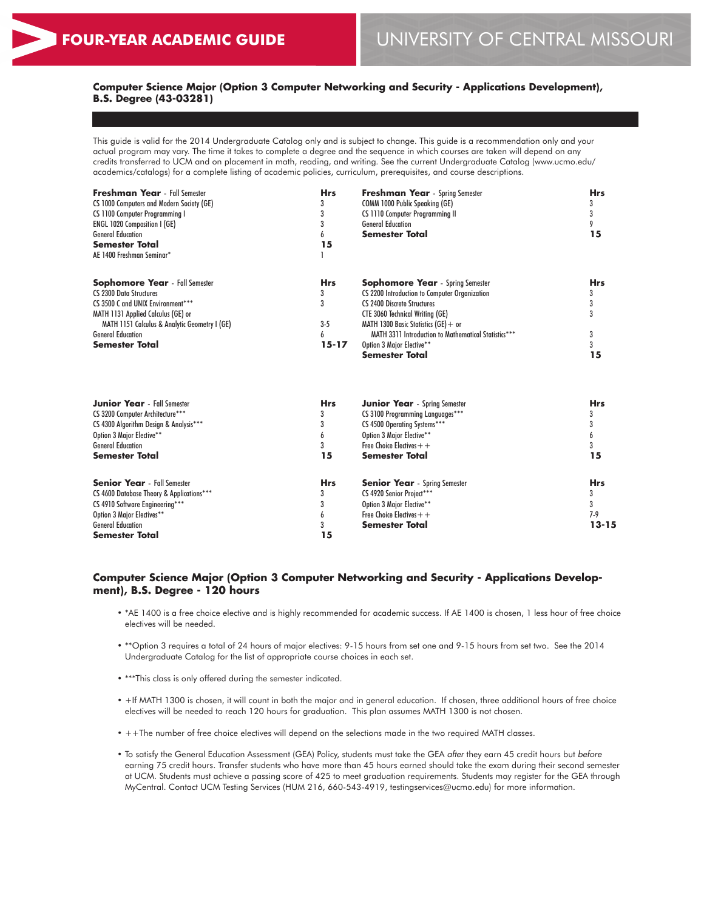General Education **Semester Total** **13-15**

### **Computer Science Major (Option 3 Computer Networking and Security - Applications Development), B.S. Degree (43-03281)**

This guide is valid for the 2014 Undergraduate Catalog only and is subject to change. This guide is a recommendation only and your actual program may vary. The time it takes to complete a degree and the sequence in which courses are taken will depend on any credits transferred to UCM and on placement in math, reading, and writing. See the current Undergraduate Catalog (www.ucmo.edu/ academics/catalogs) for a complete listing of academic policies, curriculum, prerequisites, and course descriptions.

| <b>Freshman Year</b> - Fall Semester<br>CS 1000 Computers and Modern Society (GE)<br>CS 1100 Computer Programming I<br><b>ENGL 1020 Composition I (GE)</b><br><b>General Education</b><br><b>Semester Total</b><br>AE 1400 Freshman Seminar*      | <b>Hrs</b><br>3<br>3<br>15             | <b>Freshman Year</b> - Spring Semester<br>COMM 1000 Public Speaking (GE)<br>CS 1110 Computer Programming II<br><b>General Education</b><br><b>Semester Total</b>                                                                                                                                                          | <b>Hrs</b><br>3<br>3<br>9<br>15           |
|---------------------------------------------------------------------------------------------------------------------------------------------------------------------------------------------------------------------------------------------------|----------------------------------------|---------------------------------------------------------------------------------------------------------------------------------------------------------------------------------------------------------------------------------------------------------------------------------------------------------------------------|-------------------------------------------|
| <b>Sophomore Year</b> - Fall Semester<br><b>CS 2300 Data Structures</b><br>CS 3500 C and UNIX Environment***<br>MATH 1131 Applied Calculus (GE) or<br>MATH 1151 Calculus & Analytic Geometry I (GE)<br><b>General Education</b><br>Semester Total | <b>Hrs</b><br>3<br>3<br>$3-5$<br>15-17 | <b>Sophomore Year</b> - Spring Semester<br>CS 2200 Introduction to Computer Organization<br>CS 2400 Discrete Structures<br><b>CTE 3060 Technical Writing (GE)</b><br>MATH 1300 Basic Statistics $(GE) + or$<br>MATH 3311 Introduction to Mathematical Statistics***<br>Option 3 Major Elective**<br><b>Semester Total</b> | <b>Hrs</b><br>3<br>3<br>3<br>3<br>3<br>15 |
| <b>Junior Year</b> - Fall Semester<br>CS 3200 Computer Architecture***<br>CS 4300 Algorithm Design & Analysis***<br>Option 3 Major Elective**<br><b>General Education</b><br><b>Semester Total</b>                                                | <b>Hrs</b><br>3<br>3<br>6<br>3<br>15   | <b>Junior Year</b> - Spring Semester<br>CS 3100 Programming Languages***<br>CS 4500 Operating Systems***<br>Option 3 Major Elective**<br>Free Choice Electives $+$ +<br>Semester Total                                                                                                                                    | <b>Hrs</b><br>3<br>3<br>6<br>3<br>15      |
| <b>Senior Year</b> - Fall Semester<br>CS 4600 Database Theory & Applications***<br>CS 4910 Software Engineering***<br>Option 3 Major Electives**                                                                                                  | <b>Hrs</b><br>3<br>6                   | <b>Senior Year</b> - Spring Semester<br>CS 4920 Senior Project***<br>Option 3 Major Elective**<br>Free Choice Electives $+$ +                                                                                                                                                                                             | <b>Hrs</b><br>3<br>3<br>$7-9$             |

### **Computer Science Major (Option 3 Computer Networking and Security - Applications Development), B.S. Degree - 120 hours**

3 **15**

• \*AE 1400 is a free choice elective and is highly recommended for academic success. If AE 1400 is chosen, 1 less hour of free choice electives will be needed.

**Semester Total**

- \*\*Option 3 requires a total of 24 hours of major electives: 9-15 hours from set one and 9-15 hours from set two. See the 2014 Undergraduate Catalog for the list of appropriate course choices in each set.
- \*\*\*This class is only offered during the semester indicated.
- +If MATH 1300 is chosen, it will count in both the major and in general education. If chosen, three additional hours of free choice electives will be needed to reach 120 hours for graduation. This plan assumes MATH 1300 is not chosen.
- ++The number of free choice electives will depend on the selections made in the two required MATH classes.
- To satisfy the General Education Assessment (GEA) Policy, students must take the GEA *after* they earn 45 credit hours but *before* earning 75 credit hours. Transfer students who have more than 45 hours earned should take the exam during their second semester at UCM. Students must achieve a passing score of 425 to meet graduation requirements. Students may register for the GEA through MyCentral. Contact UCM Testing Services (HUM 216, 660-543-4919, testingservices@ucmo.edu) for more information.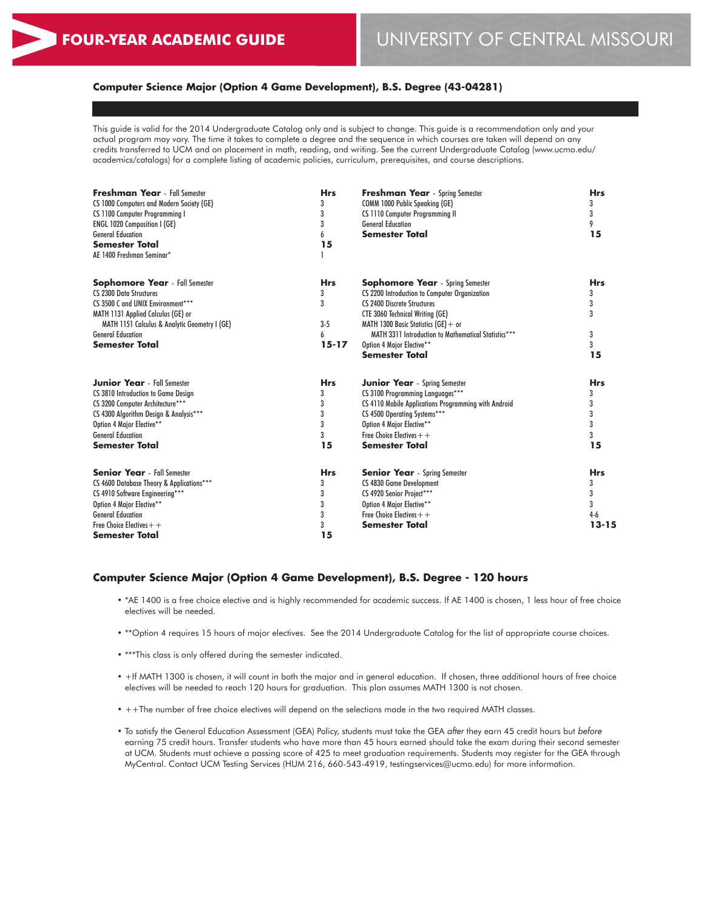#### **Computer Science Major (Option 4 Game Development), B.S. Degree (43-04281)**

This guide is valid for the 2014 Undergraduate Catalog only and is subject to change. This guide is a recommendation only and your actual program may vary. The time it takes to complete a degree and the sequence in which courses are taken will depend on any credits transferred to UCM and on placement in math, reading, and writing. See the current Undergraduate Catalog (www.ucmo.edu/ academics/catalogs) for a complete listing of academic policies, curriculum, prerequisites, and course descriptions.

| <b>Freshman Year</b> - Fall Semester          | <b>Hrs</b> | <b>Freshman Year</b> - Spring Semester               | <b>Hrs</b> |  |
|-----------------------------------------------|------------|------------------------------------------------------|------------|--|
| CS 1000 Computers and Modern Society (GE)     | 3          | COMM 1000 Public Speaking (GE)                       | 3          |  |
| CS 1100 Computer Programming I                | 3          | CS 1110 Computer Programming II                      | 3          |  |
| <b>ENGL 1020 Composition I (GE)</b>           | 3          | <b>General Education</b>                             | 9          |  |
| <b>General Education</b>                      | 6          | <b>Semester Total</b>                                | 15         |  |
| <b>Semester Total</b>                         | 15         |                                                      |            |  |
| AE 1400 Freshman Seminar*                     |            |                                                      |            |  |
| <b>Sophomore Year</b> - Fall Semester         | <b>Hrs</b> | <b>Sophomore Year</b> - Spring Semester              | <b>Hrs</b> |  |
| <b>CS 2300 Data Structures</b>                | 3          | CS 2200 Introduction to Computer Organization        | 3          |  |
| CS 3500 C and UNIX Environment***             | 3          | <b>CS 2400 Discrete Structures</b>                   | 3          |  |
| MATH 1131 Applied Calculus (GE) or            |            | <b>CTE 3060 Technical Writing (GE)</b>               | 3          |  |
| MATH 1151 Calculus & Analytic Geometry I (GE) | $3-5$      | MATH 1300 Basic Statistics (GE) + or                 |            |  |
| <b>General Education</b>                      | 6          | MATH 3311 Introduction to Mathematical Statistics*** | 3          |  |
| <b>Semester Total</b>                         | $15 - 17$  | Option 4 Major Elective**                            | 3          |  |
|                                               |            | <b>Semester Total</b>                                | 15         |  |
| <b>Junior Year</b> - Fall Semester            | <b>Hrs</b> | <b>Junior Year</b> - Spring Semester                 | <b>Hrs</b> |  |
| CS 3810 Introduction to Game Design           | 3          | CS 3100 Programming Languages***                     | 3          |  |
| CS 3200 Computer Architecture***              | 3          | CS 4110 Mobile Applications Programming with Android | 3          |  |
| CS 4300 Algorithm Design & Analysis***        | 3          | CS 4500 Operating Systems***                         | 3          |  |
| Option 4 Major Elective**                     | 3          | Option 4 Major Elective**                            | 3          |  |
| <b>General Education</b>                      | 3          | Free Choice Electives $++$                           | 3          |  |
| Semester Total                                | 15         | <b>Semester Total</b>                                | 15         |  |
| <b>Senior Year</b> - Fall Semester            | <b>Hrs</b> | <b>Senior Year</b> - Spring Semester                 | <b>Hrs</b> |  |
| CS 4600 Database Theory & Applications***     | 3          | CS 4830 Game Development                             | 3          |  |
| CS 4910 Software Engineering***               | 3          | CS 4920 Senior Project***                            | 3          |  |
| Option 4 Major Elective**                     | 3          | Option 4 Major Elective**                            | 3          |  |
| <b>General Education</b>                      | 3          | Free Choice Electives $++$                           | $4-6$      |  |
| Free Choice Electives $+$ +                   | 3          | <b>Semester Total</b>                                | $13 - 15$  |  |
| Semester Total                                | 15         |                                                      |            |  |

#### **Computer Science Major (Option 4 Game Development), B.S. Degree - 120 hours**

- \*AE 1400 is a free choice elective and is highly recommended for academic success. If AE 1400 is chosen, 1 less hour of free choice electives will be needed.
- \*\*Option 4 requires 15 hours of major electives. See the 2014 Undergraduate Catalog for the list of appropriate course choices.
- \*\*\*This class is only offered during the semester indicated.
- +If MATH 1300 is chosen, it will count in both the major and in general education. If chosen, three additional hours of free choice electives will be needed to reach 120 hours for graduation. This plan assumes MATH 1300 is not chosen.
- ++The number of free choice electives will depend on the selections made in the two required MATH classes.
- To satisfy the General Education Assessment (GEA) Policy, students must take the GEA *after* they earn 45 credit hours but *before* earning 75 credit hours. Transfer students who have more than 45 hours earned should take the exam during their second semester at UCM. Students must achieve a passing score of 425 to meet graduation requirements. Students may register for the GEA through MyCentral. Contact UCM Testing Services (HUM 216, 660-543-4919, testingservices@ucmo.edu) for more information.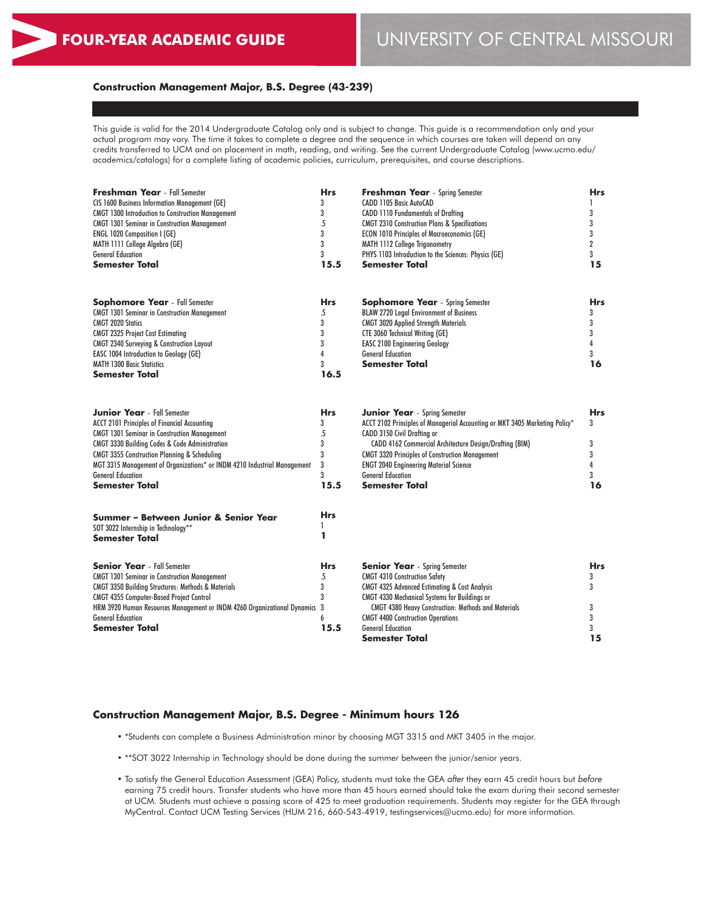# **FOUR-YEAR ACADEMIC GUIDE** UNIVERSITY OF CENTRAL MISSOURI

#### **Construction Management Major, B.S. Degree (43-239)**

This guide is valid for the 2014 Undergraduate Catalog only and is subject to change. This guide is a recommendation only and your actual program may vary. The time it takes to complete a degree and the sequence in which courses are taken will depend on any credits transferred to UCM and on placement in math, reading, and writing. See the current Undergraduate Catalog (www.ucmo.edu/ academics/catalogs) for a complete listing of academic policies, curriculum, prerequisites, and course descriptions.

| <b>Freshman Year</b> - Fall Semester                                       | <b>Hrs</b>     | <b>Freshman Year</b> - Spring Semester                                      | <b>Hrs</b>       |
|----------------------------------------------------------------------------|----------------|-----------------------------------------------------------------------------|------------------|
| CIS 1600 Business Information Management (GE)                              | 3              | CADD 1105 Basic AutoCAD                                                     | 1                |
| <b>CMGT 1300 Introduction to Construction Management</b>                   | 3              | <b>CADD 1110 Fundamentals of Drafting</b>                                   | 3                |
| <b>CMGT 1301 Seminar in Construction Management</b>                        | $\overline{5}$ | <b>CMGT 2310 Construction Plans &amp; Specifications</b>                    | 3                |
| <b>ENGL 1020 Composition I (GE)</b>                                        | 3              | <b>ECON 1010 Principles of Macroeconomics (GE)</b>                          | 3                |
| MATH 1111 College Algebra (GE)                                             | 3              | <b>MATH 1112 College Trigonometry</b>                                       | $\boldsymbol{2}$ |
| <b>General Education</b>                                                   | 3              | PHYS 1103 Introduction to the Sciences: Physics (GE)                        | 3                |
| <b>Semester Total</b>                                                      | 15.5           | <b>Semester Total</b>                                                       | 15               |
| <b>Sophomore Year</b> - Fall Semester                                      | <b>Hrs</b>     | <b>Sophomore Year</b> - Spring Semester                                     | <b>Hrs</b>       |
| <b>CMGT 1301 Seminar in Construction Management</b>                        | .5             | <b>BLAW 2720 Legal Environment of Business</b>                              | 3                |
| <b>CMGT 2020 Statics</b>                                                   | 3              | <b>CMGT 3020 Applied Strength Materials</b>                                 | 3                |
| <b>CMGT 2325 Project Cost Estimating</b>                                   | 3              | <b>CTE 3060 Technical Writing (GE)</b>                                      | 3                |
| <b>CMGT 2340 Surveying &amp; Construction Layout</b>                       | 3              | <b>EASC 2100 Engineering Geology</b>                                        | 4                |
| EASC 1004 Introduction to Geology (GE)                                     | $\overline{4}$ | <b>General Education</b>                                                    | 3                |
| <b>MATH 1300 Basic Statistics</b>                                          | 3              | <b>Semester Total</b>                                                       | 16               |
| <b>Semester Total</b>                                                      | 16.5           |                                                                             |                  |
| <b>Junior Year</b> - Fall Semester                                         | <b>Hrs</b>     | <b>Junior Year</b> - Spring Semester                                        | <b>Hrs</b>       |
| <b>ACCT 2101 Principles of Financial Accounting</b>                        | 3              | ACCT 2102 Principles of Managerial Accounting or MKT 3405 Marketing Policy* | 3                |
| <b>CMGT 1301 Seminar in Construction Management</b>                        | .5             | CADD 3150 Civil Drafting or                                                 |                  |
| <b>CMGT 3330 Building Codes &amp; Code Administration</b>                  | 3              | CADD 4162 Commercial Architecture Design/Drafting (BIM)                     | 3                |
| <b>CMGT 3355 Construction Planning &amp; Scheduling</b>                    | 3              | <b>CMGT 3320 Principles of Construction Management</b>                      | 3                |
| MGT 3315 Management of Organizations* or INDM 4210 Industrial Management   | 3              | <b>ENGT 2040 Engineering Material Science</b>                               | 4                |
| <b>General Education</b>                                                   | 3              | <b>General Education</b>                                                    | 3                |
| <b>Semester Total</b>                                                      | 15.5           | Semester Total                                                              | 16               |
| Summer - Between Junior & Senior Year                                      | <b>Hrs</b>     |                                                                             |                  |
| SOT 3022 Internship in Technology**                                        | 1              |                                                                             |                  |
| <b>Semester Total</b>                                                      | ı              |                                                                             |                  |
| <b>Senior Year</b> - Fall Semester                                         | <b>Hrs</b>     | <b>Senior Year</b> - Spring Semester                                        | <b>Hrs</b>       |
| <b>CMGT 1301 Seminar in Construction Management</b>                        | .5             | <b>CMGT 4310 Construction Safety</b>                                        | 3                |
| <b>CMGT 3350 Building Structures: Methods &amp; Materials</b>              | 3              | <b>CMGT 4325 Advanced Estimating &amp; Cost Analysis</b>                    | 3                |
| CMGT 4355 Computer-Based Project Control                                   | 3              | <b>CMGT 4330 Mechanical Systems for Buildings or</b>                        |                  |
| HRM 3920 Human Resources Management or INDM 4260 Organizational Dynamics 3 |                | <b>CMGT 4380 Heavy Construction: Methods and Materials</b>                  | 3                |
| <b>General Education</b>                                                   | 6              | <b>CMGT 4400 Construction Operations</b>                                    | 3                |
| <b>Semester Total</b>                                                      | 15.5           | <b>General Education</b>                                                    | 3                |
|                                                                            |                | <b>Semester Total</b>                                                       | 15               |

#### **Construction Management Major, B.S. Degree - Minimum hours 126**

- \*Students can complete a Business Administration minor by choosing MGT 3315 and MKT 3405 in the major.
- \*\*SOT 3022 Internship in Technology should be done during the summer between the junior/senior years.
- To satisfy the General Education Assessment (GEA) Policy, students must take the GEA *after* they earn 45 credit hours but *before* earning 75 credit hours. Transfer students who have more than 45 hours earned should take the exam during their second semester at UCM. Students must achieve a passing score of 425 to meet graduation requirements. Students may register for the GEA through MyCentral. Contact UCM Testing Services (HUM 216, 660-543-4919, testingservices@ucmo.edu) for more information.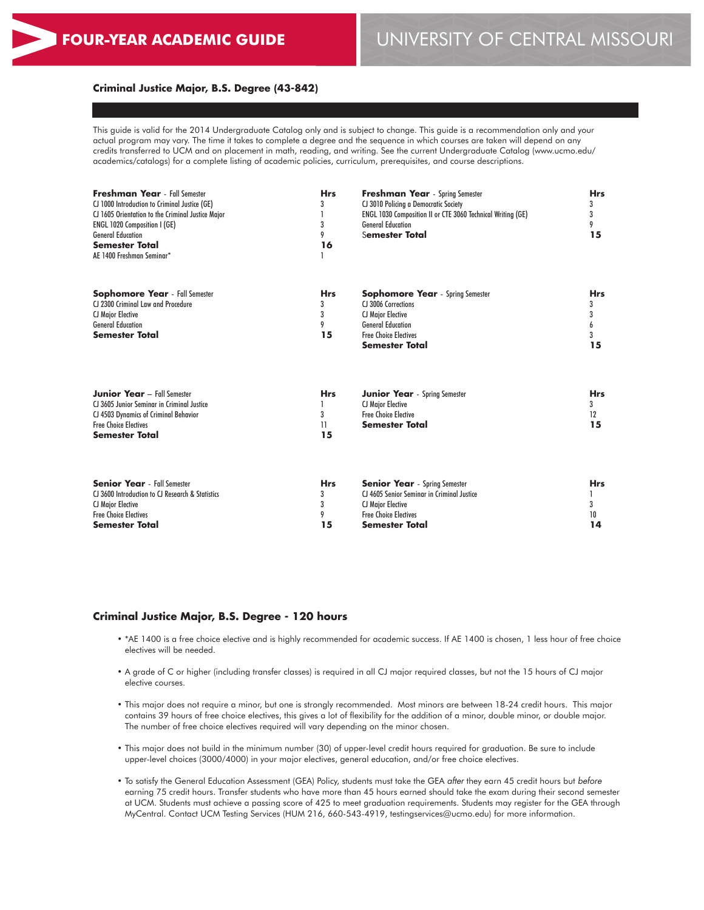#### **Criminal Justice Major, B.S. Degree (43-842)**

This guide is valid for the 2014 Undergraduate Catalog only and is subject to change. This guide is a recommendation only and your actual program may vary. The time it takes to complete a degree and the sequence in which courses are taken will depend on any credits transferred to UCM and on placement in math, reading, and writing. See the current Undergraduate Catalog (www.ucmo.edu/ academics/catalogs) for a complete listing of academic policies, curriculum, prerequisites, and course descriptions.

| <b>Freshman Year</b> - Fall Semester<br>CJ 1000 Introduction to Criminal Justice (GE)<br>CJ 1605 Orientation to the Criminal Justice Major<br><b>ENGL 1020 Composition I (GE)</b><br><b>General Education</b><br><b>Semester Total</b><br>AE 1400 Freshman Seminar* | <b>Hrs</b><br>3<br>3<br>9<br>16 | <b>Freshman Year</b> - Spring Semester<br>CJ 3010 Policing a Democratic Society<br>ENGL 1030 Composition II or CTE 3060 Technical Writing (GE)<br><b>General Education</b><br>Semester Total | <b>Hrs</b><br>3<br>3<br>9<br>15 |
|---------------------------------------------------------------------------------------------------------------------------------------------------------------------------------------------------------------------------------------------------------------------|---------------------------------|----------------------------------------------------------------------------------------------------------------------------------------------------------------------------------------------|---------------------------------|
| <b>Sophomore Year</b> - Fall Semester<br>CJ 2300 Criminal Law and Procedure<br><b>CJ Major Elective</b><br><b>General Education</b><br><b>Semester Total</b>                                                                                                        | <b>Hrs</b><br>3<br>3<br>9<br>15 | <b>Sophomore Year</b> - Spring Semester<br>CL3006 Corrections<br><b>CJ Major Elective</b><br><b>General Education</b><br><b>Free Choice Electives</b><br>Semester Total                      | <b>Hrs</b><br>3<br>3<br>3<br>15 |
| <b>Junior Year</b> - Fall Semester<br>CJ 3605 Junior Seminar in Criminal Justice<br>CJ 4503 Dynamics of Criminal Behavior<br><b>Free Choice Electives</b><br><b>Semester Total</b>                                                                                  | <b>Hrs</b><br>3<br>11<br>15     | <b>Junior Year</b> - Spring Semester<br><b>CJ Major Elective</b><br><b>Free Choice Elective</b><br><b>Semester Total</b>                                                                     | <b>Hrs</b><br>3<br>12<br>15     |

| <b>Senior Year</b> - Fall Semester<br>CJ 3600 Introduction to CJ Research & Statistics<br><b>CJ Major Elective</b> | <b>Hrs</b> | <b>Senior Year</b> - Spring Semester<br>CJ 4605 Senior Seminar in Criminal Justice<br><b>CJ Maior Elective</b> | <b>Hrs</b> |
|--------------------------------------------------------------------------------------------------------------------|------------|----------------------------------------------------------------------------------------------------------------|------------|
| <b>Free Choice Electives</b>                                                                                       |            | <b>Free Choice Flectives</b>                                                                                   |            |
| <b>Semester Total</b>                                                                                              | 15         | Semester Total                                                                                                 | 14         |

#### **Criminal Justice Major, B.S. Degree - 120 hours**

- \*AE 1400 is a free choice elective and is highly recommended for academic success. If AE 1400 is chosen, 1 less hour of free choice electives will be needed.
- A grade of C or higher (including transfer classes) is required in all CJ major required classes, but not the 15 hours of CJ major elective courses.
- This major does not require a minor, but one is strongly recommended. Most minors are between 18-24 credit hours. This major contains 39 hours of free choice electives, this gives a lot of flexibility for the addition of a minor, double minor, or double major. The number of free choice electives required will vary depending on the minor chosen.
- This major does not build in the minimum number (30) of upper-level credit hours required for graduation. Be sure to include upper-level choices (3000/4000) in your major electives, general education, and/or free choice electives.
- To satisfy the General Education Assessment (GEA) Policy, students must take the GEA *after* they earn 45 credit hours but *before* earning 75 credit hours. Transfer students who have more than 45 hours earned should take the exam during their second semester at UCM. Students must achieve a passing score of 425 to meet graduation requirements. Students may register for the GEA through MyCentral. Contact UCM Testing Services (HUM 216, 660-543-4919, testingservices@ucmo.edu) for more information.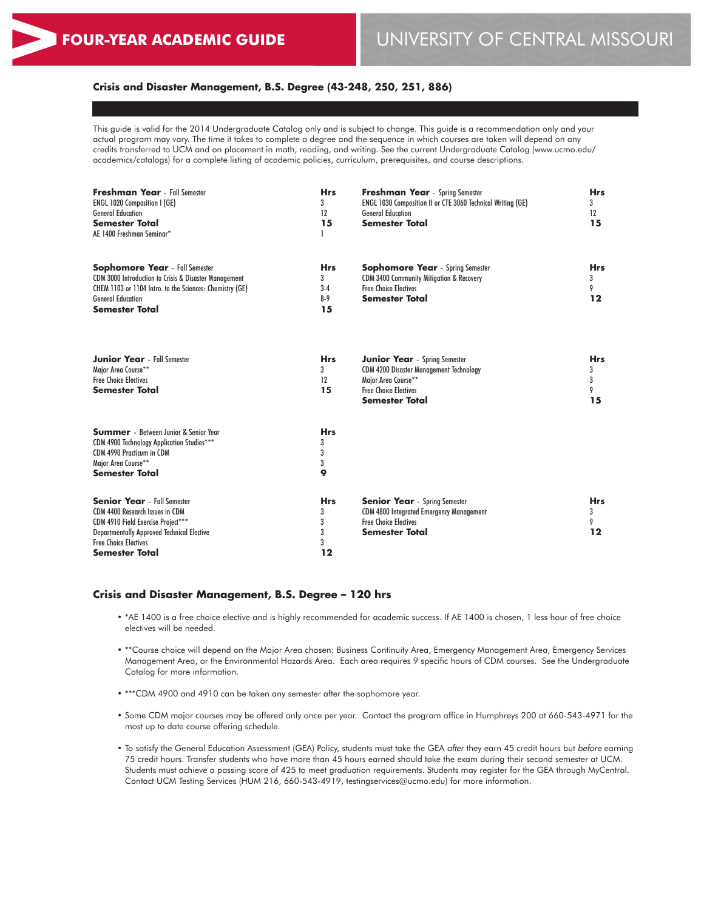## **Crisis and Disaster Management, B.S. Degree (43-248, 250, 251, 886)**

This guide is valid for the 2014 Undergraduate Catalog only and is subject to change. This guide is a recommendation only and your actual program may vary. The time it takes to complete a degree and the sequence in which courses are taken will depend on any credits transferred to UCM and on placement in math, reading, and writing. See the current Undergraduate Catalog (www.ucmo.edu/ academics/catalogs) for a complete listing of academic policies, curriculum, prerequisites, and course descriptions.

| <b>Freshman Year</b> - Fall Semester<br>ENGL 1020 Composition I (GE)<br><b>General Education</b><br><b>Semester Total</b><br>AE 1400 Freshman Seminar*                                                             | <b>Hrs</b><br>3<br>12<br>15             | <b>Freshman Year</b> - Spring Semester<br>ENGL 1030 Composition II or CTE 3060 Technical Writing (GE)<br><b>General Education</b><br><b>Semester Total</b>             | <b>Hrs</b><br>3<br>12<br>15     |
|--------------------------------------------------------------------------------------------------------------------------------------------------------------------------------------------------------------------|-----------------------------------------|------------------------------------------------------------------------------------------------------------------------------------------------------------------------|---------------------------------|
| <b>Sophomore Year</b> - Fall Semester<br>CDM 3000 Introduction to Crisis & Disaster Management<br>CHEM 1103 or 1104 Intro. to the Sciences: Chemistry (GE)<br><b>General Education</b><br><b>Semester Total</b>    | <b>Hrs</b><br>3<br>$3-4$<br>$8-9$<br>15 | <b>Sophomore Year</b> - Spring Semester<br>CDM 3400 Community Mitigation & Recovery<br><b>Free Choice Electives</b><br><b>Semester Total</b>                           | <b>Hrs</b><br>3<br>9<br>12      |
| <b>Junior Year</b> - Fall Semester<br>Major Area Course**<br><b>Free Choice Electives</b><br><b>Semester Total</b>                                                                                                 | <b>Hrs</b><br>3<br>12<br>15             | <b>Junior Year</b> - Spring Semester<br><b>CDM 4200 Disaster Management Technology</b><br>Major Area Course**<br><b>Free Choice Electives</b><br><b>Semester Total</b> | <b>Hrs</b><br>3<br>3<br>9<br>15 |
| <b>Summer</b> - Between Junior & Senior Year<br>CDM 4900 Technology Application Studies***<br>CDM 4990 Practicum in CDM<br>Major Area Course**<br><b>Semester Total</b>                                            | <b>Hrs</b><br>3<br>3<br>3<br>9          |                                                                                                                                                                        |                                 |
| <b>Senior Year</b> - Fall Semester<br>CDM 4400 Research Issues in CDM<br>CDM 4910 Field Exercise Project***<br><b>Departmentally Approved Technical Elective</b><br><b>Free Choice Electives</b><br>Semester Total | <b>Hrs</b><br>3<br>3<br>3<br>3<br>12    | <b>Senior Year</b> - Spring Semester<br><b>CDM 4800 Integrated Emergency Management</b><br><b>Free Choice Electives</b><br><b>Semester Total</b>                       | <b>Hrs</b><br>3<br>9<br>12      |

#### **Crisis and Disaster Management, B.S. Degree – 120 hrs**

- \*AE 1400 is a free choice elective and is highly recommended for academic success. If AE 1400 is chosen, 1 less hour of free choice electives will be needed.
- \*\*Course choice will depend on the Major Area chosen: Business Continuity Area, Emergency Management Area, Emergency Services Management Area, or the Environmental Hazards Area. Each area requires 9 specific hours of CDM courses. See the Undergraduate Catalog for more information.
- \*\*\*CDM 4900 and 4910 can be taken any semester after the sophomore year.
- Some CDM major courses may be offered only once per year. Contact the program office in Humphreys 200 at 660-543-4971 for the most up to date course offering schedule.
- To satisfy the General Education Assessment (GEA) Policy, students must take the GEA *after* they earn 45 credit hours but *before* earning 75 credit hours. Transfer students who have more than 45 hours earned should take the exam during their second semester at UCM. Students must achieve a passing score of 425 to meet graduation requirements. Students may register for the GEA through MyCentral. Contact UCM Testing Services (HUM 216, 660-543-4919, testingservices@ucmo.edu) for more information.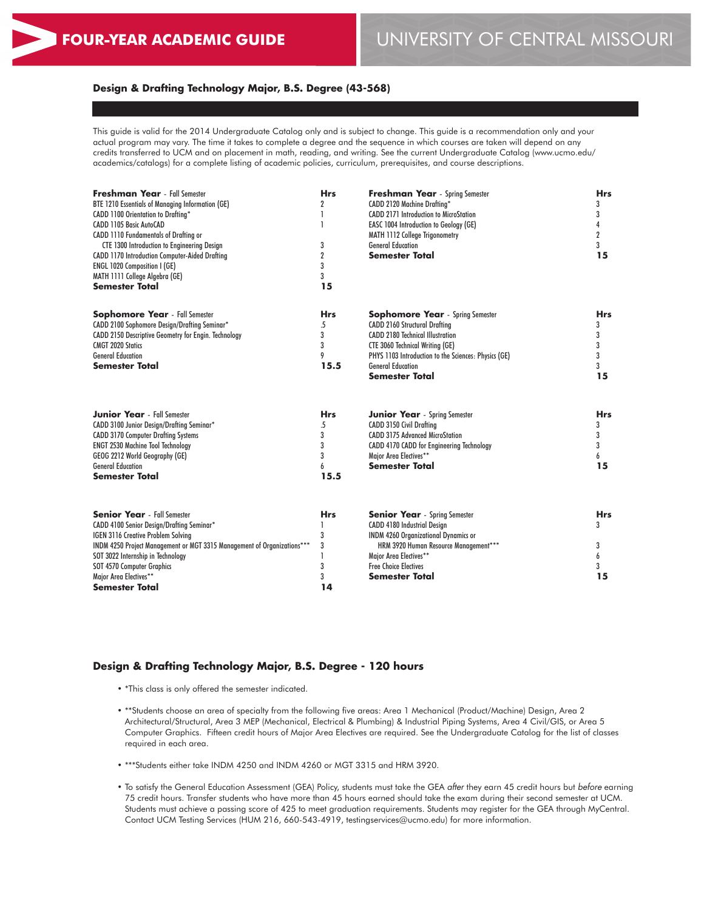## **Design & Drafting Technology Major, B.S. Degree (43-568)**

This guide is valid for the 2014 Undergraduate Catalog only and is subject to change. This guide is a recommendation only and your actual program may vary. The time it takes to complete a degree and the sequence in which courses are taken will depend on any credits transferred to UCM and on placement in math, reading, and writing. See the current Undergraduate Catalog (www.ucmo.edu/ academics/catalogs) for a complete listing of academic policies, curriculum, prerequisites, and course descriptions.

| <b>Freshman Year</b> - Fall Semester                                    | <b>Hrs</b>     | <b>Freshman Year</b> - Spring Semester               | <b>Hrs</b>                    |  |
|-------------------------------------------------------------------------|----------------|------------------------------------------------------|-------------------------------|--|
| BTE 1210 Essentials of Managing Information (GE)                        | $\overline{2}$ | CADD 2120 Machine Drafting*                          | 3<br>3<br>4<br>$\overline{2}$ |  |
| CADD 1100 Orientation to Drafting*                                      |                | <b>CADD 2171 Introduction to MicroStation</b>        |                               |  |
| CADD 1105 Basic AutoCAD                                                 |                | EASC 1004 Introduction to Geology (GE)               |                               |  |
| CADD 1110 Fundamentals of Drafting or                                   |                | <b>MATH 1112 College Trigonometry</b>                |                               |  |
| <b>CTE 1300 Introduction to Engineering Design</b>                      | 3              | <b>General Education</b>                             | 3                             |  |
| <b>CADD 1170 Introduction Computer-Aided Drafting</b>                   | $\overline{2}$ | <b>Semester Total</b>                                | 15                            |  |
| <b>ENGL 1020 Composition I (GE)</b>                                     | 3              |                                                      |                               |  |
| MATH 1111 College Algebra (GE)                                          | 3              |                                                      |                               |  |
| Semester Total                                                          | 15             |                                                      |                               |  |
| <b>Sophomore Year</b> - Fall Semester                                   | <b>Hrs</b>     | <b>Sophomore Year</b> - Spring Semester              | <b>Hrs</b>                    |  |
| CADD 2100 Sophomore Design/Drafting Seminar*                            | .5             | <b>CADD 2160 Structural Drafting</b>                 | 3                             |  |
| CADD 2150 Descriptive Geometry for Engin. Technology                    | 3              | <b>CADD 2180 Technical Illustration</b>              | 3                             |  |
| <b>CMGT 2020 Statics</b>                                                | 3              | <b>CTE 3060 Technical Writing (GE)</b>               | 3                             |  |
| <b>General Education</b>                                                | 9              | PHYS 1103 Introduction to the Sciences: Physics (GE) | 3                             |  |
| <b>Semester Total</b>                                                   | 15.5           | <b>General Education</b>                             | 3                             |  |
|                                                                         |                | <b>Semester Total</b>                                | 15                            |  |
|                                                                         |                |                                                      |                               |  |
| <b>Junior Year</b> - Fall Semester                                      | <b>Hrs</b>     | <b>Junior Year</b> - Spring Semester                 | <b>Hrs</b>                    |  |
| CADD 3100 Junior Design/Drafting Seminar*                               | .5             | <b>CADD 3150 Civil Draftina</b>                      | 3                             |  |
| <b>CADD 3170 Computer Drafting Systems</b>                              | 3              | <b>CADD 3175 Advanced MicroStation</b>               | 3                             |  |
| <b>ENGT 2530 Machine Tool Technology</b>                                | 3              | CADD 4170 CADD for Engineering Technology            | 3                             |  |
| GEOG 2212 World Geography (GE)                                          | 3              | Major Area Electives**                               | 6                             |  |
| <b>General Education</b>                                                | 6              | <b>Semester Total</b>                                | 15                            |  |
| <b>Semester Total</b>                                                   | 15.5           |                                                      |                               |  |
| <b>Senior Year</b> - Fall Semester                                      | <b>Hrs</b>     | <b>Senior Year</b> - Spring Semester                 | <b>Hrs</b>                    |  |
| CADD 4100 Senior Design/Drafting Seminar*                               |                | CADD 4180 Industrial Design                          | 3                             |  |
| IGEN 3116 Creative Problem Solving                                      | 3              | <b>INDM 4260 Organizational Dynamics or</b>          |                               |  |
| INDM 4250 Project Management or MGT 3315 Management of Organizations*** | 3              | HRM 3920 Human Resource Management***                | 3                             |  |
| SOT 3022 Internship in Technology                                       |                | Major Area Electives**                               | 6                             |  |
| SOT 4570 Computer Graphics                                              | 3              | <b>Free Choice Electives</b>                         | 3                             |  |
| Major Area Electives**                                                  | 3              | <b>Semester Total</b>                                | 15                            |  |
| Semester Total                                                          | 14             |                                                      |                               |  |
|                                                                         |                |                                                      |                               |  |

## **Design & Drafting Technology Major, B.S. Degree - 120 hours**

- \*This class is only offered the semester indicated.
- \*\*Students choose an area of specialty from the following five areas: Area 1 Mechanical (Product/Machine) Design, Area 2 Architectural/Structural, Area 3 MEP (Mechanical, Electrical & Plumbing) & Industrial Piping Systems, Area 4 Civil/GIS, or Area 5 Computer Graphics. Fifteen credit hours of Major Area Electives are required. See the Undergraduate Catalog for the list of classes required in each area.
- \*\*\*Students either take INDM 4250 and INDM 4260 or MGT 3315 and HRM 3920.
- To satisfy the General Education Assessment (GEA) Policy, students must take the GEA *after* they earn 45 credit hours but *before* earning 75 credit hours. Transfer students who have more than 45 hours earned should take the exam during their second semester at UCM. Students must achieve a passing score of 425 to meet graduation requirements. Students may register for the GEA through MyCentral. Contact UCM Testing Services (HUM 216, 660-543-4919, testingservices@ucmo.edu) for more information.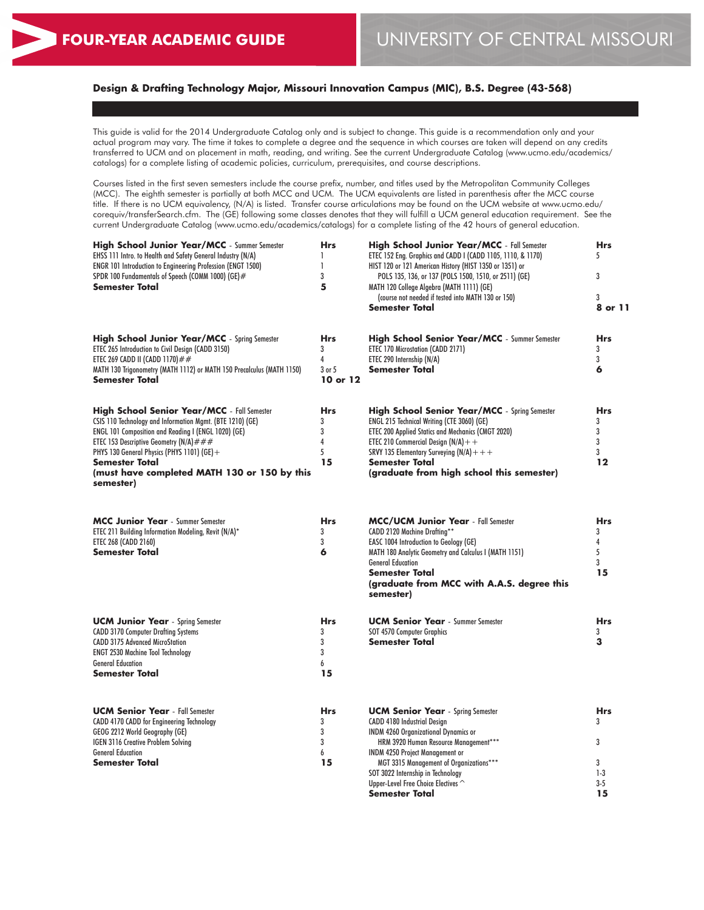# **Design & Drafting Technology Major, Missouri Innovation Campus (MIC), B.S. Degree (43-568)**

This guide is valid for the 2014 Undergraduate Catalog only and is subject to change. This guide is a recommendation only and your actual program may vary. The time it takes to complete a degree and the sequence in which courses are taken will depend on any credits transferred to UCM and on placement in math, reading, and writing. See the current Undergraduate Catalog (www.ucmo.edu/academics/ catalogs) for a complete listing of academic policies, curriculum, prerequisites, and course descriptions.

Courses listed in the first seven semesters include the course prefix, number, and titles used by the Metropolitan Community Colleges (MCC). The eighth semester is partially at both MCC and UCM. The UCM equivalents are listed in parenthesis after the MCC course title. If there is no UCM equivalency, (N/A) is listed. Transfer course articulations may be found on the UCM website at www.ucmo.edu/ corequiv/transferSearch.cfm. The (GE) following some classes denotes that they will fulfill a UCM general education requirement. See the current Undergraduate Catalog (www.ucmo.edu/academics/catalogs) for a complete listing of the 42 hours of general education.

| <b>High School Junior Year/MCC</b> - Summer Semester<br>EHSS 111 Intro. to Health and Safety General Industry (N/A)<br>ENGR 101 Introduction to Engineering Profession (ENGT 1500)<br>SPDR 100 Fundamentals of Speech (COMM 1000) (GE)#<br><b>Semester Total</b>                                                                                                 | <b>Hrs</b><br>1<br>$\mathbf{I}$<br>3<br>5         | <b>High School Junior Year/MCC</b> - Fall Semester<br>ETEC 152 Eng. Graphics and CADD I (CADD 1105, 1110, & 1170)<br>HIST 120 or 121 American History (HIST 1350 or 1351) or<br>POLS 135, 136, or 137 (POLS 1500, 1510, or 2511) (GE)<br>MATH 120 College Algebra (MATH 1111) (GE)<br>(course not needed if tested into MATH 130 or 150)<br><b>Semester Total</b> | <b>Hrs</b><br>5<br>3<br>3<br>8 or 11                |
|------------------------------------------------------------------------------------------------------------------------------------------------------------------------------------------------------------------------------------------------------------------------------------------------------------------------------------------------------------------|---------------------------------------------------|-------------------------------------------------------------------------------------------------------------------------------------------------------------------------------------------------------------------------------------------------------------------------------------------------------------------------------------------------------------------|-----------------------------------------------------|
| <b>High School Junior Year/MCC</b> - Spring Semester<br>ETEC 265 Introduction to Civil Design (CADD 3150)<br>ETEC 269 CADD II (CADD 1170) ##<br>MATH 130 Trigonometry (MATH 1112) or MATH 150 Precalculus (MATH 1150)<br><b>Semester Total</b>                                                                                                                   | Hrs<br>3<br>4<br>3 or 5<br>10 or 12               | <b>High School Senior Year/MCC</b> - Summer Semester<br>ETEC 170 Microstation (CADD 2171)<br>ETEC 290 Internship (N/A)<br><b>Semester Total</b>                                                                                                                                                                                                                   | <b>Hrs</b><br>3<br>3<br>6                           |
| <b>High School Senior Year/MCC</b> - Fall Semester<br>CSIS 110 Technology and Information Mgmt. (BTE 1210) (GE)<br><b>ENGL 101 Composition and Reading I (ENGL 1020) (GE)</b><br>ETEC 153 Descriptive Geometry (N/A) $# ##$<br>PHYS 130 General Physics (PHYS 1101) (GE) +<br><b>Semester Total</b><br>(must have completed MATH 130 or 150 by this<br>semester) | <b>Hrs</b><br>3<br>3<br>$\overline{4}$<br>5<br>15 | <b>High School Senior Year/MCC</b> - Spring Semester<br>ENGL 215 Technical Writing (CTE 3060) (GE)<br><b>ETEC 200 Applied Statics and Mechanics (CMGT 2020)</b><br>ETEC 210 Commercial Design $(N/A)$ + +<br>SRVY 135 Elementary Surveying (N/A) + + +<br><b>Semester Total</b><br>(graduate from high school this semester)                                      | <b>Hrs</b><br>3<br>3<br>3<br>3<br>$12 \ \mathsf{ }$ |
| <b>MCC Junior Year</b> - Summer Semester<br>ETEC 211 Building Information Modeling, Revit (N/A)*<br>ETEC 268 (CADD 2160)<br><b>Semester Total</b>                                                                                                                                                                                                                | <b>Hrs</b><br>3<br>3<br>6                         | <b>MCC/UCM Junior Year</b> - Fall Semester<br>CADD 2120 Machine Drafting**<br>EASC 1004 Introduction to Geology (GE)<br>MATH 180 Analytic Geometry and Calculus I (MATH 1151)<br><b>General Education</b><br><b>Semester Total</b><br>(graduate from MCC with A.A.S. degree this<br>semester)                                                                     | <b>Hrs</b><br>3<br>4<br>5<br>3<br>15                |
| <b>UCM Junior Year</b> - Spring Semester<br><b>CADD 3170 Computer Drafting Systems</b><br><b>CADD 3175 Advanced MicroStation</b><br><b>ENGT 2530 Machine Tool Technology</b><br><b>General Education</b><br>Semester Total                                                                                                                                       | <b>Hrs</b><br>3<br>3<br>3<br>6<br>15              | <b>UCM Senior Year</b> - Summer Semester<br>SOT 4570 Computer Graphics<br><b>Semester Total</b>                                                                                                                                                                                                                                                                   | <b>Hrs</b><br>3<br>3                                |
| <b>UCM Senior Year</b> - Fall Semester<br>CADD 4170 CADD for Engineering Technology<br>GEOG 2212 World Geography (GE)<br>IGEN 3116 Creative Problem Solving<br><b>General Education</b><br><b>Semester Total</b>                                                                                                                                                 | <b>Hrs</b><br>3<br>3<br>3<br>6<br>15              | <b>UCM Senior Year</b> - Spring Semester<br><b>CADD 4180 Industrial Design</b><br><b>INDM 4260 Organizational Dynamics or</b><br>HRM 3920 Human Resource Management***<br><b>INDM 4250 Project Management or</b><br>MGT 3315 Management of Organizations***<br>SOT 3022 Internship in Technology<br>Upper-Level Free Choice Electives ^<br><b>Semester Total</b>  | <b>Hrs</b><br>3<br>3<br>3<br>$1-3$<br>$3 - 5$<br>15 |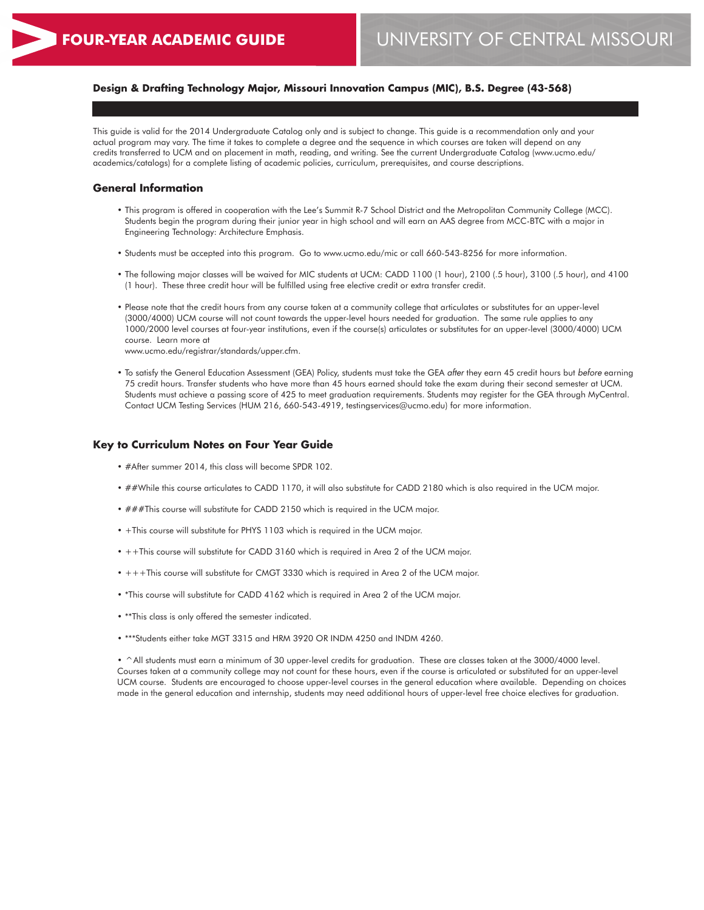## **Design & Drafting Technology Major, Missouri Innovation Campus (MIC), B.S. Degree (43-568)**

This guide is valid for the 2014 Undergraduate Catalog only and is subject to change. This guide is a recommendation only and your actual program may vary. The time it takes to complete a degree and the sequence in which courses are taken will depend on any credits transferred to UCM and on placement in math, reading, and writing. See the current Undergraduate Catalog (www.ucmo.edu/ academics/catalogs) for a complete listing of academic policies, curriculum, prerequisites, and course descriptions.

#### **General Information**

- This program is offered in cooperation with the Lee's Summit R-7 School District and the Metropolitan Community College (MCC). Students begin the program during their junior year in high school and will earn an AAS degree from MCC-BTC with a major in Engineering Technology: Architecture Emphasis.
- Students must be accepted into this program. Go to www.ucmo.edu/mic or call 660-543-8256 for more information.
- The following major classes will be waived for MIC students at UCM: CADD 1100 (1 hour), 2100 (.5 hour), 3100 (.5 hour), and 4100 (1 hour). These three credit hour will be fulfilled using free elective credit or extra transfer credit.
- Please note that the credit hours from any course taken at a community college that articulates or substitutes for an upper-level (3000/4000) UCM course will not count towards the upper-level hours needed for graduation. The same rule applies to any 1000/2000 level courses at four-year institutions, even if the course(s) articulates or substitutes for an upper-level (3000/4000) UCM course. Learn more at www.ucmo.edu/registrar/standards/upper.cfm.
- To satisfy the General Education Assessment (GEA) Policy, students must take the GEA *after* they earn 45 credit hours but *before* earning 75 credit hours. Transfer students who have more than 45 hours earned should take the exam during their second semester at UCM. Students must achieve a passing score of 425 to meet graduation requirements. Students may register for the GEA through MyCentral. Contact UCM Testing Services (HUM 216, 660-543-4919, testingservices@ucmo.edu) for more information.

#### **Key to Curriculum Notes on Four Year Guide**

- #After summer 2014, this class will become SPDR 102.
- ##While this course articulates to CADD 1170, it will also substitute for CADD 2180 which is also required in the UCM major.
- ###This course will substitute for CADD 2150 which is required in the UCM major.
- +This course will substitute for PHYS 1103 which is required in the UCM major.
- ++This course will substitute for CADD 3160 which is required in Area 2 of the UCM major.
- +++This course will substitute for CMGT 3330 which is required in Area 2 of the UCM major.
- \*This course will substitute for CADD 4162 which is required in Area 2 of the UCM major.
- \*\*This class is only offered the semester indicated.
- \*\*\*Students either take MGT 3315 and HRM 3920 OR INDM 4250 and INDM 4260.

• ^All students must earn a minimum of 30 upper-level credits for graduation. These are classes taken at the 3000/4000 level. Courses taken at a community college may not count for these hours, even if the course is articulated or substituted for an upper-level UCM course. Students are encouraged to choose upper-level courses in the general education where available. Depending on choices made in the general education and internship, students may need additional hours of upper-level free choice electives for graduation.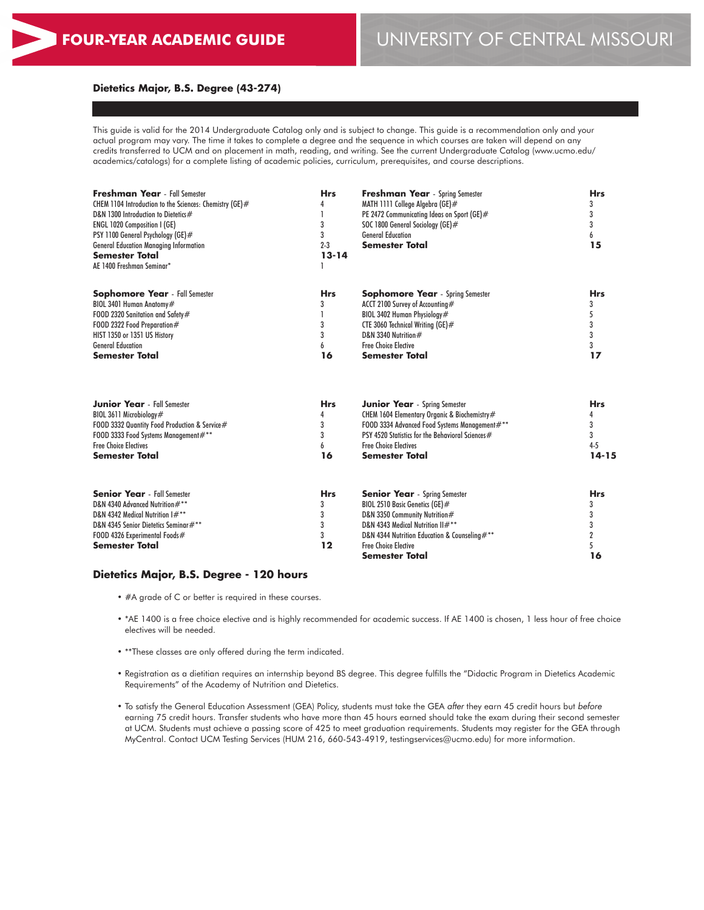## **Dietetics Major, B.S. Degree (43-274)**

This guide is valid for the 2014 Undergraduate Catalog only and is subject to change. This guide is a recommendation only and your actual program may vary. The time it takes to complete a degree and the sequence in which courses are taken will depend on any credits transferred to UCM and on placement in math, reading, and writing. See the current Undergraduate Catalog (www.ucmo.edu/ academics/catalogs) for a complete listing of academic policies, curriculum, prerequisites, and course descriptions.

| <b>Freshman Year</b> - Fall Semester<br>CHEM 1104 Introduction to the Sciences: Chemistry (GE)#<br>D&N 1300 Introduction to Dietetics#<br><b>ENGL 1020 Composition I (GE)</b><br>PSY 1100 General Psychology (GE)#<br><b>General Education Managing Information</b><br><b>Semester Total</b><br>AE 1400 Freshman Seminar* | <b>Hrs</b><br>3<br>3 | <b>Freshman Year</b> - Spring Semester<br>MATH 1111 College Algebra (GE)#<br>PE 2472 Communicating Ideas on Sport (GE)#<br>SOC 1800 General Sociology (GE)#<br><b>General Education</b> | <b>Hrs</b><br>3<br>3<br>3<br>6 |
|---------------------------------------------------------------------------------------------------------------------------------------------------------------------------------------------------------------------------------------------------------------------------------------------------------------------------|----------------------|-----------------------------------------------------------------------------------------------------------------------------------------------------------------------------------------|--------------------------------|
|                                                                                                                                                                                                                                                                                                                           | $2 - 3$<br>$13 - 14$ | <b>Semester Total</b>                                                                                                                                                                   | 15                             |
| <b>Sophomore Year</b> - Fall Semester                                                                                                                                                                                                                                                                                     | <b>Hrs</b>           | <b>Sophomore Year</b> - Spring Semester                                                                                                                                                 | <b>Hrs</b>                     |
| BIOL 3401 Human Anatomy#                                                                                                                                                                                                                                                                                                  | 3                    | ACCT 2100 Survey of Accounting#                                                                                                                                                         | 3                              |
| FOOD 2320 Sanitation and Safety#                                                                                                                                                                                                                                                                                          |                      | BIOL 3402 Human Physiology#                                                                                                                                                             | 5<br>3<br>3<br>3<br>17         |
| FOOD 2322 Food Preparation#                                                                                                                                                                                                                                                                                               | 3                    | CTE 3060 Technical Writing (GE)#                                                                                                                                                        |                                |
| HIST 1350 or 1351 US History<br><b>General Education</b>                                                                                                                                                                                                                                                                  | 3                    | D&N 3340 Nutrition#                                                                                                                                                                     |                                |
| <b>Semester Total</b>                                                                                                                                                                                                                                                                                                     | 16                   | <b>Free Choice Elective</b><br>6<br><b>Semester Total</b>                                                                                                                               |                                |
| <b>Junior Year</b> - Fall Semester                                                                                                                                                                                                                                                                                        | <b>Hrs</b>           | <b>Junior Year</b> - Spring Semester                                                                                                                                                    | <b>Hrs</b>                     |
| BIOL 3611 Microbiology#                                                                                                                                                                                                                                                                                                   | 4                    | CHEM 1604 Elementary Organic & Biochemistry#                                                                                                                                            | 4                              |
| FOOD 3332 Quantity Food Production & Service#                                                                                                                                                                                                                                                                             | 3                    | FOOD 3334 Advanced Food Systems Management#**                                                                                                                                           | 3                              |
| FOOD 3333 Food Systems Management#**<br><b>Free Choice Electives</b>                                                                                                                                                                                                                                                      | 3                    | PSY 4520 Statistics for the Behavioral Sciences#<br><b>Free Choice Electives</b>                                                                                                        | 3<br>$4 - 5$                   |
| Semester Total                                                                                                                                                                                                                                                                                                            | 6<br>16              | Semester Total                                                                                                                                                                          | $14 - 15$                      |
| <b>Senior Year</b> - Fall Semester                                                                                                                                                                                                                                                                                        | <b>Hrs</b>           | <b>Senior Year</b> - Spring Semester                                                                                                                                                    | <b>Hrs</b>                     |
| D&N 4340 Advanced Nutrition#**                                                                                                                                                                                                                                                                                            | 3                    | BIOL 2510 Basic Genetics (GE)#                                                                                                                                                          | 3                              |
| D&N 4342 Medical Nutrition I#**                                                                                                                                                                                                                                                                                           | 3                    | D&N 3350 Community Nutrition#                                                                                                                                                           | 3                              |
| D&N 4345 Senior Dietetics Seminar#**                                                                                                                                                                                                                                                                                      | 3                    | D&N 4343 Medical Nutrition II#**                                                                                                                                                        | 3                              |
| FOOD 4326 Experimental Foods#                                                                                                                                                                                                                                                                                             | 3                    | D&N 4344 Nutrition Education & Counseling#**                                                                                                                                            | $\overline{2}$                 |
| <b>Semester Total</b>                                                                                                                                                                                                                                                                                                     | 12                   | <b>Free Choice Elective</b>                                                                                                                                                             |                                |
|                                                                                                                                                                                                                                                                                                                           |                      | Semester Total                                                                                                                                                                          | 16                             |

## **Dietetics Major, B.S. Degree - 120 hours**

- #A grade of C or better is required in these courses.
- \*AE 1400 is a free choice elective and is highly recommended for academic success. If AE 1400 is chosen, 1 less hour of free choice electives will be needed.
- \*\*These classes are only offered during the term indicated.
- Registration as a dietitian requires an internship beyond BS degree. This degree fulfills the "Didactic Program in Dietetics Academic Requirements" of the Academy of Nutrition and Dietetics.
- To satisfy the General Education Assessment (GEA) Policy, students must take the GEA *after* they earn 45 credit hours but *before* earning 75 credit hours. Transfer students who have more than 45 hours earned should take the exam during their second semester at UCM. Students must achieve a passing score of 425 to meet graduation requirements. Students may register for the GEA through MyCentral. Contact UCM Testing Services (HUM 216, 660-543-4919, testingservices@ucmo.edu) for more information.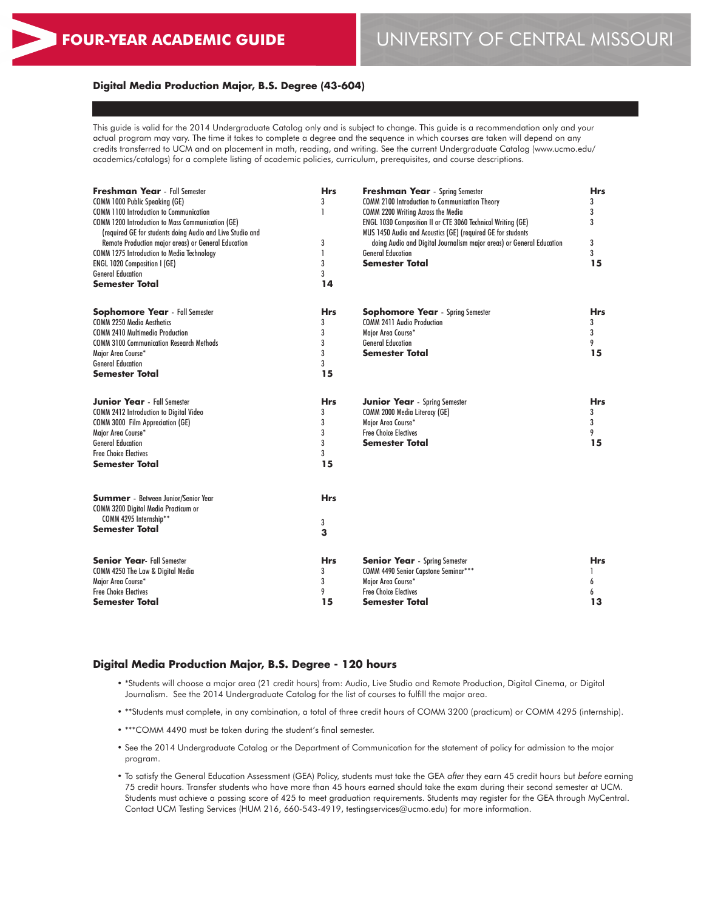# **FOUR-YEAR ACADEMIC GUIDE** UNIVERSITY OF CENTRAL MISSOURI

#### **Digital Media Production Major, B.S. Degree (43-604)**

This guide is valid for the 2014 Undergraduate Catalog only and is subject to change. This guide is a recommendation only and your actual program may vary. The time it takes to complete a degree and the sequence in which courses are taken will depend on any credits transferred to UCM and on placement in math, reading, and writing. See the current Undergraduate Catalog (www.ucmo.edu/ academics/catalogs) for a complete listing of academic policies, curriculum, prerequisites, and course descriptions.

| <b>Freshman Year</b> - Fall Semester<br>COMM 1000 Public Speaking (GE)                                                                                                  | <b>Hrs</b><br>3 | <b>Freshman Year</b> - Spring Semester<br><b>COMM 2100 Introduction to Communication Theory</b>                                                                         | <b>Hrs</b><br>3 |
|-------------------------------------------------------------------------------------------------------------------------------------------------------------------------|-----------------|-------------------------------------------------------------------------------------------------------------------------------------------------------------------------|-----------------|
| <b>COMM 1100 Introduction to Communication</b><br><b>COMM 1200 Introduction to Mass Communication (GE)</b><br>(required GE for students doing Audio and Live Studio and | 1               | <b>COMM 2200 Writing Across the Media</b><br>ENGL 1030 Composition II or CTE 3060 Technical Writing (GE)<br>MUS 1450 Audio and Acoustics (GE) (required GE for students | 3<br>3          |
| Remote Production major areas) or General Education                                                                                                                     | 3               | doing Audio and Digital Journalism major areas) or General Education                                                                                                    | 3               |
| <b>COMM 1275 Introduction to Media Technology</b>                                                                                                                       | 1               | <b>General Education</b>                                                                                                                                                | 3               |
| <b>ENGL 1020 Composition I (GE)</b>                                                                                                                                     | 3               | <b>Semester Total</b>                                                                                                                                                   | 15              |
| <b>General Education</b>                                                                                                                                                | 3               |                                                                                                                                                                         |                 |
| <b>Semester Total</b>                                                                                                                                                   | 14              |                                                                                                                                                                         |                 |
| <b>Sophomore Year</b> - Fall Semester                                                                                                                                   | <b>Hrs</b>      | <b>Sophomore Year</b> - Spring Semester                                                                                                                                 | <b>Hrs</b>      |
| <b>COMM 2250 Media Aesthetics</b>                                                                                                                                       | 3               | <b>COMM 2411 Audio Production</b>                                                                                                                                       | 3               |
| <b>COMM 2410 Multimedia Production</b>                                                                                                                                  | 3               | Major Area Course*                                                                                                                                                      | 3               |
| <b>COMM 3100 Communication Research Methods</b>                                                                                                                         | 3               | <b>General Education</b>                                                                                                                                                | 9               |
| Major Area Course*                                                                                                                                                      | 3               | <b>Semester Total</b>                                                                                                                                                   | 15              |
| <b>General Education</b>                                                                                                                                                | 3               |                                                                                                                                                                         |                 |
| <b>Semester Total</b>                                                                                                                                                   | 15              |                                                                                                                                                                         |                 |
| <b>Junior Year</b> - Fall Semester                                                                                                                                      | <b>Hrs</b>      | <b>Junior Year</b> - Spring Semester                                                                                                                                    | <b>Hrs</b>      |
| <b>COMM 2412 Introduction to Digital Video</b>                                                                                                                          | 3               | COMM 2000 Media Literacy (GE)                                                                                                                                           | 3               |
| <b>COMM 3000 Film Appreciation (GE)</b>                                                                                                                                 | 3               | Major Area Course*                                                                                                                                                      | 3               |
| Major Area Course*                                                                                                                                                      | 3               | <b>Free Choice Electives</b>                                                                                                                                            | 9               |
| <b>General Education</b>                                                                                                                                                | 3               | <b>Semester Total</b>                                                                                                                                                   | 15              |
| <b>Free Choice Electives</b><br><b>Semester Total</b>                                                                                                                   | 3<br>15         |                                                                                                                                                                         |                 |
| <b>Summer</b> - Between Junior/Senior Year                                                                                                                              | <b>Hrs</b>      |                                                                                                                                                                         |                 |
| COMM 3200 Digital Media Practicum or                                                                                                                                    |                 |                                                                                                                                                                         |                 |
| COMM 4295 Internship**                                                                                                                                                  |                 |                                                                                                                                                                         |                 |
| <b>Semester Total</b>                                                                                                                                                   | 3<br>3          |                                                                                                                                                                         |                 |
|                                                                                                                                                                         |                 |                                                                                                                                                                         |                 |
| <b>Senior Year-Fall Semester</b>                                                                                                                                        | <b>Hrs</b>      | <b>Senior Year</b> - Spring Semester                                                                                                                                    | <b>Hrs</b>      |
| COMM 4250 The Law & Digital Media                                                                                                                                       | 3               | COMM 4490 Senior Capstone Seminar***                                                                                                                                    |                 |
| Major Area Course*                                                                                                                                                      | 3               | Major Area Course*                                                                                                                                                      | 6               |
| <b>Free Choice Electives</b>                                                                                                                                            | 9               | <b>Free Choice Electives</b>                                                                                                                                            | 6               |
| <b>Semester Total</b>                                                                                                                                                   | 15              | <b>Semester Total</b>                                                                                                                                                   | 13              |

#### **Digital Media Production Major, B.S. Degree - 120 hours**

- \*Students will choose a major area (21 credit hours) from: Audio, Live Studio and Remote Production, Digital Cinema, or Digital Journalism. See the 2014 Undergraduate Catalog for the list of courses to fulfill the major area.
- \*\*Students must complete, in any combination, a total of three credit hours of COMM 3200 (practicum) or COMM 4295 (internship).
- \*\*\*COMM 4490 must be taken during the student's final semester.
- See the 2014 Undergraduate Catalog or the Department of Communication for the statement of policy for admission to the major program.
- To satisfy the General Education Assessment (GEA) Policy, students must take the GEA *after* they earn 45 credit hours but *before* earning 75 credit hours. Transfer students who have more than 45 hours earned should take the exam during their second semester at UCM. Students must achieve a passing score of 425 to meet graduation requirements. Students may register for the GEA through MyCentral. Contact UCM Testing Services (HUM 216, 660-543-4919, testingservices@ucmo.edu) for more information.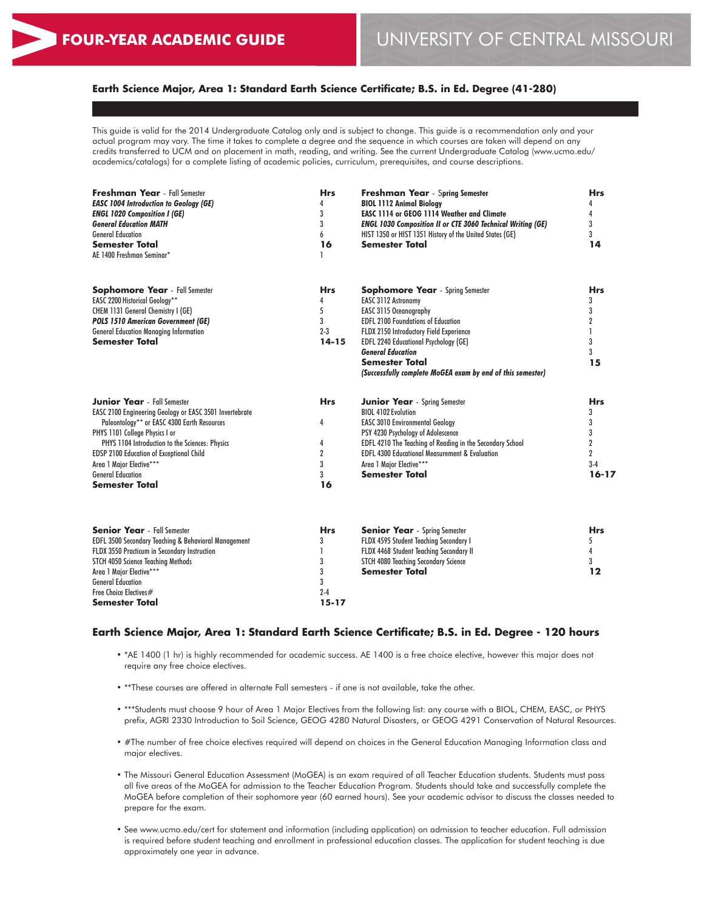## **Earth Science Major, Area 1: Standard Earth Science Certificate; B.S. in Ed. Degree (41-280)**

This guide is valid for the 2014 Undergraduate Catalog only and is subject to change. This guide is a recommendation only and your actual program may vary. The time it takes to complete a degree and the sequence in which courses are taken will depend on any credits transferred to UCM and on placement in math, reading, and writing. See the current Undergraduate Catalog (www.ucmo.edu/ academics/catalogs) for a complete listing of academic policies, curriculum, prerequisites, and course descriptions.

| <b>Freshman Year</b> - Fall Semester<br><b>EASC 1004 Introduction to Geology (GE)</b><br><b>ENGL 1020 Composition I (GE)</b><br><b>General Education MATH</b><br><b>General Education</b><br><b>Semester Total</b><br>AE 1400 Freshman Seminar*                                                                                                                       | <b>Hrs</b><br>4<br>3<br>3<br>6<br>16                        | <b>Freshman Year</b> - Spring Semester<br><b>BIOL 1112 Animal Biology</b><br><b>EASC 1114 or GEOG 1114 Weather and Climate</b><br><b>ENGL 1030 Composition II or CTE 3060 Technical Writing (GE)</b><br>HIST 1350 or HIST 1351 History of the United States (GE)<br><b>Semester Total</b>                                                    | <b>Hrs</b><br>4<br>4<br>3<br>3<br>14                                                |
|-----------------------------------------------------------------------------------------------------------------------------------------------------------------------------------------------------------------------------------------------------------------------------------------------------------------------------------------------------------------------|-------------------------------------------------------------|----------------------------------------------------------------------------------------------------------------------------------------------------------------------------------------------------------------------------------------------------------------------------------------------------------------------------------------------|-------------------------------------------------------------------------------------|
| <b>Sophomore Year</b> - Fall Semester<br><b>EASC 2200 Historical Geology**</b><br>CHEM 1131 General Chemistry I (GE)<br><b>POLS 1510 American Government (GE)</b><br><b>General Education Managing Information</b><br><b>Semester Total</b>                                                                                                                           | <b>Hrs</b><br>4<br>5<br>3<br>$2 - 3$<br>$14 - 15$           | <b>Sophomore Year</b> - Spring Semester<br>EASC 3112 Astronomy<br>EASC 3115 Oceanography<br><b>EDFL 2100 Foundations of Education</b><br>FLDX 2150 Introductory Field Experience<br>EDFL 2240 Educational Psychology (GE)<br><b>General Education</b><br><b>Semester Total</b><br>(Successfully complete MoGEA exam by end of this semester) | <b>Hrs</b><br>3<br>3<br>$\overline{2}$<br>3<br>3<br>15                              |
| <b>Junior Year</b> - Fall Semester<br>EASC 2100 Engineering Geology or EASC 3501 Invertebrate<br>Paleontology** or EASC 4300 Earth Resources<br>PHYS 1101 College Physics I or<br>PHYS 1104 Introduction to the Sciences: Physics<br><b>EDSP 2100 Education of Exceptional Child</b><br>Area 1 Major Elective***<br><b>General Education</b><br><b>Semester Total</b> | <b>Hrs</b><br>4<br>4<br>$\overline{2}$<br>3<br>3<br>16      | <b>Junior Year</b> - Spring Semester<br><b>BIOL 4102 Evolution</b><br><b>EASC 3010 Environmental Geology</b><br>PSY 4230 Psychology of Adolescence<br>EDFL 4210 The Teaching of Reading in the Secondary School<br><b>EDFL 4300 Educational Measurement &amp; Evaluation</b><br>Area 1 Major Elective***<br><b>Semester Total</b>            | <b>Hrs</b><br>3<br>3<br>3<br>$\overline{2}$<br>$\overline{2}$<br>$3-4$<br>$16 - 17$ |
| <b>Senior Year</b> - Fall Semester<br>EDFL 3500 Secondary Teaching & Behavioral Management<br>FLDX 3550 Practicum in Secondary Instruction<br>STCH 4050 Science Teaching Methods<br>Area 1 Major Elective***<br><b>General Education</b><br>Free Choice Electives#<br><b>Semester Total</b>                                                                           | <b>Hrs</b><br>3<br>1<br>3<br>3<br>3<br>$2 - 4$<br>$15 - 17$ | <b>Senior Year</b> - Spring Semester<br>FLDX 4595 Student Teaching Secondary I<br>FLDX 4468 Student Teaching Secondary II<br><b>STCH 4080 Teaching Secondary Science</b><br><b>Semester Total</b>                                                                                                                                            | <b>Hrs</b><br>5<br>4<br>3<br>12                                                     |

### **Earth Science Major, Area 1: Standard Earth Science Certificate; B.S. in Ed. Degree - 120 hours**

- \*AE 1400 (1 hr) is highly recommended for academic success. AE 1400 is a free choice elective, however this major does not require any free choice electives.
- \*\*These courses are offered in alternate Fall semesters if one is not available, take the other.
- \*\*\*Students must choose 9 hour of Area 1 Major Electives from the following list: any course with a BIOL, CHEM, EASC, or PHYS prefix, AGRI 2330 Introduction to Soil Science, GEOG 4280 Natural Disasters, or GEOG 4291 Conservation of Natural Resources.
- #The number of free choice electives required will depend on choices in the General Education Managing Information class and major electives.
- The Missouri General Education Assessment (MoGEA) is an exam required of all Teacher Education students. Students must pass all five areas of the MoGEA for admission to the Teacher Education Program. Students should take and successfully complete the MoGEA before completion of their sophomore year (60 earned hours). See your academic advisor to discuss the classes needed to prepare for the exam.
- See www.ucmo.edu/cert for statement and information (including application) on admission to teacher education. Full admission is required before student teaching and enrollment in professional education classes. The application for student teaching is due approximately one year in advance.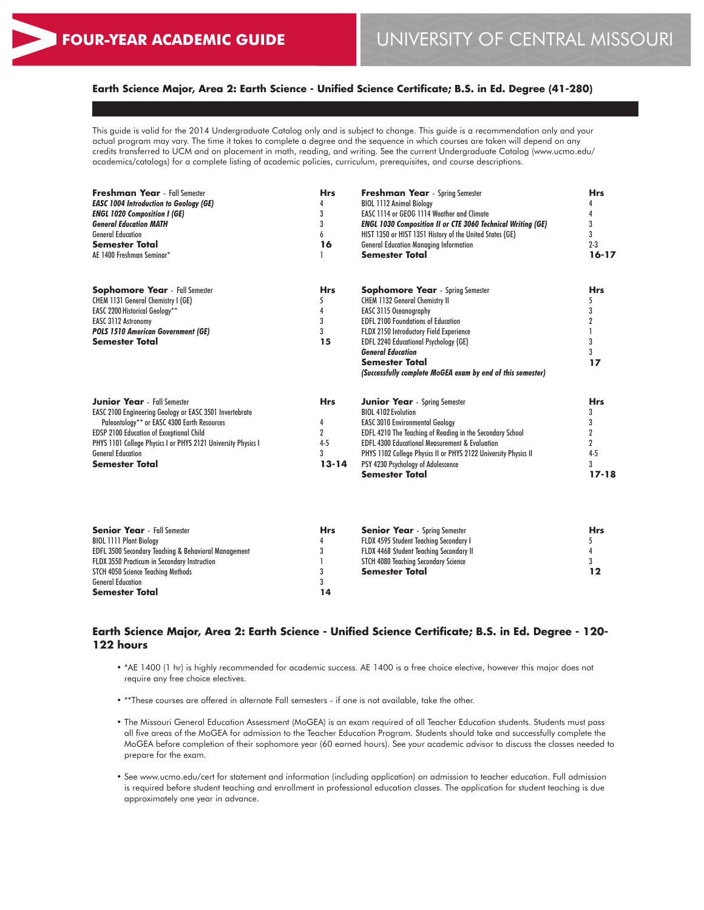## **Earth Science Major, Area 2: Earth Science - Unified Science Certificate; B.S. in Ed. Degree (41-280)**

This guide is valid for the 2014 Undergraduate Catalog only and is subject to change. This guide is a recommendation only and your actual program may vary. The time it takes to complete a degree and the sequence in which courses are taken will depend on any credits transferred to UCM and on placement in math, reading, and writing. See the current Undergraduate Catalog (www.ucmo.edu/ academics/catalogs) for a complete listing of academic policies, curriculum, prerequisites, and course descriptions.

| <b>Freshman Year</b> - Fall Semester<br><b>EASC 1004 Introduction to Geology (GE)</b>     | <b>Hrs</b><br>4<br>3 | <b>Freshman Year</b> - Spring Semester<br><b>BIOL 1112 Animal Biology</b><br>EASC 1114 or GEOG 1114 Weather and Climate      | <b>Hrs</b>   |
|-------------------------------------------------------------------------------------------|----------------------|------------------------------------------------------------------------------------------------------------------------------|--------------|
| <b>ENGL 1020 Composition I (GE)</b><br><b>General Education MATH</b>                      | 3                    | <b>ENGL 1030 Composition II or CTE 3060 Technical Writing (GE)</b>                                                           |              |
| <b>General Education</b>                                                                  | 6                    | HIST 1350 or HIST 1351 History of the United States (GE)                                                                     | 3            |
| Semester Total                                                                            | 16                   | <b>General Education Managing Information</b>                                                                                | $2 - 3$      |
| AE 1400 Freshman Seminar*                                                                 |                      | <b>Semester Total</b>                                                                                                        | $16 - 17$    |
| <b>Sophomore Year</b> - Fall Semester                                                     | <b>Hrs</b>           | <b>Sophomore Year</b> - Spring Semester                                                                                      | <b>Hrs</b>   |
| CHEM 1131 General Chemistry I (GE)                                                        | 5                    | <b>CHEM 1132 General Chemistry II</b>                                                                                        | 5            |
| <b>EASC 2200 Historical Geology**</b>                                                     |                      | <b>EASC 3115 Oceanography</b>                                                                                                |              |
| EASC 3112 Astronomy                                                                       | 3                    | <b>EDFL 2100 Foundations of Education</b>                                                                                    |              |
| <b>POLS 1510 American Government (GE)</b>                                                 | 3                    | FLDX 2150 Introductory Field Experience                                                                                      |              |
| <b>Semester Total</b>                                                                     | 15                   | <b>EDFL 2240 Educational Psychology (GE)</b>                                                                                 | 3            |
|                                                                                           |                      | <b>General Education</b><br><b>Semester Total</b>                                                                            | 3            |
|                                                                                           |                      | (Successfully complete MoGEA exam by end of this semester)                                                                   | 17           |
| <b>Junior Year</b> - Fall Semester                                                        | <b>Hrs</b>           | <b>Junior Year</b> - Spring Semester                                                                                         | <b>Hrs</b>   |
| <b>EASC 2100 Engineering Geology or EASC 3501 Invertebrate</b>                            |                      | <b>BIOL 4102 Evolution</b>                                                                                                   | 3            |
| Paleontology** or EASC 4300 Earth Resources                                               | 4                    | <b>EASC 3010 Environmental Geology</b>                                                                                       |              |
| <b>EDSP 2100 Education of Exceptional Child</b>                                           | $\overline{2}$       | EDFL 4210 The Teaching of Reading in the Secondary School                                                                    | 2            |
| PHYS 1101 College Physics I or PHYS 2121 University Physics I<br><b>General Education</b> | $4 - 5$<br>3         | <b>EDFL 4300 Educational Measurement &amp; Evaluation</b><br>PHYS 1102 College Physics II or PHYS 2122 University Physics II | 2<br>$4 - 5$ |
| <b>Semester Total</b>                                                                     | $13 - 14$            | PSY 4230 Psychology of Adolescence                                                                                           | 3            |
|                                                                                           |                      | <b>Semester Total</b>                                                                                                        | $17 - 18$    |
|                                                                                           |                      |                                                                                                                              |              |
|                                                                                           |                      |                                                                                                                              |              |

| <b>Senior Year</b> - Fall Semester                              | <b>Hrs</b> | <b>Senior Year</b> - Spring Semester        | <b>Hrs</b> |
|-----------------------------------------------------------------|------------|---------------------------------------------|------------|
| <b>BIOL 1111 Plant Biology</b>                                  |            | FLDX 4595 Student Teaching Secondary I      |            |
| <b>EDFL 3500 Secondary Teaching &amp; Behavioral Management</b> |            | FLDX 4468 Student Teaching Secondary II     |            |
| FLDX 3550 Practicum in Secondary Instruction                    |            | <b>STCH 4080 Teaching Secondary Science</b> |            |
| STCH 4050 Science Teaching Methods                              |            | <b>Semester Total</b>                       |            |
| <b>General Education</b>                                        |            |                                             |            |
| <b>Semester Total</b>                                           | 14         |                                             |            |

## **Earth Science Major, Area 2: Earth Science - Unified Science Certificate; B.S. in Ed. Degree - 120- 122 hours**

- \*AE 1400 (1 hr) is highly recommended for academic success. AE 1400 is a free choice elective, however this major does not require any free choice electives.
- \*\*These courses are offered in alternate Fall semesters if one is not available, take the other.
- The Missouri General Education Assessment (MoGEA) is an exam required of all Teacher Education students. Students must pass all five areas of the MoGEA for admission to the Teacher Education Program. Students should take and successfully complete the MoGEA before completion of their sophomore year (60 earned hours). See your academic advisor to discuss the classes needed to prepare for the exam.
- See www.ucmo.edu/cert for statement and information (including application) on admission to teacher education. Full admission is required before student teaching and enrollment in professional education classes. The application for student teaching is due approximately one year in advance.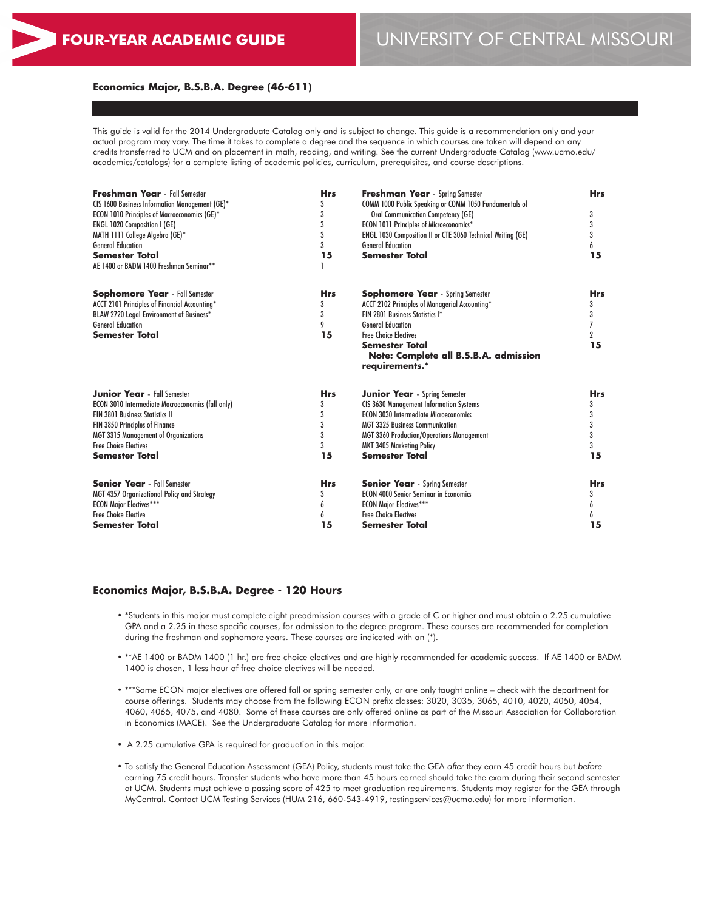#### **Economics Major, B.S.B.A. Degree (46-611)**

This guide is valid for the 2014 Undergraduate Catalog only and is subject to change. This guide is a recommendation only and your actual program may vary. The time it takes to complete a degree and the sequence in which courses are taken will depend on any credits transferred to UCM and on placement in math, reading, and writing. See the current Undergraduate Catalog (www.ucmo.edu/ academics/catalogs) for a complete listing of academic policies, curriculum, prerequisites, and course descriptions.

| <b>Freshman Year</b> - Fall Semester                | <b>Hrs</b> | <b>Freshman Year</b> - Spring Semester                             | <b>Hrs</b>     |
|-----------------------------------------------------|------------|--------------------------------------------------------------------|----------------|
| CIS 1600 Business Information Management (GE)*      | 3          | COMM 1000 Public Speaking or COMM 1050 Fundamentals of             |                |
| <b>ECON 1010 Principles of Macroeconomics (GE)*</b> | 3          | <b>Oral Communication Competency (GE)</b>                          | 3              |
| <b>ENGL 1020 Composition I (GE)</b>                 | 3          | <b>ECON 1011 Principles of Microeconomics*</b>                     | 3              |
| MATH 1111 College Algebra (GE)*                     | 3          | <b>ENGL 1030 Composition II or CTE 3060 Technical Writing (GE)</b> | 3              |
| <b>General Education</b>                            | 3          | <b>General Education</b>                                           | 6              |
| <b>Semester Total</b>                               | 15         | <b>Semester Total</b>                                              | 15             |
| AE 1400 or BADM 1400 Freshman Seminar**             |            |                                                                    |                |
| <b>Sophomore Year</b> - Fall Semester               | <b>Hrs</b> | <b>Sophomore Year</b> - Spring Semester                            | <b>Hrs</b>     |
| ACCT 2101 Principles of Financial Accounting*       | 3          | ACCT 2102 Principles of Managerial Accounting*                     | 3              |
| BLAW 2720 Legal Environment of Business*            | 3          | FIN 2801 Business Statistics I*                                    | 3              |
| <b>General Education</b>                            | 9          | <b>General Education</b>                                           |                |
| <b>Semester Total</b>                               | 15         | <b>Free Choice Electives</b>                                       | $\overline{2}$ |
|                                                     |            | Semester Total                                                     | 15             |
|                                                     |            | Note: Complete all B.S.B.A. admission                              |                |
|                                                     |            | requirements.*                                                     |                |
| <b>Junior Year</b> - Fall Semester                  | <b>Hrs</b> | <b>Junior Year</b> - Spring Semester                               | <b>Hrs</b>     |
| ECON 3010 Intermediate Macroeconomics (fall only)   | 3          | <b>CIS 3630 Management Information Systems</b>                     | 3              |
| <b>FIN 3801 Business Statistics II</b>              | 3          | <b>ECON 3030 Intermediate Microeconomics</b>                       | 3              |
| FIN 3850 Principles of Finance                      | 3          | <b>MGT 3325 Business Communication</b>                             | 3              |
| <b>MGT 3315 Management of Organizations</b>         | 3          | <b>MGT 3360 Production/Operations Management</b>                   | 3              |
| <b>Free Choice Flectives</b>                        | 3          | <b>MKT 3405 Marketing Policy</b>                                   | 3              |
| <b>Semester Total</b>                               | 15         | <b>Semester Total</b>                                              | 15             |
| <b>Senior Year</b> - Fall Semester                  | <b>Hrs</b> | <b>Senior Year</b> - Spring Semester                               | <b>Hrs</b>     |
| MGT 4357 Organizational Policy and Strategy         | 3          | <b>ECON 4000 Senior Seminar in Economics</b>                       | 3              |
| <b>ECON Major Electives***</b>                      | 6          | <b>ECON Major Electives***</b>                                     | 6              |
| <b>Free Choice Elective</b>                         | 6          | <b>Free Choice Electives</b>                                       | 6              |
| Semester Total                                      | 15         | Semester Total                                                     | 15             |

#### **Economics Major, B.S.B.A. Degree - 120 Hours**

- \*Students in this major must complete eight preadmission courses with a grade of C or higher and must obtain a 2.25 cumulative GPA and a 2.25 in these specific courses, for admission to the degree program. These courses are recommended for completion during the freshman and sophomore years. These courses are indicated with an  $(*)$ .
- \*\*AE 1400 or BADM 1400 (1 hr.) are free choice electives and are highly recommended for academic success. If AE 1400 or BADM 1400 is chosen, 1 less hour of free choice electives will be needed.
- \*\*\*Some ECON major electives are offered fall or spring semester only, or are only taught online check with the department for course offerings. Students may choose from the following ECON prefix classes: 3020, 3035, 3065, 4010, 4020, 4050, 4054, 4060, 4065, 4075, and 4080. Some of these courses are only offered online as part of the Missouri Association for Collaboration in Economics (MACE). See the Undergraduate Catalog for more information.
- A 2.25 cumulative GPA is required for graduation in this major.
- To satisfy the General Education Assessment (GEA) Policy, students must take the GEA *after* they earn 45 credit hours but *before* earning 75 credit hours. Transfer students who have more than 45 hours earned should take the exam during their second semester at UCM. Students must achieve a passing score of 425 to meet graduation requirements. Students may register for the GEA through MyCentral. Contact UCM Testing Services (HUM 216, 660-543-4919, testingservices@ucmo.edu) for more information.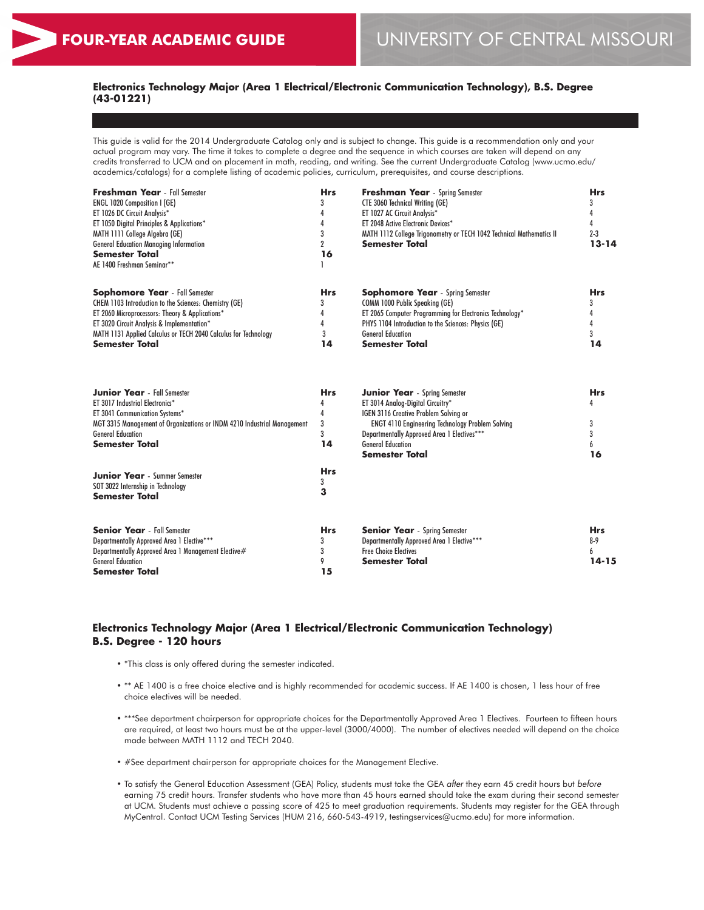## **Electronics Technology Major (Area 1 Electrical/Electronic Communication Technology), B.S. Degree (43-01221)**

This guide is valid for the 2014 Undergraduate Catalog only and is subject to change. This guide is a recommendation only and your actual program may vary. The time it takes to complete a degree and the sequence in which courses are taken will depend on any credits transferred to UCM and on placement in math, reading, and writing. See the current Undergraduate Catalog (www.ucmo.edu/ academics/catalogs) for a complete listing of academic policies, curriculum, prerequisites, and course descriptions.

| <b>Freshman Year</b> - Fall Semester                            | Hrs | <b>Freshman Year</b> - Spring Semester                               | <b>Hrs</b> |
|-----------------------------------------------------------------|-----|----------------------------------------------------------------------|------------|
| <b>ENGL 1020 Composition I (GE)</b>                             |     | <b>CTE 3060 Technical Writing (GE)</b>                               |            |
| ET 1026 DC Circuit Analysis*                                    |     | ET 1027 AC Circuit Analysis*                                         |            |
| ET 1050 Digital Principles & Applications*                      |     | ET 2048 Active Electronic Devices*                                   |            |
| MATH 1111 College Algebra (GE)                                  |     | MATH 1112 College Trigonometry or TECH 1042 Technical Mathematics II | $2 - 3$    |
| <b>General Education Managing Information</b>                   |     | <b>Semester Total</b>                                                | 13-14      |
| <b>Semester Total</b>                                           | 16  |                                                                      |            |
| AE 1400 Freshman Seminar**                                      |     |                                                                      |            |
| <b>Sophomore Year</b> - Fall Semester                           | Hrs | <b>Sophomore Year</b> - Spring Semester                              | <b>Hrs</b> |
| <b>CHEM 1103 Introduction to the Sciences: Chemistry (GE)</b>   |     | <b>COMM 1000 Public Speaking (GE)</b>                                |            |
| ET 2060 Microprocessors: Theory & Applications*                 |     | ET 2065 Computer Programming for Electronics Technology*             |            |
| ET 3020 Circuit Analysis & Implementation*                      |     | PHYS 1104 Introduction to the Sciences: Physics (GE)                 |            |
| MATH 1131 Applied Calculus or TECH 2040 Calculus for Technology |     | <b>General Education</b>                                             |            |
| <b>Semester Total</b>                                           | 14  | <b>Semester Total</b>                                                | 14         |

| <b>Hrs</b> | <b>Junior Year</b> - Spring Semester                    | <b>Hrs</b> |
|------------|---------------------------------------------------------|------------|
|            | ET 3014 Analog-Digital Circuitry*                       |            |
|            | <b>IGEN 3116 Creative Problem Solving or</b>            |            |
|            | <b>ENGT 4110 Engineering Technology Problem Solving</b> |            |
| 3          | Departmentally Approved Area 1 Electives***             |            |
| 14         | <b>General Education</b>                                |            |
|            | Semester Total                                          | 16         |
| <b>Hrs</b> |                                                         |            |
| 3          |                                                         |            |
| <b>Hrs</b> | <b>Senior Year</b> - Spring Semester                    | <b>Hrs</b> |
|            | Departmentally Approved Area 1 Elective***              | $8-9$      |
|            | <b>Free Choice Electives</b>                            | 6          |
|            | Semester Total                                          | $14 - 15$  |
| 15         |                                                         |            |
|            |                                                         |            |

## **Electronics Technology Major (Area 1 Electrical/Electronic Communication Technology) B.S. Degree - 120 hours**

- \*This class is only offered during the semester indicated.
- \*\* AE 1400 is a free choice elective and is highly recommended for academic success. If AE 1400 is chosen, 1 less hour of free choice electives will be needed.
- \*\*\*See department chairperson for appropriate choices for the Departmentally Approved Area 1 Electives. Fourteen to fifteen hours are required, at least two hours must be at the upper-level (3000/4000). The number of electives needed will depend on the choice made between MATH 1112 and TECH 2040.
- #See department chairperson for appropriate choices for the Management Elective.
- To satisfy the General Education Assessment (GEA) Policy, students must take the GEA *after* they earn 45 credit hours but *before* earning 75 credit hours. Transfer students who have more than 45 hours earned should take the exam during their second semester at UCM. Students must achieve a passing score of 425 to meet graduation requirements. Students may register for the GEA through MyCentral. Contact UCM Testing Services (HUM 216, 660-543-4919, testingservices@ucmo.edu) for more information.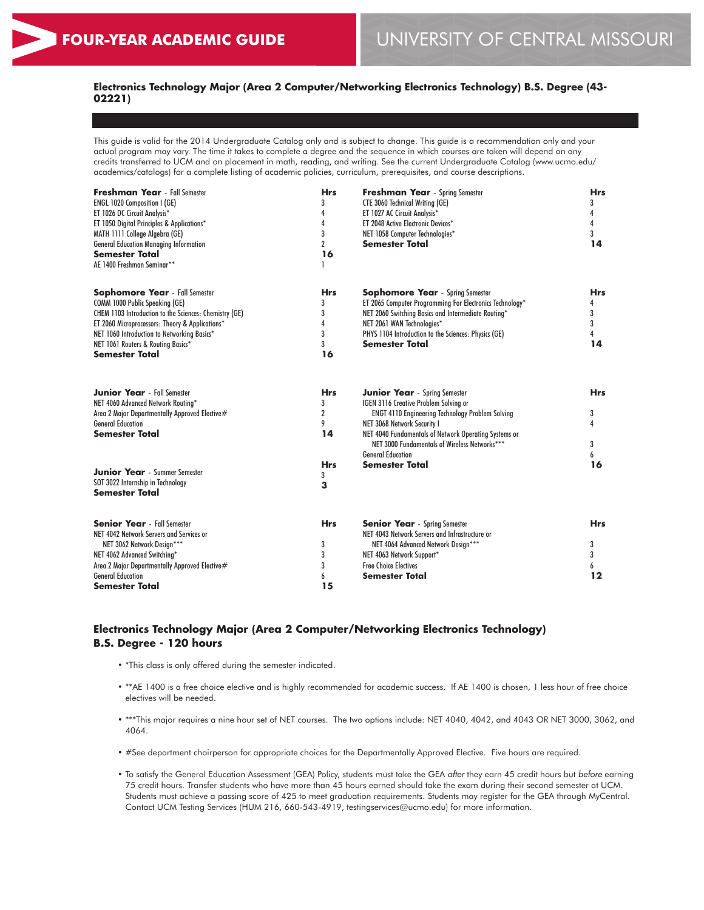## **Electronics Technology Major (Area 2 Computer/Networking Electronics Technology) B.S. Degree (43- 02221)**

This guide is valid for the 2014 Undergraduate Catalog only and is subject to change. This guide is a recommendation only and your actual program may vary. The time it takes to complete a degree and the sequence in which courses are taken will depend on any credits transferred to UCM and on placement in math, reading, and writing. See the current Undergraduate Catalog (www.ucmo.edu/ academics/catalogs) for a complete listing of academic policies, curriculum, prerequisites, and course descriptions.

| <b>Hrs</b><br>3<br>4                         | <b>Freshman Year</b> - Spring Semester<br><b>CTE 3060 Technical Writing (GE)</b><br>ET 1027 AC Circuit Analysis*<br>ET 2048 Active Electronic Devices*                                                                                                                                                        | <b>Hrs</b><br>3<br>4<br>4<br>3       |
|----------------------------------------------|---------------------------------------------------------------------------------------------------------------------------------------------------------------------------------------------------------------------------------------------------------------------------------------------------------------|--------------------------------------|
| $\overline{2}$<br>16                         | <b>Semester Total</b>                                                                                                                                                                                                                                                                                         | 14                                   |
| <b>Hrs</b><br>3<br>3<br>4<br>3<br>3<br>16    | <b>Sophomore Year</b> - Spring Semester<br>ET 2065 Computer Programming For Electronics Technology*<br>NET 2060 Switching Basics and Intermediate Routing*<br>NET 2061 WAN Technologies*<br>PHYS 1104 Introduction to the Sciences: Physics (GE)<br><b>Semester Total</b>                                     | <b>Hrs</b><br>4<br>3<br>3<br>4<br>14 |
| <b>Hrs</b><br>3<br>$\overline{2}$<br>9<br>14 | <b>Junior Year</b> - Spring Semester<br>IGEN 3116 Creative Problem Solving or<br><b>ENGT 4110 Engineering Technology Problem Solving</b><br>NET 3068 Network Security I<br>NET 4040 Fundamentals of Network Operating Systems or<br>NET 3000 Fundamentals of Wireless Networks***<br><b>General Education</b> | <b>Hrs</b><br>3<br>4<br>3<br>6       |
| <b>Hrs</b><br>3<br>3                         | Semester Total                                                                                                                                                                                                                                                                                                | 16                                   |
| <b>Hrs</b><br>3<br>3<br>3<br>6               | <b>Senior Year</b> - Spring Semester<br>NET 4043 Network Servers and Infrastructure or<br>NET 4064 Advanced Network Design***<br>NET 4063 Network Support*<br><b>Free Choice Electives</b><br><b>Semester Total</b>                                                                                           | <b>Hrs</b><br>3<br>3<br>6<br>12      |
|                                              | 3<br>15                                                                                                                                                                                                                                                                                                       | NET 1058 Computer Technologies*      |

## **Electronics Technology Major (Area 2 Computer/Networking Electronics Technology) B.S. Degree - 120 hours**

- \*This class is only offered during the semester indicated.
- \*\*AE 1400 is a free choice elective and is highly recommended for academic success. If AE 1400 is chosen, 1 less hour of free choice electives will be needed.
- \*\*\*This major requires a nine hour set of NET courses. The two options include: NET 4040, 4042, and 4043 OR NET 3000, 3062, and 4064.
- #See department chairperson for appropriate choices for the Departmentally Approved Elective. Five hours are required.
- To satisfy the General Education Assessment (GEA) Policy, students must take the GEA *after* they earn 45 credit hours but *before* earning 75 credit hours. Transfer students who have more than 45 hours earned should take the exam during their second semester at UCM. Students must achieve a passing score of 425 to meet graduation requirements. Students may register for the GEA through MyCentral. Contact UCM Testing Services (HUM 216, 660-543-4919, testingservices@ucmo.edu) for more information.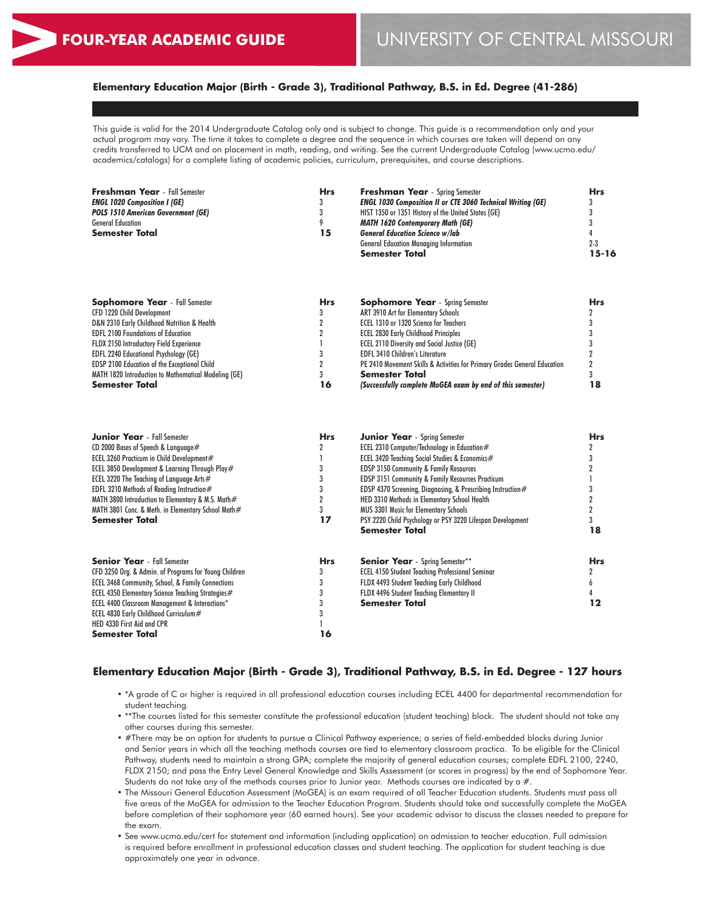## **Elementary Education Major (Birth - Grade 3), Traditional Pathway, B.S. in Ed. Degree (41-286)**

This guide is valid for the 2014 Undergraduate Catalog only and is subject to change. This guide is a recommendation only and your actual program may vary. The time it takes to complete a degree and the sequence in which courses are taken will depend on any credits transferred to UCM and on placement in math, reading, and writing. See the current Undergraduate Catalog (www.ucmo.edu/ academics/catalogs) for a complete listing of academic policies, curriculum, prerequisites, and course descriptions.

| Freshman Year - Fall Semester      | <b>Hrs</b> | <b>Freshman Year</b> - Spring Semester                             | <b>Hrs</b> |
|------------------------------------|------------|--------------------------------------------------------------------|------------|
| ENGL 1020 Composition I (GE)       |            | <b>ENGL 1030 Composition II or CTE 3060 Technical Writing (GE)</b> |            |
| POLS 1510 American Government (GE) |            | HIST 1350 or 1351 History of the United States (GE)                |            |
| <b>General Education</b>           |            | <b>MATH 1620 Contemporary Math (GE)</b>                            |            |
| Semester Total                     | 15         | <b>General Education Science w/lab</b>                             |            |
|                                    |            | <b>General Education Managing Information</b>                      | $2 - 3$    |
|                                    |            | <b>Semester Total</b>                                              | 15-16      |
|                                    |            |                                                                    |            |
|                                    |            |                                                                    |            |

| <b>Sophomore Year</b> - Fall Semester                | <b>Hrs</b> | <b>Sophomore Year</b> - Spring Semester                                   | <b>Hrs</b> |
|------------------------------------------------------|------------|---------------------------------------------------------------------------|------------|
| CFD 1220 Child Development                           |            | ART 3910 Art for Elementary Schools                                       |            |
| D&N 2310 Early Childhood Nutrition & Health          |            | ECEL 1310 or 1320 Science for Teachers                                    |            |
| <b>EDFL 2100 Foundations of Education</b>            |            | <b>ECEL 2830 Early Childhood Principles</b>                               |            |
| FLDX 2150 Introductory Field Experience              |            | <b>ECEL 2110 Diversity and Social Justice (GE)</b>                        |            |
| <b>EDFL 2240 Educational Psychology (GE)</b>         |            | <b>EDFL 3410 Children's Literature</b>                                    |            |
| <b>EDSP 2100 Education of the Exceptional Child</b>  |            | PE 2410 Movement Skills & Activities for Primary Grades General Education |            |
| MATH 1820 Introduction to Mathematical Modeling (GE) |            | <b>Semester Total</b>                                                     |            |
| <b>Semester Total</b>                                | 16         | (Successfully complete MoGEA exam by end of this semester)                |            |

| <b>Junior Year</b> - Fall Semester                        | <b>Hrs</b> | <b>Junior Year</b> - Spring Semester                         | <b>Hrs</b> |
|-----------------------------------------------------------|------------|--------------------------------------------------------------|------------|
| CD 2000 Bases of Speech & Language $#$                    |            | ECEL 2310 Computer/Technology in Education $#$               |            |
| ECEL 3260 Practicum in Child Development#                 |            | ECEL 3420 Teaching Social Studies & Economics#               |            |
| ECEL 3850 Development & Learning Through Play#            |            | <b>EDSP 3150 Community &amp; Family Resources</b>            |            |
| ECEL 3220 The Teaching of Language Arts $#$               |            | EDSP 3151 Community & Family Resources Practicum             |            |
| EDFL 3210 Methods of Reading Instruction#                 |            | EDSP 4370 Screening, Diagnosing, & Prescribing Instruction # |            |
| MATH 3800 Introduction to Elementary & M.S. Math#         |            | HED 3310 Methods in Elementary School Health                 |            |
| MATH 3801 Conc. & Meth. in Elementary School Math#        |            | <b>MUS 3301 Music for Elementary Schools</b>                 |            |
| <b>Semester Total</b>                                     | 17         | PSY 2220 Child Psychology or PSY 3220 Lifespan Development   |            |
|                                                           |            | <b>Semester Total</b>                                        | 18         |
| <b>Senior Year</b> - Fall Semester                        | <b>Hrs</b> | <b>Senior Year</b> - Spring Semester**                       | <b>Hrs</b> |
| CFD 3250 Org. & Admin. of Programs for Young Children     |            | <b>ECEL 4150 Student Teaching Professional Seminar</b>       |            |
| ECEL 3468 Community, School, & Family Connections         |            | FLDX 4493 Student Teaching Early Childhood                   |            |
| ECEL 4350 Elementary Science Teaching Strategies#         |            | FLDX 4496 Student Teaching Elementary II                     |            |
| <b>ECEL 4400 Classroom Management &amp; Interactions*</b> |            | Semester Total                                               | 12         |
| ECEL 4830 Early Childhood Curriculum#                     |            |                                                              |            |
| HED 4330 First Aid and CPR                                |            |                                                              |            |
| <b>Semester Total</b>                                     | 16         |                                                              |            |

#### **Elementary Education Major (Birth - Grade 3), Traditional Pathway, B.S. in Ed. Degree - 127 hours**

- \*A grade of C or higher is required in all professional education courses including ECEL 4400 for departmental recommendation for student teaching.
- \*\*The courses listed for this semester constitute the professional education (student teaching) block. The student should not take any other courses during this semester.
- #There may be an option for students to pursue a Clinical Pathway experience; a series of field-embedded blocks during Junior and Senior years in which all the teaching methods courses are tied to elementary classroom practica. To be eligible for the Clinical Pathway, students need to maintain a strong GPA; complete the majority of general education courses; complete EDFL 2100, 2240, FLDX 2150; and pass the Entry Level General Knowledge and Skills Assessment (or scores in progress) by the end of Sophomore Year. Students do not take any of the methods courses prior to Junior year. Methods courses are indicated by a #.
- The Missouri General Education Assessment (MoGEA) is an exam required of all Teacher Education students. Students must pass all five areas of the MoGEA for admission to the Teacher Education Program. Students should take and successfully complete the MoGEA before completion of their sophomore year (60 earned hours). See your academic advisor to discuss the classes needed to prepare for the exam.
- See www.ucmo.edu/cert for statement and information (including application) on admission to teacher education. Full admission is required before enrollment in professional education classes and student teaching. The application for student teaching is due approximately one year in advance.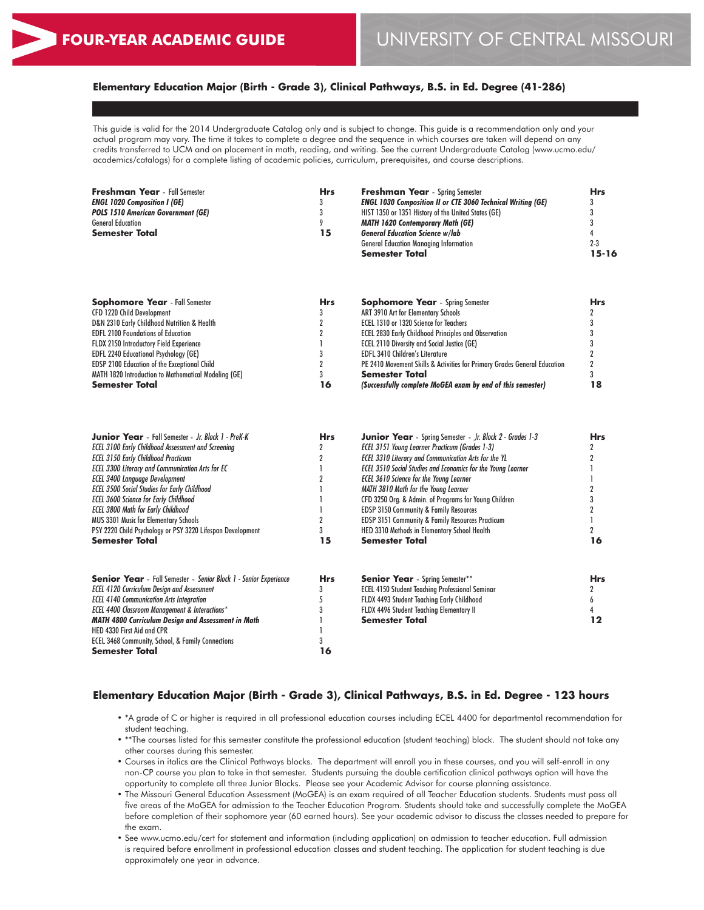## **Elementary Education Major (Birth - Grade 3), Clinical Pathways, B.S. in Ed. Degree (41-286)**

This guide is valid for the 2014 Undergraduate Catalog only and is subject to change. This guide is a recommendation only and your actual program may vary. The time it takes to complete a degree and the sequence in which courses are taken will depend on any credits transferred to UCM and on placement in math, reading, and writing. See the current Undergraduate Catalog (www.ucmo.edu/ academics/catalogs) for a complete listing of academic policies, curriculum, prerequisites, and course descriptions.

| Freshman Year - Fall Semester      | <b>Hrs</b> | <b>Freshman Year</b> - Spring Semester                             | Hrs     |
|------------------------------------|------------|--------------------------------------------------------------------|---------|
| ENGL 1020 Composition I (GE)       | 3          | <b>ENGL 1030 Composition II or CTE 3060 Technical Writing (GE)</b> | 3       |
| POLS 1510 American Government (GE) |            | HIST 1350 or 1351 History of the United States (GE)                |         |
| <b>General Education</b>           | Q          | <b>MATH 1620 Contemporary Math (GE)</b>                            |         |
| Semester Total                     | 15         | <b>General Education Science w/lab</b>                             |         |
|                                    |            | <b>General Education Managing Information</b>                      | $2 - 3$ |
|                                    |            | <b>Semester Total</b>                                              | 15-16   |
|                                    |            |                                                                    |         |

| <b>Sophomore Year</b> - Fall Semester                | <b>Hrs</b> | <b>Sophomore Year</b> - Spring Semester                                   | Hrs |
|------------------------------------------------------|------------|---------------------------------------------------------------------------|-----|
| CFD 1220 Child Development                           |            | ART 3910 Art for Elementary Schools                                       |     |
| D&N 2310 Early Childhood Nutrition & Health          |            | ECEL 1310 or 1320 Science for Teachers                                    |     |
| <b>EDFL 2100 Foundations of Education</b>            |            | <b>ECEL 2830 Early Childhood Principles and Observation</b>               |     |
| FLDX 2150 Introductory Field Experience              |            | <b>ECEL 2110 Diversity and Social Justice (GE)</b>                        |     |
| <b>EDFL 2240 Educational Psychology (GE)</b>         |            | <b>EDFL 3410 Children's Literature</b>                                    |     |
| <b>EDSP 2100 Education of the Exceptional Child</b>  |            | PE 2410 Movement Skills & Activities for Primary Grades General Education |     |
| MATH 1820 Introduction to Mathematical Modeling (GE) |            | <b>Semester Total</b>                                                     |     |
| <b>Semester Total</b>                                | 16         | (Successfully complete MoGEA exam by end of this semester)                |     |

| <b>Junior Year</b> - Fall Semester - Jr. Block 1 - PreK-K               | <b>Hrs</b> | <b>Junior Year</b> - Spring Semester - Jr. Block 2 - Grades 1-3     | <b>Hrs</b> |
|-------------------------------------------------------------------------|------------|---------------------------------------------------------------------|------------|
| <b>ECEL 3100 Early Childhood Assessment and Screening</b>               |            | ECEL 3151 Young Learner Practicum (Grades 1-3)                      |            |
| <b>ECEL 3150 Early Childhood Practicum</b>                              |            | <b>ECEL 3310 Literacy and Communication Arts for the YL</b>         |            |
| <b>ECEL 3300 Literacy and Communication Arts for EC</b>                 |            | <b>ECEL 3510 Social Studies and Economics for the Young Learner</b> |            |
| <b>ECEL 3400 Language Development</b>                                   |            | <b>ECEL 3610 Science for the Young Learner</b>                      |            |
| <b>ECEL 3500 Social Studies for Early Childhood</b>                     |            | MATH 3810 Math for the Young Learner                                |            |
| <b>ECEL 3600 Science for Early Childhood</b>                            |            | CFD 3250 Org. & Admin. of Programs for Young Children               |            |
| <b>ECEL 3800 Math for Early Childhood</b>                               |            | <b>EDSP 3150 Community &amp; Family Resources</b>                   |            |
| <b>MUS 3301 Music for Elementary Schools</b>                            |            | <b>EDSP 3151 Community &amp; Family Resources Practicum</b>         |            |
| PSY 2220 Child Psychology or PSY 3220 Lifespan Development              |            | HED 3310 Methods in Elementary School Health                        |            |
| <b>Semester Total</b>                                                   | 15         | <b>Semester Total</b>                                               | 16         |
|                                                                         |            |                                                                     |            |
| <b>Senior Year</b> - Fall Semester - Senior Block 1 - Senior Experience | <b>Hrs</b> | <b>Senior Year</b> - Spring Semester**                              | <b>Hrs</b> |
| <b>ECEL 4120 Curriculum Design and Assessment</b>                       |            | <b>ECEL 4150 Student Teaching Professional Seminar</b>              |            |
| <b>ECEL 4140 Communication Arts Integration</b>                         |            | FLDX 4493 Student Teaching Early Childhood                          |            |
| <b>ECEL 4400 Classroom Management &amp; Interactions*</b>               |            | <b>FLDX 4496 Student Teaching Elementary II</b>                     |            |
| <b>MATH 4800 Curriculum Design and Assessment in Math</b>               |            | <b>Semester Total</b>                                               | 12         |
| HED 4330 First Aid and CPR                                              |            |                                                                     |            |
| ECEL 3468 Community, School, & Family Connections                       |            |                                                                     |            |
| <b>Semester Total</b>                                                   | 16         |                                                                     |            |

## **Elementary Education Major (Birth - Grade 3), Clinical Pathways, B.S. in Ed. Degree - 123 hours**

- \*A grade of C or higher is required in all professional education courses including ECEL 4400 for departmental recommendation for student teaching.
- \*\*The courses listed for this semester constitute the professional education (student teaching) block. The student should not take any other courses during this semester.
- Courses in italics are the Clinical Pathways blocks. The department will enroll you in these courses, and you will self-enroll in any non-CP course you plan to take in that semester. Students pursuing the double certification clinical pathways option will have the opportunity to complete all three Junior Blocks. Please see your Academic Advisor for course planning assistance.
- The Missouri General Education Assessment (MoGEA) is an exam required of all Teacher Education students. Students must pass all five areas of the MoGEA for admission to the Teacher Education Program. Students should take and successfully complete the MoGEA before completion of their sophomore year (60 earned hours). See your academic advisor to discuss the classes needed to prepare for the exam.
- See www.ucmo.edu/cert for statement and information (including application) on admission to teacher education. Full admission is required before enrollment in professional education classes and student teaching. The application for student teaching is due approximately one year in advance.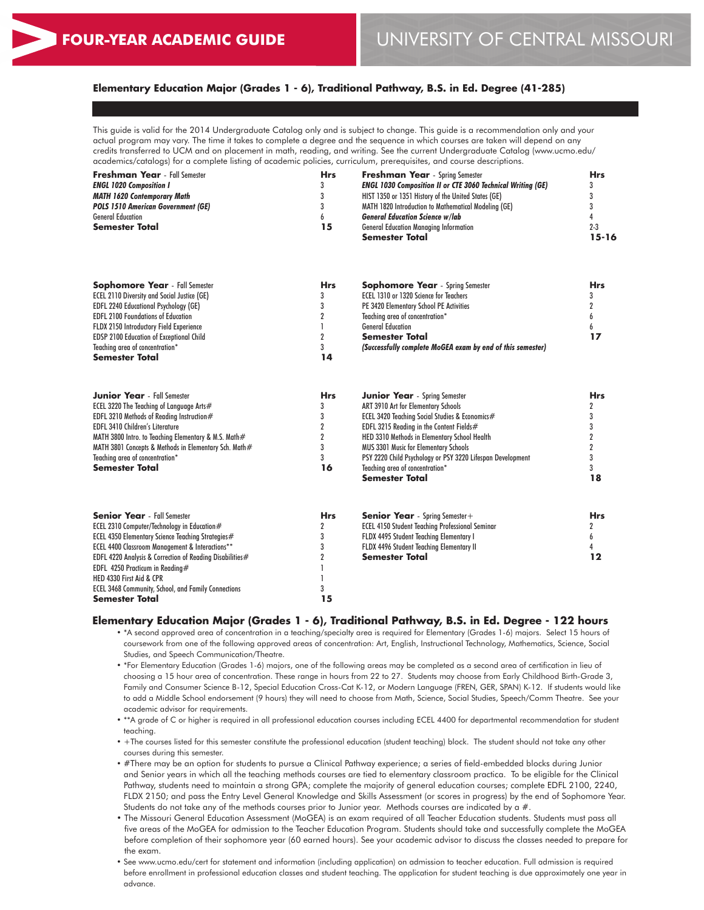## **Elementary Education Major (Grades 1 - 6), Traditional Pathway, B.S. in Ed. Degree (41-285)**

This guide is valid for the 2014 Undergraduate Catalog only and is subject to change. This guide is a recommendation only and your actual program may vary. The time it takes to complete a degree and the sequence in which courses are taken will depend on any credits transferred to UCM and on placement in math, reading, and writing. See the current Undergraduate Catalog (www.ucmo.edu/ academics/catalogs) for a complete listing of academic policies, curriculum, prerequisites, and course descriptions.

| 3<br><b>MATH 1620 Contemporary Math</b><br>3<br><b>POLS 1510 American Government (GE)</b><br><b>General Education</b><br>6<br>15<br><b>Semester Total</b><br><b>Semester Total</b><br><b>Hrs</b><br><b>Sophomore Year</b> - Fall Semester<br><b>ECEL 2110 Diversity and Social Justice (GE)</b><br>3<br><b>EDFL 2240 Educational Psychology (GE)</b><br>3<br><b>EDFL 2100 Foundations of Education</b><br>$\boldsymbol{2}$<br><b>General Education</b><br>FLDX 2150 Introductory Field Experience<br>$\overline{2}$<br><b>EDSP 2100 Education of Exceptional Child</b><br><b>Semester Total</b><br>Teaching area of concentration*<br>3 | HIST 1350 or 1351 History of the United States (GE)<br>3<br>MATH 1820 Introduction to Mathematical Modeling (GE)<br><b>General Education Science w/lab</b><br>$2 - 3$<br><b>General Education Managing Information</b><br>$15 - 16$<br>Sophomore Year - Spring Semester<br><b>Hrs</b><br>ECEL 1310 or 1320 Science for Teachers<br>3 |
|-----------------------------------------------------------------------------------------------------------------------------------------------------------------------------------------------------------------------------------------------------------------------------------------------------------------------------------------------------------------------------------------------------------------------------------------------------------------------------------------------------------------------------------------------------------------------------------------------------------------------------------------|--------------------------------------------------------------------------------------------------------------------------------------------------------------------------------------------------------------------------------------------------------------------------------------------------------------------------------------|
|                                                                                                                                                                                                                                                                                                                                                                                                                                                                                                                                                                                                                                         |                                                                                                                                                                                                                                                                                                                                      |
|                                                                                                                                                                                                                                                                                                                                                                                                                                                                                                                                                                                                                                         |                                                                                                                                                                                                                                                                                                                                      |
|                                                                                                                                                                                                                                                                                                                                                                                                                                                                                                                                                                                                                                         |                                                                                                                                                                                                                                                                                                                                      |
|                                                                                                                                                                                                                                                                                                                                                                                                                                                                                                                                                                                                                                         |                                                                                                                                                                                                                                                                                                                                      |
|                                                                                                                                                                                                                                                                                                                                                                                                                                                                                                                                                                                                                                         |                                                                                                                                                                                                                                                                                                                                      |
|                                                                                                                                                                                                                                                                                                                                                                                                                                                                                                                                                                                                                                         |                                                                                                                                                                                                                                                                                                                                      |
|                                                                                                                                                                                                                                                                                                                                                                                                                                                                                                                                                                                                                                         | PE 3420 Elementary School PE Activities                                                                                                                                                                                                                                                                                              |
|                                                                                                                                                                                                                                                                                                                                                                                                                                                                                                                                                                                                                                         | Teaching area of concentration*<br>6                                                                                                                                                                                                                                                                                                 |
|                                                                                                                                                                                                                                                                                                                                                                                                                                                                                                                                                                                                                                         | 6                                                                                                                                                                                                                                                                                                                                    |
|                                                                                                                                                                                                                                                                                                                                                                                                                                                                                                                                                                                                                                         | 17                                                                                                                                                                                                                                                                                                                                   |
|                                                                                                                                                                                                                                                                                                                                                                                                                                                                                                                                                                                                                                         | (Successfully complete MoGEA exam by end of this semester)                                                                                                                                                                                                                                                                           |
| <b>Semester Total</b><br>14                                                                                                                                                                                                                                                                                                                                                                                                                                                                                                                                                                                                             |                                                                                                                                                                                                                                                                                                                                      |
| <b>Junior Year</b> - Fall Semester<br><b>Hrs</b>                                                                                                                                                                                                                                                                                                                                                                                                                                                                                                                                                                                        | <b>Hrs</b><br><b>Junior Year</b> - Spring Semester                                                                                                                                                                                                                                                                                   |
| ECEL 3220 The Teaching of Language Arts#<br>3                                                                                                                                                                                                                                                                                                                                                                                                                                                                                                                                                                                           | ART 3910 Art for Elementary Schools                                                                                                                                                                                                                                                                                                  |
| 3<br>EDFL 3210 Methods of Reading Instruction#                                                                                                                                                                                                                                                                                                                                                                                                                                                                                                                                                                                          | ECEL 3420 Teaching Social Studies & Economics#                                                                                                                                                                                                                                                                                       |
| $\overline{2}$<br><b>EDFL 3410 Children's Literature</b>                                                                                                                                                                                                                                                                                                                                                                                                                                                                                                                                                                                | 3<br>EDFL 3215 Reading in the Content Fields $#$                                                                                                                                                                                                                                                                                     |
| $\overline{2}$<br>MATH 3800 Intro. to Teaching Elementary & M.S. Math#                                                                                                                                                                                                                                                                                                                                                                                                                                                                                                                                                                  | $\overline{2}$<br>HED 3310 Methods in Elementary School Health                                                                                                                                                                                                                                                                       |
| 3<br>MATH 3801 Concepts & Methods in Elementary Sch. Math#                                                                                                                                                                                                                                                                                                                                                                                                                                                                                                                                                                              | $\overline{2}$<br>MUS 3301 Music for Elementary Schools                                                                                                                                                                                                                                                                              |
| 3<br>Teachina area of concentration*                                                                                                                                                                                                                                                                                                                                                                                                                                                                                                                                                                                                    | 3<br>PSY 2220 Child Psychology or PSY 3220 Lifespan Development                                                                                                                                                                                                                                                                      |
| <b>Semester Total</b><br>16                                                                                                                                                                                                                                                                                                                                                                                                                                                                                                                                                                                                             | Teachina area of concentration*                                                                                                                                                                                                                                                                                                      |
| <b>Semester Total</b>                                                                                                                                                                                                                                                                                                                                                                                                                                                                                                                                                                                                                   | 18                                                                                                                                                                                                                                                                                                                                   |

| <b>Senior Year</b> - Fall Semester                         | <b>Hrs</b> | <b>Senior Year</b> - Spring Semester +                 | <b>Hrs</b> |
|------------------------------------------------------------|------------|--------------------------------------------------------|------------|
| ECEL 2310 Computer/Technology in Education#                |            | <b>ECEL 4150 Student Teaching Professional Seminar</b> |            |
| ECEL 4350 Elementary Science Teaching Strategies#          |            | <b>FLDX 4495 Student Teaching Elementary I</b>         |            |
| <b>ECEL 4400 Classroom Management &amp; Interactions**</b> |            | FLDX 4496 Student Teaching Elementary II               |            |
| EDFL 4220 Analysis & Correction of Reading Disabilities#   |            | <b>Semester Total</b>                                  |            |
| EDFL 4250 Practicum in Reading#                            |            |                                                        |            |
| HED 4330 First Aid & CPR                                   |            |                                                        |            |
| <b>ECEL 3468 Community, School, and Family Connections</b> |            |                                                        |            |
| <b>Semester Total</b>                                      | . 5        |                                                        |            |

#### **Elementary Education Major (Grades 1 - 6), Traditional Pathway, B.S. in Ed. Degree - 122 hours**

• \*A second approved area of concentration in a teaching/specialty area is required for Elementary (Grades 1-6) majors. Select 15 hours of coursework from one of the following approved areas of concentration: Art, English, Instructional Technology, Mathematics, Science, Social Studies, and Speech Communication/Theatre.

• \*For Elementary Education (Grades 1-6) majors, one of the following areas may be completed as a second area of certification in lieu of choosing a 15 hour area of concentration. These range in hours from 22 to 27. Students may choose from Early Childhood Birth-Grade 3, Family and Consumer Science B-12, Special Education Cross-Cat K-12, or Modern Language (FREN, GER, SPAN) K-12. If students would like to add a Middle School endorsement (9 hours) they will need to choose from Math, Science, Social Studies, Speech/Comm Theatre. See your academic advisor for requirements.

• \*\*A grade of C or higher is required in all professional education courses including ECEL 4400 for departmental recommendation for student teaching.

• +The courses listed for this semester constitute the professional education (student teaching) block. The student should not take any other courses during this semester.

• #There may be an option for students to pursue a Clinical Pathway experience; a series of field-embedded blocks during Junior and Senior years in which all the teaching methods courses are tied to elementary classroom practica. To be eligible for the Clinical Pathway, students need to maintain a strong GPA; complete the majority of general education courses; complete EDFL 2100, 2240, FLDX 2150; and pass the Entry Level General Knowledge and Skills Assessment (or scores in progress) by the end of Sophomore Year. Students do not take any of the methods courses prior to Junior year. Methods courses are indicated by a #.

• The Missouri General Education Assessment (MoGEA) is an exam required of all Teacher Education students. Students must pass all five areas of the MoGEA for admission to the Teacher Education Program. Students should take and successfully complete the MoGEA before completion of their sophomore year (60 earned hours). See your academic advisor to discuss the classes needed to prepare for the exam.

• See www.ucmo.edu/cert for statement and information (including application) on admission to teacher education. Full admission is required before enrollment in professional education classes and student teaching. The application for student teaching is due approximately one year in advance.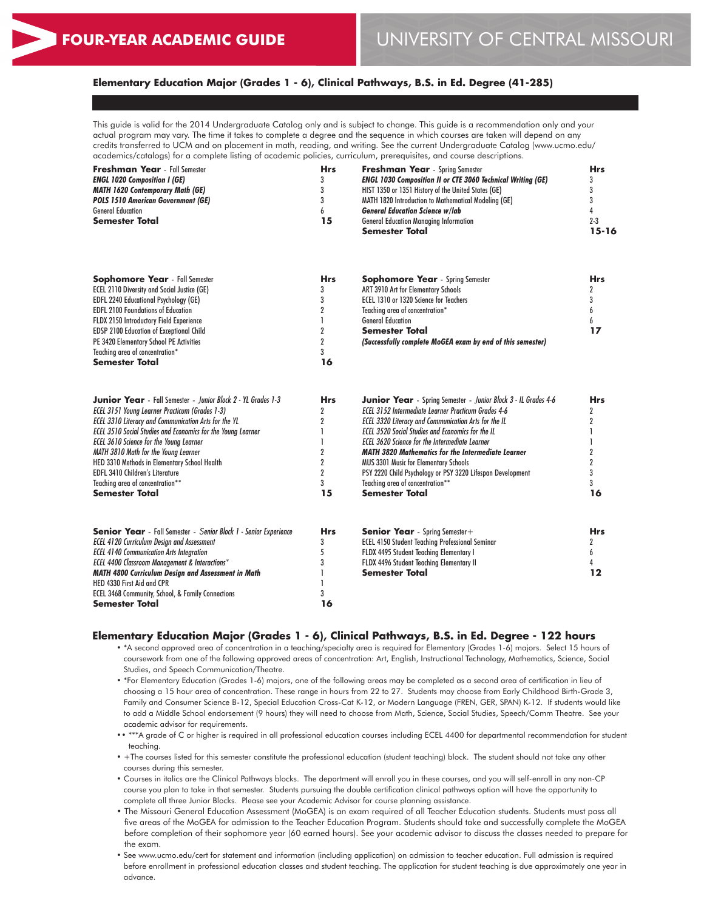## **Elementary Education Major (Grades 1 - 6), Clinical Pathways, B.S. in Ed. Degree (41-285)**

This guide is valid for the 2014 Undergraduate Catalog only and is subject to change. This guide is a recommendation only and your actual program may vary. The time it takes to complete a degree and the sequence in which courses are taken will depend on any credits transferred to UCM and on placement in math, reading, and writing. See the current Undergraduate Catalog (www.ucmo.edu/ academics/catalogs) for a complete listing of academic policies, curriculum, prerequisites, and course descriptions.

| <b>Hrs</b> | <b>Freshman Year</b> - Spring Semester                             | Hrs     |
|------------|--------------------------------------------------------------------|---------|
|            | <b>ENGL 1030 Composition II or CTE 3060 Technical Writing (GE)</b> |         |
|            | HIST 1350 or 1351 History of the United States (GE)                |         |
|            | MATH 1820 Introduction to Mathematical Modeling (GE)               |         |
|            | <b>General Education Science w/lab</b>                             |         |
| 15         | <b>General Education Managing Information</b>                      | $2 - 3$ |
|            | <b>Semester Total</b>                                              | 15-16   |
|            |                                                                    |         |

| <b>Sophomore Year</b> - Fall Semester                                      | <b>Hrs</b>     | <b>Sophomore Year</b> - Spring Semester                               | <b>Hrs</b>     |
|----------------------------------------------------------------------------|----------------|-----------------------------------------------------------------------|----------------|
| <b>ECEL 2110 Diversity and Social Justice (GE)</b>                         | 3              | ART 3910 Art for Elementary Schools                                   | $\overline{2}$ |
| <b>EDFL 2240 Educational Psychology (GE)</b>                               | 3              | ECEL 1310 or 1320 Science for Teachers                                | 3              |
| <b>EDFL 2100 Foundations of Education</b>                                  | $\overline{2}$ | Teaching area of concentration*                                       |                |
| FLDX 2150 Introductory Field Experience                                    |                | <b>General Education</b>                                              | 6              |
| <b>EDSP 2100 Education of Exceptional Child</b>                            | $\overline{2}$ | <b>Semester Total</b>                                                 | 17             |
| PE 3420 Elementary School PE Activities                                    | $\overline{2}$ | (Successfully complete MoGEA exam by end of this semester)            |                |
| Teaching area of concentration*                                            | 3              |                                                                       |                |
| <b>Semester Total</b>                                                      | 16             |                                                                       |                |
| <b>Junior Year</b> - Fall Semester - <i>Iunior Block 2 - YL Grades 1-3</i> | <b>Hrs</b>     | <b>Junior Year</b> - Spring Semester - Junior Block 3 - IL Grades 4-6 | <b>Hrs</b>     |
| <b>ECEL 3151 Young Learner Practicum (Grades 1-3)</b>                      | $\overline{2}$ | <b>ECEL 3152 Intermediate Learner Practicum Grades 4-6</b>            | 2              |
| <b>ECEL 3310 Literacy and Communication Arts for the YL</b>                |                | <b>ECEL 3320 Literacy and Communication Arts for the IL</b>           |                |
| <b>ECEL 3510 Social Studies and Economics for the Young Learner</b>        |                | <b>ECEL 3520 Social Studies and Economics for the IL</b>              |                |
| <b>ECEL 3610 Science for the Young Learner</b>                             |                | <b>ECEL 3620 Science for the Intermediate Learner</b>                 |                |
| MATH 3810 Math for the Young Learner                                       | 2              | <b>MATH 3820 Mathematics for the Intermediate Learner</b>             | 2              |
| HED 3310 Methods in Elementary School Health                               | $\overline{2}$ | MUS 3301 Music for Elementary Schools                                 | $\overline{2}$ |
| <b>EDFL 3410 Children's Literature</b>                                     | $\overline{2}$ | PSY 2220 Child Psychology or PSY 3220 Lifespan Development            | 3              |
| Teaching area of concentration**                                           | 3              | Teachina area of concentration**                                      | 3              |
| <b>Semester Total</b>                                                      | 15             | <b>Semester Total</b>                                                 | 16             |
| <b>Senior Year</b> - Fall Semester - Senior Block 1 - Senior Experience    | <b>Hrs</b>     | <b>Senior Year</b> - Spring Semester +                                | <b>Hrs</b>     |
| <b>ECEL 4120 Curriculum Design and Assessment</b>                          | 3              | <b>ECEL 4150 Student Teaching Professional Seminar</b>                | 2              |
| <b>ECEL 4140 Communication Arts Integration</b>                            | 5              | FLDX 4495 Student Teaching Elementary I                               | 6              |
| <b>ECEL 4400 Classroom Management &amp; Interactions*</b>                  | 3              | FLDX 4496 Student Teaching Elementary II                              | 4              |
| <b>MATH 4800 Curriculum Design and Assessment in Math</b>                  |                | <b>Semester Total</b>                                                 | $12 \$         |
| HED 4330 First Aid and CPR                                                 |                |                                                                       |                |
| ECEL 3468 Community, School, & Family Connections                          | 3              |                                                                       |                |
| Semester Total                                                             | 16             |                                                                       |                |
|                                                                            |                |                                                                       |                |

#### **Elementary Education Major (Grades 1 - 6), Clinical Pathways, B.S. in Ed. Degree - 122 hours**

- \*A second approved area of concentration in a teaching/specialty area is required for Elementary (Grades 1-6) majors. Select 15 hours of coursework from one of the following approved areas of concentration: Art, English, Instructional Technology, Mathematics, Science, Social Studies, and Speech Communication/Theatre.
- \*For Elementary Education (Grades 1-6) majors, one of the following areas may be completed as a second area of certification in lieu of choosing a 15 hour area of concentration. These range in hours from 22 to 27. Students may choose from Early Childhood Birth-Grade 3, Family and Consumer Science B-12, Special Education Cross-Cat K-12, or Modern Language (FREN, GER, SPAN) K-12. If students would like to add a Middle School endorsement (9 hours) they will need to choose from Math, Science, Social Studies, Speech/Comm Theatre. See your academic advisor for requirements.
- •• \*\*\*A grade of C or higher is required in all professional education courses including ECEL 4400 for departmental recommendation for student teaching.
- +The courses listed for this semester constitute the professional education (student teaching) block. The student should not take any other courses during this semester.
- Courses in italics are the Clinical Pathways blocks. The department will enroll you in these courses, and you will self-enroll in any non-CP course you plan to take in that semester. Students pursuing the double certification clinical pathways option will have the opportunity to complete all three Junior Blocks. Please see your Academic Advisor for course planning assistance.
- The Missouri General Education Assessment (MoGEA) is an exam required of all Teacher Education students. Students must pass all five areas of the MoGEA for admission to the Teacher Education Program. Students should take and successfully complete the MoGEA before completion of their sophomore year (60 earned hours). See your academic advisor to discuss the classes needed to prepare for the exam.
- See www.ucmo.edu/cert for statement and information (including application) on admission to teacher education. Full admission is required before enrollment in professional education classes and student teaching. The application for student teaching is due approximately one year in advance.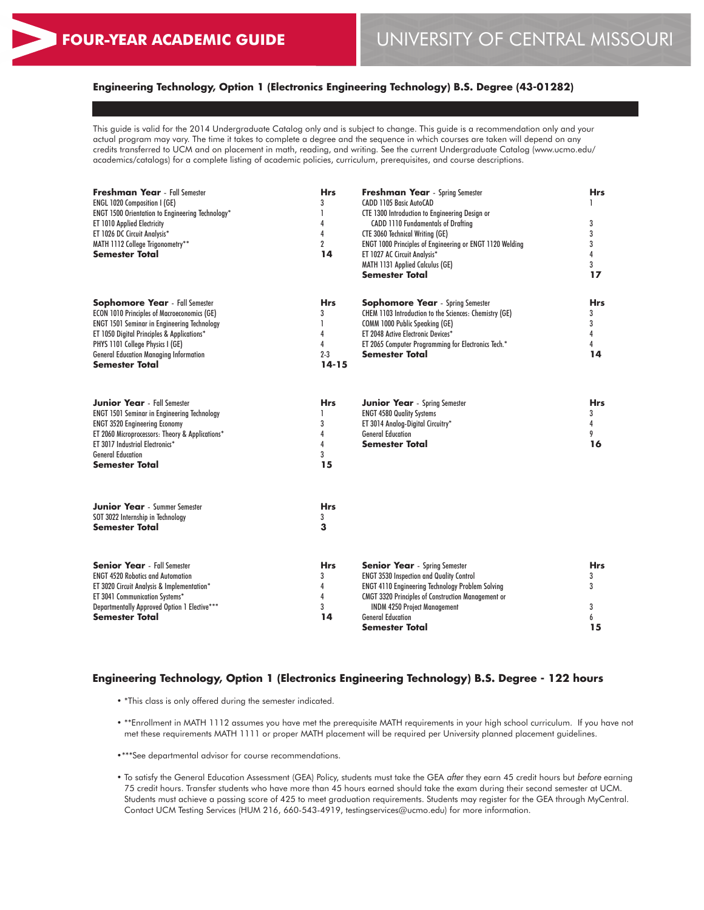## **Engineering Technology, Option 1 (Electronics Engineering Technology) B.S. Degree (43-01282)**

This guide is valid for the 2014 Undergraduate Catalog only and is subject to change. This guide is a recommendation only and your actual program may vary. The time it takes to complete a degree and the sequence in which courses are taken will depend on any credits transferred to UCM and on placement in math, reading, and writing. See the current Undergraduate Catalog (www.ucmo.edu/ academics/catalogs) for a complete listing of academic policies, curriculum, prerequisites, and course descriptions.

| <b>Freshman Year</b> - Fall Semester<br><b>ENGL 1020 Composition I (GE)</b><br>ENGT 1500 Orientation to Engineering Technology*<br>ET 1010 Applied Electricity<br>ET 1026 DC Circuit Analysis*<br>MATH 1112 College Trigonometry**<br>Semester Total                                                   | <b>Hrs</b><br>3<br>1<br>4<br>4<br>$\overline{2}$<br>14 | <b>Freshman Year</b> - Spring Semester<br>CADD 1105 Basic AutoCAD<br>CTE 1300 Introduction to Engineering Design or<br><b>CADD 1110 Fundamentals of Drafting</b><br><b>CTE 3060 Technical Writing (GE)</b><br>ENGT 1000 Principles of Engineering or ENGT 1120 Welding<br>ET 1027 AC Circuit Analysis*<br><b>MATH 1131 Applied Calculus (GE)</b><br><b>Semester Total</b> | <b>Hrs</b><br>3<br>3<br>3<br>$\overline{4}$<br>3<br>17 |
|--------------------------------------------------------------------------------------------------------------------------------------------------------------------------------------------------------------------------------------------------------------------------------------------------------|--------------------------------------------------------|---------------------------------------------------------------------------------------------------------------------------------------------------------------------------------------------------------------------------------------------------------------------------------------------------------------------------------------------------------------------------|--------------------------------------------------------|
| <b>Sophomore Year</b> - Fall Semester<br><b>ECON 1010 Principles of Macroeconomics (GE)</b><br><b>ENGT 1501 Seminar in Engineering Technology</b><br>ET 1050 Digital Principles & Applications*<br>PHYS 1101 College Physics I (GE)<br><b>General Education Managing Information</b><br>Semester Total | <b>Hrs</b><br>3<br>1<br>4<br>4<br>$2 - 3$<br>$14 - 15$ | <b>Sophomore Year</b> - Spring Semester<br>CHEM 1103 Introduction to the Sciences: Chemistry (GE)<br>COMM 1000 Public Speaking (GE)<br>ET 2048 Active Electronic Devices*<br>ET 2065 Computer Programming for Electronics Tech.*<br><b>Semester Total</b>                                                                                                                 | <b>Hrs</b><br>3<br>3<br>4<br>4<br>14                   |
| <b>Junior Year</b> - Fall Semester<br><b>ENGT 1501 Seminar in Engineering Technology</b><br><b>ENGT 3520 Engineering Economy</b><br>ET 2060 Microprocessors: Theory & Applications*<br>ET 3017 Industrial Electronics*<br><b>General Education</b><br>Semester Total                                   | <b>Hrs</b><br>3<br>4<br>4<br>3<br>15                   | <b>Junior Year</b> - Spring Semester<br><b>ENGT 4580 Quality Systems</b><br>ET 3014 Analog-Digital Circuitry*<br><b>General Education</b><br><b>Semester Total</b>                                                                                                                                                                                                        | <b>Hrs</b><br>3<br>4<br>9<br>16                        |
| <b>Junior Year</b> - Summer Semester<br>SOT 3022 Internship in Technology<br>Semester Total                                                                                                                                                                                                            | <b>Hrs</b><br>3<br>3                                   |                                                                                                                                                                                                                                                                                                                                                                           |                                                        |
| <b>Senior Year</b> - Fall Semester<br><b>ENGT 4520 Robotics and Automation</b><br>ET 3020 Circuit Analysis & Implementation*<br>ET 3041 Communication Systems*<br>Departmentally Approved Option 1 Elective***<br><b>Semester Total</b>                                                                | <b>Hrs</b><br>3<br>4<br>4<br>3<br>14                   | <b>Senior Year</b> - Spring Semester<br><b>ENGT 3530 Inspection and Quality Control</b><br><b>ENGT 4110 Engineering Technology Problem Solving</b><br><b>CMGT 3320 Principles of Construction Management or</b><br><b>INDM 4250 Project Management</b><br><b>General Education</b><br>Semester Total                                                                      | <b>Hrs</b><br>3<br>3<br>3<br>6<br>15                   |

## **Engineering Technology, Option 1 (Electronics Engineering Technology) B.S. Degree - 122 hours**

- \*This class is only offered during the semester indicated.
- \*\*Enrollment in MATH 1112 assumes you have met the prerequisite MATH requirements in your high school curriculum. If you have not met these requirements MATH 1111 or proper MATH placement will be required per University planned placement guidelines.
- •\*\*\*See departmental advisor for course recommendations.
- To satisfy the General Education Assessment (GEA) Policy, students must take the GEA *after* they earn 45 credit hours but *before* earning 75 credit hours. Transfer students who have more than 45 hours earned should take the exam during their second semester at UCM. Students must achieve a passing score of 425 to meet graduation requirements. Students may register for the GEA through MyCentral. Contact UCM Testing Services (HUM 216, 660-543-4919, testingservices@ucmo.edu) for more information.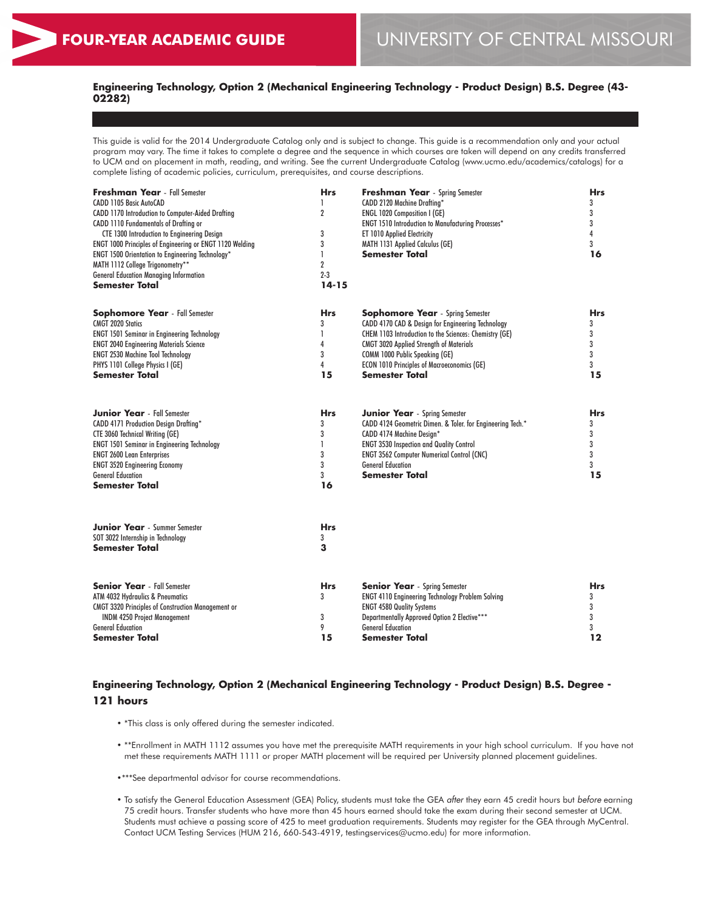## **Engineering Technology, Option 2 (Mechanical Engineering Technology - Product Design) B.S. Degree (43- 02282)**

This guide is valid for the 2014 Undergraduate Catalog only and is subject to change. This guide is a recommendation only and your actual program may vary. The time it takes to complete a degree and the sequence in which courses are taken will depend on any credits transferred to UCM and on placement in math, reading, and writing. See the current Undergraduate Catalog (www.ucmo.edu/academics/catalogs) for a complete listing of academic policies, curriculum, prerequisites, and course descriptions.

| <b>Freshman Year</b> - Fall Semester<br>CADD 1105 Basic AutoCAD<br>CADD 1170 Introduction to Computer-Aided Drafting<br>CADD 1110 Fundamentals of Drafting or<br><b>CTE 1300 Introduction to Engineering Design</b><br>ENGT 1000 Principles of Engineering or ENGT 1120 Welding<br>ENGT 1500 Orientation to Engineering Technology*<br>MATH 1112 College Trigonometry**<br><b>General Education Managing Information</b><br>Semester Total | <b>Hrs</b><br>1<br>$\boldsymbol{2}$<br>3<br>3<br>1<br>$\overline{2}$<br>$2 - 3$<br>$14 - 15$ | <b>Freshman Year</b> - Spring Semester<br>CADD 2120 Machine Drafting*<br>ENGL 1020 Composition I (GE)<br><b>ENGT 1510 Introduction to Manufacturing Processes*</b><br>ET 1010 Applied Electricity<br>MATH 1131 Applied Calculus (GE)<br>Semester Total                                                                    | <b>Hrs</b><br>3<br>3<br>3<br>$\overline{4}$<br>3<br>16 |
|--------------------------------------------------------------------------------------------------------------------------------------------------------------------------------------------------------------------------------------------------------------------------------------------------------------------------------------------------------------------------------------------------------------------------------------------|----------------------------------------------------------------------------------------------|---------------------------------------------------------------------------------------------------------------------------------------------------------------------------------------------------------------------------------------------------------------------------------------------------------------------------|--------------------------------------------------------|
| <b>Sophomore Year</b> - Fall Semester<br><b>CMGT 2020 Statics</b><br><b>ENGT 1501 Seminar in Engineering Technology</b><br><b>ENGT 2040 Engineering Materials Science</b><br><b>ENGT 2530 Machine Tool Technology</b><br>PHYS 1101 College Physics I (GE)<br><b>Semester Total</b>                                                                                                                                                         | <b>Hrs</b><br>3<br>1<br>4<br>3<br>4<br>15                                                    | <b>Sophomore Year</b> - Spring Semester<br>CADD 4170 CAD & Design for Engineering Technology<br>CHEM 1103 Introduction to the Sciences: Chemistry (GE)<br><b>CMGT 3020 Applied Strength of Materials</b><br>COMM 1000 Public Speaking (GE)<br><b>ECON 1010 Principles of Macroeconomics (GE)</b><br><b>Semester Total</b> | <b>Hrs</b><br>3<br>3<br>3<br>3<br>3<br>15              |
| <b>Junior Year</b> - Fall Semester<br>CADD 4171 Production Design Drafting*<br><b>CTE 3060 Technical Writing (GE)</b><br><b>ENGT 1501 Seminar in Engineering Technology</b><br><b>ENGT 2600 Lean Enterprises</b><br><b>ENGT 3520 Engineering Economy</b><br><b>General Education</b><br>Semester Total                                                                                                                                     | <b>Hrs</b><br>3<br>3<br>1<br>3<br>3<br>3<br>16                                               | <b>Junior Year</b> - Spring Semester<br>CADD 4124 Geometric Dimen. & Toler. for Engineering Tech.*<br>CADD 4174 Machine Design*<br><b>ENGT 3530 Inspection and Quality Control</b><br><b>ENGT 3562 Computer Numerical Control (CNC)</b><br><b>General Education</b><br><b>Semester Total</b>                              | <b>Hrs</b><br>3<br>3<br>3<br>3<br>3<br>15              |
| <b>Junior Year</b> - Summer Semester<br>SOT 3022 Internship in Technology<br>Semester Total                                                                                                                                                                                                                                                                                                                                                | <b>Hrs</b><br>3<br>3                                                                         |                                                                                                                                                                                                                                                                                                                           |                                                        |
| <b>Senior Year</b> - Fall Semester<br>ATM 4032 Hydraulics & Pneumatics<br><b>CMGT 3320 Principles of Construction Management or</b><br><b>INDM 4250 Project Management</b><br><b>General Education</b><br>Semester Total                                                                                                                                                                                                                   | <b>Hrs</b><br>3<br>3<br>9<br>15                                                              | <b>Senior Year</b> - Spring Semester<br><b>ENGT 4110 Engineering Technology Problem Solving</b><br><b>ENGT 4580 Quality Systems</b><br>Departmentally Approved Option 2 Elective***<br><b>General Education</b><br>Semester Total                                                                                         | <b>Hrs</b><br>3<br>3<br>3<br>3<br>$12 \$               |

## **Engineering Technology, Option 2 (Mechanical Engineering Technology - Product Design) B.S. Degree - 121 hours**

- \*This class is only offered during the semester indicated.
- \*\*Enrollment in MATH 1112 assumes you have met the prerequisite MATH requirements in your high school curriculum. If you have not met these requirements MATH 1111 or proper MATH placement will be required per University planned placement guidelines.
- •\*\*\*See departmental advisor for course recommendations.
- To satisfy the General Education Assessment (GEA) Policy, students must take the GEA *after* they earn 45 credit hours but *before* earning 75 credit hours. Transfer students who have more than 45 hours earned should take the exam during their second semester at UCM. Students must achieve a passing score of 425 to meet graduation requirements. Students may register for the GEA through MyCentral. Contact UCM Testing Services (HUM 216, 660-543-4919, testingservices@ucmo.edu) for more information.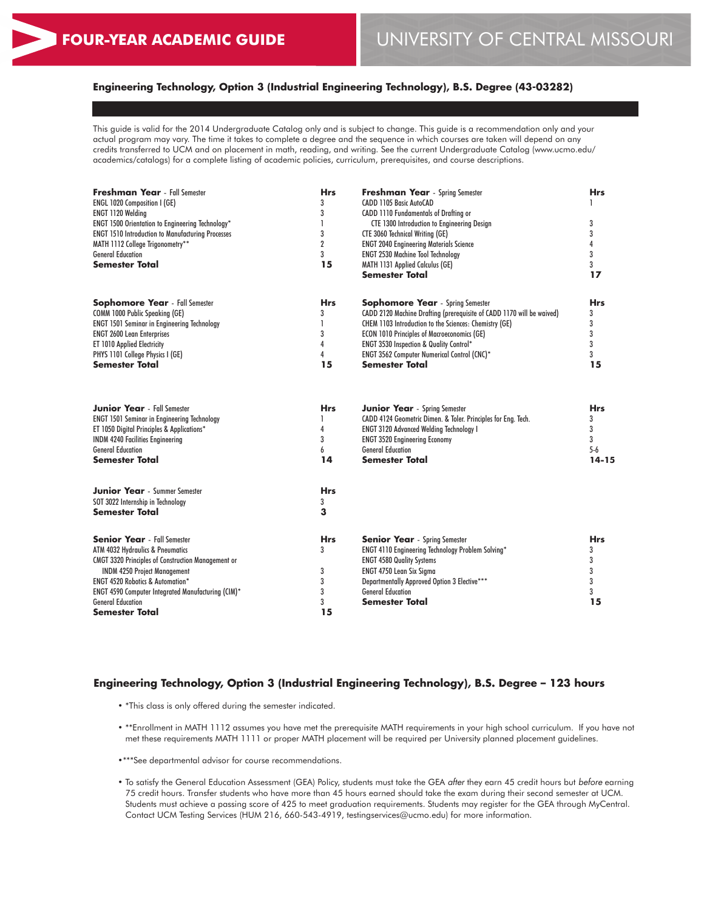## **Engineering Technology, Option 3 (Industrial Engineering Technology), B.S. Degree (43-03282)**

This guide is valid for the 2014 Undergraduate Catalog only and is subject to change. This guide is a recommendation only and your actual program may vary. The time it takes to complete a degree and the sequence in which courses are taken will depend on any credits transferred to UCM and on placement in math, reading, and writing. See the current Undergraduate Catalog (www.ucmo.edu/ academics/catalogs) for a complete listing of academic policies, curriculum, prerequisites, and course descriptions.

| Freshman Year - Fall Semester<br><b>ENGL 1020 Composition I (GE)</b> | <b>Hrs</b><br>3 | <b>Freshman Year</b> - Spring Semester<br>CADD 1105 Basic AutoCAD     | <b>Hrs</b> |
|----------------------------------------------------------------------|-----------------|-----------------------------------------------------------------------|------------|
| <b>ENGT 1120 Welding</b>                                             | 3               | CADD 1110 Fundamentals of Drafting or                                 |            |
| ENGT 1500 Orientation to Engineering Technology*                     | 1               | <b>CTE 1300 Introduction to Engineering Design</b>                    | 3          |
| <b>ENGT 1510 Introduction to Manufacturing Processes</b>             | 3               | <b>CTE 3060 Technical Writing (GE)</b>                                | 3          |
| MATH 1112 College Trigonometry**                                     | $\overline{2}$  | <b>ENGT 2040 Engineering Materials Science</b>                        | 4          |
| <b>General Education</b>                                             | 3               | <b>ENGT 2530 Machine Tool Technology</b>                              | 3          |
| <b>Semester Total</b>                                                | 15              | MATH 1131 Applied Calculus (GE)                                       | 3          |
|                                                                      |                 | <b>Semester Total</b>                                                 | 17         |
| <b>Sophomore Year</b> - Fall Semester                                | <b>Hrs</b>      | <b>Sophomore Year</b> - Spring Semester                               | <b>Hrs</b> |
| COMM 1000 Public Speaking (GE)                                       | 3               | CADD 2120 Machine Drafting (prerequisite of CADD 1170 will be waived) | 3          |
| <b>ENGT 1501 Seminar in Engineering Technology</b>                   | 1               | CHEM 1103 Introduction to the Sciences: Chemistry (GE)                | 3          |
| <b>ENGT 2600 Lean Enterprises</b>                                    | 3               | <b>ECON 1010 Principles of Macroeconomics (GE)</b>                    | 3          |
| ET 1010 Applied Electricity                                          | 4               | ENGT 3530 Inspection & Quality Control*                               | 3          |
| PHYS 1101 College Physics I (GE)                                     | 4               | ENGT 3562 Computer Numerical Control (CNC)*                           | 3          |
| Semester Total                                                       | 15              | <b>Semester Total</b>                                                 | 15         |
|                                                                      |                 |                                                                       |            |
| <b>Junior Year</b> - Fall Semester                                   | <b>Hrs</b>      | <b>Junior Year</b> - Spring Semester                                  | <b>Hrs</b> |
| <b>ENGT 1501 Seminar in Engineering Technology</b>                   |                 | CADD 4124 Geometric Dimen. & Toler. Principles for Eng. Tech.         | 3          |
| ET 1050 Digital Principles & Applications*                           | 4               | <b>ENGT 3120 Advanced Welding Technology I</b>                        | 3          |
| <b>INDM 4240 Facilities Engineering</b>                              | 3               | <b>ENGT 3520 Engineering Economy</b>                                  | 3          |
| <b>General Education</b>                                             | 6               | <b>General Education</b>                                              | $5-6$      |
| Semester Total                                                       | 14              | <b>Semester Total</b>                                                 | $14 - 15$  |
| <b>Junior Year</b> - Summer Semester                                 | <b>Hrs</b>      |                                                                       |            |
| SOT 3022 Internship in Technology                                    | 3               |                                                                       |            |
| <b>Semester Total</b>                                                | 3               |                                                                       |            |
| <b>Senior Year</b> - Fall Semester                                   | <b>Hrs</b>      | <b>Senior Year</b> - Spring Semester                                  | <b>Hrs</b> |
| ATM 4032 Hydraulics & Pneumatics                                     | 3               | ENGT 4110 Engineering Technology Problem Solving*                     | 3          |
| <b>CMGT 3320 Principles of Construction Management or</b>            |                 | <b>ENGT 4580 Quality Systems</b>                                      | 3          |
| <b>INDM 4250 Project Management</b>                                  | 3               | ENGT 4750 Lean Six Sigma                                              | 3          |
| <b>ENGT 4520 Robotics &amp; Automation*</b>                          | 3               | Departmentally Approved Option 3 Elective***                          | 3          |
| ENGT 4590 Computer Integrated Manufacturing (CIM)*                   | 3               | <b>General Education</b>                                              | 3          |
| <b>General Education</b>                                             | 3               | <b>Semester Total</b>                                                 | 15         |
| <b>Semester Total</b>                                                | 15              |                                                                       |            |

## **Engineering Technology, Option 3 (Industrial Engineering Technology), B.S. Degree – 123 hours**

- \*This class is only offered during the semester indicated.
- \*\*Enrollment in MATH 1112 assumes you have met the prerequisite MATH requirements in your high school curriculum. If you have not met these requirements MATH 1111 or proper MATH placement will be required per University planned placement guidelines.
- •\*\*\*See departmental advisor for course recommendations.
- To satisfy the General Education Assessment (GEA) Policy, students must take the GEA *after* they earn 45 credit hours but *before* earning 75 credit hours. Transfer students who have more than 45 hours earned should take the exam during their second semester at UCM. Students must achieve a passing score of 425 to meet graduation requirements. Students may register for the GEA through MyCentral. Contact UCM Testing Services (HUM 216, 660-543-4919, testingservices@ucmo.edu) for more information.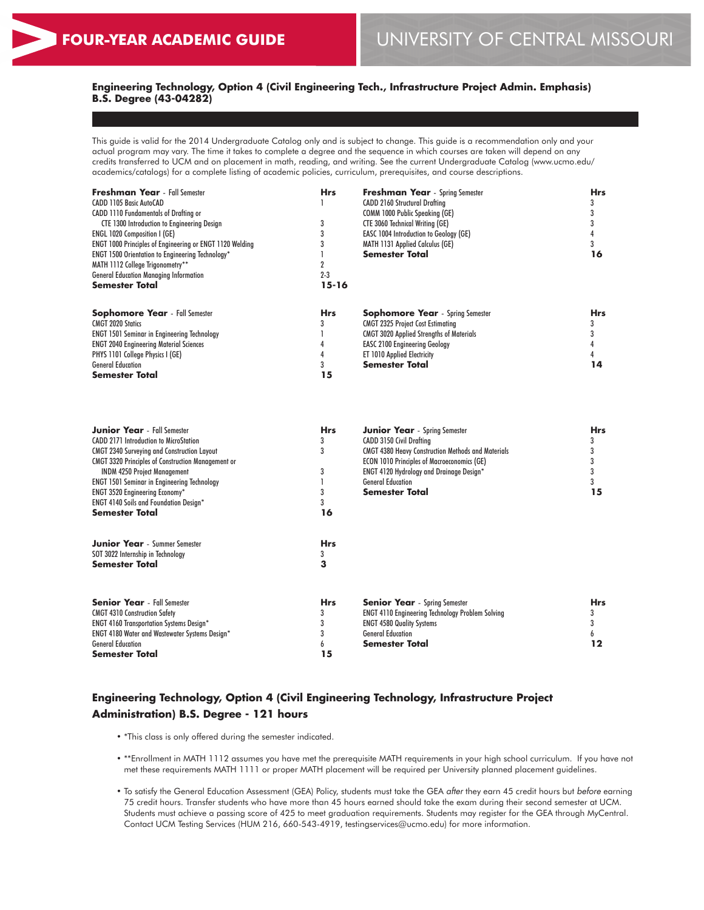## **Engineering Technology, Option 4 (Civil Engineering Tech., Infrastructure Project Admin. Emphasis) B.S. Degree (43-04282)**

This guide is valid for the 2014 Undergraduate Catalog only and is subject to change. This guide is a recommendation only and your actual program may vary. The time it takes to complete a degree and the sequence in which courses are taken will depend on any credits transferred to UCM and on placement in math, reading, and writing. See the current Undergraduate Catalog (www.ucmo.edu/ academics/catalogs) for a complete listing of academic policies, curriculum, prerequisites, and course descriptions.

| <b>Freshman Year</b> - Fall Semester                            | <b>Hrs</b> | <b>Freshman Year</b> - Spring Semester          | <b>Hrs</b> |  |
|-----------------------------------------------------------------|------------|-------------------------------------------------|------------|--|
| CADD 1105 Basic AutoCAD                                         |            | <b>CADD 2160 Structural Draftina</b>            |            |  |
| <b>CADD 1110 Fundamentals of Drafting or</b>                    |            | <b>COMM 1000 Public Speaking (GE)</b>           |            |  |
| <b>CTE 1300 Introduction to Engineering Design</b>              |            | <b>CTE 3060 Technical Writing (GE)</b>          |            |  |
| <b>ENGL 1020 Composition I (GE)</b>                             |            | <b>EASC 1004 Introduction to Geology (GE)</b>   |            |  |
| <b>ENGT 1000 Principles of Engineering or ENGT 1120 Welding</b> |            | <b>MATH 1131 Applied Calculus (GE)</b>          |            |  |
| <b>ENGT 1500 Orientation to Engineering Technology*</b>         |            | Semester Total                                  | 16         |  |
| MATH 1112 College Trigonometry**                                |            |                                                 |            |  |
| <b>General Education Managing Information</b>                   | $2 - 3$    |                                                 |            |  |
| Semester Total                                                  | 15-16      |                                                 |            |  |
| <b>Sophomore Year</b> - Fall Semester                           | <b>Hrs</b> | <b>Sophomore Year</b> - Spring Semester         | <b>Hrs</b> |  |
| <b>CMGT 2020 Statics</b>                                        |            | <b>CMGT 2325 Project Cost Estimating</b>        |            |  |
| <b>ENGT 1501 Seminar in Engineering Technology</b>              |            | <b>CMGT 3020 Applied Strengths of Materials</b> |            |  |
| <b>ENGT 2040 Engineering Material Sciences</b>                  |            | <b>EASC 2100 Engineering Geology</b>            |            |  |
| PHYS 1101 College Physics I (GE)                                |            | <b>ET 1010 Applied Electricity</b>              |            |  |
| <b>General Education</b>                                        |            | Semester Total                                  | 14         |  |
| Semester Total                                                  | 15         |                                                 |            |  |

| <b>Junior Year</b> - Fall Semester                                                                  | <b>Hrs</b> | <b>Junior Year</b> - Spring Semester                      | Hrs |
|-----------------------------------------------------------------------------------------------------|------------|-----------------------------------------------------------|-----|
| <b>CADD 2171 Introduction to MicroStation</b><br><b>CMGT 2340 Surveying and Construction Layout</b> | 3          | <b>CADD 3150 Civil Drafting</b>                           |     |
|                                                                                                     | 3          | <b>CMGT 4380 Heavy Construction Methods and Materials</b> |     |
| <b>CMGT 3320 Principles of Construction Management or</b>                                           |            | <b>ECON 1010 Principles of Macroeconomics (GE)</b>        |     |
| <b>INDM 4250 Project Management</b>                                                                 | 3          | <b>ENGT 4120 Hydrology and Drainage Design*</b>           |     |
| <b>ENGT 1501 Seminar in Engineering Technology</b>                                                  |            | <b>General Education</b>                                  |     |
| <b>ENGT 3520 Engineering Economy*</b>                                                               |            | Semester Total                                            | 15  |
| <b>ENGT 4140 Soils and Foundation Design*</b>                                                       |            |                                                           |     |
| <b>Semester Total</b>                                                                               | 16         |                                                           |     |
| <b>Junior Year</b> - Summer Semester                                                                | <b>Hrs</b> |                                                           |     |
| SOT 3022 Internship in Technology                                                                   |            |                                                           |     |
| <b>Semester Total</b>                                                                               | 3          |                                                           |     |
| <b>Senior Year</b> - Fall Semester                                                                  | <b>Hrs</b> | <b>Senior Year</b> - Spring Semester                      | Hrs |
| <b>CMGT 4310 Construction Safety</b>                                                                |            | <b>ENGT 4110 Engineering Technology Problem Solving</b>   |     |
| <b>ENGT 4160 Transportation Systems Design*</b>                                                     |            | <b>ENGT 4580 Quality Systems</b>                          |     |
| <b>ENGT 4180 Water and Wastewater Systems Design*</b>                                               |            | <b>General Education</b>                                  |     |
| <b>General Education</b>                                                                            |            | Semester Total                                            | 12  |
| <b>Semester Total</b>                                                                               | 15         |                                                           |     |

# **Engineering Technology, Option 4 (Civil Engineering Technology, Infrastructure Project Administration) B.S. Degree - 121 hours**

- \*This class is only offered during the semester indicated.
- \*\*Enrollment in MATH 1112 assumes you have met the prerequisite MATH requirements in your high school curriculum. If you have not met these requirements MATH 1111 or proper MATH placement will be required per University planned placement guidelines.
- To satisfy the General Education Assessment (GEA) Policy, students must take the GEA *after* they earn 45 credit hours but *before* earning 75 credit hours. Transfer students who have more than 45 hours earned should take the exam during their second semester at UCM. Students must achieve a passing score of 425 to meet graduation requirements. Students may register for the GEA through MyCentral. Contact UCM Testing Services (HUM 216, 660-543-4919, testingservices@ucmo.edu) for more information.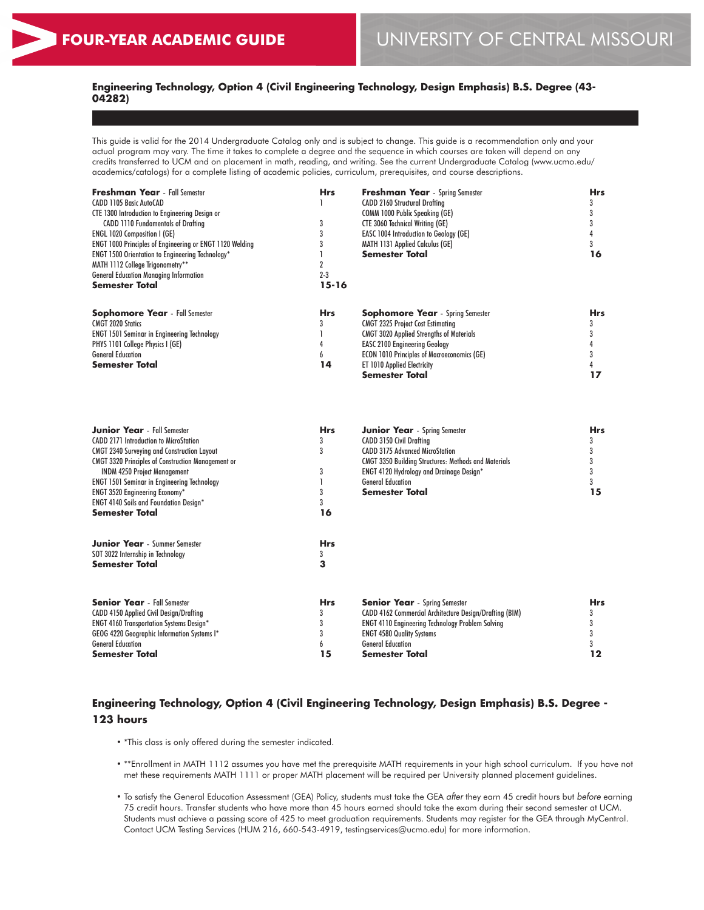## **Engineering Technology, Option 4 (Civil Engineering Technology, Design Emphasis) B.S. Degree (43- 04282)**

This guide is valid for the 2014 Undergraduate Catalog only and is subject to change. This guide is a recommendation only and your actual program may vary. The time it takes to complete a degree and the sequence in which courses are taken will depend on any credits transferred to UCM and on placement in math, reading, and writing. See the current Undergraduate Catalog (www.ucmo.edu/ academics/catalogs) for a complete listing of academic policies, curriculum, prerequisites, and course descriptions.

| <b>Freshman Year</b> - Fall Semester                            | <b>Hrs</b> | <b>Freshman Year</b> - Spring Semester             | Hrs |
|-----------------------------------------------------------------|------------|----------------------------------------------------|-----|
| CADD 1105 Basic AutoCAD                                         |            | <b>CADD 2160 Structural Drafting</b>               |     |
| <b>CTE 1300 Introduction to Engineering Design or</b>           |            | <b>COMM 1000 Public Speaking (GE)</b>              |     |
| <b>CADD 1110 Fundamentals of Drafting</b>                       |            | <b>CTE 3060 Technical Writing (GE)</b>             |     |
| <b>ENGL 1020 Composition I (GE)</b>                             |            | <b>EASC 1004 Introduction to Geology (GE)</b>      |     |
| <b>ENGT 1000 Principles of Engineering or ENGT 1120 Welding</b> |            | <b>MATH 1131 Applied Calculus (GE)</b>             |     |
| <b>ENGT 1500 Orientation to Engineering Technology*</b>         |            | <b>Semester Total</b>                              | 16  |
| MATH 1112 College Trigonometry**                                |            |                                                    |     |
| <b>General Education Managing Information</b>                   | $2 - 3$    |                                                    |     |
| <b>Semester Total</b>                                           | 15-16      |                                                    |     |
| <b>Sophomore Year</b> - Fall Semester                           | <b>Hrs</b> | <b>Sophomore Year</b> - Spring Semester            | Hrs |
| <b>CMGT 2020 Statics</b>                                        |            | <b>CMGT 2325 Project Cost Estimating</b>           |     |
| <b>ENGT 1501 Seminar in Engineering Technology</b>              |            | <b>CMGT 3020 Applied Strengths of Materials</b>    |     |
| PHYS 1101 College Physics I (GE)                                |            | <b>EASC 2100 Engineering Geology</b>               |     |
| <b>General Education</b>                                        | n          | <b>ECON 1010 Principles of Macroeconomics (GE)</b> |     |
| <b>Semester Total</b>                                           | 14         | <b>ET 1010 Applied Electricity</b>                 |     |
|                                                                 |            | Semester Total                                     |     |

| <b>Junior Year</b> - Fall Semester                        | <b>Hrs</b> | <b>Junior Year</b> - Spring Semester                        | Hrs |
|-----------------------------------------------------------|------------|-------------------------------------------------------------|-----|
| <b>CADD 2171 Introduction to MicroStation</b>             | 3          | <b>CADD 3150 Civil Drafting</b>                             |     |
| <b>CMGT 2340 Surveying and Construction Layout</b>        | 3          | <b>CADD 3175 Advanced MicroStation</b>                      |     |
| <b>CMGT 3320 Principles of Construction Management or</b> |            | <b>CMGT 3350 Building Structures: Methods and Materials</b> |     |
| <b>INDM 4250 Project Management</b>                       | 3          | <b>ENGT 4120 Hydrology and Drainage Design*</b>             |     |
| <b>ENGT 1501 Seminar in Engineering Technology</b>        |            | <b>General Education</b>                                    |     |
| <b>ENGT 3520 Engineering Economy*</b>                     |            | Semester Total                                              | 15  |
| <b>ENGT 4140 Soils and Foundation Design*</b>             |            |                                                             |     |
| <b>Semester Total</b>                                     | 16         |                                                             |     |
| <b>Junior Year</b> - Summer Semester                      | <b>Hrs</b> |                                                             |     |
| SOT 3022 Internship in Technology                         |            |                                                             |     |
| <b>Semester Total</b>                                     | 3          |                                                             |     |
| <b>Senior Year</b> - Fall Semester                        | <b>Hrs</b> | <b>Senior Year</b> - Spring Semester                        | Hrs |
| <b>CADD 4150 Applied Civil Design/Drafting</b>            | 3          | CADD 4162 Commercial Architecture Design/Drafting (BIM)     |     |
| <b>ENGT 4160 Transportation Systems Design*</b>           |            | <b>ENGT 4110 Engineering Technology Problem Solving</b>     |     |
| GEOG 4220 Geographic Information Systems I*               |            | <b>ENGT 4580 Quality Systems</b>                            |     |
| <b>General Education</b>                                  |            | <b>General Education</b>                                    |     |
| Semester Total                                            | 15         | <b>Semester Total</b>                                       | 12  |

# **Engineering Technology, Option 4 (Civil Engineering Technology, Design Emphasis) B.S. Degree - 123 hours**

- \*This class is only offered during the semester indicated.
- \*\*Enrollment in MATH 1112 assumes you have met the prerequisite MATH requirements in your high school curriculum. If you have not met these requirements MATH 1111 or proper MATH placement will be required per University planned placement guidelines.
- To satisfy the General Education Assessment (GEA) Policy, students must take the GEA *after* they earn 45 credit hours but *before* earning 75 credit hours. Transfer students who have more than 45 hours earned should take the exam during their second semester at UCM. Students must achieve a passing score of 425 to meet graduation requirements. Students may register for the GEA through MyCentral. Contact UCM Testing Services (HUM 216, 660-543-4919, testingservices@ucmo.edu) for more information.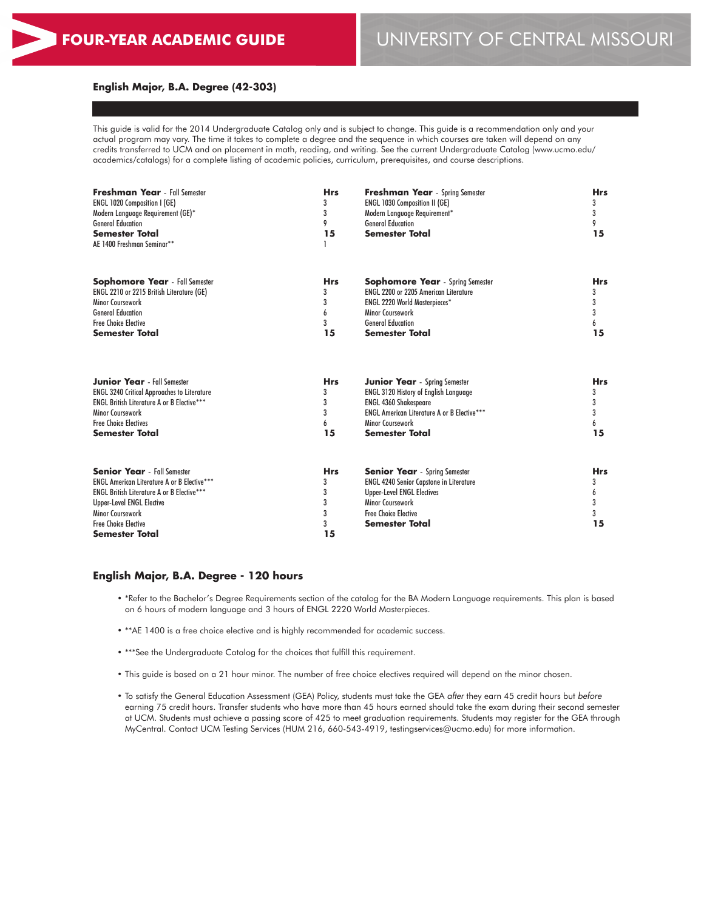#### **English Major, B.A. Degree (42-303)**

This guide is valid for the 2014 Undergraduate Catalog only and is subject to change. This guide is a recommendation only and your actual program may vary. The time it takes to complete a degree and the sequence in which courses are taken will depend on any credits transferred to UCM and on placement in math, reading, and writing. See the current Undergraduate Catalog (www.ucmo.edu/ academics/catalogs) for a complete listing of academic policies, curriculum, prerequisites, and course descriptions.

| <b>Freshman Year</b> - Fall Semester<br>ENGL 1020 Composition I (GE)<br>Modern Language Requirement (GE)*<br><b>General Education</b><br><b>Semester Total</b><br>AE 1400 Freshman Seminar**                                                                         | <b>Hrs</b><br>3<br>3<br>9<br>15           | <b>Freshman Year</b> - Spring Semester<br><b>ENGL 1030 Composition II (GE)</b><br>Modern Language Requirement*<br><b>General Education</b><br><b>Semester Total</b>                                     | <b>Hrs</b><br>3<br>3<br>9<br>15      |
|----------------------------------------------------------------------------------------------------------------------------------------------------------------------------------------------------------------------------------------------------------------------|-------------------------------------------|---------------------------------------------------------------------------------------------------------------------------------------------------------------------------------------------------------|--------------------------------------|
| <b>Sophomore Year</b> - Fall Semester                                                                                                                                                                                                                                | <b>Hrs</b>                                | <b>Sophomore Year</b> - Spring Semester                                                                                                                                                                 | <b>Hrs</b>                           |
| ENGL 2210 or 2215 British Literature (GE)                                                                                                                                                                                                                            | 3                                         | <b>ENGL 2200 or 2205 American Literature</b>                                                                                                                                                            | 3                                    |
| <b>Minor Coursework</b>                                                                                                                                                                                                                                              | 3                                         | ENGL 2220 World Masterpieces*                                                                                                                                                                           | 3                                    |
| <b>General Education</b>                                                                                                                                                                                                                                             | 6                                         | Minor Coursework                                                                                                                                                                                        | 3                                    |
| <b>Free Choice Elective</b>                                                                                                                                                                                                                                          | 3                                         | <b>General Education</b>                                                                                                                                                                                | 6                                    |
| <b>Semester Total</b>                                                                                                                                                                                                                                                | 15                                        | <b>Semester Total</b>                                                                                                                                                                                   | 15                                   |
| <b>Junior Year</b> - Fall Semester                                                                                                                                                                                                                                   | <b>Hrs</b>                                | <b>Junior Year</b> - Spring Semester                                                                                                                                                                    | <b>Hrs</b>                           |
| <b>ENGL 3240 Critical Approaches to Literature</b>                                                                                                                                                                                                                   | 3                                         | <b>ENGL 3120 History of English Language</b>                                                                                                                                                            | 3                                    |
| <b>ENGL British Literature A or B Elective***</b>                                                                                                                                                                                                                    | 3                                         | <b>ENGL 4360 Shakespeare</b>                                                                                                                                                                            | 3                                    |
| Minor Coursework                                                                                                                                                                                                                                                     | 3                                         | <b>ENGL American Literature A or B Elective***</b>                                                                                                                                                      | 3                                    |
| <b>Free Choice Electives</b>                                                                                                                                                                                                                                         | 6                                         | Minor Coursework                                                                                                                                                                                        | 6                                    |
| <b>Semester Total</b>                                                                                                                                                                                                                                                | 15                                        | <b>Semester Total</b>                                                                                                                                                                                   | 15                                   |
| <b>Senior Year</b> - Fall Semester<br><b>ENGL American Literature A or B Elective***</b><br><b>ENGL British Literature A or B Elective***</b><br><b>Upper-Level ENGL Elective</b><br><b>Minor Coursework</b><br><b>Free Choice Elective</b><br><b>Semester Total</b> | <b>Hrs</b><br>3<br>3<br>3<br>3<br>3<br>15 | <b>Senior Year</b> - Spring Semester<br><b>ENGL 4240 Senior Capstone in Literature</b><br><b>Upper-Level ENGL Electives</b><br>Minor Coursework<br><b>Free Choice Elective</b><br><b>Semester Total</b> | <b>Hrs</b><br>3<br>6<br>3<br>3<br>15 |

#### **English Major, B.A. Degree - 120 hours**

- \*Refer to the Bachelor's Degree Requirements section of the catalog for the BA Modern Language requirements. This plan is based on 6 hours of modern language and 3 hours of ENGL 2220 World Masterpieces.
- \*\*AE 1400 is a free choice elective and is highly recommended for academic success.
- \*\*\*See the Undergraduate Catalog for the choices that fulfill this requirement.
- This guide is based on a 21 hour minor. The number of free choice electives required will depend on the minor chosen.
- To satisfy the General Education Assessment (GEA) Policy, students must take the GEA *after* they earn 45 credit hours but *before* earning 75 credit hours. Transfer students who have more than 45 hours earned should take the exam during their second semester at UCM. Students must achieve a passing score of 425 to meet graduation requirements. Students may register for the GEA through MyCentral. Contact UCM Testing Services (HUM 216, 660-543-4919, testingservices@ucmo.edu) for more information.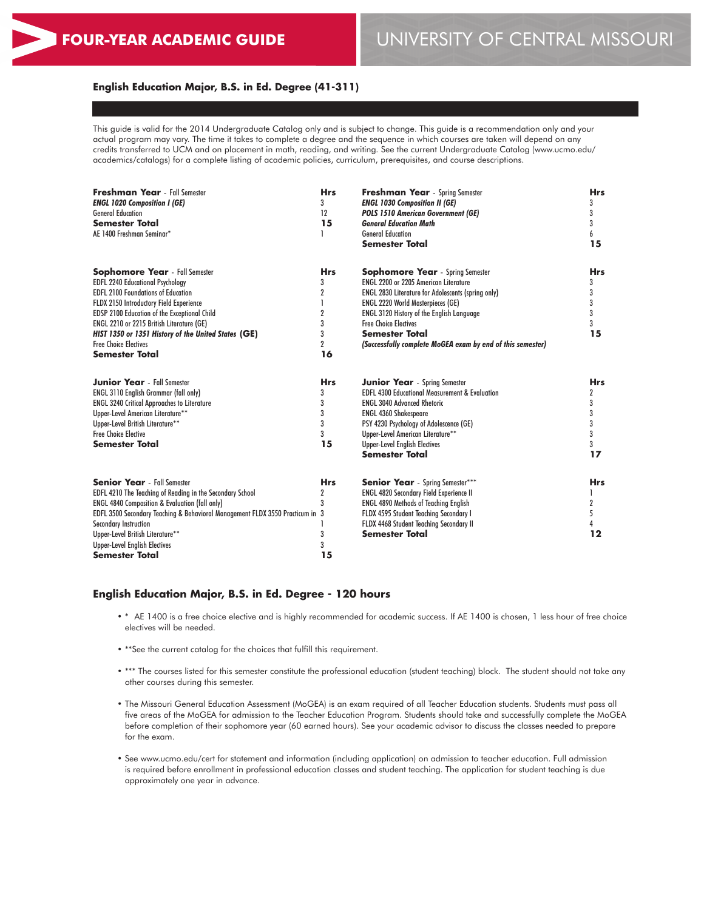#### **English Education Major, B.S. in Ed. Degree (41-311)**

This guide is valid for the 2014 Undergraduate Catalog only and is subject to change. This guide is a recommendation only and your actual program may vary. The time it takes to complete a degree and the sequence in which courses are taken will depend on any credits transferred to UCM and on placement in math, reading, and writing. See the current Undergraduate Catalog (www.ucmo.edu/ academics/catalogs) for a complete listing of academic policies, curriculum, prerequisites, and course descriptions.

| <b>Freshman Year</b> - Fall Semester<br><b>ENGL 1020 Composition I (GE)</b><br><b>General Education</b><br><b>Semester Total</b><br>AE 1400 Freshman Seminar*                                                                                                                                                                                                                                | <b>Hrs</b><br>3<br>12<br>15<br>1                                         | <b>Freshman Year</b> - Spring Semester<br><b>ENGL 1030 Composition II (GE)</b><br><b>POLS 1510 American Government (GE)</b><br><b>General Education Math</b><br><b>General Education</b><br><b>Semester Total</b>                                                                                                                                                           | <b>Hrs</b><br>3<br>3<br>3<br>6<br>15           |
|----------------------------------------------------------------------------------------------------------------------------------------------------------------------------------------------------------------------------------------------------------------------------------------------------------------------------------------------------------------------------------------------|--------------------------------------------------------------------------|-----------------------------------------------------------------------------------------------------------------------------------------------------------------------------------------------------------------------------------------------------------------------------------------------------------------------------------------------------------------------------|------------------------------------------------|
| <b>Sophomore Year</b> - Fall Semester<br><b>EDFL 2240 Educational Psychology</b><br><b>EDFL 2100 Foundations of Education</b><br>FLDX 2150 Introductory Field Experience<br><b>EDSP 2100 Education of the Exceptional Child</b><br>ENGL 2210 or 2215 British Literature (GE)<br>HIST 1350 or 1351 History of the United States (GE)<br><b>Free Choice Electives</b><br><b>Semester Total</b> | <b>Hrs</b><br>3<br>2<br>$\overline{2}$<br>3<br>3<br>$\overline{2}$<br>16 | <b>Sophomore Year</b> - Spring Semester<br><b>ENGL 2200 or 2205 American Literature</b><br><b>ENGL 2830 Literature for Adolescents (spring only)</b><br><b>ENGL 2220 World Masterpieces (GE)</b><br><b>ENGL 3120 History of the English Language</b><br><b>Free Choice Electives</b><br><b>Semester Total</b><br>(Successfully complete MoGEA exam by end of this semester) | Hrs<br>3<br>3<br>3<br>3<br>3<br>15             |
| <b>Junior Year</b> - Fall Semester<br><b>ENGL 3110 English Grammar (fall only)</b><br><b>ENGL 3240 Critical Approaches to Literature</b><br>Upper-Level American Literature**<br>Upper-Level British Literature**<br><b>Free Choice Elective</b><br>Semester Total                                                                                                                           | <b>Hrs</b><br>3<br>3<br>3<br>3<br>3<br>15                                | <b>Junior Year</b> - Spring Semester<br><b>EDFL 4300 Educational Measurement &amp; Evaluation</b><br><b>ENGL 3040 Advanced Rhetoric</b><br><b>ENGL 4360 Shakespeare</b><br>PSY 4230 Psychology of Adolescence (GE)<br>Upper-Level American Literature**<br><b>Upper-Level English Electives</b><br>Semester Total                                                           | <b>Hrs</b><br>2<br>3<br>3<br>3<br>3<br>3<br>17 |
| <b>Senior Year</b> - Fall Semester<br>EDFL 4210 The Teaching of Reading in the Secondary School<br><b>ENGL 4840 Composition &amp; Evaluation (fall only)</b><br>EDFL 3500 Secondary Teaching & Behavioral Management FLDX 3550 Practicum in 3<br><b>Secondary Instruction</b><br>Upper-Level British Literature**<br><b>Upper-Level English Electives</b><br>Semester Total                  | <b>Hrs</b><br>2<br>3<br>3<br>3<br>15                                     | <b>Senior Year</b> - Spring Semester***<br><b>ENGL 4820 Secondary Field Experience II</b><br><b>ENGL 4890 Methods of Teaching English</b><br>FLDX 4595 Student Teaching Secondary I<br>FLDX 4468 Student Teaching Secondary II<br>Semester Total                                                                                                                            | <b>Hrs</b><br>1<br>2<br>5<br>4<br>12           |

#### **English Education Major, B.S. in Ed. Degree - 120 hours**

- \* AE 1400 is a free choice elective and is highly recommended for academic success. If AE 1400 is chosen, 1 less hour of free choice electives will be needed.
- \*\*See the current catalog for the choices that fulfill this requirement.
- \*\*\* The courses listed for this semester constitute the professional education (student teaching) block. The student should not take any other courses during this semester.
- The Missouri General Education Assessment (MoGEA) is an exam required of all Teacher Education students. Students must pass all five areas of the MoGEA for admission to the Teacher Education Program. Students should take and successfully complete the MoGEA before completion of their sophomore year (60 earned hours). See your academic advisor to discuss the classes needed to prepare for the exam.
- See www.ucmo.edu/cert for statement and information (including application) on admission to teacher education. Full admission is required before enrollment in professional education classes and student teaching. The application for student teaching is due approximately one year in advance.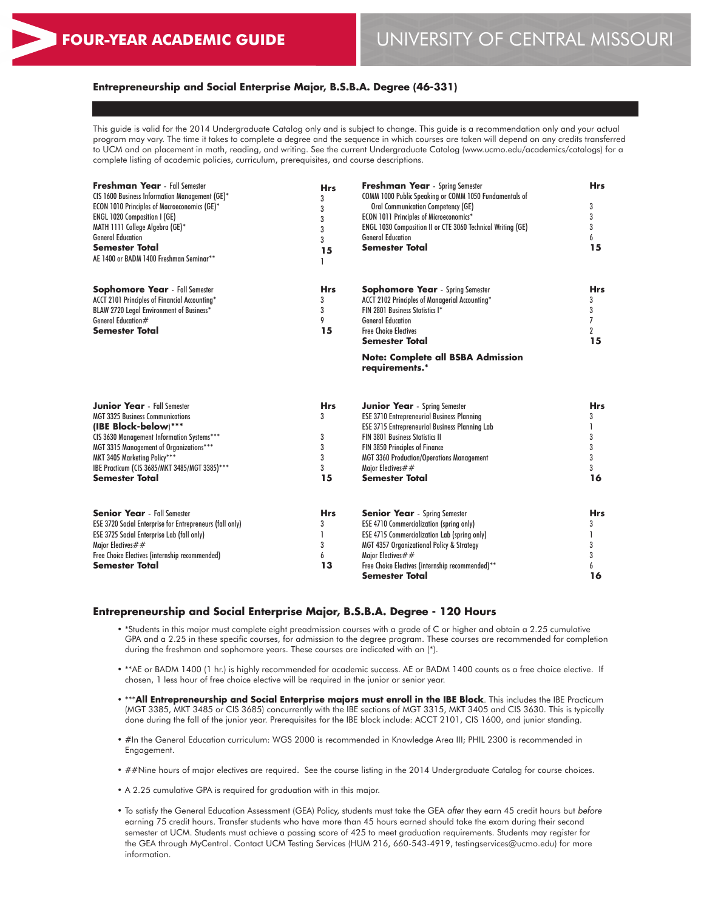## **Entrepreneurship and Social Enterprise Major, B.S.B.A. Degree (46-331)**

This guide is valid for the 2014 Undergraduate Catalog only and is subject to change. This guide is a recommendation only and your actual program may vary. The time it takes to complete a degree and the sequence in which courses are taken will depend on any credits transferred to UCM and on placement in math, reading, and writing. See the current Undergraduate Catalog (www.ucmo.edu/academics/catalogs) for a complete listing of academic policies, curriculum, prerequisites, and course descriptions.

| <b>Freshman Year</b> - Fall Semester<br>CIS 1600 Business Information Management (GE)*<br>ECON 1010 Principles of Macroeconomics (GE)*<br><b>ENGL 1020 Composition I (GE)</b><br>MATH 1111 College Algebra (GE)*<br><b>General Education</b><br><b>Semester Total</b><br>AE 1400 or BADM 1400 Freshman Seminar** | <b>Hrs</b><br>3<br>3<br>3<br>3<br>3<br>15 | Freshman Year - Spring Semester<br>COMM 1000 Public Speaking or COMM 1050 Fundamentals of<br><b>Oral Communication Competency (GE)</b><br><b>ECON 1011 Principles of Microeconomics*</b><br>ENGL 1030 Composition II or CTE 3060 Technical Writing (GE)<br><b>General Education</b><br><b>Semester Total</b>                     | <b>Hrs</b><br>3<br>3<br>3<br>6<br>15                           |
|------------------------------------------------------------------------------------------------------------------------------------------------------------------------------------------------------------------------------------------------------------------------------------------------------------------|-------------------------------------------|----------------------------------------------------------------------------------------------------------------------------------------------------------------------------------------------------------------------------------------------------------------------------------------------------------------------------------|----------------------------------------------------------------|
| <b>Sophomore Year</b> - Fall Semester<br>ACCT 2101 Principles of Financial Accounting*<br>BLAW 2720 Legal Environment of Business*<br>General Education#<br><b>Semester Total</b>                                                                                                                                | <b>Hrs</b><br>3<br>3<br>9<br>15           | <b>Sophomore Year</b> - Spring Semester<br>ACCT 2102 Principles of Managerial Accounting*<br>FIN 2801 Business Statistics I*<br><b>General Education</b><br><b>Free Choice Electives</b><br><b>Semester Total</b>                                                                                                                | <b>Hrs</b><br>3<br>3<br>$\overline{7}$<br>$\overline{2}$<br>15 |
|                                                                                                                                                                                                                                                                                                                  |                                           | <b>Note: Complete all BSBA Admission</b><br>requirements.*                                                                                                                                                                                                                                                                       |                                                                |
| <b>Junior Year</b> - Fall Semester<br><b>MGT 3325 Business Communications</b><br>(IBE Block-below)***<br>CIS 3630 Management Information Systems***<br>MGT 3315 Management of Organizations***<br>MKT 3405 Marketing Policy***<br>IBE Practicum (CIS 3685/MKT 3485/MGT 3385)***<br><b>Semester Total</b>         | <b>Hrs</b><br>3<br>3<br>3<br>3<br>3<br>15 | <b>Junior Year</b> - Spring Semester<br><b>ESE 3710 Entrepreneurial Business Planning</b><br><b>ESE 3715 Entrepreneurial Business Planning Lab</b><br><b>FIN 3801 Business Statistics II</b><br>FIN 3850 Principles of Finance<br><b>MGT 3360 Production/Operations Management</b><br>Major Electives##<br><b>Semester Total</b> | <b>Hrs</b><br>3<br>3<br>3<br>3<br>3<br>16                      |
| <b>Senior Year</b> - Fall Semester<br><b>ESE 3720 Social Enterprise for Entrepreneurs (fall only)</b><br><b>ESE 3725 Social Enterprise Lab (fall only)</b><br>Major Electives $##$<br>Free Choice Electives (internship recommended)<br><b>Semester Total</b>                                                    | <b>Hrs</b><br>3<br>3<br>6<br>13           | <b>Senior Year</b> - Spring Semester<br><b>ESE 4710 Commercialization (spring only)</b><br><b>ESE 4715 Commercialization Lab (spring only)</b><br>MGT 4357 Organizational Policy & Strategy<br>Major Electives $##$<br>Free Choice Electives (internship recommended)**<br>Semester Total                                        | <b>Hrs</b><br>3<br>3<br>3<br>6<br>16                           |

#### **Entrepreneurship and Social Enterprise Major, B.S.B.A. Degree - 120 Hours**

- \*Students in this major must complete eight preadmission courses with a grade of C or higher and obtain a 2.25 cumulative GPA and a 2.25 in these specific courses, for admission to the degree program. These courses are recommended for completion during the freshman and sophomore years. These courses are indicated with an (\*).
- \*\*AE or BADM 1400 (1 hr.) is highly recommended for academic success. AE or BADM 1400 counts as a free choice elective. If chosen, 1 less hour of free choice elective will be required in the junior or senior year.
- \*\*\***All Entrepreneurship and Social Enterprise majors must enroll in the IBE Block**. This includes the IBE Practicum (MGT 3385, MKT 3485 or CIS 3685) concurrently with the IBE sections of MGT 3315, MKT 3405 and CIS 3630. This is typically done during the fall of the junior year. Prerequisites for the IBE block include: ACCT 2101, CIS 1600, and junior standing.
- #In the General Education curriculum: WGS 2000 is recommended in Knowledge Area III; PHIL 2300 is recommended in Engagement.
- ##Nine hours of major electives are required. See the course listing in the 2014 Undergraduate Catalog for course choices.
- A 2.25 cumulative GPA is required for graduation with in this major.
- To satisfy the General Education Assessment (GEA) Policy, students must take the GEA *after* they earn 45 credit hours but *before* earning 75 credit hours. Transfer students who have more than 45 hours earned should take the exam during their second semester at UCM. Students must achieve a passing score of 425 to meet graduation requirements. Students may register for the GEA through MyCentral. Contact UCM Testing Services (HUM 216, 660-543-4919, testingservices@ucmo.edu) for more information.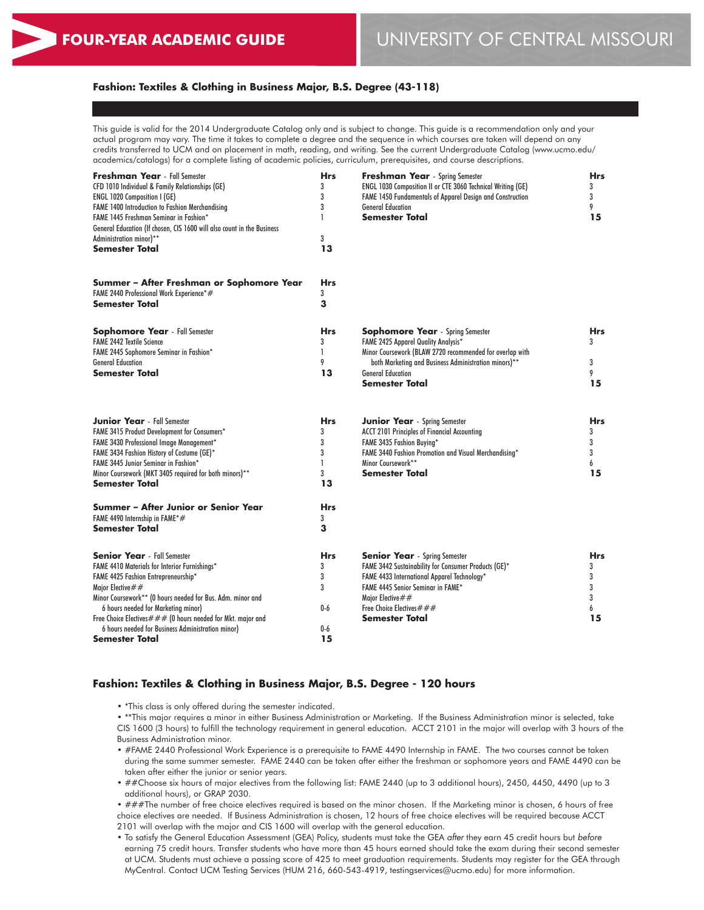### **Fashion: Textiles & Clothing in Business Major, B.S. Degree (43-118)**

This guide is valid for the 2014 Undergraduate Catalog only and is subject to change. This guide is a recommendation only and your actual program may vary. The time it takes to complete a degree and the sequence in which courses are taken will depend on any credits transferred to UCM and on placement in math, reading, and writing. See the current Undergraduate Catalog (www.ucmo.edu/ academics/catalogs) for a complete listing of academic policies, curriculum, prerequisites, and course descriptions.

| Freshman Year - Fall Semester<br>CFD 1010 Individual & Family Relationships (GE)<br>ENGL 1020 Composition I (GE)<br>FAME 1400 Introduction to Fashion Merchandising<br>FAME 1445 Freshman Seminar in Fashion*<br>General Education (If chosen, CIS 1600 will also count in the Business<br>Administration minor)** | <b>Hrs</b><br>3<br>3<br>3<br>1<br>3       | <b>Freshman Year</b> - Spring Semester<br>ENGL 1030 Composition II or CTE 3060 Technical Writing (GE)<br>FAME 1450 Fundamentals of Apparel Design and Construction<br><b>General Education</b><br>Semester Total                 | <b>Hrs</b><br>3<br>3<br>9<br>15      |
|--------------------------------------------------------------------------------------------------------------------------------------------------------------------------------------------------------------------------------------------------------------------------------------------------------------------|-------------------------------------------|----------------------------------------------------------------------------------------------------------------------------------------------------------------------------------------------------------------------------------|--------------------------------------|
| <b>Semester Total</b>                                                                                                                                                                                                                                                                                              | 13                                        |                                                                                                                                                                                                                                  |                                      |
| Summer - After Freshman or Sophomore Year<br>FAME 2440 Professional Work Experience*#<br>Semester Total                                                                                                                                                                                                            | <b>Hrs</b><br>3<br>3                      |                                                                                                                                                                                                                                  |                                      |
| <b>Sophomore Year</b> - Fall Semester<br><b>FAME 2442 Textile Science</b><br>FAME 2445 Sophomore Seminar in Fashion*                                                                                                                                                                                               | <b>Hrs</b><br>3<br>L                      | <b>Sophomore Year</b> - Spring Semester<br><b>FAME 2425 Apparel Quality Analysis*</b><br>Minor Coursework (BLAW 2720 recommended for overlap with                                                                                | Hrs<br>3                             |
| <b>General Education</b><br>Semester Total                                                                                                                                                                                                                                                                         | 9<br>13                                   | both Marketing and Business Administration minors)**<br><b>General Education</b><br><b>Semester Total</b>                                                                                                                        | 3<br>9<br>15                         |
| <b>Junior Year</b> - Fall Semester<br>FAME 3415 Product Development for Consumers*<br>FAME 3430 Professional Image Management*<br>FAME 3434 Fashion History of Costume (GE)*<br>FAME 3445 Junior Seminar in Fashion*<br>Minor Coursework (MKT 3405 required for both minors)**<br>Semester Total                   | <b>Hrs</b><br>3<br>3<br>3<br>1<br>3<br>13 | <b>Junior Year</b> - Spring Semester<br><b>ACCT 2101 Principles of Financial Accounting</b><br>FAME 3435 Fashion Buying*<br>FAME 3440 Fashion Promotion and Visual Merchandising*<br>Minor Coursework**<br><b>Semester Total</b> | <b>Hrs</b><br>3<br>3<br>3<br>6<br>15 |
| Summer – After Junior or Senior Year<br>FAME 4490 Internship in FAME*#<br>Semester Total                                                                                                                                                                                                                           | <b>Hrs</b><br>3<br>3                      |                                                                                                                                                                                                                                  |                                      |
| <b>Senior Year</b> - Fall Semester<br>FAME 4410 Materials for Interior Furnishings*<br>FAME 4425 Fashion Entrepreneurship*<br>Major Elective $\# \#$<br>Minor Coursework** (0 hours needed for Bus. Adm. minor and                                                                                                 | <b>Hrs</b><br>3<br>3<br>3                 | <b>Senior Year</b> - Spring Semester<br>FAME 3442 Sustainability for Consumer Products (GE)*<br>FAME 4433 International Apparel Technology*<br><b>FAME 4445 Senior Seminar in FAME*</b><br>Major Elective $##$                   | <b>Hrs</b><br>3<br>3<br>3<br>3       |
| 6 hours needed for Marketing minor)<br>Free Choice Electives $\# \# \#$ (0 hours needed for Mkt. major and<br>6 hours needed for Business Administration minor)<br>Semester Total                                                                                                                                  | $0-6$<br>$0-6$<br>15                      | Free Choice Electives $\# \# \#$<br>Semester Total                                                                                                                                                                               | 6<br>15                              |

#### **Fashion: Textiles & Clothing in Business Major, B.S. Degree - 120 hours**

• \*This class is only offered during the semester indicated.

• \*\*This major requires a minor in either Business Administration or Marketing. If the Business Administration minor is selected, take CIS 1600 (3 hours) to fulfill the technology requirement in general education. ACCT 2101 in the major will overlap with 3 hours of the Business Administration minor.

• #FAME 2440 Professional Work Experience is a prerequisite to FAME 4490 Internship in FAME. The two courses cannot be taken during the same summer semester. FAME 2440 can be taken after either the freshman or sophomore years and FAME 4490 can be taken after either the junior or senior years.

• ##Choose six hours of major electives from the following list: FAME 2440 (up to 3 additional hours), 2450, 4450, 4490 (up to 3 additional hours), or GRAP 2030.

• ###The number of free choice electives required is based on the minor chosen. If the Marketing minor is chosen, 6 hours of free choice electives are needed. If Business Administration is chosen, 12 hours of free choice electives will be required because ACCT 2101 will overlap with the major and CIS 1600 will overlap with the general education.

• To satisfy the General Education Assessment (GEA) Policy, students must take the GEA *after* they earn 45 credit hours but *before* earning 75 credit hours. Transfer students who have more than 45 hours earned should take the exam during their second semester at UCM. Students must achieve a passing score of 425 to meet graduation requirements. Students may register for the GEA through MyCentral. Contact UCM Testing Services (HUM 216, 660-543-4919, testingservices@ucmo.edu) for more information.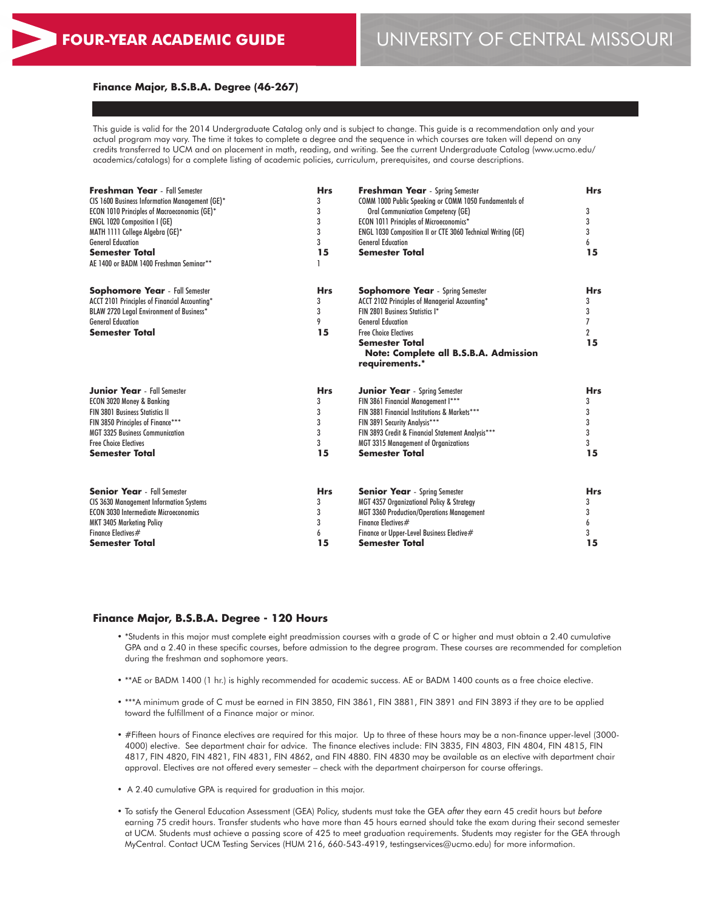#### **Finance Major, B.S.B.A. Degree (46-267)**

This guide is valid for the 2014 Undergraduate Catalog only and is subject to change. This guide is a recommendation only and your actual program may vary. The time it takes to complete a degree and the sequence in which courses are taken will depend on any credits transferred to UCM and on placement in math, reading, and writing. See the current Undergraduate Catalog (www.ucmo.edu/ academics/catalogs) for a complete listing of academic policies, curriculum, prerequisites, and course descriptions.

| <b>Freshman Year</b> - Fall Semester<br>CIS 1600 Business Information Management (GE)*<br><b>ECON 1010 Principles of Macroeconomics (GE)*</b><br>ENGL 1020 Composition I (GE)<br>MATH 1111 College Algebra (GE)*<br><b>General Education</b><br><b>Semester Total</b><br>AE 1400 or BADM 1400 Freshman Seminar** | <b>Hrs</b><br>3<br>3<br>3<br>3<br>3<br>15 | <b>Freshman Year</b> - Spring Semester<br>COMM 1000 Public Speaking or COMM 1050 Fundamentals of<br><b>Oral Communication Competency (GE)</b><br>ECON 1011 Principles of Microeconomics*<br>ENGL 1030 Composition II or CTE 3060 Technical Writing (GE)<br><b>General Education</b><br><b>Semester Total</b> | <b>Hrs</b><br>3<br>3<br>3<br>6<br>15 |
|------------------------------------------------------------------------------------------------------------------------------------------------------------------------------------------------------------------------------------------------------------------------------------------------------------------|-------------------------------------------|--------------------------------------------------------------------------------------------------------------------------------------------------------------------------------------------------------------------------------------------------------------------------------------------------------------|--------------------------------------|
| <b>Sophomore Year</b> - Fall Semester<br>ACCT 2101 Principles of Financial Accounting*<br>BLAW 2720 Legal Environment of Business*<br><b>General Education</b><br><b>Semester Total</b>                                                                                                                          | <b>Hrs</b><br>3<br>3<br>9<br>15           | <b>Sophomore Year</b> - Spring Semester<br>ACCT 2102 Principles of Managerial Accounting*<br>FIN 2801 Business Statistics I*<br><b>General Education</b><br><b>Free Choice Electives</b><br><b>Semester Total</b><br>Note: Complete all B.S.B.A. Admission<br>requirements.*                                 | <b>Hrs</b><br>3<br>3<br>7<br>2<br>15 |
| <b>Junior Year</b> - Fall Semester                                                                                                                                                                                                                                                                               | <b>Hrs</b>                                | <b>Junior Year</b> - Spring Semester                                                                                                                                                                                                                                                                         | <b>Hrs</b>                           |
| ECON 3020 Money & Banking                                                                                                                                                                                                                                                                                        | 3                                         | FIN 3861 Financial Management I***                                                                                                                                                                                                                                                                           | 3                                    |
| <b>FIN 3801 Business Statistics II</b>                                                                                                                                                                                                                                                                           | 3                                         | FIN 3881 Financial Institutions & Markets***                                                                                                                                                                                                                                                                 | 3                                    |
| FIN 3850 Principles of Finance***                                                                                                                                                                                                                                                                                | 3                                         | FIN 3891 Security Analysis***                                                                                                                                                                                                                                                                                | 3                                    |
| <b>MGT 3325 Business Communication</b>                                                                                                                                                                                                                                                                           | 3                                         | FIN 3893 Credit & Financial Statement Analysis***                                                                                                                                                                                                                                                            | 3                                    |
| <b>Free Choice Electives</b>                                                                                                                                                                                                                                                                                     | 3                                         | <b>MGT 3315 Management of Organizations</b>                                                                                                                                                                                                                                                                  | 3                                    |
| <b>Semester Total</b>                                                                                                                                                                                                                                                                                            | 15                                        | <b>Semester Total</b>                                                                                                                                                                                                                                                                                        | 15                                   |
| <b>Senior Year</b> - Fall Semester                                                                                                                                                                                                                                                                               | <b>Hrs</b>                                | <b>Senior Year</b> - Spring Semester                                                                                                                                                                                                                                                                         | <b>Hrs</b>                           |
| <b>CIS 3630 Management Information Systems</b>                                                                                                                                                                                                                                                                   | 3                                         | MGT 4357 Organizational Policy & Strategy                                                                                                                                                                                                                                                                    | 3                                    |
| <b>ECON 3030 Intermediate Microeconomics</b>                                                                                                                                                                                                                                                                     | 3                                         | MGT 3360 Production/Operations Management                                                                                                                                                                                                                                                                    | 3                                    |
| <b>MKT 3405 Marketing Policy</b>                                                                                                                                                                                                                                                                                 | 3                                         | Finance Electives#                                                                                                                                                                                                                                                                                           | 6                                    |
| Finance Electives#                                                                                                                                                                                                                                                                                               | 6                                         | Finance or Upper-Level Business Elective#                                                                                                                                                                                                                                                                    | 3                                    |
| <b>Semester Total</b>                                                                                                                                                                                                                                                                                            | 15                                        | <b>Semester Total</b>                                                                                                                                                                                                                                                                                        | 15                                   |

#### **Finance Major, B.S.B.A. Degree - 120 Hours**

- \*Students in this major must complete eight preadmission courses with a grade of C or higher and must obtain a 2.40 cumulative GPA and a 2.40 in these specific courses, before admission to the degree program. These courses are recommended for completion during the freshman and sophomore years.
- \*\*AE or BADM 1400 (1 hr.) is highly recommended for academic success. AE or BADM 1400 counts as a free choice elective.
- \*\*\*A minimum grade of C must be earned in FIN 3850, FIN 3861, FIN 3881, FIN 3891 and FIN 3893 if they are to be applied toward the fulfillment of a Finance major or minor.
- #Fifteen hours of Finance electives are required for this major. Up to three of these hours may be a non-finance upper-level (3000- 4000) elective. See department chair for advice. The finance electives include: FIN 3835, FIN 4803, FIN 4804, FIN 4815, FIN 4817, FIN 4820, FIN 4821, FIN 4831, FIN 4862, and FIN 4880. FIN 4830 may be available as an elective with department chair approval. Electives are not offered every semester – check with the department chairperson for course offerings.
- A 2.40 cumulative GPA is required for graduation in this major.
- To satisfy the General Education Assessment (GEA) Policy, students must take the GEA *after* they earn 45 credit hours but *before* earning 75 credit hours. Transfer students who have more than 45 hours earned should take the exam during their second semester at UCM. Students must achieve a passing score of 425 to meet graduation requirements. Students may register for the GEA through MyCentral. Contact UCM Testing Services (HUM 216, 660-543-4919, testingservices@ucmo.edu) for more information.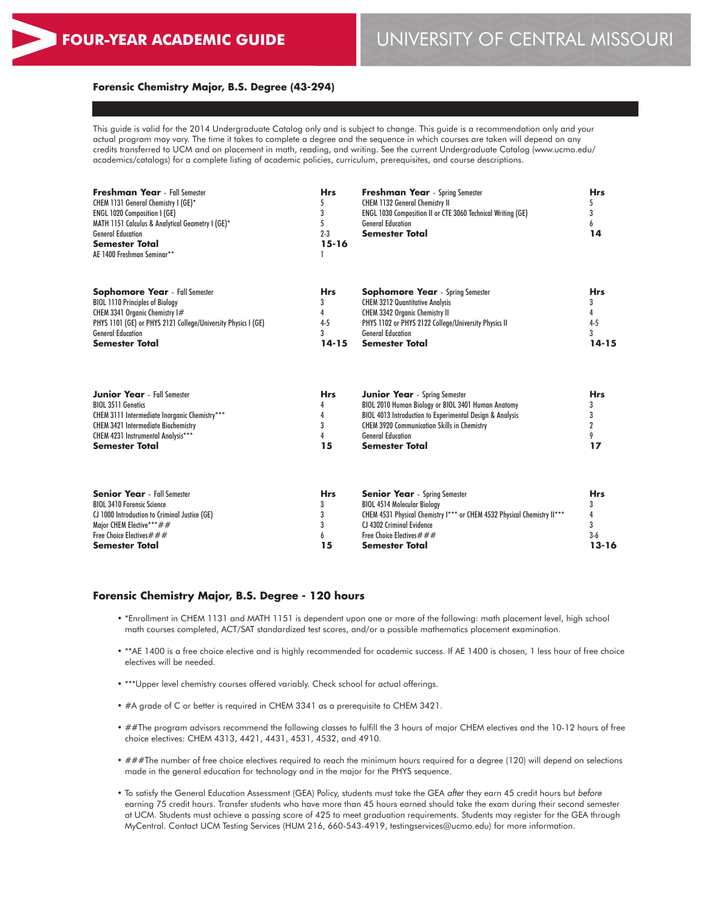# **FOUR-YEAR ACADEMIC GUIDE** UNIVERSITY OF CENTRAL MISSOURI

#### **Forensic Chemistry Major, B.S. Degree (43-294)**

This guide is valid for the 2014 Undergraduate Catalog only and is subject to change. This guide is a recommendation only and your actual program may vary. The time it takes to complete a degree and the sequence in which courses are taken will depend on any credits transferred to UCM and on placement in math, reading, and writing. See the current Undergraduate Catalog (www.ucmo.edu/ academics/catalogs) for a complete listing of academic policies, curriculum, prerequisites, and course descriptions.

| <b>Hrs</b> | <b>Freshman Year</b> - Spring Semester                             | <b>Hrs</b>                                                                                                                                                                                                                              |
|------------|--------------------------------------------------------------------|-----------------------------------------------------------------------------------------------------------------------------------------------------------------------------------------------------------------------------------------|
|            | <b>CHEM 1132 General Chemistry II</b>                              |                                                                                                                                                                                                                                         |
|            | <b>ENGL 1030 Composition II or CTE 3060 Technical Writing (GE)</b> |                                                                                                                                                                                                                                         |
|            | <b>General Education</b>                                           |                                                                                                                                                                                                                                         |
| $2 - 3$    | <b>Semester Total</b>                                              | 14                                                                                                                                                                                                                                      |
| $15 - 16$  |                                                                    |                                                                                                                                                                                                                                         |
|            |                                                                    |                                                                                                                                                                                                                                         |
|            |                                                                    | Hrs                                                                                                                                                                                                                                     |
|            |                                                                    |                                                                                                                                                                                                                                         |
|            |                                                                    |                                                                                                                                                                                                                                         |
|            |                                                                    | $4 - 5$                                                                                                                                                                                                                                 |
|            |                                                                    |                                                                                                                                                                                                                                         |
|            |                                                                    |                                                                                                                                                                                                                                         |
|            |                                                                    | 14-15                                                                                                                                                                                                                                   |
|            | <b>Hrs</b><br>$4 - 5$<br>3<br>14-15                                | <b>Sophomore Year</b> - Spring Semester<br><b>CHEM 3212 Quantitative Analysis</b><br><b>CHEM 3342 Organic Chemistry II</b><br>PHYS 1102 or PHYS 2122 College/University Physics II<br><b>General Education</b><br><b>Semester Total</b> |

| <b>Junior Year</b> - Fall Semester            | <b>Hrs</b> | <b>Junior Year</b> - Spring Semester                                | <b>Hrs</b> |
|-----------------------------------------------|------------|---------------------------------------------------------------------|------------|
| <b>BIOL 3511 Genetics</b>                     |            | BIOL 2010 Human Biology or BIOL 3401 Human Anatomy                  |            |
| CHEM 3111 Intermediate Inorganic Chemistry*** |            | <b>BIOL 4013 Introduction to Experimental Design &amp; Analysis</b> |            |
| <b>CHEM 3421 Intermediate Biochemistry</b>    |            | <b>CHEM 3920 Communication Skills in Chemistry</b>                  |            |
| CHEM 4231 Instrumental Analysis***            |            | <b>General Education</b>                                            |            |
| <b>Semester Total</b>                         | 15         | <b>Semester Total</b>                                               |            |

| <b>Senior Year</b> - Fall Semester            | <b>Hrs</b> | <b>Senior Year</b> - Spring Semester                                    | <b>Hrs</b> |
|-----------------------------------------------|------------|-------------------------------------------------------------------------|------------|
| <b>BIOL 3410 Forensic Science</b>             |            | <b>BIOL 4514 Molecular Biology</b>                                      |            |
| CJ 1000 Introduction to Criminal Justice (GE) |            | CHEM 4531 Physical Chemistry I*** or CHEM 4532 Physical Chemistry II*** |            |
| Major CHEM Elective***##                      |            | CJ 4302 Criminal Evidence                                               |            |
| Free Choice Electives $\# \# \#$              |            | Free Choice Electives $\# \# \#$                                        | $3-6$      |
| <b>Semester Total</b>                         | 15         | <b>Semester Total</b>                                                   | $13 - 16$  |

#### **Forensic Chemistry Major, B.S. Degree - 120 hours**

- \*Enrollment in CHEM 1131 and MATH 1151 is dependent upon one or more of the following: math placement level, high school math courses completed, ACT/SAT standardized test scores, and/or a possible mathematics placement examination.
- \*\*AE 1400 is a free choice elective and is highly recommended for academic success. If AE 1400 is chosen, 1 less hour of free choice electives will be needed.
- \*\*\*Upper level chemistry courses offered variably. Check school for actual offerings.
- #A grade of C or better is required in CHEM 3341 as a prerequisite to CHEM 3421.
- ##The program advisors recommend the following classes to fulfill the 3 hours of major CHEM electives and the 10-12 hours of free choice electives: CHEM 4313, 4421, 4431, 4531, 4532, and 4910.
- ###The number of free choice electives required to reach the minimum hours required for a degree (120) will depend on selections made in the general education for technology and in the major for the PHYS sequence.
- To satisfy the General Education Assessment (GEA) Policy, students must take the GEA *after* they earn 45 credit hours but *before* earning 75 credit hours. Transfer students who have more than 45 hours earned should take the exam during their second semester at UCM. Students must achieve a passing score of 425 to meet graduation requirements. Students may register for the GEA through MyCentral. Contact UCM Testing Services (HUM 216, 660-543-4919, testingservices@ucmo.edu) for more information.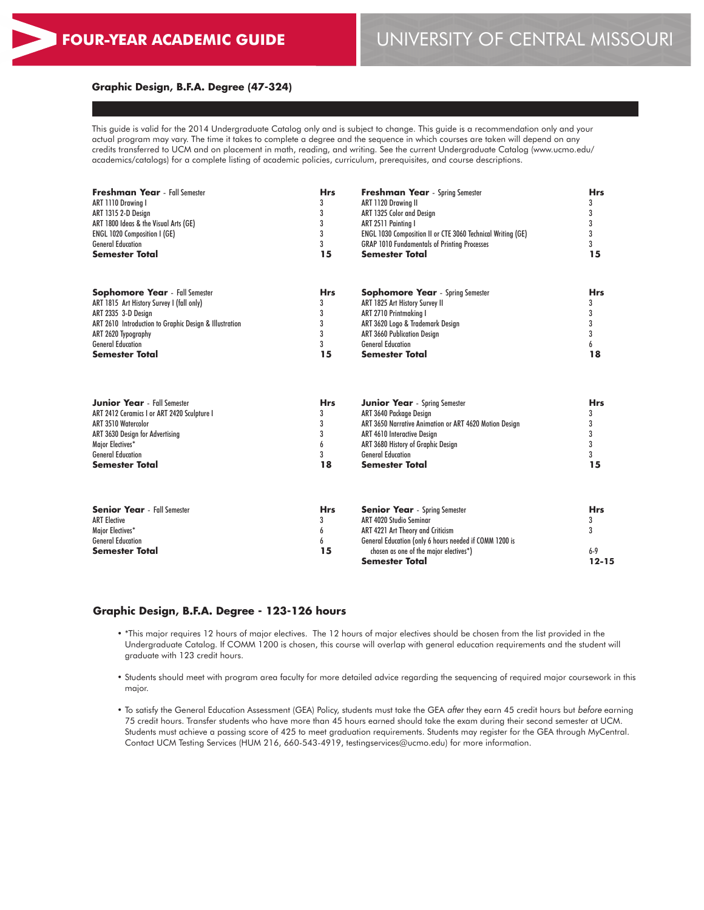#### **Graphic Design, B.F.A. Degree (47-324)**

This guide is valid for the 2014 Undergraduate Catalog only and is subject to change. This guide is a recommendation only and your actual program may vary. The time it takes to complete a degree and the sequence in which courses are taken will depend on any credits transferred to UCM and on placement in math, reading, and writing. See the current Undergraduate Catalog (www.ucmo.edu/ academics/catalogs) for a complete listing of academic policies, curriculum, prerequisites, and course descriptions.

| <b>Freshman Year</b> - Fall Semester                   | <b>Hrs</b> | <b>Freshman Year</b> - Spring Semester                      | <b>Hrs</b> |  |
|--------------------------------------------------------|------------|-------------------------------------------------------------|------------|--|
| ART 1110 Drawina I                                     | 3          | ART 1120 Drawing II                                         |            |  |
| ART 1315 2-D Design                                    | 3          | ART 1325 Color and Design                                   | 3          |  |
| ART 1800 Ideas & the Visual Arts (GE)                  | 3          | ART 2511 Painting I                                         |            |  |
| ENGL 1020 Composition I (GE)                           | 3          | ENGL 1030 Composition II or CTE 3060 Technical Writing (GE) |            |  |
| <b>General Education</b>                               | 3          | <b>GRAP 1010 Fundamentals of Printing Processes</b>         | 3          |  |
| <b>Semester Total</b>                                  | 15         | <b>Semester Total</b>                                       | 15         |  |
| <b>Sophomore Year</b> - Fall Semester                  | <b>Hrs</b> | <b>Sophomore Year</b> - Spring Semester                     | <b>Hrs</b> |  |
| ART 1815 Art History Survey I (fall only)              | 3          | ART 1825 Art History Survey II                              |            |  |
| ART 2335 3-D Design                                    | 3          | ART 2710 Printmaking I                                      | 3          |  |
| ART 2610 Introduction to Graphic Design & Illustration | 3          | ART 3620 Logo & Trademark Design                            | 3          |  |
| ART 2620 Typography                                    | 3          | <b>ART 3660 Publication Design</b>                          | 3          |  |
| <b>General Education</b>                               | 3          | <b>General Education</b>                                    |            |  |
| <b>Semester Total</b>                                  | 15         | <b>Semester Total</b>                                       | 18         |  |
|                                                        |            |                                                             |            |  |
| <b>Junior Year</b> - Fall Semester                     | <b>Hrs</b> | <b>Junior Year</b> - Spring Semester                        | <b>Hrs</b> |  |
| ART 2412 Ceramics I or ART 2420 Sculpture I            | 3          | ART 3640 Package Design                                     | 3          |  |
| <b>ART 3510 Watercolor</b>                             | 3          | ART 3650 Narrative Animation or ART 4620 Motion Design      | 3          |  |
| ART 3630 Design for Advertising                        | 3          | ART 4610 Interactive Design                                 | 3          |  |
| Major Electives*                                       | 6          | ART 3680 History of Graphic Design                          | 3          |  |
| <b>General Education</b>                               | 3          | <b>General Education</b>                                    | 3          |  |
| <b>Semester Total</b>                                  | 18         | <b>Semester Total</b>                                       | 15         |  |
|                                                        |            |                                                             |            |  |
| <b>Senior Year</b> - Fall Semester                     | <b>Hrs</b> | <b>Senior Year</b> - Spring Semester                        | <b>Hrs</b> |  |
| <b>ART Elective</b>                                    | 3          | ART 4020 Studio Seminar                                     | 3          |  |
| Major Electives*                                       | 6          | ART 4221 Art Theory and Criticism                           | 3          |  |
| <b>General Education</b>                               | 6          | General Education (only 6 hours needed if COMM 1200 is      |            |  |
| <b>Semester Total</b>                                  | 15         | chosen as one of the major electives*)                      | $6 - 9$    |  |
|                                                        |            | <b>Semester Total</b>                                       | $12 - 15$  |  |

#### **Graphic Design, B.F.A. Degree - 123-126 hours**

- \*This major requires 12 hours of major electives. The 12 hours of major electives should be chosen from the list provided in the Undergraduate Catalog. If COMM 1200 is chosen, this course will overlap with general education requirements and the student will graduate with 123 credit hours.
- Students should meet with program area faculty for more detailed advice regarding the sequencing of required major coursework in this major.
- To satisfy the General Education Assessment (GEA) Policy, students must take the GEA *after* they earn 45 credit hours but *before* earning 75 credit hours. Transfer students who have more than 45 hours earned should take the exam during their second semester at UCM. Students must achieve a passing score of 425 to meet graduation requirements. Students may register for the GEA through MyCentral. Contact UCM Testing Services (HUM 216, 660-543-4919, testingservices@ucmo.edu) for more information.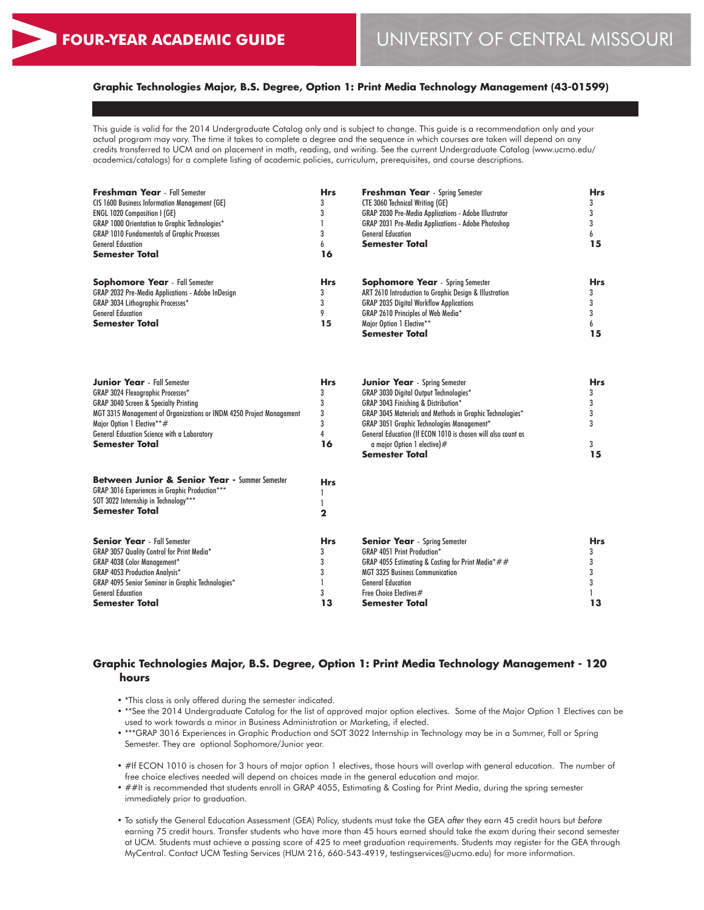# **Graphic Technologies Major, B.S. Degree, Option 1: Print Media Technology Management (43-01599)**

This guide is valid for the 2014 Undergraduate Catalog only and is subject to change. This guide is a recommendation only and your actual program may vary. The time it takes to complete a degree and the sequence in which courses are taken will depend on any credits transferred to UCM and on placement in math, reading, and writing. See the current Undergraduate Catalog (www.ucmo.edu/ academics/catalogs) for a complete listing of academic policies, curriculum, prerequisites, and course descriptions.

| Freshman Year - Fall Semester                                        | <b>Hrs</b>  | <b>Freshman Year</b> - Spring Semester                       | <b>Hrs</b> |
|----------------------------------------------------------------------|-------------|--------------------------------------------------------------|------------|
| <b>CIS 1600 Business Information Management (GE)</b>                 | 3           | <b>CTE 3060 Technical Writing (GE)</b>                       | 3          |
| <b>ENGL 1020 Composition I (GE)</b>                                  | 3           | <b>GRAP 2030 Pre-Media Applications - Adobe Illustrator</b>  | 3          |
| GRAP 1000 Orientation to Graphic Technologies*                       | 1           | GRAP 2031 Pre-Media Applications - Adobe Photoshop           | 3          |
| <b>GRAP 1010 Fundamentals of Graphic Processes</b>                   | 3           | <b>General Education</b>                                     | 6          |
| <b>General Education</b>                                             | 6           | <b>Semester Total</b>                                        | 15         |
| <b>Semester Total</b>                                                | 16          |                                                              |            |
| <b>Sophomore Year</b> - Fall Semester                                | <b>Hrs</b>  | <b>Sophomore Year</b> - Spring Semester                      | <b>Hrs</b> |
| GRAP 2032 Pre-Media Applications - Adobe InDesign                    | 3           | ART 2610 Introduction to Graphic Design & Illustration       | 3          |
| <b>GRAP 3034 Lithographic Processes*</b>                             | 3           | <b>GRAP 2035 Digital Workflow Applications</b>               | 3          |
| <b>General Education</b>                                             | 9           | GRAP 2610 Principles of Web Media*                           | 3          |
| <b>Semester Total</b>                                                | 15          | Major Option 1 Elective**                                    | 6          |
|                                                                      |             | <b>Semester Total</b>                                        | 15         |
| <b>Junior Year</b> - Fall Semester                                   | <b>Hrs</b>  | <b>Junior Year</b> - Spring Semester                         | <b>Hrs</b> |
| <b>GRAP 3024 Flexographic Processes*</b>                             | 3           | GRAP 3030 Digital Output Technologies*                       | 3          |
| <b>GRAP 3040 Screen &amp; Specialty Printing</b>                     | 3           | GRAP 3043 Finishing & Distribution*                          | 3          |
| MGT 3315 Management of Organizations or INDM 4250 Project Management | 3           | GRAP 3045 Materials and Methods in Graphic Technologies*     | 3          |
| Major Option 1 Elective**#                                           | 3           | <b>GRAP 3051 Graphic Technologies Management*</b>            | 3          |
| General Education Science with a Laboratory                          | 4           | General Education (If ECON 1010 is chosen will also count as |            |
| Semester Total                                                       | 16          | a major Option 1 elective)#                                  | 3          |
|                                                                      |             | <b>Semester Total</b>                                        | 15         |
| <b>Between Junior &amp; Senior Year - Summer Semester</b>            | <b>Hrs</b>  |                                                              |            |
| GRAP 3016 Experiences in Graphic Production***                       | ı           |                                                              |            |
| SOT 3022 Internship in Technology***                                 | 1           |                                                              |            |
| <b>Semester Total</b>                                                | $\mathbf 2$ |                                                              |            |
| <b>Senior Year</b> - Fall Semester                                   | <b>Hrs</b>  | <b>Senior Year</b> - Spring Semester                         | <b>Hrs</b> |
| GRAP 3057 Quality Control for Print Media*                           | 3           | <b>GRAP 4051 Print Production*</b>                           | 3          |
| <b>GRAP 4038 Color Management*</b>                                   | 3           | GRAP 4055 Estimating & Costing for Print Media*##            | 3          |
| <b>GRAP 4053 Production Analysis*</b>                                | 3           | <b>MGT 3325 Business Communication</b>                       | 3          |
| GRAP 4095 Senior Seminar in Graphic Technologies*                    | ı           | <b>General Education</b>                                     | 3          |
| <b>General Education</b>                                             | 3           | Free Choice Electives#                                       |            |
| Semester Total                                                       | 13          | Semester Total                                               | 13         |

### **Graphic Technologies Major, B.S. Degree, Option 1: Print Media Technology Management - 120 hours**

- \*This class is only offered during the semester indicated.
- \*\*See the 2014 Undergraduate Catalog for the list of approved major option electives. Some of the Major Option 1 Electives can be used to work towards a minor in Business Administration or Marketing, if elected.
- \*\*\*GRAP 3016 Experiences in Graphic Production and SOT 3022 Internship in Technology may be in a Summer, Fall or Spring Semester. They are optional Sophomore/Junior year.
- #If ECON 1010 is chosen for 3 hours of major option 1 electives, those hours will overlap with general education. The number of free choice electives needed will depend on choices made in the general education and major.
- ##It is recommended that students enroll in GRAP 4055, Estimating & Costing for Print Media, during the spring semester immediately prior to graduation.
- To satisfy the General Education Assessment (GEA) Policy, students must take the GEA *after* they earn 45 credit hours but *before* earning 75 credit hours. Transfer students who have more than 45 hours earned should take the exam during their second semester at UCM. Students must achieve a passing score of 425 to meet graduation requirements. Students may register for the GEA through MyCentral. Contact UCM Testing Services (HUM 216, 660-543-4919, testingservices@ucmo.edu) for more information.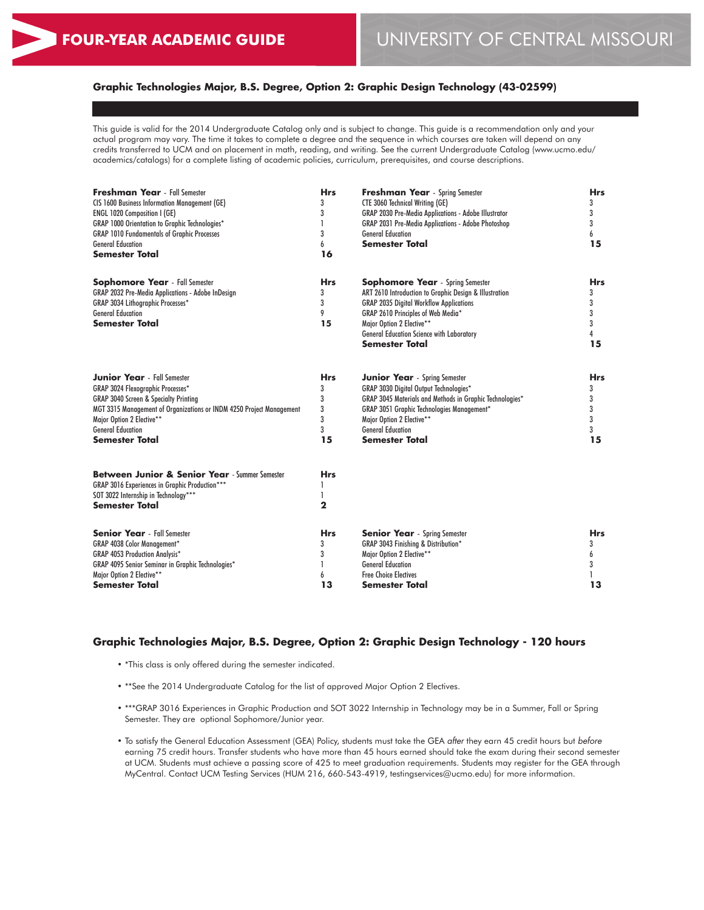# **Graphic Technologies Major, B.S. Degree, Option 2: Graphic Design Technology (43-02599)**

This guide is valid for the 2014 Undergraduate Catalog only and is subject to change. This guide is a recommendation only and your actual program may vary. The time it takes to complete a degree and the sequence in which courses are taken will depend on any credits transferred to UCM and on placement in math, reading, and writing. See the current Undergraduate Catalog (www.ucmo.edu/ academics/catalogs) for a complete listing of academic policies, curriculum, prerequisites, and course descriptions.

| <b>Freshman Year</b> - Fall Semester<br><b>CIS 1600 Business Information Management (GE)</b><br><b>ENGL 1020 Composition I (GE)</b><br><b>GRAP 1000 Orientation to Graphic Technologies*</b><br><b>GRAP 1010 Fundamentals of Graphic Processes</b>                                    | <b>Hrs</b><br>3<br>3<br>3                 | <b>Freshman Year</b> - Spring Semester<br><b>CTE 3060 Technical Writing (GE)</b><br><b>GRAP 2030 Pre-Media Applications - Adobe Illustrator</b><br><b>GRAP 2031 Pre-Media Applications - Adobe Photoshop</b><br><b>General Education</b>                                                            | <b>Hrs</b><br>3<br>3<br>3<br>6            |
|---------------------------------------------------------------------------------------------------------------------------------------------------------------------------------------------------------------------------------------------------------------------------------------|-------------------------------------------|-----------------------------------------------------------------------------------------------------------------------------------------------------------------------------------------------------------------------------------------------------------------------------------------------------|-------------------------------------------|
| <b>General Education</b><br><b>Semester Total</b>                                                                                                                                                                                                                                     | 6<br>16                                   | <b>Semester Total</b>                                                                                                                                                                                                                                                                               | 15                                        |
| <b>Sophomore Year</b> - Fall Semester<br>GRAP 2032 Pre-Media Applications - Adobe InDesign<br>GRAP 3034 Lithographic Processes*<br><b>General Education</b><br><b>Semester Total</b>                                                                                                  | <b>Hrs</b><br>3<br>3<br>9<br>15           | <b>Sophomore Year</b> - Spring Semester<br>ART 2610 Introduction to Graphic Design & Illustration<br><b>GRAP 2035 Digital Workflow Applications</b><br>GRAP 2610 Principles of Web Media*<br>Major Option 2 Elective**<br><b>General Education Science with Laboratory</b><br><b>Semester Total</b> | <b>Hrs</b><br>3<br>3<br>3<br>3<br>4<br>15 |
| <b>Junior Year</b> - Fall Semester<br>GRAP 3024 Flexographic Processes*<br><b>GRAP 3040 Screen &amp; Specialty Printing</b><br>MGT 3315 Management of Organizations or INDM 4250 Project Management<br>Major Option 2 Elective**<br><b>General Education</b><br><b>Semester Total</b> | <b>Hrs</b><br>3<br>3<br>3<br>3<br>3<br>15 | <b>Junior Year</b> - Spring Semester<br>GRAP 3030 Digital Output Technologies*<br>GRAP 3045 Materials and Methods in Graphic Technologies*<br><b>GRAP 3051 Graphic Technologies Management*</b><br>Major Option 2 Elective**<br><b>General Education</b><br><b>Semester Total</b>                   | <b>Hrs</b><br>3<br>3<br>3<br>3<br>3<br>15 |
| Between Junior & Senior Year - Summer Semester<br>GRAP 3016 Experiences in Graphic Production***<br>SOT 3022 Internship in Technology***<br><b>Semester Total</b>                                                                                                                     | <b>Hrs</b><br>1<br>$\mathbf 2$            |                                                                                                                                                                                                                                                                                                     |                                           |
| <b>Senior Year</b> - Fall Semester<br>GRAP 4038 Color Management*<br><b>GRAP 4053 Production Analysis*</b><br>GRAP 4095 Senior Seminar in Graphic Technologies*<br>Major Option 2 Elective**<br><b>Semester Total</b>                                                                 | <b>Hrs</b><br>3<br>3<br>6<br>13           | <b>Senior Year</b> - Spring Semester<br>GRAP 3043 Finishing & Distribution*<br>Major Option 2 Elective**<br><b>General Education</b><br><b>Free Choice Electives</b><br>Semester Total                                                                                                              | <b>Hrs</b><br>3<br>6<br>3<br>13           |

#### **Graphic Technologies Major, B.S. Degree, Option 2: Graphic Design Technology - 120 hours**

- \*This class is only offered during the semester indicated.
- \*\*See the 2014 Undergraduate Catalog for the list of approved Major Option 2 Electives.
- \*\*\*GRAP 3016 Experiences in Graphic Production and SOT 3022 Internship in Technology may be in a Summer, Fall or Spring Semester. They are optional Sophomore/Junior year.
- To satisfy the General Education Assessment (GEA) Policy, students must take the GEA *after* they earn 45 credit hours but *before* earning 75 credit hours. Transfer students who have more than 45 hours earned should take the exam during their second semester at UCM. Students must achieve a passing score of 425 to meet graduation requirements. Students may register for the GEA through MyCentral. Contact UCM Testing Services (HUM 216, 660-543-4919, testingservices@ucmo.edu) for more information.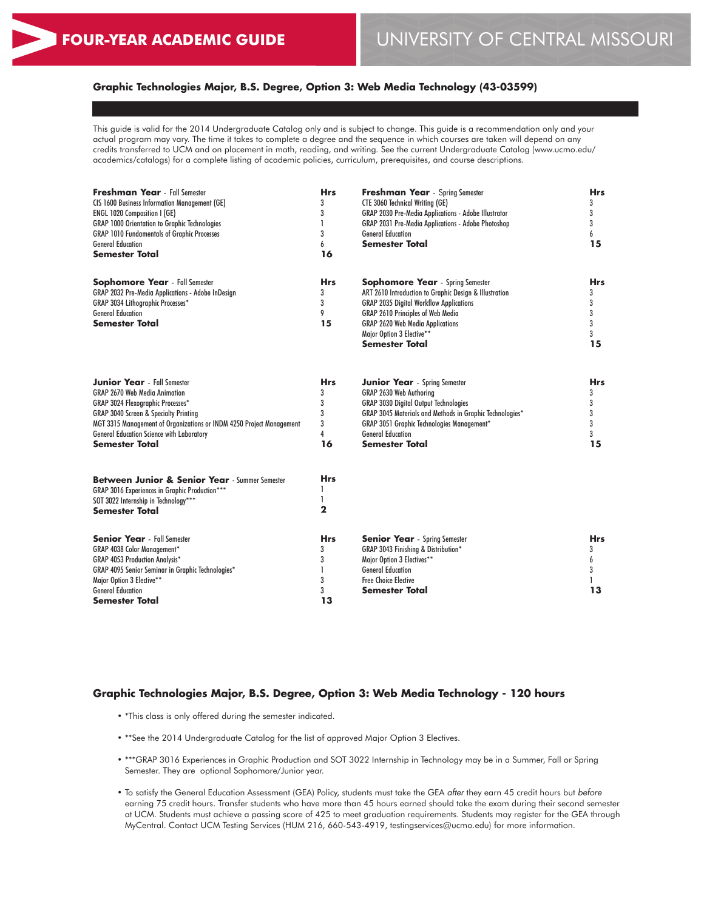# **Graphic Technologies Major, B.S. Degree, Option 3: Web Media Technology (43-03599)**

This guide is valid for the 2014 Undergraduate Catalog only and is subject to change. This guide is a recommendation only and your actual program may vary. The time it takes to complete a degree and the sequence in which courses are taken will depend on any credits transferred to UCM and on placement in math, reading, and writing. See the current Undergraduate Catalog (www.ucmo.edu/ academics/catalogs) for a complete listing of academic policies, curriculum, prerequisites, and course descriptions.

| <b>Freshman Year</b> - Fall Semester<br>CIS 1600 Business Information Management (GE)<br>ENGL 1020 Composition I (GE) | <b>Hrs</b><br>3<br>3 | <b>Freshman Year</b> - Spring Semester<br><b>CTE 3060 Technical Writing (GE)</b><br>GRAP 2030 Pre-Media Applications - Adobe Illustrator | <b>Hrs</b><br>3<br>3 |
|-----------------------------------------------------------------------------------------------------------------------|----------------------|------------------------------------------------------------------------------------------------------------------------------------------|----------------------|
| <b>GRAP 1000 Orientation to Graphic Technologies</b>                                                                  | 1                    | GRAP 2031 Pre-Media Applications - Adobe Photoshop                                                                                       | 3                    |
| <b>GRAP 1010 Fundamentals of Graphic Processes</b>                                                                    | 3                    | <b>General Education</b>                                                                                                                 | 6                    |
| <b>General Education</b>                                                                                              | 6                    | Semester Total                                                                                                                           | 15                   |
| Semester Total                                                                                                        | 16                   |                                                                                                                                          |                      |
| <b>Sophomore Year</b> - Fall Semester                                                                                 | <b>Hrs</b>           | <b>Sophomore Year</b> - Spring Semester                                                                                                  | <b>Hrs</b>           |
| GRAP 2032 Pre-Media Applications - Adobe InDesign                                                                     | 3                    | ART 2610 Introduction to Graphic Design & Illustration                                                                                   | 3                    |
| GRAP 3034 Lithographic Processes*                                                                                     | 3                    | <b>GRAP 2035 Digital Workflow Applications</b>                                                                                           | 3                    |
| <b>General Education</b>                                                                                              | 9                    | GRAP 2610 Principles of Web Media                                                                                                        | 3                    |
| Semester Total                                                                                                        | 15                   | <b>GRAP 2620 Web Media Applications</b>                                                                                                  | 3                    |
|                                                                                                                       |                      | Major Option 3 Elective**                                                                                                                | 3                    |
|                                                                                                                       |                      | Semester Total                                                                                                                           | 15                   |
| <b>Junior Year</b> - Fall Semester                                                                                    | <b>Hrs</b>           | <b>Junior Year</b> - Spring Semester                                                                                                     | <b>Hrs</b>           |
| <b>GRAP 2670 Web Media Animation</b>                                                                                  | 3                    | GRAP 2630 Web Authoring                                                                                                                  | 3                    |
| <b>GRAP 3024 Flexographic Processes*</b>                                                                              | 3                    | <b>GRAP 3030 Digital Output Technologies</b>                                                                                             | 3                    |
| <b>GRAP 3040 Screen &amp; Specialty Printing</b>                                                                      | 3                    | GRAP 3045 Materials and Methods in Graphic Technologies*                                                                                 | 3                    |
| MGT 3315 Management of Organizations or INDM 4250 Project Management                                                  | 3                    | <b>GRAP 3051 Graphic Technologies Management*</b>                                                                                        | 3                    |
| <b>General Education Science with Laboratory</b>                                                                      | 4                    | <b>General Education</b>                                                                                                                 | 3                    |
| <b>Semester Total</b>                                                                                                 | 16                   | <b>Semester Total</b>                                                                                                                    | 15                   |
| Between Junior & Senior Year - Summer Semester                                                                        | <b>Hrs</b>           |                                                                                                                                          |                      |
| GRAP 3016 Experiences in Graphic Production***                                                                        | 1                    |                                                                                                                                          |                      |
| SOT 3022 Internship in Technology***                                                                                  | 1                    |                                                                                                                                          |                      |
| <b>Semester Total</b>                                                                                                 | $\mathbf{2}$         |                                                                                                                                          |                      |
| <b>Senior Year</b> - Fall Semester                                                                                    | Hrs.                 | <b>Senior Year</b> - Spring Semester                                                                                                     | <b>Hrs</b>           |
| GRAP 4038 Color Management*                                                                                           | 3                    | GRAP 3043 Finishing & Distribution*                                                                                                      | 3                    |
| <b>GRAP 4053 Production Analysis*</b>                                                                                 | 3                    | Major Option 3 Electives**                                                                                                               | 6                    |
| GRAP 4095 Senior Seminar in Graphic Technologies*                                                                     |                      | <b>General Education</b>                                                                                                                 | 3                    |
| Major Option 3 Elective**                                                                                             | 3                    | <b>Free Choice Elective</b>                                                                                                              |                      |
| <b>General Education</b>                                                                                              | 3                    | Semester Total                                                                                                                           | 13                   |
| <b>Semester Total</b>                                                                                                 | 13                   |                                                                                                                                          |                      |

#### **Graphic Technologies Major, B.S. Degree, Option 3: Web Media Technology - 120 hours**

- \*This class is only offered during the semester indicated.
- \*\*See the 2014 Undergraduate Catalog for the list of approved Major Option 3 Electives.
- \*\*\*GRAP 3016 Experiences in Graphic Production and SOT 3022 Internship in Technology may be in a Summer, Fall or Spring Semester. They are optional Sophomore/Junior year.
- To satisfy the General Education Assessment (GEA) Policy, students must take the GEA *after* they earn 45 credit hours but *before* earning 75 credit hours. Transfer students who have more than 45 hours earned should take the exam during their second semester at UCM. Students must achieve a passing score of 425 to meet graduation requirements. Students may register for the GEA through MyCentral. Contact UCM Testing Services (HUM 216, 660-543-4919, testingservices@ucmo.edu) for more information.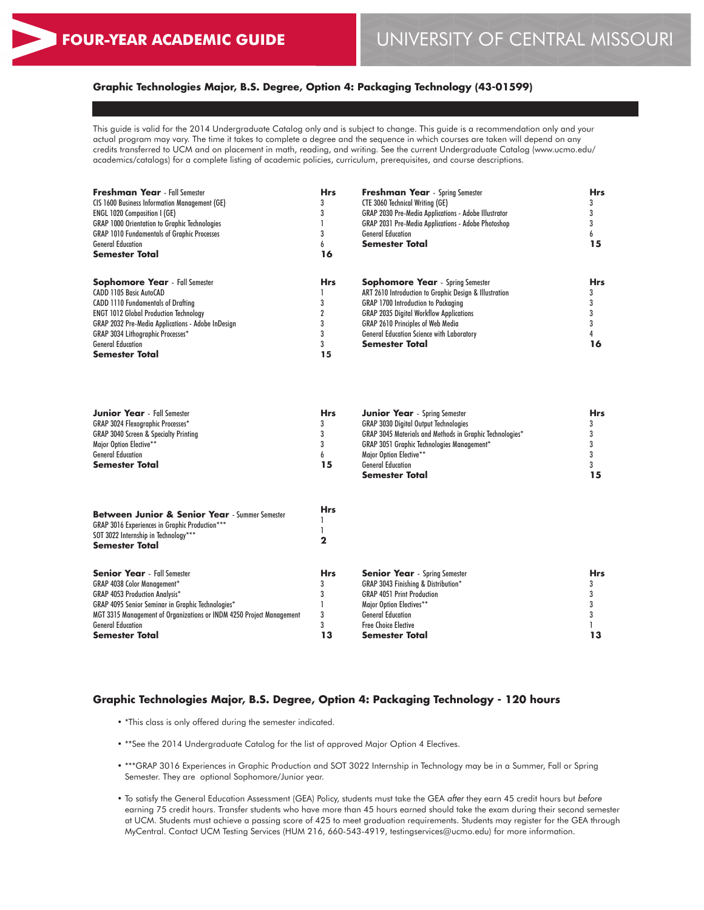# **Graphic Technologies Major, B.S. Degree, Option 4: Packaging Technology (43-01599)**

This guide is valid for the 2014 Undergraduate Catalog only and is subject to change. This guide is a recommendation only and your actual program may vary. The time it takes to complete a degree and the sequence in which courses are taken will depend on any credits transferred to UCM and on placement in math, reading, and writing. See the current Undergraduate Catalog (www.ucmo.edu/ academics/catalogs) for a complete listing of academic policies, curriculum, prerequisites, and course descriptions.

| <b>Freshman Year</b> - Fall Semester                     | <b>Hrs</b> | <b>Freshman Year</b> - Spring Semester                      | <b>Hrs</b> |
|----------------------------------------------------------|------------|-------------------------------------------------------------|------------|
| <b>CIS 1600 Business Information Management (GE)</b>     |            | <b>CTE 3060 Technical Writing (GE)</b>                      |            |
| <b>ENGL 1020 Composition I (GE)</b>                      | 3          | <b>GRAP 2030 Pre-Media Applications - Adobe Illustrator</b> |            |
| <b>GRAP 1000 Orientation to Graphic Technologies</b>     |            | <b>GRAP 2031 Pre-Media Applications - Adobe Photoshop</b>   |            |
| <b>GRAP 1010 Fundamentals of Graphic Processes</b>       |            | <b>General Education</b>                                    |            |
| <b>General Education</b>                                 | h          | <b>Semester Total</b>                                       |            |
| <b>Semester Total</b>                                    | 16         |                                                             |            |
| <b>Sophomore Year</b> - Fall Semester                    | <b>Hrs</b> | <b>Sophomore Year</b> - Spring Semester                     | <b>Hrs</b> |
| CADD 1105 Basic AutoCAD                                  |            | ART 2610 Introduction to Graphic Design & Illustration      |            |
| <b>CADD 1110 Fundamentals of Drafting</b>                |            | <b>GRAP 1700 Introduction to Packaging</b>                  |            |
| <b>ENGT 1012 Global Production Technology</b>            |            | <b>GRAP 2035 Digital Workflow Applications</b>              |            |
| <b>GRAP 2032 Pre-Media Applications - Adobe InDesign</b> |            | <b>GRAP 2610 Principles of Web Media</b>                    |            |
| <b>GRAP 3034 Lithographic Processes*</b>                 |            | <b>General Education Science with Laboratory</b>            |            |
| <b>General Education</b>                                 |            | <b>Semester Total</b>                                       | 16         |
| <b>Semester Total</b>                                    | 15         |                                                             |            |

| <b>Junior Year</b> - Fall Semester               | Hrs | <b>Junior Year</b> - Spring Semester                            | <b>Hrs</b> |
|--------------------------------------------------|-----|-----------------------------------------------------------------|------------|
| <b>GRAP 3024 Flexographic Processes*</b>         |     | <b>GRAP 3030 Digital Output Technologies</b>                    |            |
| <b>GRAP 3040 Screen &amp; Specialty Printing</b> |     | <b>GRAP 3045 Materials and Methods in Graphic Technologies*</b> |            |
| Major Option Elective**                          |     | <b>GRAP 3051 Graphic Technologies Management*</b>               |            |
| <b>General Education</b>                         |     | Major Option Elective**                                         |            |
| <b>Semester Total</b>                            | 15  | <b>General Education</b>                                        |            |
|                                                  |     | <b>Semester Total</b>                                           |            |

| <b>Between Junior &amp; Senior Year</b> - Summer Semester<br><b>GRAP 3016 Experiences in Graphic Production***</b><br>SOT 3022 Internship in Technology***<br><b>Semester Total</b> | <b>Hrs</b> |                                                |            |
|-------------------------------------------------------------------------------------------------------------------------------------------------------------------------------------|------------|------------------------------------------------|------------|
| <b>Senior Year</b> - Fall Semester                                                                                                                                                  | <b>Hrs</b> | <b>Senior Year</b> - Spring Semester           | <b>Hrs</b> |
| <b>GRAP 4038 Color Management*</b>                                                                                                                                                  |            | <b>GRAP 3043 Finishing &amp; Distribution*</b> |            |
| <b>GRAP 4053 Production Analysis*</b>                                                                                                                                               |            | <b>GRAP 4051 Print Production</b>              |            |
| <b>GRAP 4095 Senior Seminar in Graphic Technologies*</b>                                                                                                                            |            | Maior Option Electives**                       |            |
| MGT 3315 Management of Organizations or INDM 4250 Project Management                                                                                                                | 3          | <b>General Education</b>                       |            |
| <b>General Education</b>                                                                                                                                                            |            | <b>Free Choice Elective</b>                    |            |
| <b>Semester Total</b>                                                                                                                                                               | 13         | <b>Semester Total</b>                          |            |

#### **Graphic Technologies Major, B.S. Degree, Option 4: Packaging Technology - 120 hours**

- \*This class is only offered during the semester indicated.
- \*\*See the 2014 Undergraduate Catalog for the list of approved Major Option 4 Electives.
- \*\*\*GRAP 3016 Experiences in Graphic Production and SOT 3022 Internship in Technology may be in a Summer, Fall or Spring Semester. They are optional Sophomore/Junior year.
- To satisfy the General Education Assessment (GEA) Policy, students must take the GEA *after* they earn 45 credit hours but *before* earning 75 credit hours. Transfer students who have more than 45 hours earned should take the exam during their second semester at UCM. Students must achieve a passing score of 425 to meet graduation requirements. Students may register for the GEA through MyCentral. Contact UCM Testing Services (HUM 216, 660-543-4919, testingservices@ucmo.edu) for more information.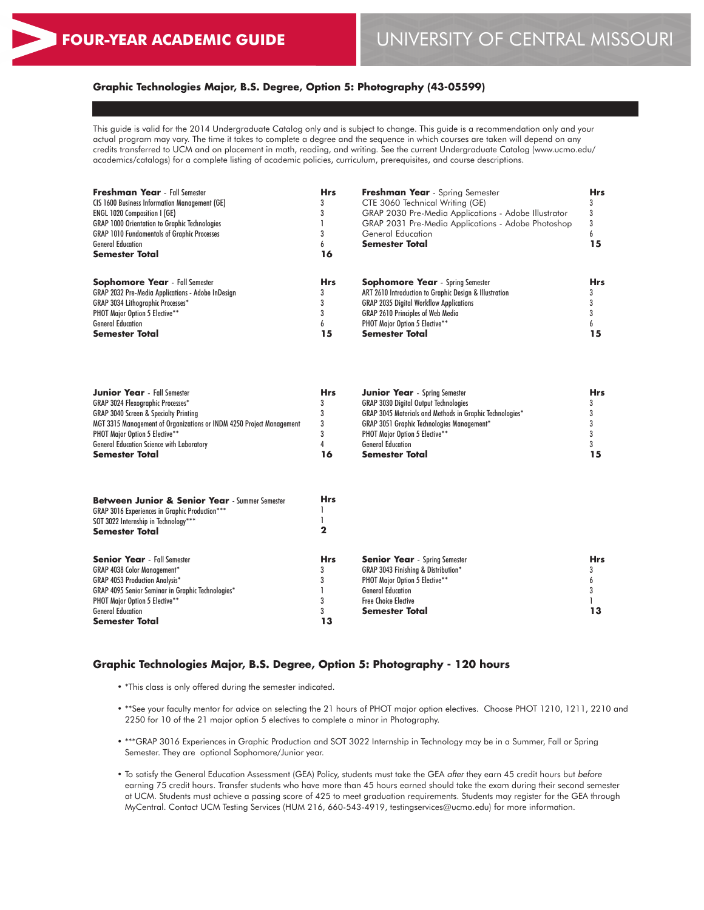# **Graphic Technologies Major, B.S. Degree, Option 5: Photography (43-05599)**

This guide is valid for the 2014 Undergraduate Catalog only and is subject to change. This guide is a recommendation only and your actual program may vary. The time it takes to complete a degree and the sequence in which courses are taken will depend on any credits transferred to UCM and on placement in math, reading, and writing. See the current Undergraduate Catalog (www.ucmo.edu/ academics/catalogs) for a complete listing of academic policies, curriculum, prerequisites, and course descriptions.

| <b>Freshman Year</b> - Fall Semester                     | <b>Hrs</b> | Freshman Year - Spring Semester                        | <b>Hrs</b> |
|----------------------------------------------------------|------------|--------------------------------------------------------|------------|
| <b>CIS 1600 Business Information Management (GE)</b>     |            | CTE 3060 Technical Writing (GE)                        |            |
| <b>ENGL 1020 Composition I (GE)</b>                      |            | GRAP 2030 Pre-Media Applications - Adobe Illustrator   |            |
| <b>GRAP 1000 Orientation to Graphic Technologies</b>     |            | GRAP 2031 Pre-Media Applications - Adobe Photoshop     |            |
| <b>GRAP 1010 Fundamentals of Graphic Processes</b>       |            | General Education                                      |            |
| <b>General Education</b>                                 |            | <b>Semester Total</b>                                  | כ ו        |
| <b>Semester Total</b>                                    | 16         |                                                        |            |
| <b>Sophomore Year</b> - Fall Semester                    | <b>Hrs</b> | <b>Sophomore Year</b> - Spring Semester                | <b>Hrs</b> |
| <b>GRAP 2032 Pre-Media Applications - Adobe InDesian</b> |            | ART 2610 Introduction to Graphic Desian & Illustration |            |
| <b>GRAP 3034 Lithographic Processes*</b>                 |            | <b>GRAP 2035 Digital Workflow Applications</b>         |            |
| <b>PHOT Major Option 5 Elective**</b>                    |            | <b>GRAP 2610 Principles of Web Media</b>               |            |
| <b>General Education</b>                                 | h          | PHOT Major Option 5 Elective**                         |            |
| <b>Semester Total</b>                                    | 15         | <b>Semester Total</b>                                  | 15         |

| <b>Junior Year</b> - Fall Semester                                   | Hrs | <b>Junior Year</b> - Spring Semester                            | <b>Hrs</b> |
|----------------------------------------------------------------------|-----|-----------------------------------------------------------------|------------|
| GRAP 3024 Flexographic Processes*                                    |     | <b>GRAP 3030 Digital Output Technologies</b>                    |            |
| GRAP 3040 Screen & Specialty Printing                                |     | <b>GRAP 3045 Materials and Methods in Graphic Technologies*</b> |            |
| MGT 3315 Management of Organizations or INDM 4250 Project Management |     | <b>GRAP 3051 Graphic Technologies Management*</b>               |            |
| <b>PHOT Major Option 5 Elective**</b>                                |     | <b>PHOT Major Option 5 Elective**</b>                           |            |
| General Education Science with Laboratory                            |     | <b>General Education</b>                                        |            |
| Semester Total                                                       | 16  | <b>Semester Total</b>                                           |            |

| <b>Between Junior &amp; Senior Year</b> - Summer Semester<br><b>GRAP 3016 Experiences in Graphic Production***</b><br>SOT 3022 Internship in Technology***<br><b>Semester Total</b> | <b>Hrs</b> |                                                |            |
|-------------------------------------------------------------------------------------------------------------------------------------------------------------------------------------|------------|------------------------------------------------|------------|
| <b>Senior Year</b> - Fall Semester                                                                                                                                                  | <b>Hrs</b> | <b>Senior Year</b> - Spring Semester           | <b>Hrs</b> |
| <b>GRAP 4038 Color Management*</b>                                                                                                                                                  |            | <b>GRAP 3043 Finishing &amp; Distribution*</b> |            |
| <b>GRAP 4053 Production Analysis*</b>                                                                                                                                               |            | <b>PHOT Major Option 5 Elective**</b>          |            |
| <b>GRAP 4095 Senior Seminar in Graphic Technologies*</b>                                                                                                                            |            | <b>General Education</b>                       |            |
| PHOT Major Option 5 Elective**                                                                                                                                                      |            | <b>Free Choice Elective</b>                    |            |
| <b>General Education</b>                                                                                                                                                            |            | <b>Semester Total</b>                          |            |
| <b>Semester Total</b>                                                                                                                                                               | 13         |                                                |            |

# **Graphic Technologies Major, B.S. Degree, Option 5: Photography - 120 hours**

- \*This class is only offered during the semester indicated.
- \*\*See your faculty mentor for advice on selecting the 21 hours of PHOT major option electives. Choose PHOT 1210, 1211, 2210 and 2250 for 10 of the 21 major option 5 electives to complete a minor in Photography.
- \*\*\*GRAP 3016 Experiences in Graphic Production and SOT 3022 Internship in Technology may be in a Summer, Fall or Spring Semester. They are optional Sophomore/Junior year.
- To satisfy the General Education Assessment (GEA) Policy, students must take the GEA *after* they earn 45 credit hours but *before* earning 75 credit hours. Transfer students who have more than 45 hours earned should take the exam during their second semester at UCM. Students must achieve a passing score of 425 to meet graduation requirements. Students may register for the GEA through MyCentral. Contact UCM Testing Services (HUM 216, 660-543-4919, testingservices@ucmo.edu) for more information.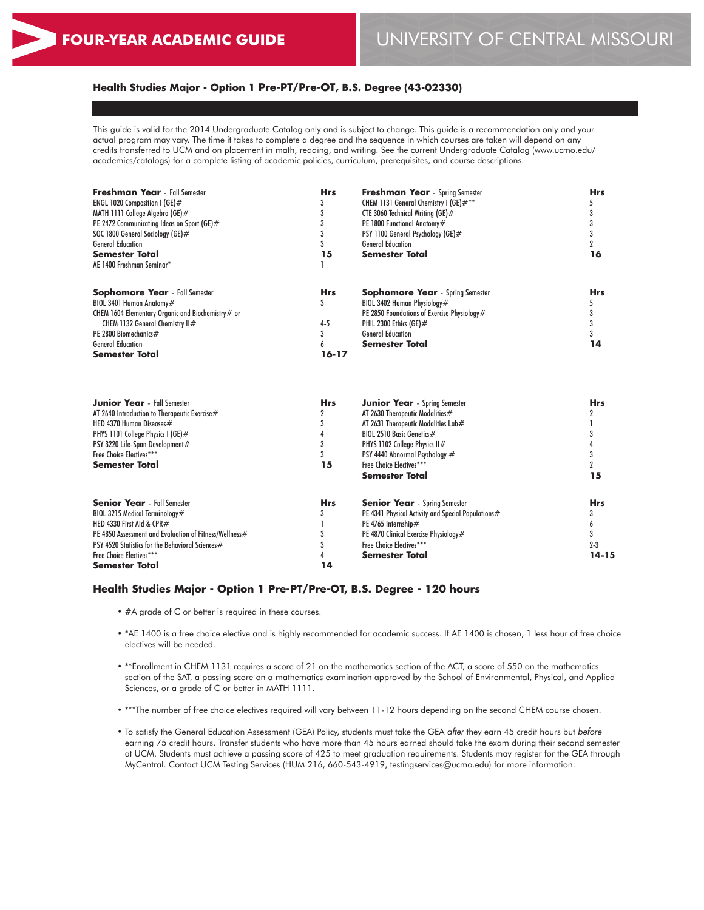# **Health Studies Major - Option 1 Pre-PT/Pre-OT, B.S. Degree (43-02330)**

This guide is valid for the 2014 Undergraduate Catalog only and is subject to change. This guide is a recommendation only and your actual program may vary. The time it takes to complete a degree and the sequence in which courses are taken will depend on any credits transferred to UCM and on placement in math, reading, and writing. See the current Undergraduate Catalog (www.ucmo.edu/ academics/catalogs) for a complete listing of academic policies, curriculum, prerequisites, and course descriptions.

| Freshman Year - Fall Semester                          | <b>Hrs</b>     | <b>Freshman Year</b> - Spring Semester             | <b>Hrs</b>          |  |
|--------------------------------------------------------|----------------|----------------------------------------------------|---------------------|--|
| ENGL 1020 Composition 1 (GE)#                          | 3              | CHEM 1131 General Chemistry I (GE)#**              | 5                   |  |
| MATH 1111 College Algebra (GE)#                        | 3              | CTE 3060 Technical Writing (GE)#                   | 3                   |  |
| PE 2472 Communicating Ideas on Sport (GE)#             | 3              | PE 1800 Functional Anatomy#                        | 3                   |  |
| SOC 1800 General Sociology (GE)#                       | 3              | PSY 1100 General Psychology (GE)#                  | 3                   |  |
| <b>General Education</b>                               | 3              | <b>General Education</b>                           | $\overline{2}$      |  |
| <b>Semester Total</b>                                  | 15             | <b>Semester Total</b>                              | 16                  |  |
| AE 1400 Freshman Seminar*                              |                |                                                    |                     |  |
| <b>Sophomore Year</b> - Fall Semester                  | <b>Hrs</b>     | <b>Sophomore Year</b> - Spring Semester            | <b>Hrs</b>          |  |
| BIOL 3401 Human Anatomy#                               | 3              | BIOL 3402 Human Physiology#                        |                     |  |
| CHEM 1604 Elementary Organic and Biochemistry# or      |                | PE 2850 Foundations of Exercise Physiology#        | 3                   |  |
| CHEM 1132 General Chemistry II#                        | $4 - 5$        | PHIL 2300 Ethics (GE)#                             |                     |  |
| PE 2800 Biomechanics#                                  | 3              | <b>General Education</b>                           |                     |  |
| <b>General Education</b>                               | 6              | <b>Semester Total</b>                              | 14                  |  |
| <b>Semester Total</b>                                  | $16 - 17$      |                                                    |                     |  |
|                                                        |                |                                                    |                     |  |
| <b>Junior Year</b> - Fall Semester                     | <b>Hrs</b>     | <b>Junior Year</b> - Spring Semester               | <b>Hrs</b>          |  |
| AT 2640 Introduction to Therapeutic Exercise#          | $\overline{2}$ | AT 2630 Therapeutic Modalities#                    | 2                   |  |
| HED 4370 Human Diseases#                               |                | AT 2631 Therapeutic Modalities Lab#                |                     |  |
| PHYS 1101 College Physics I (GE)#                      | 4              | BIOL 2510 Basic Genetics#                          |                     |  |
| PSY 3220 Life-Span Development#                        | 3              | PHYS 1102 College Physics II#                      |                     |  |
| Free Choice Electives***                               | 3              | PSY 4440 Abnormal Psychology #                     | 3                   |  |
| <b>Semester Total</b>                                  | 15             | Free Choice Electives***                           | $\boldsymbol{\eta}$ |  |
|                                                        |                | <b>Semester Total</b>                              | 15                  |  |
| <b>Senior Year</b> - Fall Semester                     | <b>Hrs</b>     | <b>Senior Year</b> - Spring Semester               | <b>Hrs</b>          |  |
| BIOL 3215 Medical Terminology#                         | 3              | PE 4341 Physical Activity and Special Populations# | 3                   |  |
| HED 4330 First Aid & CPR#                              |                | PE 4765 Internship#                                | 6                   |  |
| PE 4850 Assessment and Evaluation of Fitness/Wellness# | 3              | PE 4870 Clinical Exercise Physiology#              | 3                   |  |
| PSY 4520 Statistics for the Behavioral Sciences #      | 3              | Free Choice Electives***                           | $2 - 3$             |  |
| Free Choice Electives***                               | 4              | <b>Semester Total</b>                              | $14 - 15$           |  |
| <b>Semester Total</b>                                  | 14             |                                                    |                     |  |

# **Health Studies Major - Option 1 Pre-PT/Pre-OT, B.S. Degree - 120 hours**

- #A grade of C or better is required in these courses.
- \*AE 1400 is a free choice elective and is highly recommended for academic success. If AE 1400 is chosen, 1 less hour of free choice electives will be needed.
- \*\*Enrollment in CHEM 1131 requires a score of 21 on the mathematics section of the ACT, a score of 550 on the mathematics section of the SAT, a passing score on a mathematics examination approved by the School of Environmental, Physical, and Applied Sciences, or a grade of C or better in MATH 1111.
- \*\*\*The number of free choice electives required will vary between 11-12 hours depending on the second CHEM course chosen.
- To satisfy the General Education Assessment (GEA) Policy, students must take the GEA *after* they earn 45 credit hours but *before* earning 75 credit hours. Transfer students who have more than 45 hours earned should take the exam during their second semester at UCM. Students must achieve a passing score of 425 to meet graduation requirements. Students may register for the GEA through MyCentral. Contact UCM Testing Services (HUM 216, 660-543-4919, testingservices@ucmo.edu) for more information.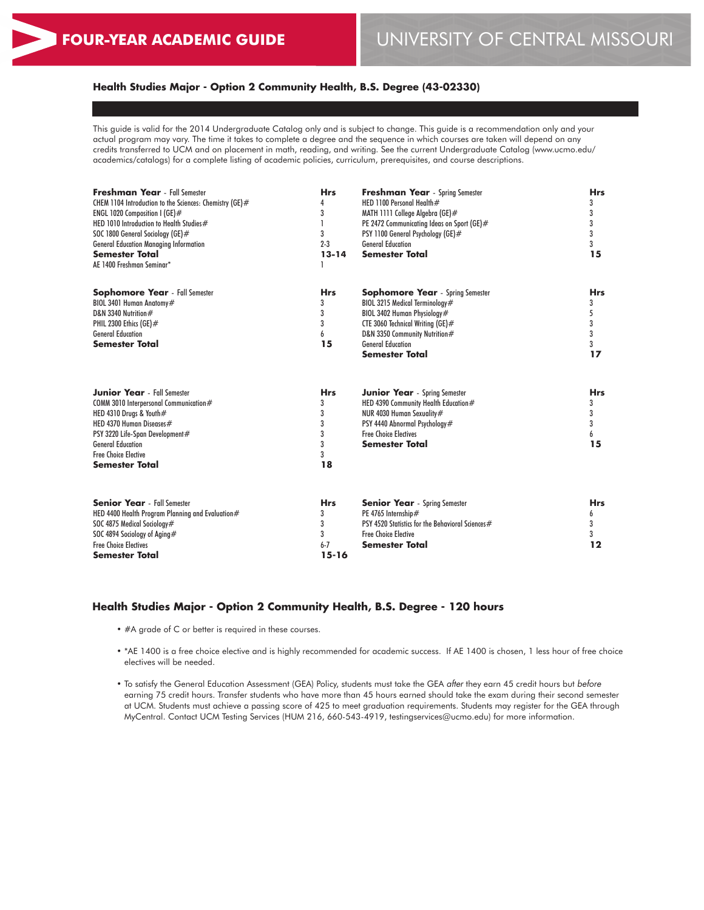# **Health Studies Major - Option 2 Community Health, B.S. Degree (43-02330)**

This guide is valid for the 2014 Undergraduate Catalog only and is subject to change. This guide is a recommendation only and your actual program may vary. The time it takes to complete a degree and the sequence in which courses are taken will depend on any credits transferred to UCM and on placement in math, reading, and writing. See the current Undergraduate Catalog (www.ucmo.edu/ academics/catalogs) for a complete listing of academic policies, curriculum, prerequisites, and course descriptions.

| <b>Freshman Year</b> - Fall Semester<br>CHEM 1104 Introduction to the Sciences: Chemistry (GE)#<br>ENGL 1020 Composition I (GE)#<br>HED 1010 Introduction to Health Studies#<br>SOC 1800 General Sociology (GE)#<br><b>General Education Managing Information</b><br><b>Semester Total</b><br>AE 1400 Freshman Seminar* | <b>Hrs</b><br>4<br>3<br>3<br>$2 - 3$<br>$13 - 14$ | <b>Freshman Year</b> - Spring Semester<br>HED 1100 Personal Health#<br>MATH 1111 College Algebra (GE)#<br>PE 2472 Communicating Ideas on Sport (GE)#<br>PSY 1100 General Psychology (GE)#<br><b>General Education</b><br><b>Semester Total</b> | <b>Hrs</b><br>3<br>3<br>3<br>3<br>3<br>15 |
|-------------------------------------------------------------------------------------------------------------------------------------------------------------------------------------------------------------------------------------------------------------------------------------------------------------------------|---------------------------------------------------|------------------------------------------------------------------------------------------------------------------------------------------------------------------------------------------------------------------------------------------------|-------------------------------------------|
| <b>Sophomore Year</b> - Fall Semester<br>BIOL 3401 Human Anatomy#<br>D&N 3340 Nutrition#<br>PHIL 2300 Ethics (GE) $#$<br><b>General Education</b><br><b>Semester Total</b>                                                                                                                                              | <b>Hrs</b><br>3<br>3<br>3<br>6<br>15              | <b>Sophomore Year</b> - Spring Semester<br>BIOL 3215 Medical Terminology#<br>BIOL 3402 Human Physiology#<br>CTE 3060 Technical Writing (GE)#<br>D&N 3350 Community Nutrition#<br><b>General Education</b><br><b>Semester Total</b>             | <b>Hrs</b><br>3<br>5<br>3<br>3<br>3<br>17 |
| <b>Junior Year</b> - Fall Semester<br>COMM 3010 Interpersonal Communication#<br>HED 4310 Drugs & Youth#<br>HED 4370 Human Diseases#<br>PSY 3220 Life-Span Development#<br><b>General Education</b><br><b>Free Choice Elective</b><br><b>Semester Total</b>                                                              | <b>Hrs</b><br>3<br>3<br>3<br>3<br>3<br>3<br>18    | <b>Junior Year</b> - Spring Semester<br>HED 4390 Community Health Education#<br>NUR 4030 Human Sexuality#<br>PSY 4440 Abnormal Psychology#<br><b>Free Choice Electives</b><br><b>Semester Total</b>                                            | <b>Hrs</b><br>3<br>3<br>3<br>6<br>15      |
| <b>Senior Year</b> - Fall Semester<br>HED 4400 Health Program Planning and Evaluation#<br>SOC 4875 Medical Sociology#<br>SOC 4894 Sociology of Aging#<br><b>Free Choice Electives</b><br><b>Semester Total</b>                                                                                                          | <b>Hrs</b><br>3<br>3<br>3<br>$6 - 7$<br>$15 - 16$ | <b>Senior Year</b> - Spring Semester<br>PE 4765 Internship#<br>PSY 4520 Statistics for the Behavioral Sciences#<br><b>Free Choice Elective</b><br><b>Semester Total</b>                                                                        | <b>Hrs</b><br>6<br>3<br>3<br>12           |

#### **Health Studies Major - Option 2 Community Health, B.S. Degree - 120 hours**

- #A grade of C or better is required in these courses.
- \*AE 1400 is a free choice elective and is highly recommended for academic success. If AE 1400 is chosen, 1 less hour of free choice electives will be needed.
- To satisfy the General Education Assessment (GEA) Policy, students must take the GEA *after* they earn 45 credit hours but *before* earning 75 credit hours. Transfer students who have more than 45 hours earned should take the exam during their second semester at UCM. Students must achieve a passing score of 425 to meet graduation requirements. Students may register for the GEA through MyCentral. Contact UCM Testing Services (HUM 216, 660-543-4919, testingservices@ucmo.edu) for more information.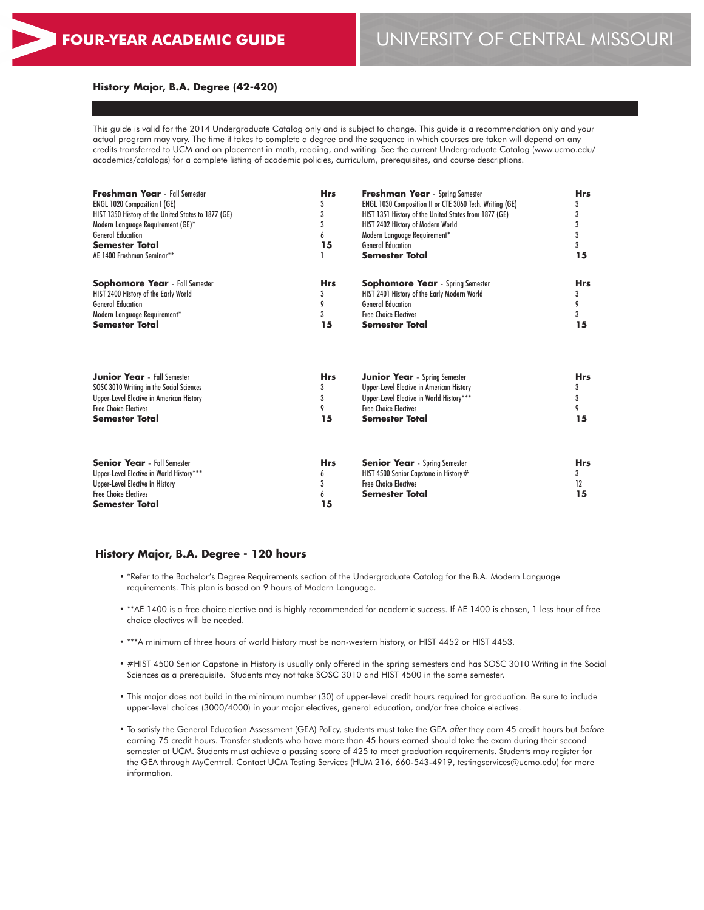#### **History Major, B.A. Degree (42-420)**

This guide is valid for the 2014 Undergraduate Catalog only and is subject to change. This guide is a recommendation only and your actual program may vary. The time it takes to complete a degree and the sequence in which courses are taken will depend on any credits transferred to UCM and on placement in math, reading, and writing. See the current Undergraduate Catalog (www.ucmo.edu/ academics/catalogs) for a complete listing of academic policies, curriculum, prerequisites, and course descriptions.

| <b>Freshman Year</b> - Fall Semester<br><b>ENGL 1020 Composition I (GE)</b><br>HIST 1350 History of the United States to 1877 (GE)<br>Modern Language Requirement (GE)*<br><b>General Education</b><br><b>Semester Total</b><br>AE 1400 Freshman Seminar** | <b>Hrs</b><br>3<br>3<br>3<br>6<br>15 | <b>Freshman Year</b> - Spring Semester<br>ENGL 1030 Composition II or CTE 3060 Tech. Writing (GE)<br>HIST 1351 History of the United States from 1877 (GE)<br>HIST 2402 History of Modern World<br>Modern Language Requirement*<br><b>General Education</b><br><b>Semester Total</b> | <b>Hrs</b><br>3<br>3<br>3<br>3<br>3<br>15 |
|------------------------------------------------------------------------------------------------------------------------------------------------------------------------------------------------------------------------------------------------------------|--------------------------------------|--------------------------------------------------------------------------------------------------------------------------------------------------------------------------------------------------------------------------------------------------------------------------------------|-------------------------------------------|
| <b>Sophomore Year</b> - Fall Semester                                                                                                                                                                                                                      | <b>Hrs</b>                           | <b>Sophomore Year</b> - Spring Semester                                                                                                                                                                                                                                              | <b>Hrs</b>                                |
| HIST 2400 History of the Early World                                                                                                                                                                                                                       | 3                                    | HIST 2401 History of the Early Modern World                                                                                                                                                                                                                                          | 3                                         |
| <b>General Education</b>                                                                                                                                                                                                                                   | 9                                    | <b>General Education</b>                                                                                                                                                                                                                                                             | 9                                         |
| Modern Language Requirement*                                                                                                                                                                                                                               | 3                                    | <b>Free Choice Electives</b>                                                                                                                                                                                                                                                         | 3                                         |
| <b>Semester Total</b>                                                                                                                                                                                                                                      | 15                                   | <b>Semester Total</b>                                                                                                                                                                                                                                                                | 15                                        |
| <b>Junior Year</b> - Fall Semester                                                                                                                                                                                                                         | <b>Hrs</b>                           | <b>Junior Year</b> - Spring Semester                                                                                                                                                                                                                                                 | <b>Hrs</b>                                |
| SOSC 3010 Writing in the Social Sciences                                                                                                                                                                                                                   | 3                                    | Upper-Level Elective in American History                                                                                                                                                                                                                                             | 3                                         |
| Upper-Level Elective in American History                                                                                                                                                                                                                   | 3                                    | Upper-Level Elective in World History***                                                                                                                                                                                                                                             | 3                                         |
| <b>Free Choice Flectives</b>                                                                                                                                                                                                                               | 9                                    | <b>Free Choice Flectives</b>                                                                                                                                                                                                                                                         | 9                                         |
| <b>Semester Total</b>                                                                                                                                                                                                                                      | 15                                   | <b>Semester Total</b>                                                                                                                                                                                                                                                                | 15                                        |
| <b>Senior Year</b> - Fall Semester<br>Upper-Level Elective in World History***<br>Upper-Level Elective in History<br><b>Free Choice Electives</b><br><b>Semester Total</b>                                                                                 | <b>Hrs</b><br>6<br>3<br>6<br>15      | <b>Senior Year</b> - Spring Semester<br>HIST 4500 Senior Capstone in History#<br><b>Free Choice Electives</b><br><b>Semester Total</b>                                                                                                                                               | <b>Hrs</b><br>3<br>12<br>15               |

#### **History Major, B.A. Degree - 120 hours**

- \*Refer to the Bachelor's Degree Requirements section of the Undergraduate Catalog for the B.A. Modern Language requirements. This plan is based on 9 hours of Modern Language.
- \*\*AE 1400 is a free choice elective and is highly recommended for academic success. If AE 1400 is chosen, 1 less hour of free choice electives will be needed.
- \*\*\*A minimum of three hours of world history must be non-western history, or HIST 4452 or HIST 4453.
- #HIST 4500 Senior Capstone in History is usually only offered in the spring semesters and has SOSC 3010 Writing in the Social Sciences as a prerequisite. Students may not take SOSC 3010 and HIST 4500 in the same semester.
- This major does not build in the minimum number (30) of upper-level credit hours required for graduation. Be sure to include upper-level choices (3000/4000) in your major electives, general education, and/or free choice electives.
- To satisfy the General Education Assessment (GEA) Policy, students must take the GEA *after* they earn 45 credit hours but *before* earning 75 credit hours. Transfer students who have more than 45 hours earned should take the exam during their second semester at UCM. Students must achieve a passing score of 425 to meet graduation requirements. Students may register for the GEA through MyCentral. Contact UCM Testing Services (HUM 216, 660-543-4919, testingservices@ucmo.edu) for more information.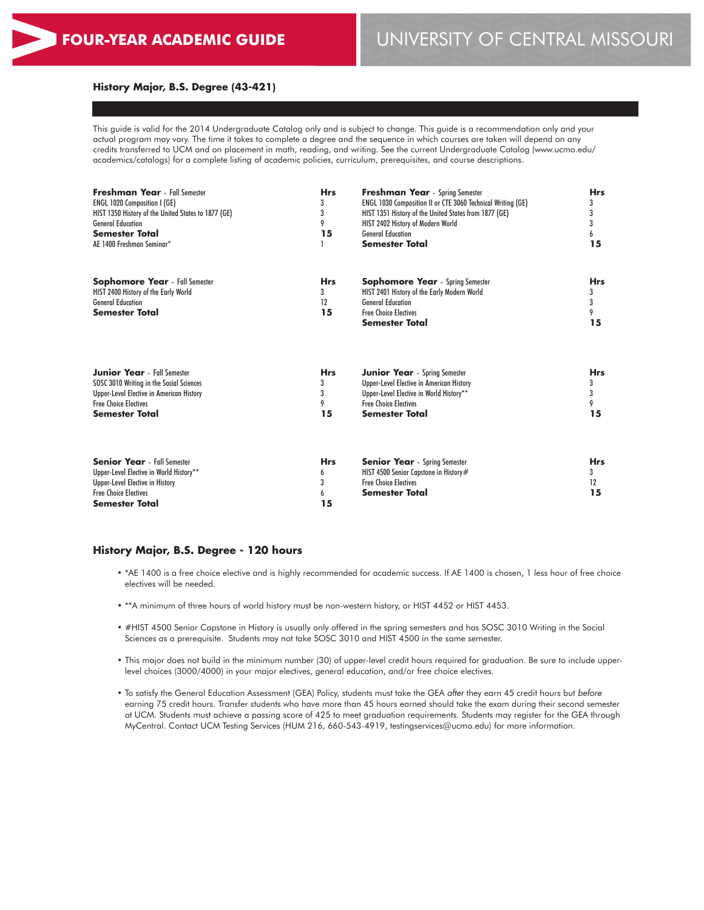#### **History Major, B.S. Degree (43-421)**

This guide is valid for the 2014 Undergraduate Catalog only and is subject to change. This guide is a recommendation only and your actual program may vary. The time it takes to complete a degree and the sequence in which courses are taken will depend on any credits transferred to UCM and on placement in math, reading, and writing. See the current Undergraduate Catalog (www.ucmo.edu/ academics/catalogs) for a complete listing of academic policies, curriculum, prerequisites, and course descriptions.

| <b>Freshman Year</b> - Fall Semester<br><b>ENGL 1020 Composition I (GE)</b><br>HIST 1350 History of the United States to 1877 (GE)<br><b>General Education</b><br><b>Semester Total</b><br>AE 1400 Freshman Seminar* | <b>Hrs</b><br>3<br>3<br>9<br>15 | <b>Freshman Year</b> - Spring Semester<br>ENGL 1030 Composition II or CTE 3060 Technical Writing (GE)<br>HIST 1351 History of the United States from 1877 (GE)<br>HIST 2402 History of Modern World<br><b>General Education</b><br><b>Semester Total</b> | <b>Hrs</b><br>3<br>3<br>3<br>6<br>15 |
|----------------------------------------------------------------------------------------------------------------------------------------------------------------------------------------------------------------------|---------------------------------|----------------------------------------------------------------------------------------------------------------------------------------------------------------------------------------------------------------------------------------------------------|--------------------------------------|
| <b>Sophomore Year</b> - Fall Semester<br>HIST 2400 History of the Early World<br><b>General Education</b><br>Semester Total                                                                                          | <b>Hrs</b><br>3<br>12<br>15     | <b>Sophomore Year</b> - Spring Semester<br>HIST 2401 History of the Early Modern World<br><b>General Education</b><br><b>Free Choice Electives</b><br><b>Semester Total</b>                                                                              | <b>Hrs</b><br>3<br>3<br>9<br>15      |
| <b>Junior Year</b> - Fall Semester<br>SOSC 3010 Writing in the Social Sciences<br>Upper-Level Elective in American History<br><b>Free Choice Electives</b><br>Semester Total                                         | <b>Hrs</b><br>3<br>3<br>9<br>15 | <b>Junior Year</b> - Spring Semester<br><b>Upper-Level Elective in American History</b><br>Upper-Level Elective in World History**<br><b>Free Choice Electives</b><br><b>Semester Total</b>                                                              | <b>Hrs</b><br>3<br>3<br>9<br>15      |
| <b>Senior Year</b> - Fall Semester<br>Upper-Level Elective in World History**<br>Upper-Level Elective in History<br><b>Free Choice Electives</b><br><b>Semester Total</b>                                            | <b>Hrs</b><br>6<br>3<br>6<br>15 | <b>Senior Year</b> - Spring Semester<br>HIST 4500 Senior Capstone in History#<br><b>Free Choice Electives</b><br>Semester Total                                                                                                                          | <b>Hrs</b><br>3<br>12<br>15          |

#### **History Major, B.S. Degree - 120 hours**

- \*AE 1400 is a free choice elective and is highly recommended for academic success. If AE 1400 is chosen, 1 less hour of free choice electives will be needed.
- \*\*A minimum of three hours of world history must be non-western history, or HIST 4452 or HIST 4453.
- #HIST 4500 Senior Capstone in History is usually only offered in the spring semesters and has SOSC 3010 Writing in the Social Sciences as a prerequisite. Students may not take SOSC 3010 and HIST 4500 in the same semester.
- This major does not build in the minimum number (30) of upper-level credit hours required for graduation. Be sure to include upperlevel choices (3000/4000) in your major electives, general education, and/or free choice electives.
- To satisfy the General Education Assessment (GEA) Policy, students must take the GEA *after* they earn 45 credit hours but *before* earning 75 credit hours. Transfer students who have more than 45 hours earned should take the exam during their second semester at UCM. Students must achieve a passing score of 425 to meet graduation requirements. Students may register for the GEA through MyCentral. Contact UCM Testing Services (HUM 216, 660-543-4919, testingservices@ucmo.edu) for more information.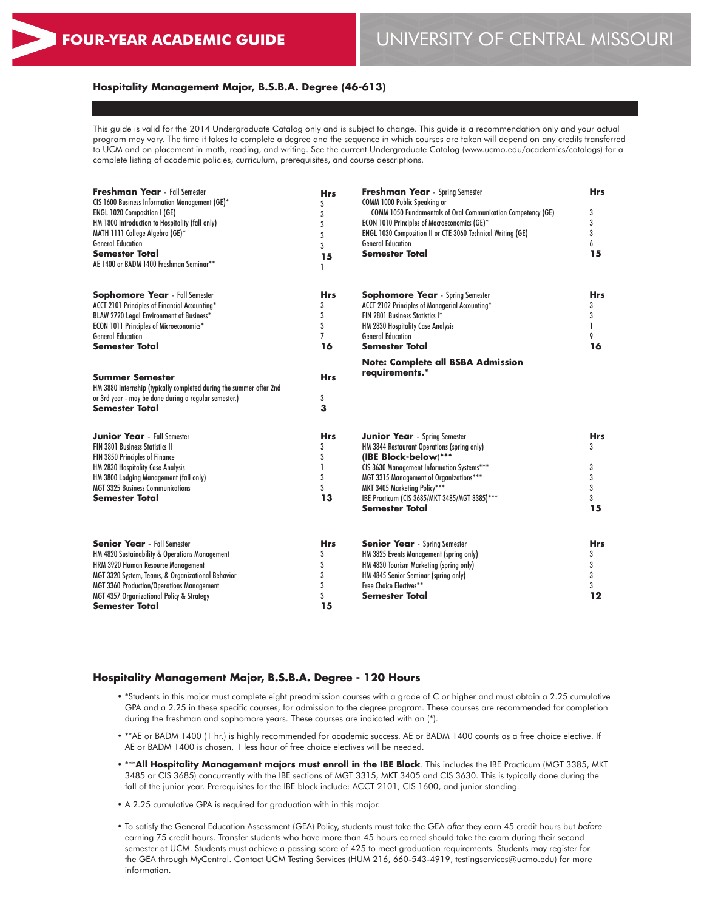# **FOUR-YEAR ACADEMIC GUIDE** UNIVERSITY OF CENTRAL MISSOURI

#### **Hospitality Management Major, B.S.B.A. Degree (46-613)**

This guide is valid for the 2014 Undergraduate Catalog only and is subject to change. This guide is a recommendation only and your actual program may vary. The time it takes to complete a degree and the sequence in which courses are taken will depend on any credits transferred to UCM and on placement in math, reading, and writing. See the current Undergraduate Catalog (www.ucmo.edu/academics/catalogs) for a complete listing of academic policies, curriculum, prerequisites, and course descriptions.

| <b>Freshman Year</b> - Fall Semester<br>CIS 1600 Business Information Management (GE)*<br>ENGL 1020 Composition I (GE)<br>HM 1800 Introduction to Hospitality (fall only)<br>MATH 1111 College Algebra (GE)*<br><b>General Education</b><br><b>Semester Total</b><br>AE 1400 or BADM 1400 Freshman Seminar** | <b>Hrs</b><br>3<br>3<br>3<br>3<br>3<br>15<br>ı | <b>Freshman Year</b> - Spring Semester<br>COMM 1000 Public Speaking or<br>COMM 1050 Fundamentals of Oral Communication Competency (GE)<br>ECON 1010 Principles of Macroeconomics (GE)*<br>ENGL 1030 Composition II or CTE 3060 Technical Writing (GE)<br><b>General Education</b><br><b>Semester Total</b>     | <b>Hrs</b><br>3<br>3<br>3<br>6<br>15      |
|--------------------------------------------------------------------------------------------------------------------------------------------------------------------------------------------------------------------------------------------------------------------------------------------------------------|------------------------------------------------|----------------------------------------------------------------------------------------------------------------------------------------------------------------------------------------------------------------------------------------------------------------------------------------------------------------|-------------------------------------------|
| <b>Sophomore Year</b> - Fall Semester<br>ACCT 2101 Principles of Financial Accounting*<br>BLAW 2720 Legal Environment of Business*<br><b>ECON 1011 Principles of Microeconomics*</b><br><b>General Education</b><br>Semester Total                                                                           | <b>Hrs</b><br>3<br>3<br>3<br>7<br>16           | <b>Sophomore Year</b> - Spring Semester<br>ACCT 2102 Principles of Managerial Accounting*<br>FIN 2801 Business Statistics I*<br>HM 2830 Hospitality Case Analysis<br><b>General Education</b><br><b>Semester Total</b>                                                                                         | <b>Hrs</b><br>3<br>3<br>1<br>9<br>16      |
| <b>Summer Semester</b><br>HM 3880 Internship (typically completed during the summer after 2nd<br>or 3rd year - may be done during a regular semester.)<br><b>Semester Total</b>                                                                                                                              | <b>Hrs</b><br>3<br>3                           | <b>Note: Complete all BSBA Admission</b><br>requirements.*                                                                                                                                                                                                                                                     |                                           |
| <b>Junior Year</b> - Fall Semester<br><b>FIN 3801 Business Statistics II</b><br>FIN 3850 Principles of Finance<br>HM 2830 Hospitality Case Analysis<br>HM 3800 Lodging Management (fall only)<br><b>MGT 3325 Business Communications</b><br><b>Semester Total</b>                                            | <b>Hrs</b><br>3<br>3<br>3<br>3<br>13           | <b>Junior Year</b> - Spring Semester<br>HM 3844 Restaurant Operations (spring only)<br>(IBE Block-below)***<br>CIS 3630 Management Information Systems***<br>MGT 3315 Management of Organizations***<br>MKT 3405 Marketing Policy***<br>IBE Practicum (CIS 3685/MKT 3485/MGT 3385)***<br><b>Semester Total</b> | <b>Hrs</b><br>3<br>3<br>3<br>3<br>3<br>15 |
| <b>Senior Year</b> - Fall Semester<br>HM 4820 Sustainability & Operations Management<br>HRM 3920 Human Resource Management<br>MGT 3320 System, Teams, & Organizational Behavior<br><b>MGT 3360 Production/Operations Management</b><br>MGT 4357 Organizational Policy & Strategy<br><b>Semester Total</b>    | Hrs<br>3<br>3<br>3<br>3<br>3<br>15             | <b>Senior Year</b> - Spring Semester<br>HM 3825 Events Management (spring only)<br>HM 4830 Tourism Marketing (spring only)<br>HM 4845 Senior Seminar (spring only)<br>Free Choice Electives**<br><b>Semester Total</b>                                                                                         | <b>Hrs</b><br>3<br>3<br>3<br>3<br>12      |

#### **Hospitality Management Major, B.S.B.A. Degree - 120 Hours**

- \*Students in this major must complete eight preadmission courses with a grade of C or higher and must obtain a 2.25 cumulative GPA and a 2.25 in these specific courses, for admission to the degree program. These courses are recommended for completion during the freshman and sophomore years. These courses are indicated with an (\*).
- \*\*AE or BADM 1400 (1 hr.) is highly recommended for academic success. AE or BADM 1400 counts as a free choice elective. If AE or BADM 1400 is chosen, 1 less hour of free choice electives will be needed.
- \*\*\***All Hospitality Management majors must enroll in the IBE Block**. This includes the IBE Practicum (MGT 3385, MKT 3485 or CIS 3685) concurrently with the IBE sections of MGT 3315, MKT 3405 and CIS 3630. This is typically done during the fall of the junior year. Prerequisites for the IBE block include: ACCT 2101, CIS 1600, and junior standing.
- A 2.25 cumulative GPA is required for graduation with in this major.
- To satisfy the General Education Assessment (GEA) Policy, students must take the GEA *after* they earn 45 credit hours but *before* earning 75 credit hours. Transfer students who have more than 45 hours earned should take the exam during their second semester at UCM. Students must achieve a passing score of 425 to meet graduation requirements. Students may register for the GEA through MyCentral. Contact UCM Testing Services (HUM 216, 660-543-4919, testingservices@ucmo.edu) for more information.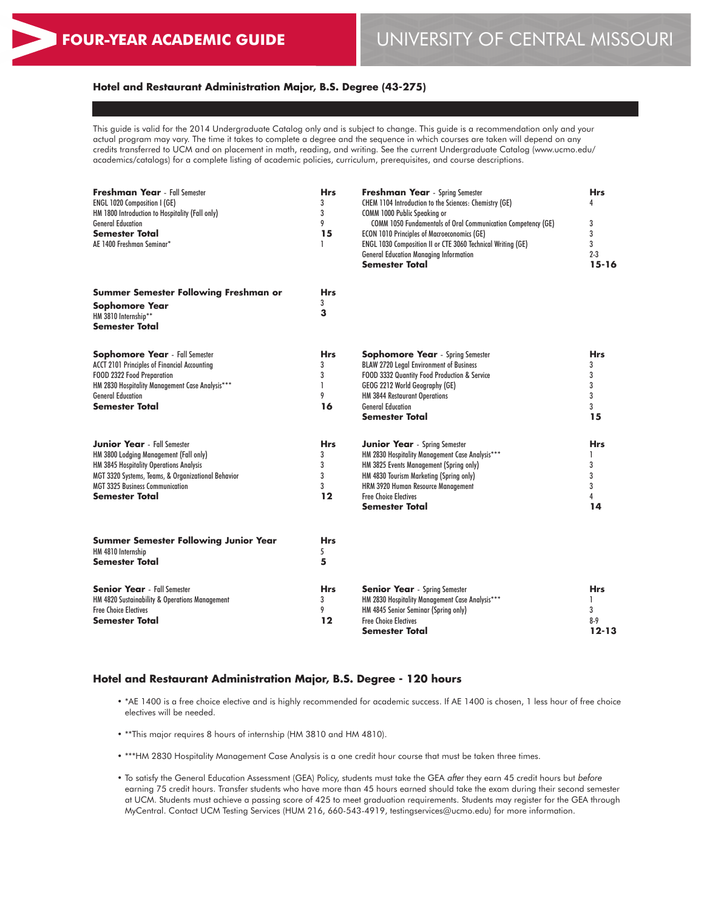# **Hotel and Restaurant Administration Major, B.S. Degree (43-275)**

This guide is valid for the 2014 Undergraduate Catalog only and is subject to change. This guide is a recommendation only and your actual program may vary. The time it takes to complete a degree and the sequence in which courses are taken will depend on any credits transferred to UCM and on placement in math, reading, and writing. See the current Undergraduate Catalog (www.ucmo.edu/ academics/catalogs) for a complete listing of academic policies, curriculum, prerequisites, and course descriptions.

| <b>Freshman Year</b> - Fall Semester<br><b>ENGL 1020 Composition I (GE)</b><br>HM 1800 Introduction to Hospitality (Fall only)<br><b>General Education</b><br>Semester Total<br>AE 1400 Freshman Seminar*                                 | Hrs<br>3<br>3<br>9<br>15<br>1        | <b>Freshman Year</b> - Spring Semester<br>CHEM 1104 Introduction to the Sciences: Chemistry (GE)<br>COMM 1000 Public Speaking or<br>COMM 1050 Fundamentals of Oral Communication Competency (GE)<br><b>ECON 1010 Principles of Macroeconomics (GE)</b><br>ENGL 1030 Composition II or CTE 3060 Technical Writing (GE)<br><b>General Education Managing Information</b><br><b>Semester Total</b> | <b>Hrs</b><br>Δ<br>3<br>3<br>3<br>$2 - 3$<br>$15 - 16$ |
|-------------------------------------------------------------------------------------------------------------------------------------------------------------------------------------------------------------------------------------------|--------------------------------------|-------------------------------------------------------------------------------------------------------------------------------------------------------------------------------------------------------------------------------------------------------------------------------------------------------------------------------------------------------------------------------------------------|--------------------------------------------------------|
| Summer Semester Following Freshman or<br><b>Sophomore Year</b><br>HM 3810 Internship**<br><b>Semester Total</b>                                                                                                                           | Hrs<br>3<br>3                        |                                                                                                                                                                                                                                                                                                                                                                                                 |                                                        |
| <b>Sophomore Year</b> - Fall Semester<br><b>ACCT 2101 Principles of Financial Accounting</b><br>FOOD 2322 Food Preparation<br>HM 2830 Hospitality Management Case Analysis***<br><b>General Education</b><br>Semester Total               | <b>Hrs</b><br>3<br>3<br>9<br>16      | <b>Sophomore Year</b> - Spring Semester<br><b>BLAW 2720 Legal Environment of Business</b><br>FOOD 3332 Quantity Food Production & Service<br>GEOG 2212 World Geography (GE)<br>HM 3844 Restaurant Operations<br><b>General Education</b><br><b>Semester Total</b>                                                                                                                               | <b>Hrs</b><br>3<br>3<br>3<br>3<br>3<br>15              |
| <b>Junior Year</b> - Fall Semester<br>HM 3800 Lodging Management (Fall only)<br>HM 3845 Hospitality Operations Analysis<br>MGT 3320 Systems, Teams, & Organizational Behavior<br><b>MGT 3325 Business Communication</b><br>Semester Total | <b>Hrs</b><br>3<br>3<br>3<br>3<br>12 | <b>Junior Year</b> - Spring Semester<br>HM 2830 Hospitality Management Case Analysis***<br>HM 3825 Events Management (Spring only)<br>HM 4830 Tourism Marketing (Spring only)<br>HRM 3920 Human Resource Management<br><b>Free Choice Electives</b><br><b>Semester Total</b>                                                                                                                    | <b>Hrs</b><br>3<br>3<br>3<br>14                        |
| <b>Summer Semester Following Junior Year</b><br>HM 4810 Internship<br><b>Semester Total</b>                                                                                                                                               | Hrs<br>5<br>5                        |                                                                                                                                                                                                                                                                                                                                                                                                 |                                                        |
| <b>Senior Year</b> - Fall Semester<br>HM 4820 Sustainability & Operations Management<br><b>Free Choice Electives</b><br>Semester Total                                                                                                    | <b>Hrs</b><br>3<br>9<br>12           | <b>Senior Year</b> - Spring Semester<br>HM 2830 Hospitality Management Case Analysis***<br>HM 4845 Senior Seminar (Spring only)<br><b>Free Choice Electives</b><br><b>Semester Total</b>                                                                                                                                                                                                        | <b>Hrs</b><br>1<br>3<br>$8-9$<br>$12 - 13$             |

#### **Hotel and Restaurant Administration Major, B.S. Degree - 120 hours**

- \*AE 1400 is a free choice elective and is highly recommended for academic success. If AE 1400 is chosen, 1 less hour of free choice electives will be needed.
- \*\*This major requires 8 hours of internship (HM 3810 and HM 4810).
- \*\*\*HM 2830 Hospitality Management Case Analysis is a one credit hour course that must be taken three times.
- To satisfy the General Education Assessment (GEA) Policy, students must take the GEA *after* they earn 45 credit hours but *before* earning 75 credit hours. Transfer students who have more than 45 hours earned should take the exam during their second semester at UCM. Students must achieve a passing score of 425 to meet graduation requirements. Students may register for the GEA through MyCentral. Contact UCM Testing Services (HUM 216, 660-543-4919, testingservices@ucmo.edu) for more information.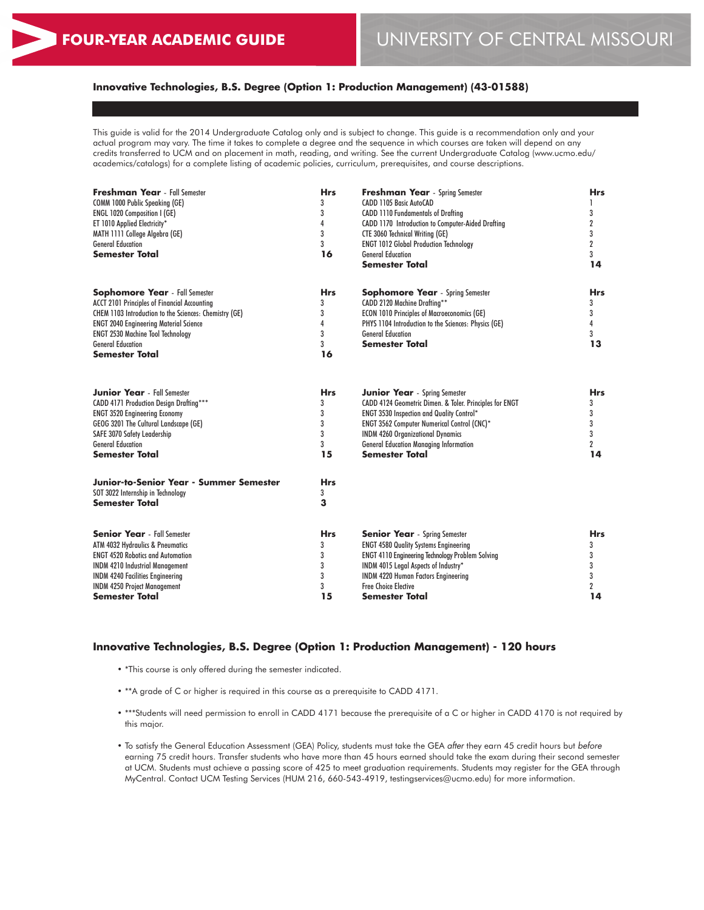# **Innovative Technologies, B.S. Degree (Option 1: Production Management) (43-01588)**

This guide is valid for the 2014 Undergraduate Catalog only and is subject to change. This guide is a recommendation only and your actual program may vary. The time it takes to complete a degree and the sequence in which courses are taken will depend on any credits transferred to UCM and on placement in math, reading, and writing. See the current Undergraduate Catalog (www.ucmo.edu/ academics/catalogs) for a complete listing of academic policies, curriculum, prerequisites, and course descriptions.

| <b>Freshman Year</b> - Fall Semester                   | <b>Hrs</b> | <b>Freshman Year</b> - Spring Semester                  | <b>Hrs</b>       |
|--------------------------------------------------------|------------|---------------------------------------------------------|------------------|
| COMM 1000 Public Speaking (GE)                         | 3          | CADD 1105 Basic AutoCAD                                 |                  |
| <b>ENGL 1020 Composition I (GE)</b>                    | 3          | <b>CADD 1110 Fundamentals of Drafting</b>               | 3                |
| ET 1010 Applied Electricity*                           | 4          | CADD 1170 Introduction to Computer-Aided Drafting       | $\boldsymbol{2}$ |
| MATH 1111 College Algebra (GE)                         | 3          | <b>CTE 3060 Technical Writing (GE)</b>                  | 3                |
| <b>General Education</b>                               | 3          | <b>ENGT 1012 Global Production Technology</b>           | $\overline{2}$   |
| <b>Semester Total</b>                                  | 16         | <b>General Education</b>                                | 3                |
|                                                        |            | <b>Semester Total</b>                                   | 14               |
| <b>Sophomore Year</b> - Fall Semester                  | <b>Hrs</b> | <b>Sophomore Year</b> - Spring Semester                 | <b>Hrs</b>       |
| <b>ACCT 2101 Principles of Financial Accounting</b>    | 3          | CADD 2120 Machine Drafting**                            | 3                |
| CHEM 1103 Introduction to the Sciences: Chemistry (GE) | 3          | <b>ECON 1010 Principles of Macroeconomics (GE)</b>      | 3                |
| <b>ENGT 2040 Engineering Material Science</b>          | 4          | PHYS 1104 Introduction to the Sciences: Physics (GE)    | 4                |
| <b>ENGT 2530 Machine Tool Technology</b>               | 3          | <b>General Education</b>                                | 3                |
| <b>General Education</b>                               | 3          | <b>Semester Total</b>                                   | 13               |
| <b>Semester Total</b>                                  | 16         |                                                         |                  |
| <b>Junior Year</b> - Fall Semester                     | <b>Hrs</b> | <b>Junior Year</b> - Spring Semester                    | <b>Hrs</b>       |
| CADD 4171 Production Design Drafting***                | 3          | CADD 4124 Geometric Dimen. & Toler. Principles for ENGT | 3                |
| <b>ENGT 3520 Engineering Economy</b>                   | 3          | ENGT 3530 Inspection and Quality Control*               | 3                |
| GEOG 3201 The Cultural Landscape (GE)                  | 3          | <b>ENGT 3562 Computer Numerical Control (CNC)*</b>      | 3                |
| SAFE 3070 Safety Leadership                            | 3          | <b>INDM 4260 Organizational Dynamics</b>                | 3                |
| <b>General Education</b>                               | 3          | <b>General Education Managing Information</b>           | $\overline{2}$   |
| <b>Semester Total</b>                                  | 15         | <b>Semester Total</b>                                   | 14               |
| Junior-to-Senior Year - Summer Semester                | <b>Hrs</b> |                                                         |                  |
| SOT 3022 Internship in Technology                      | 3          |                                                         |                  |
| <b>Semester Total</b>                                  | 3          |                                                         |                  |
| <b>Senior Year</b> - Fall Semester                     | <b>Hrs</b> | <b>Senior Year</b> - Spring Semester                    | <b>Hrs</b>       |
| ATM 4032 Hydraulics & Pneumatics                       | 3          | <b>ENGT 4580 Quality Systems Engineering</b>            | 3                |
| <b>ENGT 4520 Robotics and Automation</b>               | 3          | <b>ENGT 4110 Engineering Technology Problem Solving</b> | 3                |
| <b>INDM 4210 Industrial Management</b>                 | 3          | INDM 4015 Legal Aspects of Industry*                    | 3                |
| <b>INDM 4240 Facilities Engineering</b>                | 3          | <b>INDM 4220 Human Factors Engineering</b>              | 3                |
| <b>INDM 4250 Project Management</b>                    | 3          | <b>Free Choice Elective</b>                             | $\overline{2}$   |
| <b>Semester Total</b>                                  | 15         | Semester Total                                          | 14               |

#### **Innovative Technologies, B.S. Degree (Option 1: Production Management) - 120 hours**

- \*This course is only offered during the semester indicated.
- \*\*A grade of C or higher is required in this course as a prerequisite to CADD 4171.
- \*\*\*Students will need permission to enroll in CADD 4171 because the prerequisite of a C or higher in CADD 4170 is not required by this major.
- To satisfy the General Education Assessment (GEA) Policy, students must take the GEA *after* they earn 45 credit hours but *before* earning 75 credit hours. Transfer students who have more than 45 hours earned should take the exam during their second semester at UCM. Students must achieve a passing score of 425 to meet graduation requirements. Students may register for the GEA through MyCentral. Contact UCM Testing Services (HUM 216, 660-543-4919, testingservices@ucmo.edu) for more information.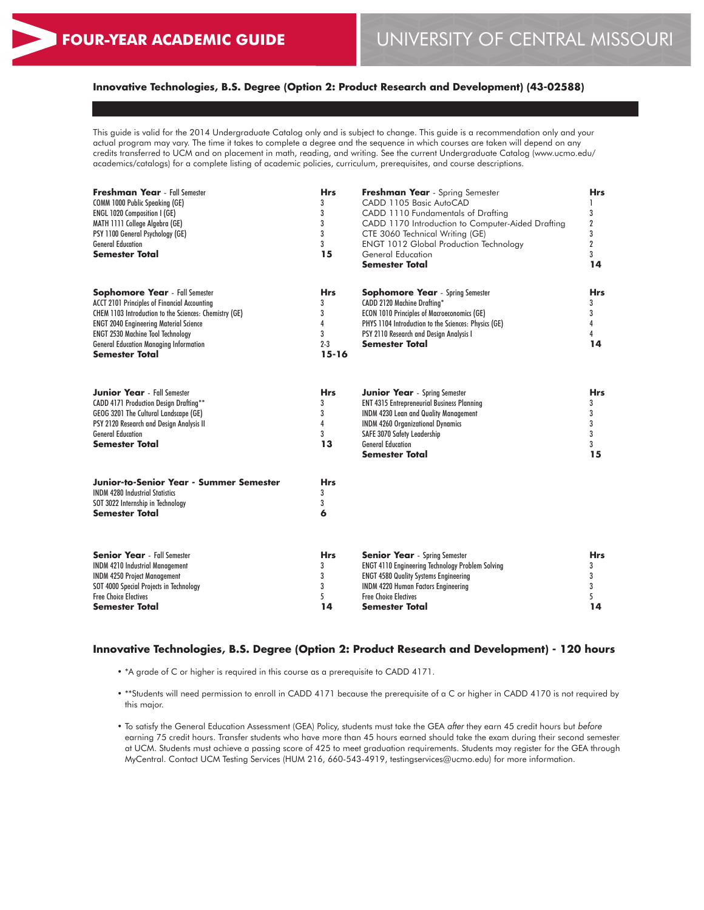# **Innovative Technologies, B.S. Degree (Option 2: Product Research and Development) (43-02588)**

This guide is valid for the 2014 Undergraduate Catalog only and is subject to change. This guide is a recommendation only and your actual program may vary. The time it takes to complete a degree and the sequence in which courses are taken will depend on any credits transferred to UCM and on placement in math, reading, and writing. See the current Undergraduate Catalog (www.ucmo.edu/ academics/catalogs) for a complete listing of academic policies, curriculum, prerequisites, and course descriptions.

| <b>Freshman Year</b> - Fall Semester<br>COMM 1000 Public Speaking (GE)<br>ENGL 1020 Composition I (GE)<br>MATH 1111 College Algebra (GE)<br>PSY 1100 General Psychology (GE)<br><b>General Education</b><br><b>Semester Total</b>                                                                                             | <b>Hrs</b><br>3<br>3<br>3<br>3<br>3<br>15              | Freshman Year - Spring Semester<br>CADD 1105 Basic AutoCAD<br>CADD 1110 Fundamentals of Drafting<br>CADD 1170 Introduction to Computer-Aided Drafting<br>CTE 3060 Technical Writing (GE)<br><b>ENGT 1012 Global Production Technology</b><br>General Education<br><b>Semester Total</b> | <b>Hrs</b><br>1<br>3<br>$\overline{2}$<br>3<br>$\overline{2}$<br>3<br>14 |
|-------------------------------------------------------------------------------------------------------------------------------------------------------------------------------------------------------------------------------------------------------------------------------------------------------------------------------|--------------------------------------------------------|-----------------------------------------------------------------------------------------------------------------------------------------------------------------------------------------------------------------------------------------------------------------------------------------|--------------------------------------------------------------------------|
| <b>Sophomore Year</b> - Fall Semester<br><b>ACCT 2101 Principles of Financial Accounting</b><br>CHEM 1103 Introduction to the Sciences: Chemistry (GE)<br><b>ENGT 2040 Engineering Material Science</b><br><b>ENGT 2530 Machine Tool Technology</b><br><b>General Education Managing Information</b><br><b>Semester Total</b> | <b>Hrs</b><br>3<br>3<br>4<br>3<br>$2 - 3$<br>$15 - 16$ | <b>Sophomore Year</b> - Spring Semester<br><b>CADD 2120 Machine Drafting*</b><br><b>ECON 1010 Principles of Macroeconomics (GE)</b><br>PHYS 1104 Introduction to the Sciences: Physics (GE)<br>PSY 2110 Research and Design Analysis I<br><b>Semester Total</b>                         | Hrs<br>3<br>3<br>4<br>4<br>14                                            |
| <b>Junior Year</b> - Fall Semester<br>CADD 4171 Production Design Drafting**<br>GEOG 3201 The Cultural Landscape (GE)<br>PSY 2120 Research and Design Analysis II<br><b>General Education</b><br><b>Semester Total</b>                                                                                                        | <b>Hrs</b><br>3<br>3<br>4<br>3<br>13                   | <b>Junior Year</b> - Spring Semester<br><b>ENT 4315 Entrepreneurial Business Planning</b><br><b>INDM 4230 Lean and Quality Management</b><br><b>INDM 4260 Organizational Dynamics</b><br>SAFE 3070 Safety Leadership<br><b>General Education</b><br><b>Semester Total</b>               | <b>Hrs</b><br>3<br>3<br>3<br>3<br>3<br>15                                |
| Junior-to-Senior Year - Summer Semester<br><b>INDM 4280 Industrial Statistics</b><br>SOT 3022 Internship in Technology<br><b>Semester Total</b>                                                                                                                                                                               | <b>Hrs</b><br>3<br>3<br>6                              |                                                                                                                                                                                                                                                                                         |                                                                          |
| <b>Senior Year</b> - Fall Semester<br><b>INDM 4210 Industrial Management</b><br><b>INDM 4250 Project Management</b><br>SOT 4000 Special Projects in Technology<br><b>Free Choice Electives</b><br><b>Semester Total</b>                                                                                                       | <b>Hrs</b><br>3<br>3<br>3<br>5<br>14                   | <b>Senior Year</b> - Spring Semester<br><b>ENGT 4110 Engineering Technology Problem Solving</b><br><b>ENGT 4580 Quality Systems Engineering</b><br><b>INDM 4220 Human Factors Engineering</b><br><b>Free Choice Electives</b><br><b>Semester Total</b>                                  | <b>Hrs</b><br>3<br>3<br>3<br>5<br>14                                     |

#### **Innovative Technologies, B.S. Degree (Option 2: Product Research and Development) - 120 hours**

- \*A grade of C or higher is required in this course as a prerequisite to CADD 4171.
- \*\*Students will need permission to enroll in CADD 4171 because the prerequisite of a C or higher in CADD 4170 is not required by this major.
- To satisfy the General Education Assessment (GEA) Policy, students must take the GEA *after* they earn 45 credit hours but *before* earning 75 credit hours. Transfer students who have more than 45 hours earned should take the exam during their second semester at UCM. Students must achieve a passing score of 425 to meet graduation requirements. Students may register for the GEA through MyCentral. Contact UCM Testing Services (HUM 216, 660-543-4919, testingservices@ucmo.edu) for more information.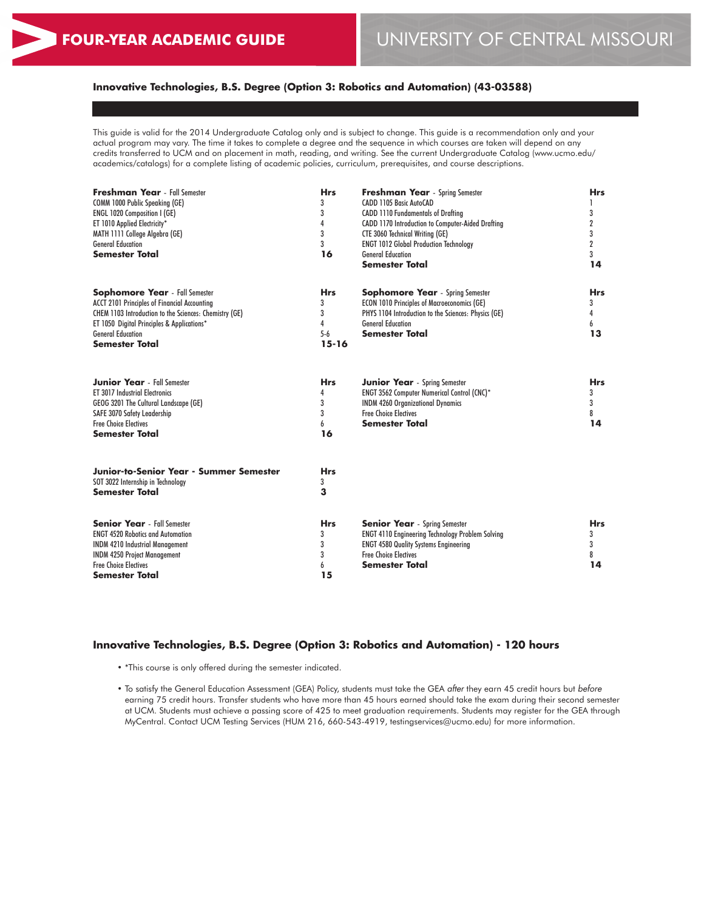# **Innovative Technologies, B.S. Degree (Option 3: Robotics and Automation) (43-03588)**

This guide is valid for the 2014 Undergraduate Catalog only and is subject to change. This guide is a recommendation only and your actual program may vary. The time it takes to complete a degree and the sequence in which courses are taken will depend on any credits transferred to UCM and on placement in math, reading, and writing. See the current Undergraduate Catalog (www.ucmo.edu/ academics/catalogs) for a complete listing of academic policies, curriculum, prerequisites, and course descriptions.

| <b>Freshman Year</b> - Fall Semester<br>COMM 1000 Public Speaking (GE)<br><b>ENGL 1020 Composition I (GE)</b><br>ET 1010 Applied Electricity*<br>MATH 1111 College Algebra (GE)<br><b>General Education</b><br><b>Semester Total</b>               | <b>Hrs</b><br>3<br>3<br>4<br>3<br>3<br>16       | <b>Freshman Year</b> - Spring Semester<br>CADD 1105 Basic AutoCAD<br><b>CADD 1110 Fundamentals of Drafting</b><br>CADD 1170 Introduction to Computer-Aided Drafting<br><b>CTE 3060 Technical Writing (GE)</b><br><b>ENGT 1012 Global Production Technology</b><br><b>General Education</b><br><b>Semester Total</b> | <b>Hrs</b><br>3<br>$\boldsymbol{2}$<br>3<br>$\overline{2}$<br>3<br>14 |
|----------------------------------------------------------------------------------------------------------------------------------------------------------------------------------------------------------------------------------------------------|-------------------------------------------------|---------------------------------------------------------------------------------------------------------------------------------------------------------------------------------------------------------------------------------------------------------------------------------------------------------------------|-----------------------------------------------------------------------|
| <b>Sophomore Year</b> - Fall Semester<br>ACCT 2101 Principles of Financial Accounting<br>CHEM 1103 Introduction to the Sciences: Chemistry (GE)<br>ET 1050 Digital Principles & Applications*<br><b>General Education</b><br><b>Semester Total</b> | <b>Hrs</b><br>3<br>3<br>4<br>$5-6$<br>$15 - 16$ | <b>Sophomore Year</b> - Spring Semester<br><b>ECON 1010 Principles of Macroeconomics (GE)</b><br>PHYS 1104 Introduction to the Sciences: Physics (GE)<br><b>General Education</b><br><b>Semester Total</b>                                                                                                          | <b>Hrs</b><br>3<br>4<br>6<br>13                                       |
| <b>Junior Year</b> - Fall Semester<br><b>ET 3017 Industrial Electronics</b><br>GEOG 3201 The Cultural Landscape (GE)<br>SAFE 3070 Safety Leadership<br><b>Free Choice Electives</b><br><b>Semester Total</b>                                       | <b>Hrs</b><br>4<br>3<br>3<br>6<br>16            | <b>Junior Year</b> - Spring Semester<br><b>ENGT 3562 Computer Numerical Control (CNC)*</b><br><b>INDM 4260 Organizational Dynamics</b><br><b>Free Choice Electives</b><br><b>Semester Total</b>                                                                                                                     | <b>Hrs</b><br>3<br>3<br>8<br>14                                       |
| Junior-to-Senior Year - Summer Semester<br>SOT 3022 Internship in Technology<br><b>Semester Total</b>                                                                                                                                              | <b>Hrs</b><br>3<br>3                            |                                                                                                                                                                                                                                                                                                                     |                                                                       |
| <b>Senior Year</b> - Fall Semester<br><b>ENGT 4520 Robotics and Automation</b><br><b>INDM 4210 Industrial Management</b><br><b>INDM 4250 Project Management</b><br><b>Free Choice Electives</b><br>Semester Total                                  | <b>Hrs</b><br>3<br>3<br>3<br>6<br>15            | <b>Senior Year</b> - Spring Semester<br><b>ENGT 4110 Engineering Technology Problem Solving</b><br><b>ENGT 4580 Quality Systems Engineering</b><br><b>Free Choice Electives</b><br><b>Semester Total</b>                                                                                                            | <b>Hrs</b><br>3<br>3<br>8<br>14                                       |

#### **Innovative Technologies, B.S. Degree (Option 3: Robotics and Automation) - 120 hours**

- \*This course is only offered during the semester indicated.
- To satisfy the General Education Assessment (GEA) Policy, students must take the GEA *after* they earn 45 credit hours but *before* earning 75 credit hours. Transfer students who have more than 45 hours earned should take the exam during their second semester at UCM. Students must achieve a passing score of 425 to meet graduation requirements. Students may register for the GEA through MyCentral. Contact UCM Testing Services (HUM 216, 660-543-4919, testingservices@ucmo.edu) for more information.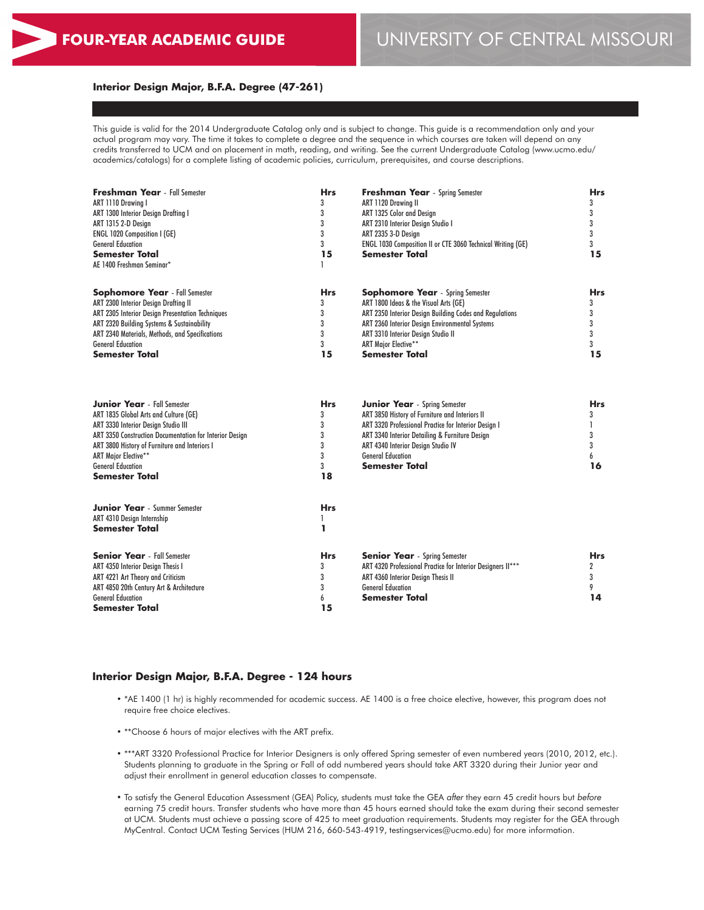#### **Interior Design Major, B.F.A. Degree (47-261)**

This guide is valid for the 2014 Undergraduate Catalog only and is subject to change. This guide is a recommendation only and your actual program may vary. The time it takes to complete a degree and the sequence in which courses are taken will depend on any credits transferred to UCM and on placement in math, reading, and writing. See the current Undergraduate Catalog (www.ucmo.edu/ academics/catalogs) for a complete listing of academic policies, curriculum, prerequisites, and course descriptions.

| <b>Freshman Year</b> - Fall Semester                                                                                                                                                                                                                                                                               | <b>Hrs</b>                              | <b>Freshman Year</b> - Spring Semester                                                                                                                                                                                                                                               | <b>Hrs</b>                         |  |
|--------------------------------------------------------------------------------------------------------------------------------------------------------------------------------------------------------------------------------------------------------------------------------------------------------------------|-----------------------------------------|--------------------------------------------------------------------------------------------------------------------------------------------------------------------------------------------------------------------------------------------------------------------------------------|------------------------------------|--|
| ART 1110 Drawing I                                                                                                                                                                                                                                                                                                 | 3                                       | ART 1120 Drawing II                                                                                                                                                                                                                                                                  | 3                                  |  |
| <b>ART 1300 Interior Design Drafting I</b>                                                                                                                                                                                                                                                                         | 3                                       | ART 1325 Color and Design                                                                                                                                                                                                                                                            | 3                                  |  |
| ART 1315 2-D Design                                                                                                                                                                                                                                                                                                | 3                                       | ART 2310 Interior Design Studio I                                                                                                                                                                                                                                                    | 3                                  |  |
| <b>ENGL 1020 Composition I (GE)</b>                                                                                                                                                                                                                                                                                | 3                                       | ART 2335 3-D Design                                                                                                                                                                                                                                                                  | 3                                  |  |
| <b>General Education</b>                                                                                                                                                                                                                                                                                           | 3                                       | ENGL 1030 Composition II or CTE 3060 Technical Writing (GE)                                                                                                                                                                                                                          | 3                                  |  |
| <b>Semester Total</b>                                                                                                                                                                                                                                                                                              | 15                                      | <b>Semester Total</b>                                                                                                                                                                                                                                                                | 15                                 |  |
| AE 1400 Freshman Seminar*                                                                                                                                                                                                                                                                                          |                                         |                                                                                                                                                                                                                                                                                      |                                    |  |
| <b>Sophomore Year</b> - Fall Semester                                                                                                                                                                                                                                                                              | <b>Hrs</b>                              | <b>Sophomore Year</b> - Spring Semester                                                                                                                                                                                                                                              | <b>Hrs</b>                         |  |
| ART 2300 Interior Design Drafting II                                                                                                                                                                                                                                                                               | 3                                       | ART 1800 Ideas & the Visual Arts (GE)                                                                                                                                                                                                                                                | 3                                  |  |
| ART 2305 Interior Design Presentation Techniques                                                                                                                                                                                                                                                                   | 3                                       | ART 2350 Interior Design Building Codes and Regulations                                                                                                                                                                                                                              | 3                                  |  |
| ART 2320 Building Systems & Sustainability                                                                                                                                                                                                                                                                         | 3                                       | ART 2360 Interior Design Environmental Systems                                                                                                                                                                                                                                       | 3                                  |  |
| ART 2340 Materials, Methods, and Specifications                                                                                                                                                                                                                                                                    | 3                                       | ART 3310 Interior Design Studio II                                                                                                                                                                                                                                                   | 3                                  |  |
| <b>General Education</b>                                                                                                                                                                                                                                                                                           | 3                                       | <b>ART Major Elective**</b>                                                                                                                                                                                                                                                          | 3                                  |  |
| <b>Semester Total</b>                                                                                                                                                                                                                                                                                              | 15                                      | <b>Semester Total</b>                                                                                                                                                                                                                                                                | 15                                 |  |
| <b>Junior Year</b> - Fall Semester<br>ART 1835 Global Arts and Culture (GE)<br>ART 3330 Interior Design Studio III<br>ART 3350 Construction Documentation for Interior Design<br>ART 3800 History of Furniture and Interiors I<br><b>ART Major Elective**</b><br><b>General Education</b><br><b>Semester Total</b> | Hrs<br>3<br>3<br>3<br>3<br>3<br>3<br>18 | Junior Year - Spring Semester<br>ART 3850 History of Furniture and Interiors II<br>ART 3320 Professional Practice for Interior Design I<br>ART 3340 Interior Detailing & Furniture Design<br>ART 4340 Interior Design Studio IV<br><b>General Education</b><br><b>Semester Total</b> | Hrs<br>3<br>1<br>3<br>3<br>6<br>16 |  |
| <b>Junior Year</b> - Summer Semester                                                                                                                                                                                                                                                                               | <b>Hrs</b>                              |                                                                                                                                                                                                                                                                                      |                                    |  |
| ART 4310 Design Internship                                                                                                                                                                                                                                                                                         | 1                                       |                                                                                                                                                                                                                                                                                      |                                    |  |
| <b>Semester Total</b>                                                                                                                                                                                                                                                                                              | 1                                       |                                                                                                                                                                                                                                                                                      |                                    |  |
| <b>Senior Year</b> - Fall Semester                                                                                                                                                                                                                                                                                 | <b>Hrs</b>                              | <b>Senior Year</b> - Spring Semester                                                                                                                                                                                                                                                 | <b>Hrs</b>                         |  |
| ART 4350 Interior Design Thesis I                                                                                                                                                                                                                                                                                  | 3                                       | ART 4320 Professional Practice for Interior Designers II***                                                                                                                                                                                                                          | 2                                  |  |
| ART 4221 Art Theory and Criticism                                                                                                                                                                                                                                                                                  | 3                                       | ART 4360 Interior Design Thesis II                                                                                                                                                                                                                                                   | 3                                  |  |
| ART 4850 20th Century Art & Architecture                                                                                                                                                                                                                                                                           | 3                                       | <b>General Education</b>                                                                                                                                                                                                                                                             | 9                                  |  |
| <b>General Education</b>                                                                                                                                                                                                                                                                                           | 6                                       | Semester Total                                                                                                                                                                                                                                                                       | 14                                 |  |

#### **Interior Design Major, B.F.A. Degree - 124 hours**

**Semester Total**

• \*AE 1400 (1 hr) is highly recommended for academic success. AE 1400 is a free choice elective, however, this program does not require free choice electives.

**15**

- \*\*Choose 6 hours of major electives with the ART prefix.
- \*\*\*ART 3320 Professional Practice for Interior Designers is only offered Spring semester of even numbered years (2010, 2012, etc.). Students planning to graduate in the Spring or Fall of odd numbered years should take ART 3320 during their Junior year and adjust their enrollment in general education classes to compensate.
- To satisfy the General Education Assessment (GEA) Policy, students must take the GEA *after* they earn 45 credit hours but *before* earning 75 credit hours. Transfer students who have more than 45 hours earned should take the exam during their second semester at UCM. Students must achieve a passing score of 425 to meet graduation requirements. Students may register for the GEA through MyCentral. Contact UCM Testing Services (HUM 216, 660-543-4919, testingservices@ucmo.edu) for more information.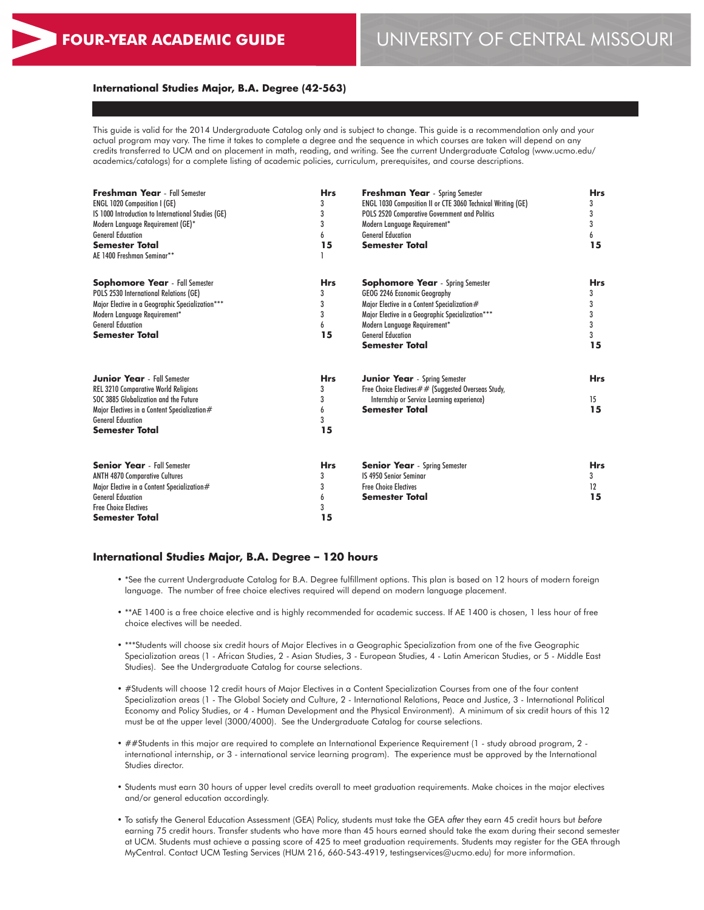### **International Studies Major, B.A. Degree (42-563)**

This guide is valid for the 2014 Undergraduate Catalog only and is subject to change. This guide is a recommendation only and your actual program may vary. The time it takes to complete a degree and the sequence in which courses are taken will depend on any credits transferred to UCM and on placement in math, reading, and writing. See the current Undergraduate Catalog (www.ucmo.edu/ academics/catalogs) for a complete listing of academic policies, curriculum, prerequisites, and course descriptions.

| <b>Freshman Year</b> - Fall Semester<br><b>ENGL 1020 Composition I (GE)</b><br>IS 1000 Introduction to International Studies (GE)<br>Modern Language Requirement (GE)*<br><b>General Education</b><br><b>Semester Total</b><br>AE 1400 Freshman Seminar** | <b>Hrs</b><br>3<br>3<br>3<br>6<br>15 | <b>Freshman Year</b> - Spring Semester<br>ENGL 1030 Composition II or CTE 3060 Technical Writing (GE)<br>POLS 2520 Comparative Government and Politics<br>Modern Language Requirement*<br><b>General Education</b><br><b>Semester Total</b>                     | <b>Hrs</b><br>3<br>3<br>3<br>6<br>15      |
|-----------------------------------------------------------------------------------------------------------------------------------------------------------------------------------------------------------------------------------------------------------|--------------------------------------|-----------------------------------------------------------------------------------------------------------------------------------------------------------------------------------------------------------------------------------------------------------------|-------------------------------------------|
| <b>Sophomore Year</b> - Fall Semester<br>POLS 2530 International Relations (GE)<br>Major Elective in a Geographic Specialization***<br>Modern Language Requirement*<br><b>General Education</b><br><b>Semester Total</b>                                  | <b>Hrs</b><br>3<br>3<br>3<br>6<br>15 | <b>Sophomore Year</b> - Spring Semester<br>GEOG 2246 Economic Geography<br>Major Elective in a Content Specialization#<br>Major Elective in a Geographic Specialization***<br>Modern Language Requirement*<br><b>General Education</b><br><b>Semester Total</b> | <b>Hrs</b><br>3<br>3<br>3<br>3<br>3<br>15 |
| <b>Junior Year</b> - Fall Semester<br><b>REL 3210 Comparative World Religions</b><br>SOC 3885 Globalization and the Future<br>Major Electives in a Content Specialization#<br><b>General Education</b><br><b>Semester Total</b>                           | <b>Hrs</b><br>3<br>3<br>6<br>3<br>15 | <b>Junior Year</b> - Spring Semester<br>Free Choice Electives $#$ # (Suggested Overseas Study,<br>Internship or Service Learning experience)<br><b>Semester Total</b>                                                                                           | <b>Hrs</b><br>15<br>15                    |
| <b>Senior Year</b> - Fall Semester<br><b>ANTH 4870 Comparative Cultures</b><br>Major Elective in a Content Specialization#<br><b>General Education</b><br><b>Free Choice Electives</b><br>Semester Total                                                  | <b>Hrs</b><br>3<br>3<br>6<br>3<br>15 | <b>Senior Year</b> - Spring Semester<br><b>IS 4950 Senior Seminar</b><br><b>Free Choice Electives</b><br><b>Semester Total</b>                                                                                                                                  | <b>Hrs</b><br>3<br>12<br>15               |

#### **International Studies Major, B.A. Degree – 120 hours**

- \*See the current Undergraduate Catalog for B.A. Degree fulfillment options. This plan is based on 12 hours of modern foreign language. The number of free choice electives required will depend on modern language placement.
- \*\*AE 1400 is a free choice elective and is highly recommended for academic success. If AE 1400 is chosen, 1 less hour of free choice electives will be needed.
- \*\*\*Students will choose six credit hours of Major Electives in a Geographic Specialization from one of the five Geographic Specialization areas (1 - African Studies, 2 - Asian Studies, 3 - European Studies, 4 - Latin American Studies, or 5 - Middle East Studies). See the Undergraduate Catalog for course selections.
- #Students will choose 12 credit hours of Major Electives in a Content Specialization Courses from one of the four content Specialization areas (1 - The Global Society and Culture, 2 - International Relations, Peace and Justice, 3 - International Political Economy and Policy Studies, or 4 - Human Development and the Physical Environment). A minimum of six credit hours of this 12 must be at the upper level (3000/4000). See the Undergraduate Catalog for course selections.
- ##Students in this major are required to complete an International Experience Requirement (1 study abroad program, 2 international internship, or 3 - international service learning program). The experience must be approved by the International Studies director.
- Students must earn 30 hours of upper level credits overall to meet graduation requirements. Make choices in the major electives and/or general education accordingly.
- To satisfy the General Education Assessment (GEA) Policy, students must take the GEA *after* they earn 45 credit hours but *before* earning 75 credit hours. Transfer students who have more than 45 hours earned should take the exam during their second semester at UCM. Students must achieve a passing score of 425 to meet graduation requirements. Students may register for the GEA through MyCentral. Contact UCM Testing Services (HUM 216, 660-543-4919, testingservices@ucmo.edu) for more information.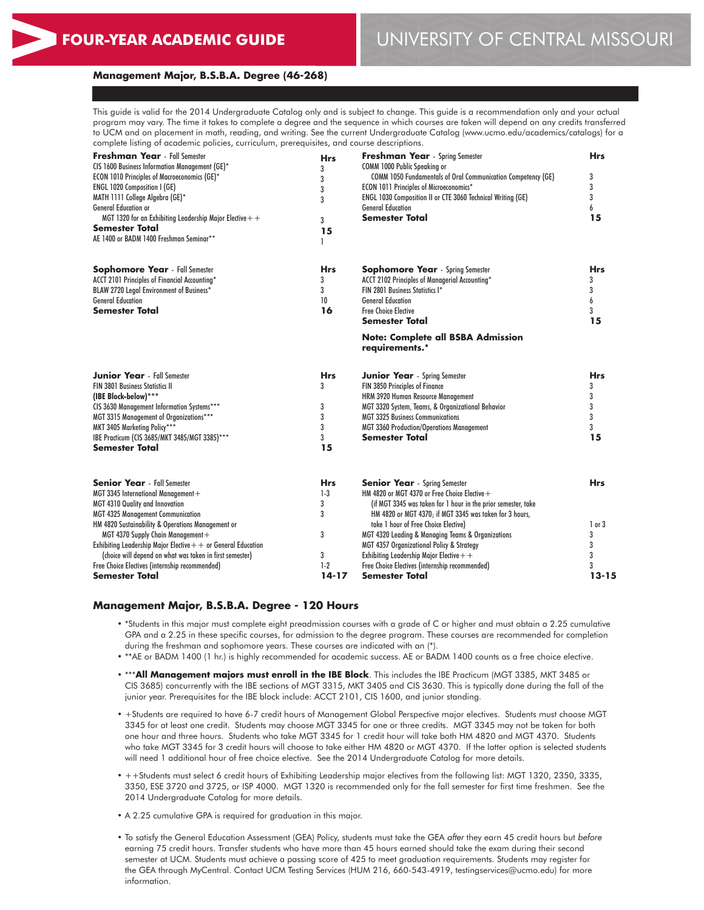# **FOUR-YEAR ACADEMIC GUIDE** UNIVERSITY OF CENTRAL MISSOURI

#### **Management Major, B.S.B.A. Degree (46-268)**

This guide is valid for the 2014 Undergraduate Catalog only and is subject to change. This guide is a recommendation only and your actual program may vary. The time it takes to complete a degree and the sequence in which courses are taken will depend on any credits transferred to UCM and on placement in math, reading, and writing. See the current Undergraduate Catalog (www.ucmo.edu/academics/catalogs) for a complete listing of academic policies, curriculum, prerequisites, and course descriptions.

| Freshman Year - Fall Semester                                   | <b>Hrs</b> | <b>Freshman Year</b> - Spring Semester                        | <b>Hrs</b> |
|-----------------------------------------------------------------|------------|---------------------------------------------------------------|------------|
| CIS 1600 Business Information Management (GE)*                  | 3          | COMM 1000 Public Speaking or                                  |            |
| <b>ECON 1010 Principles of Macroeconomics (GE)*</b>             | 3          | COMM 1050 Fundamentals of Oral Communication Competency (GE)  | 3          |
| ENGL 1020 Composition I (GE)                                    | 3          | ECON 1011 Principles of Microeconomics*                       | 3          |
| MATH 1111 College Algebra (GE)*                                 | 3          | ENGL 1030 Composition II or CTE 3060 Technical Writing (GE)   | 3          |
| <b>General Education or</b>                                     |            | <b>General Education</b>                                      | 6          |
| MGT 1320 for an Exhibiting Leadership Major Elective $+$ +      | 3          | <b>Semester Total</b>                                         | 15         |
| <b>Semester Total</b>                                           | 15         |                                                               |            |
| AE 1400 or BADM 1400 Freshman Seminar**                         |            |                                                               |            |
| <b>Sophomore Year</b> - Fall Semester                           | <b>Hrs</b> | <b>Sophomore Year</b> - Spring Semester                       | <b>Hrs</b> |
| ACCT 2101 Principles of Financial Accounting*                   | 3          | ACCT 2102 Principles of Managerial Accounting*                | 3          |
| BLAW 2720 Legal Environment of Business*                        | 3          | FIN 2801 Business Statistics I*                               | 3          |
| <b>General Education</b>                                        | 10         | <b>General Education</b>                                      | 6          |
| Semester Total                                                  | 16         | <b>Free Choice Elective</b>                                   | 3          |
|                                                                 |            | <b>Semester Total</b>                                         | 15         |
|                                                                 |            | <b>Note: Complete all BSBA Admission</b><br>requirements.*    |            |
| <b>Junior Year</b> - Fall Semester                              | <b>Hrs</b> | <b>Junior Year</b> - Spring Semester                          | <b>Hrs</b> |
| <b>FIN 3801 Business Statistics II</b>                          | 3          | FIN 3850 Principles of Finance                                | 3          |
| (IBE Block-below)***                                            |            | HRM 3920 Human Resource Management                            | 3          |
| CIS 3630 Management Information Systems***                      | 3          | MGT 3320 System, Teams, & Organizational Behavior             | 3          |
| MGT 3315 Management of Organizations***                         | 3          | <b>MGT 3325 Business Communications</b>                       | 3          |
| MKT 3405 Marketing Policy***                                    | 3          | <b>MGT 3360 Production/Operations Management</b>              | 3          |
| IBE Practicum (CIS 3685/MKT 3485/MGT 3385)***                   | 3          | Semester Total                                                | 15         |
| Semester Total                                                  | 15         |                                                               |            |
| <b>Senior Year</b> - Fall Semester                              | <b>Hrs</b> | <b>Senior Year</b> - Spring Semester                          | <b>Hrs</b> |
| MGT 3345 International Management+                              | $1-3$      | HM 4820 or MGT 4370 or Free Choice Elective $+$               |            |
| MGT 4310 Quality and Innovation                                 | 3          | (if MGT 3345 was taken for 1 hour in the prior semester, take |            |
| <b>MGT 4325 Management Communication</b>                        | 3          | HM 4820 or MGT 4370; if MGT 3345 was taken for 3 hours,       |            |
| HM 4820 Sustainability & Operations Management or               |            | take 1 hour of Free Choice Elective)                          | $1$ or $3$ |
| MGT 4370 Supply Chain Management+                               | 3          | MGT 4320 Leading & Managing Teams & Organizations             | 3          |
| Exhibiting Leadership Major Elective $+$ + or General Education |            | MGT 4357 Organizational Policy & Strategy                     | 3          |
| (choice will depend on what was taken in first semester)        | 3          | Exhibiting Leadership Major Elective + +                      | 3          |
| Free Choice Electives (internship recommended)                  | $1-2$      | Free Choice Electives (internship recommended)                | 3          |
| Semester Total                                                  | 14-17      | Semester Total                                                | $13 - 15$  |

#### **Management Major, B.S.B.A. Degree - 120 Hours**

- \*Students in this major must complete eight preadmission courses with a grade of C or higher and must obtain a 2.25 cumulative GPA and a 2.25 in these specific courses, for admission to the degree program. These courses are recommended for completion during the freshman and sophomore years. These courses are indicated with an (\*).
- \*\*AE or BADM 1400 (1 hr.) is highly recommended for academic success. AE or BADM 1400 counts as a free choice elective.
- \*\*\***All Management majors must enroll in the IBE Block**. This includes the IBE Practicum (MGT 3385, MKT 3485 or CIS 3685) concurrently with the IBE sections of MGT 3315, MKT 3405 and CIS 3630. This is typically done during the fall of the junior year. Prerequisites for the IBE block include: ACCT 2101, CIS 1600, and junior standing.
- +Students are required to have 6-7 credit hours of Management Global Perspective major electives. Students must choose MGT 3345 for at least one credit. Students may choose MGT 3345 for one or three credits. MGT 3345 may not be taken for both one hour and three hours. Students who take MGT 3345 for 1 credit hour will take both HM 4820 and MGT 4370. Students who take MGT 3345 for 3 credit hours will choose to take either HM 4820 or MGT 4370. If the latter option is selected students will need 1 additional hour of free choice elective. See the 2014 Undergraduate Catalog for more details.
- ++Students must select 6 credit hours of Exhibiting Leadership major electives from the following list: MGT 1320, 2350, 3335, 3350, ESE 3720 and 3725, or ISP 4000. MGT 1320 is recommended only for the fall semester for first time freshmen. See the 2014 Undergraduate Catalog for more details.
- A 2.25 cumulative GPA is required for graduation in this major.
- To satisfy the General Education Assessment (GEA) Policy, students must take the GEA *after* they earn 45 credit hours but *before* earning 75 credit hours. Transfer students who have more than 45 hours earned should take the exam during their second semester at UCM. Students must achieve a passing score of 425 to meet graduation requirements. Students may register for the GEA through MyCentral. Contact UCM Testing Services (HUM 216, 660-543-4919, testingservices@ucmo.edu) for more information.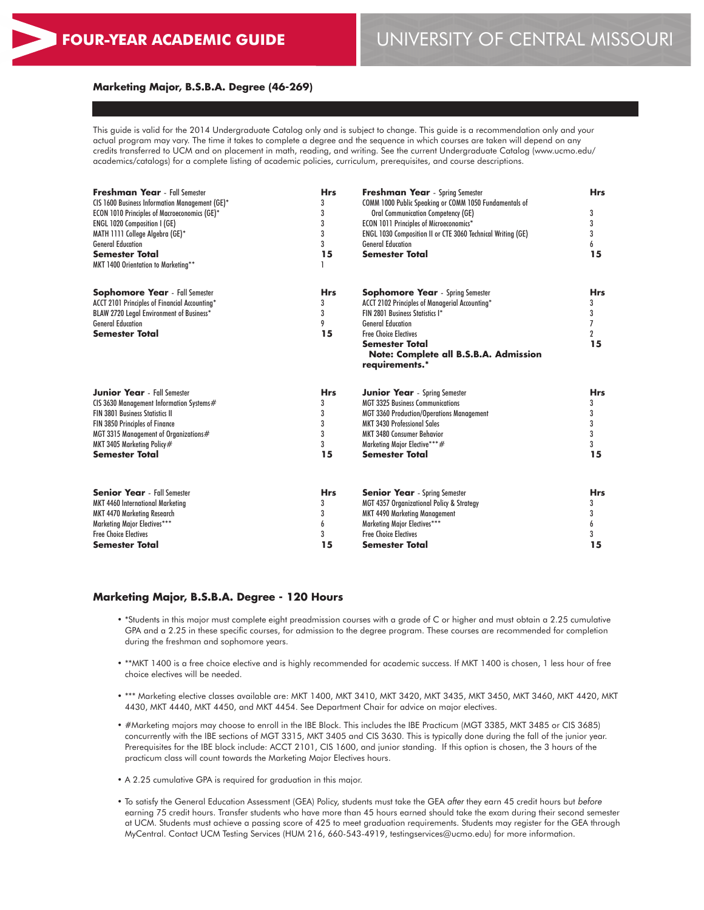#### **Marketing Major, B.S.B.A. Degree (46-269)**

This guide is valid for the 2014 Undergraduate Catalog only and is subject to change. This guide is a recommendation only and your actual program may vary. The time it takes to complete a degree and the sequence in which courses are taken will depend on any credits transferred to UCM and on placement in math, reading, and writing. See the current Undergraduate Catalog (www.ucmo.edu/ academics/catalogs) for a complete listing of academic policies, curriculum, prerequisites, and course descriptions.

| <b>Freshman Year</b> - Fall Semester<br>CIS 1600 Business Information Management (GE)*<br>ECON 1010 Principles of Macroeconomics (GE)*<br>ENGL 1020 Composition I (GE)<br>MATH 1111 College Algebra (GE)*<br><b>General Education</b><br>Semester Total<br>MKT 1400 Orientation to Marketing** | <b>Hrs</b><br>3<br>3<br>3<br>3<br>3<br>15 | <b>Freshman Year</b> - Spring Semester<br>COMM 1000 Public Speaking or COMM 1050 Fundamentals of<br><b>Oral Communication Competency (GE)</b><br>ECON 1011 Principles of Microeconomics*<br>ENGL 1030 Composition II or CTE 3060 Technical Writing (GE)<br><b>General Education</b><br><b>Semester Total</b> | <b>Hrs</b><br>3<br>3<br>3<br>6<br>15              |
|------------------------------------------------------------------------------------------------------------------------------------------------------------------------------------------------------------------------------------------------------------------------------------------------|-------------------------------------------|--------------------------------------------------------------------------------------------------------------------------------------------------------------------------------------------------------------------------------------------------------------------------------------------------------------|---------------------------------------------------|
| <b>Sophomore Year</b> - Fall Semester<br>ACCT 2101 Principles of Financial Accounting*<br>BLAW 2720 Legal Environment of Business*<br><b>General Education</b><br>Semester Total                                                                                                               | <b>Hrs</b><br>3<br>3<br>9<br>15           | <b>Sophomore Year</b> - Spring Semester<br>ACCT 2102 Principles of Managerial Accounting*<br>FIN 2801 Business Statistics I*<br><b>General Education</b><br><b>Free Choice Electives</b><br>Semester Total<br>Note: Complete all B.S.B.A. Admission<br>requirements.*                                        | <b>Hrs</b><br>3<br>3<br>7<br>$\overline{2}$<br>15 |
| <b>Junior Year</b> - Fall Semester                                                                                                                                                                                                                                                             | <b>Hrs</b>                                | <b>Junior Year</b> - Spring Semester                                                                                                                                                                                                                                                                         | <b>Hrs</b>                                        |
| CIS 3630 Management Information Systems#                                                                                                                                                                                                                                                       | 3                                         | <b>MGT 3325 Business Communications</b>                                                                                                                                                                                                                                                                      | 3                                                 |
| <b>FIN 3801 Business Statistics II</b>                                                                                                                                                                                                                                                         | 3                                         | <b>MGT 3360 Production/Operations Management</b>                                                                                                                                                                                                                                                             | 3                                                 |
| FIN 3850 Principles of Finance                                                                                                                                                                                                                                                                 | 3                                         | <b>MKT 3430 Professional Sales</b>                                                                                                                                                                                                                                                                           | 3                                                 |
| MGT 3315 Management of Organizations#                                                                                                                                                                                                                                                          | 3                                         | <b>MKT 3480 Consumer Behavior</b>                                                                                                                                                                                                                                                                            | 3                                                 |
| MKT 3405 Marketing Policy#                                                                                                                                                                                                                                                                     | 3                                         | Marketing Major Elective***#                                                                                                                                                                                                                                                                                 | 3                                                 |
| Semester Total                                                                                                                                                                                                                                                                                 | 15                                        | <b>Semester Total</b>                                                                                                                                                                                                                                                                                        | 15                                                |
| <b>Senior Year</b> - Fall Semester                                                                                                                                                                                                                                                             | <b>Hrs</b>                                | <b>Senior Year</b> - Spring Semester                                                                                                                                                                                                                                                                         | <b>Hrs</b>                                        |
| MKT 4460 International Marketing                                                                                                                                                                                                                                                               | 3                                         | <b>MGT 4357 Organizational Policy &amp; Strategy</b>                                                                                                                                                                                                                                                         | 3                                                 |
| MKT 4470 Marketing Research                                                                                                                                                                                                                                                                    | 3                                         | MKT 4490 Marketing Management                                                                                                                                                                                                                                                                                | 3                                                 |
| Marketing Major Electives***                                                                                                                                                                                                                                                                   | 6                                         | Marketing Major Electives***                                                                                                                                                                                                                                                                                 | 6                                                 |
| <b>Free Choice Electives</b>                                                                                                                                                                                                                                                                   | 3                                         | <b>Free Choice Electives</b>                                                                                                                                                                                                                                                                                 | 3                                                 |
| <b>Semester Total</b>                                                                                                                                                                                                                                                                          | 15                                        | <b>Semester Total</b>                                                                                                                                                                                                                                                                                        | 15                                                |

#### **Marketing Major, B.S.B.A. Degree - 120 Hours**

- \*Students in this major must complete eight preadmission courses with a grade of C or higher and must obtain a 2.25 cumulative GPA and a 2.25 in these specific courses, for admission to the degree program. These courses are recommended for completion during the freshman and sophomore years.
- \*\*MKT 1400 is a free choice elective and is highly recommended for academic success. If MKT 1400 is chosen, 1 less hour of free choice electives will be needed.
- \*\*\* Marketing elective classes available are: MKT 1400, MKT 3410, MKT 3420, MKT 3435, MKT 3450, MKT 3460, MKT 4420, MKT 4430, MKT 4440, MKT 4450, and MKT 4454. See Department Chair for advice on major electives.
- #Marketing majors may choose to enroll in the IBE Block. This includes the IBE Practicum (MGT 3385, MKT 3485 or CIS 3685) concurrently with the IBE sections of MGT 3315, MKT 3405 and CIS 3630. This is typically done during the fall of the junior year. Prerequisites for the IBE block include: ACCT 2101, CIS 1600, and junior standing. If this option is chosen, the 3 hours of the practicum class will count towards the Marketing Major Electives hours.
- A 2.25 cumulative GPA is required for graduation in this major.
- To satisfy the General Education Assessment (GEA) Policy, students must take the GEA *after* they earn 45 credit hours but *before* earning 75 credit hours. Transfer students who have more than 45 hours earned should take the exam during their second semester at UCM. Students must achieve a passing score of 425 to meet graduation requirements. Students may register for the GEA through MyCentral. Contact UCM Testing Services (HUM 216, 660-543-4919, testingservices@ucmo.edu) for more information.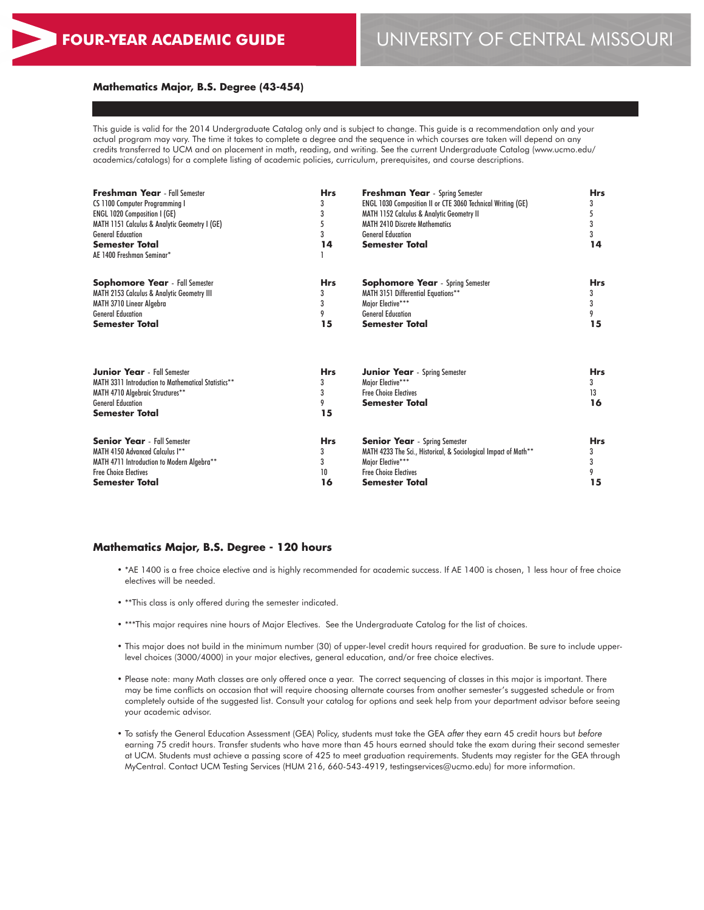# **FOUR-YEAR ACADEMIC GUIDE** UNIVERSITY OF CENTRAL MISSOURI

#### **Mathematics Major, B.S. Degree (43-454)**

This guide is valid for the 2014 Undergraduate Catalog only and is subject to change. This guide is a recommendation only and your actual program may vary. The time it takes to complete a degree and the sequence in which courses are taken will depend on any credits transferred to UCM and on placement in math, reading, and writing. See the current Undergraduate Catalog (www.ucmo.edu/ academics/catalogs) for a complete listing of academic policies, curriculum, prerequisites, and course descriptions.

| <b>Freshman Year</b> - Fall Semester                  | <b>Hrs</b> | <b>Freshman Year</b> - Spring Semester                          | <b>Hrs</b> |  |
|-------------------------------------------------------|------------|-----------------------------------------------------------------|------------|--|
| CS 1100 Computer Programming I                        | 3          | ENGL 1030 Composition II or CTE 3060 Technical Writing (GE)     | 3          |  |
| <b>ENGL 1020 Composition I (GE)</b>                   | 3          | <b>MATH 1152 Calculus &amp; Analytic Geometry II</b>            | 5          |  |
| MATH 1151 Calculus & Analytic Geometry I (GE)         |            | <b>MATH 2410 Discrete Mathematics</b>                           | 3          |  |
| <b>General Education</b>                              |            | <b>General Education</b>                                        | 3          |  |
| <b>Semester Total</b>                                 | 14         | <b>Semester Total</b>                                           | 14         |  |
| AE 1400 Freshman Seminar*                             |            |                                                                 |            |  |
| <b>Sophomore Year</b> - Fall Semester                 | <b>Hrs</b> | <b>Sophomore Year</b> - Spring Semester                         | <b>Hrs</b> |  |
| <b>MATH 2153 Calculus &amp; Analytic Geometry III</b> |            | MATH 3151 Differential Equations**                              | 3          |  |
| MATH 3710 Linear Algebra                              |            | Major Elective***                                               | 3          |  |
| <b>General Education</b>                              |            | <b>General Education</b>                                        | 9          |  |
| Semester Total                                        | 15         | <b>Semester Total</b>                                           | 15         |  |
| <b>Junior Year</b> - Fall Semester                    | <b>Hrs</b> | <b>Junior Year</b> - Spring Semester                            | <b>Hrs</b> |  |
| MATH 3311 Introduction to Mathematical Statistics**   |            | Maior Elective***                                               | 3          |  |
| MATH 4710 Algebraic Structures**                      | 3          | <b>Free Choice Electives</b>                                    | 13         |  |
| <b>General Education</b>                              | 9          | <b>Semester Total</b>                                           | 16         |  |
| <b>Semester Total</b>                                 | 15         |                                                                 |            |  |
| <b>Senior Year</b> - Fall Semester                    | <b>Hrs</b> | <b>Senior Year</b> - Spring Semester                            | <b>Hrs</b> |  |
| MATH 4150 Advanced Calculus I**                       | 3          | MATH 4233 The Sci., Historical, & Sociological Impact of Math** | 3          |  |
| MATH 4711 Introduction to Modern Algebra**            | 3          | Maior Elective***                                               | 3          |  |
| <b>Free Choice Electives</b>                          | 10         | <b>Free Choice Electives</b>                                    | 9          |  |
| Semester Total                                        | 16         | <b>Semester Total</b>                                           | 15         |  |

#### **Mathematics Major, B.S. Degree - 120 hours**

- \*AE 1400 is a free choice elective and is highly recommended for academic success. If AE 1400 is chosen, 1 less hour of free choice electives will be needed.
- \*\*This class is only offered during the semester indicated.
- \*\*\*This major requires nine hours of Major Electives. See the Undergraduate Catalog for the list of choices.
- This major does not build in the minimum number (30) of upper-level credit hours required for graduation. Be sure to include upperlevel choices (3000/4000) in your major electives, general education, and/or free choice electives.
- Please note: many Math classes are only offered once a year. The correct sequencing of classes in this major is important. There may be time conflicts on occasion that will require choosing alternate courses from another semester's suggested schedule or from completely outside of the suggested list. Consult your catalog for options and seek help from your department advisor before seeing your academic advisor.
- To satisfy the General Education Assessment (GEA) Policy, students must take the GEA *after* they earn 45 credit hours but *before* earning 75 credit hours. Transfer students who have more than 45 hours earned should take the exam during their second semester at UCM. Students must achieve a passing score of 425 to meet graduation requirements. Students may register for the GEA through MyCentral. Contact UCM Testing Services (HUM 216, 660-543-4919, testingservices@ucmo.edu) for more information.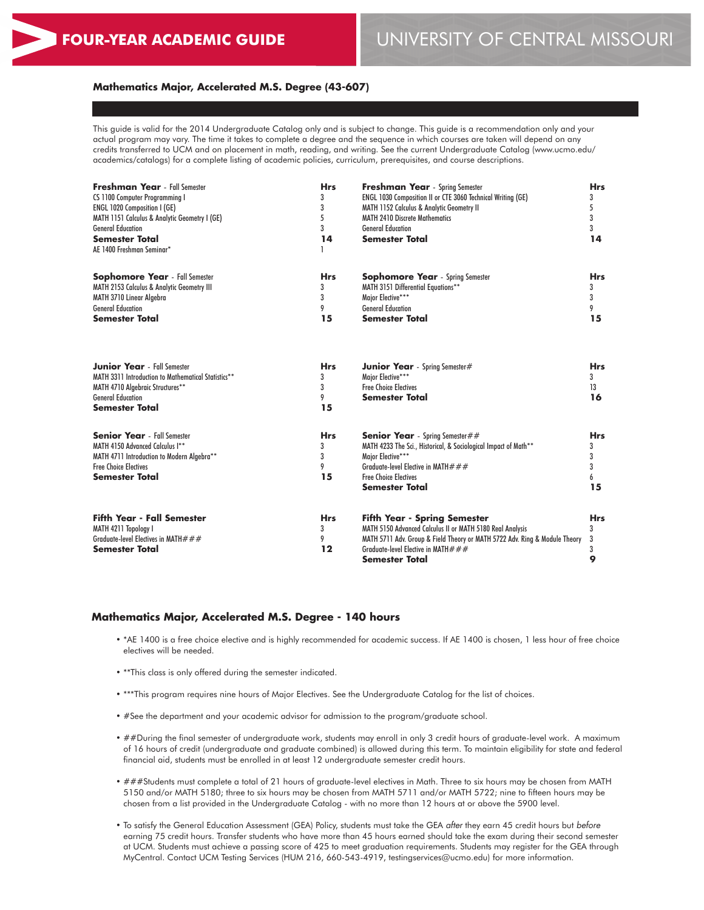# **FOUR-YEAR ACADEMIC GUIDE** UNIVERSITY OF CENTRAL MISSOURI

#### **Mathematics Major, Accelerated M.S. Degree (43-607)**

This guide is valid for the 2014 Undergraduate Catalog only and is subject to change. This guide is a recommendation only and your actual program may vary. The time it takes to complete a degree and the sequence in which courses are taken will depend on any credits transferred to UCM and on placement in math, reading, and writing. See the current Undergraduate Catalog (www.ucmo.edu/ academics/catalogs) for a complete listing of academic policies, curriculum, prerequisites, and course descriptions.

| <b>Freshman Year</b> - Fall Semester<br>CS 1100 Computer Programming I<br><b>ENGL 1020 Composition I (GE)</b><br>MATH 1151 Calculus & Analytic Geometry I (GE)<br><b>General Education</b><br><b>Semester Total</b><br>AE 1400 Freshman Seminar* | <b>Hrs</b><br>3<br>3<br>5<br>3<br>14 | <b>Freshman Year</b> - Spring Semester<br>ENGL 1030 Composition II or CTE 3060 Technical Writing (GE)<br>MATH 1152 Calculus & Analytic Geometry II<br><b>MATH 2410 Discrete Mathematics</b><br><b>General Education</b><br><b>Semester Total</b> | <b>Hrs</b><br>3<br>5<br>3<br>3<br>14 |
|--------------------------------------------------------------------------------------------------------------------------------------------------------------------------------------------------------------------------------------------------|--------------------------------------|--------------------------------------------------------------------------------------------------------------------------------------------------------------------------------------------------------------------------------------------------|--------------------------------------|
| <b>Sophomore Year</b> - Fall Semester<br>MATH 2153 Calculus & Analytic Geometry III<br>MATH 3710 Linear Algebra<br><b>General Education</b><br><b>Semester Total</b>                                                                             | <b>Hrs</b><br>3<br>3<br>9<br>15      | <b>Sophomore Year</b> - Spring Semester<br>MATH 3151 Differential Equations**<br>Major Elective***<br><b>General Education</b><br><b>Semester Total</b>                                                                                          | <b>Hrs</b><br>3<br>3<br>9<br>15      |
| <b>Junior Year</b> - Fall Semester<br>MATH 3311 Introduction to Mathematical Statistics**<br>MATH 4710 Algebraic Structures**<br><b>General Education</b><br><b>Semester Total</b>                                                               | <b>Hrs</b><br>3<br>3<br>9<br>15      | <b>Junior Year</b> - Spring Semester#<br>Major Elective***<br><b>Free Choice Flectives</b><br><b>Semester Total</b>                                                                                                                              | <b>Hrs</b><br>3<br>13<br>16          |
| <b>Senior Year</b> - Fall Semester<br>MATH 4150 Advanced Calculus I**<br>MATH 4711 Introduction to Modern Algebra**<br><b>Free Choice Electives</b><br><b>Semester Total</b>                                                                     | <b>Hrs</b><br>3<br>3<br>9<br>15      | <b>Senior Year</b> - Spring Semester##<br>MATH 4233 The Sci., Historical, & Sociological Impact of Math**<br>Major Elective***<br>Graduate-level Elective in MATH $###$<br><b>Free Choice Electives</b><br><b>Semester Total</b>                 | <b>Hrs</b><br>3<br>3<br>3<br>6<br>15 |
| <b>Fifth Year - Fall Semester</b><br>MATH 4211 Topology I<br>Graduate-level Electives in MATH $# ##$<br><b>Semester Total</b>                                                                                                                    | <b>Hrs</b><br>3<br>9<br>$12 \$       | <b>Fifth Year - Spring Semester</b><br>MATH 5150 Advanced Calculus II or MATH 5180 Real Analysis<br>MATH 5711 Adv. Group & Field Theory or MATH 5722 Adv. Ring & Module Theory<br>Graduate-level Elective in MATH $###$<br><b>Semester Total</b> | <b>Hrs</b><br>3<br>3<br>3<br>9       |

#### **Mathematics Major, Accelerated M.S. Degree - 140 hours**

- \*AE 1400 is a free choice elective and is highly recommended for academic success. If AE 1400 is chosen, 1 less hour of free choice electives will be needed.
- \*\*This class is only offered during the semester indicated.
- \*\*\*This program requires nine hours of Major Electives. See the Undergraduate Catalog for the list of choices.
- #See the department and your academic advisor for admission to the program/graduate school.
- ##During the final semester of undergraduate work, students may enroll in only 3 credit hours of graduate-level work. A maximum of 16 hours of credit (undergraduate and graduate combined) is allowed during this term. To maintain eligibility for state and federal financial aid, students must be enrolled in at least 12 undergraduate semester credit hours.
- ###Students must complete a total of 21 hours of graduate-level electives in Math. Three to six hours may be chosen from MATH 5150 and/or MATH 5180; three to six hours may be chosen from MATH 5711 and/or MATH 5722; nine to fifteen hours may be chosen from a list provided in the Undergraduate Catalog - with no more than 12 hours at or above the 5900 level.
- To satisfy the General Education Assessment (GEA) Policy, students must take the GEA *after* they earn 45 credit hours but *before* earning 75 credit hours. Transfer students who have more than 45 hours earned should take the exam during their second semester at UCM. Students must achieve a passing score of 425 to meet graduation requirements. Students may register for the GEA through MyCentral. Contact UCM Testing Services (HUM 216, 660-543-4919, testingservices@ucmo.edu) for more information.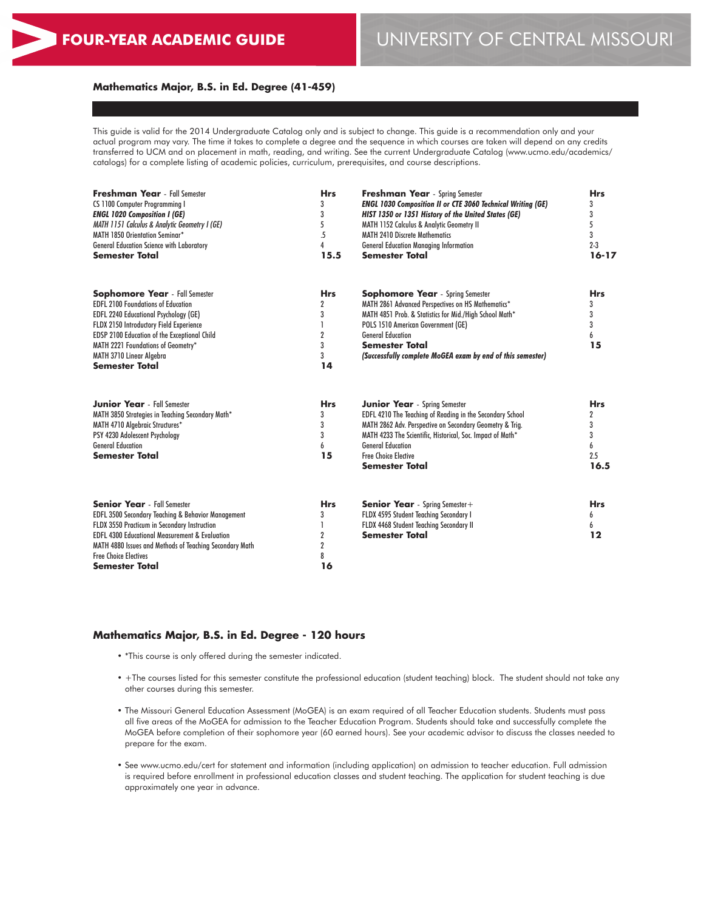#### **Mathematics Major, B.S. in Ed. Degree (41-459)**

This guide is valid for the 2014 Undergraduate Catalog only and is subject to change. This guide is a recommendation only and your actual program may vary. The time it takes to complete a degree and the sequence in which courses are taken will depend on any credits transferred to UCM and on placement in math, reading, and writing. See the current Undergraduate Catalog (www.ucmo.edu/academics/ catalogs) for a complete listing of academic policies, curriculum, prerequisites, and course descriptions.

| <b>Freshman Year</b> - Fall Semester<br>CS 1100 Computer Programming I<br><b>ENGL 1020 Composition I (GE)</b><br>MATH 1151 Calculus & Analytic Geometry I (GE)<br>MATH 1850 Orientation Seminar*<br><b>General Education Science with Laboratory</b><br><b>Semester Total</b>                                             | <b>Hrs</b><br>3<br>3<br>5<br>5<br>4<br>15.5                         | <b>Freshman Year</b> - Spring Semester<br><b>ENGL 1030 Composition II or CTE 3060 Technical Writing (GE)</b><br>HIST 1350 or 1351 History of the United States (GE)<br>MATH 1152 Calculus & Analytic Geometry II<br><b>MATH 2410 Discrete Mathematics</b><br><b>General Education Managing Information</b><br><b>Semester Total</b> | <b>Hrs</b><br>3<br>3<br>5<br>3<br>$2 - 3$<br>$16 - 17$   |
|---------------------------------------------------------------------------------------------------------------------------------------------------------------------------------------------------------------------------------------------------------------------------------------------------------------------------|---------------------------------------------------------------------|-------------------------------------------------------------------------------------------------------------------------------------------------------------------------------------------------------------------------------------------------------------------------------------------------------------------------------------|----------------------------------------------------------|
| <b>Sophomore Year</b> - Fall Semester<br><b>EDFL 2100 Foundations of Education</b><br><b>EDFL 2240 Educational Psychology (GE)</b><br>FLDX 2150 Introductory Field Experience<br>EDSP 2100 Education of the Exceptional Child<br>MATH 2221 Foundations of Geometry*<br>MATH 3710 Linear Algebra<br><b>Semester Total</b>  | <b>Hrs</b><br>$\overline{2}$<br>3<br>$\overline{2}$<br>3<br>3<br>14 | <b>Sophomore Year</b> - Spring Semester<br>MATH 2861 Advanced Perspectives on HS Mathematics*<br>MATH 4851 Prob. & Statistics for Mid./High School Math*<br>POLS 1510 American Government (GE)<br><b>General Education</b><br><b>Semester Total</b><br>(Successfully complete MoGEA exam by end of this semester)                   | <b>Hrs</b><br>3<br>3<br>3<br>6<br>15                     |
| <b>Junior Year</b> - Fall Semester<br>MATH 3850 Strategies in Teaching Secondary Math*<br>MATH 4710 Algebraic Structures*<br>PSY 4230 Adolescent Psychology<br><b>General Education</b><br><b>Semester Total</b>                                                                                                          | <b>Hrs</b><br>3<br>3<br>3<br>6<br>15                                | <b>Junior Year</b> - Spring Semester<br>EDFL 4210 The Teaching of Reading in the Secondary School<br>MATH 2862 Adv. Perspective on Secondary Geometry & Trig.<br>MATH 4233 The Scientific, Historical, Soc. Impact of Math*<br><b>General Education</b><br><b>Free Choice Elective</b><br><b>Semester Total</b>                     | <b>Hrs</b><br>$\mathbf{2}$<br>3<br>3<br>6<br>2.5<br>16.5 |
| <b>Senior Year</b> - Fall Semester<br>EDFL 3500 Secondary Teaching & Behavior Management<br>FLDX 3550 Practicum in Secondary Instruction<br><b>EDFL 4300 Educational Measurement &amp; Evaluation</b><br>MATH 4880 Issues and Methods of Teaching Secondary Math<br><b>Free Choice Electives</b><br><b>Semester Total</b> | <b>Hrs</b><br>3<br>1<br>$\overline{2}$<br>$\overline{2}$<br>8<br>16 | <b>Senior Year</b> - Spring Semester +<br>FLDX 4595 Student Teaching Secondary I<br>FLDX 4468 Student Teaching Secondary II<br><b>Semester Total</b>                                                                                                                                                                                | <b>Hrs</b><br>6<br>6<br>$12 \$                           |

#### **Mathematics Major, B.S. in Ed. Degree - 120 hours**

- \*This course is only offered during the semester indicated.
- +The courses listed for this semester constitute the professional education (student teaching) block. The student should not take any other courses during this semester.
- The Missouri General Education Assessment (MoGEA) is an exam required of all Teacher Education students. Students must pass all five areas of the MoGEA for admission to the Teacher Education Program. Students should take and successfully complete the MoGEA before completion of their sophomore year (60 earned hours). See your academic advisor to discuss the classes needed to prepare for the exam.
- See www.ucmo.edu/cert for statement and information (including application) on admission to teacher education. Full admission is required before enrollment in professional education classes and student teaching. The application for student teaching is due approximately one year in advance.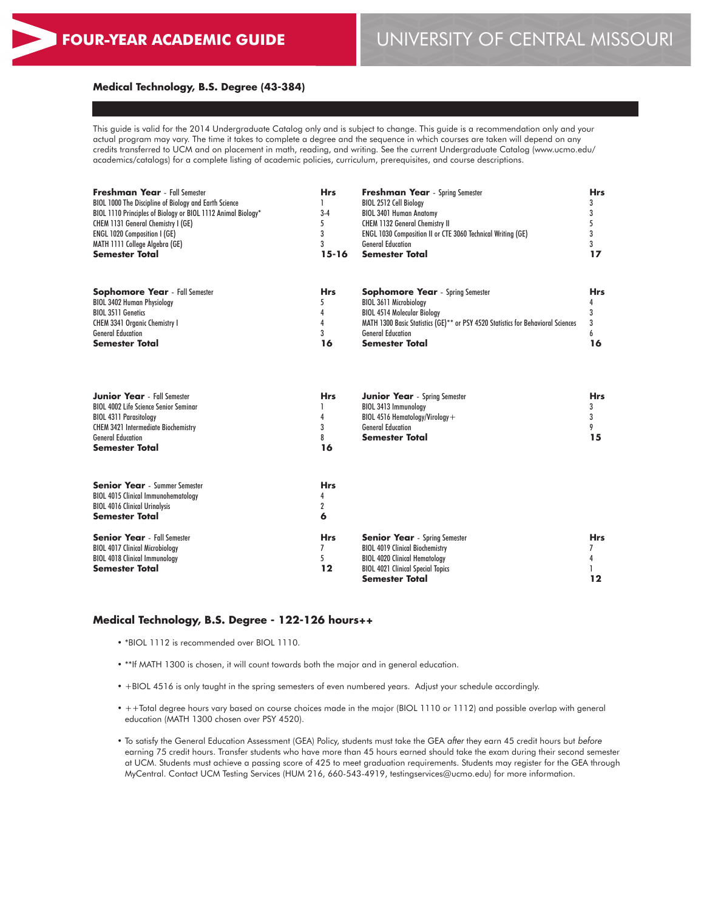# **FOUR-YEAR ACADEMIC GUIDE** UNIVERSITY OF CENTRAL MISSOURI

#### **Medical Technology, B.S. Degree (43-384)**

This guide is valid for the 2014 Undergraduate Catalog only and is subject to change. This guide is a recommendation only and your actual program may vary. The time it takes to complete a degree and the sequence in which courses are taken will depend on any credits transferred to UCM and on placement in math, reading, and writing. See the current Undergraduate Catalog (www.ucmo.edu/ academics/catalogs) for a complete listing of academic policies, curriculum, prerequisites, and course descriptions.

| <b>Freshman Year</b> - Fall Semester                          | <b>Hrs</b> | <b>Freshman Year</b> - Spring Semester                                           |            |  |
|---------------------------------------------------------------|------------|----------------------------------------------------------------------------------|------------|--|
| BIOL 1000 The Discipline of Biology and Earth Science         | 1          | BIOL 2512 Cell Biology                                                           | 3          |  |
| BIOL 1110 Principles of Biology or BIOL 1112 Animal Biology*  | $3-4$      | <b>BIOL 3401 Human Anatomy</b>                                                   | 3          |  |
| CHEM 1131 General Chemistry I (GE)                            | 5          | CHEM 1132 General Chemistry II                                                   | 5          |  |
| <b>ENGL 1020 Composition I (GE)</b>                           | 3          | ENGL 1030 Composition II or CTE 3060 Technical Writing (GE)                      | 3          |  |
| MATH 1111 College Algebra (GE)                                | 3          | <b>General Education</b>                                                         | 3          |  |
| <b>Semester Total</b>                                         | $15 - 16$  | <b>Semester Total</b>                                                            | 17         |  |
| <b>Sophomore Year</b> - Fall Semester                         | <b>Hrs</b> | <b>Sophomore Year</b> - Spring Semester                                          | Hrs        |  |
| <b>BIOL 3402 Human Physiology</b>                             | 5          | <b>BIOL 3611 Microbiology</b>                                                    | 4          |  |
| <b>BIOL 3511 Genetics</b>                                     | 4          | <b>BIOL 4514 Molecular Biology</b>                                               | 3          |  |
| CHEM 3341 Organic Chemistry I                                 | 4          | MATH 1300 Basic Statistics (GE)** or PSY 4520 Statistics for Behavioral Sciences | 3          |  |
| <b>General Education</b>                                      | 3          | <b>General Education</b>                                                         | 6          |  |
| <b>Semester Total</b>                                         | 16         | <b>Semester Total</b>                                                            | 16         |  |
| <b>Junior Year</b> - Fall Semester                            | <b>Hrs</b> | <b>Junior Year</b> - Spring Semester                                             | <b>Hrs</b> |  |
| <b>BIOL 4002 Life Science Senior Seminar</b>                  | 1          | BIOL 3413 Immunology                                                             | 3          |  |
| <b>BIOL 4311 Parasitology</b>                                 | 4          | BIOL 4516 Hematology/Virology+                                                   | 3          |  |
| <b>CHEM 3421 Intermediate Biochemistry</b>                    | 3          | <b>General Education</b>                                                         | 9          |  |
| <b>General Education</b>                                      | 8          | <b>Semester Total</b>                                                            | 15         |  |
| <b>Semester Total</b>                                         | 16         |                                                                                  |            |  |
| <b>Senior Year</b> - Summer Semester                          | <b>Hrs</b> |                                                                                  |            |  |
| <b>BIOL 4015 Clinical Immunohematology</b>                    | 4          |                                                                                  |            |  |
| <b>BIOL 4016 Clinical Urinalysis</b>                          | 2          |                                                                                  |            |  |
| <b>Semester Total</b>                                         | 6          |                                                                                  |            |  |
| <b>Senior Year</b> - Fall Semester                            | <b>Hrs</b> | <b>Senior Year</b> - Spring Semester                                             | <b>Hrs</b> |  |
| <b>BIOL 4017 Clinical Microbiology</b>                        | 7<br>5     | <b>BIOL 4019 Clinical Biochemistry</b>                                           | 7          |  |
| <b>BIOL 4018 Clinical Immunology</b><br><b>Semester Total</b> | $12 \$     | <b>BIOL 4020 Clinical Hematology</b><br><b>BIOL 4021 Clinical Special Topics</b> | 4          |  |
|                                                               |            | Semester Total                                                                   | $12 \,$    |  |
|                                                               |            |                                                                                  |            |  |

# **Medical Technology, B.S. Degree - 122-126 hours++**

- \*BIOL 1112 is recommended over BIOL 1110.
- \*\*If MATH 1300 is chosen, it will count towards both the major and in general education.
- +BIOL 4516 is only taught in the spring semesters of even numbered years. Adjust your schedule accordingly.
- ++Total degree hours vary based on course choices made in the major (BIOL 1110 or 1112) and possible overlap with general education (MATH 1300 chosen over PSY 4520).
- To satisfy the General Education Assessment (GEA) Policy, students must take the GEA *after* they earn 45 credit hours but *before* earning 75 credit hours. Transfer students who have more than 45 hours earned should take the exam during their second semester at UCM. Students must achieve a passing score of 425 to meet graduation requirements. Students may register for the GEA through MyCentral. Contact UCM Testing Services (HUM 216, 660-543-4919, testingservices@ucmo.edu) for more information.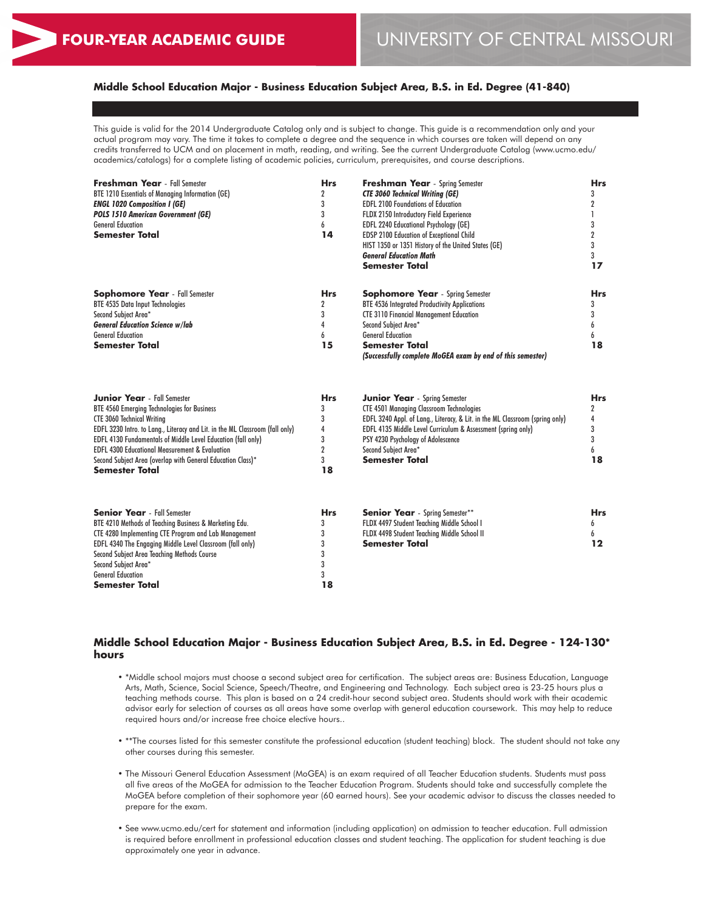# **Middle School Education Major - Business Education Subject Area, B.S. in Ed. Degree (41-840)**

This guide is valid for the 2014 Undergraduate Catalog only and is subject to change. This guide is a recommendation only and your actual program may vary. The time it takes to complete a degree and the sequence in which courses are taken will depend on any credits transferred to UCM and on placement in math, reading, and writing. See the current Undergraduate Catalog (www.ucmo.edu/ academics/catalogs) for a complete listing of academic policies, curriculum, prerequisites, and course descriptions.

| Freshman Year - Fall Semester<br>BTE 1210 Essentials of Managing Information (GE)<br><b>ENGL 1020 Composition I (GE)</b><br><b>POLS 1510 American Government (GE)</b><br><b>General Education</b><br><b>Semester Total</b>                                                                                                                                                                                                         | <b>Hrs</b><br>2<br>3<br>3<br>6<br>14                        | <b>Freshman Year</b> - Spring Semester<br><b>CTE 3060 Technical Writing (GE)</b><br><b>EDFL 2100 Foundations of Education</b><br>FLDX 2150 Introductory Field Experience<br>EDFL 2240 Educational Psychology (GE)<br>EDSP 2100 Education of Exceptional Child<br>HIST 1350 or 1351 History of the United States (GE)<br><b>General Education Math</b><br><b>Semester Total</b> | <b>Hrs</b><br>3<br>$\overline{2}$<br>$\mathbf{I}$<br>3<br>$\overline{2}$<br>3<br>3<br>17 |
|------------------------------------------------------------------------------------------------------------------------------------------------------------------------------------------------------------------------------------------------------------------------------------------------------------------------------------------------------------------------------------------------------------------------------------|-------------------------------------------------------------|--------------------------------------------------------------------------------------------------------------------------------------------------------------------------------------------------------------------------------------------------------------------------------------------------------------------------------------------------------------------------------|------------------------------------------------------------------------------------------|
| <b>Sophomore Year</b> - Fall Semester<br><b>BTE 4535 Data Input Technologies</b><br>Second Subject Area*<br><b>General Education Science w/lab</b><br><b>General Education</b><br><b>Semester Total</b>                                                                                                                                                                                                                            | <b>Hrs</b><br>2<br>3<br>4<br>6<br>15                        | <b>Sophomore Year</b> - Spring Semester<br><b>BTE 4536 Integrated Productivity Applications</b><br><b>CTE 3110 Financial Management Education</b><br>Second Subject Area*<br><b>General Education</b><br><b>Semester Total</b><br>(Successfully complete MoGEA exam by end of this semester)                                                                                   | <b>Hrs</b><br>3<br>3<br>6<br>6<br>18                                                     |
| <b>Junior Year</b> - Fall Semester<br>BTE 4560 Emerging Technologies for Business<br><b>CTE 3060 Technical Writing</b><br>EDFL 3230 Intro. to Lang., Literacy and Lit. in the ML Classroom (fall only)<br><b>EDFL 4130 Fundamentals of Middle Level Education (fall only)</b><br><b>EDFL 4300 Educational Measurement &amp; Evaluation</b><br>Second Subject Area (overlap with General Education Class)*<br><b>Semester Total</b> | <b>Hrs</b><br>3<br>3<br>4<br>3<br>$\overline{2}$<br>3<br>18 | <b>Junior Year</b> - Spring Semester<br><b>CTE 4501 Managing Classroom Technologies</b><br>EDFL 3240 Appl. of Lang., Literacy, & Lit. in the ML Classroom (spring only)<br>EDFL 4135 Middle Level Curriculum & Assessment (spring only)<br>PSY 4230 Psychology of Adolescence<br>Second Subject Area*<br><b>Semester Total</b>                                                 | <b>Hrs</b><br>$\boldsymbol{2}$<br>4<br>3<br>3<br>6<br>18                                 |
| <b>Senior Year</b> - Fall Semester<br>BTE 4210 Methods of Teaching Business & Marketing Edu.<br>CTE 4280 Implementing CTE Program and Lab Management<br>EDFL 4340 The Engaging Middle Level Classroom (fall only)<br>Second Subject Area Teaching Methods Course<br>Second Subject Area*<br><b>General Education</b><br>Semester Total                                                                                             | <b>Hrs</b><br>3<br>3<br>3<br>3<br>3<br>3<br>18              | <b>Senior Year</b> - Spring Semester**<br>FLDX 4497 Student Teaching Middle School I<br>FLDX 4498 Student Teaching Middle School II<br><b>Semester Total</b>                                                                                                                                                                                                                   | <b>Hrs</b><br>6<br>6<br>12                                                               |

#### **Middle School Education Major - Business Education Subject Area, B.S. in Ed. Degree - 124-130\* hours**

- \*Middle school majors must choose a second subject area for certification. The subject areas are: Business Education, Language Arts, Math, Science, Social Science, Speech/Theatre, and Engineering and Technology. Each subject area is 23-25 hours plus a teaching methods course. This plan is based on a 24 credit-hour second subject area. Students should work with their academic advisor early for selection of courses as all areas have some overlap with general education coursework. This may help to reduce required hours and/or increase free choice elective hours..
- \*\*The courses listed for this semester constitute the professional education (student teaching) block. The student should not take any other courses during this semester.
- The Missouri General Education Assessment (MoGEA) is an exam required of all Teacher Education students. Students must pass all five areas of the MoGEA for admission to the Teacher Education Program. Students should take and successfully complete the MoGEA before completion of their sophomore year (60 earned hours). See your academic advisor to discuss the classes needed to prepare for the exam.
- See www.ucmo.edu/cert for statement and information (including application) on admission to teacher education. Full admission is required before enrollment in professional education classes and student teaching. The application for student teaching is due approximately one year in advance.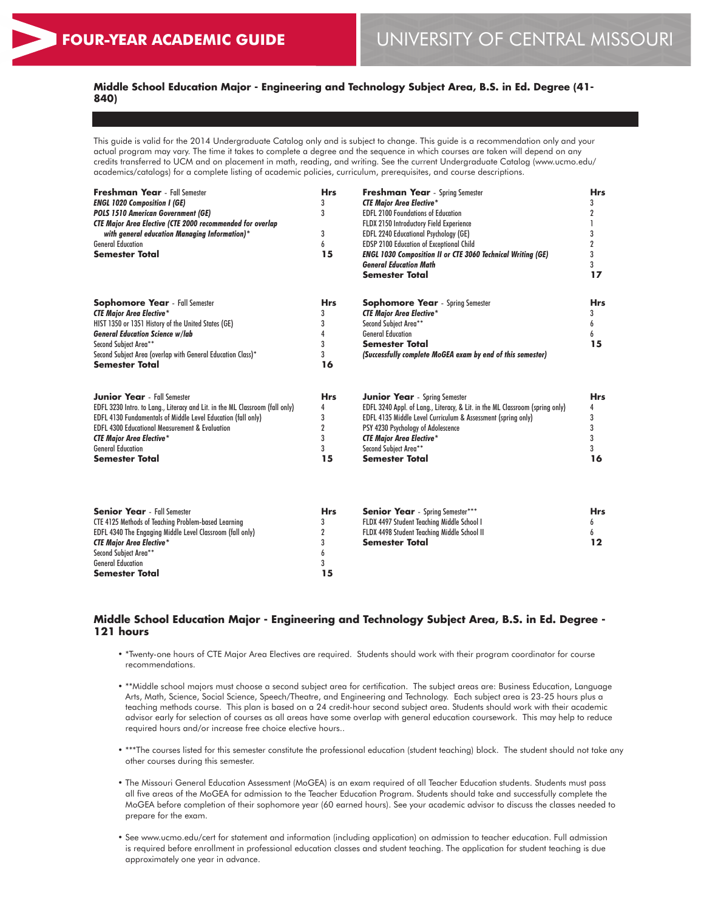# **Middle School Education Major - Engineering and Technology Subject Area, B.S. in Ed. Degree (41- 840)**

This guide is valid for the 2014 Undergraduate Catalog only and is subject to change. This guide is a recommendation only and your actual program may vary. The time it takes to complete a degree and the sequence in which courses are taken will depend on any credits transferred to UCM and on placement in math, reading, and writing. See the current Undergraduate Catalog (www.ucmo.edu/ academics/catalogs) for a complete listing of academic policies, curriculum, prerequisites, and course descriptions.

| Freshman Year - Fall Semester<br><b>ENGL 1020 Composition I (GE)</b><br><b>POLS 1510 American Government (GE)</b><br><b>CTE Major Area Elective (CTE 2000 recommended for overlap</b><br>with general education Managing Information)*<br><b>General Education</b><br><b>Semester Total</b>                                             | <b>Hrs</b><br>3<br>3<br>3<br>6<br>15                   | <b>Freshman Year</b> - Spring Semester<br><b>CTE Major Area Elective*</b><br><b>EDFL 2100 Foundations of Education</b><br>FLDX 2150 Introductory Field Experience<br>EDFL 2240 Educational Psychology (GE)<br>EDSP 2100 Education of Exceptional Child<br><b>ENGL 1030 Composition II or CTE 3060 Technical Writing (GE)</b><br><b>General Education Math</b><br><b>Semester Total</b> | <b>Hrs</b><br>3<br>2<br>3<br>2<br>3<br>3<br>17 |
|-----------------------------------------------------------------------------------------------------------------------------------------------------------------------------------------------------------------------------------------------------------------------------------------------------------------------------------------|--------------------------------------------------------|----------------------------------------------------------------------------------------------------------------------------------------------------------------------------------------------------------------------------------------------------------------------------------------------------------------------------------------------------------------------------------------|------------------------------------------------|
| <b>Sophomore Year</b> - Fall Semester<br><b>CTE Major Area Elective*</b><br>HIST 1350 or 1351 History of the United States (GE)<br><b>General Education Science w/lab</b><br>Second Subject Area**<br>Second Subject Area (overlap with General Education Class)*<br><b>Semester Total</b>                                              | <b>Hrs</b><br>3<br>3<br>4<br>3<br>3<br>16              | <b>Sophomore Year</b> - Spring Semester<br><b>CTE Major Area Elective*</b><br>Second Subject Area**<br><b>General Education</b><br><b>Semester Total</b><br>(Successfully complete MoGEA exam by end of this semester)                                                                                                                                                                 | <b>Hrs</b><br>3<br>6<br>6<br>15                |
| <b>Junior Year</b> - Fall Semester<br>EDFL 3230 Intro. to Lang., Literacy and Lit. in the ML Classroom (fall only)<br>EDFL 4130 Fundamentals of Middle Level Education (fall only)<br><b>EDFL 4300 Educational Measurement &amp; Evaluation</b><br><b>CTE Major Area Elective*</b><br><b>General Education</b><br><b>Semester Total</b> | <b>Hrs</b><br>4<br>3<br>$\overline{2}$<br>3<br>3<br>15 | <b>Junior Year</b> - Spring Semester<br>EDFL 3240 Appl. of Lang., Literacy, & Lit. in the ML Classroom (spring only)<br>EDFL 4135 Middle Level Curriculum & Assessment (spring only)<br>PSY 4230 Psychology of Adolescence<br><b>CTE Major Area Elective*</b><br>Second Subject Area**<br><b>Semester Total</b>                                                                        | <b>Hrs</b><br>4<br>3<br>3<br>3<br>3<br>16      |
| <b>Senior Year</b> - Fall Semester<br><b>CTE 4125 Methods of Teaching Problem-based Learning</b><br>EDFL 4340 The Engaging Middle Level Classroom (fall only)<br><b>CTE Major Area Elective*</b><br>Second Subject Area**<br><b>General Education</b><br>Semester Total                                                                 | <b>Hrs</b><br>3<br>2<br>3<br>6<br>3<br>15              | <b>Senior Year</b> - Spring Semester***<br>FLDX 4497 Student Teaching Middle School I<br>FLDX 4498 Student Teaching Middle School II<br><b>Semester Total</b>                                                                                                                                                                                                                          | <b>Hrs</b><br>6<br>6<br>$12 \,$                |

# **Middle School Education Major - Engineering and Technology Subject Area, B.S. in Ed. Degree - 121 hours**

- \*Twenty-one hours of CTE Major Area Electives are required. Students should work with their program coordinator for course recommendations.
- \*\*Middle school majors must choose a second subject area for certification. The subject areas are: Business Education, Language Arts, Math, Science, Social Science, Speech/Theatre, and Engineering and Technology. Each subject area is 23-25 hours plus a teaching methods course. This plan is based on a 24 credit-hour second subject area. Students should work with their academic advisor early for selection of courses as all areas have some overlap with general education coursework. This may help to reduce required hours and/or increase free choice elective hours..
- \*\*\*The courses listed for this semester constitute the professional education (student teaching) block. The student should not take any other courses during this semester.
- The Missouri General Education Assessment (MoGEA) is an exam required of all Teacher Education students. Students must pass all five areas of the MoGEA for admission to the Teacher Education Program. Students should take and successfully complete the MoGEA before completion of their sophomore year (60 earned hours). See your academic advisor to discuss the classes needed to prepare for the exam.
- See www.ucmo.edu/cert for statement and information (including application) on admission to teacher education. Full admission is required before enrollment in professional education classes and student teaching. The application for student teaching is due approximately one year in advance.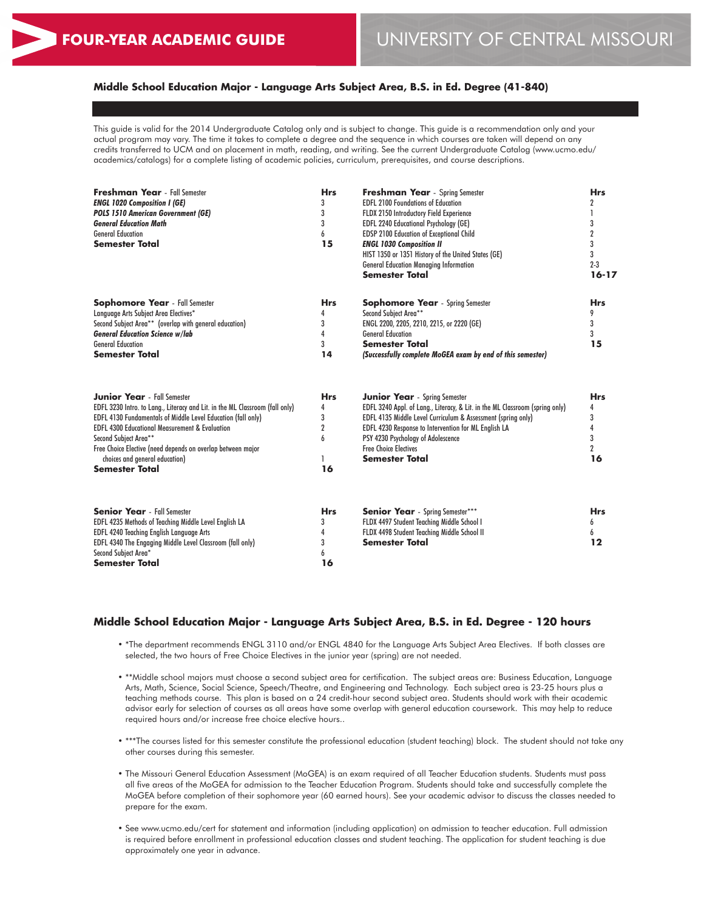# **Middle School Education Major - Language Arts Subject Area, B.S. in Ed. Degree (41-840)**

This guide is valid for the 2014 Undergraduate Catalog only and is subject to change. This guide is a recommendation only and your actual program may vary. The time it takes to complete a degree and the sequence in which courses are taken will depend on any credits transferred to UCM and on placement in math, reading, and writing. See the current Undergraduate Catalog (www.ucmo.edu/ academics/catalogs) for a complete listing of academic policies, curriculum, prerequisites, and course descriptions.

| <b>Freshman Year</b> - Fall Semester<br><b>ENGL 1020 Composition I (GE)</b><br><b>POLS 1510 American Government (GE)</b><br><b>General Education Math</b><br><b>General Education</b><br><b>Semester Total</b>                                                                                                                                                                                            | <b>Hrs</b><br>3<br>3<br>3<br>6<br>15              | <b>Freshman Year</b> - Spring Semester<br><b>EDFL 2100 Foundations of Education</b><br>FLDX 2150 Introductory Field Experience<br><b>EDFL 2240 Educational Psychology (GE)</b><br><b>EDSP 2100 Education of Exceptional Child</b><br><b>ENGL 1030 Composition II</b><br>HIST 1350 or 1351 History of the United States (GE)<br><b>General Education Managing Information</b><br><b>Semester Total</b> | <b>Hrs</b><br>$\mathbf 2$<br>3<br>$\boldsymbol{2}$<br>3<br>3<br>$2 - 3$<br>$16 - 17$ |
|-----------------------------------------------------------------------------------------------------------------------------------------------------------------------------------------------------------------------------------------------------------------------------------------------------------------------------------------------------------------------------------------------------------|---------------------------------------------------|-------------------------------------------------------------------------------------------------------------------------------------------------------------------------------------------------------------------------------------------------------------------------------------------------------------------------------------------------------------------------------------------------------|--------------------------------------------------------------------------------------|
| <b>Sophomore Year</b> - Fall Semester<br>Language Arts Subject Area Electives*<br>Second Subject Area** (overlap with general education)<br><b>General Education Science w/lab</b><br><b>General Education</b><br><b>Semester Total</b>                                                                                                                                                                   | <b>Hrs</b><br>3<br>4<br>3<br>14                   | <b>Sophomore Year</b> - Spring Semester<br>Second Subject Area**<br>ENGL 2200, 2205, 2210, 2215, or 2220 (GE)<br><b>General Education</b><br><b>Semester Total</b><br>(Successfully complete MoGEA exam by end of this semester)                                                                                                                                                                      | <b>Hrs</b><br>3<br>3<br>15                                                           |
| <b>Junior Year</b> - Fall Semester<br>EDFL 3230 Intro. to Lang., Literacy and Lit. in the ML Classroom (fall only)<br><b>EDFL 4130 Fundamentals of Middle Level Education (fall only)</b><br><b>EDFL 4300 Educational Measurement &amp; Evaluation</b><br>Second Subject Area**<br>Free Choice Elective (need depends on overlap between major<br>choices and general education)<br><b>Semester Total</b> | <b>Hrs</b><br>4<br>3<br>$\overline{2}$<br>h<br>16 | <b>Junior Year</b> - Spring Semester<br>EDFL 3240 Appl. of Lang., Literacy, & Lit. in the ML Classroom (spring only)<br>EDFL 4135 Middle Level Curriculum & Assessment (spring only)<br>EDFL 4230 Response to Intervention for ML English LA<br>PSY 4230 Psychology of Adolescence<br><b>Free Choice Electives</b><br><b>Semester Total</b>                                                           | <b>Hrs</b><br>4<br>3<br>4<br>3<br>$\overline{2}$<br>16                               |
| <b>Senior Year</b> - Fall Semester<br>EDFL 4235 Methods of Teaching Middle Level English LA<br><b>EDFL 4240 Teaching English Language Arts</b><br>EDFL 4340 The Engaging Middle Level Classroom (fall only)<br>Second Subject Area*<br><b>Semester Total</b>                                                                                                                                              | <b>Hrs</b><br>3<br>4<br>3<br>6<br>16              | <b>Senior Year</b> - Spring Semester***<br>FLDX 4497 Student Teaching Middle School I<br>FLDX 4498 Student Teaching Middle School II<br><b>Semester Total</b>                                                                                                                                                                                                                                         | <b>Hrs</b><br>6<br>12                                                                |

#### **Middle School Education Major - Language Arts Subject Area, B.S. in Ed. Degree - 120 hours**

- \*The department recommends ENGL 3110 and/or ENGL 4840 for the Language Arts Subject Area Electives. If both classes are selected, the two hours of Free Choice Electives in the junior year (spring) are not needed.
- \*\*Middle school majors must choose a second subject area for certification. The subject areas are: Business Education, Language Arts, Math, Science, Social Science, Speech/Theatre, and Engineering and Technology. Each subject area is 23-25 hours plus a teaching methods course. This plan is based on a 24 credit-hour second subject area. Students should work with their academic advisor early for selection of courses as all areas have some overlap with general education coursework. This may help to reduce required hours and/or increase free choice elective hours..
- \*\*\*The courses listed for this semester constitute the professional education (student teaching) block. The student should not take any other courses during this semester.
- The Missouri General Education Assessment (MoGEA) is an exam required of all Teacher Education students. Students must pass all five areas of the MoGEA for admission to the Teacher Education Program. Students should take and successfully complete the MoGEA before completion of their sophomore year (60 earned hours). See your academic advisor to discuss the classes needed to prepare for the exam.
- See www.ucmo.edu/cert for statement and information (including application) on admission to teacher education. Full admission is required before enrollment in professional education classes and student teaching. The application for student teaching is due approximately one year in advance.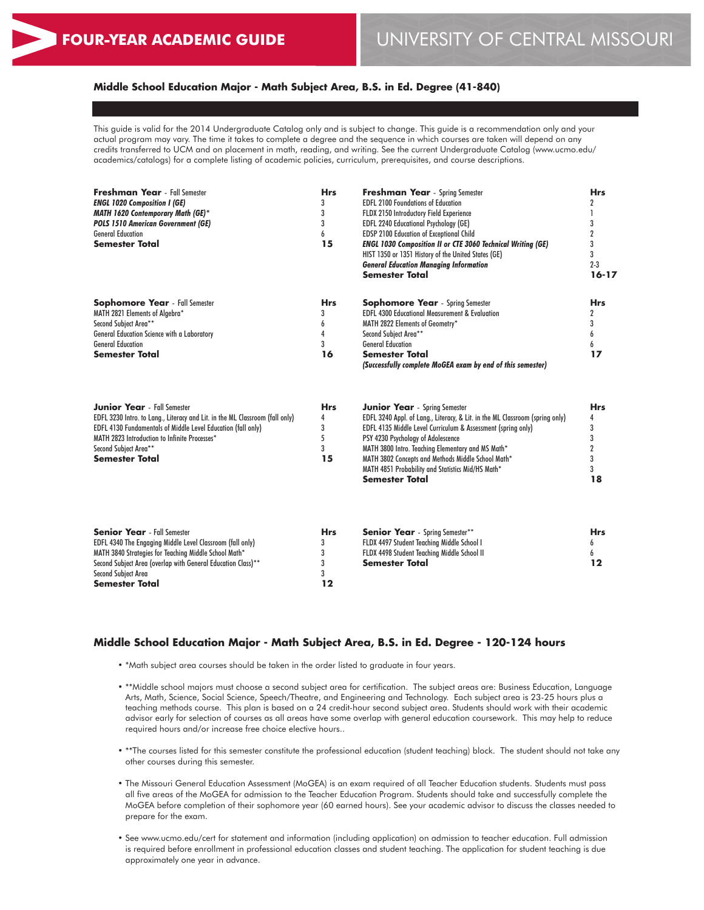### **Middle School Education Major - Math Subject Area, B.S. in Ed. Degree (41-840)**

This guide is valid for the 2014 Undergraduate Catalog only and is subject to change. This guide is a recommendation only and your actual program may vary. The time it takes to complete a degree and the sequence in which courses are taken will depend on any credits transferred to UCM and on placement in math, reading, and writing. See the current Undergraduate Catalog (www.ucmo.edu/ academics/catalogs) for a complete listing of academic policies, curriculum, prerequisites, and course descriptions.

| <b>Freshman Year</b> - Fall Semester<br><b>ENGL 1020 Composition I (GE)</b><br>MATH 1620 Contemporary Math (GE)*<br><b>POLS 1510 American Government (GE)</b><br><b>General Education</b><br><b>Semester Total</b>                                                                           | <b>Hrs</b><br>3<br>3<br>3<br>6<br>15 | <b>Freshman Year</b> - Spring Semester<br><b>EDFL 2100 Foundations of Education</b><br>FLDX 2150 Introductory Field Experience<br>EDFL 2240 Educational Psychology (GE)<br>EDSP 2100 Education of Exceptional Child<br><b>ENGL 1030 Composition II or CTE 3060 Technical Writing (GE)</b><br>HIST 1350 or 1351 History of the United States (GE)<br><b>General Education Managing Information</b><br><b>Semester Total</b> | <b>Hrs</b><br>2<br>1<br>3<br>$\overline{2}$<br>3<br>3<br>$2 - 3$<br>$16 - 17$ |
|----------------------------------------------------------------------------------------------------------------------------------------------------------------------------------------------------------------------------------------------------------------------------------------------|--------------------------------------|----------------------------------------------------------------------------------------------------------------------------------------------------------------------------------------------------------------------------------------------------------------------------------------------------------------------------------------------------------------------------------------------------------------------------|-------------------------------------------------------------------------------|
| <b>Sophomore Year</b> - Fall Semester<br>MATH 2821 Elements of Algebra*<br>Second Subject Area**<br>General Education Science with a Laboratory<br><b>General Education</b><br><b>Semester Total</b>                                                                                         | <b>Hrs</b><br>3<br>6<br>4<br>3<br>16 | <b>Sophomore Year</b> - Spring Semester<br><b>EDFL 4300 Educational Measurement &amp; Evaluation</b><br>MATH 2822 Elements of Geometry*<br>Second Subject Area**<br><b>General Education</b><br><b>Semester Total</b><br>(Successfully complete MoGEA exam by end of this semester)                                                                                                                                        | <b>Hrs</b><br>$\mathbf 2$<br>3<br>6<br>17                                     |
| <b>Junior Year</b> - Fall Semester<br>EDFL 3230 Intro. to Lang., Literacy and Lit. in the ML Classroom (fall only)<br><b>EDFL 4130 Fundamentals of Middle Level Education (fall only)</b><br>MATH 2823 Introduction to Infinite Processes*<br>Second Subiect Area**<br><b>Semester Total</b> | <b>Hrs</b><br>4<br>3<br>5<br>3<br>15 | <b>Junior Year</b> - Spring Semester<br>EDFL 3240 Appl. of Lang., Literacy, & Lit. in the ML Classroom (spring only)<br>EDFL 4135 Middle Level Curriculum & Assessment (spring only)<br>PSY 4230 Psychology of Adolescence<br>MATH 3800 Intro. Teaching Elementary and MS Math*<br>MATH 3802 Concepts and Methods Middle School Math*<br>MATH 4851 Probability and Statistics Mid/HS Math*<br><b>Semester Total</b>        | <b>Hrs</b><br>4<br>3<br>3<br>$\overline{2}$<br>3<br>3<br>18                   |
| <b>Senior Year</b> - Fall Semester<br>EDFL 4340 The Engaging Middle Level Classroom (fall only)<br>MATH 3840 Strategies for Teaching Middle School Math*<br>Second Subject Area (overlap with General Education Class)**<br><b>Second Subject Area</b><br>Semester Total                     | <b>Hrs</b><br>3<br>3<br>3<br>3<br>12 | <b>Senior Year</b> - Spring Semester**<br>FLDX 4497 Student Teaching Middle School I<br>FLDX 4498 Student Teaching Middle School II<br><b>Semester Total</b>                                                                                                                                                                                                                                                               | <b>Hrs</b><br>6<br>6<br>$12 \$                                                |

#### **Middle School Education Major - Math Subject Area, B.S. in Ed. Degree - 120-124 hours**

- \*Math subject area courses should be taken in the order listed to graduate in four years.
- \*\*Middle school majors must choose a second subject area for certification. The subject areas are: Business Education, Language Arts, Math, Science, Social Science, Speech/Theatre, and Engineering and Technology. Each subject area is 23-25 hours plus a teaching methods course. This plan is based on a 24 credit-hour second subject area. Students should work with their academic advisor early for selection of courses as all areas have some overlap with general education coursework. This may help to reduce required hours and/or increase free choice elective hours..
- \*\*The courses listed for this semester constitute the professional education (student teaching) block. The student should not take any other courses during this semester.
- The Missouri General Education Assessment (MoGEA) is an exam required of all Teacher Education students. Students must pass all five areas of the MoGEA for admission to the Teacher Education Program. Students should take and successfully complete the MoGEA before completion of their sophomore year (60 earned hours). See your academic advisor to discuss the classes needed to prepare for the exam.
- See www.ucmo.edu/cert for statement and information (including application) on admission to teacher education. Full admission is required before enrollment in professional education classes and student teaching. The application for student teaching is due approximately one year in advance.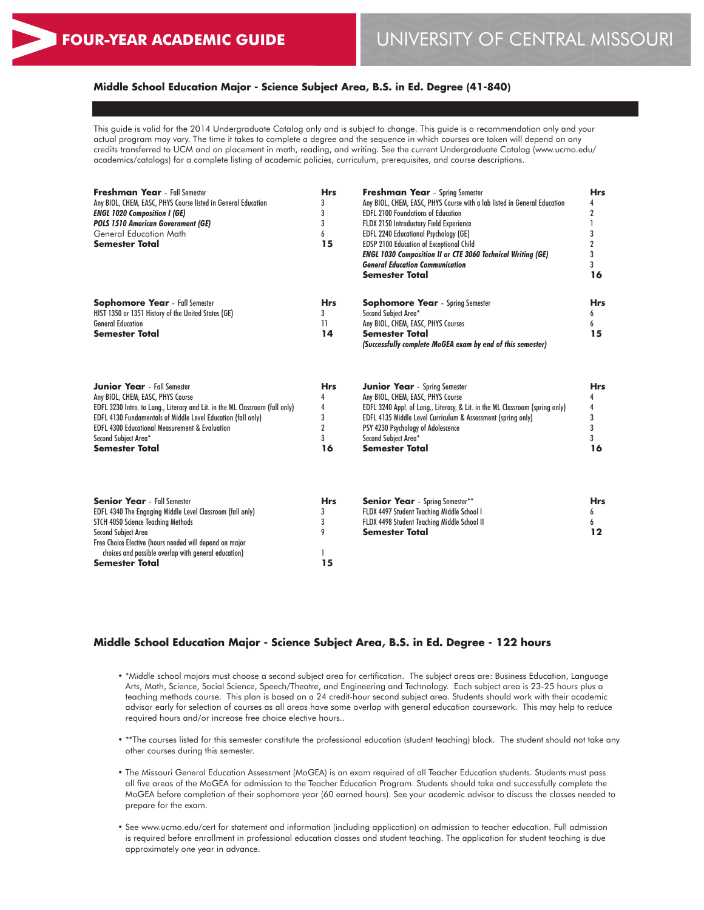# **Middle School Education Major - Science Subject Area, B.S. in Ed. Degree (41-840)**

This guide is valid for the 2014 Undergraduate Catalog only and is subject to change. This guide is a recommendation only and your actual program may vary. The time it takes to complete a degree and the sequence in which courses are taken will depend on any credits transferred to UCM and on placement in math, reading, and writing. See the current Undergraduate Catalog (www.ucmo.edu/ academics/catalogs) for a complete listing of academic policies, curriculum, prerequisites, and course descriptions.

| <b>Freshman Year</b> - Fall Semester<br>Any BIOL, CHEM, EASC, PHYS Course listed in General Education<br><b>ENGL 1020 Composition I (GE)</b><br><b>POLS 1510 American Government (GE)</b><br><b>General Education Math</b><br><b>Semester Total</b>                                                                                          |                                                        | <b>Hrs</b><br>3<br>3<br>3<br>6<br>15                                                                                                                                                                                                                                                                             | <b>Freshman Year</b> - Spring Semester<br>Any BIOL, CHEM, EASC, PHYS Course with a lab listed in General Education<br><b>EDFL 2100 Foundations of Education</b><br>FLDX 2150 Introductory Field Experience<br>EDFL 2240 Educational Psychology (GE)<br><b>EDSP 2100 Education of Exceptional Child</b><br><b>ENGL 1030 Composition II or CTE 3060 Technical Writing (GE)</b><br><b>General Education Communication</b><br><b>Semester Total</b> |  |
|----------------------------------------------------------------------------------------------------------------------------------------------------------------------------------------------------------------------------------------------------------------------------------------------------------------------------------------------|--------------------------------------------------------|------------------------------------------------------------------------------------------------------------------------------------------------------------------------------------------------------------------------------------------------------------------------------------------------------------------|-------------------------------------------------------------------------------------------------------------------------------------------------------------------------------------------------------------------------------------------------------------------------------------------------------------------------------------------------------------------------------------------------------------------------------------------------|--|
| <b>Sophomore Year</b> - Fall Semester<br>HIST 1350 or 1351 History of the United States (GE)<br><b>General Education</b><br><b>Semester Total</b>                                                                                                                                                                                            | <b>Hrs</b><br>3<br>$\mathbf{1}$<br>14                  | <b>Sophomore Year</b> - Spring Semester<br>Second Subject Area*<br>Any BIOL, CHEM, EASC, PHYS Courses<br><b>Semester Total</b><br>(Successfully complete MoGEA exam by end of this semester)                                                                                                                     | <b>Hrs</b><br>6<br>6<br>15                                                                                                                                                                                                                                                                                                                                                                                                                      |  |
| <b>Junior Year</b> - Fall Semester<br>Any BIOL, CHEM, EASC, PHYS Course<br>EDFL 3230 Intro. to Lang., Literacy and Lit. in the ML Classroom (fall only)<br><b>EDFL 4130 Fundamentals of Middle Level Education (fall only)</b><br><b>EDFL 4300 Educational Measurement &amp; Evaluation</b><br>Second Subject Area*<br><b>Semester Total</b> | <b>Hrs</b><br>4<br>4<br>3<br>$\overline{2}$<br>3<br>16 | <b>Junior Year</b> - Spring Semester<br>Any BIOL, CHEM, EASC, PHYS Course<br>EDFL 3240 Appl. of Lang., Literacy, & Lit. in the ML Classroom (spring only)<br>EDFL 4135 Middle Level Curriculum & Assessment (spring only)<br>PSY 4230 Psychology of Adolescence<br>Second Subject Area*<br><b>Semester Total</b> | <b>Hrs</b><br>4<br>4<br>3<br>3<br>3<br>16                                                                                                                                                                                                                                                                                                                                                                                                       |  |
| <b>Senior Year</b> - Fall Semester<br>EDFL 4340 The Engaging Middle Level Classroom (fall only)<br>STCH 4050 Science Teaching Methods<br><b>Second Subject Area</b><br>Free Choice Elective (hours needed will depend on major<br>choices and possible overlap with general education)<br><b>Semester Total</b>                              | <b>Hrs</b><br>3<br>3<br>9<br>15                        | <b>Senior Year</b> - Spring Semester**<br>FLDX 4497 Student Teaching Middle School I<br>FLDX 4498 Student Teaching Middle School II<br><b>Semester Total</b>                                                                                                                                                     | <b>Hrs</b><br>6<br>6<br>12                                                                                                                                                                                                                                                                                                                                                                                                                      |  |

## **Middle School Education Major - Science Subject Area, B.S. in Ed. Degree - 122 hours**

- \*Middle school majors must choose a second subject area for certification. The subject areas are: Business Education, Language Arts, Math, Science, Social Science, Speech/Theatre, and Engineering and Technology. Each subject area is 23-25 hours plus a teaching methods course. This plan is based on a 24 credit-hour second subject area. Students should work with their academic advisor early for selection of courses as all areas have some overlap with general education coursework. This may help to reduce required hours and/or increase free choice elective hours..
- \*\*The courses listed for this semester constitute the professional education (student teaching) block. The student should not take any other courses during this semester.
- The Missouri General Education Assessment (MoGEA) is an exam required of all Teacher Education students. Students must pass all five areas of the MoGEA for admission to the Teacher Education Program. Students should take and successfully complete the MoGEA before completion of their sophomore year (60 earned hours). See your academic advisor to discuss the classes needed to prepare for the exam.
- See www.ucmo.edu/cert for statement and information (including application) on admission to teacher education. Full admission is required before enrollment in professional education classes and student teaching. The application for student teaching is due approximately one year in advance.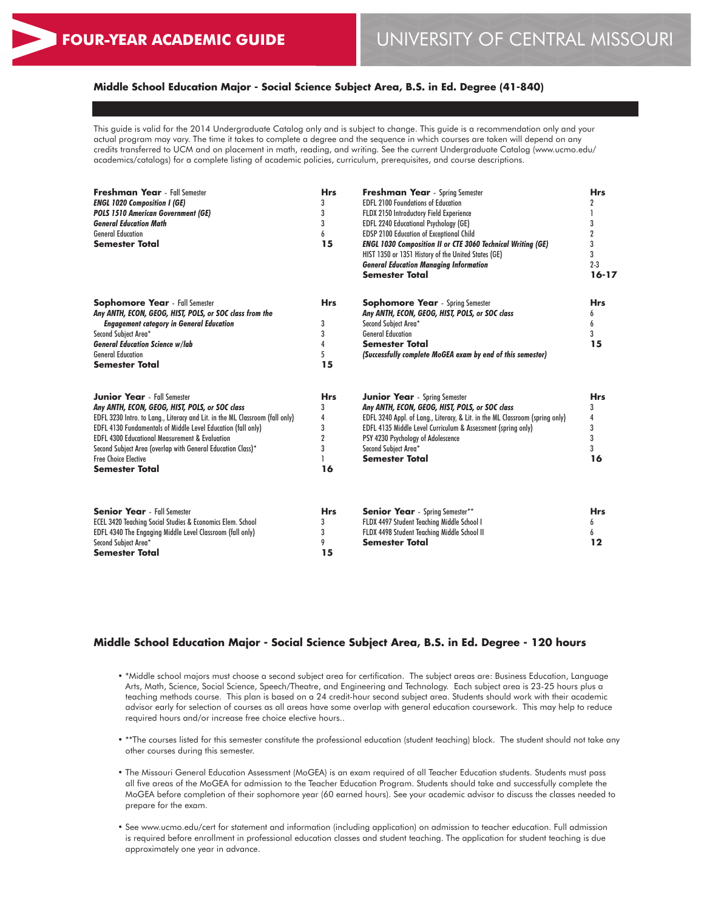# **Middle School Education Major - Social Science Subject Area, B.S. in Ed. Degree (41-840)**

This guide is valid for the 2014 Undergraduate Catalog only and is subject to change. This guide is a recommendation only and your actual program may vary. The time it takes to complete a degree and the sequence in which courses are taken will depend on any credits transferred to UCM and on placement in math, reading, and writing. See the current Undergraduate Catalog (www.ucmo.edu/ academics/catalogs) for a complete listing of academic policies, curriculum, prerequisites, and course descriptions.

| <b>Freshman Year</b> - Fall Semester<br><b>ENGL 1020 Composition I (GE)</b><br><b>POLS 1510 American Government (GE)</b><br><b>General Education Math</b><br><b>General Education</b><br><b>Semester Total</b>                                                                                                                                                                                                                  | <b>Hrs</b><br>3<br>3<br>3<br>6<br>15                   | <b>Freshman Year</b> - Spring Semester<br><b>EDFL 2100 Foundations of Education</b><br>FLDX 2150 Introductory Field Experience<br><b>EDFL 2240 Educational Psychology (GE)</b><br>EDSP 2100 Education of Exceptional Child<br><b>ENGL 1030 Composition II or CTE 3060 Technical Writing (GE)</b><br>HIST 1350 or 1351 History of the United States (GE)<br><b>General Education Managing Information</b><br><b>Semester Total</b> | <b>Hrs</b><br>2<br>3<br>$\mathbf{2}$<br>3<br>3<br>$2 - 3$<br>$16 - 17$ |
|---------------------------------------------------------------------------------------------------------------------------------------------------------------------------------------------------------------------------------------------------------------------------------------------------------------------------------------------------------------------------------------------------------------------------------|--------------------------------------------------------|-----------------------------------------------------------------------------------------------------------------------------------------------------------------------------------------------------------------------------------------------------------------------------------------------------------------------------------------------------------------------------------------------------------------------------------|------------------------------------------------------------------------|
| <b>Sophomore Year</b> - Fall Semester<br>Any ANTH, ECON, GEOG, HIST, POLS, or SOC class from the<br><b>Engagement category in General Education</b><br>Second Subject Area*<br><b>General Education Science w/lab</b><br><b>General Education</b><br><b>Semester Total</b>                                                                                                                                                      | <b>Hrs</b><br>3<br>3<br>4<br>5<br>15                   | <b>Sophomore Year</b> - Spring Semester<br>Any ANTH, ECON, GEOG, HIST, POLS, or SOC class<br>Second Subject Area*<br><b>General Education</b><br><b>Semester Total</b><br>(Successfully complete MoGEA exam by end of this semester)                                                                                                                                                                                              | <b>Hrs</b><br>h<br>6<br>3<br>15                                        |
| <b>Junior Year</b> - Fall Semester<br>Any ANTH, ECON, GEOG, HIST, POLS, or SOC class<br>EDFL 3230 Intro. to Lang., Literacy and Lit. in the ML Classroom (fall only)<br><b>EDFL 4130 Fundamentals of Middle Level Education (fall only)</b><br><b>EDFL 4300 Educational Measurement &amp; Evaluation</b><br>Second Subject Area (overlap with General Education Class)*<br><b>Free Choice Elective</b><br><b>Semester Total</b> | <b>Hrs</b><br>3<br>4<br>3<br>$\overline{2}$<br>3<br>16 | <b>Junior Year</b> - Spring Semester<br>Any ANTH, ECON, GEOG, HIST, POLS, or SOC class<br>EDFL 3240 Appl. of Lang., Literacy, & Lit. in the ML Classroom (spring only)<br>EDFL 4135 Middle Level Curriculum & Assessment (spring only)<br>PSY 4230 Psychology of Adolescence<br>Second Subject Area*<br><b>Semester Total</b>                                                                                                     | <b>Hrs</b><br>3<br>4<br>3<br>3<br>3<br>16                              |
| <b>Senior Year</b> - Fall Semester<br><b>ECEL 3420 Teaching Social Studies &amp; Economics Elem. School</b><br>EDFL 4340 The Engaging Middle Level Classroom (fall only)<br>Second Subject Area*<br>Semester Total                                                                                                                                                                                                              | <b>Hrs</b><br>3<br>3<br>9<br>15                        | <b>Senior Year</b> - Spring Semester**<br>FLDX 4497 Student Teaching Middle School I<br>FLDX 4498 Student Teaching Middle School II<br><b>Semester Total</b>                                                                                                                                                                                                                                                                      | <b>Hrs</b><br>6<br>6<br>12                                             |

#### **Middle School Education Major - Social Science Subject Area, B.S. in Ed. Degree - 120 hours**

- \*Middle school majors must choose a second subject area for certification. The subject areas are: Business Education, Language Arts, Math, Science, Social Science, Speech/Theatre, and Engineering and Technology. Each subject area is 23-25 hours plus a teaching methods course. This plan is based on a 24 credit-hour second subject area. Students should work with their academic advisor early for selection of courses as all areas have some overlap with general education coursework. This may help to reduce required hours and/or increase free choice elective hours..
- \*\*The courses listed for this semester constitute the professional education (student teaching) block. The student should not take any other courses during this semester.
- The Missouri General Education Assessment (MoGEA) is an exam required of all Teacher Education students. Students must pass all five areas of the MoGEA for admission to the Teacher Education Program. Students should take and successfully complete the MoGEA before completion of their sophomore year (60 earned hours). See your academic advisor to discuss the classes needed to prepare for the exam.
- See www.ucmo.edu/cert for statement and information (including application) on admission to teacher education. Full admission is required before enrollment in professional education classes and student teaching. The application for student teaching is due approximately one year in advance.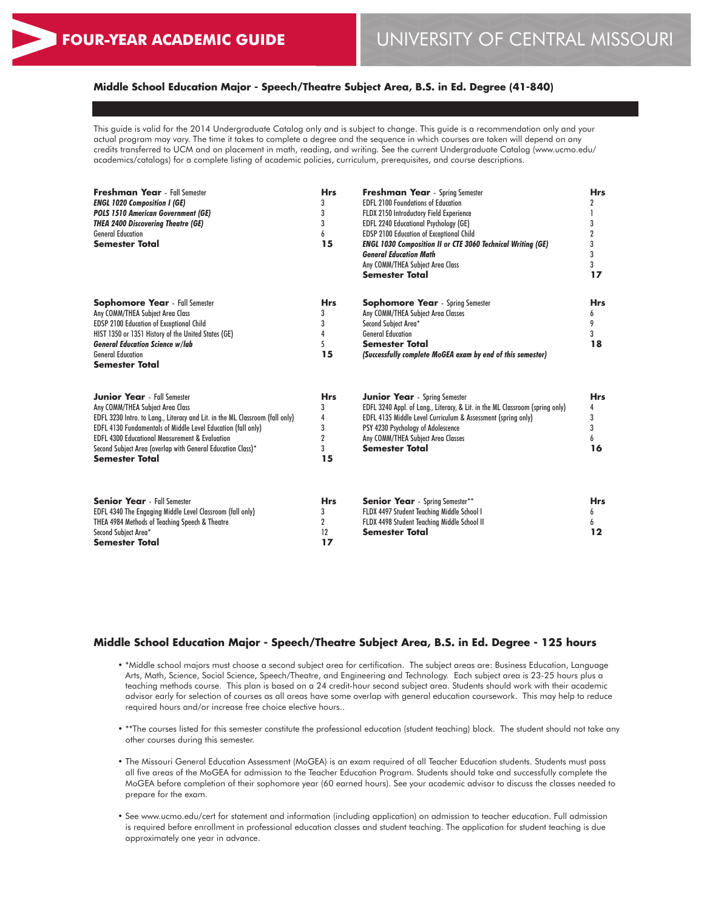# **Middle School Education Major - Speech/Theatre Subject Area, B.S. in Ed. Degree (41-840)**

This guide is valid for the 2014 Undergraduate Catalog only and is subject to change. This guide is a recommendation only and your actual program may vary. The time it takes to complete a degree and the sequence in which courses are taken will depend on any credits transferred to UCM and on placement in math, reading, and writing. See the current Undergraduate Catalog (www.ucmo.edu/ academics/catalogs) for a complete listing of academic policies, curriculum, prerequisites, and course descriptions.

| <b>Freshman Year</b> - Fall Semester<br><b>ENGL 1020 Composition I (GE)</b><br><b>POLS 1510 American Government (GE)</b><br><b>THEA 2400 Discovering Theatre (GE)</b><br><b>General Education</b><br><b>Semester Total</b>                                                                                                                                                  | <b>Hrs</b><br>3<br>3<br>3<br>6<br>15          | Freshman Year - Spring Semester<br><b>EDFL 2100 Foundations of Education</b><br><b>FLDX 2150 Introductory Field Experience</b><br><b>EDFL 2240 Educational Psychology (GE)</b><br><b>EDSP 2100 Education of Exceptional Child</b><br><b>ENGL 1030 Composition II or CTE 3060 Technical Writing (GE)</b><br><b>General Education Math</b><br>Any COMM/THEA Subject Area Class<br><b>Semester Total</b> | <b>Hrs</b><br>2<br>3<br>2<br>3<br>3<br>3<br>17 |
|-----------------------------------------------------------------------------------------------------------------------------------------------------------------------------------------------------------------------------------------------------------------------------------------------------------------------------------------------------------------------------|-----------------------------------------------|-------------------------------------------------------------------------------------------------------------------------------------------------------------------------------------------------------------------------------------------------------------------------------------------------------------------------------------------------------------------------------------------------------|------------------------------------------------|
| <b>Sophomore Year</b> - Fall Semester<br>Any COMM/THEA Subject Area Class<br>EDSP 2100 Education of Exceptional Child<br>HIST 1350 or 1351 History of the United States (GE)<br><b>General Education Science w/lab</b><br><b>General Education</b><br><b>Semester Total</b>                                                                                                 | <b>Hrs</b><br>3<br>3<br>4<br>5<br>15          | <b>Sophomore Year</b> - Spring Semester<br>Any COMM/THEA Subject Area Classes<br>Second Subject Area*<br><b>General Education</b><br><b>Semester Total</b><br>(Successfully complete MoGEA exam by end of this semester)                                                                                                                                                                              | <b>Hrs</b><br>6<br>9<br>3<br>18                |
| <b>Junior Year</b> - Fall Semester<br>Any COMM/THEA Subject Area Class<br>EDFL 3230 Intro. to Lang., Literacy and Lit. in the ML Classroom (fall only)<br>EDFL 4130 Fundamentals of Middle Level Education (fall only)<br><b>EDFL 4300 Educational Measurement &amp; Evaluation</b><br>Second Subject Area (overlap with General Education Class)*<br><b>Semester Total</b> | <b>Hrs</b><br>3<br>4<br>3<br>2<br>3<br>15     | <b>Junior Year</b> - Spring Semester<br>EDFL 3240 Appl. of Lang., Literacy, & Lit. in the ML Classroom (spring only)<br>EDFL 4135 Middle Level Curriculum & Assessment (spring only)<br>PSY 4230 Psychology of Adolescence<br>Any COMM/THEA Subject Area Classes<br><b>Semester Total</b>                                                                                                             | <b>Hrs</b><br>4<br>3<br>3<br>6<br>16           |
| <b>Senior Year</b> - Fall Semester<br>EDFL 4340 The Engaging Middle Level Classroom (fall only)<br>THEA 4984 Methods of Teaching Speech & Theatre<br>Second Subject Area*<br><b>Semester Total</b>                                                                                                                                                                          | <b>Hrs</b><br>3<br>$\overline{2}$<br>12<br>17 | <b>Senior Year</b> - Spring Semester**<br>FLDX 4497 Student Teaching Middle School I<br>FLDX 4498 Student Teaching Middle School II<br><b>Semester Total</b>                                                                                                                                                                                                                                          | <b>Hrs</b><br>6<br>6<br>12                     |

#### **Middle School Education Major - Speech/Theatre Subject Area, B.S. in Ed. Degree - 125 hours**

- \*Middle school majors must choose a second subject area for certification. The subject areas are: Business Education, Language Arts, Math, Science, Social Science, Speech/Theatre, and Engineering and Technology. Each subject area is 23-25 hours plus a teaching methods course. This plan is based on a 24 credit-hour second subject area. Students should work with their academic advisor early for selection of courses as all areas have some overlap with general education coursework. This may help to reduce required hours and/or increase free choice elective hours..
- \*\*The courses listed for this semester constitute the professional education (student teaching) block. The student should not take any other courses during this semester.
- The Missouri General Education Assessment (MoGEA) is an exam required of all Teacher Education students. Students must pass all five areas of the MoGEA for admission to the Teacher Education Program. Students should take and successfully complete the MoGEA before completion of their sophomore year (60 earned hours). See your academic advisor to discuss the classes needed to prepare for the exam.
- See www.ucmo.edu/cert for statement and information (including application) on admission to teacher education. Full admission is required before enrollment in professional education classes and student teaching. The application for student teaching is due approximately one year in advance.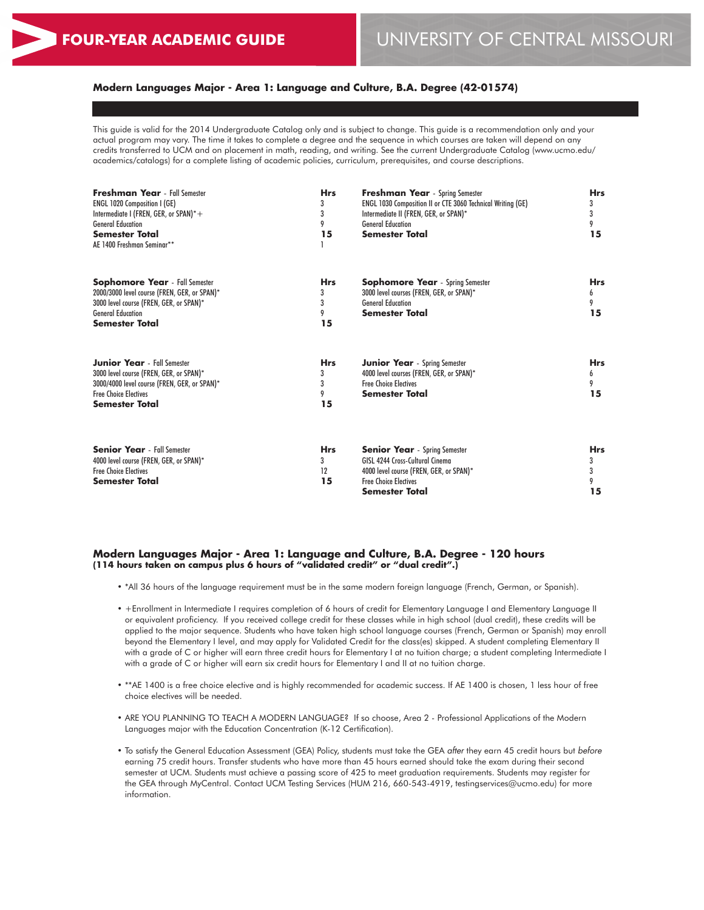# **Modern Languages Major - Area 1: Language and Culture, B.A. Degree (42-01574)**

This guide is valid for the 2014 Undergraduate Catalog only and is subject to change. This guide is a recommendation only and your actual program may vary. The time it takes to complete a degree and the sequence in which courses are taken will depend on any credits transferred to UCM and on placement in math, reading, and writing. See the current Undergraduate Catalog (www.ucmo.edu/ academics/catalogs) for a complete listing of academic policies, curriculum, prerequisites, and course descriptions.

| <b>Freshman Year</b> - Fall Semester<br><b>ENGL 1020 Composition I (GE)</b><br>Intermediate I (FREN, GER, or SPAN)*+<br><b>General Education</b><br><b>Semester Total</b><br>AE 1400 Freshman Seminar** | <b>Hrs</b><br>3<br>3<br>9<br>15 | <b>Freshman Year</b> - Spring Semester<br><b>ENGL 1030 Composition II or CTE 3060 Technical Writing (GE)</b><br>Intermediate II (FREN, GER, or SPAN)*<br><b>General Education</b><br><b>Semester Total</b> | <b>Hrs</b><br>3<br>3<br>9<br>15 |
|---------------------------------------------------------------------------------------------------------------------------------------------------------------------------------------------------------|---------------------------------|------------------------------------------------------------------------------------------------------------------------------------------------------------------------------------------------------------|---------------------------------|
| <b>Sophomore Year</b> - Fall Semester<br>2000/3000 level course (FREN, GER, or SPAN)*<br>3000 level course (FREN, GER, or SPAN)*<br><b>General Education</b><br><b>Semester Total</b>                   | <b>Hrs</b><br>3<br>3<br>9<br>15 | <b>Sophomore Year</b> - Spring Semester<br>3000 level courses (FREN, GER, or SPAN)*<br><b>General Education</b><br><b>Semester Total</b>                                                                   | <b>Hrs</b><br>6<br>9<br>15      |
| <b>Junior Year</b> - Fall Semester<br>3000 level course (FREN, GER, or SPAN)*<br>3000/4000 level course (FREN, GER, or SPAN)*<br><b>Free Choice Electives</b><br><b>Semester Total</b>                  | <b>Hrs</b><br>3<br>3<br>9<br>15 | <b>Junior Year</b> - Spring Semester<br>4000 level courses (FREN, GER, or SPAN)*<br><b>Free Choice Electives</b><br><b>Semester Total</b>                                                                  | <b>Hrs</b><br>6<br>9<br>15      |
| <b>Senior Year</b> - Fall Semester<br>4000 level course (FREN, GER, or SPAN)*<br><b>Free Choice Electives</b><br><b>Semester Total</b>                                                                  | <b>Hrs</b><br>3<br>12<br>15     | <b>Senior Year</b> - Spring Semester<br><b>GISL 4244 Cross-Cultural Cinema</b><br>4000 level course (FREN, GER, or SPAN)*<br><b>Free Choice Electives</b><br>Semester Total                                | <b>Hrs</b><br>3<br>3<br>9<br>15 |

#### **Modern Languages Major - Area 1: Language and Culture, B.A. Degree - 120 hours (114 hours taken on campus plus 6 hours of "validated credit" or "dual credit".)**

- \*All 36 hours of the language requirement must be in the same modern foreign language (French, German, or Spanish).
- +Enrollment in Intermediate I requires completion of 6 hours of credit for Elementary Language I and Elementary Language II or equivalent proficiency. If you received college credit for these classes while in high school (dual credit), these credits will be applied to the major sequence. Students who have taken high school language courses (French, German or Spanish) may enroll beyond the Elementary I level, and may apply for Validated Credit for the class(es) skipped. A student completing Elementary II with a grade of C or higher will earn three credit hours for Elementary I at no tuition charge; a student completing Intermediate I with a grade of C or higher will earn six credit hours for Elementary I and II at no tuition charge.
- \*\*AE 1400 is a free choice elective and is highly recommended for academic success. If AE 1400 is chosen, 1 less hour of free choice electives will be needed.
- ARE YOU PLANNING TO TEACH A MODERN LANGUAGE? If so choose, Area 2 Professional Applications of the Modern Languages major with the Education Concentration (K-12 Certification).
- To satisfy the General Education Assessment (GEA) Policy, students must take the GEA *after* they earn 45 credit hours but *before* earning 75 credit hours. Transfer students who have more than 45 hours earned should take the exam during their second semester at UCM. Students must achieve a passing score of 425 to meet graduation requirements. Students may register for the GEA through MyCentral. Contact UCM Testing Services (HUM 216, 660-543-4919, testingservices@ucmo.edu) for more information.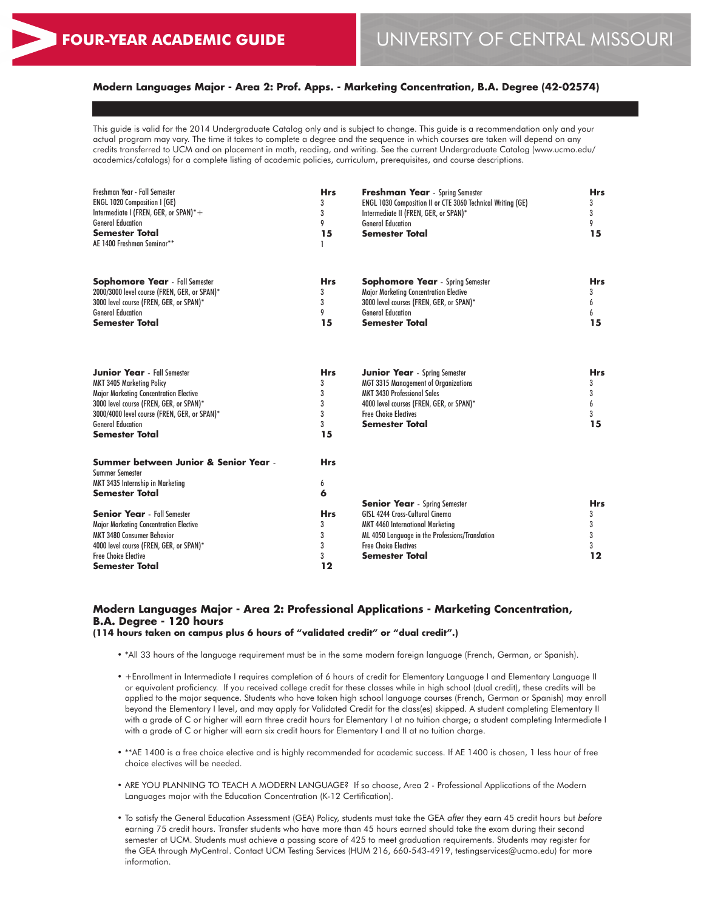# **Modern Languages Major - Area 2: Prof. Apps. - Marketing Concentration, B.A. Degree (42-02574)**

This guide is valid for the 2014 Undergraduate Catalog only and is subject to change. This guide is a recommendation only and your actual program may vary. The time it takes to complete a degree and the sequence in which courses are taken will depend on any credits transferred to UCM and on placement in math, reading, and writing. See the current Undergraduate Catalog (www.ucmo.edu/ academics/catalogs) for a complete listing of academic policies, curriculum, prerequisites, and course descriptions.

| Freshman Year - Fall Semester<br>ENGL 1020 Composition I (GE)<br>Intermediate I (FREN, GER, or SPAN)*+<br><b>General Education</b><br>Semester Total<br>AE 1400 Freshman Seminar**                                                                               | <b>Hrs</b><br>3<br>3<br>9<br>15           | <b>Freshman Year</b> - Spring Semester<br>ENGL 1030 Composition II or CTE 3060 Technical Writing (GE)<br>Intermediate II (FREN, GER, or SPAN)*<br><b>General Education</b><br><b>Semester Total</b>                            | <b>Hrs</b><br>3<br>3<br>9<br>15      |
|------------------------------------------------------------------------------------------------------------------------------------------------------------------------------------------------------------------------------------------------------------------|-------------------------------------------|--------------------------------------------------------------------------------------------------------------------------------------------------------------------------------------------------------------------------------|--------------------------------------|
| <b>Sophomore Year</b> - Fall Semester<br>2000/3000 level course (FREN, GER, or SPAN)*<br>3000 level course (FREN, GER, or SPAN)*<br><b>General Education</b><br><b>Semester Total</b>                                                                            | <b>Hrs</b><br>3<br>3<br>9<br>15           | <b>Sophomore Year</b> - Spring Semester<br>Major Marketing Concentration Elective<br>3000 level courses (FREN, GER, or SPAN)*<br><b>General Education</b><br>Semester Total                                                    | <b>Hrs</b><br>3<br>6<br>6<br>15      |
| <b>Junior Year</b> - Fall Semester<br><b>MKT 3405 Marketing Policy</b><br>Major Marketing Concentration Elective<br>3000 level course (FREN, GER, or SPAN)*<br>3000/4000 level course (FREN, GER, or SPAN)*<br><b>General Education</b><br><b>Semester Total</b> | <b>Hrs</b><br>3<br>3<br>3<br>3<br>3<br>15 | <b>Junior Year</b> - Spring Semester<br><b>MGT 3315 Management of Organizations</b><br><b>MKT 3430 Professional Sales</b><br>4000 level courses (FREN, GER, or SPAN)*<br><b>Free Choice Electives</b><br><b>Semester Total</b> | <b>Hrs</b><br>3<br>3<br>6<br>3<br>15 |
| Summer between Junior & Senior Year -<br><b>Summer Semester</b><br>MKT 3435 Internship in Marketing<br><b>Semester Total</b>                                                                                                                                     | <b>Hrs</b><br>6<br>6                      |                                                                                                                                                                                                                                |                                      |
| <b>Senior Year</b> - Fall Semester<br>Major Marketing Concentration Elective<br><b>MKT 3480 Consumer Behavior</b><br>4000 level course (FREN, GER, or SPAN)*<br><b>Free Choice Elective</b><br>Semester Total                                                    | <b>Hrs</b><br>3<br>3<br>3<br>3<br>12      | <b>Senior Year</b> - Spring Semester<br>GISL 4244 Cross-Cultural Cinema<br>MKT 4460 International Marketing<br>ML 4050 Language in the Professions/Translation<br><b>Free Choice Electives</b><br>Semester Total               | <b>Hrs</b><br>3<br>3<br>3<br>3<br>12 |

# **Modern Languages Major - Area 2: Professional Applications - Marketing Concentration, B.A. Degree - 120 hours**

**(114 hours taken on campus plus 6 hours of "validated credit" or "dual credit".)**

• \*All 33 hours of the language requirement must be in the same modern foreign language (French, German, or Spanish).

- +Enrollment in Intermediate I requires completion of 6 hours of credit for Elementary Language I and Elementary Language II or equivalent proficiency. If you received college credit for these classes while in high school (dual credit), these credits will be applied to the major sequence. Students who have taken high school language courses (French, German or Spanish) may enroll beyond the Elementary I level, and may apply for Validated Credit for the class(es) skipped. A student completing Elementary II with a grade of C or higher will earn three credit hours for Elementary I at no tuition charge; a student completing Intermediate I with a grade of C or higher will earn six credit hours for Elementary I and II at no tuition charge.
- \*\*AE 1400 is a free choice elective and is highly recommended for academic success. If AE 1400 is chosen, 1 less hour of free choice electives will be needed.
- ARE YOU PLANNING TO TEACH A MODERN LANGUAGE? If so choose, Area 2 Professional Applications of the Modern Languages major with the Education Concentration (K-12 Certification).
- To satisfy the General Education Assessment (GEA) Policy, students must take the GEA *after* they earn 45 credit hours but *before* earning 75 credit hours. Transfer students who have more than 45 hours earned should take the exam during their second semester at UCM. Students must achieve a passing score of 425 to meet graduation requirements. Students may register for the GEA through MyCentral. Contact UCM Testing Services (HUM 216, 660-543-4919, testingservices@ucmo.edu) for more information.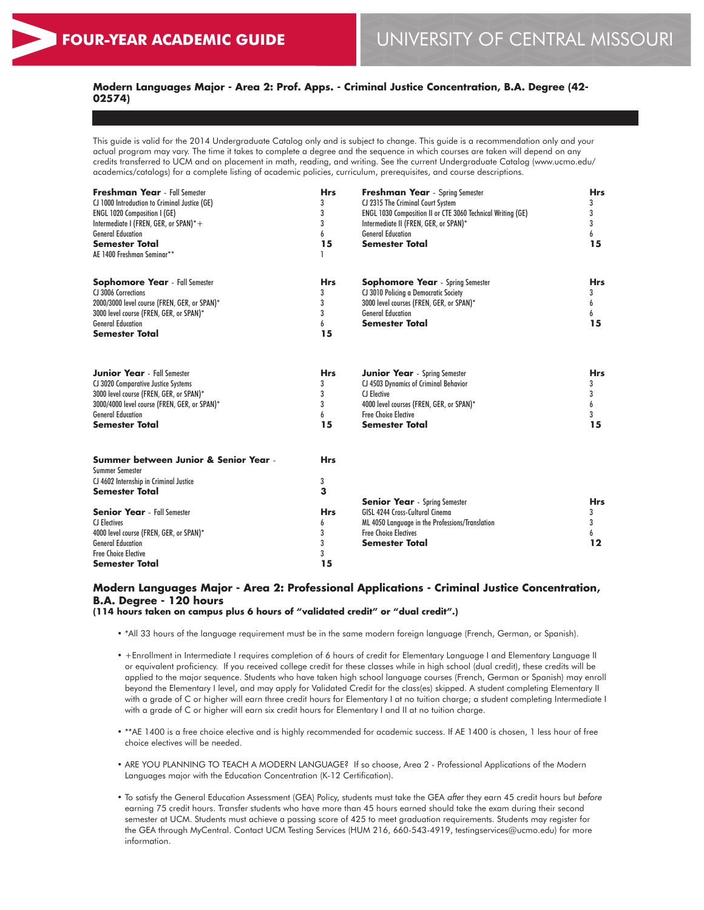# **Modern Languages Major - Area 2: Prof. Apps. - Criminal Justice Concentration, B.A. Degree (42- 02574)**

This guide is valid for the 2014 Undergraduate Catalog only and is subject to change. This guide is a recommendation only and your actual program may vary. The time it takes to complete a degree and the sequence in which courses are taken will depend on any credits transferred to UCM and on placement in math, reading, and writing. See the current Undergraduate Catalog (www.ucmo.edu/ academics/catalogs) for a complete listing of academic policies, curriculum, prerequisites, and course descriptions.

| <b>Freshman Year</b> - Fall Semester<br>CJ 1000 Introduction to Criminal Justice (GE)<br><b>ENGL 1020 Composition I (GE)</b><br>Intermediate I (FREN, GER, or SPAN)*+<br><b>General Education</b><br><b>Semester Total</b><br>AE 1400 Freshman Seminar** | <b>Hrs</b><br>3<br>3<br>3<br>6<br>15 | Freshman Year - Spring Semester<br>CJ 2315 The Criminal Court System<br>ENGL 1030 Composition II or CTE 3060 Technical Writing (GE)<br>Intermediate II (FREN, GER, or SPAN)*<br><b>General Education</b><br><b>Semester Total</b> | <b>Hrs</b><br>3<br>3<br>3<br>6<br>15 |
|----------------------------------------------------------------------------------------------------------------------------------------------------------------------------------------------------------------------------------------------------------|--------------------------------------|-----------------------------------------------------------------------------------------------------------------------------------------------------------------------------------------------------------------------------------|--------------------------------------|
| <b>Sophomore Year</b> - Fall Semester<br>CJ 3006 Corrections<br>2000/3000 level course (FREN, GER, or SPAN)*<br>3000 level course (FREN, GER, or SPAN)*<br><b>General Education</b><br><b>Semester Total</b>                                             | <b>Hrs</b><br>3<br>3<br>3<br>6<br>15 | <b>Sophomore Year</b> - Spring Semester<br>CJ 3010 Policing a Democratic Society<br>3000 level courses (FREN, GER, or SPAN)*<br><b>General Education</b><br><b>Semester Total</b>                                                 | <b>Hrs</b><br>3<br>6<br>6<br>15      |
| <b>Junior Year</b> - Fall Semester<br>CJ 3020 Comparative Justice Systems<br>3000 level course (FREN, GER, or SPAN)*<br>3000/4000 level course (FREN, GER, or SPAN)*<br><b>General Education</b><br><b>Semester Total</b>                                | <b>Hrs</b><br>3<br>3<br>3<br>6<br>15 | <b>Junior Year</b> - Spring Semester<br>CJ 4503 Dynamics of Criminal Behavior<br><b>CJ</b> Elective<br>4000 level courses (FREN, GER, or SPAN)*<br><b>Free Choice Elective</b><br><b>Semester Total</b>                           | <b>Hrs</b><br>3<br>3<br>6<br>3<br>15 |
| Summer between Junior & Senior Year -<br><b>Summer Semester</b><br>CJ 4602 Internship in Criminal Justice<br><b>Semester Total</b>                                                                                                                       | <b>Hrs</b><br>3<br>3                 | <b>Senior Year</b> - Spring Semester                                                                                                                                                                                              | <b>Hrs</b>                           |
| <b>Senior Year</b> - Fall Semester<br><b>CI Electives</b><br>4000 level course (FREN, GER, or SPAN)*<br><b>General Education</b><br><b>Free Choice Elective</b><br><b>Semester Total</b>                                                                 | <b>Hrs</b><br>6<br>3<br>3<br>3<br>15 | GISL 4244 Cross-Cultural Cinema<br>ML 4050 Language in the Professions/Translation<br><b>Free Choice Electives</b><br><b>Semester Total</b>                                                                                       | 3<br>3<br>6<br>12                    |

# **Modern Languages Major - Area 2: Professional Applications - Criminal Justice Concentration, B.A. Degree - 120 hours**

**(114 hours taken on campus plus 6 hours of "validated credit" or "dual credit".)**

- \*All 33 hours of the language requirement must be in the same modern foreign language (French, German, or Spanish).
- +Enrollment in Intermediate I requires completion of 6 hours of credit for Elementary Language I and Elementary Language II or equivalent proficiency. If you received college credit for these classes while in high school (dual credit), these credits will be applied to the major sequence. Students who have taken high school language courses (French, German or Spanish) may enroll beyond the Elementary I level, and may apply for Validated Credit for the class(es) skipped. A student completing Elementary II with a grade of C or higher will earn three credit hours for Elementary I at no tuition charge; a student completing Intermediate I with a grade of C or higher will earn six credit hours for Elementary I and II at no tuition charge.
- \*\*AE 1400 is a free choice elective and is highly recommended for academic success. If AE 1400 is chosen, 1 less hour of free choice electives will be needed.
- ARE YOU PLANNING TO TEACH A MODERN LANGUAGE? If so choose, Area 2 Professional Applications of the Modern Languages major with the Education Concentration (K-12 Certification).
- To satisfy the General Education Assessment (GEA) Policy, students must take the GEA *after* they earn 45 credit hours but *before* earning 75 credit hours. Transfer students who have more than 45 hours earned should take the exam during their second semester at UCM. Students must achieve a passing score of 425 to meet graduation requirements. Students may register for the GEA through MyCentral. Contact UCM Testing Services (HUM 216, 660-543-4919, testingservices@ucmo.edu) for more information.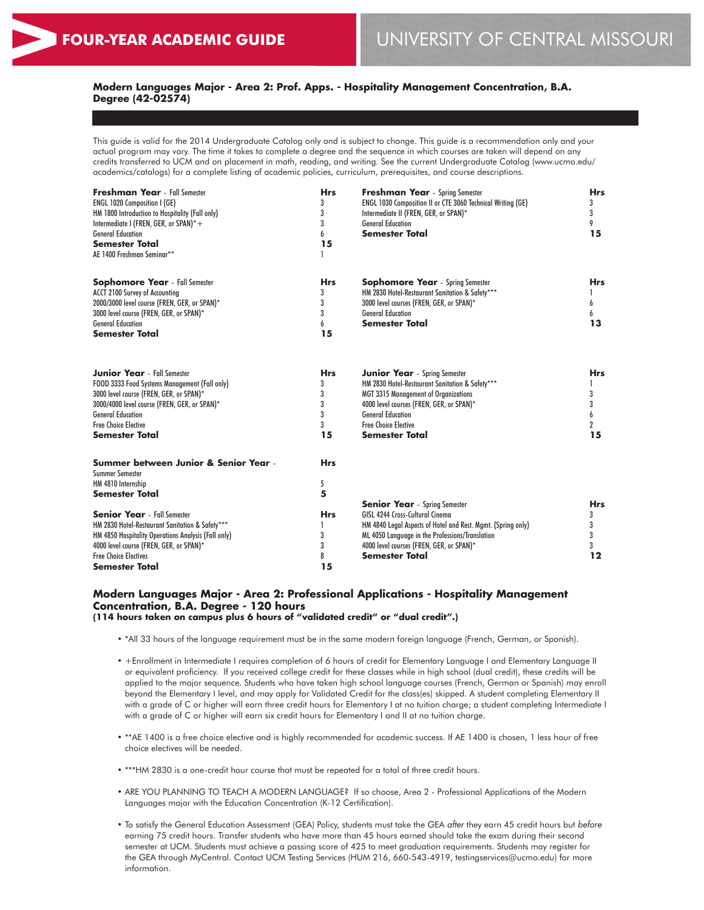# **Modern Languages Major - Area 2: Prof. Apps. - Hospitality Management Concentration, B.A. Degree (42-02574)**

This guide is valid for the 2014 Undergraduate Catalog only and is subject to change. This guide is a recommendation only and your actual program may vary. The time it takes to complete a degree and the sequence in which courses are taken will depend on any credits transferred to UCM and on placement in math, reading, and writing. See the current Undergraduate Catalog (www.ucmo.edu/ academics/catalogs) for a complete listing of academic policies, curriculum, prerequisites, and course descriptions.

| <b>Freshman Year</b> - Fall Semester<br><b>ENGL 1020 Composition I (GE)</b><br>HM 1800 Introduction to Hospitality (Fall only)<br>Intermediate I (FREN, GER, or SPAN)*+<br><b>General Education</b><br><b>Semester Total</b><br>AE 1400 Freshman Seminar**         | <b>Hrs</b><br>3<br>3<br>3<br>6<br>15 | <b>Freshman Year</b> - Spring Semester<br>ENGL 1030 Composition II or CTE 3060 Technical Writing (GE)<br>Intermediate II (FREN, GER, or SPAN)*<br><b>General Education</b><br><b>Semester Total</b>                                                                    | <b>Hrs</b><br>3<br>3<br>9<br>15      |
|--------------------------------------------------------------------------------------------------------------------------------------------------------------------------------------------------------------------------------------------------------------------|--------------------------------------|------------------------------------------------------------------------------------------------------------------------------------------------------------------------------------------------------------------------------------------------------------------------|--------------------------------------|
| <b>Sophomore Year</b> - Fall Semester<br>ACCT 2100 Survey of Accounting<br>2000/3000 level course (FREN, GER, or SPAN)*<br>3000 level course (FREN, GER, or SPAN)*<br><b>General Education</b><br><b>Semester Total</b>                                            | <b>Hrs</b><br>3<br>3<br>3<br>6<br>15 | <b>Sophomore Year</b> - Spring Semester<br>HM 2830 Hotel-Restaurant Sanitation & Safety***<br>3000 level courses (FREN, GER, or SPAN)*<br><b>General Education</b><br><b>Semester Total</b>                                                                            | <b>Hrs</b><br>6<br>6<br>13           |
| <b>Junior Year</b> - Fall Semester<br>FOOD 3333 Food Systems Management (Fall only)<br>3000 level course (FREN, GER, or SPAN)*<br>3000/4000 level course (FREN, GER, or SPAN)*<br><b>General Education</b><br><b>Free Choice Flective</b><br><b>Semester Total</b> | <b>Hrs</b><br>3<br>3<br>3<br>15      | <b>Junior Year</b> - Spring Semester<br>HM 2830 Hotel-Restaurant Sanitation & Safety***<br><b>MGT 3315 Management of Organizations</b><br>4000 level courses (FREN, GER, or SPAN)*<br><b>General Education</b><br><b>Free Choice Flective</b><br><b>Semester Total</b> | <b>Hrs</b><br>3<br>3<br>6<br>2<br>15 |
| Summer between Junior & Senior Year -<br><b>Summer Semester</b><br>HM 4810 Internship<br><b>Semester Total</b>                                                                                                                                                     | <b>Hrs</b><br>5<br>5                 |                                                                                                                                                                                                                                                                        |                                      |
| <b>Senior Year</b> - Fall Semester<br>HM 2830 Hotel-Restaurant Sanitation & Safety***<br>HM 4850 Hospitality Operations Analysis (Fall only)<br>4000 level course (FREN, GER, or SPAN)*<br><b>Free Choice Electives</b><br><b>Semester Total</b>                   | <b>Hrs</b><br>3<br>3<br>8<br>15      | <b>Senior Year</b> - Spring Semester<br>GISL 4244 Cross-Cultural Cinema<br>HM 4840 Legal Aspects of Hotel and Rest. Mgmt. (Spring only)<br>ML 4050 Language in the Professions/Translation<br>4000 level courses (FREN, GER, or SPAN)*<br><b>Semester Total</b>        | <b>Hrs</b><br>3<br>3<br>3<br>3<br>12 |

#### **Modern Languages Major - Area 2: Professional Applications - Hospitality Management Concentration, B.A. Degree - 120 hours (114 hours taken on campus plus 6 hours of "validated credit" or "dual credit".)**

- \*All 33 hours of the language requirement must be in the same modern foreign language (French, German, or Spanish).
- +Enrollment in Intermediate I requires completion of 6 hours of credit for Elementary Language I and Elementary Language II or equivalent proficiency. If you received college credit for these classes while in high school (dual credit), these credits will be applied to the major sequence. Students who have taken high school language courses (French, German or Spanish) may enroll beyond the Elementary I level, and may apply for Validated Credit for the class(es) skipped. A student completing Elementary II with a grade of C or higher will earn three credit hours for Elementary I at no tuition charge; a student completing Intermediate I with a grade of C or higher will earn six credit hours for Elementary I and II at no tuition charge.
- \*\*AE 1400 is a free choice elective and is highly recommended for academic success. If AE 1400 is chosen, 1 less hour of free choice electives will be needed.
- \*\*\*HM 2830 is a one-credit hour course that must be repeated for a total of three credit hours.
- ARE YOU PLANNING TO TEACH A MODERN LANGUAGE? If so choose, Area 2 Professional Applications of the Modern Languages major with the Education Concentration (K-12 Certification).
- To satisfy the General Education Assessment (GEA) Policy, students must take the GEA *after* they earn 45 credit hours but *before* earning 75 credit hours. Transfer students who have more than 45 hours earned should take the exam during their second semester at UCM. Students must achieve a passing score of 425 to meet graduation requirements. Students may register for the GEA through MyCentral. Contact UCM Testing Services (HUM 216, 660-543-4919, testingservices@ucmo.edu) for more information.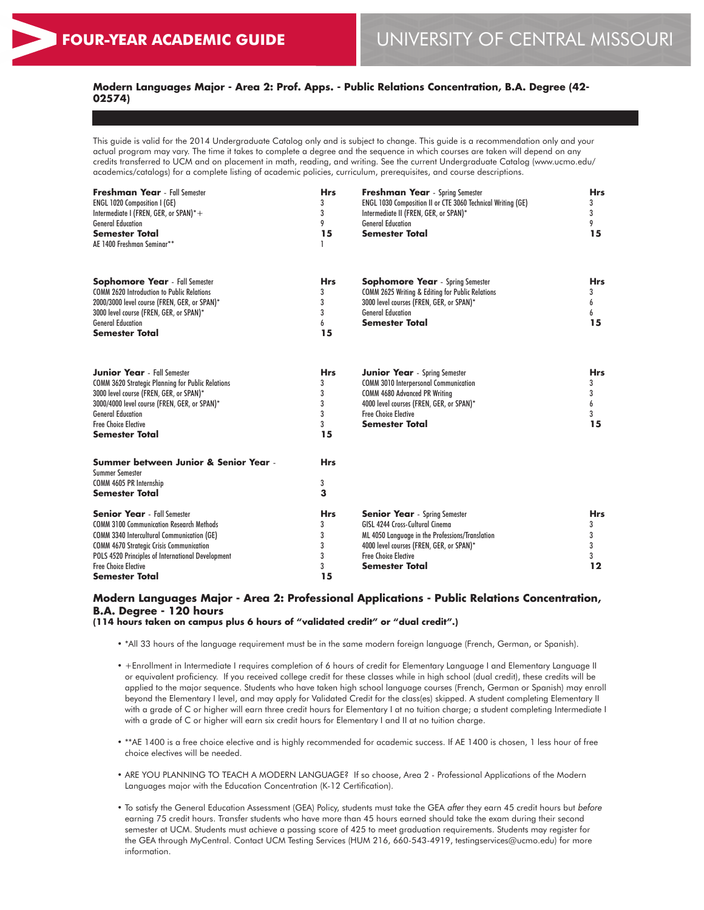# **Modern Languages Major - Area 2: Prof. Apps. - Public Relations Concentration, B.A. Degree (42- 02574)**

This guide is valid for the 2014 Undergraduate Catalog only and is subject to change. This guide is a recommendation only and your actual program may vary. The time it takes to complete a degree and the sequence in which courses are taken will depend on any credits transferred to UCM and on placement in math, reading, and writing. See the current Undergraduate Catalog (www.ucmo.edu/ academics/catalogs) for a complete listing of academic policies, curriculum, prerequisites, and course descriptions.

| <b>Freshman Year</b> - Fall Semester<br><b>ENGL 1020 Composition I (GE)</b><br>Intermediate I (FREN, GER, or SPAN)*+<br><b>General Education</b><br><b>Semester Total</b><br>AE 1400 Freshman Seminar**                                                                                                    | <b>Hrs</b><br>3<br>3<br>9<br>15           | <b>Freshman Year</b> - Spring Semester<br>ENGL 1030 Composition II or CTE 3060 Technical Writing (GE)<br>Intermediate II (FREN, GER, or SPAN)*<br><b>General Education</b><br>Semester Total                              | <b>Hrs</b><br>3<br>3<br>9<br>15      |
|------------------------------------------------------------------------------------------------------------------------------------------------------------------------------------------------------------------------------------------------------------------------------------------------------------|-------------------------------------------|---------------------------------------------------------------------------------------------------------------------------------------------------------------------------------------------------------------------------|--------------------------------------|
| <b>Sophomore Year</b> - Fall Semester<br><b>COMM 2620 Introduction to Public Relations</b><br>2000/3000 level course (FREN, GER, or SPAN)*<br>3000 level course (FREN, GER, or SPAN)*<br><b>General Education</b><br><b>Semester Total</b>                                                                 | <b>Hrs</b><br>3<br>3<br>3<br>6<br>15      | <b>Sophomore Year</b> - Spring Semester<br>COMM 2625 Writing & Editing for Public Relations<br>3000 level courses (FREN, GER, or SPAN)*<br><b>General Education</b><br><b>Semester Total</b>                              | <b>Hrs</b><br>3<br>6<br>6<br>15      |
| <b>Junior Year</b> - Fall Semester<br><b>COMM 3620 Strategic Planning for Public Relations</b><br>3000 level course (FREN, GER, or SPAN)*<br>3000/4000 level course (FREN, GER, or SPAN)*<br><b>General Education</b><br><b>Free Choice Elective</b><br><b>Semester Total</b>                              | <b>Hrs</b><br>3<br>3<br>3<br>3<br>3<br>15 | <b>Junior Year</b> - Spring Semester<br><b>COMM 3010 Interpersonal Communication</b><br>COMM 4680 Advanced PR Writing<br>4000 level courses (FREN, GER, or SPAN)*<br><b>Free Choice Elective</b><br><b>Semester Total</b> | <b>Hrs</b><br>3<br>3<br>6<br>3<br>15 |
| Summer between Junior & Senior Year -<br><b>Summer Semester</b><br>COMM 4605 PR Internship<br><b>Semester Total</b>                                                                                                                                                                                        | <b>Hrs</b><br>3<br>3                      |                                                                                                                                                                                                                           |                                      |
| <b>Senior Year</b> - Fall Semester<br><b>COMM 3100 Communication Research Methods</b><br><b>COMM 3340 Intercultural Communication (GE)</b><br><b>COMM 4670 Strategic Crisis Communication</b><br>POLS 4520 Principles of International Development<br><b>Free Choice Elective</b><br><b>Semester Total</b> | <b>Hrs</b><br>3<br>3<br>3<br>3<br>3<br>15 | <b>Senior Year</b> - Spring Semester<br>GISL 4244 Cross-Cultural Cinema<br>ML 4050 Language in the Professions/Translation<br>4000 level courses (FREN, GER, or SPAN)*<br><b>Free Choice Elective</b><br>Semester Total   | <b>Hrs</b><br>3<br>3<br>3<br>3<br>12 |

# **Modern Languages Major - Area 2: Professional Applications - Public Relations Concentration, B.A. Degree - 120 hours**

**(114 hours taken on campus plus 6 hours of "validated credit" or "dual credit".)**

- \*All 33 hours of the language requirement must be in the same modern foreign language (French, German, or Spanish).
- +Enrollment in Intermediate I requires completion of 6 hours of credit for Elementary Language I and Elementary Language II or equivalent proficiency. If you received college credit for these classes while in high school (dual credit), these credits will be applied to the major sequence. Students who have taken high school language courses (French, German or Spanish) may enroll beyond the Elementary I level, and may apply for Validated Credit for the class(es) skipped. A student completing Elementary II with a grade of C or higher will earn three credit hours for Elementary I at no tuition charge; a student completing Intermediate I with a grade of C or higher will earn six credit hours for Elementary I and II at no tuition charge.
- \*\*AE 1400 is a free choice elective and is highly recommended for academic success. If AE 1400 is chosen, 1 less hour of free choice electives will be needed.
- ARE YOU PLANNING TO TEACH A MODERN LANGUAGE? If so choose, Area 2 Professional Applications of the Modern Languages major with the Education Concentration (K-12 Certification).
- To satisfy the General Education Assessment (GEA) Policy, students must take the GEA *after* they earn 45 credit hours but *before* earning 75 credit hours. Transfer students who have more than 45 hours earned should take the exam during their second semester at UCM. Students must achieve a passing score of 425 to meet graduation requirements. Students may register for the GEA through MyCentral. Contact UCM Testing Services (HUM 216, 660-543-4919, testingservices@ucmo.edu) for more information.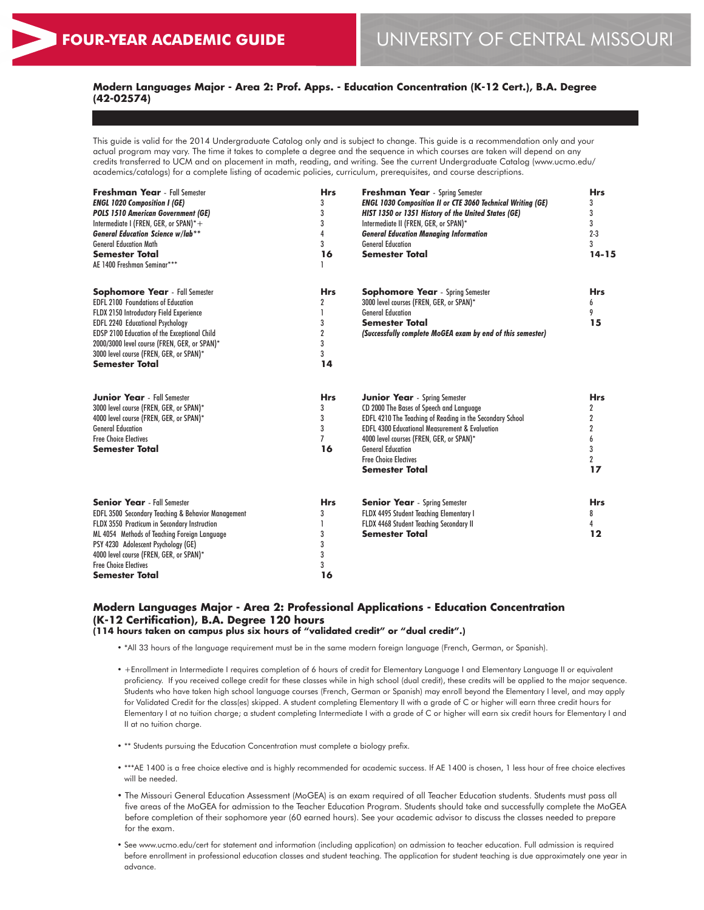# **Modern Languages Major - Area 2: Prof. Apps. - Education Concentration (K-12 Cert.), B.A. Degree (42-02574)**

This guide is valid for the 2014 Undergraduate Catalog only and is subject to change. This guide is a recommendation only and your actual program may vary. The time it takes to complete a degree and the sequence in which courses are taken will depend on any credits transferred to UCM and on placement in math, reading, and writing. See the current Undergraduate Catalog (www.ucmo.edu/ academics/catalogs) for a complete listing of academic policies, curriculum, prerequisites, and course descriptions.

| <b>Freshman Year</b> - Fall Semester<br><b>ENGL 1020 Composition I (GE)</b><br><b>POLS 1510 American Government (GE)</b><br>Intermediate I (FREN, GER, or SPAN)*+<br><b>General Education Science w/lab**</b><br><b>General Education Math</b><br><b>Semester Total</b><br>AE 1400 Freshman Seminar***                                              | <b>Hrs</b><br>3<br>3<br>3<br>4<br>3<br>16              | <b>Freshman Year</b> - Spring Semester<br><b>ENGL 1030 Composition II or CTE 3060 Technical Writing (GE)</b><br>HIST 1350 or 1351 History of the United States (GE)<br>Intermediate II (FREN, GER, or SPAN)*<br><b>General Education Managing Information</b><br><b>General Education</b><br><b>Semester Total</b>                          | <b>Hrs</b><br>3<br>3<br>3<br>$2 - 3$<br>3<br>$14 - 15$                           |
|-----------------------------------------------------------------------------------------------------------------------------------------------------------------------------------------------------------------------------------------------------------------------------------------------------------------------------------------------------|--------------------------------------------------------|---------------------------------------------------------------------------------------------------------------------------------------------------------------------------------------------------------------------------------------------------------------------------------------------------------------------------------------------|----------------------------------------------------------------------------------|
| <b>Sophomore Year</b> - Fall Semester<br><b>EDFL 2100 Foundations of Education</b><br>FLDX 2150 Introductory Field Experience<br><b>EDFL 2240 Educational Psychology</b><br><b>EDSP 2100 Education of the Exceptional Child</b><br>2000/3000 level course (FREN, GER, or SPAN)*<br>3000 level course (FREN, GER, or SPAN)*<br><b>Semester Total</b> | <b>Hrs</b><br>2<br>3<br>$\overline{2}$<br>3<br>3<br>14 | <b>Sophomore Year</b> - Spring Semester<br>3000 level courses (FREN, GER, or SPAN)*<br><b>General Education</b><br><b>Semester Total</b><br>(Successfully complete MoGEA exam by end of this semester)                                                                                                                                      | <b>Hrs</b><br>6<br>9<br>15                                                       |
| <b>Junior Year</b> - Fall Semester<br>3000 level course (FREN, GER, or SPAN)*<br>4000 level course (FREN, GER, or SPAN)*<br><b>General Education</b><br><b>Free Choice Electives</b><br><b>Semester Total</b>                                                                                                                                       | <b>Hrs</b><br>3<br>3<br>3<br>$\overline{7}$<br>16      | <b>Junior Year</b> - Spring Semester<br>CD 2000 The Bases of Speech and Language<br>EDFL 4210 The Teaching of Reading in the Secondary School<br><b>EDFL 4300 Educational Measurement &amp; Evaluation</b><br>4000 level courses (FREN, GER, or SPAN)*<br><b>General Education</b><br><b>Free Choice Electives</b><br><b>Semester Total</b> | <b>Hrs</b><br>2<br>$\mathbf 2$<br>2<br>$\mathbf{6}$<br>3<br>$\overline{2}$<br>17 |
| <b>Senior Year</b> - Fall Semester<br><b>EDFL 3500 Secondary Teaching &amp; Behavior Management</b><br>FLDX 3550 Practicum in Secondary Instruction<br>ML 4054 Methods of Teaching Foreign Language<br>PSY 4230 Adolescent Psychology (GE)<br>4000 level course (FREN, GER, or SPAN)*<br><b>Free Choice Electives</b><br><b>Semester Total</b>      | <b>Hrs</b><br>3<br>3<br>3<br>3<br>3<br>16              | <b>Senior Year</b> - Spring Semester<br><b>FLDX 4495 Student Teaching Elementary I</b><br>FLDX 4468 Student Teaching Secondary II<br><b>Semester Total</b>                                                                                                                                                                                  | <b>Hrs</b><br>8<br>4<br>12                                                       |

# **Modern Languages Major - Area 2: Professional Applications - Education Concentration (K-12 Certification), B.A. Degree 120 hours**

**(114 hours taken on campus plus six hours of "validated credit" or "dual credit".)**

- \*All 33 hours of the language requirement must be in the same modern foreign language (French, German, or Spanish).
- +Enrollment in Intermediate I requires completion of 6 hours of credit for Elementary Language I and Elementary Language II or equivalent proficiency. If you received college credit for these classes while in high school (dual credit), these credits will be applied to the major sequence. Students who have taken high school language courses (French, German or Spanish) may enroll beyond the Elementary I level, and may apply for Validated Credit for the class(es) skipped. A student completing Elementary II with a grade of C or higher will earn three credit hours for Elementary I at no tuition charge; a student completing Intermediate I with a grade of C or higher will earn six credit hours for Elementary I and II at no tuition charge.
- \*\* Students pursuing the Education Concentration must complete a biology prefix.
- \*\*\*AE 1400 is a free choice elective and is highly recommended for academic success. If AE 1400 is chosen, 1 less hour of free choice electives will be needed.
- The Missouri General Education Assessment (MoGEA) is an exam required of all Teacher Education students. Students must pass all five areas of the MoGEA for admission to the Teacher Education Program. Students should take and successfully complete the MoGEA before completion of their sophomore year (60 earned hours). See your academic advisor to discuss the classes needed to prepare for the exam.
- See www.ucmo.edu/cert for statement and information (including application) on admission to teacher education. Full admission is required before enrollment in professional education classes and student teaching. The application for student teaching is due approximately one year in advance.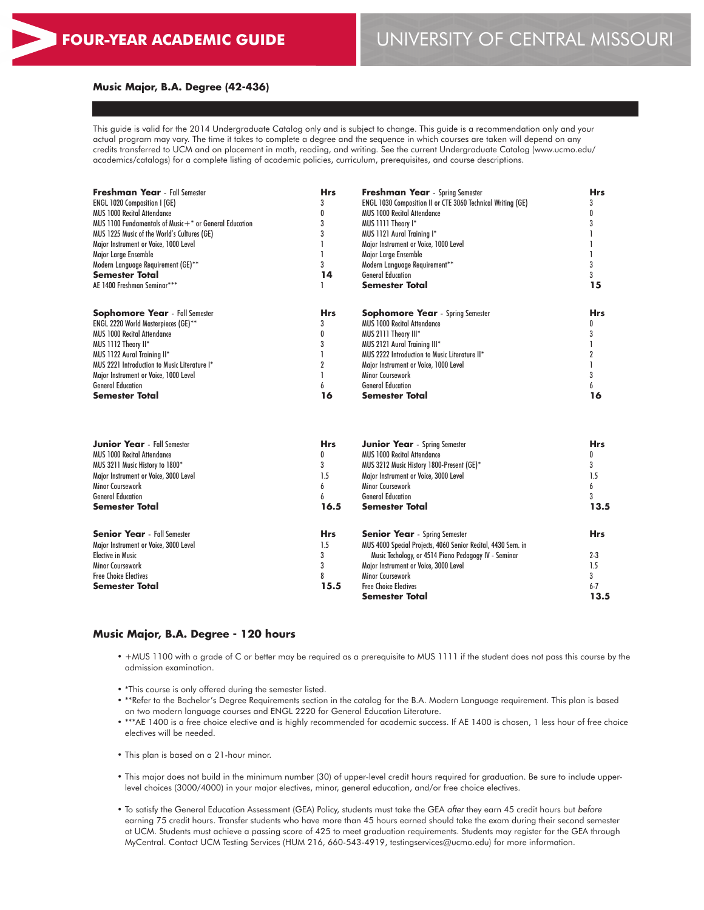#### **Music Major, B.A. Degree (42-436)**

This guide is valid for the 2014 Undergraduate Catalog only and is subject to change. This guide is a recommendation only and your actual program may vary. The time it takes to complete a degree and the sequence in which courses are taken will depend on any credits transferred to UCM and on placement in math, reading, and writing. See the current Undergraduate Catalog (www.ucmo.edu/ academics/catalogs) for a complete listing of academic policies, curriculum, prerequisites, and course descriptions.

| <b>Freshman Year</b> - Fall Semester                     | <b>Hrs</b> | <b>Hrs</b>                                                                                                                                                                                                                                                                                               |            |
|----------------------------------------------------------|------------|----------------------------------------------------------------------------------------------------------------------------------------------------------------------------------------------------------------------------------------------------------------------------------------------------------|------------|
| <b>ENGL 1020 Composition I (GE)</b>                      |            | <b>Freshman Year</b> - Spring Semester<br><b>ENGL 1030 Composition II or CTE 3060 Technical Writing (GE)</b><br><b>MUS 1000 Recital Attendance</b><br>MUS 1111 Theory I*<br>MUS 1121 Aural Training I*<br>Major Instrument or Voice, 1000 Level<br>Major Large Ensemble<br>Modern Language Requirement** |            |
| <b>MUS 1000 Recital Attendance</b>                       |            |                                                                                                                                                                                                                                                                                                          |            |
| MUS 1100 Fundamentals of Music $++$ or General Education |            |                                                                                                                                                                                                                                                                                                          |            |
| MUS 1225 Music of the World's Cultures (GE)              |            |                                                                                                                                                                                                                                                                                                          |            |
| Major Instrument or Voice, 1000 Level                    |            |                                                                                                                                                                                                                                                                                                          |            |
| Major Large Ensemble                                     |            |                                                                                                                                                                                                                                                                                                          |            |
| Modern Language Requirement (GE)**                       |            |                                                                                                                                                                                                                                                                                                          |            |
| <b>Semester Total</b>                                    | 14         | <b>General Education</b>                                                                                                                                                                                                                                                                                 |            |
| AE 1400 Freshman Seminar***                              |            | Semester Total                                                                                                                                                                                                                                                                                           | 15         |
| <b>Sophomore Year</b> - Fall Semester                    | <b>Hrs</b> | <b>Sophomore Year</b> - Spring Semester                                                                                                                                                                                                                                                                  | <b>Hrs</b> |
| <b>ENGL 2220 World Masterpieces (GE)**</b>               |            | <b>MUS 1000 Recital Attendance</b>                                                                                                                                                                                                                                                                       |            |
| <b>MUS 1000 Recital Attendance</b>                       |            | MUS 2111 Theory III*                                                                                                                                                                                                                                                                                     |            |
| MUS 1112 Theory II*                                      |            | MUS 2121 Aural Training III*                                                                                                                                                                                                                                                                             |            |
| MUS 1122 Aural Training II*                              |            | MUS 2222 Introduction to Music Literature II*                                                                                                                                                                                                                                                            |            |
| MUS 2221 Introduction to Music Literature I*             |            | Major Instrument or Voice, 1000 Level                                                                                                                                                                                                                                                                    |            |
| Major Instrument or Voice, 1000 Level                    |            | Minor Coursework                                                                                                                                                                                                                                                                                         |            |
| <b>General Education</b>                                 |            | <b>General Education</b>                                                                                                                                                                                                                                                                                 |            |
| Semester Total                                           | 16         | Semester Total                                                                                                                                                                                                                                                                                           | 16         |

| <b>Junior Year</b> - Fall Semester    | <b>Hrs</b> | <b>Hrs</b>                                                   |            |
|---------------------------------------|------------|--------------------------------------------------------------|------------|
| <b>MUS 1000 Recital Attendance</b>    | O          | <b>MUS 1000 Recital Attendance</b>                           |            |
| MUS 3211 Music History to 1800*       |            | MUS 3212 Music History 1800-Present (GE)*                    |            |
| Maior Instrument or Voice, 3000 Level | 1.5        | Maior Instrument or Voice, 3000 Level                        | 1.5        |
| Minor Coursework                      |            | Minor Coursework                                             |            |
| <b>General Education</b>              |            | <b>General Education</b>                                     |            |
| <b>Semester Total</b>                 | 16.5       | <b>Semester Total</b>                                        | 13.5       |
| <b>Senior Year</b> - Fall Semester    | <b>Hrs</b> | <b>Senior Year</b> - Spring Semester                         | <b>Hrs</b> |
| Major Instrument or Voice, 3000 Level | 1.5        | MUS 4000 Special Projects, 4060 Senior Recital, 4430 Sem. in |            |
| <b>Elective in Music</b>              |            | Music Techology, or 4514 Piano Pedagogy IV - Seminar         | $2 - 3$    |
| <b>Minor Coursework</b>               |            | Major Instrument or Voice, 3000 Level                        | 1.5        |
| <b>Free Choice Electives</b>          |            | Minor Coursework                                             |            |
| <b>Semester Total</b>                 | 15.5       | <b>Free Choice Electives</b>                                 | $6 - 7$    |
|                                       |            | Semester Total                                               | 13.5       |

#### **Music Major, B.A. Degree - 120 hours**

- +MUS 1100 with a grade of C or better may be required as a prerequisite to MUS 1111 if the student does not pass this course by the admission examination.
- \*This course is only offered during the semester listed.
- \*\*Refer to the Bachelor's Degree Requirements section in the catalog for the B.A. Modern Language requirement. This plan is based on two modern language courses and ENGL 2220 for General Education Literature.
- \*\*\*AE 1400 is a free choice elective and is highly recommended for academic success. If AE 1400 is chosen, 1 less hour of free choice electives will be needed.
- This plan is based on a 21-hour minor.
- This major does not build in the minimum number (30) of upper-level credit hours required for graduation. Be sure to include upperlevel choices (3000/4000) in your major electives, minor, general education, and/or free choice electives.
- To satisfy the General Education Assessment (GEA) Policy, students must take the GEA *after* they earn 45 credit hours but *before* earning 75 credit hours. Transfer students who have more than 45 hours earned should take the exam during their second semester at UCM. Students must achieve a passing score of 425 to meet graduation requirements. Students may register for the GEA through MyCentral. Contact UCM Testing Services (HUM 216, 660-543-4919, testingservices@ucmo.edu) for more information.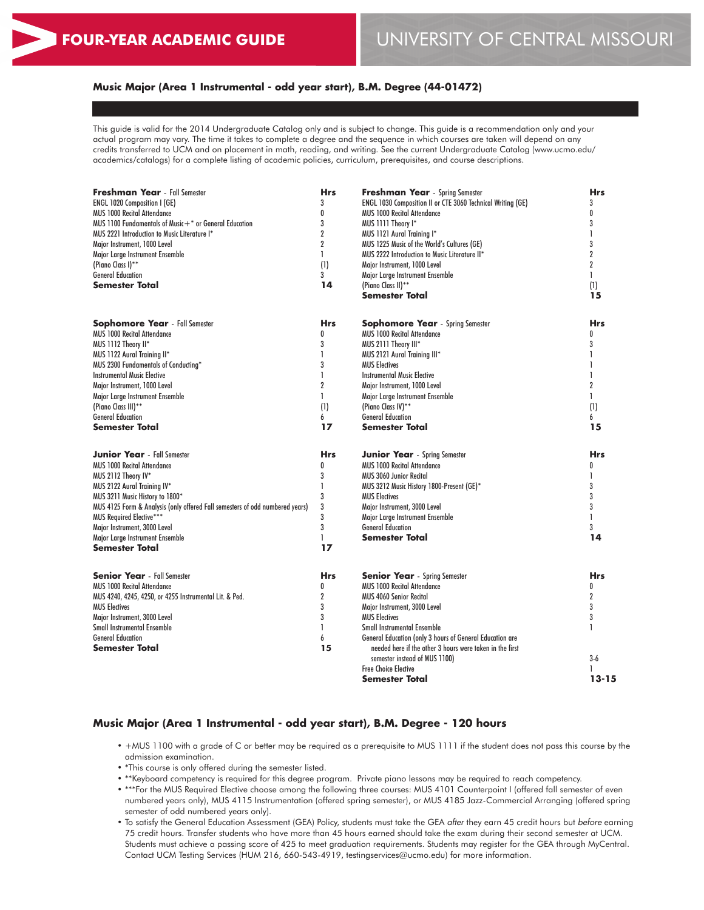## **Music Major (Area 1 Instrumental - odd year start), B.M. Degree (44-01472)**

This guide is valid for the 2014 Undergraduate Catalog only and is subject to change. This guide is a recommendation only and your actual program may vary. The time it takes to complete a degree and the sequence in which courses are taken will depend on any credits transferred to UCM and on placement in math, reading, and writing. See the current Undergraduate Catalog (www.ucmo.edu/ academics/catalogs) for a complete listing of academic policies, curriculum, prerequisites, and course descriptions.

| <b>Freshman Year</b> - Fall Semester                                         | <b>Hrs</b>      | <b>Freshman Year</b> - Spring Semester                              | <b>Hrs</b>     |
|------------------------------------------------------------------------------|-----------------|---------------------------------------------------------------------|----------------|
| ENGL 1020 Composition I (GE)                                                 | 3               | ENGL 1030 Composition II or CTE 3060 Technical Writing (GE)         | 3              |
| <b>MUS 1000 Recital Attendance</b>                                           | 0               | <b>MUS 1000 Recital Attendance</b>                                  | 0              |
| MUS 1100 Fundamentals of Music $+$ * or General Education                    | 3               | MUS 1111 Theory I*                                                  | 3              |
| MUS 2221 Introduction to Music Literature I*                                 | $\overline{2}$  | MUS 1121 Aural Training I*                                          |                |
| Major Instrument, 1000 Level                                                 | $\overline{2}$  | MUS 1225 Music of the World's Cultures (GE)                         | 3              |
| Major Large Instrument Ensemble                                              | 1               | MUS 2222 Introduction to Music Literature II*                       | $\overline{2}$ |
| (Piano Class I)**                                                            | (1)             | Major Instrument, 1000 Level                                        | $\mathbf{2}$   |
| <b>General Education</b>                                                     | $\mathbf{3}$    | Major Large Instrument Ensemble                                     | $\mathbf{1}$   |
| Semester Total                                                               | 14              | (Piano Class II)**                                                  | (1)            |
|                                                                              |                 | <b>Semester Total</b>                                               | 15             |
|                                                                              |                 |                                                                     |                |
| <b>Sophomore Year</b> - Fall Semester                                        | <b>Hrs</b>      | <b>Sophomore Year</b> - Spring Semester                             | <b>Hrs</b>     |
| <b>MUS 1000 Recital Attendance</b>                                           | 0               | <b>MUS 1000 Recital Attendance</b>                                  | $\mathbf{0}$   |
| MUS 1112 Theory II*                                                          | 3               | MUS 2111 Theory III*                                                | 3              |
| MUS 1122 Aural Training II*                                                  | 1               | MUS 2121 Aural Training III*                                        |                |
| MUS 2300 Fundamentals of Conducting*                                         | 3               | <b>MUS Electives</b>                                                | 1              |
| <b>Instrumental Music Elective</b>                                           | 1               | <b>Instrumental Music Elective</b>                                  | $\mathbf{I}$   |
| Major Instrument, 1000 Level                                                 | $\overline{2}$  | Major Instrument, 1000 Level                                        | $\overline{2}$ |
| Major Large Instrument Ensemble                                              | $\mathbf{I}$    | Major Large Instrument Ensemble                                     | L              |
| (Piano Class III)**                                                          | (1)             | (Piano Class IV)**                                                  | (1)            |
| <b>General Education</b>                                                     | 6               | <b>General Education</b>                                            | 6              |
| Semester Total                                                               | 17              | Semester Total                                                      | 15             |
|                                                                              |                 |                                                                     |                |
| <b>Junior Year</b> - Fall Semester                                           | <b>Hrs</b>      | <b>Junior Year</b> - Spring Semester                                | <b>Hrs</b>     |
| <b>MUS 1000 Recital Attendance</b>                                           | 0               | <b>MUS 1000 Recital Attendance</b>                                  | 0              |
| MUS 2112 Theory IV*                                                          | 3               | <b>MUS 3060 Junior Recital</b>                                      | 1              |
| <b>MUS 2122 Aural Training IV*</b>                                           | $\mathbf{I}$    | MUS 3212 Music History 1800-Present (GE)*                           | 3              |
| MUS 3211 Music History to 1800*                                              | 3               | <b>MUS Electives</b>                                                | 3              |
| MUS 4125 Form & Analysis (only offered Fall semesters of odd numbered years) | 3               | Major Instrument, 3000 Level                                        | 3              |
| <b>MUS Required Elective***</b>                                              | 3               | Major Large Instrument Ensemble                                     | $\mathbf{I}$   |
| Major Instrument, 3000 Level                                                 | 3               | <b>General Education</b>                                            | $\mathbf{3}$   |
| Major Large Instrument Ensemble                                              | L               | <b>Semester Total</b>                                               | 14             |
| <b>Semester Total</b>                                                        | 17              |                                                                     |                |
| <b>Senior Year</b> - Fall Semester                                           |                 |                                                                     | <b>Hrs</b>     |
|                                                                              | <b>Hrs</b><br>0 | <b>Senior Year</b> - Spring Semester<br>MUS 1000 Recital Attendance | 0              |
| <b>MUS 1000 Recital Attendance</b>                                           | $\overline{2}$  |                                                                     | $\overline{2}$ |
| MUS 4240, 4245, 4250, or 4255 Instrumental Lit. & Ped.                       |                 | <b>MUS 4060 Senior Recital</b>                                      |                |
| <b>MUS Electives</b>                                                         | 3               | Major Instrument, 3000 Level                                        | 3              |
| Major Instrument, 3000 Level                                                 | 3               | <b>MUS Electives</b>                                                | 3              |
| <b>Small Instrumental Ensemble</b>                                           | ı               | <b>Small Instrumental Ensemble</b>                                  | 1              |
| <b>General Education</b>                                                     | 6               | General Education (only 3 hours of General Education are            |                |
| Semester Total                                                               | 15              | needed here if the other 3 hours were taken in the first            |                |
|                                                                              |                 | semester instead of MUS 1100)                                       | $3-6$          |
|                                                                              |                 | <b>Free Choice Elective</b>                                         | 1              |
|                                                                              |                 | Semester Total                                                      | $13 - 15$      |

## **Music Major (Area 1 Instrumental - odd year start), B.M. Degree - 120 hours**

- +MUS 1100 with a grade of C or better may be required as a prerequisite to MUS 1111 if the student does not pass this course by the admission examination.
- \*This course is only offered during the semester listed.
- \*\*Keyboard competency is required for this degree program. Private piano lessons may be required to reach competency.
- \*\*\*For the MUS Required Elective choose among the following three courses: MUS 4101 Counterpoint I (offered fall semester of even numbered years only), MUS 4115 Instrumentation (offered spring semester), or MUS 4185 Jazz-Commercial Arranging (offered spring semester of odd numbered years only).
- To satisfy the General Education Assessment (GEA) Policy, students must take the GEA *after* they earn 45 credit hours but *before* earning 75 credit hours. Transfer students who have more than 45 hours earned should take the exam during their second semester at UCM. Students must achieve a passing score of 425 to meet graduation requirements. Students may register for the GEA through MyCentral. Contact UCM Testing Services (HUM 216, 660-543-4919, testingservices@ucmo.edu) for more information.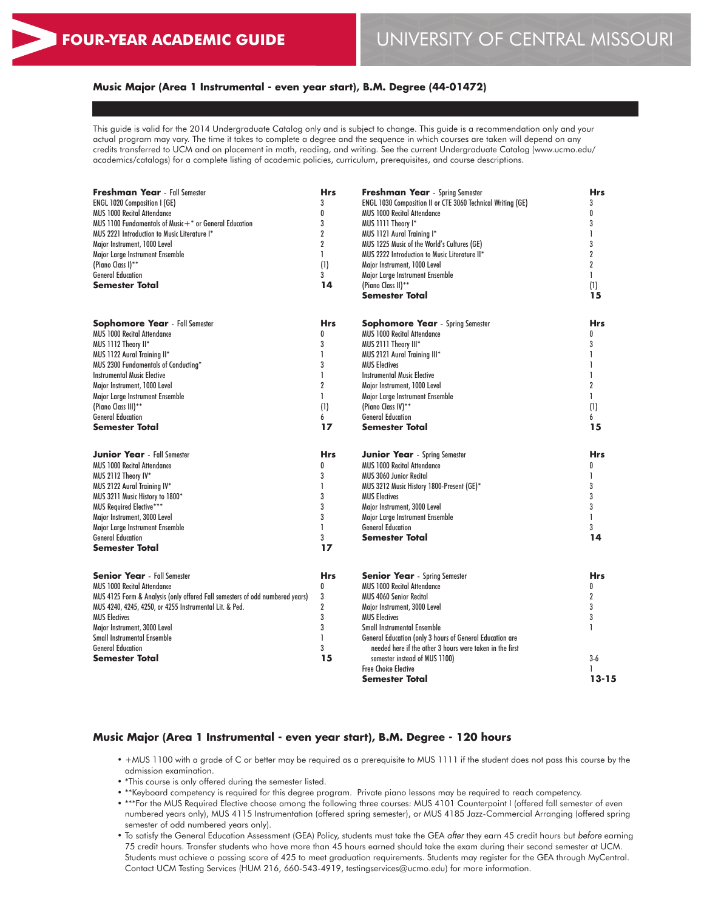## **Music Major (Area 1 Instrumental - even year start), B.M. Degree (44-01472)**

This guide is valid for the 2014 Undergraduate Catalog only and is subject to change. This guide is a recommendation only and your actual program may vary. The time it takes to complete a degree and the sequence in which courses are taken will depend on any credits transferred to UCM and on placement in math, reading, and writing. See the current Undergraduate Catalog (www.ucmo.edu/ academics/catalogs) for a complete listing of academic policies, curriculum, prerequisites, and course descriptions.

| <b>Freshman Year</b> - Fall Semester                                         | <b>Hrs</b>     | <b>Freshman Year</b> - Spring Semester                      | <b>Hrs</b>     |
|------------------------------------------------------------------------------|----------------|-------------------------------------------------------------|----------------|
| ENGL 1020 Composition I (GE)                                                 | 3              | ENGL 1030 Composition II or CTE 3060 Technical Writing (GE) | 3              |
| <b>MUS 1000 Recital Attendance</b>                                           | 0              | <b>MUS 1000 Recital Attendance</b>                          | 0              |
| MUS 1100 Fundamentals of Music $+$ * or General Education                    | 3              | MUS 1111 Theory I*                                          | 3              |
| MUS 2221 Introduction to Music Literature I*                                 | $\overline{2}$ | MUS 1121 Aural Training I*                                  | 1              |
| Major Instrument, 1000 Level                                                 | $\overline{2}$ | MUS 1225 Music of the World's Cultures (GE)                 | 3              |
| Major Large Instrument Ensemble                                              | 1              | MUS 2222 Introduction to Music Literature II*               | $\overline{2}$ |
| (Piano Class I)**                                                            | (1)            | Major Instrument, 1000 Level                                | $\overline{2}$ |
| <b>General Education</b>                                                     | 3              | Major Large Instrument Ensemble                             | $\mathbf{1}$   |
| Semester Total                                                               | 14             | (Piano Class II)**                                          | (1)            |
|                                                                              |                | Semester Total                                              | 15             |
|                                                                              |                |                                                             |                |
| <b>Sophomore Year</b> - Fall Semester                                        | <b>Hrs</b>     | <b>Sophomore Year</b> - Spring Semester                     | <b>Hrs</b>     |
| <b>MUS 1000 Recital Attendance</b>                                           | 0              | <b>MUS 1000 Recital Attendance</b>                          | 0              |
| MUS 1112 Theory II*                                                          | 3              | MUS 2111 Theory III*                                        | 3              |
| MUS 1122 Aural Training II*                                                  | 1              | MUS 2121 Aural Training III*                                | 1              |
| MUS 2300 Fundamentals of Conducting*                                         | 3              | <b>MUS Electives</b>                                        | 1              |
| <b>Instrumental Music Elective</b>                                           | 1              | <b>Instrumental Music Elective</b>                          | 1              |
| Major Instrument, 1000 Level                                                 | $\overline{2}$ | Major Instrument, 1000 Level                                | $\overline{2}$ |
| Major Large Instrument Ensemble                                              | $\mathbf{I}$   | Major Large Instrument Ensemble                             | $\mathbf{I}$   |
| (Piano Class III)**                                                          | (1)            | (Piano Class IV)**                                          | (1)            |
| <b>General Education</b>                                                     | 6              | <b>General Education</b>                                    | 6              |
| <b>Semester Total</b>                                                        | 17             | Semester Total                                              | 15             |
|                                                                              |                |                                                             |                |
| <b>Junior Year</b> - Fall Semester                                           | <b>Hrs</b>     | <b>Junior Year</b> - Spring Semester                        | <b>Hrs</b>     |
| <b>MUS 1000 Recital Attendance</b>                                           | 0              | <b>MUS 1000 Recital Attendance</b>                          | 0              |
| MUS 2112 Theory IV*                                                          | 3              | <b>MUS 3060 Junior Recital</b>                              | 1              |
| MUS 2122 Aural Training IV*                                                  | 1              | MUS 3212 Music History 1800-Present (GE)*                   | 3              |
| MUS 3211 Music History to 1800*                                              | 3              | <b>MUS Electives</b>                                        | 3              |
| <b>MUS Required Elective***</b>                                              | 3              | Major Instrument, 3000 Level                                | 3              |
| Major Instrument, 3000 Level                                                 | 3              | Major Large Instrument Ensemble                             | $\mathbf{I}$   |
| Major Large Instrument Ensemble                                              | 1              | <b>General Education</b>                                    | 3              |
| <b>General Education</b>                                                     | 3              | <b>Semester Total</b>                                       | 14             |
| <b>Semester Total</b>                                                        | 17             |                                                             |                |
|                                                                              |                |                                                             |                |
| <b>Senior Year</b> - Fall Semester                                           | <b>Hrs</b>     | <b>Senior Year</b> - Spring Semester                        | <b>Hrs</b>     |
| <b>MUS 1000 Recital Attendance</b>                                           | 0              | <b>MUS 1000 Recital Attendance</b>                          | 0              |
| MUS 4125 Form & Analysis (only offered Fall semesters of odd numbered years) | 3              | <b>MUS 4060 Senior Recital</b>                              | $\mathbf 2$    |
| MUS 4240, 4245, 4250, or 4255 Instrumental Lit. & Ped.                       | $\overline{2}$ | Major Instrument, 3000 Level                                | 3              |
| <b>MUS Electives</b>                                                         | 3              | <b>MUS Electives</b>                                        | 3              |
| Major Instrument, 3000 Level                                                 | 3              | <b>Small Instrumental Ensemble</b>                          | 1              |
| <b>Small Instrumental Ensemble</b>                                           | 1              | General Education (only 3 hours of General Education are    |                |
| <b>General Education</b>                                                     | 3              | needed here if the other 3 hours were taken in the first    |                |
| Semester Total                                                               | 15             | semester instead of MUS 1100)                               | $3-6$          |
|                                                                              |                | <b>Free Choice Elective</b>                                 | L              |
|                                                                              |                | Semester Total                                              | $13 - 15$      |

#### **Music Major (Area 1 Instrumental - even year start), B.M. Degree - 120 hours**

- +MUS 1100 with a grade of C or better may be required as a prerequisite to MUS 1111 if the student does not pass this course by the admission examination.
- \*This course is only offered during the semester listed.
- \*\*Keyboard competency is required for this degree program. Private piano lessons may be required to reach competency.
- \*\*\*For the MUS Required Elective choose among the following three courses: MUS 4101 Counterpoint I (offered fall semester of even numbered years only), MUS 4115 Instrumentation (offered spring semester), or MUS 4185 Jazz-Commercial Arranging (offered spring semester of odd numbered years only).
- To satisfy the General Education Assessment (GEA) Policy, students must take the GEA *after* they earn 45 credit hours but *before* earning 75 credit hours. Transfer students who have more than 45 hours earned should take the exam during their second semester at UCM. Students must achieve a passing score of 425 to meet graduation requirements. Students may register for the GEA through MyCentral. Contact UCM Testing Services (HUM 216, 660-543-4919, testingservices@ucmo.edu) for more information.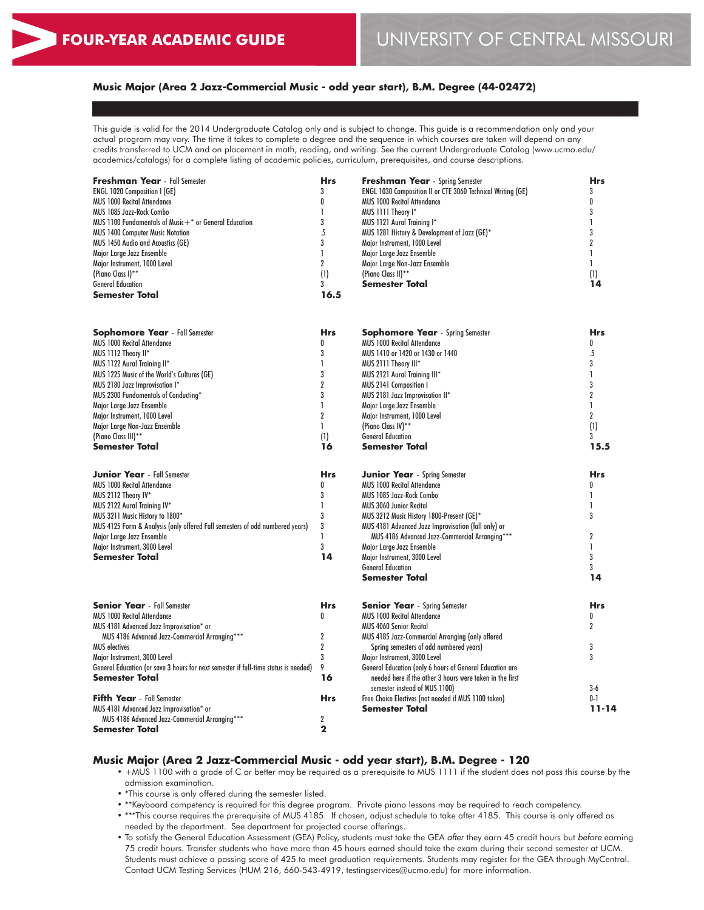## **Music Major (Area 2 Jazz-Commercial Music - odd year start), B.M. Degree (44-02472)**

This guide is valid for the 2014 Undergraduate Catalog only and is subject to change. This guide is a recommendation only and your actual program may vary. The time it takes to complete a degree and the sequence in which courses are taken will depend on any credits transferred to UCM and on placement in math, reading, and writing. See the current Undergraduate Catalog (www.ucmo.edu/ academics/catalogs) for a complete listing of academic policies, curriculum, prerequisites, and course descriptions.

| <b>Freshman Year</b> - Fall Semester                                                | <b>Hrs</b>     | <b>Freshman Year</b> - Spring Semester                                        | <b>Hrs</b>     |
|-------------------------------------------------------------------------------------|----------------|-------------------------------------------------------------------------------|----------------|
| <b>ENGL 1020 Composition I (GE)</b>                                                 | 3              | <b>ENGL 1030 Composition II or CTE 3060 Technical Writing (GE)</b>            | 3              |
| <b>MUS 1000 Recital Attendance</b>                                                  | 0              | <b>MUS 1000 Recital Attendance</b>                                            | 0              |
| MUS 1085 Jazz-Rock Combo                                                            | 1              | MUS 1111 Theory I*                                                            | 3              |
| MUS 1100 Fundamentals of Music $+$ * or General Education                           | 3              | MUS 1121 Aural Training I*                                                    | L              |
| <b>MUS 1400 Computer Music Notation</b>                                             | .5             | MUS 1281 History & Development of Jazz (GE)*                                  | 3              |
| MUS 1450 Audio and Acoustics (GE)                                                   | 3              | Major Instrument, 1000 Level                                                  | $\overline{2}$ |
| Major Large Jazz Ensemble                                                           | L              | Major Large Jazz Ensemble                                                     | L              |
| Major Instrument, 1000 Level                                                        | $\overline{2}$ | Major Large Non-Jazz Ensemble                                                 | 1.             |
| (Piano Class I)**                                                                   | (1)            | (Piano Class II)**                                                            | (1)            |
| <b>General Education</b>                                                            | 3              | <b>Semester Total</b>                                                         | 14             |
| <b>Semester Total</b>                                                               | 16.5           |                                                                               |                |
| <b>Sophomore Year</b> - Fall Semester                                               | <b>Hrs</b>     | <b>Sophomore Year</b> - Spring Semester                                       | <b>Hrs</b>     |
| <b>MUS 1000 Recital Attendance</b>                                                  | $\mathbf{0}$   | <b>MUS 1000 Recital Attendance</b>                                            | 0              |
| MUS 1112 Theory II*                                                                 | 3              | MUS 1410 or 1420 or 1430 or 1440                                              | .5             |
| MUS 1122 Aural Training II*                                                         | $\mathbf{I}$   | MUS 2111 Theory III*                                                          | 3              |
| MUS 1225 Music of the World's Cultures (GE)                                         | 3              | MUS 2121 Aural Training III*                                                  | 1              |
| MUS 2180 Jazz Improvisation I*                                                      | $\overline{2}$ | <b>MUS 2141 Composition I</b>                                                 | 3              |
| MUS 2300 Fundamentals of Conducting*                                                | 3              | MUS 2181 Jazz Improvisation II*                                               | $\overline{2}$ |
| Major Large Jazz Ensemble                                                           | $\mathbf{I}$   | Major Large Jazz Ensemble                                                     | 1              |
| Major Instrument, 1000 Level                                                        | $\overline{2}$ | Major Instrument, 1000 Level                                                  | $\overline{2}$ |
| Major Large Non-Jazz Ensemble                                                       | $\mathbf{I}$   | (Piano Class IV)**                                                            | (1)            |
| (Piano Class III)**                                                                 | (1)            | <b>General Education</b>                                                      | 3              |
| Semester Total                                                                      | 16             | <b>Semester Total</b>                                                         | 15.5           |
| <b>Junior Year</b> - Fall Semester                                                  | <b>Hrs</b>     | <b>Junior Year</b> - Spring Semester                                          | <b>Hrs</b>     |
| <b>MUS 1000 Recital Attendance</b>                                                  | 0              | <b>MUS 1000 Recital Attendance</b>                                            | 0              |
| MUS 2112 Theory IV*                                                                 | 3              | MUS 1085 Jazz-Rock Combo                                                      | 1              |
| MUS 2122 Aural Training IV*                                                         | $\mathbf{I}$   | <b>MUS 3060 Junior Recital</b>                                                | 1              |
| MUS 3211 Music History to 1800*                                                     | 3              | MUS 3212 Music History 1800-Present (GE)*                                     | 3              |
| MUS 4125 Form & Analysis (only offered Fall semesters of odd numbered years)        | 3              | MUS 4181 Advanced Jazz Improvisation (fall only) or                           |                |
| Major Large Jazz Ensemble                                                           | $\mathbf{I}$   | MUS 4186 Advanced Jazz-Commercial Arranging***                                | $\overline{2}$ |
| Major Instrument, 3000 Level                                                        | 3              | Major Large Jazz Ensemble                                                     | L              |
| Semester Total                                                                      | 14             | Major Instrument, 3000 Level                                                  | 3              |
|                                                                                     |                | <b>General Education</b>                                                      | 3              |
|                                                                                     |                | <b>Semester Total</b>                                                         | 14             |
| <b>Senior Year</b> - Fall Semester                                                  | <b>Hrs</b>     | <b>Senior Year</b> - Spring Semester                                          | <b>Hrs</b>     |
| MUS 1000 Recital Attendance                                                         | 0              | <b>MUS 1000 Recital Attendance</b>                                            | 0              |
| MUS 4181 Advanced Jazz Improvisation* or                                            |                | <b>MUS 4060 Senior Recital</b>                                                | $\overline{2}$ |
| MUS 4186 Advanced Jazz-Commercial Arranging***                                      | $\overline{2}$ | MUS 4185 Jazz-Commercial Arranging (only offered                              |                |
| <b>MUS</b> electives                                                                | $\overline{2}$ | Spring semesters of odd numbered years)                                       | 3              |
| Major Instrument, 3000 Level                                                        | 3              | Major Instrument, 3000 Level                                                  | 3              |
| General Education (or save 3 hours for next semester if full-time status is needed) | 9              | General Education (only 6 hours of General Education are                      |                |
| Semester Total                                                                      | 16             | needed here if the other 3 hours were taken in the first                      |                |
| <b>Fifth Year</b> - Fall Semester                                                   | <b>Hrs</b>     | semester instead of MUS 1100)                                                 | $3-6$<br>$0-1$ |
| MUS 4181 Advanced Jazz Improvisation* or                                            |                | Free Choice Electives (not needed if MUS 1100 taken)<br><b>Semester Total</b> | $11 - 14$      |
| MUS 4186 Advanced Jazz-Commercial Arranging***                                      | $\overline{2}$ |                                                                               |                |
| Semester Total                                                                      | $\mathbf{2}$   |                                                                               |                |
|                                                                                     |                |                                                                               |                |

#### **Music Major (Area 2 Jazz-Commercial Music - odd year start), B.M. Degree - 120**

- +MUS 1100 with a grade of C or better may be required as a prerequisite to MUS 1111 if the student does not pass this course by the admission examination.
- \*This course is only offered during the semester listed.
- \*\*Keyboard competency is required for this degree program. Private piano lessons may be required to reach competency.
- \*\*\*This course requires the prerequisite of MUS 4185. If chosen, adjust schedule to take after 4185. This course is only offered as needed by the department. See department for projected course offerings.
- To satisfy the General Education Assessment (GEA) Policy, students must take the GEA *after* they earn 45 credit hours but *before* earning 75 credit hours. Transfer students who have more than 45 hours earned should take the exam during their second semester at UCM. Students must achieve a passing score of 425 to meet graduation requirements. Students may register for the GEA through MyCentral. Contact UCM Testing Services (HUM 216, 660-543-4919, testingservices@ucmo.edu) for more information.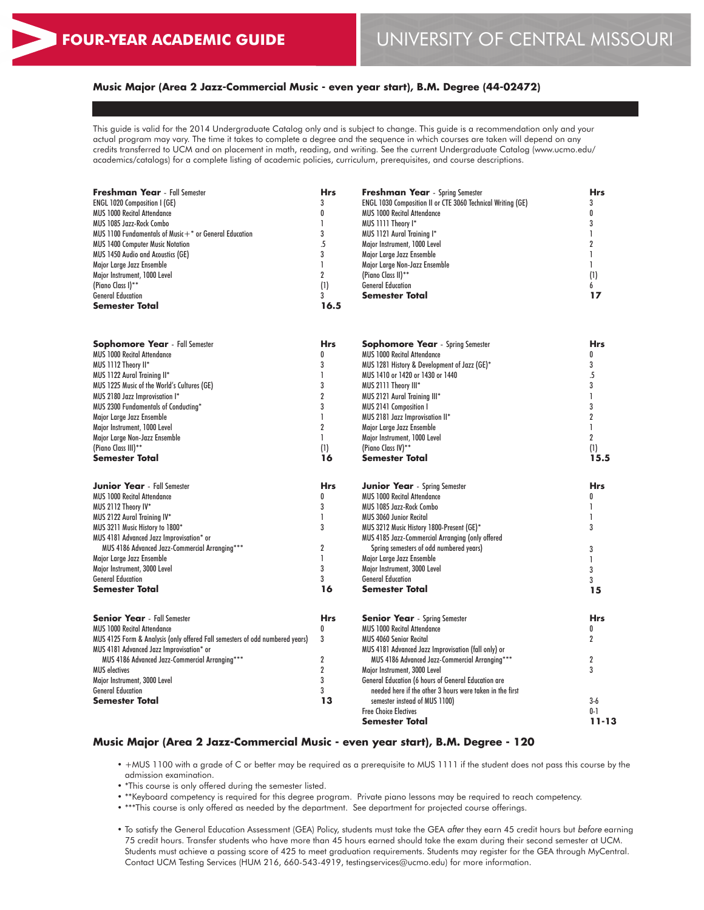## **Music Major (Area 2 Jazz-Commercial Music - even year start), B.M. Degree (44-02472)**

This guide is valid for the 2014 Undergraduate Catalog only and is subject to change. This guide is a recommendation only and your actual program may vary. The time it takes to complete a degree and the sequence in which courses are taken will depend on any credits transferred to UCM and on placement in math, reading, and writing. See the current Undergraduate Catalog (www.ucmo.edu/ academics/catalogs) for a complete listing of academic policies, curriculum, prerequisites, and course descriptions.

| <b>Freshman Year</b> - Fall Semester                      | <b>Hrs</b> | <b>Freshman Year</b> - Spring Semester                      | <b>Hrs</b>     |
|-----------------------------------------------------------|------------|-------------------------------------------------------------|----------------|
| <b>ENGL 1020 Composition I (GE)</b>                       | 3          | ENGL 1030 Composition II or CTE 3060 Technical Writing (GE) | 3              |
| <b>MUS 1000 Recital Attendance</b>                        |            | <b>MUS 1000 Recital Attendance</b>                          | 0              |
| MUS 1085 Jazz-Rock Combo                                  |            | MUS 1111 Theory I*                                          |                |
| MUS 1100 Fundamentals of Music $+$ * or General Education |            | MUS 1121 Aural Training I*                                  |                |
| <b>MUS 1400 Computer Music Notation</b>                   |            | Major Instrument, 1000 Level                                |                |
| MUS 1450 Audio and Acoustics (GE)                         |            | Major Large Jazz Ensemble                                   |                |
| Major Large Jazz Ensemble                                 |            | Major Large Non-Jazz Ensemble                               |                |
| Major Instrument, 1000 Level                              |            | (Piano Class II)**                                          | (1)            |
| (Piano Class I)**                                         | (1)        | <b>General Education</b>                                    | 6              |
| <b>General Education</b>                                  |            | Semester Total                                              | 17             |
| Semester Total                                            | 16.5       |                                                             |                |
|                                                           |            |                                                             |                |
| <b>Sophomore Year</b> - Fall Semester                     | <b>Hrs</b> | <b>Sophomore Year</b> - Spring Semester                     | <b>Hrs</b>     |
| <b>MUS 1000 Recital Attendance</b>                        | 0          | MUS 1000 Recital Attendance                                 | 0              |
| MUS 1112 Theory II*                                       |            | MUS 1281 History & Development of Jazz (GE)*                | 3              |
| MUS 1122 Aural Training II*                               |            | MUS 1410 or 1420 or 1430 or 1440                            | .5             |
| MUS 1225 Music of the World's Cultures (GE)               |            | MUS 2111 Theory III*                                        |                |
| MUS 2180 Jazz Improvisation I*                            |            | MUS 2121 Aural Training III*                                |                |
| MUS 2300 Fundamentals of Conducting*                      |            | MUS 2141 Composition I                                      |                |
| Major Large Jazz Ensemble                                 |            | MUS 2181 Jazz Improvisation II*                             |                |
| Major Instrument, 1000 Level                              |            | Major Large Jazz Ensemble                                   |                |
| Major Large Non-Jazz Ensemble                             |            | Major Instrument, 1000 Level                                | $\overline{2}$ |
| (Piano Class III)**                                       | (1)        | (Piano Class IV)**                                          | (1)            |
| <b>Semester Total</b>                                     | 16         | <b>Semester Total</b>                                       | 15.5           |
|                                                           |            |                                                             |                |

| <b>Junior Year</b> - Fall Semester                                           | <b>Hrs</b> | <b>Junior Year</b> - Spring Semester                       | <b>Hrs</b> |
|------------------------------------------------------------------------------|------------|------------------------------------------------------------|------------|
| <b>MUS 1000 Recital Attendance</b>                                           |            | <b>MUS 1000 Recital Attendance</b>                         |            |
| MUS 2112 Theory IV*                                                          |            | MUS 1085 Jazz-Rock Combo                                   |            |
| MUS 2122 Aural Training IV*                                                  |            | <b>MUS 3060 Junior Recital</b>                             |            |
| MUS 3211 Music History to 1800*                                              |            | MUS 3212 Music History 1800-Present (GE)*                  |            |
| MUS 4181 Advanced Jazz Improvisation* or                                     |            | MUS 4185 Jazz-Commercial Arranging (only offered           |            |
| MUS 4186 Advanced Jazz-Commercial Arranging***                               |            | Spring semesters of odd numbered years)                    |            |
| Major Large Jazz Ensemble                                                    |            | Major Large Jazz Ensemble                                  |            |
| Major Instrument, 3000 Level                                                 |            | Major Instrument, 3000 Level                               |            |
| <b>General Education</b>                                                     |            | <b>General Education</b>                                   |            |
| Semester Total                                                               | 16         | <b>Semester Total</b>                                      | 15         |
| <b>Senior Year</b> - Fall Semester                                           | <b>Hrs</b> | <b>Senior Year</b> - Spring Semester                       | <b>Hrs</b> |
| <b>MUS 1000 Recital Attendance</b>                                           |            | <b>MUS 1000 Recital Attendance</b>                         |            |
| MUS 4125 Form & Analysis (only offered Fall semesters of odd numbered years) | 3          | <b>MUS 4060 Senior Recital</b>                             |            |
| MUS 4181 Advanced Jazz Improvisation* or                                     |            | MUS 4181 Advanced Jazz Improvisation (fall only) or        |            |
| MUS 4186 Advanced Jazz-Commercial Arranging***                               |            | MUS 4186 Advanced Jazz-Commercial Arranging***             |            |
| <b>MUS electives</b>                                                         |            | Major Instrument, 3000 Level                               |            |
| Major Instrument, 3000 Level                                                 |            | <b>General Education (6 hours of General Education are</b> |            |
| <b>General Education</b>                                                     |            | needed here if the other 3 hours were taken in the first   |            |
| Semester Total                                                               | 13         | semester instead of MUS 1100)                              | $3-6$      |
|                                                                              |            | <b>Free Choice Electives</b>                               | $0 - 1$    |

#### **Music Major (Area 2 Jazz-Commercial Music - even year start), B.M. Degree - 120**

• +MUS 1100 with a grade of C or better may be required as a prerequisite to MUS 1111 if the student does not pass this course by the admission examination.

**Semester Total**

**11-13**

- \*This course is only offered during the semester listed.
- \*\*Keyboard competency is required for this degree program. Private piano lessons may be required to reach competency.
- \*\*\*This course is only offered as needed by the department. See department for projected course offerings.
- To satisfy the General Education Assessment (GEA) Policy, students must take the GEA *after* they earn 45 credit hours but *before* earning 75 credit hours. Transfer students who have more than 45 hours earned should take the exam during their second semester at UCM. Students must achieve a passing score of 425 to meet graduation requirements. Students may register for the GEA through MyCentral. Contact UCM Testing Services (HUM 216, 660-543-4919, testingservices@ucmo.edu) for more information.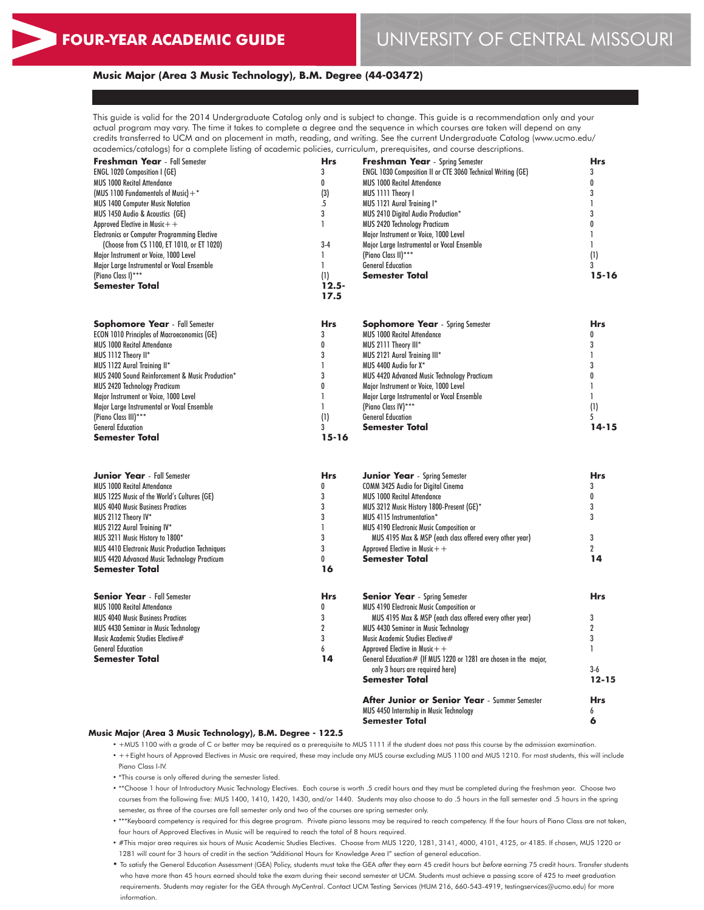## **Music Major (Area 3 Music Technology), B.M. Degree (44-03472)**

This guide is valid for the 2014 Undergraduate Catalog only and is subject to change. This guide is a recommendation only and your actual program may vary. The time it takes to complete a degree and the sequence in which courses are taken will depend on any credits transferred to UCM and on placement in math, reading, and writing. See the current Undergraduate Catalog (www.ucmo.edu/ academics/catalogs) for a complete listing of academic policies, curriculum, prerequisites, and course descriptions.

| <b>Freshman Year</b> - Fall Semester               | Hrs            | <b>Freshman Year</b> - Spring Semester                           | Hrs            |
|----------------------------------------------------|----------------|------------------------------------------------------------------|----------------|
| <b>ENGL 1020 Composition I (GE)</b>                | 3              | ENGL 1030 Composition II or CTE 3060 Technical Writing (GE)      | 3              |
| <b>MUS 1000 Recital Attendance</b>                 | 0              | <b>MUS 1000 Recital Attendance</b>                               | 0              |
| (MUS 1100 Fundamentals of Music) $+$ *             | (3)            | MUS 1111 Theory I                                                | 3              |
| <b>MUS 1400 Computer Music Notation</b>            | $\overline{5}$ | MUS 1121 Aural Training I*                                       | 1              |
| MUS 1450 Audio & Acoustics (GE)                    | 3              | MUS 2410 Digital Audio Production*                               | 3              |
| Approved Elective in Music $+$ +                   | 1              | MUS 2420 Technology Practicum                                    | 0              |
| Electronics or Computer Programming Elective       |                | Major Instrument or Voice, 1000 Level                            | 1              |
| (Choose from CS 1100, ET 1010, or ET 1020)         | $3-4$          | Major Large Instrumental or Vocal Ensemble                       | $\mathbf{1}$   |
| Major Instrument or Voice, 1000 Level              | $\mathbf{I}$   | (Piano Class II)***                                              | (1)            |
| Major Large Instrumental or Vocal Ensemble         | 1              | <b>General Education</b>                                         | 3              |
| (Piano Class I)***                                 | (1)            | Semester Total                                                   | $15 - 16$      |
| Semester Total                                     | $12.5 -$       |                                                                  |                |
|                                                    | 17.5           |                                                                  |                |
|                                                    | <b>Hrs</b>     |                                                                  | <b>Hrs</b>     |
| <b>Sophomore Year</b> - Fall Semester              |                | <b>Sophomore Year</b> - Spring Semester                          |                |
| <b>ECON 1010 Principles of Macroeconomics (GE)</b> | 3              | <b>MUS 1000 Recital Attendance</b>                               | 0              |
| <b>MUS 1000 Recital Attendance</b>                 | 0              | MUS 2111 Theory III*                                             | 3              |
| MUS 1112 Theory II*                                | 3              | MUS 2121 Aural Training III*                                     | 1              |
| MUS 1122 Aural Training II*                        | 1              | MUS 4400 Audio for X*                                            | 3              |
| MUS 2400 Sound Reinforcement & Music Production*   | 3              | MUS 4420 Advanced Music Technology Practicum                     | 0              |
| <b>MUS 2420 Technology Practicum</b>               | 0              | Major Instrument or Voice, 1000 Level                            | $\mathbf{I}$   |
| Major Instrument or Voice, 1000 Level              | 1              | Major Large Instrumental or Vocal Ensemble                       | $\mathbf{1}$   |
| Major Large Instrumental or Vocal Ensemble         | 1              | (Piano Class IV)***                                              | (1)            |
| (Piano Class III)***                               | (1)            | <b>General Education</b>                                         | 5              |
| <b>General Education</b>                           | 3              | Semester Total                                                   | $14 - 15$      |
| Semester Total                                     | $15 - 16$      |                                                                  |                |
|                                                    |                |                                                                  |                |
| <b>Junior Year</b> - Fall Semester                 | <b>Hrs</b>     | <b>Junior Year</b> - Spring Semester                             | <b>Hrs</b>     |
| <b>MUS 1000 Recital Attendance</b>                 | 0              | COMM 3425 Audio for Digital Cinema                               | 3              |
| MUS 1225 Music of the World's Cultures (GE)        | 3              | <b>MUS 1000 Recital Attendance</b>                               | 0              |
| <b>MUS 4040 Music Business Practices</b>           | 3              | MUS 3212 Music History 1800-Present (GE)*                        | 3              |
| MUS 2112 Theory IV*                                | 3              | MUS 4115 Instrumentation*                                        | 3              |
| MUS 2122 Aural Training IV*                        | 1              | MUS 4190 Electronic Music Composition or                         |                |
| MUS 3211 Music History to 1800*                    | 3              | MUS 4195 Max & MSP (each class offered every other year)         | 3              |
| MUS 4410 Electronic Music Production Techniques    | 3              | Approved Elective in Music $+$ +                                 | $\overline{2}$ |
| MUS 4420 Advanced Music Technology Practicum       | 0              | Semester Total                                                   | 14             |
| Semester Total                                     | 16             |                                                                  |                |
| <b>Senior Year</b> - Fall Semester                 | <b>Hrs</b>     | <b>Senior Year</b> - Spring Semester                             | <b>Hrs</b>     |
| <b>MUS 1000 Recital Attendance</b>                 | 0              | MUS 4190 Electronic Music Composition or                         |                |
| <b>MUS 4040 Music Business Practices</b>           | 3              | MUS 4195 Max & MSP (each class offered every other year)         | 3              |
| MUS 4430 Seminar in Music Technology               | $\overline{2}$ | MUS 4430 Seminar in Music Technology                             | $\overline{2}$ |
| Music Academic Studies Elective#                   | 3              | Music Academic Studies Elective#                                 | 3              |
| <b>General Education</b>                           | 6              | Approved Elective in Music $+$ +                                 | 1              |
| Semester Total                                     | 14             | General Education# (If MUS 1220 or 1281 are chosen in the major, |                |
|                                                    |                | only 3 hours are required here)                                  | $3-6$          |
|                                                    |                | Semester Total                                                   | $12 - 15$      |
|                                                    |                | After Junior or Senior Year - Summer Semester                    | <b>Hrs</b>     |
|                                                    |                | MUS 4450 Internship in Music Technology                          | 6              |
|                                                    |                | Semester Total                                                   | 6              |

#### **Music Major (Area 3 Music Technology), B.M. Degree - 122.5**

- +MUS 1100 with a grade of C or better may be required as a prerequisite to MUS 1111 if the student does not pass this course by the admission examination. • ++Eight hours of Approved Electives in Music are required, these may include any MUS course excluding MUS 1100 and MUS 1210. For most students, this will include
- Piano Class I-IV.
- \*This course is only offered during the semester listed.
- \*\*\*Choose 1 hour of Introductory Music Technology Electives. Each course is worth .5 credit hours and they must be completed during the freshman year. Choose two courses from the following five: MUS 1400, 1410, 1420, 1430, and/or 1440. Students may also choose to do .5 hours in the fall semester and .5 hours in the spring semester, as three of the courses are fall semester only and two of the courses are spring semester only.
- \*\*\*Keyboard competency is required for this degree program. Private piano lessons may be required to reach competency. If the four hours of Piano Class are not taken, four hours of Approved Electives in Music will be required to reach the total of 8 hours required.
- #This major area requires six hours of Music Academic Studies Electives. Choose from MUS 1220, 1281, 3141, 4000, 4101, 4125, or 4185. If chosen, MUS 1220 or 1281 will count for 3 hours of credit in the section "Additional Hours for Knowledge Area I" section of general education.
- To satisfy the General Education Assessment (GEA) Policy, students must take the GEA *after* they earn 45 credit hours but *before* earning 75 credit hours. Transfer students who have more than 45 hours earned should take the exam during their second semester at UCM. Students must achieve a passing score of 425 to meet graduation requirements. Students may register for the GEA through MyCentral. Contact UCM Testing Services (HUM 216, 660-543-4919, testingservices@ucmo.edu) for more information.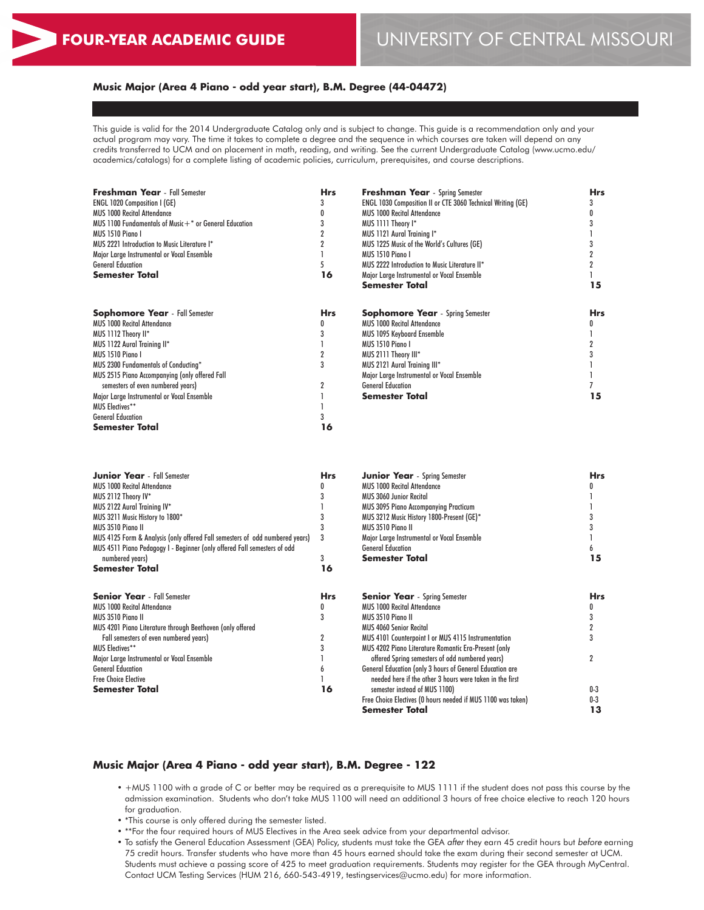## **Music Major (Area 4 Piano - odd year start), B.M. Degree (44-04472)**

This guide is valid for the 2014 Undergraduate Catalog only and is subject to change. This guide is a recommendation only and your actual program may vary. The time it takes to complete a degree and the sequence in which courses are taken will depend on any credits transferred to UCM and on placement in math, reading, and writing. See the current Undergraduate Catalog (www.ucmo.edu/ academics/catalogs) for a complete listing of academic policies, curriculum, prerequisites, and course descriptions.

| <b>Freshman Year</b> - Fall Semester                      | <b>Hrs</b> | <b>Freshman Year</b> - Spring Semester                             | <b>Hrs</b> |
|-----------------------------------------------------------|------------|--------------------------------------------------------------------|------------|
| <b>ENGL 1020 Composition I (GE)</b>                       |            | <b>ENGL 1030 Composition II or CTE 3060 Technical Writing (GE)</b> |            |
| <b>MUS 1000 Recital Attendance</b>                        |            | <b>MUS 1000 Recital Attendance</b>                                 |            |
| MUS 1100 Fundamentals of Music $+$ * or General Education |            | MUS 1111 Theory I*                                                 |            |
| MUS 1510 Piano I                                          |            | MUS 1121 Aural Training I*                                         |            |
| MUS 2221 Introduction to Music Literature I*              |            | MUS 1225 Music of the World's Cultures (GE)                        |            |
| Major Large Instrumental or Vocal Ensemble                |            | MUS 1510 Piano I                                                   |            |
| <b>General Education</b>                                  | 5          | MUS 2222 Introduction to Music Literature II*                      |            |
| <b>Semester Total</b>                                     | 16         | Major Large Instrumental or Vocal Ensemble                         |            |
|                                                           |            | <b>Semester Total</b>                                              | 15         |
| <b>Sophomore Year</b> - Fall Semester                     | <b>Hrs</b> | <b>Sophomore Year</b> - Spring Semester                            | <b>Hrs</b> |
| <b>MUS 1000 Recital Attendance</b>                        | 0          | <b>MUS 1000 Recital Attendance</b>                                 |            |
| MUS 1112 Theory II*                                       |            | <b>MUS 1095 Keyboard Ensemble</b>                                  |            |
| MUS 1122 Aural Training II*                               |            | MUS 1510 Piano I                                                   |            |
| MUS 1510 Piano I                                          |            | MUS 2111 Theory III*                                               |            |
| MUS 2300 Fundamentals of Conducting*                      | 3          | MUS 2121 Aural Training III*                                       |            |
| MUS 2515 Piano Accompanying (only offered Fall            |            | Major Large Instrumental or Vocal Ensemble                         |            |
| semesters of even numbered years)                         |            | <b>General Education</b>                                           |            |
| Major Large Instrumental or Vocal Ensemble                |            | <b>Semester Total</b>                                              | 15         |
| <b>MUS Electives**</b>                                    |            |                                                                    |            |
| <b>General Education</b>                                  |            |                                                                    |            |
| <b>Semester Total</b>                                     | 16         |                                                                    |            |

| <b>Junior Year</b> - Fall Semester                                           | <b>Hrs</b> | <b>Junior Year</b> - Spring Semester                         | <b>Hrs</b>     |
|------------------------------------------------------------------------------|------------|--------------------------------------------------------------|----------------|
| <b>MUS 1000 Recital Attendance</b>                                           |            | <b>MUS 1000 Recital Attendance</b>                           |                |
| MUS 2112 Theory IV*                                                          |            | <b>MUS 3060 Junior Recital</b>                               |                |
| MUS 2122 Aural Training IV*                                                  |            | MUS 3095 Piano Accompanying Practicum                        |                |
| MUS 3211 Music History to 1800*                                              |            | MUS 3212 Music History 1800-Present (GE)*                    |                |
| MUS 3510 Piano II                                                            |            | MUS 3510 Piano II                                            |                |
| MUS 4125 Form & Analysis (only offered Fall semesters of odd numbered years) | 3          | Major Large Instrumental or Vocal Ensemble                   |                |
| MUS 4511 Piano Pedagogy I - Beginner (only offered Fall semesters of odd     |            | <b>General Education</b>                                     |                |
| numbered years)                                                              | 3          | <b>Semester Total</b>                                        | 15             |
| Semester Total                                                               | 16         |                                                              |                |
| <b>Senior Year</b> - Fall Semester                                           | <b>Hrs</b> | <b>Senior Year</b> - Spring Semester                         | <b>Hrs</b>     |
| <b>MUS 1000 Recital Attendance</b>                                           | 0          | <b>MUS 1000 Recital Attendance</b>                           |                |
| MUS 3510 Piano II                                                            |            | MUS 3510 Piano II                                            |                |
| MUS 4201 Piano Literature through Beethoven (only offered                    |            | <b>MUS 4060 Senior Recital</b>                               |                |
| Fall semesters of even numbered years)                                       |            | MUS 4101 Counterpoint I or MUS 4115 Instrumentation          |                |
| <b>MUS Electives**</b>                                                       |            | MUS 4202 Piano Literature Romantic Era-Present (only         |                |
| Major Large Instrumental or Vocal Ensemble                                   |            | offered Spring semesters of odd numbered years)              | $\overline{2}$ |
| <b>General Education</b>                                                     |            | General Education (only 3 hours of General Education are     |                |
| <b>Free Choice Elective</b>                                                  |            | needed here if the other 3 hours were taken in the first     |                |
| <b>Semester Total</b>                                                        | 16         | semester instead of MUS 1100)                                | $0-3$          |
|                                                                              |            | Free Choice Electives (0 hours needed if MUS 1100 was taken) | $0-3$          |
|                                                                              |            | Semester Total                                               | 13             |

## **Music Major (Area 4 Piano - odd year start), B.M. Degree - 122**

- +MUS 1100 with a grade of C or better may be required as a prerequisite to MUS 1111 if the student does not pass this course by the admission examination. Students who don't take MUS 1100 will need an additional 3 hours of free choice elective to reach 120 hours for graduation.
- \*This course is only offered during the semester listed.
- \*\*For the four required hours of MUS Electives in the Area seek advice from your departmental advisor.
- To satisfy the General Education Assessment (GEA) Policy, students must take the GEA *after* they earn 45 credit hours but *before* earning 75 credit hours. Transfer students who have more than 45 hours earned should take the exam during their second semester at UCM. Students must achieve a passing score of 425 to meet graduation requirements. Students may register for the GEA through MyCentral. Contact UCM Testing Services (HUM 216, 660-543-4919, testingservices@ucmo.edu) for more information.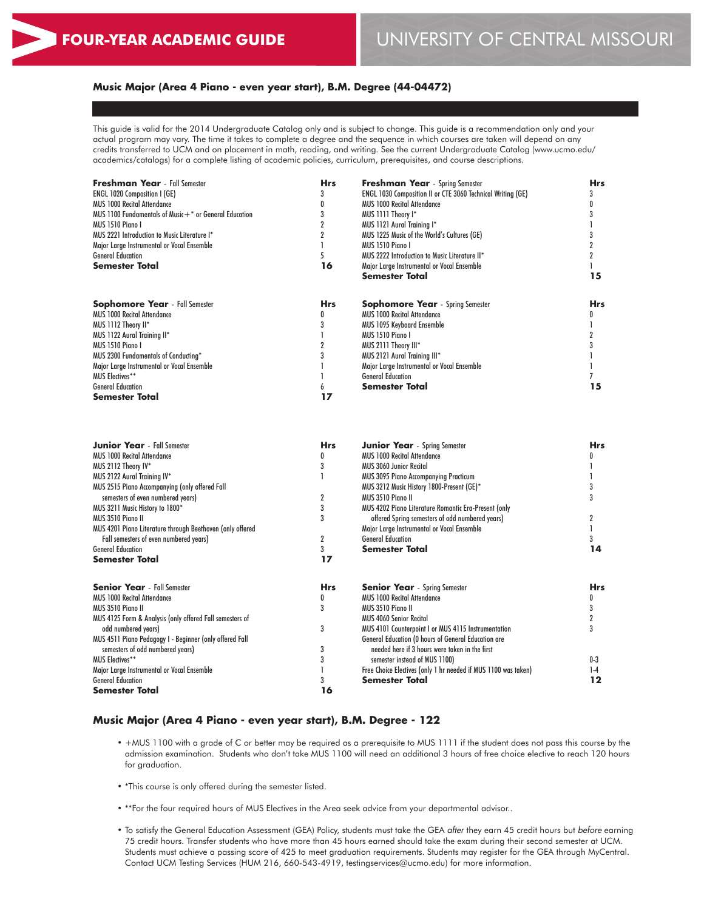General Education **Semester Total** **14**

## **Music Major (Area 4 Piano - even year start), B.M. Degree (44-04472)**

This guide is valid for the 2014 Undergraduate Catalog only and is subject to change. This guide is a recommendation only and your actual program may vary. The time it takes to complete a degree and the sequence in which courses are taken will depend on any credits transferred to UCM and on placement in math, reading, and writing. See the current Undergraduate Catalog (www.ucmo.edu/ academics/catalogs) for a complete listing of academic policies, curriculum, prerequisites, and course descriptions.

| <b>Freshman Year</b> - Fall Semester<br>ENGL 1020 Composition I (GE)<br><b>MUS 1000 Recital Attendance</b><br>MUS 1100 Fundamentals of Music $+$ * or General Education<br>MUS 1510 Piano I<br>MUS 2221 Introduction to Music Literature I*<br>Major Large Instrumental or Vocal Ensemble<br><b>General Education</b><br><b>Semester Total</b> | <b>Hrs</b><br>3<br>0<br>3<br>$\overline{2}$<br>$\overline{2}$<br>5<br>16 | <b>Freshman Year</b> - Spring Semester<br>ENGL 1030 Composition II or CTE 3060 Technical Writing (GE)<br><b>MUS 1000 Recital Attendance</b><br>MUS 1111 Theory I*<br>MUS 1121 Aural Training I*<br>MUS 1225 Music of the World's Cultures (GE)<br>MUS 1510 Piano I<br>MUS 2222 Introduction to Music Literature II*<br>Major Large Instrumental or Vocal Ensemble<br><b>Semester Total</b> | <b>Hrs</b><br>3<br>0<br>3<br>3<br>$\overline{2}$<br>$\overline{2}$<br>15 |
|------------------------------------------------------------------------------------------------------------------------------------------------------------------------------------------------------------------------------------------------------------------------------------------------------------------------------------------------|--------------------------------------------------------------------------|--------------------------------------------------------------------------------------------------------------------------------------------------------------------------------------------------------------------------------------------------------------------------------------------------------------------------------------------------------------------------------------------|--------------------------------------------------------------------------|
|                                                                                                                                                                                                                                                                                                                                                |                                                                          |                                                                                                                                                                                                                                                                                                                                                                                            |                                                                          |
| <b>Sophomore Year</b> - Fall Semester<br>MUS 1000 Recital Attendance<br>MUS 1112 Theory II*<br>MUS 1122 Aural Training II*<br><b>MUS 1510 Piano I</b><br>MUS 2300 Fundamentals of Conducting*<br>Major Large Instrumental or Vocal Ensemble<br><b>MUS Electives**</b><br><b>General Education</b><br><b>Semester Total</b>                     | <b>Hrs</b><br>0<br>3<br>2<br>3<br>6<br>17                                | <b>Sophomore Year</b> - Spring Semester<br>MUS 1000 Recital Attendance<br><b>MUS 1095 Keyboard Ensemble</b><br>MUS 1510 Piano I<br>MUS 2111 Theory III*<br>MUS 2121 Aural Training III*<br>Major Large Instrumental or Vocal Ensemble<br><b>General Education</b><br><b>Semester Total</b>                                                                                                 | <b>Hrs</b><br>0<br>2<br>3<br>7<br>15                                     |
| <b>Junior Year</b> - Fall Semester                                                                                                                                                                                                                                                                                                             | <b>Hrs</b>                                                               | <b>Junior Year</b> - Spring Semester                                                                                                                                                                                                                                                                                                                                                       | <b>Hrs</b>                                                               |
| <b>MUS 1000 Recital Attendance</b>                                                                                                                                                                                                                                                                                                             | 0                                                                        | <b>MUS 1000 Recital Attendance</b>                                                                                                                                                                                                                                                                                                                                                         | 0                                                                        |
| MUS 2112 Theory IV*                                                                                                                                                                                                                                                                                                                            | 3                                                                        | <b>MUS 3060 Junior Recital</b>                                                                                                                                                                                                                                                                                                                                                             |                                                                          |
| MUS 2122 Aural Training IV*                                                                                                                                                                                                                                                                                                                    |                                                                          | <b>MUS 3095 Piano Accompanying Practicum</b>                                                                                                                                                                                                                                                                                                                                               |                                                                          |
| MUS 2515 Piano Accompanying (only offered Fall                                                                                                                                                                                                                                                                                                 |                                                                          | MUS 3212 Music History 1800-Present (GE)*                                                                                                                                                                                                                                                                                                                                                  | 3                                                                        |
| semesters of even numbered years)                                                                                                                                                                                                                                                                                                              | 2                                                                        | MUS 3510 Piano II                                                                                                                                                                                                                                                                                                                                                                          | 3                                                                        |
| MUS 3211 Music History to 1800*                                                                                                                                                                                                                                                                                                                | 3                                                                        | MUS 4202 Piano Literature Romantic Era-Present (only                                                                                                                                                                                                                                                                                                                                       |                                                                          |
| MUS 3510 Piano II                                                                                                                                                                                                                                                                                                                              | 3                                                                        | offered Spring semesters of odd numbered years)                                                                                                                                                                                                                                                                                                                                            | 2                                                                        |
| MUS 4201 Piano Literature through Beethoven (only offered                                                                                                                                                                                                                                                                                      |                                                                          | Major Large Instrumental or Vocal Ensemble                                                                                                                                                                                                                                                                                                                                                 |                                                                          |
| Fall semesters of even numbered years)                                                                                                                                                                                                                                                                                                         | $\overline{2}$                                                           | <b>General Education</b>                                                                                                                                                                                                                                                                                                                                                                   | 3                                                                        |

| <b>Senior Year</b> - Fall Semester                       | <b>Hrs</b> | <b>Senior Year</b> - Spring Semester                           | Hrs   |
|----------------------------------------------------------|------------|----------------------------------------------------------------|-------|
| MUS 1000 Recital Attendance                              |            | <b>MUS 1000 Recital Attendance</b>                             |       |
| MUS 3510 Piano II                                        |            | MUS 3510 Piano II                                              |       |
| MUS 4125 Form & Analysis (only offered Fall semesters of |            | <b>MUS 4060 Senior Recital</b>                                 |       |
| odd numbered vears)                                      |            | MUS 4101 Counterpoint I or MUS 4115 Instrumentation            |       |
| MUS 4511 Piano Pedagogy I - Beginner (only offered Fall  |            | <b>General Education (0 hours of General Education are</b>     |       |
| semesters of odd numbered years)                         |            | needed here if 3 hours were taken in the first                 |       |
| <b>MUS Electives**</b>                                   |            | semester instead of MUS 1100)                                  | $0-3$ |
| Major Large Instrumental or Vocal Ensemble               |            | Free Choice Electives (only 1 hr needed if MUS 1100 was taken) | $1-4$ |
| General Education                                        |            | <b>Semester Total</b>                                          | 12    |
| Semester Total                                           | 16         |                                                                |       |

3 **17**

## **Music Major (Area 4 Piano - even year start), B.M. Degree - 122**

• +MUS 1100 with a grade of C or better may be required as a prerequisite to MUS 1111 if the student does not pass this course by the admission examination. Students who don't take MUS 1100 will need an additional 3 hours of free choice elective to reach 120 hours for graduation.

**Semester Total**

- \*This course is only offered during the semester listed.
- \*\*For the four required hours of MUS Electives in the Area seek advice from your departmental advisor..
- To satisfy the General Education Assessment (GEA) Policy, students must take the GEA *after* they earn 45 credit hours but *before* earning 75 credit hours. Transfer students who have more than 45 hours earned should take the exam during their second semester at UCM. Students must achieve a passing score of 425 to meet graduation requirements. Students may register for the GEA through MyCentral. Contact UCM Testing Services (HUM 216, 660-543-4919, testingservices@ucmo.edu) for more information.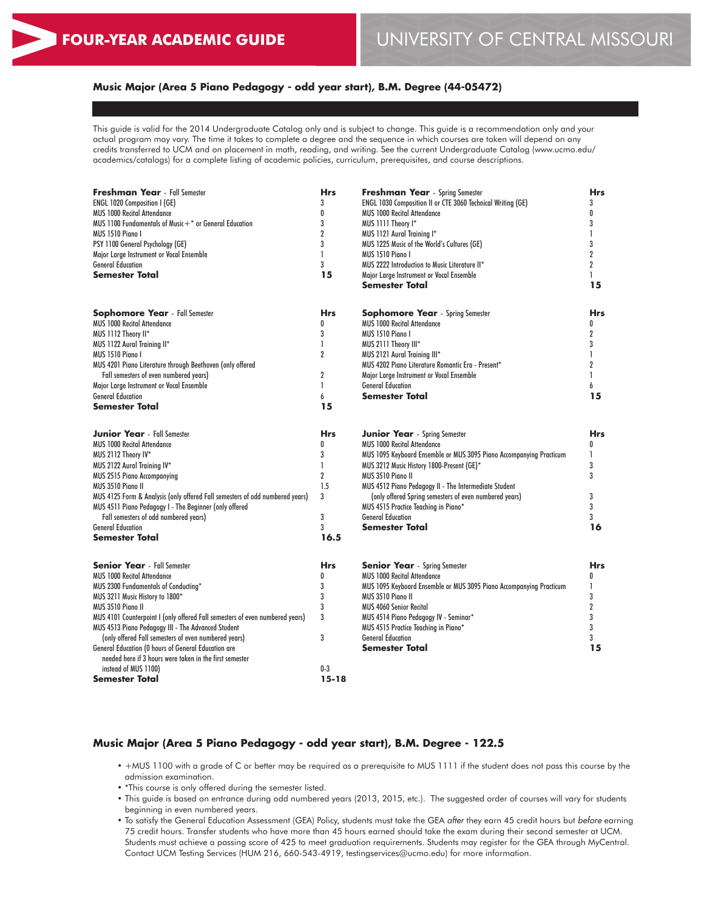## **Music Major (Area 5 Piano Pedagogy - odd year start), B.M. Degree (44-05472)**

This guide is valid for the 2014 Undergraduate Catalog only and is subject to change. This guide is a recommendation only and your actual program may vary. The time it takes to complete a degree and the sequence in which courses are taken will depend on any credits transferred to UCM and on placement in math, reading, and writing. See the current Undergraduate Catalog (www.ucmo.edu/ academics/catalogs) for a complete listing of academic policies, curriculum, prerequisites, and course descriptions.

| Freshman Year - Fall Semester                                                | <b>Hrs</b>     | Freshman Year - Spring Semester                                     |                  |  |
|------------------------------------------------------------------------------|----------------|---------------------------------------------------------------------|------------------|--|
| <b>ENGL 1020 Composition I (GE)</b>                                          | 3              | ENGL 1030 Composition II or CTE 3060 Technical Writing (GE)         | 3                |  |
| <b>MUS 1000 Recital Attendance</b>                                           | 0              | <b>MUS 1000 Recital Attendance</b>                                  | 0                |  |
| MUS 1100 Fundamentals of Music $+$ * or General Education                    | 3              | MUS 1111 Theory I*                                                  | 3                |  |
| MUS 1510 Piano I                                                             | $\overline{2}$ | MUS 1121 Aural Training I*                                          | 1                |  |
| PSY 1100 General Psychology (GE)                                             | 3              | MUS 1225 Music of the World's Cultures (GE)                         | 3                |  |
| Major Large Instrument or Vocal Ensemble                                     | 1              | MUS 1510 Piano I                                                    | $\overline{2}$   |  |
| <b>General Education</b>                                                     | 3              | MUS 2222 Introduction to Music Literature II*                       | 2                |  |
| <b>Semester Total</b>                                                        | 15             | Major Large Instrument or Vocal Ensemble<br><b>Semester Total</b>   | 1<br>15          |  |
|                                                                              |                |                                                                     |                  |  |
| <b>Sophomore Year</b> - Fall Semester                                        | <b>Hrs</b>     | <b>Sophomore Year</b> - Spring Semester                             | Hrs              |  |
| <b>MUS 1000 Recital Attendance</b>                                           | 0              | <b>MUS 1000 Recital Attendance</b>                                  | 0                |  |
| MUS 1112 Theory II*                                                          | 3              | MUS 1510 Piano I                                                    | 2                |  |
| MUS 1122 Aural Training II*                                                  | $\mathbf{I}$   | MUS 2111 Theory III*                                                | 3                |  |
| MUS 1510 Piano I                                                             | $\overline{2}$ | MUS 2121 Aural Training III*                                        | 1                |  |
| MUS 4201 Piano Literature through Beethoven (only offered                    |                | MUS 4202 Piano Literature Romantic Era - Present*                   | 2                |  |
| Fall semesters of even numbered years)                                       | $\overline{2}$ | Major Large Instrument or Vocal Ensemble                            | 1                |  |
| Major Large Instrument or Vocal Ensemble                                     | 1              | <b>General Education</b>                                            | 6                |  |
| <b>General Education</b>                                                     | 6              | <b>Semester Total</b>                                               | 15               |  |
| <b>Semester Total</b>                                                        | 15             |                                                                     |                  |  |
| <b>Junior Year</b> - Fall Semester                                           | <b>Hrs</b>     | <b>Junior Year</b> - Spring Semester                                | <b>Hrs</b>       |  |
| <b>MUS 1000 Recital Attendance</b>                                           | 0              | <b>MUS 1000 Recital Attendance</b>                                  | 0                |  |
| MUS 2112 Theory IV*                                                          | 3              | MUS 1095 Keyboard Ensemble or MUS 3095 Piano Accompanying Practicum | 1                |  |
| MUS 2122 Aural Training IV*                                                  | $\mathbf{I}$   | MUS 3212 Music History 1800-Present (GE)*                           | 3                |  |
| <b>MUS 2515 Piano Accompanying</b>                                           | $\overline{2}$ | MUS 3510 Piano II                                                   | 3                |  |
| MUS 3510 Piano II                                                            | 1.5            | MUS 4512 Piano Pedagogy II - The Intermediate Student               |                  |  |
| MUS 4125 Form & Analysis (only offered Fall semesters of odd numbered years) | 3              | (only offered Spring semesters of even numbered years)              | 3                |  |
| MUS 4511 Piano Pedagogy I - The Beginner (only offered                       |                | MUS 4515 Practice Teaching in Piano*                                | 3                |  |
| Fall semesters of odd numbered years)                                        | 3              | <b>General Education</b>                                            | 3                |  |
| <b>General Education</b>                                                     | 3              | <b>Semester Total</b>                                               | 16               |  |
| <b>Semester Total</b>                                                        | 16.5           |                                                                     |                  |  |
| <b>Senior Year</b> - Fall Semester                                           | <b>Hrs</b>     | <b>Senior Year</b> - Spring Semester                                | <b>Hrs</b>       |  |
| <b>MUS 1000 Recital Attendance</b>                                           | $\mathbf{0}$   | <b>MUS 1000 Recital Attendance</b>                                  | $\mathbf{0}$     |  |
| MUS 2300 Fundamentals of Conducting*                                         | 3              | MUS 1095 Keyboard Ensemble or MUS 3095 Piano Accompanying Practicum | 1                |  |
| MUS 3211 Music History to 1800*                                              | 3              | MUS 3510 Piano II                                                   | 3                |  |
| MUS 3510 Piano II                                                            | 3              | <b>MUS 4060 Senior Recital</b>                                      | $\boldsymbol{2}$ |  |
| MUS 4101 Counterpoint I (only offered Fall semesters of even numbered years) | 3              | MUS 4514 Piano Pedagogy IV - Seminar*                               | 3                |  |
| MUS 4513 Piano Pedagogy III - The Advanced Student                           |                | MUS 4515 Practice Teaching in Piano*                                | 3                |  |
| (only offered Fall semesters of even numbered years)                         | 3              | <b>General Education</b>                                            | 3                |  |
| General Education (0 hours of General Education are                          |                | <b>Semester Total</b>                                               | 15               |  |
| needed here if 3 hours were taken in the first semester                      |                |                                                                     |                  |  |
| instead of MUS 1100)                                                         | $0 - 3$        |                                                                     |                  |  |
| <b>Semester Total</b>                                                        | $15 - 18$      |                                                                     |                  |  |

### **Music Major (Area 5 Piano Pedagogy - odd year start), B.M. Degree - 122.5**

- +MUS 1100 with a grade of C or better may be required as a prerequisite to MUS 1111 if the student does not pass this course by the admission examination.
- \*This course is only offered during the semester listed.
- This guide is based on entrance during odd numbered years (2013, 2015, etc.). The suggested order of courses will vary for students beginning in even numbered years.
- To satisfy the General Education Assessment (GEA) Policy, students must take the GEA *after* they earn 45 credit hours but *before* earning 75 credit hours. Transfer students who have more than 45 hours earned should take the exam during their second semester at UCM. Students must achieve a passing score of 425 to meet graduation requirements. Students may register for the GEA through MyCentral. Contact UCM Testing Services (HUM 216, 660-543-4919, testingservices@ucmo.edu) for more information.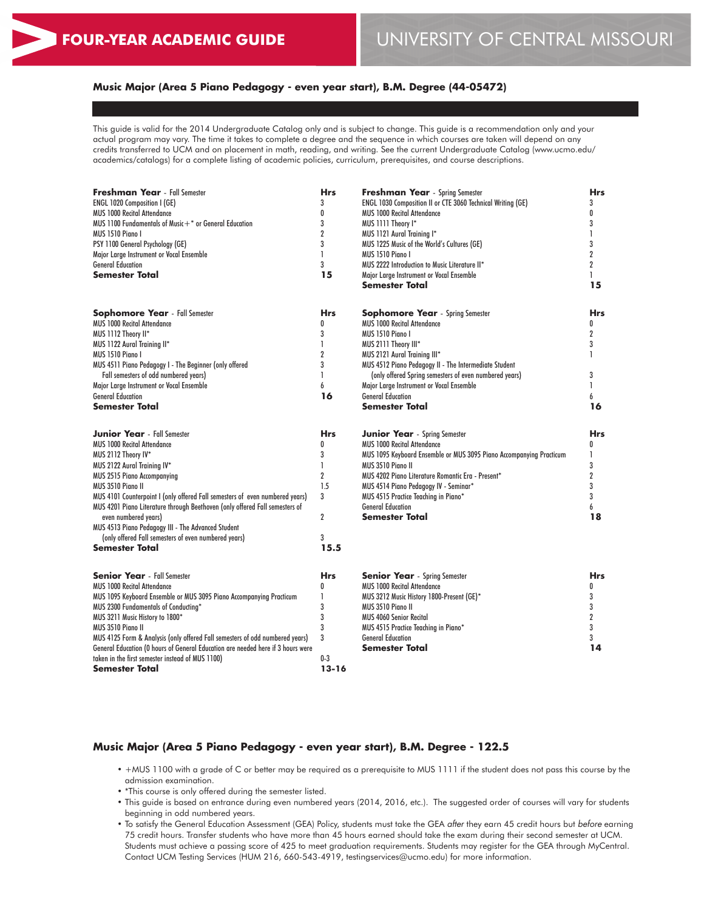## **Music Major (Area 5 Piano Pedagogy - even year start), B.M. Degree (44-05472)**

This guide is valid for the 2014 Undergraduate Catalog only and is subject to change. This guide is a recommendation only and your actual program may vary. The time it takes to complete a degree and the sequence in which courses are taken will depend on any credits transferred to UCM and on placement in math, reading, and writing. See the current Undergraduate Catalog (www.ucmo.edu/ academics/catalogs) for a complete listing of academic policies, curriculum, prerequisites, and course descriptions.

| Freshman Year - Fall Semester<br>ENGL 1020 Composition I (GE)                   | <b>Hrs</b><br>3 | <b>Freshman Year</b> - Spring Semester<br>ENGL 1030 Composition II or CTE 3060 Technical Writing (GE) | <b>Hrs</b><br>3  |
|---------------------------------------------------------------------------------|-----------------|-------------------------------------------------------------------------------------------------------|------------------|
| <b>MUS 1000 Recital Attendance</b>                                              | 0               | <b>MUS 1000 Recital Attendance</b>                                                                    | 0                |
| MUS 1100 Fundamentals of Music $+$ * or General Education                       | 3               | MUS 1111 Theory I*                                                                                    | 3                |
| MUS 1510 Piano I                                                                | $\overline{2}$  | MUS 1121 Aural Training I*                                                                            | 1                |
| PSY 1100 General Psychology (GE)                                                | 3               | MUS 1225 Music of the World's Cultures (GE)                                                           | 3                |
| Major Large Instrument or Vocal Ensemble                                        | 1               | MUS 1510 Piano I                                                                                      | $\overline{2}$   |
| <b>General Education</b>                                                        | 3               | MUS 2222 Introduction to Music Literature II*                                                         | $\overline{2}$   |
| <b>Semester Total</b>                                                           | 15              | Major Large Instrument or Vocal Ensemble                                                              | $\mathbf{I}$     |
|                                                                                 |                 | <b>Semester Total</b>                                                                                 | 15               |
| <b>Sophomore Year</b> - Fall Semester                                           | <b>Hrs</b>      | <b>Sophomore Year</b> - Spring Semester                                                               | <b>Hrs</b>       |
| <b>MUS 1000 Recital Attendance</b>                                              | 0               | <b>MUS 1000 Recital Attendance</b>                                                                    | 0                |
| MUS 1112 Theory II*                                                             | 3               | MUS 1510 Piano I                                                                                      | $\boldsymbol{2}$ |
| MUS 1122 Aural Training II*                                                     | 1               | MUS 2111 Theory III*                                                                                  | 3                |
| MUS 1510 Piano I                                                                | $\overline{2}$  | MUS 2121 Aural Training III*                                                                          | 1                |
| MUS 4511 Piano Pedagogy I - The Beginner (only offered                          | 3               | MUS 4512 Piano Pedagogy II - The Intermediate Student                                                 |                  |
| Fall semesters of odd numbered years)                                           | 1               | (only offered Spring semesters of even numbered years)                                                | 3                |
| Major Large Instrument or Vocal Ensemble                                        | 6               | Major Large Instrument or Vocal Ensemble                                                              | $\mathbf{I}$     |
| <b>General Education</b>                                                        | 16              | <b>General Education</b>                                                                              | 6                |
| <b>Semester Total</b>                                                           |                 | <b>Semester Total</b>                                                                                 | 16               |
| <b>Junior Year</b> - Fall Semester                                              | <b>Hrs</b>      | <b>Junior Year</b> - Spring Semester                                                                  | <b>Hrs</b>       |
| <b>MUS 1000 Recital Attendance</b>                                              | 0               | <b>MUS 1000 Recital Attendance</b>                                                                    | 0                |
| MUS 2112 Theory IV*                                                             | 3               | MUS 1095 Keyboard Ensemble or MUS 3095 Piano Accompanying Practicum                                   | 1                |
| MUS 2122 Aural Training IV*                                                     | 1               | <b>MUS 3510 Piano II</b>                                                                              | 3                |
| <b>MUS 2515 Piano Accompanying</b>                                              | $\overline{2}$  | MUS 4202 Piano Literature Romantic Era - Present*                                                     | $\overline{2}$   |
| MUS 3510 Piano II                                                               | 1.5             | MUS 4514 Piano Pedagogy IV - Seminar*                                                                 | 3                |
| MUS 4101 Counterpoint I (only offered Fall semesters of even numbered years)    | 3               | MUS 4515 Practice Teaching in Piano*                                                                  | 3                |
| MUS 4201 Piano Literature through Beethoven (only offered Fall semesters of     |                 | <b>General Education</b>                                                                              | 6                |
| even numbered years)                                                            | $\overline{2}$  | <b>Semester Total</b>                                                                                 | 18               |
| MUS 4513 Piano Pedagogy III - The Advanced Student                              |                 |                                                                                                       |                  |
| (only offered Fall semesters of even numbered years)                            | 3               |                                                                                                       |                  |
| <b>Semester Total</b>                                                           | 15.5            |                                                                                                       |                  |
| <b>Senior Year</b> - Fall Semester                                              | <b>Hrs</b>      | <b>Senior Year</b> - Spring Semester                                                                  | Hrs              |
| <b>MUS 1000 Recital Attendance</b>                                              | 0               | <b>MUS 1000 Recital Attendance</b>                                                                    | 0                |
| MUS 1095 Keyboard Ensemble or MUS 3095 Piano Accompanying Practicum             | 1               | MUS 3212 Music History 1800-Present (GE)*                                                             | 3                |
| MUS 2300 Fundamentals of Conducting*                                            | 3               | <b>MUS 3510 Piano II</b>                                                                              | 3                |
| MUS 3211 Music History to 1800*                                                 | 3               | <b>MUS 4060 Senior Recital</b>                                                                        | $\boldsymbol{2}$ |
| MUS 3510 Piano II                                                               | 3               | MUS 4515 Practice Teaching in Piano*                                                                  | 3                |
| MUS 4125 Form & Analysis (only offered Fall semesters of odd numbered years)    | 3               | <b>General Education</b>                                                                              | 3                |
| General Education (0 hours of General Education are needed here if 3 hours were |                 | <b>Semester Total</b>                                                                                 | 14               |
| taken in the first semester instead of MUS 1100)                                | $0-3$           |                                                                                                       |                  |
| Semester Total                                                                  | $13 - 16$       |                                                                                                       |                  |

## **Music Major (Area 5 Piano Pedagogy - even year start), B.M. Degree - 122.5**

- +MUS 1100 with a grade of C or better may be required as a prerequisite to MUS 1111 if the student does not pass this course by the admission examination.
- \*This course is only offered during the semester listed.
- This guide is based on entrance during even numbered years (2014, 2016, etc.). The suggested order of courses will vary for students beginning in odd numbered years.
- To satisfy the General Education Assessment (GEA) Policy, students must take the GEA *after* they earn 45 credit hours but *before* earning 75 credit hours. Transfer students who have more than 45 hours earned should take the exam during their second semester at UCM. Students must achieve a passing score of 425 to meet graduation requirements. Students may register for the GEA through MyCentral. Contact UCM Testing Services (HUM 216, 660-543-4919, testingservices@ucmo.edu) for more information.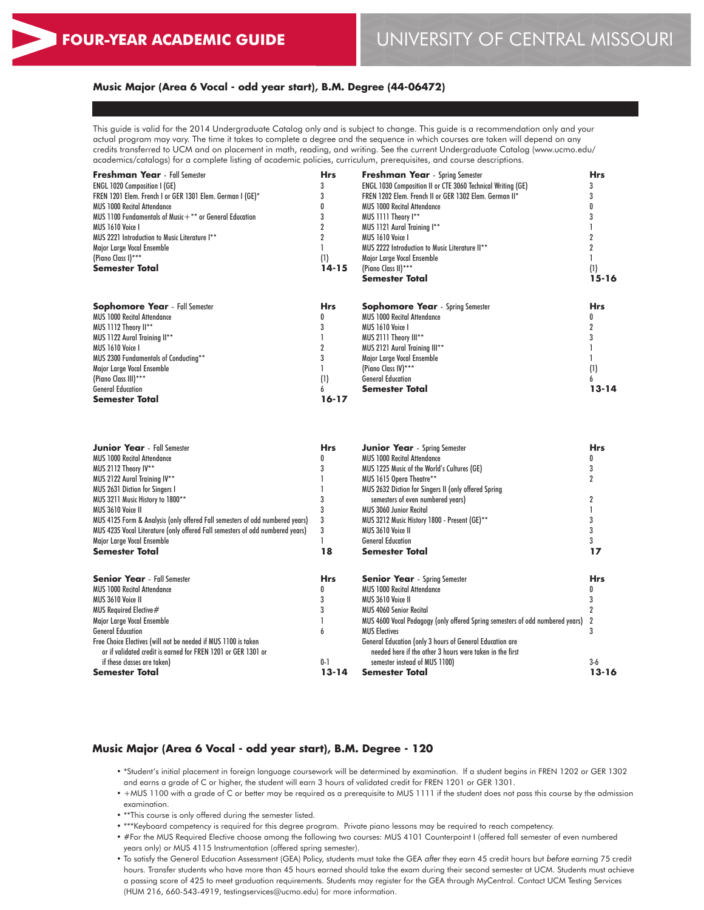## **Music Major (Area 6 Vocal - odd year start), B.M. Degree (44-06472)**

This guide is valid for the 2014 Undergraduate Catalog only and is subject to change. This guide is a recommendation only and your actual program may vary. The time it takes to complete a degree and the sequence in which courses are taken will depend on any credits transferred to UCM and on placement in math, reading, and writing. See the current Undergraduate Catalog (www.ucmo.edu/ academics/catalogs) for a complete listing of academic policies, curriculum, prerequisites, and course descriptions.

| <b>Freshman Year</b> - Fall Semester                      | <b>Hrs</b>       | <b>Freshman Year</b> - Spring Semester                             | <b>Hrs</b> |
|-----------------------------------------------------------|------------------|--------------------------------------------------------------------|------------|
| <b>ENGL 1020 Composition I (GE)</b>                       |                  | <b>ENGL 1030 Composition II or CTE 3060 Technical Writing (GE)</b> |            |
| FREN 1201 Elem. French I or GER 1301 Elem. German I (GE)* |                  | FREN 1202 Elem. French II or GER 1302 Elem. German II*             |            |
| <b>MUS 1000 Recital Attendance</b>                        |                  | <b>MUS 1000 Recital Attendance</b>                                 |            |
| MUS 1100 Fundamentals of Music+** or General Education    |                  | MUS 1111 Theory I**                                                |            |
| MUS 1610 Voice I                                          |                  | MUS 1121 Aural Training I**                                        |            |
| MUS 2221 Introduction to Music Literature I**             |                  | MUS 1610 Voice I                                                   |            |
| Major Large Vocal Ensemble                                |                  | MUS 2222 Introduction to Music Literature II**                     |            |
| (Piano Class I)***                                        |                  | Major Large Vocal Ensemble                                         |            |
| Semester Total                                            | $14 - 15$        | (Piano Class II)***                                                | (1)        |
|                                                           |                  | Semester Total                                                     | 15-16      |
| <b>Sophomore Year</b> - Fall Semester                     | <b>Hrs</b>       | <b>Sophomore Year</b> - Spring Semester                            | <b>Hrs</b> |
| <b>MUS 1000 Recital Attendance</b>                        |                  | <b>MUS 1000 Recital Attendance</b>                                 |            |
| MUS 1112 Theory II**                                      |                  | MUS 1610 Voice I                                                   |            |
| MUS 1122 Aural Training II**                              |                  | MUS 2111 Theory III**                                              |            |
| MUS 1610 Voice I                                          |                  | MUS 2121 Aural Training III**                                      |            |
| <b>MUS 2300 Fundamentals of Conducting**</b>              |                  | Major Large Vocal Ensemble                                         |            |
| Major Large Vocal Ensemble                                |                  | (Piano Class IV)***                                                | (1)        |
| (Piano Class III)***                                      | $\left(1\right)$ | <b>General Education</b>                                           |            |
| <b>General Education</b>                                  |                  | <b>Semester Total</b>                                              | 13-14      |
| <b>Semester Total</b>                                     | 16-17            |                                                                    |            |

| <b>Junior Year</b> - Fall Semester                                                                                              | <b>Hrs</b> | <b>Junior Year</b> - Spring Semester                                                                                        | <b>Hrs</b> |
|---------------------------------------------------------------------------------------------------------------------------------|------------|-----------------------------------------------------------------------------------------------------------------------------|------------|
| <b>MUS 1000 Recital Attendance</b>                                                                                              |            | <b>MUS 1000 Recital Attendance</b>                                                                                          |            |
| MUS 2112 Theory IV**                                                                                                            |            | MUS 1225 Music of the World's Cultures (GE)                                                                                 |            |
| MUS 2122 Aural Training IV**                                                                                                    |            | MUS 1615 Opera Theatre**                                                                                                    |            |
| MUS 2631 Diction for Singers I                                                                                                  |            | MUS 2632 Diction for Singers II (only offered Spring                                                                        |            |
| MUS 3211 Music History to 1800**                                                                                                |            | semesters of even numbered years)                                                                                           |            |
| MUS 3610 Voice II                                                                                                               |            | <b>MUS 3060 Junior Recital</b>                                                                                              |            |
| MUS 4125 Form & Analysis (only offered Fall semesters of odd numbered years)                                                    |            | MUS 3212 Music History 1800 - Present (GE)**                                                                                |            |
| MUS 4235 Vocal Literature (only offered Fall semesters of odd numbered years)                                                   |            | MUS 3610 Voice II                                                                                                           |            |
| Major Large Vocal Ensemble                                                                                                      |            | <b>General Education</b>                                                                                                    |            |
| Semester Total                                                                                                                  | 18         | Semester Total                                                                                                              | 17         |
| <b>Senior Year</b> - Fall Semester                                                                                              | <b>Hrs</b> | <b>Senior Year</b> - Spring Semester                                                                                        | <b>Hrs</b> |
| <b>MUS 1000 Recital Attendance</b>                                                                                              |            | <b>MUS 1000 Recital Attendance</b>                                                                                          |            |
| MUS 3610 Voice II                                                                                                               |            | MUS 3610 Voice II                                                                                                           |            |
| MUS Required Elective#                                                                                                          |            | <b>MUS 4060 Senior Recital</b>                                                                                              |            |
| Major Large Vocal Ensemble                                                                                                      |            | MUS 4600 Vocal Pedagogy (only offered Spring semesters of odd numbered years)                                               |            |
| <b>General Education</b>                                                                                                        |            | <b>MUS Electives</b>                                                                                                        |            |
| Free Choice Electives (will not be needed if MUS 1100 is taken<br>or if validated credit is earned for FREN 1201 or GER 1301 or |            | <b>General Education (only 3 hours of General Education are</b><br>needed here if the other 3 hours were taken in the first |            |
| if these classes are taken)                                                                                                     | $0 - 1$    | semester instead of MUS 1100)                                                                                               | $3-6$      |
| <b>Semester Total</b>                                                                                                           | 13-14      | <b>Semester Total</b>                                                                                                       | 13-16      |

#### **Music Major (Area 6 Vocal - odd year start), B.M. Degree - 120**

- \*Student's initial placement in foreign language coursework will be determined by examination. If a student begins in FREN 1202 or GER 1302 and earns a grade of C or higher, the student will earn 3 hours of validated credit for FREN 1201 or GER 1301.
- +MUS 1100 with a grade of C or better may be required as a prerequisite to MUS 1111 if the student does not pass this course by the admission examination.
- \*\*This course is only offered during the semester listed.
- \*\*\*Keyboard competency is required for this degree program. Private piano lessons may be required to reach competency.
- #For the MUS Required Elective choose among the following two courses: MUS 4101 Counterpoint I (offered fall semester of even numbered years only) or MUS 4115 Instrumentation (offered spring semester).
- To satisfy the General Education Assessment (GEA) Policy, students must take the GEA *after* they earn 45 credit hours but *before* earning 75 credit hours. Transfer students who have more than 45 hours earned should take the exam during their second semester at UCM. Students must achieve a passing score of 425 to meet graduation requirements. Students may register for the GEA through MyCentral. Contact UCM Testing Services (HUM 216, 660-543-4919, testingservices@ucmo.edu) for more information.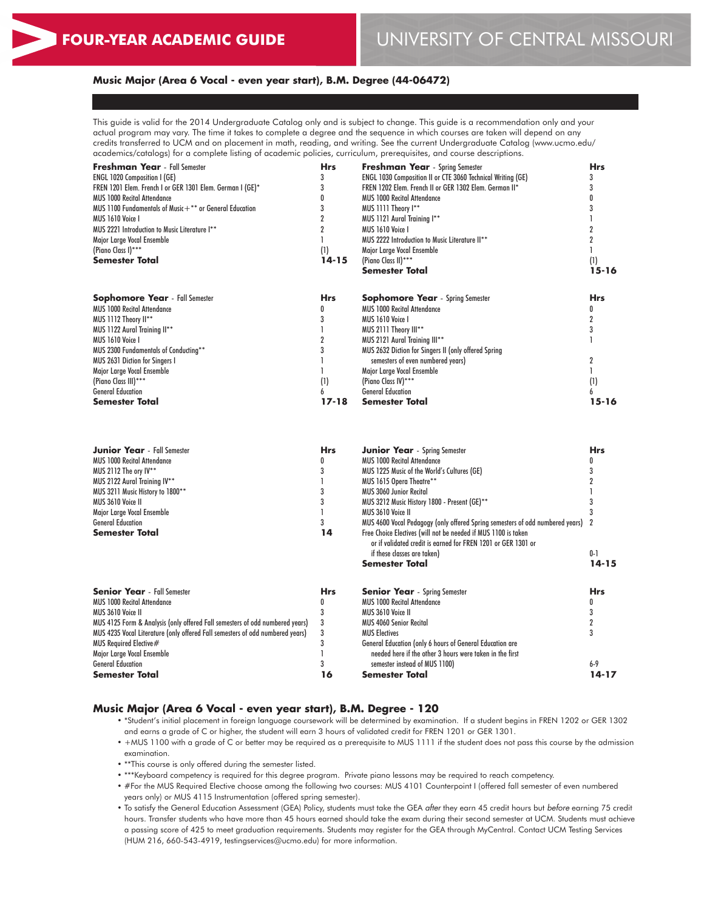### **Music Major (Area 6 Vocal - even year start), B.M. Degree (44-06472)**

This guide is valid for the 2014 Undergraduate Catalog only and is subject to change. This guide is a recommendation only and your actual program may vary. The time it takes to complete a degree and the sequence in which courses are taken will depend on any credits transferred to UCM and on placement in math, reading, and writing. See the current Undergraduate Catalog (www.ucmo.edu/ academics/catalogs) for a complete listing of academic policies, curriculum, prerequisites, and course descriptions.

| <b>Freshman Year</b> - Fall Semester                       | Hrs              | <b>Freshman Year</b> - Spring Semester                             | <b>Hrs</b> |
|------------------------------------------------------------|------------------|--------------------------------------------------------------------|------------|
| <b>ENGL 1020 Composition I (GE)</b>                        |                  | <b>ENGL 1030 Composition II or CTE 3060 Technical Writing (GE)</b> |            |
| FREN 1201 Elem. French I or GER 1301 Elem. German I (GE)*  |                  | FREN 1202 Elem. French II or GER 1302 Elem. German II*             |            |
| <b>MUS 1000 Recital Attendance</b>                         |                  | <b>MUS 1000 Recital Attendance</b>                                 |            |
| MUS 1100 Fundamentals of Music $+$ ** or General Education |                  | MUS 1111 Theory I**                                                |            |
| MUS 1610 Voice I                                           |                  | MUS 1121 Aural Training I**                                        |            |
| MUS 2221 Introduction to Music Literature I**              |                  | MUS 1610 Voice I                                                   |            |
| Major Large Vocal Ensemble                                 |                  | MUS 2222 Introduction to Music Literature II**                     |            |
| (Piano Class I)***                                         | $\left(1\right)$ | Major Large Vocal Ensemble                                         | (1)        |
| Semester Total                                             | 14-15            | (Piano Class II) ***                                               |            |
|                                                            |                  | <b>Semester Total</b>                                              | $15 - 16$  |
| <b>Sophomore Year</b> - Fall Semester                      | <b>Hrs</b>       | <b>Sophomore Year</b> - Spring Semester                            | <b>Hrs</b> |
| <b>MUS 1000 Recital Attendance</b>                         |                  | <b>MUS 1000 Recital Attendance</b>                                 |            |
| MUS 1112 Theory II**                                       |                  | MUS 1610 Voice I                                                   |            |
| MUS 1122 Aural Training II**                               |                  | MUS 2111 Theory III**                                              |            |
| MUS 1610 Voice I                                           |                  | MUS 2121 Aural Training III**                                      |            |
| MUS 2300 Fundamentals of Conducting**                      |                  | MUS 2632 Diction for Singers II (only offered Spring               |            |
| <b>MUS 2631 Diction for Singers I</b>                      |                  | semesters of even numbered years)                                  |            |
| Major Large Vocal Ensemble                                 |                  | Major Large Vocal Ensemble                                         |            |
| (Piano Class III)***                                       | (1)              | (Piano Class IV)***                                                | (1)        |
| <b>General Education</b>                                   |                  | <b>General Education</b>                                           |            |
| <b>Semester Total</b>                                      | $17 - 18$        | <b>Semester Total</b>                                              | 15-16      |

| <b>Junior Year</b> - Fall Semester                                            | <b>Hrs</b> | <b>Junior Year</b> - Spring Semester                                          | <b>Hrs</b> |
|-------------------------------------------------------------------------------|------------|-------------------------------------------------------------------------------|------------|
| <b>MUS 1000 Recital Attendance</b>                                            |            | <b>MUS 1000 Recital Attendance</b>                                            |            |
| MUS 2112 The ory IV**                                                         |            | MUS 1225 Music of the World's Cultures (GE)                                   |            |
| MUS 2122 Aural Training IV**                                                  |            | MUS 1615 Opera Theatre**                                                      |            |
| MUS 3211 Music History to 1800**                                              |            | <b>MUS 3060 Junior Recital</b>                                                |            |
| MUS 3610 Voice II                                                             |            | MUS 3212 Music History 1800 - Present (GE)**                                  |            |
| Major Large Vocal Ensemble                                                    |            | MUS 3610 Voice II                                                             |            |
| <b>General Education</b>                                                      |            | MUS 4600 Vocal Pedagogy (only offered Spring semesters of odd numbered years) |            |
| <b>Semester Total</b>                                                         | 14         | Free Choice Electives (will not be needed if MUS 1100 is taken                |            |
|                                                                               |            | or if validated credit is earned for FREN 1201 or GER 1301 or                 |            |
|                                                                               |            | if these classes are taken)                                                   | $0 - 1$    |
|                                                                               |            | <b>Semester Total</b>                                                         | $14 - 15$  |
| <b>Senior Year</b> - Fall Semester                                            | <b>Hrs</b> | <b>Senior Year</b> - Spring Semester                                          | <b>Hrs</b> |
| <b>MUS 1000 Recital Attendance</b>                                            |            | <b>MUS 1000 Recital Attendance</b>                                            |            |
| MUS 3610 Voice II                                                             |            | MUS 3610 Voice II                                                             |            |
| MUS 4125 Form & Analysis (only offered Fall semesters of odd numbered years)  |            | <b>MUS 4060 Senior Recital</b>                                                |            |
| MUS 4235 Vocal Literature (only offered Fall semesters of odd numbered years) |            | <b>MUS Electives</b>                                                          |            |
| MUS Required Elective#                                                        |            | General Education (only 6 hours of General Education are                      |            |
| Major Large Vocal Ensemble                                                    |            | needed here if the other 3 hours were taken in the first                      |            |
| <b>General Education</b>                                                      |            | semester instead of MUS 1100)                                                 | $6-9$      |
| Semester Total                                                                | 16         | <b>Semester Total</b>                                                         | 14-17      |

#### **Music Major (Area 6 Vocal - even year start), B.M. Degree - 120**

- \*Student's initial placement in foreign language coursework will be determined by examination. If a student begins in FREN 1202 or GER 1302 and earns a grade of C or higher, the student will earn 3 hours of validated credit for FREN 1201 or GER 1301.
- +MUS 1100 with a grade of C or better may be required as a prerequisite to MUS 1111 if the student does not pass this course by the admission examination.
- \*\*This course is only offered during the semester listed.
- \*\*\*Keyboard competency is required for this degree program. Private piano lessons may be required to reach competency.
- #For the MUS Required Elective choose among the following two courses: MUS 4101 Counterpoint I (offered fall semester of even numbered years only) or MUS 4115 Instrumentation (offered spring semester).
- To satisfy the General Education Assessment (GEA) Policy, students must take the GEA *after* they earn 45 credit hours but *before* earning 75 credit hours. Transfer students who have more than 45 hours earned should take the exam during their second semester at UCM. Students must achieve a passing score of 425 to meet graduation requirements. Students may register for the GEA through MyCentral. Contact UCM Testing Services (HUM 216, 660-543-4919, testingservices@ucmo.edu) for more information.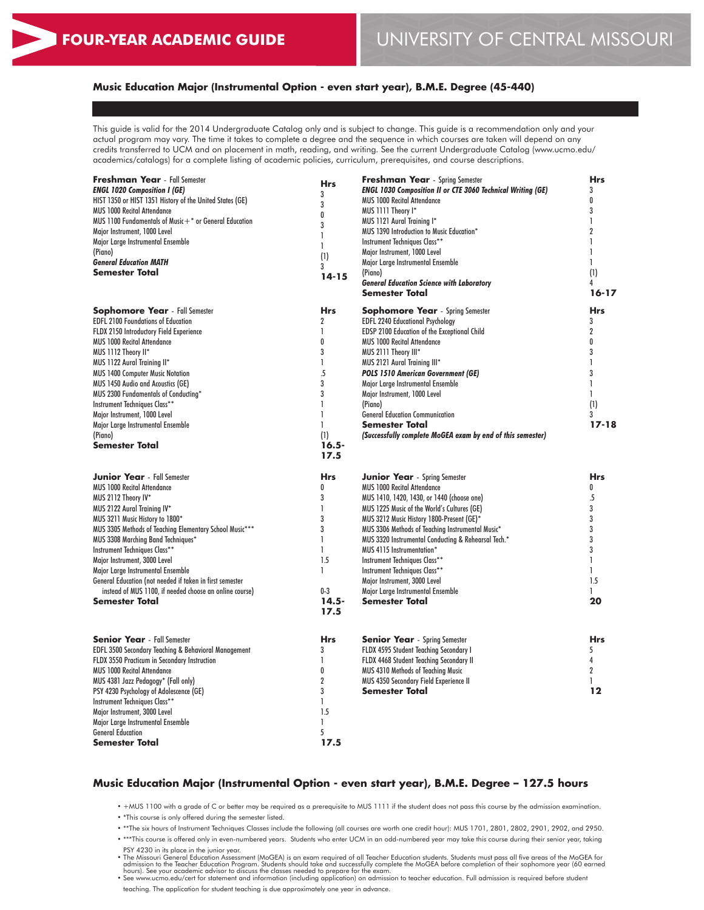## **Music Education Major (Instrumental Option - even start year), B.M.E. Degree (45-440)**

This guide is valid for the 2014 Undergraduate Catalog only and is subject to change. This guide is a recommendation only and your actual program may vary. The time it takes to complete a degree and the sequence in which courses are taken will depend on any credits transferred to UCM and on placement in math, reading, and writing. See the current Undergraduate Catalog (www.ucmo.edu/ academics/catalogs) for a complete listing of academic policies, curriculum, prerequisites, and course descriptions.

| <b>Freshman Year</b> - Fall Semester<br><b>ENGL 1020 Composition I (GE)</b><br>HIST 1350 or HIST 1351 History of the United States (GE)<br><b>MUS 1000 Recital Attendance</b><br>MUS 1100 Fundamentals of Music $+$ * or General Education<br>Major Instrument, 1000 Level<br>Major Large Instrumental Ensemble<br>(Piano)<br><b>General Education MATH</b><br><b>Semester Total</b>                                                                                                                              | Hrs<br>3<br>3<br>0<br>3<br>1<br>1<br>(1)<br>3<br>$14 - 15$                                                             | <b>Freshman Year</b> - Spring Semester<br><b>ENGL 1030 Composition II or CTE 3060 Technical Writing (GE)</b><br><b>MUS 1000 Recital Attendance</b><br>MUS 1111 Theory I*<br>MUS 1121 Aural Training I*<br>MUS 1390 Introduction to Music Education*<br>Instrument Techniques Class**<br>Major Instrument, 1000 Level<br>Major Large Instrumental Ensemble<br>(Piano)<br><b>General Education Science with Laboratory</b><br><b>Semester Total</b>                                                                            | <b>Hrs</b><br>3<br>0<br>3<br>$\mathbf{I}$<br>$\overline{2}$<br>1<br>$\mathbf{I}$<br>1<br>(1)<br>4<br>$16 - 17$          |
|-------------------------------------------------------------------------------------------------------------------------------------------------------------------------------------------------------------------------------------------------------------------------------------------------------------------------------------------------------------------------------------------------------------------------------------------------------------------------------------------------------------------|------------------------------------------------------------------------------------------------------------------------|------------------------------------------------------------------------------------------------------------------------------------------------------------------------------------------------------------------------------------------------------------------------------------------------------------------------------------------------------------------------------------------------------------------------------------------------------------------------------------------------------------------------------|-------------------------------------------------------------------------------------------------------------------------|
| <b>Sophomore Year</b> - Fall Semester<br><b>EDFL 2100 Foundations of Education</b><br>FLDX 2150 Introductory Field Experience<br><b>MUS 1000 Recital Attendance</b><br>MUS 1112 Theory II*<br>MUS 1122 Aural Training II*<br><b>MUS 1400 Computer Music Notation</b><br><b>MUS 1450 Audio and Acoustics (GE)</b><br>MUS 2300 Fundamentals of Conducting*<br>Instrument Techniques Class**<br>Major Instrument, 1000 Level<br>Major Large Instrumental Ensemble<br>(Piano)<br><b>Semester Total</b>                | <b>Hrs</b><br>$\overline{2}$<br>1<br>0<br>3<br>1<br>$\overline{5}$<br>3<br>3<br>1<br>L<br>1<br>(1)<br>$16.5 -$<br>17.5 | <b>Sophomore Year</b> - Spring Semester<br><b>EDFL 2240 Educational Psychology</b><br>EDSP 2100 Education of the Exceptional Child<br><b>MUS 1000 Recital Attendance</b><br>MUS 2111 Theory III*<br>MUS 2121 Aural Training III*<br><b>POLS 1510 American Government (GE)</b><br>Major Large Instrumental Ensemble<br>Major Instrument, 1000 Level<br>(Piano)<br><b>General Education Communication</b><br><b>Semester Total</b><br>(Successfully complete MoGEA exam by end of this semester)                               | <b>Hrs</b><br>3<br>$\overline{2}$<br>0<br>3<br>1<br>3<br>$\mathbf{I}$<br>1<br>(1)<br>3<br>$17 - 18$                     |
| <b>Junior Year</b> - Fall Semester<br><b>MUS 1000 Recital Attendance</b><br>MUS 2112 Theory IV*<br>MUS 2122 Aural Training IV*<br>MUS 3211 Music History to 1800*<br>MUS 3305 Methods of Teaching Elementary School Music***<br>MUS 3308 Marching Band Techniques*<br>Instrument Techniques Class**<br>Major Instrument, 3000 Level<br>Major Large Instrumental Ensemble<br>General Education (not needed if taken in first semester<br>instead of MUS 1100, if needed choose an online course)<br>Semester Total | <b>Hrs</b><br>0<br>3<br>1<br>3<br>3<br>1<br>1<br>1.5<br>I.<br>$0-3$<br>$14.5 -$<br>17.5                                | <b>Junior Year</b> - Spring Semester<br><b>MUS 1000 Recital Attendance</b><br>MUS 1410, 1420, 1430, or 1440 (choose one)<br>MUS 1225 Music of the World's Cultures (GE)<br>MUS 3212 Music History 1800-Present (GE)*<br>MUS 3306 Methods of Teaching Instrumental Music*<br>MUS 3320 Instrumental Conducting & Rehearsal Tech.*<br>MUS 4115 Instrumentation*<br>Instrument Techniques Class**<br>Instrument Techniques Class**<br>Major Instrument, 3000 Level<br>Major Large Instrumental Ensemble<br><b>Semester Total</b> | <b>Hrs</b><br>0<br>$\overline{5}$<br>3<br>3<br>3<br>3<br>3<br>$\mathbf{I}$<br>$\mathbf{1}$<br>1.5<br>$\mathbf{1}$<br>20 |
| <b>Senior Year</b> - Fall Semester<br>EDFL 3500 Secondary Teaching & Behavioral Management<br>FLDX 3550 Practicum in Secondary Instruction<br><b>MUS 1000 Recital Attendance</b><br>MUS 4381 Jazz Pedagogy* (Fall only)<br>PSY 4230 Psychology of Adolescence (GE)<br>Instrument Techniques Class**<br>Major Instrument, 3000 Level<br>Major Large Instrumental Ensemble<br><b>General Education</b><br><b>Semester Total</b>                                                                                     | <b>Hrs</b><br>3<br>1<br>0<br>$\overline{2}$<br>3<br>1<br>1.5<br>L<br>5<br>17.5                                         | <b>Senior Year</b> - Spring Semester<br>FLDX 4595 Student Teaching Secondary I<br>FLDX 4468 Student Teaching Secondary II<br><b>MUS 4310 Methods of Teaching Music</b><br>MUS 4350 Secondary Field Experience II<br><b>Semester Total</b>                                                                                                                                                                                                                                                                                    | <b>Hrs</b><br>5<br>4<br>$\overline{2}$<br>$\mathbf{1}$<br>12                                                            |

#### **Music Education Major (Instrumental Option - even start year), B.M.E. Degree – 127.5 hours**

• +MUS 1100 with a grade of C or better may be required as a prerequisite to MUS 1111 if the student does not pass this course by the admission examination.

• \*This course is only offered during the semester listed.

• \*\*The six hours of Instrument Techniques Classes include the following (all courses are worth one credit hour): MUS 1701, 2801, 2802, 2901, 2902, and 2950.

• \*\*\*This course is offered only in even-numbered years. Students who enter UCM in an odd-numbered year may take this course during their senior year, taking

PSY 4230 in its place in the junior year.<br>• The Missouri General Education Assessment (MoGEA) is an exam required of all Teacher Education students. Students must pass all five areas of the MoGEA for<br>• admission to the Tea

teaching. The application for student teaching is due approximately one year in advance.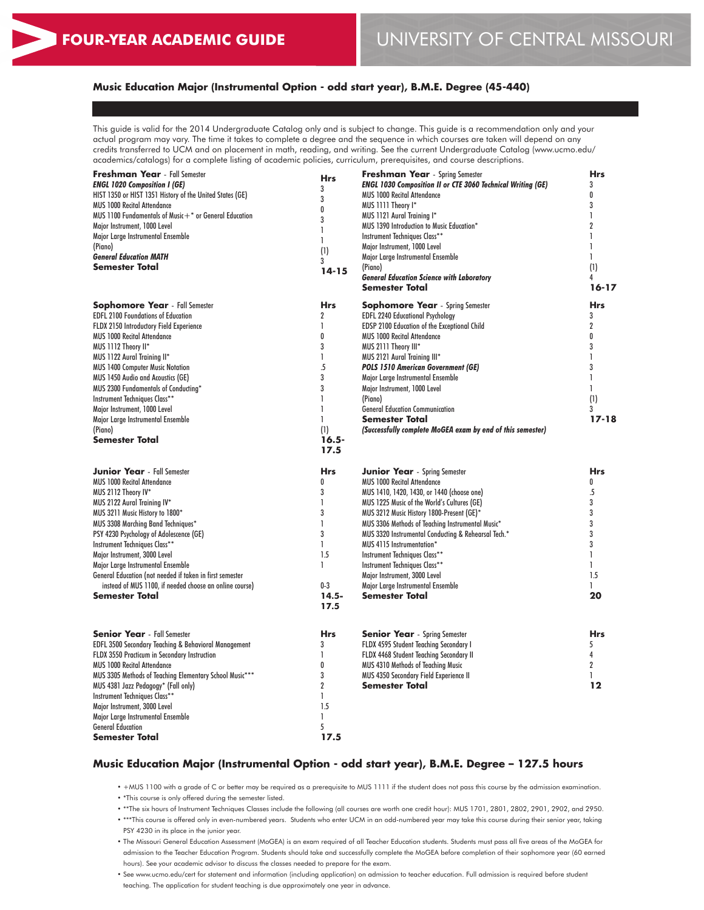## **Music Education Major (Instrumental Option - odd start year), B.M.E. Degree (45-440)**

This guide is valid for the 2014 Undergraduate Catalog only and is subject to change. This guide is a recommendation only and your actual program may vary. The time it takes to complete a degree and the sequence in which courses are taken will depend on any credits transferred to UCM and on placement in math, reading, and writing. See the current Undergraduate Catalog (www.ucmo.edu/ academics/catalogs) for a complete listing of academic policies, curriculum, prerequisites, and course descriptions.

| <b>Freshman Year</b> - Fall Semester                      | <b>Hrs</b>     | <b>Freshman Year</b> - Spring Semester                             | <b>Hrs</b>     |
|-----------------------------------------------------------|----------------|--------------------------------------------------------------------|----------------|
| <b>ENGL 1020 Composition I (GE)</b>                       |                | <b>ENGL 1030 Composition II or CTE 3060 Technical Writing (GE)</b> | 3              |
| HIST 1350 or HIST 1351 History of the United States (GE)  | 3              | <b>MUS 1000 Recital Attendance</b>                                 | 0              |
| <b>MUS 1000 Recital Attendance</b>                        | 3              | MUS 1111 Theory I*                                                 | 3              |
| MUS 1100 Fundamentals of Music $+$ * or General Education | 0              | MUS 1121 Aural Training I*                                         | 1              |
| Major Instrument, 1000 Level                              | 3              | MUS 1390 Introduction to Music Education*                          | $\overline{2}$ |
| Major Large Instrumental Ensemble                         | 1              | Instrument Techniques Class**                                      | $\mathbf{I}$   |
|                                                           | $\mathbf{I}$   |                                                                    | $\mathbf{I}$   |
| (Piano)                                                   | (1)            | Major Instrument, 1000 Level                                       | $\mathbf{I}$   |
| <b>General Education MATH</b>                             | 3              | Major Large Instrumental Ensemble                                  |                |
| Semester Total                                            | $14 - 15$      | (Piano)                                                            | (1)            |
|                                                           |                | <b>General Education Science with Laboratory</b>                   | 4              |
|                                                           |                | Semester Total                                                     | $16 - 17$      |
| <b>Sophomore Year</b> - Fall Semester                     | <b>Hrs</b>     | <b>Sophomore Year</b> - Spring Semester                            | <b>Hrs</b>     |
| <b>EDFL 2100 Foundations of Education</b>                 | $\overline{2}$ | <b>EDFL 2240 Educational Psychology</b>                            | 3              |
| FLDX 2150 Introductory Field Experience                   | $\mathbf{I}$   | <b>EDSP 2100 Education of the Exceptional Child</b>                | $\overline{2}$ |
| <b>MUS 1000 Recital Attendance</b>                        | 0              | <b>MUS 1000 Recital Attendance</b>                                 | 0              |
| MUS 1112 Theory II*                                       | 3              | MUS 2111 Theory III*                                               | 3              |
| MUS 1122 Aural Training II*                               | $\mathbf{I}$   | MUS 2121 Aural Training III*                                       | $\mathbf{I}$   |
| <b>MUS 1400 Computer Music Notation</b>                   | 5              | <b>POLS 1510 American Government (GE)</b>                          | 3              |
|                                                           | 3              |                                                                    | $\mathbf{I}$   |
| MUS 1450 Audio and Acoustics (GE)                         |                | Major Large Instrumental Ensemble                                  |                |
| MUS 2300 Fundamentals of Conducting*                      | 3              | Major Instrument, 1000 Level                                       | $\mathbf{I}$   |
| Instrument Techniques Class**                             | 1              | (Piano)                                                            | (1)            |
| Major Instrument, 1000 Level                              | $\mathbf{I}$   | <b>General Education Communication</b>                             | 3              |
| Major Large Instrumental Ensemble                         | 1              | <b>Semester Total</b>                                              | $17 - 18$      |
| (Piano)                                                   | (1)            | (Successfully complete MoGEA exam by end of this semester)         |                |
| <b>Semester Total</b>                                     | $16.5 -$       |                                                                    |                |
|                                                           | 17.5           |                                                                    |                |
| <b>Junior Year</b> - Fall Semester                        |                |                                                                    | <b>Hrs</b>     |
|                                                           | <b>Hrs</b>     | <b>Junior Year</b> - Spring Semester                               |                |
| <b>MUS 1000 Recital Attendance</b>                        | 0              | <b>MUS 1000 Recital Attendance</b>                                 | 0              |
| MUS 2112 Theory IV*                                       | 3              | MUS 1410, 1420, 1430, or 1440 (choose one)                         | $\overline{5}$ |
| MUS 2122 Aural Training IV*                               | $\mathbf{I}$   | MUS 1225 Music of the World's Cultures (GE)                        | 3              |
| MUS 3211 Music History to 1800*                           | 3              | MUS 3212 Music History 1800-Present (GE)*                          | 3              |
| MUS 3308 Marching Band Techniques*                        | $\mathbf{I}$   | MUS 3306 Methods of Teaching Instrumental Music*                   | 3              |
| PSY 4230 Psychology of Adolescence (GE)                   | 3              | MUS 3320 Instrumental Conducting & Rehearsal Tech.*                | 3              |
| Instrument Techniques Class**                             | $\mathbf{1}$   | MUS 4115 Instrumentation*                                          | 3              |
| Major Instrument, 3000 Level                              | 1.5            | Instrument Techniques Class**                                      | $\mathbf{I}$   |
| Major Large Instrumental Ensemble                         | 1              | Instrument Techniques Class**                                      | 1.             |
| General Education (not needed if taken in first semester  |                | Major Instrument, 3000 Level                                       | 1.5            |
| instead of MUS 1100, if needed choose an online course)   | $0-3$          | Major Large Instrumental Ensemble                                  | 1.             |
| Semester Total                                            | $14.5 -$       | Semester Total                                                     | 20             |
|                                                           | 17.5           |                                                                    |                |
|                                                           |                |                                                                    |                |
|                                                           |                |                                                                    |                |
| <b>Senior Year</b> - Fall Semester                        | <b>Hrs</b>     | <b>Senior Year</b> - Spring Semester                               | <b>Hrs</b>     |
| EDFL 3500 Secondary Teaching & Behavioral Management      | 3              | FLDX 4595 Student Teaching Secondary I                             | 5              |
| FLDX 3550 Practicum in Secondary Instruction              | 1              | FLDX 4468 Student Teaching Secondary II                            | 4              |
| <b>MUS 1000 Recital Attendance</b>                        | 0              | MUS 4310 Methods of Teaching Music                                 | $\overline{2}$ |
| MUS 3305 Methods of Teaching Elementary School Music***   | 3              | MUS 4350 Secondary Field Experience II                             | 1              |
| MUS 4381 Jazz Pedagogy* (Fall only)                       | 2              | <b>Semester Total</b>                                              | 12             |
| Instrument Techniques Class**                             | $\mathbf{I}$   |                                                                    |                |
| Major Instrument, 3000 Level                              | 1.5            |                                                                    |                |
| Major Large Instrumental Ensemble                         | $\mathbf{I}$   |                                                                    |                |
| <b>General Education</b>                                  | 5              |                                                                    |                |
| Semester Total                                            | 17.5           |                                                                    |                |
|                                                           |                |                                                                    |                |

## **Music Education Major (Instrumental Option - odd start year), B.M.E. Degree – 127.5 hours**

• +MUS 1100 with a grade of C or better may be required as a prerequisite to MUS 1111 if the student does not pass this course by the admission examination.

• \*This course is only offered during the semester listed.

• \*\*The six hours of Instrument Techniques Classes include the following (all courses are worth one credit hour): MUS 1701, 2801, 2802, 2901, 2902, and 2950.

• \*\*\*This course is offered only in even-numbered years. Students who enter UCM in an odd-numbered year may take this course during their senior year, taking PSY 4230 in its place in the junior year.

• The Missouri General Education Assessment (MoGEA) is an exam required of all Teacher Education students. Students must pass all five areas of the MoGEA for admission to the Teacher Education Program. Students should take and successfully complete the MoGEA before completion of their sophomore year (60 earned hours). See your academic advisor to discuss the classes needed to prepare for the exam.

• See www.ucmo.edu/cert for statement and information (including application) on admission to teacher education. Full admission is required before student teaching. The application for student teaching is due approximately one year in advance.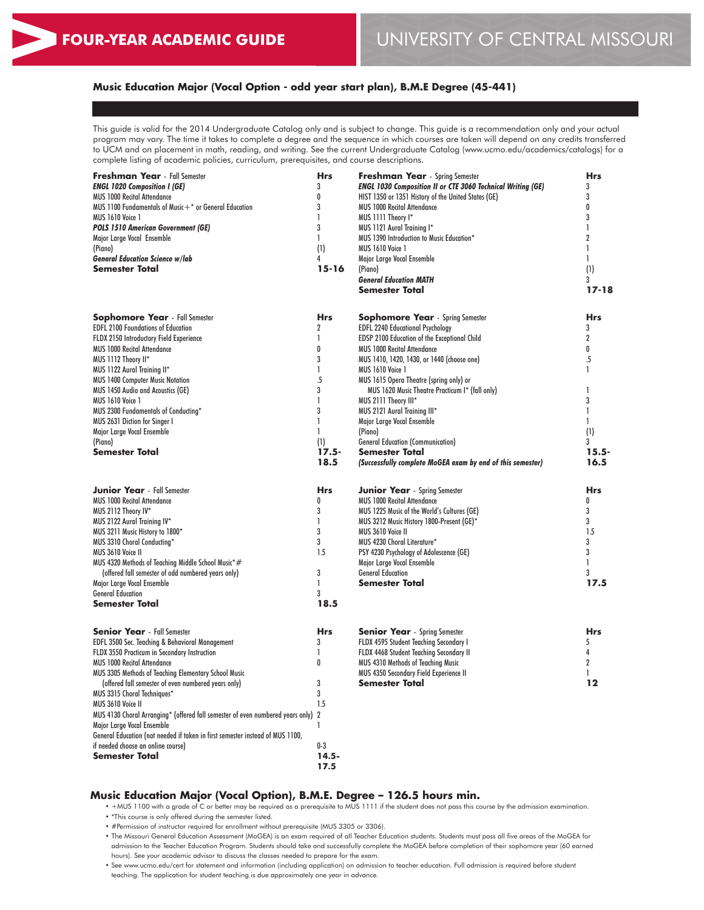## **Music Education Major (Vocal Option - odd year start plan), B.M.E Degree (45-441)**

This guide is valid for the 2014 Undergraduate Catalog only and is subject to change. This guide is a recommendation only and your actual program may vary. The time it takes to complete a degree and the sequence in which courses are taken will depend on any credits transferred to UCM and on placement in math, reading, and writing. See the current Undergraduate Catalog (www.ucmo.edu/academics/catalogs) for a complete listing of academic policies, curriculum, prerequisites, and course descriptions.

| Freshman Year - Fall Semester                                                    | <b>Hrs</b>     | Freshman Year - Spring Semester                                    | <b>Hrs</b>     |
|----------------------------------------------------------------------------------|----------------|--------------------------------------------------------------------|----------------|
| <b>ENGL 1020 Composition I (GE)</b>                                              | 3              | <b>ENGL 1030 Composition II or CTE 3060 Technical Writing (GE)</b> | 3              |
| <b>MUS 1000 Recital Attendance</b>                                               | 0              | HIST 1350 or 1351 History of the United States (GE)                | 3              |
| MUS 1100 Fundamentals of Music+* or General Education                            | 3              | <b>MUS 1000 Recital Attendance</b>                                 | 0              |
| <b>MUS 1610 Voice 1</b>                                                          | 1              | MUS 1111 Theory I*                                                 | 3              |
| <b>POLS 1510 American Government (GE)</b>                                        | 3              | MUS 1121 Aural Training I*                                         | L              |
| Major Large Vocal Ensemble                                                       | 1              | MUS 1390 Introduction to Music Education*                          | $\overline{2}$ |
| (Piano)                                                                          | (1)            | <b>MUS 1610 Voice 1</b>                                            | $\mathbf{I}$   |
| <b>General Education Science w/lab</b>                                           | 4              | Major Large Vocal Ensemble                                         | 1              |
| <b>Semester Total</b>                                                            | $15 - 16$      | (Piano)                                                            | (1)            |
|                                                                                  |                | <b>General Education MATH</b>                                      | 3              |
|                                                                                  |                | <b>Semester Total</b>                                              | $17 - 18$      |
|                                                                                  |                |                                                                    |                |
| <b>Sophomore Year</b> - Fall Semester                                            | <b>Hrs</b>     | <b>Sophomore Year</b> - Spring Semester                            | <b>Hrs</b>     |
| <b>EDFL 2100 Foundations of Education</b>                                        | $\overline{c}$ | <b>EDFL 2240 Educational Psychology</b>                            | 3              |
| FLDX 2150 Introductory Field Experience                                          | $\mathbf{I}$   | EDSP 2100 Education of the Exceptional Child                       | $\overline{2}$ |
| <b>MUS 1000 Recital Attendance</b>                                               | 0              | <b>MUS 1000 Recital Attendance</b>                                 | 0              |
| MUS 1112 Theory II*                                                              | 3              | MUS 1410, 1420, 1430, or 1440 (choose one)                         | $\overline{5}$ |
| MUS 1122 Aural Training II*                                                      | $\mathbf{I}$   | <b>MUS 1610 Voice 1</b>                                            | $\mathbf{I}$   |
| <b>MUS 1400 Computer Music Notation</b>                                          | $\overline{5}$ | MUS 1615 Opera Theatre (spring only) or                            |                |
| MUS 1450 Audio and Acoustics (GE)                                                | 3              | MUS 1620 Music Theatre Practicum I* (fall only)                    | I.             |
| <b>MUS 1610 Voice 1</b>                                                          | 1              | MUS 2111 Theory III*                                               | 3              |
| MUS 2300 Fundamentals of Conducting*                                             | 3              | MUS 2121 Aural Training III*                                       | I.             |
| MUS 2631 Diction for Singer I                                                    | $\mathbf{I}$   | Major Large Vocal Ensemble                                         | $\mathbf{1}$   |
| Major Large Vocal Ensemble                                                       | 1              | (Piano)                                                            | (1)            |
| (Piano)                                                                          | (1)            | <b>General Education (Communication)</b>                           | 3              |
| <b>Semester Total</b>                                                            | $17.5 -$       | <b>Semester Total</b>                                              | $15.5 -$       |
|                                                                                  | 18.5           | (Successfully complete MoGEA exam by end of this semester)         | 16.5           |
| <b>Junior Year</b> - Fall Semester                                               | <b>Hrs</b>     | <b>Junior Year</b> - Spring Semester                               | <b>Hrs</b>     |
| <b>MUS 1000 Recital Attendance</b>                                               | 0              | <b>MUS 1000 Recital Attendance</b>                                 | 0              |
| MUS 2112 Theory IV*                                                              | 3              | MUS 1225 Music of the World's Cultures (GE)                        | 3              |
| MUS 2122 Aural Training IV*                                                      | 1              | MUS 3212 Music History 1800-Present (GE)*                          | 3              |
| MUS 3211 Music History to 1800*                                                  | 3              | MUS 3610 Voice II                                                  | 1.5            |
| MUS 3310 Choral Conducting*                                                      | 3              | MUS 4230 Choral Literature*                                        | 3              |
| MUS 3610 Voice II                                                                | 1.5            | PSY 4230 Psychology of Adolescence (GE)                            | 3              |
| MUS 4320 Methods of Teaching Middle School Music*#                               |                | Major Large Vocal Ensemble                                         | $\mathbf{I}$   |
| (offered fall semester of odd numbered years only)                               | 3              | <b>General Education</b>                                           | 3              |
| Major Large Vocal Ensemble                                                       | $\mathbf{I}$   | <b>Semester Total</b>                                              | 17.5           |
| <b>General Education</b>                                                         | 3              |                                                                    |                |
| <b>Semester Total</b>                                                            | 18.5           |                                                                    |                |
|                                                                                  |                |                                                                    |                |
| <b>Senior Year</b> - Fall Semester                                               | <b>Hrs</b>     | <b>Senior Year</b> - Spring Semester                               | <b>Hrs</b>     |
| EDFL 3500 Sec. Teaching & Behavioral Management                                  | 3              | FLDX 4595 Student Teaching Secondary I                             | 5              |
| FLDX 3550 Practicum in Secondary Instruction                                     | 1              | FLDX 4468 Student Teaching Secondary II                            | 4              |
| <b>MUS 1000 Recital Attendance</b>                                               | 0              | MUS 4310 Methods of Teaching Music                                 | $\overline{2}$ |
| MUS 3305 Methods of Teaching Elementary School Music                             |                | <b>MUS 4350 Secondary Field Experience II</b>                      | L              |
| (offered fall semester of even numbered years only)                              | 3              | Semester Total                                                     | 12             |
| MUS 3315 Choral Techniques*                                                      | 3              |                                                                    |                |
| MUS 3610 Voice II                                                                | 1.5            |                                                                    |                |
| MUS 4130 Choral Arranging* (offered fall semester of even numbered years only) 2 |                |                                                                    |                |
| Major Large Vocal Ensemble                                                       | 1              |                                                                    |                |
| General Education (not needed if taken in first semester instead of MUS 1100,    |                |                                                                    |                |
| if needed choose an online course)                                               | $0-3$          |                                                                    |                |
| <b>Semester Total</b>                                                            | $14.5 -$       |                                                                    |                |
|                                                                                  | 17.5           |                                                                    |                |

## **Music Education Major (Vocal Option), B.M.E. Degree – 126.5 hours min.**

• +MUS 1100 with a grade of C or better may be required as a prerequisite to MUS 1111 if the student does not pass this course by the admission examination.

• \*This course is only offered during the semester listed.

• #Permission of instructor required for enrollment without prerequisite (MUS 3305 or 3306).

• The Missouri General Education Assessment (MoGEA) is an exam required of all Teacher Education students. Students must pass all five areas of the MoGEA for admission to the Teacher Education Program. Students should take and successfully complete the MoGEA before completion of their sophomore year (60 earned hours). See your academic advisor to discuss the classes needed to prepare for the exam.

• See www.ucmo.edu/cert for statement and information (including application) on admission to teacher education. Full admission is required before student teaching. The application for student teaching is due approximately one year in advance.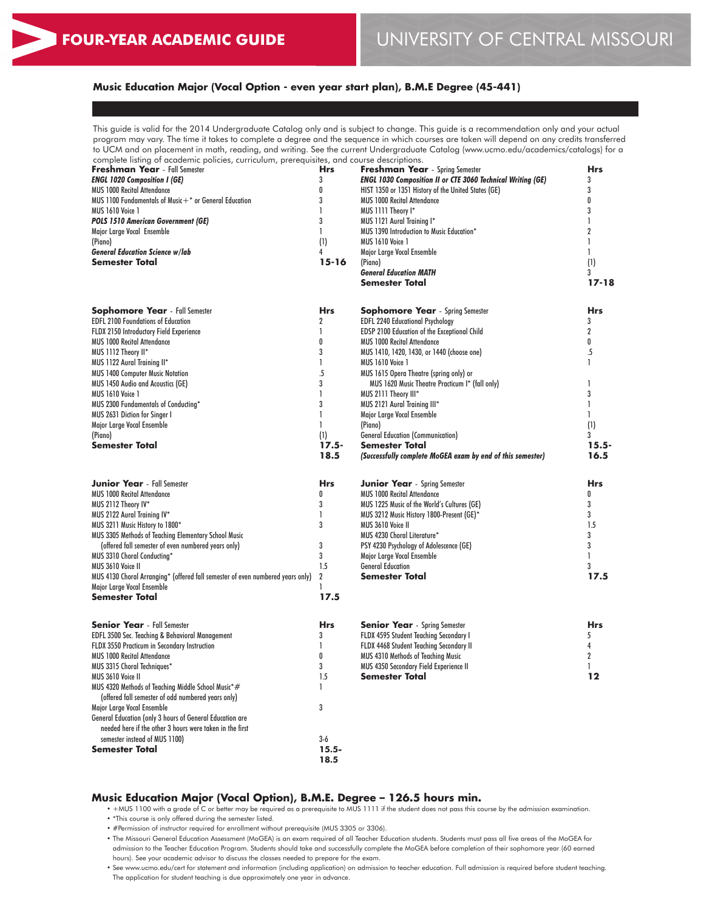## **Music Education Major (Vocal Option - even year start plan), B.M.E Degree (45-441)**

This guide is valid for the 2014 Undergraduate Catalog only and is subject to change. This guide is a recommendation only and your actual program may vary. The time it takes to complete a degree and the sequence in which courses are taken will depend on any credits transferred to UCM and on placement in math, reading, and writing. See the current Undergraduate Catalog (www.ucmo.edu/academics/catalogs) for a

| complete listing of academic policies, curriculum, prerequisites, and course descriptions. |                  |                                                                    |              |
|--------------------------------------------------------------------------------------------|------------------|--------------------------------------------------------------------|--------------|
| <b>Freshman Year</b> - Fall Semester                                                       | <b>Hrs</b>       | <b>Freshman Year</b> - Spring Semester                             | <b>Hrs</b>   |
| <b>ENGL 1020 Composition I (GE)</b>                                                        | 3                | <b>ENGL 1030 Composition II or CTE 3060 Technical Writing (GE)</b> | 3            |
| MUS 1000 Recital Attendance                                                                | 0                | HIST 1350 or 1351 History of the United States (GE)                | 3            |
| MUS 1100 Fundamentals of Music $+$ * or General Education                                  | 3                | <b>MUS 1000 Recital Attendance</b>                                 | 0            |
| <b>MUS 1610 Voice 1</b>                                                                    | $\mathbf{I}$     | MUS 1111 Theory I*                                                 | 3            |
| <b>POLS 1510 American Government (GE)</b>                                                  | 3                | MUS 1121 Aural Training I*                                         | 1            |
| Major Large Vocal Ensemble                                                                 | $\mathbf{I}$     | MUS 1390 Introduction to Music Education*                          | 2            |
| (Piano)                                                                                    | (1)              | <b>MUS 1610 Voice 1</b>                                            | 1            |
| <b>General Education Science w/lab</b>                                                     | 4                | Major Large Vocal Ensemble                                         | $\mathbf{1}$ |
| <b>Semester Total</b>                                                                      | $15 - 16$        | (Piano)                                                            | (1)          |
|                                                                                            |                  | <b>General Education MATH</b>                                      | 3            |
|                                                                                            |                  | <b>Semester Total</b>                                              | $17 - 18$    |
| <b>Sophomore Year</b> - Fall Semester                                                      | <b>Hrs</b>       | <b>Sophomore Year</b> - Spring Semester                            | <b>Hrs</b>   |
| <b>EDFL 2100 Foundations of Education</b>                                                  | $\boldsymbol{2}$ | <b>EDFL 2240 Educational Psychology</b>                            | 3            |
| FLDX 2150 Introductory Field Experience                                                    | $\mathbf{I}$     | <b>EDSP 2100 Education of the Exceptional Child</b>                | 2            |
| <b>MUS 1000 Recital Attendance</b>                                                         | 0                | <b>MUS 1000 Recital Attendance</b>                                 | 0            |
| MUS 1112 Theory II*                                                                        | 3                | MUS 1410, 1420, 1430, or 1440 (choose one)                         | .5           |
|                                                                                            | $\mathbf{I}$     | <b>MUS 1610 Voice 1</b>                                            | $\mathbf{I}$ |
| MUS 1122 Aural Training II*                                                                | $\overline{5}$   |                                                                    |              |
| MUS 1400 Computer Music Notation                                                           |                  | MUS 1615 Opera Theatre (spring only) or                            |              |
| MUS 1450 Audio and Acoustics (GE)                                                          | 3                | MUS 1620 Music Theatre Practicum I* (fall only)                    | 1            |
| <b>MUS 1610 Voice 1</b>                                                                    | $\mathbf{I}$     | MUS 2111 Theory III*                                               | 3            |
| MUS 2300 Fundamentals of Conducting*                                                       | 3                | MUS 2121 Aural Training III*                                       | $\mathbf{I}$ |
| MUS 2631 Diction for Singer I                                                              | $\mathbf{I}$     | Major Large Vocal Ensemble                                         | 1            |
| Major Large Vocal Ensemble                                                                 | $\mathbf{I}$     | (Piano)                                                            | (1)          |
| (Piano)                                                                                    | (1)              | <b>General Education (Communication)</b>                           | 3            |
| <b>Semester Total</b>                                                                      | $17.5 -$         | <b>Semester Total</b>                                              | $15.5 -$     |
|                                                                                            | 18.5             | (Successfully complete MoGEA exam by end of this semester)         | 16.5         |
| <b>Junior Year</b> - Fall Semester                                                         | <b>Hrs</b>       | <b>Junior Year</b> - Spring Semester                               | <b>Hrs</b>   |
| <b>MUS 1000 Recital Attendance</b>                                                         | 0                | <b>MUS 1000 Recital Attendance</b>                                 | 0            |
| MUS 2112 Theory IV*                                                                        | 3                | MUS 1225 Music of the World's Cultures (GE)                        | 3            |
| MUS 2122 Aural Training IV*                                                                | $\mathbf{I}$     | MUS 3212 Music History 1800-Present (GE)*                          | 3            |
| MUS 3211 Music History to 1800*                                                            | 3                | MUS 3610 Voice II                                                  | 1.5          |
| MUS 3305 Methods of Teaching Elementary School Music                                       |                  | MUS 4230 Choral Literature*                                        | 3            |
| (offered fall semester of even numbered years only)                                        | 3                | PSY 4230 Psychology of Adolescence (GE)                            | 3            |
| MUS 3310 Choral Conducting*                                                                | 3                | Major Large Vocal Ensemble                                         | 1            |
| MUS 3610 Voice II                                                                          | 1.5              | <b>General Education</b>                                           | 3            |
| MUS 4130 Choral Arranging* (offered fall semester of even numbered years only)             | $\overline{2}$   | <b>Semester Total</b>                                              | 17.5         |
| Major Large Vocal Ensemble                                                                 | 1                |                                                                    |              |
| <b>Semester Total</b>                                                                      | 17.5             |                                                                    |              |
| <b>Senior Year</b> - Fall Semester                                                         | <b>Hrs</b>       | <b>Senior Year</b> - Spring Semester                               | <b>Hrs</b>   |
| EDFL 3500 Sec. Teaching & Behavioral Management                                            | 3                | FLDX 4595 Student Teaching Secondary I                             | 5            |
| FLDX 3550 Practicum in Secondary Instruction                                               | $\mathbf{I}$     | FLDX 4468 Student Teaching Secondary II                            | 4            |
| <b>MUS 1000 Recital Attendance</b>                                                         | 0                | MUS 4310 Methods of Teaching Music                                 | 2            |
| MUS 3315 Choral Techniques*                                                                | 3                | <b>MUS 4350 Secondary Field Experience II</b>                      | 1            |
| MUS 3610 Voice II                                                                          | 1.5              | <b>Semester Total</b>                                              | 12           |
| MUS 4320 Methods of Teaching Middle School Music*#                                         | L                |                                                                    |              |
| (offered fall semester of odd numbered years only)                                         |                  |                                                                    |              |
| Major Large Vocal Ensemble                                                                 | 3                |                                                                    |              |
| General Education (only 3 hours of General Education are                                   |                  |                                                                    |              |
| needed here if the other 3 hours were taken in the first                                   |                  |                                                                    |              |
| semester instead of MUS 1100)                                                              | $3-6$            |                                                                    |              |
| <b>Semester Total</b>                                                                      | $15.5 -$         |                                                                    |              |
|                                                                                            | 18.5             |                                                                    |              |
|                                                                                            |                  |                                                                    |              |

#### **Music Education Major (Vocal Option), B.M.E. Degree – 126.5 hours min.**

• +MUS 1100 with a grade of C or better may be required as a prerequisite to MUS 1111 if the student does not pass this course by the admission examination.

• \*This course is only offered during the semester listed.

• #Permission of instructor required for enrollment without prerequisite (MUS 3305 or 3306).

• The Missouri General Education Assessment (MoGEA) is an exam required of all Teacher Education students. Students must pass all five areas of the MoGEA for admission to the Teacher Education Program. Students should take and successfully complete the MoGEA before completion of their sophomore year (60 earned hours). See your academic advisor to discuss the classes needed to prepare for the exam.

• See www.ucmo.edu/cert for statement and information (including application) on admission to teacher education. Full admission is required before student teaching. The application for student teaching is due approximately one year in advance.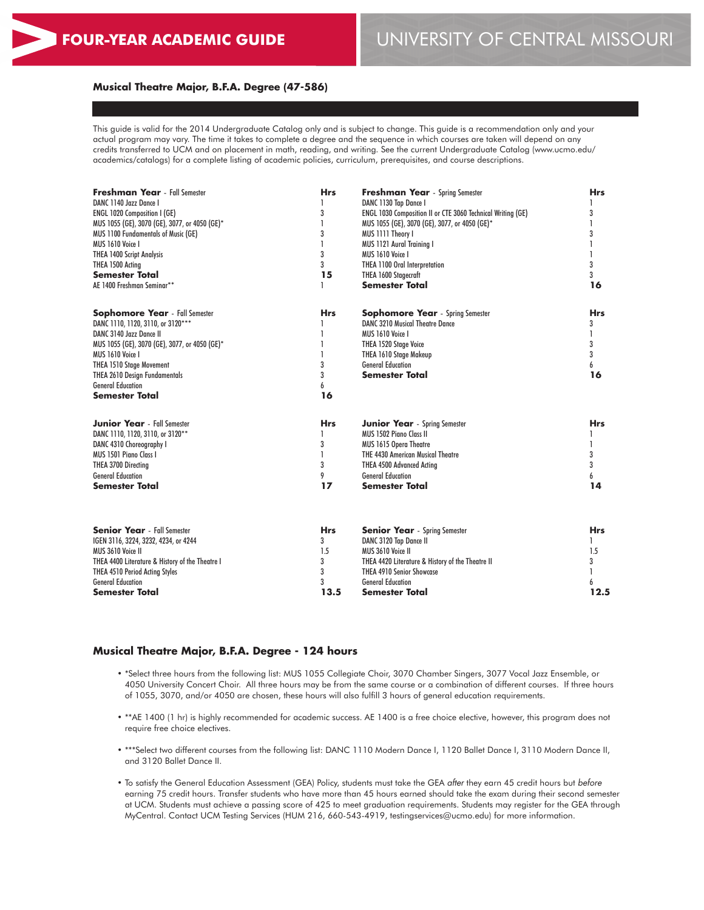## **Musical Theatre Major, B.F.A. Degree (47-586)**

This guide is valid for the 2014 Undergraduate Catalog only and is subject to change. This guide is a recommendation only and your actual program may vary. The time it takes to complete a degree and the sequence in which courses are taken will depend on any credits transferred to UCM and on placement in math, reading, and writing. See the current Undergraduate Catalog (www.ucmo.edu/ academics/catalogs) for a complete listing of academic policies, curriculum, prerequisites, and course descriptions.

| <b>Freshman Year</b> - Fall Semester                      | <b>Hrs</b>   | <b>Freshman Year</b> - Spring Semester                         | <b>Hrs</b> |  |
|-----------------------------------------------------------|--------------|----------------------------------------------------------------|------------|--|
| DANC 1140 Jazz Dance I                                    |              | DANC 1130 Tap Dance I                                          |            |  |
| <b>ENGL 1020 Composition I (GE)</b>                       | 3            | ENGL 1030 Composition II or CTE 3060 Technical Writing (GE)    | 3          |  |
| MUS 1055 (GE), 3070 (GE), 3077, or 4050 (GE)*             |              | MUS 1055 (GE), 3070 (GE), 3077, or 4050 (GE)*                  | L          |  |
| MUS 1100 Fundamentals of Music (GE)                       | 3            | MUS 1111 Theory I                                              | 3          |  |
| MUS 1610 Voice I                                          |              | <b>MUS 1121 Aural Training I</b>                               | 1          |  |
| <b>THEA 1400 Script Analysis</b>                          | 3            | MUS 1610 Voice I                                               | 1          |  |
| THEA 1500 Acting                                          | 3            | THEA 1100 Oral Interpretation                                  | 3          |  |
| <b>Semester Total</b>                                     | 15           | THEA 1600 Stagecraft                                           | 3          |  |
| AE 1400 Freshman Seminar**                                |              | <b>Semester Total</b>                                          | 16         |  |
| <b>Sophomore Year</b> - Fall Semester                     | <b>Hrs</b>   | <b>Sophomore Year</b> - Spring Semester                        | <b>Hrs</b> |  |
| DANC 1110, 1120, 3110, or 3120***                         |              | <b>DANC 3210 Musical Theatre Dance</b>                         | 3          |  |
| DANC 3140 Jazz Dance II                                   |              | MUS 1610 Voice I                                               | 1          |  |
| MUS 1055 (GE), 3070 (GE), 3077, or 4050 (GE)*             |              | THEA 1520 Stage Voice                                          | 3          |  |
| MUS 1610 Voice I                                          |              | THEA 1610 Stage Makeup                                         | 3          |  |
| <b>THEA 1510 Stage Movement</b>                           | 3            | <b>General Education</b>                                       | 6          |  |
| <b>THEA 2610 Design Fundamentals</b>                      | 3            | <b>Semester Total</b>                                          | 16         |  |
| <b>General Education</b>                                  | 6            |                                                                |            |  |
| <b>Semester Total</b>                                     | 16           |                                                                |            |  |
| <b>Junior Year</b> - Fall Semester                        | <b>Hrs</b>   | <b>Junior Year</b> - Spring Semester                           | <b>Hrs</b> |  |
| DANC 1110, 1120, 3110, or 3120**                          |              | <b>MUS 1502 Piano Class II</b>                                 |            |  |
| DANC 4310 Choreography I                                  | 3            | MUS 1615 Opera Theatre                                         | 1          |  |
| MUS 1501 Piano Class I                                    | $\mathbf{I}$ | <b>THE 4430 American Musical Theatre</b>                       | 3          |  |
| THEA 3700 Directing                                       | 3            | <b>THEA 4500 Advanced Acting</b>                               | 3          |  |
| <b>General Education</b>                                  | 9            | <b>General Education</b>                                       | 6          |  |
| <b>Semester Total</b>                                     | 17           | <b>Semester Total</b>                                          | 14         |  |
| <b>Senior Year</b> - Fall Semester                        | <b>Hrs</b>   |                                                                | <b>Hrs</b> |  |
|                                                           | 3            | <b>Senior Year</b> - Spring Semester<br>DANC 3120 Tap Dance II | 1          |  |
| IGEN 3116, 3224, 3232, 4234, or 4244<br>MUS 3610 Voice II | 1.5          | MUS 3610 Voice II                                              | 1.5        |  |
| THEA 4400 Literature & History of the Theatre I           | 3            | THEA 4420 Literature & History of the Theatre II               | 3          |  |
| THEA 4510 Period Acting Styles                            | 3            | <b>THEA 4910 Senior Showcase</b>                               | 1          |  |
| <b>General Education</b>                                  | 3            | <b>General Education</b>                                       | 6          |  |
| Semester Total                                            | 13.5         | Semester Total                                                 | 12.5       |  |
|                                                           |              |                                                                |            |  |

### **Musical Theatre Major, B.F.A. Degree - 124 hours**

- \*Select three hours from the following list: MUS 1055 Collegiate Choir, 3070 Chamber Singers, 3077 Vocal Jazz Ensemble, or 4050 University Concert Choir. All three hours may be from the same course or a combination of different courses. If three hours of 1055, 3070, and/or 4050 are chosen, these hours will also fulfill 3 hours of general education requirements.
- \*\*AE 1400 (1 hr) is highly recommended for academic success. AE 1400 is a free choice elective, however, this program does not require free choice electives.
- \*\*\*Select two different courses from the following list: DANC 1110 Modern Dance I, 1120 Ballet Dance I, 3110 Modern Dance II, and 3120 Ballet Dance II.
- To satisfy the General Education Assessment (GEA) Policy, students must take the GEA *after* they earn 45 credit hours but *before* earning 75 credit hours. Transfer students who have more than 45 hours earned should take the exam during their second semester at UCM. Students must achieve a passing score of 425 to meet graduation requirements. Students may register for the GEA through MyCentral. Contact UCM Testing Services (HUM 216, 660-543-4919, testingservices@ucmo.edu) for more information.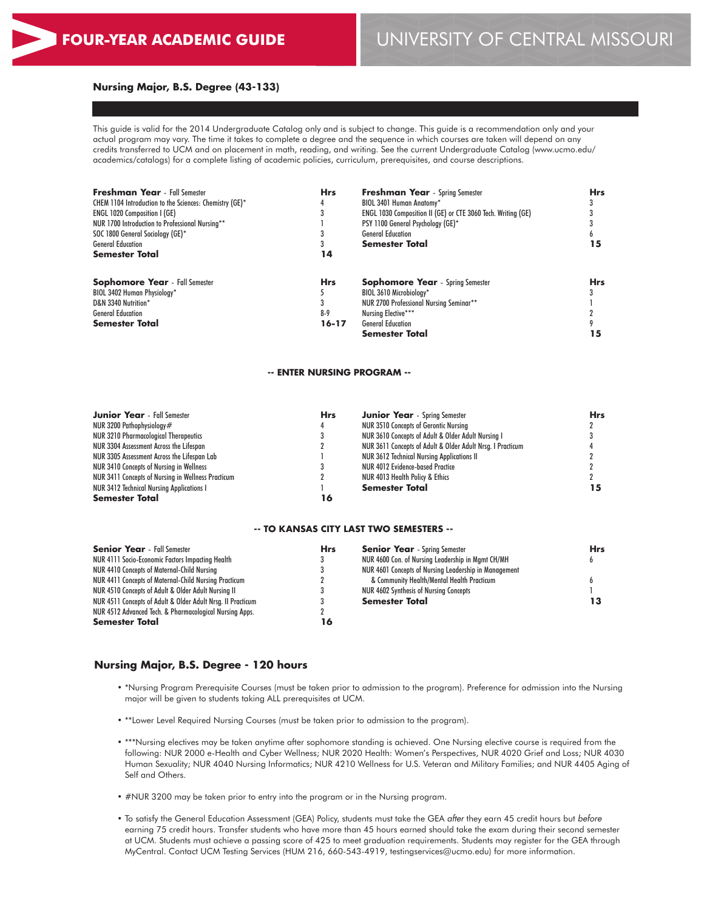#### **Nursing Major, B.S. Degree (43-133)**

This guide is valid for the 2014 Undergraduate Catalog only and is subject to change. This guide is a recommendation only and your actual program may vary. The time it takes to complete a degree and the sequence in which courses are taken will depend on any credits transferred to UCM and on placement in math, reading, and writing. See the current Undergraduate Catalog (www.ucmo.edu/ academics/catalogs) for a complete listing of academic policies, curriculum, prerequisites, and course descriptions.

| <b>Freshman Year</b> - Fall Semester<br>CHEM 1104 Introduction to the Sciences: Chemistry (GE)* | <b>Hrs</b> | <b>Freshman Year</b> - Spring Semester                       | <b>Hrs</b><br>15 |
|-------------------------------------------------------------------------------------------------|------------|--------------------------------------------------------------|------------------|
|                                                                                                 |            | BIOL 3401 Human Anatomy*                                     |                  |
| <b>ENGL 1020 Composition I (GE)</b>                                                             | 3          | ENGL 1030 Composition II (GE) or CTE 3060 Tech. Writing (GE) |                  |
| NUR 1700 Introduction to Professional Nursing**                                                 |            | PSY 1100 General Psychology (GE)*                            |                  |
| SOC 1800 General Sociology (GE)*                                                                | 14         | <b>General Education</b>                                     |                  |
| <b>General Education</b>                                                                        |            | <b>Semester Total</b>                                        |                  |
| <b>Semester Total</b>                                                                           |            |                                                              |                  |
| <b>Sophomore Year</b> - Fall Semester                                                           | <b>Hrs</b> | <b>Sophomore Year</b> - Spring Semester                      | <b>Hrs</b>       |
| BIOL 3402 Human Physiology*                                                                     |            | BIOL 3610 Microbiology*                                      |                  |
| D&N 3340 Nutrition*                                                                             |            | NUR 2700 Professional Nursing Seminar**                      |                  |
| <b>General Education</b>                                                                        | $8-9$      | Nursing Elective***                                          |                  |
| <b>Semester Total</b>                                                                           | 16-17      | <b>General Education</b>                                     |                  |
|                                                                                                 |            | <b>Semester Total</b>                                        | 15               |

#### **-- ENTER NURSING PROGRAM --**

| <b>Junior Year</b> - Fall Semester                 | <b>Hrs</b> | <b>Junior Year</b> - Spring Semester                       | Hrs |
|----------------------------------------------------|------------|------------------------------------------------------------|-----|
| NUR 3200 Pathophysiology $#$                       |            | <b>NUR 3510 Concepts of Gerontic Nursing</b>               |     |
| NUR 3210 Pharmacological Therapeutics              |            | NUR 3610 Concepts of Adult & Older Adult Nursing I         |     |
| NUR 3304 Assessment Across the Lifespan            |            | NUR 3611 Concepts of Adult & Older Adult Nrsg. I Practicum |     |
| NUR 3305 Assessment Across the Lifespan Lab        |            | <b>NUR 3612 Technical Nursing Applications II</b>          |     |
| NUR 3410 Concepts of Nursing in Wellness           |            | NUR 4012 Evidence-based Practice                           |     |
| NUR 3411 Concepts of Nursing in Wellness Practicum |            | NUR 4013 Health Policy & Ethics                            |     |
| <b>NUR 3412 Technical Nursing Applications I</b>   |            | <b>Semester Total</b>                                      | 15  |
| <b>Semester Total</b>                              | 16         |                                                            |     |

#### **-- TO KANSAS CITY LAST TWO SEMESTERS --**

| <b>Senior Year</b> - Fall Semester                          | <b>Hrs</b> | <b>Senior Year</b> - Spring Semester                  | Hrs |
|-------------------------------------------------------------|------------|-------------------------------------------------------|-----|
| NUR 4111 Socio-Economic Factors Impacting Health            |            | NUR 4600 Con. of Nursing Leadership in Mamt CH/MH     |     |
| NUR 4410 Concepts of Maternal-Child Nursing                 |            | NUR 4601 Concepts of Nursing Leadership in Management |     |
| NUR 4411 Concepts of Maternal-Child Nursing Practicum       |            | & Community Health/Mental Health Practicum            |     |
| NUR 4510 Concepts of Adult & Older Adult Nursing II         |            | NUR 4602 Synthesis of Nursing Concepts                |     |
| NUR 4511 Concepts of Adult & Older Adult Nrsg. II Practicum |            | <b>Semester Total</b>                                 | 13  |
| NUR 4512 Advanced Tech. & Pharmacological Nursing Apps.     |            |                                                       |     |
| <b>Semester Total</b>                                       | 16         |                                                       |     |
|                                                             |            |                                                       |     |

## **Nursing Major, B.S. Degree - 120 hours**

- \*Nursing Program Prerequisite Courses (must be taken prior to admission to the program). Preference for admission into the Nursing major will be given to students taking ALL prerequisites at UCM.
- \*\*Lower Level Required Nursing Courses (must be taken prior to admission to the program).
- \*\*\*Nursing electives may be taken anytime after sophomore standing is achieved. One Nursing elective course is required from the following: NUR 2000 e-Health and Cyber Wellness; NUR 2020 Health: Women's Perspectives, NUR 4020 Grief and Loss; NUR 4030 Human Sexuality; NUR 4040 Nursing Informatics; NUR 4210 Wellness for U.S. Veteran and Military Families; and NUR 4405 Aging of Self and Others.
- #NUR 3200 may be taken prior to entry into the program or in the Nursing program.
- To satisfy the General Education Assessment (GEA) Policy, students must take the GEA *after* they earn 45 credit hours but *before* earning 75 credit hours. Transfer students who have more than 45 hours earned should take the exam during their second semester at UCM. Students must achieve a passing score of 425 to meet graduation requirements. Students may register for the GEA through MyCentral. Contact UCM Testing Services (HUM 216, 660-543-4919, testingservices@ucmo.edu) for more information.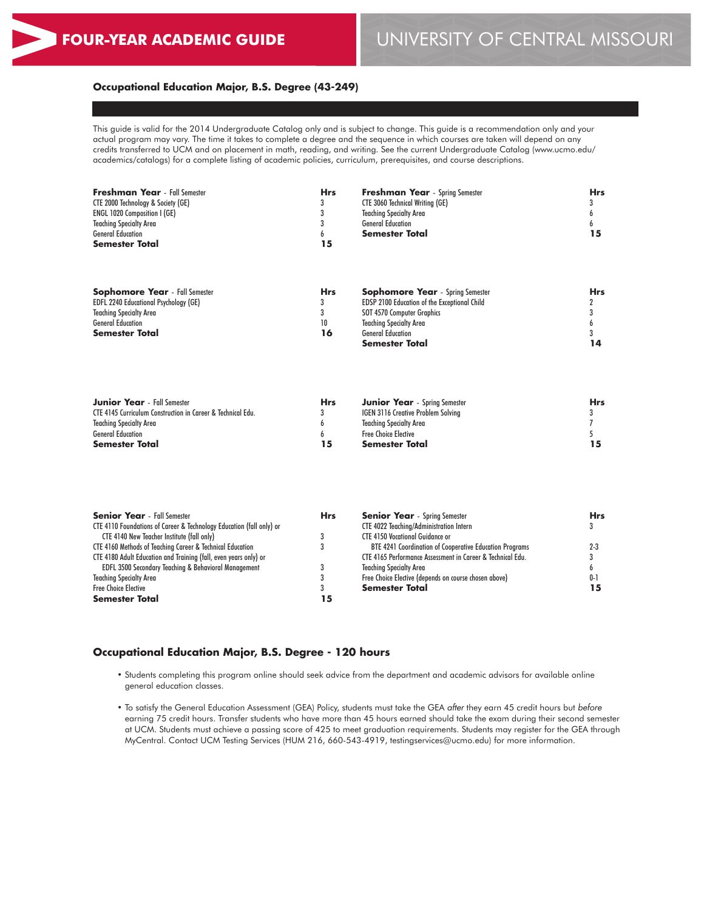**Semester Total**

## **FOUR-YEAR ACADEMIC GUIDE** UNIVERSITY OF CENTRAL MISSOURI

3 **14**

## **Occupational Education Major, B.S. Degree (43-249)**

This guide is valid for the 2014 Undergraduate Catalog only and is subject to change. This guide is a recommendation only and your actual program may vary. The time it takes to complete a degree and the sequence in which courses are taken will depend on any credits transferred to UCM and on placement in math, reading, and writing. See the current Undergraduate Catalog (www.ucmo.edu/ academics/catalogs) for a complete listing of academic policies, curriculum, prerequisites, and course descriptions.

| <b>Freshman Year</b> - Fall Semester         | <b>Hrs</b> | <b>Freshman Year</b> - Spring Semester              | <b>Hrs</b> |
|----------------------------------------------|------------|-----------------------------------------------------|------------|
| CTE 2000 Technology & Society (GE)           | 3          | <b>CTE 3060 Technical Writing (GE)</b>              |            |
| <b>ENGL 1020 Composition I (GE)</b>          |            | <b>Teaching Specialty Area</b>                      |            |
| <b>Teaching Specialty Area</b>               |            | <b>General Education</b>                            |            |
| <b>General Education</b>                     | h.         | <b>Semester Total</b>                               | 15         |
| <b>Semester Total</b>                        | 15         |                                                     |            |
|                                              |            |                                                     |            |
| <b>Sophomore Year</b> - Fall Semester        | <b>Hrs</b> | <b>Sophomore Year</b> - Spring Semester             | <b>Hrs</b> |
| <b>EDFL 2240 Educational Psychology (GE)</b> |            | <b>EDSP 2100 Education of the Exceptional Child</b> |            |
| <b>Teaching Specialty Area</b>               |            | SOT 4570 Computer Graphics                          |            |
| <b>General Education</b>                     | 10         | <b>Teaching Specialty Area</b>                      |            |

General Education **Semester Total**

**16**

| <b>Junior Year</b> - Fall Semester                          | Hrs | <b>Junior Year</b> - Spring Semester      | <b>Hrs</b> |
|-------------------------------------------------------------|-----|-------------------------------------------|------------|
| CTE 4145 Curriculum Construction in Career & Technical Edu. |     | <b>IGEN 3116 Creative Problem Solving</b> |            |
| <b>Teaching Specialty Area</b>                              |     | Teaching Specialty Area                   |            |
| <b>General Education</b>                                    |     | <b>Free Choice Elective</b>               |            |
| <b>Semester Total</b>                                       | 15  | Semester Total                            |            |

| <b>Senior Year</b> - Fall Semester                                   | <b>Hrs</b> | <b>Senior Year</b> - Spring Semester                       | <b>Hrs</b> |
|----------------------------------------------------------------------|------------|------------------------------------------------------------|------------|
| CTE 4110 Foundations of Career & Technology Education (fall only) or |            | CTE 4022 Teaching/Administration Intern                    |            |
| CTE 4140 New Teacher Institute (fall only)                           |            | <b>CTE 4150 Vocational Guidance or</b>                     |            |
| CTE 4160 Methods of Teaching Career & Technical Education            |            | BTE 4241 Coordination of Cooperative Education Programs    | $2 - 3$    |
| CTE 4180 Adult Education and Training (fall, even years only) or     |            | CTE 4165 Performance Assessment in Career & Technical Edu. |            |
| <b>EDFL 3500 Secondary Teaching &amp; Behavioral Management</b>      |            | <b>Teaching Specialty Area</b>                             |            |
| <b>Teaching Specialty Area</b>                                       |            | Free Choice Elective (depends on course chosen above)      |            |
| <b>Free Choice Elective</b>                                          |            | <b>Semester Total</b>                                      |            |
| <b>Semester Total</b>                                                | 15         |                                                            |            |

## **Occupational Education Major, B.S. Degree - 120 hours**

- Students completing this program online should seek advice from the department and academic advisors for available online general education classes.
- To satisfy the General Education Assessment (GEA) Policy, students must take the GEA *after* they earn 45 credit hours but *before* earning 75 credit hours. Transfer students who have more than 45 hours earned should take the exam during their second semester at UCM. Students must achieve a passing score of 425 to meet graduation requirements. Students may register for the GEA through MyCentral. Contact UCM Testing Services (HUM 216, 660-543-4919, testingservices@ucmo.edu) for more information.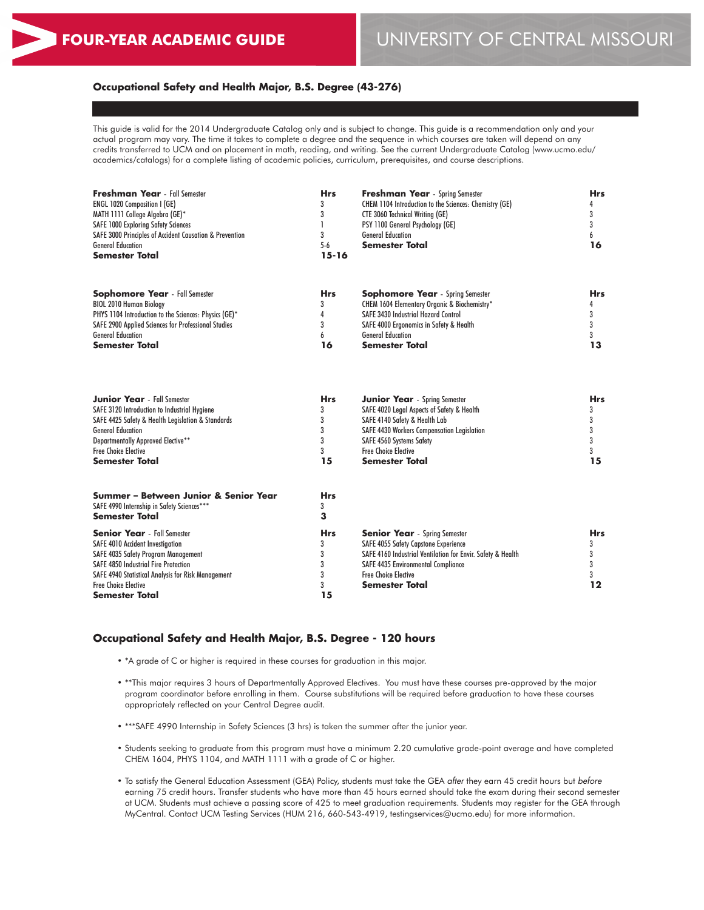Free Choice Elective **Semester Total**

# **FOUR-YEAR ACADEMIC GUIDE** UNIVERSITY OF CENTRAL MISSOURI

**12**

## **Occupational Safety and Health Major, B.S. Degree (43-276)**

This guide is valid for the 2014 Undergraduate Catalog only and is subject to change. This guide is a recommendation only and your actual program may vary. The time it takes to complete a degree and the sequence in which courses are taken will depend on any credits transferred to UCM and on placement in math, reading, and writing. See the current Undergraduate Catalog (www.ucmo.edu/ academics/catalogs) for a complete listing of academic policies, curriculum, prerequisites, and course descriptions.

| Freshman Year - Fall Semester<br><b>ENGL 1020 Composition I (GE)</b><br>MATH 1111 College Algebra (GE)*<br><b>SAFE 1000 Exploring Safety Sciences</b><br>SAFE 3000 Principles of Accident Causation & Prevention | <b>Hrs</b><br>3<br>3<br>3 | Freshman Year - Spring Semester<br>CHEM 1104 Introduction to the Sciences: Chemistry (GE)<br><b>CTE 3060 Technical Writing (GE)</b><br>PSY 1100 General Psychology (GE)<br><b>General Education</b> | <b>Hrs</b><br>4<br>3<br>3<br>6<br>16 |
|------------------------------------------------------------------------------------------------------------------------------------------------------------------------------------------------------------------|---------------------------|-----------------------------------------------------------------------------------------------------------------------------------------------------------------------------------------------------|--------------------------------------|
| <b>General Education</b><br><b>Semester Total</b>                                                                                                                                                                | $5-6$<br>$15 - 16$        | <b>Semester Total</b>                                                                                                                                                                               |                                      |
| <b>Sophomore Year</b> - Fall Semester                                                                                                                                                                            | <b>Hrs</b>                | <b>Sophomore Year</b> - Spring Semester                                                                                                                                                             | <b>Hrs</b>                           |
| <b>BIOL 2010 Human Biology</b>                                                                                                                                                                                   | 3                         | CHEM 1604 Elementary Organic & Biochemistry*                                                                                                                                                        | 4                                    |
| PHYS 1104 Introduction to the Sciences: Physics (GE)*                                                                                                                                                            | 4                         | <b>SAFE 3430 Industrial Hazard Control</b>                                                                                                                                                          | 3                                    |
| <b>SAFE 2900 Applied Sciences for Professional Studies</b>                                                                                                                                                       | 3                         | SAFE 4000 Ergonomics in Safety & Health                                                                                                                                                             | 3                                    |
| <b>General Education</b>                                                                                                                                                                                         | 6                         | <b>General Education</b>                                                                                                                                                                            | 3                                    |
| <b>Semester Total</b>                                                                                                                                                                                            | 16                        | <b>Semester Total</b>                                                                                                                                                                               | 13                                   |
| <b>Junior Year</b> - Fall Semester                                                                                                                                                                               | <b>Hrs</b>                | <b>Junior Year</b> - Spring Semester                                                                                                                                                                | <b>Hrs</b>                           |
| SAFE 3120 Introduction to Industrial Hygiene                                                                                                                                                                     | 3                         | SAFE 4020 Legal Aspects of Safety & Health                                                                                                                                                          | 3                                    |
| SAFE 4425 Safety & Health Legislation & Standards                                                                                                                                                                | 3                         | SAFE 4140 Safety & Health Lab                                                                                                                                                                       | 3                                    |
| <b>General Education</b>                                                                                                                                                                                         | 3                         | <b>SAFE 4430 Workers Compensation Legislation</b>                                                                                                                                                   | 3                                    |
| Departmentally Approved Elective**                                                                                                                                                                               | 3                         | SAFE 4560 Systems Safety                                                                                                                                                                            | 3                                    |
| <b>Free Choice Elective</b>                                                                                                                                                                                      | 3                         | <b>Free Choice Elective</b>                                                                                                                                                                         | 3                                    |
| <b>Semester Total</b>                                                                                                                                                                                            | 15                        | <b>Semester Total</b>                                                                                                                                                                               | 15                                   |
| Summer - Between Junior & Senior Year<br>SAFE 4990 Internship in Safety Sciences***<br><b>Semester Total</b>                                                                                                     | <b>Hrs</b><br>3<br>3      |                                                                                                                                                                                                     |                                      |
| <b>Senior Year</b> - Fall Semester                                                                                                                                                                               | <b>Hrs</b>                | <b>Senior Year</b> - Spring Semester                                                                                                                                                                | <b>Hrs</b>                           |
| <b>SAFE 4010 Accident Investigation</b>                                                                                                                                                                          | 3                         | SAFE 4055 Safety Capstone Experience                                                                                                                                                                | 3                                    |
| <b>SAFE 4035 Safety Program Management</b>                                                                                                                                                                       | 3                         | SAFE 4160 Industrial Ventilation for Envir. Safety & Health                                                                                                                                         | 3                                    |
| <b>SAFE 4850 Industrial Fire Protection</b>                                                                                                                                                                      | 3                         | <b>SAFE 4435 Environmental Compliance</b>                                                                                                                                                           | 3                                    |
| <b>SAFE 4940 Statistical Analysis for Risk Management</b>                                                                                                                                                        | 3                         | <b>Free Choice Elective</b>                                                                                                                                                                         | 3                                    |

## **Occupational Safety and Health Major, B.S. Degree - 120 hours**

- \*A grade of C or higher is required in these courses for graduation in this major.
- \*\*This major requires 3 hours of Departmentally Approved Electives. You must have these courses pre-approved by the major program coordinator before enrolling in them. Course substitutions will be required before graduation to have these courses appropriately reflected on your Central Degree audit.

**Semester Total**

• \*\*\*SAFE 4990 Internship in Safety Sciences (3 hrs) is taken the summer after the junior year.

3 **15**

- Students seeking to graduate from this program must have a minimum 2.20 cumulative grade-point average and have completed CHEM 1604, PHYS 1104, and MATH 1111 with a grade of C or higher.
- To satisfy the General Education Assessment (GEA) Policy, students must take the GEA *after* they earn 45 credit hours but *before* earning 75 credit hours. Transfer students who have more than 45 hours earned should take the exam during their second semester at UCM. Students must achieve a passing score of 425 to meet graduation requirements. Students may register for the GEA through MyCentral. Contact UCM Testing Services (HUM 216, 660-543-4919, testingservices@ucmo.edu) for more information.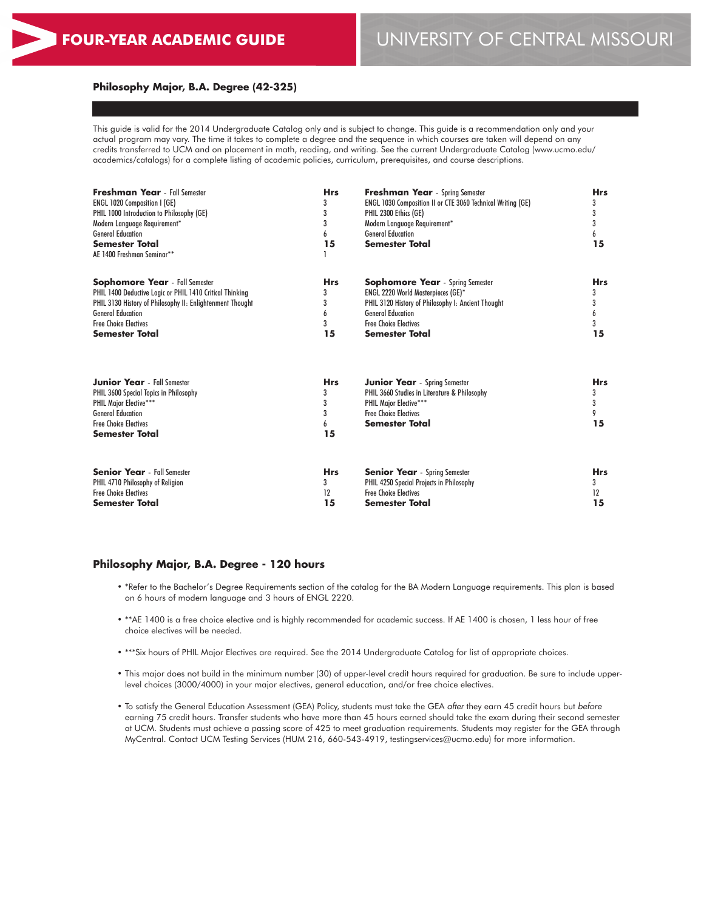#### **Philosophy Major, B.A. Degree (42-325)**

This guide is valid for the 2014 Undergraduate Catalog only and is subject to change. This guide is a recommendation only and your actual program may vary. The time it takes to complete a degree and the sequence in which courses are taken will depend on any credits transferred to UCM and on placement in math, reading, and writing. See the current Undergraduate Catalog (www.ucmo.edu/ academics/catalogs) for a complete listing of academic policies, curriculum, prerequisites, and course descriptions.

| <b>Freshman Year</b> - Fall Semester<br><b>ENGL 1020 Composition I (GE)</b><br>PHIL 1000 Introduction to Philosophy (GE)<br>Modern Language Requirement*<br><b>General Education</b><br>Semester Total<br>AE 1400 Freshman Seminar** | <b>Hrs</b><br>3<br>3<br>3<br>6<br>15 | <b>Freshman Year</b> - Spring Semester<br><b>ENGL 1030 Composition II or CTE 3060 Technical Writing (GE)</b><br>PHIL 2300 Ethics (GE)<br>Modern Language Requirement*<br><b>General Education</b><br><b>Semester Total</b> | <b>Hrs</b><br>3<br>3<br>3<br>6<br>15 |
|--------------------------------------------------------------------------------------------------------------------------------------------------------------------------------------------------------------------------------------|--------------------------------------|----------------------------------------------------------------------------------------------------------------------------------------------------------------------------------------------------------------------------|--------------------------------------|
| <b>Sophomore Year</b> - Fall Semester                                                                                                                                                                                                | <b>Hrs</b>                           | <b>Sophomore Year</b> - Spring Semester                                                                                                                                                                                    | <b>Hrs</b>                           |
| PHIL 1400 Deductive Logic or PHIL 1410 Critical Thinking                                                                                                                                                                             | 3                                    | ENGL 2220 World Masterpieces (GE)*                                                                                                                                                                                         | 3                                    |
| PHIL 3130 History of Philosophy II: Enlightenment Thought                                                                                                                                                                            | 3                                    | PHIL 3120 History of Philosophy I: Ancient Thought                                                                                                                                                                         | 3                                    |
| <b>General Education</b>                                                                                                                                                                                                             | 6                                    | <b>General Education</b>                                                                                                                                                                                                   | 6                                    |
| <b>Free Choice Electives</b>                                                                                                                                                                                                         | 3                                    | <b>Free Choice Electives</b>                                                                                                                                                                                               | 3                                    |
| Semester Total                                                                                                                                                                                                                       | 15                                   | <b>Semester Total</b>                                                                                                                                                                                                      | 15                                   |
| <b>Junior Year</b> - Fall Semester<br>PHIL 3600 Special Topics in Philosophy<br>PHIL Major Elective***<br><b>General Education</b><br><b>Free Choice Electives</b><br><b>Semester Total</b>                                          | <b>Hrs</b><br>3<br>3<br>3<br>6<br>15 | <b>Junior Year</b> - Spring Semester<br>PHIL 3660 Studies in Literature & Philosophy<br><b>PHIL Major Elective***</b><br><b>Free Choice Electives</b><br><b>Semester Total</b>                                             | <b>Hrs</b><br>3<br>3<br>9<br>15      |
| <b>Senior Year</b> - Fall Semester                                                                                                                                                                                                   | <b>Hrs</b>                           | <b>Senior Year</b> - Spring Semester                                                                                                                                                                                       | <b>Hrs</b>                           |
| PHIL 4710 Philosophy of Religion                                                                                                                                                                                                     | 3                                    | PHIL 4250 Special Projects in Philosophy                                                                                                                                                                                   | 3                                    |
| <b>Free Choice Electives</b>                                                                                                                                                                                                         | 12                                   | <b>Free Choice Electives</b>                                                                                                                                                                                               | 12                                   |
| Semester Total                                                                                                                                                                                                                       | 15                                   | <b>Semester Total</b>                                                                                                                                                                                                      | 15                                   |

### **Philosophy Major, B.A. Degree - 120 hours**

- \*Refer to the Bachelor's Degree Requirements section of the catalog for the BA Modern Language requirements. This plan is based on 6 hours of modern language and 3 hours of ENGL 2220.
- \*\*AE 1400 is a free choice elective and is highly recommended for academic success. If AE 1400 is chosen, 1 less hour of free choice electives will be needed.
- \*\*\*Six hours of PHIL Major Electives are required. See the 2014 Undergraduate Catalog for list of appropriate choices.
- This major does not build in the minimum number (30) of upper-level credit hours required for graduation. Be sure to include upperlevel choices (3000/4000) in your major electives, general education, and/or free choice electives.
- To satisfy the General Education Assessment (GEA) Policy, students must take the GEA *after* they earn 45 credit hours but *before* earning 75 credit hours. Transfer students who have more than 45 hours earned should take the exam during their second semester at UCM. Students must achieve a passing score of 425 to meet graduation requirements. Students may register for the GEA through MyCentral. Contact UCM Testing Services (HUM 216, 660-543-4919, testingservices@ucmo.edu) for more information.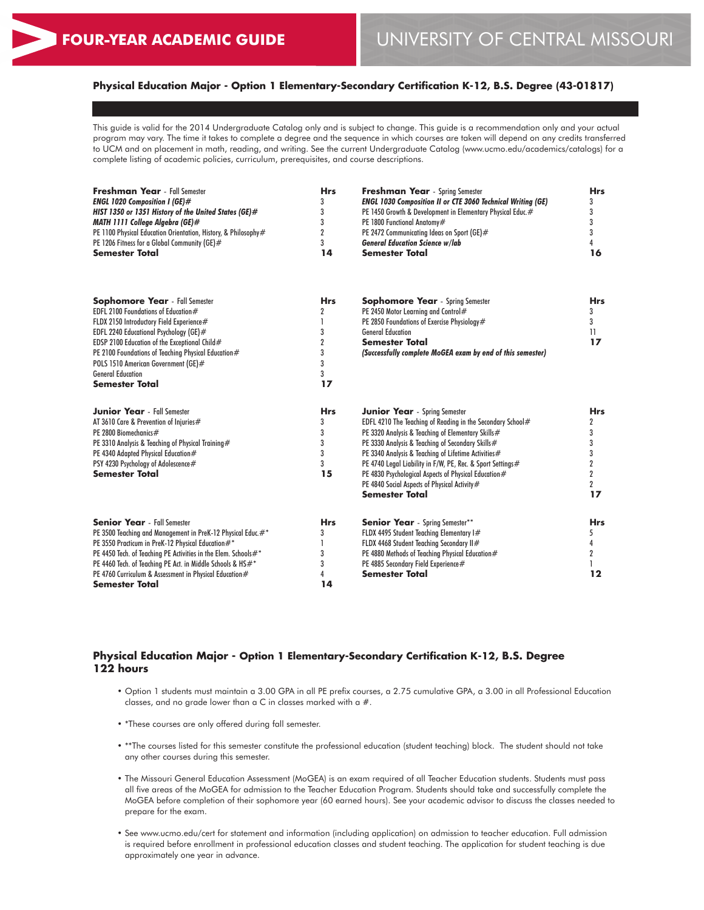$\overline{2}$ **17**

## **Physical Education Major - Option 1 Elementary-Secondary Certification K-12, B.S. Degree (43-01817)**

This guide is valid for the 2014 Undergraduate Catalog only and is subject to change. This guide is a recommendation only and your actual program may vary. The time it takes to complete a degree and the sequence in which courses are taken will depend on any credits transferred to UCM and on placement in math, reading, and writing. See the current Undergraduate Catalog (www.ucmo.edu/academics/catalogs) for a complete listing of academic policies, curriculum, prerequisites, and course descriptions.

| <b>Freshman Year</b> - Fall Semester<br><b>ENGL 1020 Composition I (GE)#</b><br>HIST 1350 or 1351 History of the United States (GE)#<br>MATH 1111 College Algebra (GE)#<br>PE 1100 Physical Education Orientation, History, & Philosophy#<br>PE 1206 Fitness for a Global Community (GE)#<br><b>Semester Total</b>                                               | <b>Hrs</b><br>14 | <b>Freshman Year</b> - Spring Semester<br><b>ENGL 1030 Composition II or CTE 3060 Technical Writing (GE)</b><br>PE 1450 Growth & Development in Elementary Physical Educ.#<br>PE 1800 Functional Anatomy#<br>PE 2472 Communicating Ideas on Sport (GE)#<br><b>General Education Science w/lab</b><br><b>Semester Total</b>                                                                | <b>Hrs</b><br>3<br>3<br>3<br>16   |
|------------------------------------------------------------------------------------------------------------------------------------------------------------------------------------------------------------------------------------------------------------------------------------------------------------------------------------------------------------------|------------------|-------------------------------------------------------------------------------------------------------------------------------------------------------------------------------------------------------------------------------------------------------------------------------------------------------------------------------------------------------------------------------------------|-----------------------------------|
| <b>Sophomore Year</b> - Fall Semester<br>EDFL 2100 Foundations of Education #<br>FLDX 2150 Introductory Field Experience#<br>EDFL 2240 Educational Psychology (GE)#<br>EDSP 2100 Education of the Exceptional Child#<br>PE 2100 Foundations of Teaching Physical Education#<br>POLS 1510 American Government (GE)#<br><b>General Education</b><br>Semester Total | <b>Hrs</b><br>17 | <b>Sophomore Year</b> - Spring Semester<br>PE 2450 Motor Learning and Control#<br>PE 2850 Foundations of Exercise Physiology#<br><b>General Education</b><br><b>Semester Total</b><br>(Successfully complete MoGEA exam by end of this semester)                                                                                                                                          | <b>Hrs</b><br>3<br>3<br>11<br>17  |
| <b>Junior Year</b> - Fall Semester<br>AT 3610 Care & Prevention of Injuries#<br>PE 2800 Biomechanics#<br>PE 3310 Analysis & Teaching of Physical Training#<br>PE 4340 Adapted Physical Education#<br>PSY 4230 Psychology of Adolescence#<br>Semester Total                                                                                                       | <b>Hrs</b><br>15 | <b>Junior Year</b> - Spring Semester<br>EDFL 4210 The Teaching of Reading in the Secondary School#<br>PE 3320 Analysis & Teaching of Elementary Skills#<br>PE 3330 Analysis & Teaching of Secondary Skills#<br>PE 3340 Analysis & Teaching of Lifetime Activities#<br>PE 4740 Legal Liability in F/W, PE, Rec. & Sport Settings#<br>PE 4830 Psychological Aspects of Physical Education # | <b>Hrs</b><br>$\overline{2}$<br>3 |

| <b>Senior Year</b> - Fall Semester                             | <b>Hrs</b> | <b>Senior Year</b> - Spring Semester**           | <b>Hrs</b> |
|----------------------------------------------------------------|------------|--------------------------------------------------|------------|
| PE 3500 Teaching and Management in PreK-12 Physical Educ.#*    |            | FLDX 4495 Student Teaching Elementary I#         |            |
| PE 3550 Practicum in PreK-12 Physical Education #*             |            | FLDX 4468 Student Teaching Secondary II#         |            |
| PE 4450 Tech. of Teaching PE Activities in the Elem. Schools#* |            | PE 4880 Methods of Teaching Physical Education # |            |
| PE 4460 Tech. of Teaching PE Act. in Middle Schools & HS#*     |            | PE 4885 Secondary Field Experience#              |            |
| PE 4760 Curriculum & Assessment in Physical Education #        |            | <b>Semester Total</b>                            | 12         |
| Semester Total                                                 | 14         |                                                  |            |
|                                                                |            |                                                  |            |

PE 4840 Social Aspects of Physical Activity #

**Semester Total**

## **Physical Education Major - Option 1 Elementary-Secondary Certification K-12, B.S. Degree 122 hours**

- Option 1 students must maintain a 3.00 GPA in all PE prefix courses, a 2.75 cumulative GPA, a 3.00 in all Professional Education classes, and no grade lower than a C in classes marked with a  $#$ .
- \*These courses are only offered during fall semester.
- \*\*The courses listed for this semester constitute the professional education (student teaching) block. The student should not take any other courses during this semester.
- The Missouri General Education Assessment (MoGEA) is an exam required of all Teacher Education students. Students must pass all five areas of the MoGEA for admission to the Teacher Education Program. Students should take and successfully complete the MoGEA before completion of their sophomore year (60 earned hours). See your academic advisor to discuss the classes needed to prepare for the exam.
- See www.ucmo.edu/cert for statement and information (including application) on admission to teacher education. Full admission is required before enrollment in professional education classes and student teaching. The application for student teaching is due approximately one year in advance.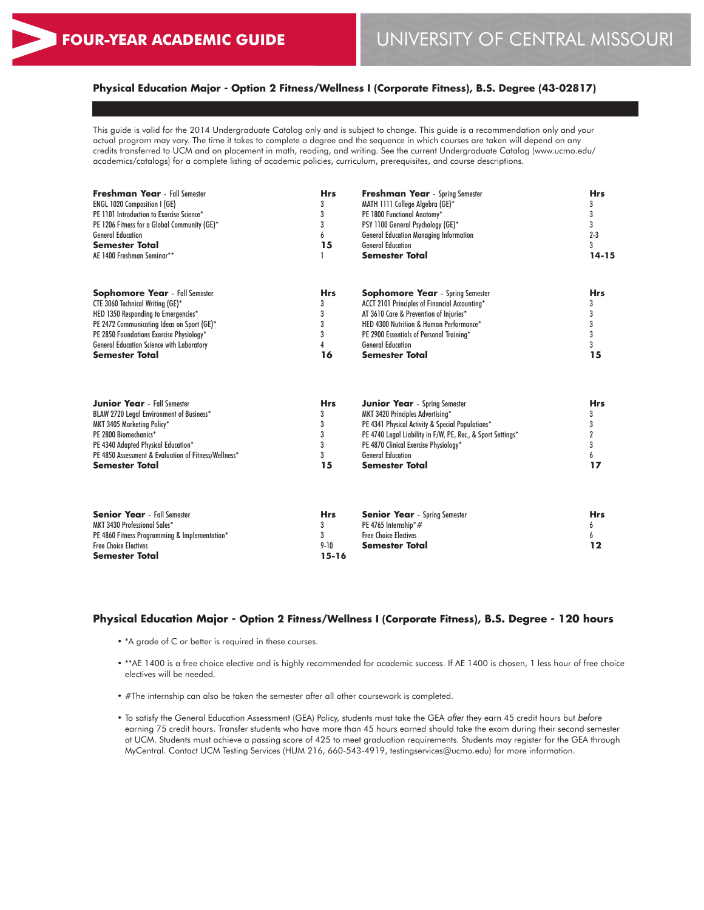## **Physical Education Major - Option 2 Fitness/Wellness I (Corporate Fitness), B.S. Degree (43-02817)**

This guide is valid for the 2014 Undergraduate Catalog only and is subject to change. This guide is a recommendation only and your actual program may vary. The time it takes to complete a degree and the sequence in which courses are taken will depend on any credits transferred to UCM and on placement in math, reading, and writing. See the current Undergraduate Catalog (www.ucmo.edu/ academics/catalogs) for a complete listing of academic policies, curriculum, prerequisites, and course descriptions.

| Freshman Year - Fall Semester<br><b>ENGL 1020 Composition I (GE)</b><br>PE 1101 Introduction to Exercise Science*<br>PE 1206 Fitness for a Global Community (GE)* | <b>Hrs</b><br>3<br>3<br>3 | <b>Freshman Year</b> - Spring Semester<br>MATH 1111 College Algebra (GE)*<br>PE 1800 Functional Anatomy*<br>PSY 1100 General Psychology (GE)* | <b>Hrs</b><br>3<br>3 |
|-------------------------------------------------------------------------------------------------------------------------------------------------------------------|---------------------------|-----------------------------------------------------------------------------------------------------------------------------------------------|----------------------|
| <b>General Education</b>                                                                                                                                          | 6                         | <b>General Education Managing Information</b>                                                                                                 | $2 - 3$              |
| <b>Semester Total</b>                                                                                                                                             | 15                        | <b>General Education</b>                                                                                                                      | 3                    |
| AE 1400 Freshman Seminar**                                                                                                                                        |                           | <b>Semester Total</b>                                                                                                                         | $14 - 15$            |
| <b>Sophomore Year</b> - Fall Semester                                                                                                                             | <b>Hrs</b>                | <b>Sophomore Year</b> - Spring Semester                                                                                                       | <b>Hrs</b>           |
| CTE 3060 Technical Writing (GE)*                                                                                                                                  | 3                         | ACCT 2101 Principles of Financial Accounting*                                                                                                 | 3                    |
| HED 1350 Responding to Emergencies*                                                                                                                               | 3                         | AT 3610 Care & Prevention of Injuries*                                                                                                        | 3                    |
| PE 2472 Communicating Ideas on Sport (GE)*                                                                                                                        | 3                         | HED 4300 Nutrition & Human Performance*                                                                                                       |                      |
| PE 2850 Foundations Exercise Physiology*                                                                                                                          | 3                         | PE 2900 Essentials of Personal Training*                                                                                                      |                      |
| <b>General Education Science with Laboratory</b>                                                                                                                  | 4                         | <b>General Education</b>                                                                                                                      |                      |
| <b>Semester Total</b>                                                                                                                                             | 16                        | <b>Semester Total</b>                                                                                                                         | 15                   |
| <b>Junior Year</b> - Fall Semester                                                                                                                                | <b>Hrs</b>                | <b>Junior Year</b> - Spring Semester                                                                                                          | <b>Hrs</b>           |
| BLAW 2720 Legal Environment of Business*                                                                                                                          | 3                         | MKT 3420 Principles Advertising*                                                                                                              | 3                    |
| MKT 3405 Marketing Policy*                                                                                                                                        | 3                         | PE 4341 Physical Activity & Special Populations*                                                                                              |                      |
| PE 2800 Biomechanics*                                                                                                                                             | 3                         | PE 4740 Legal Liability in F/W, PE, Rec., & Sport Settings*                                                                                   |                      |
| PE 4340 Adapted Physical Education*                                                                                                                               | 3                         | PE 4870 Clinical Exercise Physiology*                                                                                                         | 3                    |
| PE 4850 Assessment & Evaluation of Fitness/Wellness*                                                                                                              | 3                         | <b>General Education</b>                                                                                                                      | 6                    |
| <b>Semester Total</b>                                                                                                                                             | 15                        | <b>Semester Total</b>                                                                                                                         | 17                   |
| <b>Senior Year</b> - Fall Semester                                                                                                                                | <b>Hrs</b>                | <b>Senior Year</b> - Spring Semester                                                                                                          | <b>Hrs</b>           |
| MKT 3430 Professional Sales*                                                                                                                                      | 3                         | PE 4765 Internship*#                                                                                                                          | 6                    |
| PE 4860 Fitness Programming & Implementation*                                                                                                                     | 3                         | <b>Free Choice Electives</b>                                                                                                                  |                      |
| <b>Free Choice Electives</b>                                                                                                                                      | $9 - 10$                  | <b>Semester Total</b>                                                                                                                         | 12                   |
| Semester Total                                                                                                                                                    | $15 - 16$                 |                                                                                                                                               |                      |

## **Physical Education Major - Option 2 Fitness/Wellness I (Corporate Fitness), B.S. Degree - 120 hours**

- \*A grade of C or better is required in these courses.
- \*\*AE 1400 is a free choice elective and is highly recommended for academic success. If AE 1400 is chosen, 1 less hour of free choice electives will be needed.
- #The internship can also be taken the semester after all other coursework is completed.
- To satisfy the General Education Assessment (GEA) Policy, students must take the GEA *after* they earn 45 credit hours but *before* earning 75 credit hours. Transfer students who have more than 45 hours earned should take the exam during their second semester at UCM. Students must achieve a passing score of 425 to meet graduation requirements. Students may register for the GEA through MyCentral. Contact UCM Testing Services (HUM 216, 660-543-4919, testingservices@ucmo.edu) for more information.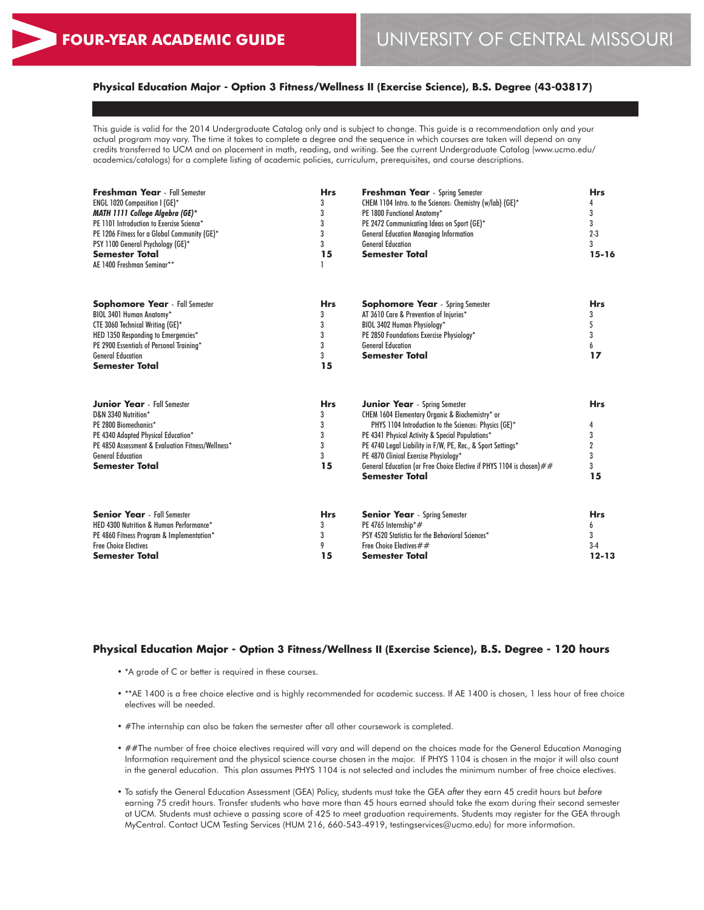## **Physical Education Major - Option 3 Fitness/Wellness II (Exercise Science), B.S. Degree (43-03817)**

This guide is valid for the 2014 Undergraduate Catalog only and is subject to change. This guide is a recommendation only and your actual program may vary. The time it takes to complete a degree and the sequence in which courses are taken will depend on any credits transferred to UCM and on placement in math, reading, and writing. See the current Undergraduate Catalog (www.ucmo.edu/ academics/catalogs) for a complete listing of academic policies, curriculum, prerequisites, and course descriptions.

| Freshman Year - Fall Semester                     | <b>Hrs</b> | <b>Freshman Year</b> - Spring Semester                                | <b>Hrs</b>     |
|---------------------------------------------------|------------|-----------------------------------------------------------------------|----------------|
| <b>ENGL 1020 Composition I (GE)*</b>              | 3          | CHEM 1104 Intro. to the Sciences: Chemistry (w/lab) (GE)*             |                |
| MATH 1111 College Algebra (GE)*                   | 3          | PE 1800 Functional Anatomy*                                           | 3              |
| PE 1101 Introduction to Exercise Science*         | 3          | PE 2472 Communicating Ideas on Sport (GE)*                            | 3              |
| PE 1206 Fitness for a Global Community (GE)*      | 3          | <b>General Education Managing Information</b>                         | $2 - 3$        |
| PSY 1100 General Psychology (GE)*                 | 3          | <b>General Education</b>                                              | 3              |
| <b>Semester Total</b>                             | 15         | <b>Semester Total</b>                                                 | $15 - 16$      |
| AE 1400 Freshman Seminar**                        |            |                                                                       |                |
| <b>Sophomore Year</b> - Fall Semester             | <b>Hrs</b> | <b>Sophomore Year</b> - Spring Semester                               | <b>Hrs</b>     |
| BIOL 3401 Human Anatomy*                          | 3          | AT 3610 Care & Prevention of Injuries*                                | 3              |
| CTE 3060 Technical Writing (GE)*                  | 3          | BIOL 3402 Human Physiology*                                           | 5              |
| HED 1350 Responding to Emergencies*               | 3          | PE 2850 Foundations Exercise Physiology*                              | 3              |
| PE 2900 Essentials of Personal Training*          | 3          | <b>General Education</b>                                              | 6              |
| <b>General Education</b>                          | 3          | <b>Semester Total</b>                                                 | 17             |
| <b>Semester Total</b>                             | 15         |                                                                       |                |
| <b>Junior Year</b> - Fall Semester                | <b>Hrs</b> | <b>Junior Year</b> - Spring Semester                                  | <b>Hrs</b>     |
| D&N 3340 Nutrition*                               | 3          | CHEM 1604 Elementary Organic & Biochemistry* or                       |                |
| PE 2800 Biomechanics*                             | 3          | PHYS 1104 Introduction to the Sciences: Physics (GE)*                 | 4              |
| PE 4340 Adapted Physical Education*               | 3          | PE 4341 Physical Activity & Special Populations*                      | 3              |
| PE 4850 Assessment & Evaluation Fitness/Wellness* | 3          | PE 4740 Legal Liability in F/W, PE, Rec., & Sport Settings*           | $\overline{2}$ |
| <b>General Education</b>                          | 3          | PE 4870 Clinical Exercise Physiology*                                 | 3              |
| <b>Semester Total</b>                             | 15         | General Education (or Free Choice Elective if PHYS 1104 is chosen) ## | 3              |
|                                                   |            | <b>Semester Total</b>                                                 | 15             |
| <b>Senior Year</b> - Fall Semester                | <b>Hrs</b> | <b>Senior Year</b> - Spring Semester                                  | <b>Hrs</b>     |
| HED 4300 Nutrition & Human Performance*           | 3          | PE 4765 Internship*#                                                  | h              |
| PE 4860 Fitness Program & Implementation*         | 3          | PSY 4520 Statistics for the Behavioral Sciences*                      | 3              |
| <b>Free Choice Electives</b>                      | 9          | Free Choice Electives ##                                              | $3-4$          |
| <b>Semester Total</b>                             | 15         | <b>Semester Total</b>                                                 | $12 - 13$      |
|                                                   |            |                                                                       |                |

### **Physical Education Major - Option 3 Fitness/Wellness II (Exercise Science), B.S. Degree - 120 hours**

- \*A grade of C or better is required in these courses.
- \*\*AE 1400 is a free choice elective and is highly recommended for academic success. If AE 1400 is chosen, 1 less hour of free choice electives will be needed.
- #The internship can also be taken the semester after all other coursework is completed.
- ##The number of free choice electives required will vary and will depend on the choices made for the General Education Managing Information requirement and the physical science course chosen in the major. If PHYS 1104 is chosen in the major it will also count in the general education. This plan assumes PHYS 1104 is not selected and includes the minimum number of free choice electives.
- To satisfy the General Education Assessment (GEA) Policy, students must take the GEA *after* they earn 45 credit hours but *before* earning 75 credit hours. Transfer students who have more than 45 hours earned should take the exam during their second semester at UCM. Students must achieve a passing score of 425 to meet graduation requirements. Students may register for the GEA through MyCentral. Contact UCM Testing Services (HUM 216, 660-543-4919, testingservices@ucmo.edu) for more information.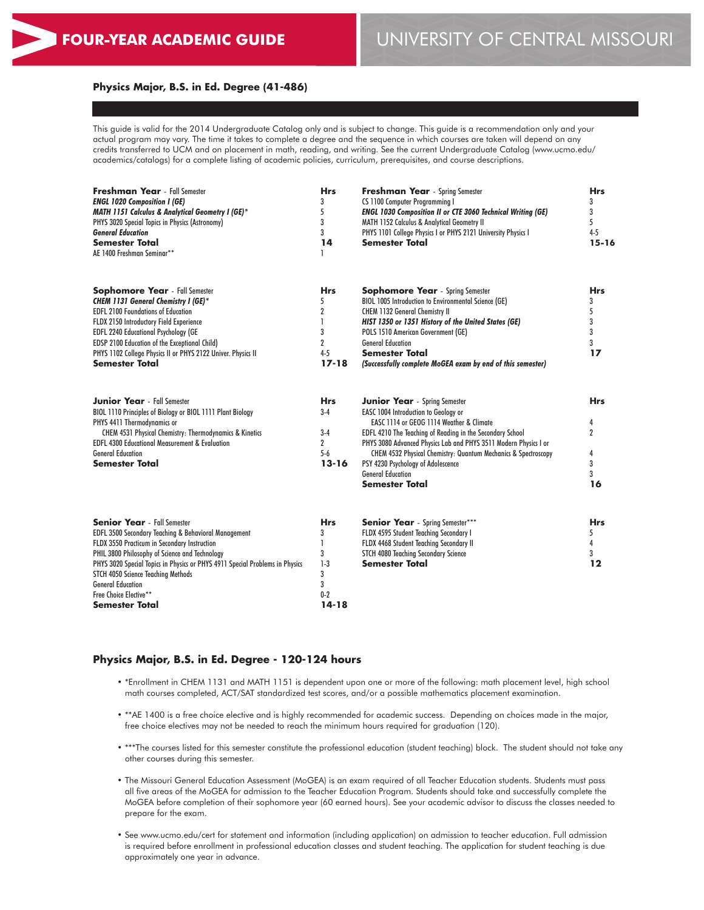#### **Physics Major, B.S. in Ed. Degree (41-486)**

This guide is valid for the 2014 Undergraduate Catalog only and is subject to change. This guide is a recommendation only and your actual program may vary. The time it takes to complete a degree and the sequence in which courses are taken will depend on any credits transferred to UCM and on placement in math, reading, and writing. See the current Undergraduate Catalog (www.ucmo.edu/ academics/catalogs) for a complete listing of academic policies, curriculum, prerequisites, and course descriptions.

| Freshman Year - Fall Semester<br><b>ENGL 1020 Composition I (GE)</b><br><b>MATH 1151 Calculus &amp; Analytical Geometry I (GE)*</b><br>PHYS 3020 Special Topics in Physics (Astronomy)<br><b>General Education</b><br><b>Semester Total</b><br>AE 1400 Freshman Seminar**                                                                                                                  | <b>Hrs</b><br>3<br>5<br>3<br>3<br>14<br>1                              | <b>Freshman Year</b> - Spring Semester<br>CS 1100 Computer Programming I<br><b>ENGL 1030 Composition II or CTE 3060 Technical Writing (GE)</b><br>MATH 1152 Calculus & Analytical Geometry II<br>PHYS 1101 College Physics I or PHYS 2121 University Physics I<br><b>Semester Total</b>                                                                                                                                       | <b>Hrs</b><br>3<br>3<br>5<br>$4 - 5$<br>$15 - 16$      |
|--------------------------------------------------------------------------------------------------------------------------------------------------------------------------------------------------------------------------------------------------------------------------------------------------------------------------------------------------------------------------------------------|------------------------------------------------------------------------|-------------------------------------------------------------------------------------------------------------------------------------------------------------------------------------------------------------------------------------------------------------------------------------------------------------------------------------------------------------------------------------------------------------------------------|--------------------------------------------------------|
| <b>Sophomore Year</b> - Fall Semester<br><b>CHEM 1131 General Chemistry I (GE)*</b><br><b>EDFL 2100 Foundations of Education</b><br>FLDX 2150 Introductory Field Experience<br><b>EDFL 2240 Educational Psychology (GE</b><br>EDSP 2100 Education of the Exceptional Child)<br>PHYS 1102 College Physics II or PHYS 2122 Univer. Physics II<br><b>Semester Total</b>                       | <b>Hrs</b><br>5<br>2<br>1<br>3<br>$\overline{2}$<br>$4 - 5$<br>$17-18$ | <b>Sophomore Year</b> - Spring Semester<br>BIOL 1005 Introduction to Environmental Science (GE)<br><b>CHEM 1132 General Chemistry II</b><br>HIST 1350 or 1351 History of the United States (GE)<br>POLS 1510 American Government (GE)<br><b>General Education</b><br><b>Semester Total</b><br>(Successfully complete MoGEA exam by end of this semester)                                                                      | <b>Hrs</b><br>3<br>5<br>3<br>3<br>3<br>17              |
| <b>Junior Year</b> - Fall Semester<br>BIOL 1110 Principles of Biology or BIOL 1111 Plant Biology<br>PHYS 4411 Thermodynamics or<br>CHEM 4531 Physical Chemistry: Thermodynamics & Kinetics<br><b>EDFL 4300 Educational Measurement &amp; Evaluation</b><br><b>General Education</b><br><b>Semester Total</b>                                                                               | <b>Hrs</b><br>$3-4$<br>$3-4$<br>$\overline{2}$<br>$5 - 6$<br>$13 - 16$ | <b>Junior Year</b> - Spring Semester<br><b>EASC 1004 Introduction to Geology or</b><br>EASC 1114 or GEOG 1114 Weather & Climate<br>EDFL 4210 The Teaching of Reading in the Secondary School<br>PHYS 3080 Advanced Physics Lab and PHYS 3511 Modern Physics I or<br>CHEM 4532 Physical Chemistry: Quantum Mechanics & Spectroscopy<br>PSY 4230 Psychology of Adolescence<br><b>General Education</b><br><b>Semester Total</b> | <b>Hrs</b><br>4<br>$\overline{2}$<br>4<br>3<br>3<br>16 |
| <b>Senior Year</b> - Fall Semester<br>EDFL 3500 Secondary Teaching & Behavioral Management<br>FLDX 3550 Practicum in Secondary Instruction<br>PHIL 3800 Philosophy of Science and Technology<br>PHYS 3020 Special Topics in Physics or PHYS 4911 Special Problems in Physics<br>STCH 4050 Science Teaching Methods<br><b>General Education</b><br>Free Choice Elective**<br>Semester Total | Hrs<br>3<br>$\mathbf{I}$<br>3<br>$1-3$<br>3<br>3<br>$0-2$<br>$14 - 18$ | <b>Senior Year</b> - Spring Semester***<br>FLDX 4595 Student Teaching Secondary I<br>FLDX 4468 Student Teaching Secondary II<br><b>STCH 4080 Teaching Secondary Science</b><br><b>Semester Total</b>                                                                                                                                                                                                                          | <b>Hrs</b><br>5<br>4<br>3<br>12                        |

#### **Physics Major, B.S. in Ed. Degree - 120-124 hours**

- \*Enrollment in CHEM 1131 and MATH 1151 is dependent upon one or more of the following: math placement level, high school math courses completed, ACT/SAT standardized test scores, and/or a possible mathematics placement examination.
- \*\*AE 1400 is a free choice elective and is highly recommended for academic success. Depending on choices made in the major, free choice electives may not be needed to reach the minimum hours required for graduation (120).
- \*\*\*The courses listed for this semester constitute the professional education (student teaching) block. The student should not take any other courses during this semester.
- The Missouri General Education Assessment (MoGEA) is an exam required of all Teacher Education students. Students must pass all five areas of the MoGEA for admission to the Teacher Education Program. Students should take and successfully complete the MoGEA before completion of their sophomore year (60 earned hours). See your academic advisor to discuss the classes needed to prepare for the exam.
- See www.ucmo.edu/cert for statement and information (including application) on admission to teacher education. Full admission is required before enrollment in professional education classes and student teaching. The application for student teaching is due approximately one year in advance.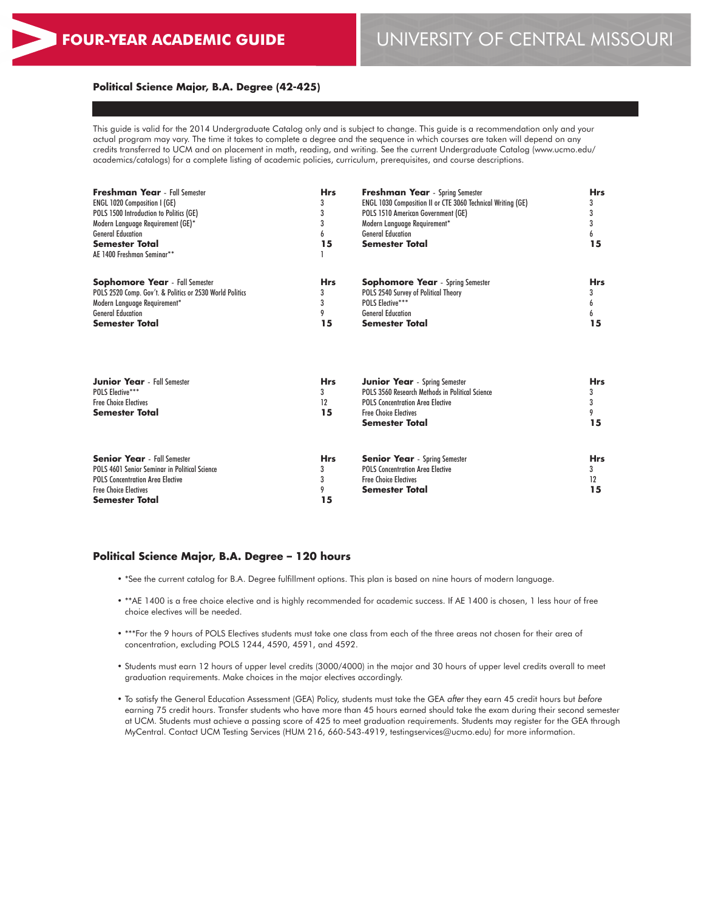## **Political Science Major, B.A. Degree (42-425)**

This guide is valid for the 2014 Undergraduate Catalog only and is subject to change. This guide is a recommendation only and your actual program may vary. The time it takes to complete a degree and the sequence in which courses are taken will depend on any credits transferred to UCM and on placement in math, reading, and writing. See the current Undergraduate Catalog (www.ucmo.edu/ academics/catalogs) for a complete listing of academic policies, curriculum, prerequisites, and course descriptions.

| <b>Freshman Year</b> - Fall Semester<br><b>ENGL 1020 Composition I (GE)</b><br>POLS 1500 Introduction to Politics (GE)<br>Modern Language Requirement (GE)*<br><b>General Education</b><br><b>Semester Total</b><br>AE 1400 Freshman Seminar** | <b>Hrs</b><br>3<br>3<br>3<br>6<br>15 | <b>Freshman Year</b> - Spring Semester<br><b>ENGL 1030 Composition II or CTE 3060 Technical Writing (GE)</b><br>POLS 1510 American Government (GE)<br>Modern Language Requirement*<br><b>General Education</b><br><b>Semester Total</b> | <b>Hrs</b><br>3<br>3<br>3<br>6<br>15 |
|------------------------------------------------------------------------------------------------------------------------------------------------------------------------------------------------------------------------------------------------|--------------------------------------|-----------------------------------------------------------------------------------------------------------------------------------------------------------------------------------------------------------------------------------------|--------------------------------------|
| <b>Sophomore Year</b> - Fall Semester<br>POLS 2520 Comp. Gov't. & Politics or 2530 World Politics<br>Modern Language Requirement*<br><b>General Education</b><br><b>Semester Total</b>                                                         | <b>Hrs</b><br>3<br>3<br>9<br>15      | <b>Sophomore Year</b> - Spring Semester<br>POLS 2540 Survey of Political Theory<br><b>POLS Elective***</b><br><b>General Education</b><br><b>Semester Total</b>                                                                         | <b>Hrs</b><br>3<br>6<br>6<br>15      |
| <b>Junior Year</b> - Fall Semester<br>POLS Flective***<br><b>Free Choice Electives</b><br><b>Semester Total</b>                                                                                                                                | <b>Hrs</b><br>3<br>12<br>15          | <b>Junior Year</b> - Spring Semester<br>POLS 3560 Research Methods in Political Science<br><b>POLS Concentration Area Elective</b><br><b>Free Choice Electives</b><br>Semester Total                                                    | <b>Hrs</b><br>3<br>3<br>9<br>15      |
| <b>Senior Year</b> - Fall Semester<br>POLS 4601 Senior Seminar in Political Science<br><b>POLS Concentration Area Elective</b><br><b>Free Choice Electives</b><br>Semester Total                                                               | <b>Hrs</b><br>3<br>3<br>9<br>15      | <b>Senior Year</b> - Spring Semester<br><b>POLS Concentration Area Elective</b><br><b>Free Choice Electives</b><br>Semester Total                                                                                                       | <b>Hrs</b><br>3<br>12<br>15          |

### **Political Science Major, B.A. Degree – 120 hours**

- \*See the current catalog for B.A. Degree fulfillment options. This plan is based on nine hours of modern language.
- \*\*AE 1400 is a free choice elective and is highly recommended for academic success. If AE 1400 is chosen, 1 less hour of free choice electives will be needed.
- \*\*\*For the 9 hours of POLS Electives students must take one class from each of the three areas not chosen for their area of concentration, excluding POLS 1244, 4590, 4591, and 4592.
- Students must earn 12 hours of upper level credits (3000/4000) in the major and 30 hours of upper level credits overall to meet graduation requirements. Make choices in the major electives accordingly.
- To satisfy the General Education Assessment (GEA) Policy, students must take the GEA *after* they earn 45 credit hours but *before* earning 75 credit hours. Transfer students who have more than 45 hours earned should take the exam during their second semester at UCM. Students must achieve a passing score of 425 to meet graduation requirements. Students may register for the GEA through MyCentral. Contact UCM Testing Services (HUM 216, 660-543-4919, testingservices@ucmo.edu) for more information.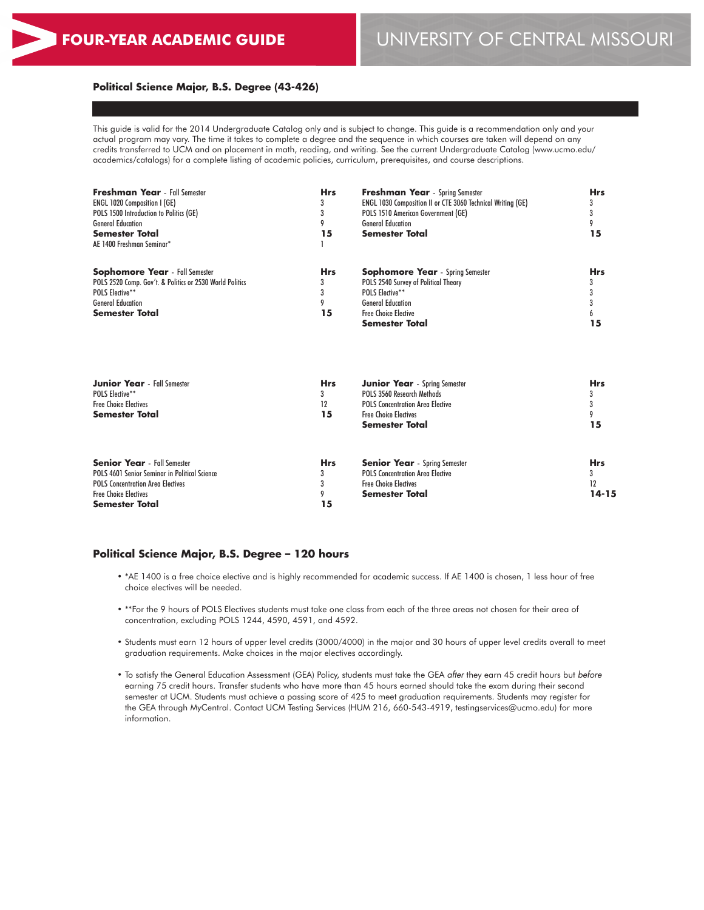## **Political Science Major, B.S. Degree (43-426)**

This guide is valid for the 2014 Undergraduate Catalog only and is subject to change. This guide is a recommendation only and your actual program may vary. The time it takes to complete a degree and the sequence in which courses are taken will depend on any credits transferred to UCM and on placement in math, reading, and writing. See the current Undergraduate Catalog (www.ucmo.edu/ academics/catalogs) for a complete listing of academic policies, curriculum, prerequisites, and course descriptions.

| <b>ENGL 1020 Composition I (GE)</b><br>ENGL 1030 Composition II or CTE 3060 Technical Writing (GE)<br>3<br>3<br>3<br>POLS 1510 American Government (GE)<br>3<br>POLS 1500 Introduction to Politics (GE)<br><b>General Education</b><br>9<br><b>General Education</b><br>9<br>15<br><b>Semester Total</b><br>15<br>Semester Total<br><b>Hrs</b><br><b>Sophomore Year</b> - Spring Semester<br><b>Hrs</b><br>3<br>POLS 2540 Survey of Political Theory<br>3<br>3<br><b>POLS Elective**</b><br>3<br>9<br><b>General Education</b><br>3<br><b>Semester Total</b><br>15<br><b>Free Choice Elective</b><br>15<br><b>Semester Total</b><br><b>Hrs</b><br><b>Hrs</b><br><b>Junior Year</b> - Spring Semester<br>POLS 3560 Research Methods<br>3<br>3<br>12<br><b>POLS Concentration Area Elective</b><br>3<br>15<br><b>Free Choice Electives</b><br>9<br>15<br><b>Semester Total</b><br><b>Senior Year</b> - Fall Semester<br><b>Hrs</b><br><b>Senior Year</b> - Spring Semester<br><b>Hrs</b><br>POLS 4601 Senior Seminar in Political Science<br><b>POLS Concentration Area Elective</b><br>3<br>3<br>3<br><b>Free Choice Electives</b><br>12<br><b>POLS Concentration Area Electives</b><br>$14 - 15$<br><b>Free Choice Electives</b><br>9<br><b>Semester Total</b> | <b>Freshman Year</b> - Fall Semester                     | <b>Hrs</b> | <b>Freshman Year</b> - Spring Semester | <b>Hrs</b> |  |
|----------------------------------------------------------------------------------------------------------------------------------------------------------------------------------------------------------------------------------------------------------------------------------------------------------------------------------------------------------------------------------------------------------------------------------------------------------------------------------------------------------------------------------------------------------------------------------------------------------------------------------------------------------------------------------------------------------------------------------------------------------------------------------------------------------------------------------------------------------------------------------------------------------------------------------------------------------------------------------------------------------------------------------------------------------------------------------------------------------------------------------------------------------------------------------------------------------------------------------------------------------------|----------------------------------------------------------|------------|----------------------------------------|------------|--|
|                                                                                                                                                                                                                                                                                                                                                                                                                                                                                                                                                                                                                                                                                                                                                                                                                                                                                                                                                                                                                                                                                                                                                                                                                                                                |                                                          |            |                                        |            |  |
|                                                                                                                                                                                                                                                                                                                                                                                                                                                                                                                                                                                                                                                                                                                                                                                                                                                                                                                                                                                                                                                                                                                                                                                                                                                                |                                                          |            |                                        |            |  |
|                                                                                                                                                                                                                                                                                                                                                                                                                                                                                                                                                                                                                                                                                                                                                                                                                                                                                                                                                                                                                                                                                                                                                                                                                                                                |                                                          |            |                                        |            |  |
|                                                                                                                                                                                                                                                                                                                                                                                                                                                                                                                                                                                                                                                                                                                                                                                                                                                                                                                                                                                                                                                                                                                                                                                                                                                                |                                                          |            |                                        |            |  |
|                                                                                                                                                                                                                                                                                                                                                                                                                                                                                                                                                                                                                                                                                                                                                                                                                                                                                                                                                                                                                                                                                                                                                                                                                                                                | AE 1400 Freshman Seminar*                                |            |                                        |            |  |
|                                                                                                                                                                                                                                                                                                                                                                                                                                                                                                                                                                                                                                                                                                                                                                                                                                                                                                                                                                                                                                                                                                                                                                                                                                                                | <b>Sophomore Year</b> - Fall Semester                    |            |                                        |            |  |
|                                                                                                                                                                                                                                                                                                                                                                                                                                                                                                                                                                                                                                                                                                                                                                                                                                                                                                                                                                                                                                                                                                                                                                                                                                                                | POLS 2520 Comp. Gov't. & Politics or 2530 World Politics |            |                                        |            |  |
|                                                                                                                                                                                                                                                                                                                                                                                                                                                                                                                                                                                                                                                                                                                                                                                                                                                                                                                                                                                                                                                                                                                                                                                                                                                                | <b>POLS Elective**</b>                                   |            |                                        |            |  |
|                                                                                                                                                                                                                                                                                                                                                                                                                                                                                                                                                                                                                                                                                                                                                                                                                                                                                                                                                                                                                                                                                                                                                                                                                                                                | <b>General Education</b>                                 |            |                                        |            |  |
|                                                                                                                                                                                                                                                                                                                                                                                                                                                                                                                                                                                                                                                                                                                                                                                                                                                                                                                                                                                                                                                                                                                                                                                                                                                                |                                                          |            |                                        |            |  |
|                                                                                                                                                                                                                                                                                                                                                                                                                                                                                                                                                                                                                                                                                                                                                                                                                                                                                                                                                                                                                                                                                                                                                                                                                                                                |                                                          |            |                                        |            |  |
|                                                                                                                                                                                                                                                                                                                                                                                                                                                                                                                                                                                                                                                                                                                                                                                                                                                                                                                                                                                                                                                                                                                                                                                                                                                                |                                                          |            |                                        |            |  |
|                                                                                                                                                                                                                                                                                                                                                                                                                                                                                                                                                                                                                                                                                                                                                                                                                                                                                                                                                                                                                                                                                                                                                                                                                                                                | <b>Junior Year</b> - Fall Semester                       |            |                                        |            |  |
|                                                                                                                                                                                                                                                                                                                                                                                                                                                                                                                                                                                                                                                                                                                                                                                                                                                                                                                                                                                                                                                                                                                                                                                                                                                                | <b>POLS Elective**</b>                                   |            |                                        |            |  |
|                                                                                                                                                                                                                                                                                                                                                                                                                                                                                                                                                                                                                                                                                                                                                                                                                                                                                                                                                                                                                                                                                                                                                                                                                                                                | <b>Free Choice Electives</b>                             |            |                                        |            |  |
|                                                                                                                                                                                                                                                                                                                                                                                                                                                                                                                                                                                                                                                                                                                                                                                                                                                                                                                                                                                                                                                                                                                                                                                                                                                                | <b>Semester Total</b>                                    |            |                                        |            |  |
|                                                                                                                                                                                                                                                                                                                                                                                                                                                                                                                                                                                                                                                                                                                                                                                                                                                                                                                                                                                                                                                                                                                                                                                                                                                                |                                                          |            |                                        |            |  |
|                                                                                                                                                                                                                                                                                                                                                                                                                                                                                                                                                                                                                                                                                                                                                                                                                                                                                                                                                                                                                                                                                                                                                                                                                                                                |                                                          |            |                                        |            |  |
|                                                                                                                                                                                                                                                                                                                                                                                                                                                                                                                                                                                                                                                                                                                                                                                                                                                                                                                                                                                                                                                                                                                                                                                                                                                                |                                                          |            |                                        |            |  |
|                                                                                                                                                                                                                                                                                                                                                                                                                                                                                                                                                                                                                                                                                                                                                                                                                                                                                                                                                                                                                                                                                                                                                                                                                                                                |                                                          |            |                                        |            |  |
|                                                                                                                                                                                                                                                                                                                                                                                                                                                                                                                                                                                                                                                                                                                                                                                                                                                                                                                                                                                                                                                                                                                                                                                                                                                                |                                                          |            |                                        |            |  |
|                                                                                                                                                                                                                                                                                                                                                                                                                                                                                                                                                                                                                                                                                                                                                                                                                                                                                                                                                                                                                                                                                                                                                                                                                                                                | Semester Total                                           | 15         |                                        |            |  |

### **Political Science Major, B.S. Degree – 120 hours**

- \*AE 1400 is a free choice elective and is highly recommended for academic success. If AE 1400 is chosen, 1 less hour of free choice electives will be needed.
- \*\*For the 9 hours of POLS Electives students must take one class from each of the three areas not chosen for their area of concentration, excluding POLS 1244, 4590, 4591, and 4592.
- Students must earn 12 hours of upper level credits (3000/4000) in the major and 30 hours of upper level credits overall to meet graduation requirements. Make choices in the major electives accordingly.
- To satisfy the General Education Assessment (GEA) Policy, students must take the GEA *after* they earn 45 credit hours but *before* earning 75 credit hours. Transfer students who have more than 45 hours earned should take the exam during their second semester at UCM. Students must achieve a passing score of 425 to meet graduation requirements. Students may register for the GEA through MyCentral. Contact UCM Testing Services (HUM 216, 660-543-4919, testingservices@ucmo.edu) for more information.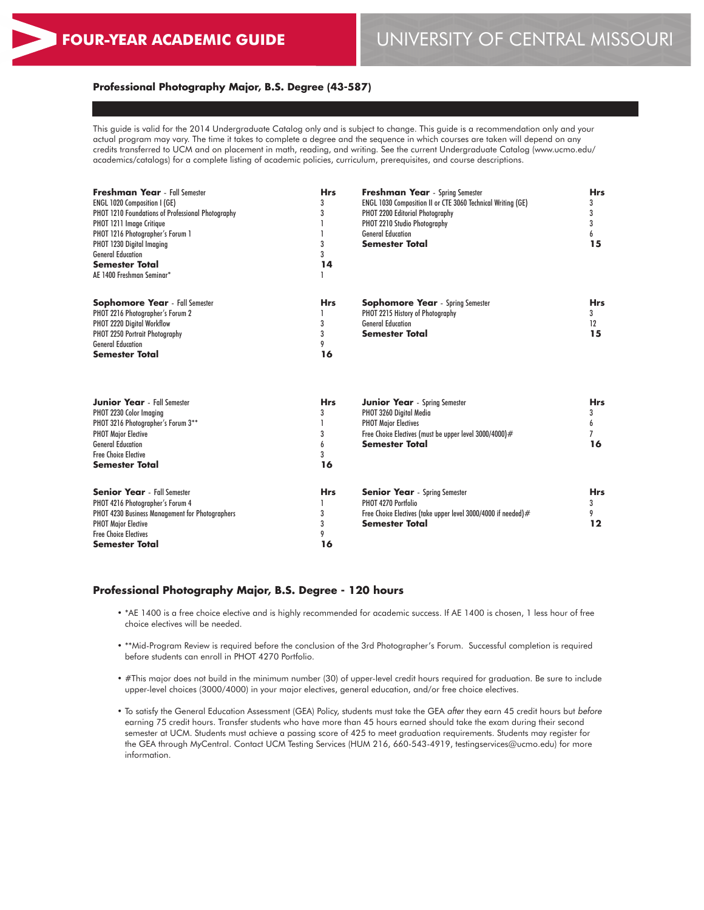### **Professional Photography Major, B.S. Degree (43-587)**

This guide is valid for the 2014 Undergraduate Catalog only and is subject to change. This guide is a recommendation only and your actual program may vary. The time it takes to complete a degree and the sequence in which courses are taken will depend on any credits transferred to UCM and on placement in math, reading, and writing. See the current Undergraduate Catalog (www.ucmo.edu/ academics/catalogs) for a complete listing of academic policies, curriculum, prerequisites, and course descriptions.

| Freshman Year - Fall Semester                     | <b>Hrs</b> | <b>Freshman Year</b> - Spring Semester                        | <b>Hrs</b>     |
|---------------------------------------------------|------------|---------------------------------------------------------------|----------------|
| <b>ENGL 1020 Composition I (GE)</b>               | 3          | ENGL 1030 Composition II or CTE 3060 Technical Writing (GE)   | 3              |
| PHOT 1210 Foundations of Professional Photography | 3          | PHOT 2200 Editorial Photography                               | 3              |
| PHOT 1211 Image Critique                          |            | PHOT 2210 Studio Photography                                  | 3              |
| PHOT 1216 Photographer's Forum 1                  |            | <b>General Education</b>                                      | 6              |
| PHOT 1230 Digital Imaging                         | 3          | <b>Semester Total</b>                                         | 15             |
| <b>General Education</b>                          | 3          |                                                               |                |
| <b>Semester Total</b>                             | 14         |                                                               |                |
| AE 1400 Freshman Seminar*                         |            |                                                               |                |
| <b>Sophomore Year</b> - Fall Semester             | <b>Hrs</b> | <b>Sophomore Year</b> - Spring Semester                       | <b>Hrs</b>     |
| PHOT 2216 Photographer's Forum 2                  |            | PHOT 2215 History of Photography                              | 3              |
| PHOT 2220 Digital Workflow                        | 3          | <b>General Education</b>                                      | 12             |
| PHOT 2250 Portrait Photography                    | 3          | <b>Semester Total</b>                                         | 15             |
| <b>General Education</b>                          | 9          |                                                               |                |
| <b>Semester Total</b>                             | 16         |                                                               |                |
|                                                   |            |                                                               |                |
| <b>Junior Year</b> - Fall Semester                | <b>Hrs</b> | <b>Junior Year</b> - Spring Semester                          | <b>Hrs</b>     |
| PHOT 2230 Color Imaging                           | 3          | PHOT 3260 Digital Media                                       | 3              |
| PHOT 3216 Photographer's Forum 3**                |            | <b>PHOT Major Electives</b>                                   | 6              |
| <b>PHOT Major Elective</b>                        | 3          | Free Choice Electives (must be upper level 3000/4000)#        | $\overline{7}$ |
| <b>General Education</b>                          | 6          | <b>Semester Total</b>                                         | 16             |
| <b>Free Choice Elective</b>                       | 3          |                                                               |                |
| <b>Semester Total</b>                             | 16         |                                                               |                |
| <b>Senior Year</b> - Fall Semester                | <b>Hrs</b> | <b>Senior Year</b> - Spring Semester                          | <b>Hrs</b>     |
| PHOT 4216 Photographer's Forum 4                  |            | PHOT 4270 Portfolio                                           | 3              |
| PHOT 4230 Business Management for Photographers   | 3          | Free Choice Electives (take upper level 3000/4000 if needed)# | 9              |
| <b>PHOT Major Elective</b>                        | 3          | Semester Total                                                | 12             |
| <b>Free Choice Electives</b>                      | 9          |                                                               |                |
| <b>Semester Total</b>                             | 16         |                                                               |                |
|                                                   |            |                                                               |                |

#### **Professional Photography Major, B.S. Degree - 120 hours**

- \*AE 1400 is a free choice elective and is highly recommended for academic success. If AE 1400 is chosen, 1 less hour of free choice electives will be needed.
- \*\*Mid-Program Review is required before the conclusion of the 3rd Photographer's Forum. Successful completion is required before students can enroll in PHOT 4270 Portfolio.
- #This major does not build in the minimum number (30) of upper-level credit hours required for graduation. Be sure to include upper-level choices (3000/4000) in your major electives, general education, and/or free choice electives.
- To satisfy the General Education Assessment (GEA) Policy, students must take the GEA *after* they earn 45 credit hours but *before* earning 75 credit hours. Transfer students who have more than 45 hours earned should take the exam during their second semester at UCM. Students must achieve a passing score of 425 to meet graduation requirements. Students may register for the GEA through MyCentral. Contact UCM Testing Services (HUM 216, 660-543-4919, testingservices@ucmo.edu) for more information.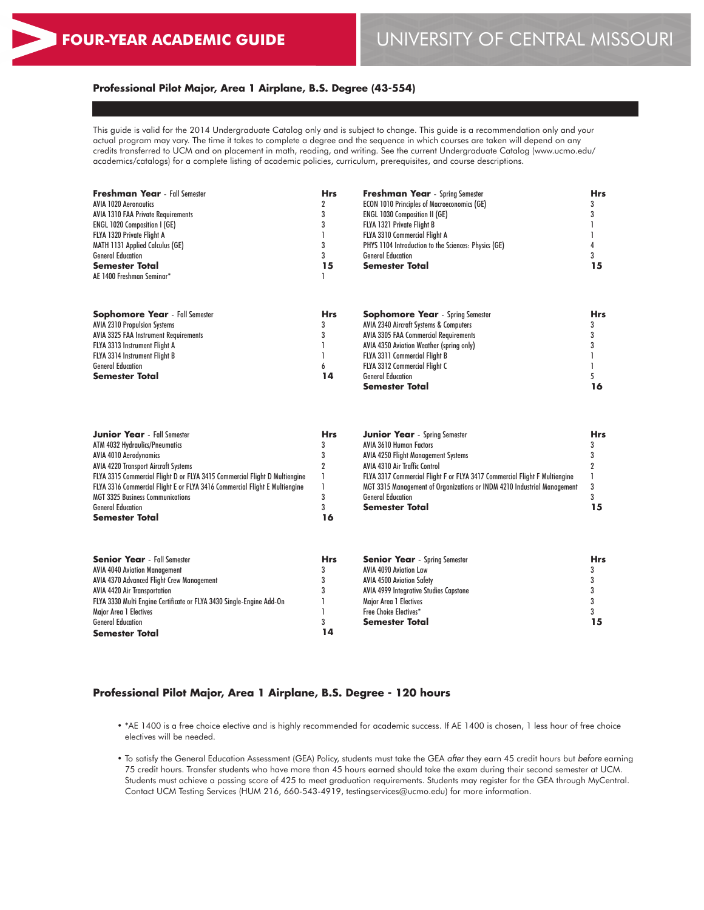3 3 **15**

## **Professional Pilot Major, Area 1 Airplane, B.S. Degree (43-554)**

This guide is valid for the 2014 Undergraduate Catalog only and is subject to change. This guide is a recommendation only and your actual program may vary. The time it takes to complete a degree and the sequence in which courses are taken will depend on any credits transferred to UCM and on placement in math, reading, and writing. See the current Undergraduate Catalog (www.ucmo.edu/ academics/catalogs) for a complete listing of academic policies, curriculum, prerequisites, and course descriptions.

| <b>Freshman Year</b> - Fall Semester      | <b>Hrs</b> | <b>Freshman Year</b> - Spring Semester               | <b>Hrs</b> |
|-------------------------------------------|------------|------------------------------------------------------|------------|
| <b>AVIA 1020 Aeronautics</b>              |            | <b>ECON 1010 Principles of Macroeconomics (GE)</b>   |            |
| <b>AVIA 1310 FAA Private Requirements</b> |            | <b>ENGL 1030 Composition II (GE)</b>                 |            |
| <b>ENGL 1020 Composition I (GE)</b>       |            | FLYA 1321 Private Flight B                           |            |
| FLYA 1320 Private Flight A                |            | FLYA 3310 Commercial Fliaht A                        |            |
| <b>MATH 1131 Applied Calculus (GE)</b>    |            | PHYS 1104 Introduction to the Sciences: Physics (GE) |            |
| <b>General Education</b>                  |            | <b>General Education</b>                             |            |
| <b>Semester Total</b>                     | 15         | <b>Semester Total</b>                                | 15         |
| AE 1400 Freshman Seminar*                 |            |                                                      |            |
|                                           |            |                                                      |            |
| <b>Sophomore Year</b> - Fall Semester     | Hrs        | <b>Sophomore Year</b> - Spring Semester              | Hrs        |
| <b>AVIA 2310 Propulsion Systems</b>       |            | AVIA 2340 Aircraft Systems & Computers               |            |
| AVIA 3325 FAA Instrument Requirements     |            | <b>AVIA 3305 FAA Commercial Requirements</b>         |            |
| FLYA 3313 Instrument Flight A             |            | AVIA 4350 Aviation Weather (spring only)             |            |
| FLYA 3314 Instrument Flight B             |            | <b>FLYA 3311 Commercial Flight B</b>                 |            |
| <b>General Education</b>                  | h.         | FLYA 3312 Commercial Flight C                        |            |
| <b>Semester Total</b>                     | 14         | <b>General Education</b>                             |            |
|                                           |            | Semester Total                                       | 16         |

| <b>Junior Year</b> - Fall Semester                                         | <b>Hrs</b> | <b>Junior Year</b> - Spring Semester                                       | Hrs |
|----------------------------------------------------------------------------|------------|----------------------------------------------------------------------------|-----|
| ATM 4032 Hydraulics/Pneumatics                                             |            | <b>AVIA 3610 Human Factors</b>                                             |     |
| <b>AVIA 4010 Aerodynamics</b>                                              |            | <b>AVIA 4250 Flight Management Systems</b>                                 |     |
| <b>AVIA 4220 Transport Aircraft Systems</b>                                |            | <b>AVIA 4310 Air Traffic Control</b>                                       |     |
| FLYA 3315 Commercial Flight D or FLYA 3415 Commercial Flight D Multiengine |            | FLYA 3317 Commercial Flight F or FLYA 3417 Commercial Flight F Multiengine |     |
| FLYA 3316 Commercial Flight E or FLYA 3416 Commercial Flight E Multiengine |            | MGT 3315 Management of Organizations or INDM 4210 Industrial Management    |     |
| <b>MGT 3325 Business Communications</b>                                    |            | <b>General Education</b>                                                   |     |
| <b>General Education</b>                                                   |            | <b>Semester Total</b>                                                      | 15  |
| <b>Semester Total</b>                                                      | 16         |                                                                            |     |
|                                                                            |            |                                                                            |     |
| <b>Senior Year</b> - Fall Semester                                         | Hrs        | <b>Senior Year</b> - Spring Semester                                       | Hrs |
| <b>AVIA 4040 Aviation Management</b>                                       |            | AVIA 4090 Aviation Law                                                     |     |
| AVIA 4370 Advanced Flight Crew Management                                  |            | <b>AVIA 4500 Aviation Safety</b>                                           |     |
| <b>AVIA 4420 Air Transportation</b>                                        |            | <b>AVIA 4999 Integrative Studies Capstone</b>                              |     |

AVIA 4420 Air Transportation FLYA 3330 Multi Engine Certificate or FLYA 3430 Single-Engine Add-On Major Area 1 Electives General Education **Semester Total** 3 1 1 3 **14** AVIA 4999 Integrative Studies Capstone Major Area 1 Electives Free Choice Electives\* **Semester Total**

### **Professional Pilot Major, Area 1 Airplane, B.S. Degree - 120 hours**

- \*AE 1400 is a free choice elective and is highly recommended for academic success. If AE 1400 is chosen, 1 less hour of free choice electives will be needed.
- To satisfy the General Education Assessment (GEA) Policy, students must take the GEA *after* they earn 45 credit hours but *before* earning 75 credit hours. Transfer students who have more than 45 hours earned should take the exam during their second semester at UCM. Students must achieve a passing score of 425 to meet graduation requirements. Students may register for the GEA through MyCentral. Contact UCM Testing Services (HUM 216, 660-543-4919, testingservices@ucmo.edu) for more information.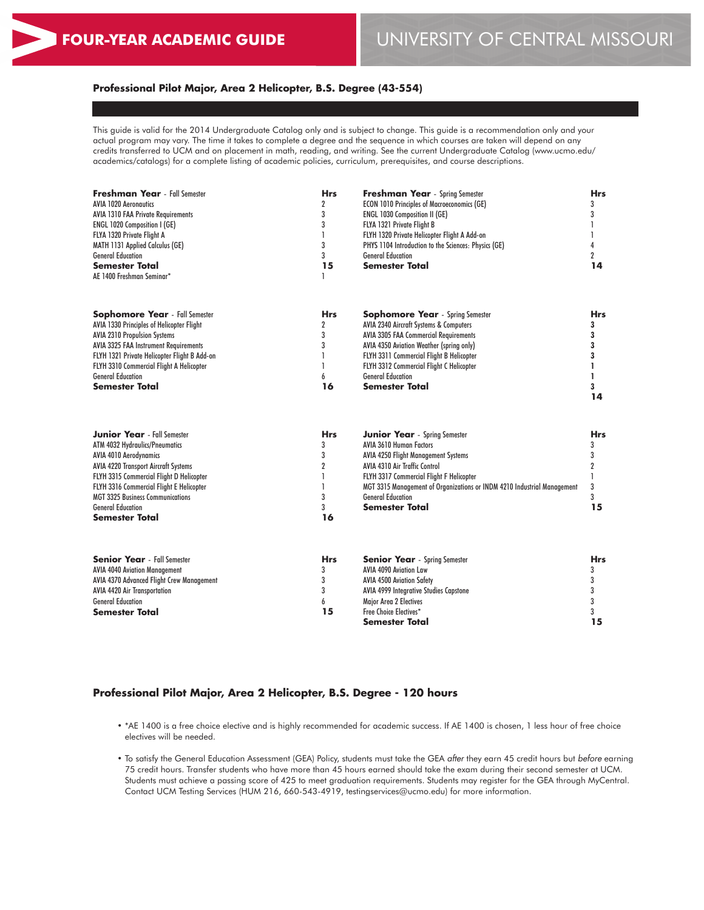## **Professional Pilot Major, Area 2 Helicopter, B.S. Degree (43-554)**

This guide is valid for the 2014 Undergraduate Catalog only and is subject to change. This guide is a recommendation only and your actual program may vary. The time it takes to complete a degree and the sequence in which courses are taken will depend on any credits transferred to UCM and on placement in math, reading, and writing. See the current Undergraduate Catalog (www.ucmo.edu/ academics/catalogs) for a complete listing of academic policies, curriculum, prerequisites, and course descriptions.

| <b>Freshman Year</b> - Fall Semester<br><b>AVIA 1020 Aeronautics</b> | <b>Hrs</b><br>$\overline{2}$ | Freshman Year - Spring Semester<br><b>ECON 1010 Principles of Macroeconomics (GE)</b><br><b>ENGL 1030 Composition II (GE)</b> |                |
|----------------------------------------------------------------------|------------------------------|-------------------------------------------------------------------------------------------------------------------------------|----------------|
| <b>AVIA 1310 FAA Private Requirements</b>                            | 3<br>3                       |                                                                                                                               |                |
| <b>ENGL 1020 Composition I (GE)</b>                                  |                              | FLYA 1321 Private Flight B                                                                                                    | 3              |
| FLYA 1320 Private Flight A                                           | $\mathbf{1}$                 | FLYH 1320 Private Helicopter Flight A Add-on                                                                                  |                |
| <b>MATH 1131 Applied Calculus (GE)</b>                               | 3                            | PHYS 1104 Introduction to the Sciences: Physics (GE)                                                                          | 4              |
| <b>General Education</b>                                             | 3                            | <b>General Education</b>                                                                                                      | $\overline{2}$ |
| Semester Total                                                       | 15                           | <b>Semester Total</b>                                                                                                         | 14             |
| AE 1400 Freshman Seminar*                                            | 1                            |                                                                                                                               |                |
| <b>Sophomore Year</b> - Fall Semester                                | <b>Hrs</b>                   | <b>Sophomore Year</b> - Spring Semester                                                                                       | Hrs            |
| AVIA 1330 Principles of Helicopter Flight                            | $\overline{2}$               | AVIA 2340 Aircraft Systems & Computers                                                                                        | 3              |
| <b>AVIA 2310 Propulsion Systems</b>                                  | 3                            | <b>AVIA 3305 FAA Commercial Requirements</b>                                                                                  | 3              |
| <b>AVIA 3325 FAA Instrument Requirements</b>                         | 3                            | AVIA 4350 Aviation Weather (spring only)                                                                                      | 3              |
| FLYH 1321 Private Helicopter Flight B Add-on                         | 1                            | FLYH 3311 Commercial Flight B Helicopter                                                                                      | 3              |
| FLYH 3310 Commercial Flight A Helicopter                             | $\mathbf{1}$                 | FLYH 3312 Commercial Flight C Helicopter                                                                                      | ı              |
| <b>General Education</b>                                             | 6                            | <b>General Education</b>                                                                                                      | 1              |
| Semester Total                                                       | 16                           | Semester Total                                                                                                                | 3              |
|                                                                      |                              |                                                                                                                               | 14             |
| <b>Junior Year</b> - Fall Semester                                   | <b>Hrs</b>                   | <b>Junior Year</b> - Spring Semester                                                                                          | Hrs            |
| ATM 4032 Hydraulics/Pneumatics                                       | 3                            | <b>AVIA 3610 Human Factors</b>                                                                                                | 3              |
| <b>AVIA 4010 Aerodynamics</b>                                        | 3                            | <b>AVIA 4250 Flight Management Systems</b>                                                                                    | 3              |
| <b>AVIA 4220 Transport Aircraft Systems</b>                          | $\overline{2}$               | <b>AVIA 4310 Air Traffic Control</b>                                                                                          | 2              |
| FLYH 3315 Commercial Flight D Helicopter                             | 1                            | FLYH 3317 Commercial Flight F Helicopter                                                                                      | 1              |
| FLYH 3316 Commercial Flight E Helicopter                             | $\mathbf{1}$                 | MGT 3315 Management of Organizations or INDM 4210 Industrial Management<br><b>General Education</b>                           | 3              |
| <b>MGT 3325 Business Communications</b><br><b>General Education</b>  | 3<br>3                       | <b>Semester Total</b>                                                                                                         | 3<br>15        |
| Semester Total                                                       | 16                           |                                                                                                                               |                |
|                                                                      |                              |                                                                                                                               |                |
| <b>Senior Year</b> - Fall Semester                                   | <b>Hrs</b>                   | <b>Senior Year</b> - Spring Semester                                                                                          | Hrs            |
| <b>AVIA 4040 Aviation Management</b>                                 | 3                            | <b>AVIA 4090 Aviation Law</b>                                                                                                 | 3              |
| AVIA 4370 Advanced Flight Crew Management                            | 3                            | <b>AVIA 4500 Aviation Safety</b>                                                                                              | 3              |
| <b>AVIA 4420 Air Transportation</b>                                  | 3                            | <b>AVIA 4999 Integrative Studies Capstone</b>                                                                                 | 3              |
| <b>General Education</b>                                             | 6                            | <b>Major Area 2 Electives</b><br>Free Choice Electives*                                                                       | 3              |
| <b>Semester Total</b>                                                | 15                           | <b>Semester Total</b>                                                                                                         | 3<br>15        |
|                                                                      |                              |                                                                                                                               |                |

### **Professional Pilot Major, Area 2 Helicopter, B.S. Degree - 120 hours**

- \*AE 1400 is a free choice elective and is highly recommended for academic success. If AE 1400 is chosen, 1 less hour of free choice electives will be needed.
- To satisfy the General Education Assessment (GEA) Policy, students must take the GEA *after* they earn 45 credit hours but *before* earning 75 credit hours. Transfer students who have more than 45 hours earned should take the exam during their second semester at UCM. Students must achieve a passing score of 425 to meet graduation requirements. Students may register for the GEA through MyCentral. Contact UCM Testing Services (HUM 216, 660-543-4919, testingservices@ucmo.edu) for more information.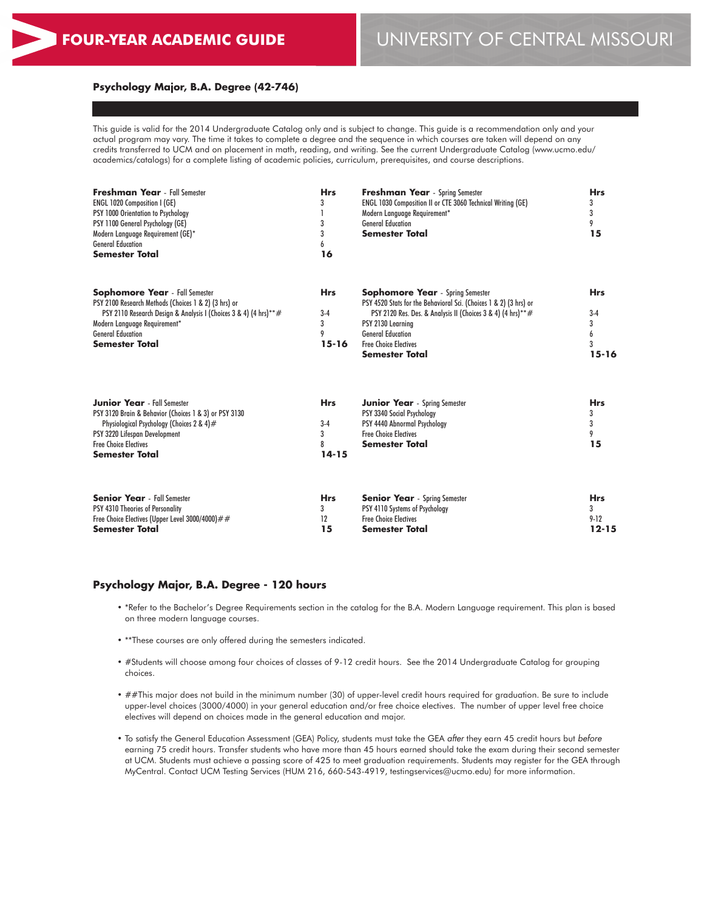### **Psychology Major, B.A. Degree (42-746)**

This guide is valid for the 2014 Undergraduate Catalog only and is subject to change. This guide is a recommendation only and your actual program may vary. The time it takes to complete a degree and the sequence in which courses are taken will depend on any credits transferred to UCM and on placement in math, reading, and writing. See the current Undergraduate Catalog (www.ucmo.edu/ academics/catalogs) for a complete listing of academic policies, curriculum, prerequisites, and course descriptions.

| <b>Freshman Year</b> - Fall Semester<br><b>ENGL 1020 Composition I (GE)</b><br>PSY 1000 Orientation to Psychology<br>PSY 1100 General Psychology (GE)<br>Modern Language Requirement (GE)*<br><b>General Education</b><br><b>Semester Total</b>        | <b>Hrs</b><br>3<br>3<br>3<br>6<br>16       | <b>Freshman Year</b> - Spring Semester<br>ENGL 1030 Composition II or CTE 3060 Technical Writing (GE)<br>Modern Language Requirement*<br><b>General Education</b><br><b>Semester Total</b>                                                                                            | <b>Hrs</b><br>3<br>3<br>9<br>15            |
|--------------------------------------------------------------------------------------------------------------------------------------------------------------------------------------------------------------------------------------------------------|--------------------------------------------|---------------------------------------------------------------------------------------------------------------------------------------------------------------------------------------------------------------------------------------------------------------------------------------|--------------------------------------------|
| <b>Sophomore Year</b> - Fall Semester<br>PSY 2100 Research Methods (Choices 1 & 2) (3 hrs) or<br>PSY 2110 Research Design & Analysis I (Choices 3 & 4) (4 hrs)**#<br>Modern Language Requirement*<br><b>General Education</b><br><b>Semester Total</b> | <b>Hrs</b><br>$3-4$<br>3<br>9<br>$15 - 16$ | <b>Sophomore Year</b> - Spring Semester<br>PSY 4520 Stats for the Behavioral Sci. (Choices 1 & 2) (3 hrs) or<br>PSY 2120 Res. Des. & Analysis II (Choices 3 & 4) (4 hrs)**#<br>PSY 2130 Learning<br><b>General Education</b><br><b>Free Choice Electives</b><br><b>Semester Total</b> | <b>Hrs</b><br>$3-4$<br>3<br>3<br>$15 - 16$ |
| <b>Junior Year</b> - Fall Semester<br>PSY 3120 Brain & Behavior (Choices 1 & 3) or PSY 3130<br>Physiological Psychology (Choices 2 & 4)#<br>PSY 3220 Lifespan Development<br><b>Free Choice Electives</b><br><b>Semester Total</b>                     | <b>Hrs</b><br>$3-4$<br>3<br>8<br>$14 - 15$ | <b>Junior Year</b> - Spring Semester<br>PSY 3340 Social Psychology<br>PSY 4440 Abnormal Psychology<br><b>Free Choice Electives</b><br><b>Semester Total</b>                                                                                                                           | <b>Hrs</b><br>3<br>3<br>9<br>15            |
| <b>Senior Year</b> - Fall Semester<br>PSY 4310 Theories of Personality<br>Free Choice Electives (Upper Level 3000/4000)##<br><b>Semester Total</b>                                                                                                     | <b>Hrs</b><br>3<br>12<br>15                | <b>Senior Year</b> - Spring Semester<br>PSY 4110 Systems of Psychology<br><b>Free Choice Electives</b><br><b>Semester Total</b>                                                                                                                                                       | <b>Hrs</b><br>3<br>$9-12$<br>$12 - 15$     |

## **Psychology Major, B.A. Degree - 120 hours**

- \*Refer to the Bachelor's Degree Requirements section in the catalog for the B.A. Modern Language requirement. This plan is based on three modern language courses.
- \*\*These courses are only offered during the semesters indicated.
- #Students will choose among four choices of classes of 9-12 credit hours. See the 2014 Undergraduate Catalog for grouping choices.
- ##This major does not build in the minimum number (30) of upper-level credit hours required for graduation. Be sure to include upper-level choices (3000/4000) in your general education and/or free choice electives. The number of upper level free choice electives will depend on choices made in the general education and major.
- To satisfy the General Education Assessment (GEA) Policy, students must take the GEA *after* they earn 45 credit hours but *before* earning 75 credit hours. Transfer students who have more than 45 hours earned should take the exam during their second semester at UCM. Students must achieve a passing score of 425 to meet graduation requirements. Students may register for the GEA through MyCentral. Contact UCM Testing Services (HUM 216, 660-543-4919, testingservices@ucmo.edu) for more information.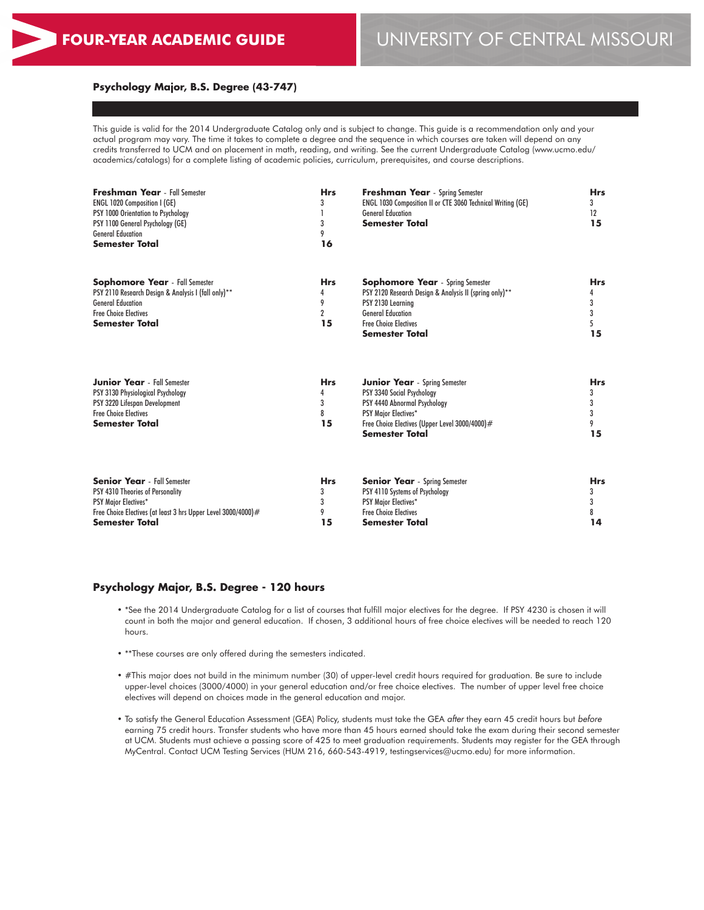### **Psychology Major, B.S. Degree (43-747)**

This guide is valid for the 2014 Undergraduate Catalog only and is subject to change. This guide is a recommendation only and your actual program may vary. The time it takes to complete a degree and the sequence in which courses are taken will depend on any credits transferred to UCM and on placement in math, reading, and writing. See the current Undergraduate Catalog (www.ucmo.edu/ academics/catalogs) for a complete listing of academic policies, curriculum, prerequisites, and course descriptions.

| <b>Freshman Year</b> - Fall Semester<br>ENGL 1020 Composition I (GE)<br>PSY 1000 Orientation to Psychology<br>PSY 1100 General Psychology (GE)<br><b>General Education</b><br>Semester Total | <b>Hrs</b><br>3<br>3<br>9<br>16              | <b>Freshman Year</b> - Spring Semester<br>ENGL 1030 Composition II or CTE 3060 Technical Writing (GE)<br><b>General Education</b><br><b>Semester Total</b>                                           | <b>Hrs</b><br>3<br>12<br>15     |
|----------------------------------------------------------------------------------------------------------------------------------------------------------------------------------------------|----------------------------------------------|------------------------------------------------------------------------------------------------------------------------------------------------------------------------------------------------------|---------------------------------|
| <b>Sophomore Year</b> - Fall Semester<br>PSY 2110 Research Design & Analysis I (fall only)**<br><b>General Education</b><br><b>Free Choice Electives</b><br><b>Semester Total</b>            | <b>Hrs</b><br>4<br>9<br>$\overline{2}$<br>15 | <b>Sophomore Year</b> - Spring Semester<br>PSY 2120 Research Design & Analysis II (spring only)**<br>PSY 2130 Learning<br><b>General Education</b><br><b>Free Choice Electives</b><br>Semester Total | <b>Hrs</b><br>4<br>3<br>3<br>15 |
| <b>Junior Year</b> - Fall Semester<br>PSY 3130 Physiological Psychology<br>PSY 3220 Lifespan Development<br><b>Free Choice Electives</b><br><b>Semester Total</b>                            | <b>Hrs</b><br>4<br>3<br>8<br>15              | Junior Year - Spring Semester<br>PSY 3340 Social Psychology<br>PSY 4440 Abnormal Psychology<br><b>PSY Major Electives*</b><br>Free Choice Electives (Upper Level 3000/4000)#<br>Semester Total       | <b>Hrs</b><br>3<br>3<br>15      |
| <b>Senior Year</b> - Fall Semester<br>PSY 4310 Theories of Personality<br><b>PSY Major Electives*</b><br>Free Choice Electives (at least 3 hrs Upper Level 3000/4000)#<br>Semester Total     | <b>Hrs</b><br>3<br>3<br>9<br>15              | <b>Senior Year</b> - Spring Semester<br>PSY 4110 Systems of Psychology<br><b>PSY Major Electives*</b><br><b>Free Choice Electives</b><br>Semester Total                                              | <b>Hrs</b><br>3<br>3<br>8<br>14 |

## **Psychology Major, B.S. Degree - 120 hours**

- \*See the 2014 Undergraduate Catalog for a list of courses that fulfill major electives for the degree. If PSY 4230 is chosen it will count in both the major and general education. If chosen, 3 additional hours of free choice electives will be needed to reach 120 hours.
- \*\*These courses are only offered during the semesters indicated.
- #This major does not build in the minimum number (30) of upper-level credit hours required for graduation. Be sure to include upper-level choices (3000/4000) in your general education and/or free choice electives. The number of upper level free choice electives will depend on choices made in the general education and major.
- To satisfy the General Education Assessment (GEA) Policy, students must take the GEA *after* they earn 45 credit hours but *before* earning 75 credit hours. Transfer students who have more than 45 hours earned should take the exam during their second semester at UCM. Students must achieve a passing score of 425 to meet graduation requirements. Students may register for the GEA through MyCentral. Contact UCM Testing Services (HUM 216, 660-543-4919, testingservices@ucmo.edu) for more information.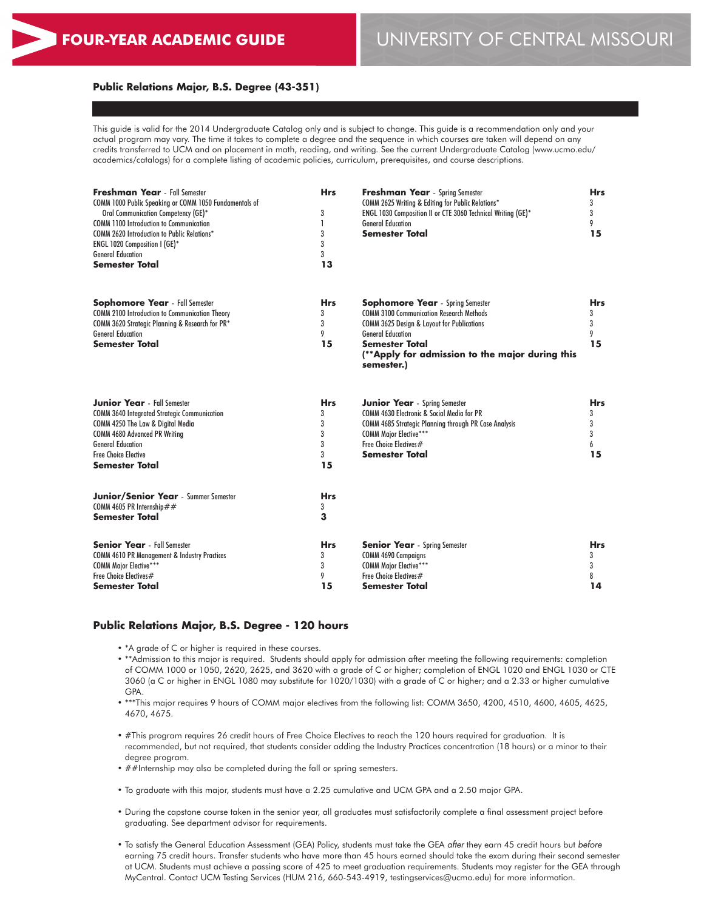## **Public Relations Major, B.S. Degree (43-351)**

This guide is valid for the 2014 Undergraduate Catalog only and is subject to change. This guide is a recommendation only and your actual program may vary. The time it takes to complete a degree and the sequence in which courses are taken will depend on any credits transferred to UCM and on placement in math, reading, and writing. See the current Undergraduate Catalog (www.ucmo.edu/ academics/catalogs) for a complete listing of academic policies, curriculum, prerequisites, and course descriptions.

| Freshman Year - Fall Semester<br>COMM 1000 Public Speaking or COMM 1050 Fundamentals of<br>Oral Communication Competency (GE)*<br><b>COMM 1100 Introduction to Communication</b><br><b>COMM 2620 Introduction to Public Relations*</b><br>ENGL 1020 Composition I (GE)*<br><b>General Education</b><br>Semester Total | <b>Hrs</b><br>3<br>1<br>3<br>3<br>3<br>13 | <b>Freshman Year</b> - Spring Semester<br>COMM 2625 Writing & Editing for Public Relations*<br>ENGL 1030 Composition II or CTE 3060 Technical Writing (GE)*<br><b>General Education</b><br><b>Semester Total</b>                                                          | <b>Hrs</b><br>3<br>3<br>9<br>15 |
|-----------------------------------------------------------------------------------------------------------------------------------------------------------------------------------------------------------------------------------------------------------------------------------------------------------------------|-------------------------------------------|---------------------------------------------------------------------------------------------------------------------------------------------------------------------------------------------------------------------------------------------------------------------------|---------------------------------|
| <b>Sophomore Year</b> - Fall Semester<br><b>COMM 2100 Introduction to Communication Theory</b><br>COMM 3620 Strategic Planning & Research for PR*<br><b>General Education</b><br><b>Semester Total</b>                                                                                                                | <b>Hrs</b><br>3<br>3<br>9<br>15           | <b>Sophomore Year</b> - Spring Semester<br><b>COMM 3100 Communication Research Methods</b><br><b>COMM 3625 Design &amp; Layout for Publications</b><br><b>General Education</b><br><b>Semester Total</b><br>(**Apply for admission to the major during this<br>semester.) | Hrs<br>3<br>3<br>9<br>15        |
| <b>Junior Year</b> - Fall Semester<br><b>COMM 3640 Integrated Strategic Communication</b><br>COMM 4250 The Law & Digital Media<br><b>COMM 4680 Advanced PR Writing</b><br><b>General Education</b><br><b>Free Choice Elective</b><br>Semester Total                                                                   | Hrs.<br>3<br>3<br>3<br>3<br>3<br>15       | <b>Junior Year</b> - Spring Semester<br>COMM 4630 Electronic & Social Media for PR<br>COMM 4685 Strategic Planning through PR Case Analysis<br><b>COMM Major Elective***</b><br>Free Choice Electives#<br><b>Semester Total</b>                                           | Hrs.<br>3<br>3<br>3<br>6<br>15  |
| <b>Junior/Senior Year</b> - Summer Semester<br>COMM 4605 PR Internship##<br><b>Semester Total</b>                                                                                                                                                                                                                     | <b>Hrs</b><br>3<br>3                      |                                                                                                                                                                                                                                                                           |                                 |
| <b>Senior Year</b> - Fall Semester<br><b>COMM 4610 PR Management &amp; Industry Practices</b><br><b>COMM Major Elective***</b><br>Free Choice Electives#<br><b>Semester Total</b>                                                                                                                                     | Hrs.<br>3<br>3<br>9<br>15                 | <b>Senior Year</b> - Spring Semester<br><b>COMM 4690 Campaigns</b><br><b>COMM Major Elective***</b><br>Free Choice Electives#<br>Semester Total                                                                                                                           | Hrs.<br>3<br>3<br>8<br>14       |

## **Public Relations Major, B.S. Degree - 120 hours**

- \*A grade of C or higher is required in these courses.
- \*\*Admission to this major is required. Students should apply for admission after meeting the following requirements: completion of COMM 1000 or 1050, 2620, 2625, and 3620 with a grade of C or higher; completion of ENGL 1020 and ENGL 1030 or CTE 3060 (a C or higher in ENGL 1080 may substitute for 1020/1030) with a grade of C or higher; and a 2.33 or higher cumulative GPA.
- \*\*\*This major requires 9 hours of COMM major electives from the following list: COMM 3650, 4200, 4510, 4600, 4605, 4625, 4670, 4675.
- #This program requires 26 credit hours of Free Choice Electives to reach the 120 hours required for graduation. It is recommended, but not required, that students consider adding the Industry Practices concentration (18 hours) or a minor to their degree program.
- ##Internship may also be completed during the fall or spring semesters.
- To graduate with this major, students must have a 2.25 cumulative and UCM GPA and a 2.50 major GPA.
- During the capstone course taken in the senior year, all graduates must satisfactorily complete a final assessment project before graduating. See department advisor for requirements.
- To satisfy the General Education Assessment (GEA) Policy, students must take the GEA *after* they earn 45 credit hours but *before* earning 75 credit hours. Transfer students who have more than 45 hours earned should take the exam during their second semester at UCM. Students must achieve a passing score of 425 to meet graduation requirements. Students may register for the GEA through MyCentral. Contact UCM Testing Services (HUM 216, 660-543-4919, testingservices@ucmo.edu) for more information.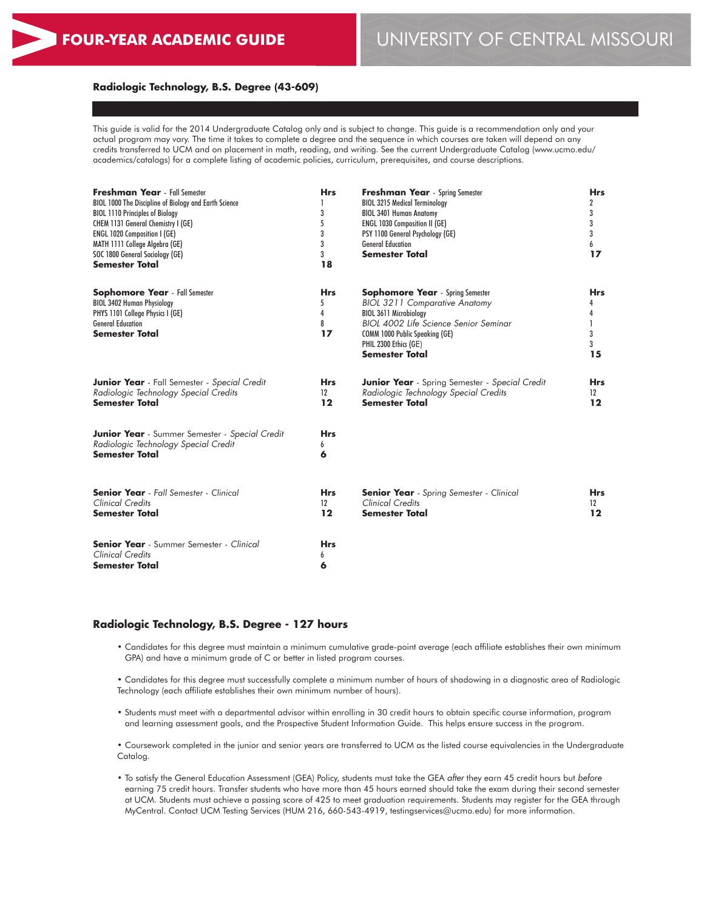## **Radiologic Technology, B.S. Degree (43-609)**

This guide is valid for the 2014 Undergraduate Catalog only and is subject to change. This guide is a recommendation only and your actual program may vary. The time it takes to complete a degree and the sequence in which courses are taken will depend on any credits transferred to UCM and on placement in math, reading, and writing. See the current Undergraduate Catalog (www.ucmo.edu/ academics/catalogs) for a complete listing of academic policies, curriculum, prerequisites, and course descriptions.

| <b>Freshman Year</b> - Fall Semester<br>BIOL 1000 The Discipline of Biology and Earth Science<br><b>BIOL 1110 Principles of Biology</b><br>CHEM 1131 General Chemistry I (GE)<br><b>ENGL 1020 Composition I (GE)</b><br>MATH 1111 College Algebra (GE)<br>SOC 1800 General Sociology (GE)<br><b>Semester Total</b> | <b>Hrs</b><br>3<br>5<br>3<br>3<br>3<br>18 | <b>Freshman Year</b> - Spring Semester<br><b>BIOL 3215 Medical Terminology</b><br><b>BIOL 3401 Human Anatomy</b><br><b>ENGL 1030 Composition II (GE)</b><br>PSY 1100 General Psychology (GE)<br><b>General Education</b><br><b>Semester Total</b> | <b>Hrs</b><br>2<br>3<br>3<br>3<br>6<br>17 |
|--------------------------------------------------------------------------------------------------------------------------------------------------------------------------------------------------------------------------------------------------------------------------------------------------------------------|-------------------------------------------|---------------------------------------------------------------------------------------------------------------------------------------------------------------------------------------------------------------------------------------------------|-------------------------------------------|
| <b>Sophomore Year</b> - Fall Semester<br><b>BIOL 3402 Human Physiology</b><br>PHYS 1101 College Physics I (GE)<br><b>General Education</b><br><b>Semester Total</b>                                                                                                                                                | <b>Hrs</b><br>5<br>4<br>8<br>17           | <b>Sophomore Year</b> - Spring Semester<br><b>BIOL 3211 Comparative Anatomy</b><br><b>BIOL 3611 Microbiology</b><br>BIOL 4002 Life Science Senior Seminar<br>COMM 1000 Public Speaking (GE)<br>PHIL 2300 Ethics (GE)<br><b>Semester Total</b>     | <b>Hrs</b><br>4<br>1<br>3<br>3<br>15      |
| <b>Junior Year</b> - Fall Semester - Special Credit<br>Radiologic Technology Special Credits<br><b>Semester Total</b>                                                                                                                                                                                              | <b>Hrs</b><br>12<br>12                    | <b>Junior Year</b> - Spring Semester - Special Credit<br>Radiologic Technology Special Credits<br><b>Semester Total</b>                                                                                                                           | <b>Hrs</b><br>12<br>12                    |
| <b>Junior Year</b> - Summer Semester - Special Credit<br>Radiologic Technology Special Credit<br><b>Semester Total</b>                                                                                                                                                                                             | <b>Hrs</b><br>6<br>6                      |                                                                                                                                                                                                                                                   |                                           |
| <b>Senior Year</b> - Fall Semester - Clinical<br><b>Clinical Credits</b><br><b>Semester Total</b>                                                                                                                                                                                                                  | <b>Hrs</b><br>12<br>12                    | <b>Senior Year</b> - Spring Semester - Clinical<br>Clinical Credits<br><b>Semester Total</b>                                                                                                                                                      | <b>Hrs</b><br>12<br>12                    |
| <b>Senior Year</b> - Summer Semester - Clinical<br><b>Clinical Credits</b><br><b>Semester Total</b>                                                                                                                                                                                                                | <b>Hrs</b><br>6<br>6                      |                                                                                                                                                                                                                                                   |                                           |

### **Radiologic Technology, B.S. Degree - 127 hours**

• Candidates for this degree must maintain a minimum cumulative grade-point average (each affiliate establishes their own minimum GPA) and have a minimum grade of C or better in listed program courses.

• Candidates for this degree must successfully complete a minimum number of hours of shadowing in a diagnostic area of Radiologic Technology (each affiliate establishes their own minimum number of hours).

• Students must meet with a departmental advisor within enrolling in 30 credit hours to obtain specific course information, program and learning assessment goals, and the Prospective Student Information Guide. This helps ensure success in the program.

• Coursework completed in the junior and senior years are transferred to UCM as the listed course equivalencies in the Undergraduate Catalog.

• To satisfy the General Education Assessment (GEA) Policy, students must take the GEA *after* they earn 45 credit hours but *before* earning 75 credit hours. Transfer students who have more than 45 hours earned should take the exam during their second semester at UCM. Students must achieve a passing score of 425 to meet graduation requirements. Students may register for the GEA through MyCentral. Contact UCM Testing Services (HUM 216, 660-543-4919, testingservices@ucmo.edu) for more information.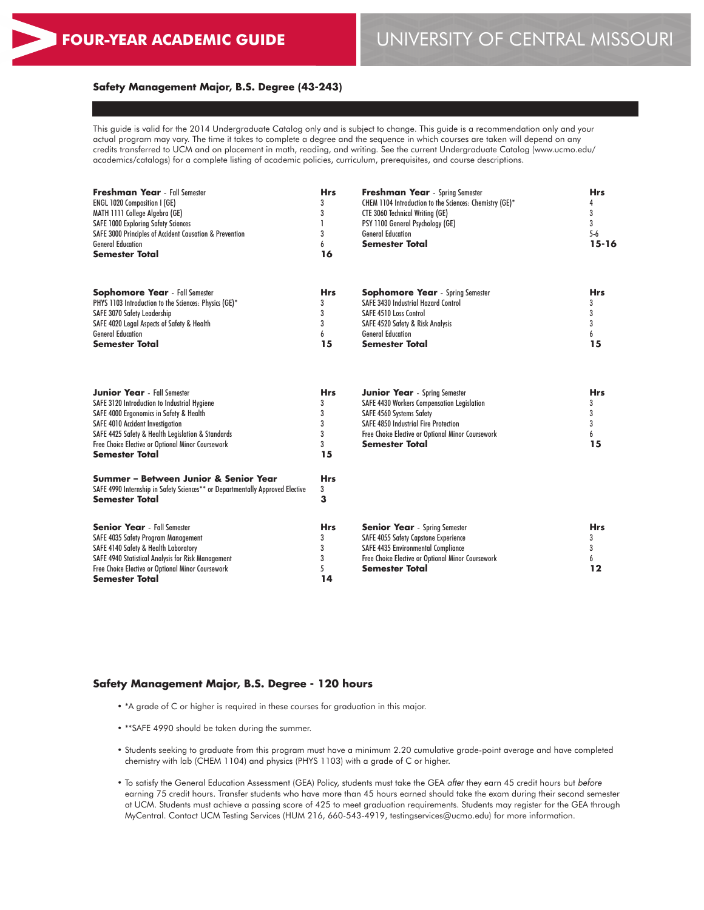# **FOUR-YEAR ACADEMIC GUIDE** UNIVERSITY OF CENTRAL MISSOURI

## **Safety Management Major, B.S. Degree (43-243)**

This guide is valid for the 2014 Undergraduate Catalog only and is subject to change. This guide is a recommendation only and your actual program may vary. The time it takes to complete a degree and the sequence in which courses are taken will depend on any credits transferred to UCM and on placement in math, reading, and writing. See the current Undergraduate Catalog (www.ucmo.edu/ academics/catalogs) for a complete listing of academic policies, curriculum, prerequisites, and course descriptions.

| <b>Freshman Year</b> - Fall Semester<br><b>ENGL 1020 Composition I (GE)</b><br>MATH 1111 College Algebra (GE)<br><b>SAFE 1000 Exploring Safety Sciences</b><br>SAFE 3000 Principles of Accident Causation & Prevention | <b>Hrs</b> | <b>Freshman Year</b> - Spring Semester<br>CHEM 1104 Introduction to the Sciences: Chemistry (GE)*<br><b>CTE 3060 Technical Writing (GE)</b><br>PSY 1100 General Psychology (GE)<br><b>General Education</b> | <b>Hrs</b><br>5-6 |
|------------------------------------------------------------------------------------------------------------------------------------------------------------------------------------------------------------------------|------------|-------------------------------------------------------------------------------------------------------------------------------------------------------------------------------------------------------------|-------------------|
| <b>General Education</b><br><b>Semester Total</b>                                                                                                                                                                      | 16         | <b>Semester Total</b>                                                                                                                                                                                       | 15-16             |
| <b>Sophomore Year</b> - Fall Semester                                                                                                                                                                                  | <b>Hrs</b> | <b>Sophomore Year</b> - Spring Semester                                                                                                                                                                     | <b>Hrs</b>        |
| PHYS 1103 Introduction to the Sciences: Physics (GE)*                                                                                                                                                                  |            | <b>SAFE 3430 Industrial Hazard Control</b>                                                                                                                                                                  |                   |
| SAFE 3070 Safety Leadership                                                                                                                                                                                            |            | <b>SAFE 4510 Loss Control</b>                                                                                                                                                                               |                   |
| SAFE 4020 Legal Aspects of Safety & Health                                                                                                                                                                             |            | SAFE 4520 Safety & Risk Analysis                                                                                                                                                                            |                   |
| <b>General Education</b>                                                                                                                                                                                               |            | <b>General Education</b>                                                                                                                                                                                    |                   |
| <b>Semester Total</b>                                                                                                                                                                                                  | 15         | <b>Semester Total</b>                                                                                                                                                                                       | 15                |

**Hrs** 3 **3**

| <b>Junior Year</b> - Fall Semester                | <b>Hrs</b> |
|---------------------------------------------------|------------|
| SAFE 3120 Introduction to Industrial Hygiene      | 3          |
| SAFE 4000 Ergonomics in Safety & Health           | 3          |
| <b>SAFE 4010 Accident Investigation</b>           | 3          |
| SAFE 4425 Safety & Health Legislation & Standards | 3          |
| Free Choice Elective or Optional Minor Coursework | 3          |
| <b>Semester Total</b>                             | 15         |
|                                                   |            |

| SAFE 4990 Internship in Safety Sciences** or Departmentally Approved Elective |  |
|-------------------------------------------------------------------------------|--|
| <b>Semester Total</b>                                                         |  |
|                                                                               |  |
| <b>Senior Year</b> - Fall Semester                                            |  |
| SAFE 4035 Safety Program Management                                           |  |
|                                                                               |  |

**Summer – Between Junior & Senior Year**

SAFE 4140 Safety & Health Laboratory SAFE 4940 Statistical Analysis for Risk Management Free Choice Elective or Optional Minor Coursework

**Semester Total**

| <b>Junior Year</b> - Spring Semester              | Hrs |
|---------------------------------------------------|-----|
| <b>SAFE 4430 Workers Compensation Legislation</b> | 3   |
| SAFE 4560 Systems Safety                          | 3   |
| <b>SAFE 4850 Industrial Fire Protection</b>       | 3   |
| Free Choice Elective or Optional Minor Coursework | b   |
| <b>Semester Total</b>                             | 15  |

| <b>Senior Year</b> - Spring Semester              | <b>Hrs</b> |
|---------------------------------------------------|------------|
| SAFE 4055 Safety Capstone Experience              |            |
| <b>SAFE 4435 Environmental Compliance</b>         |            |
| Free Choice Elective or Optional Minor Coursework |            |
| <b>Semester Total</b>                             | 19         |

### **Safety Management Major, B.S. Degree - 120 hours**

- \*A grade of C or higher is required in these courses for graduation in this major.
- \*\*SAFE 4990 should be taken during the summer.
- Students seeking to graduate from this program must have a minimum 2.20 cumulative grade-point average and have completed chemistry with lab (CHEM 1104) and physics (PHYS 1103) with a grade of C or higher.
- To satisfy the General Education Assessment (GEA) Policy, students must take the GEA *after* they earn 45 credit hours but *before* earning 75 credit hours. Transfer students who have more than 45 hours earned should take the exam during their second semester at UCM. Students must achieve a passing score of 425 to meet graduation requirements. Students may register for the GEA through MyCentral. Contact UCM Testing Services (HUM 216, 660-543-4919, testingservices@ucmo.edu) for more information.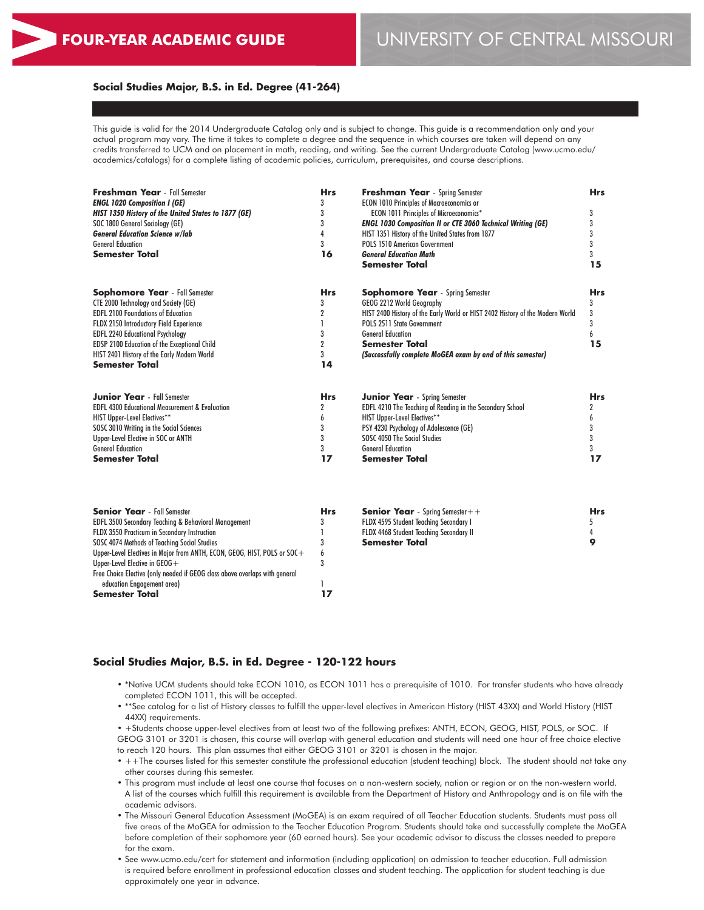### **Social Studies Major, B.S. in Ed. Degree (41-264)**

This guide is valid for the 2014 Undergraduate Catalog only and is subject to change. This guide is a recommendation only and your actual program may vary. The time it takes to complete a degree and the sequence in which courses are taken will depend on any credits transferred to UCM and on placement in math, reading, and writing. See the current Undergraduate Catalog (www.ucmo.edu/ academics/catalogs) for a complete listing of academic policies, curriculum, prerequisites, and course descriptions.

| <b>Freshman Year</b> - Fall Semester                      | <b>Hrs</b>     | Freshman Year - Spring Semester                                               | <b>Hrs</b> |
|-----------------------------------------------------------|----------------|-------------------------------------------------------------------------------|------------|
| <b>ENGL 1020 Composition I (GE)</b>                       | 3              | <b>ECON 1010 Principles of Macroeconomics or</b>                              |            |
| HIST 1350 History of the United States to 1877 (GE)       | 3              | <b>ECON 1011 Principles of Microeconomics*</b>                                | 3          |
| SOC 1800 General Sociology (GE)                           | 3              | <b>ENGL 1030 Composition II or CTE 3060 Technical Writing (GE)</b>            | 3          |
| <b>General Education Science w/lab</b>                    | 4              | HIST 1351 History of the United States from 1877                              | 3          |
| <b>General Education</b>                                  | 3              | POLS 1510 American Government                                                 | 3          |
| <b>Semester Total</b>                                     | 16             | <b>General Education Math</b>                                                 | 3          |
|                                                           |                | <b>Semester Total</b>                                                         | 15         |
| <b>Sophomore Year</b> - Fall Semester                     | <b>Hrs</b>     | <b>Sophomore Year</b> - Spring Semester                                       | <b>Hrs</b> |
| <b>CTE 2000 Technology and Society (GE)</b>               | 3              | GEOG 2212 World Geography                                                     | 3          |
| <b>EDFL 2100 Foundations of Education</b>                 | 2              | HIST 2400 History of the Early World or HIST 2402 History of the Modern World | 3          |
| FLDX 2150 Introductory Field Experience                   |                | <b>POLS 2511 State Government</b>                                             | 3          |
| <b>EDFL 2240 Educational Psychology</b>                   | 3              | <b>General Education</b>                                                      |            |
| <b>EDSP 2100 Education of the Exceptional Child</b>       | $\overline{2}$ | <b>Semester Total</b>                                                         | 15         |
| HIST 2401 History of the Early Modern World               | 3              | (Successfully complete MoGEA exam by end of this semester)                    |            |
| <b>Semester Total</b>                                     | 14             |                                                                               |            |
| <b>Junior Year</b> - Fall Semester                        | <b>Hrs</b>     | <b>Junior Year</b> - Spring Semester                                          | <b>Hrs</b> |
| <b>EDFL 4300 Educational Measurement &amp; Evaluation</b> | $\overline{2}$ | EDFL 4210 The Teaching of Reading in the Secondary School                     | 2          |
| <b>HIST Upper-Level Electives**</b>                       |                | <b>HIST Upper-Level Electives**</b>                                           | 6          |
| SOSC 3010 Writing in the Social Sciences                  | 3              | PSY 4230 Psychology of Adolescence (GE)                                       | 3          |
| Upper-Level Elective in SOC or ANTH                       | 3              | SOSC 4050 The Social Studies                                                  | 3          |
| <b>General Education</b>                                  | 3              | <b>General Education</b>                                                      | 3          |
| <b>Semester Total</b>                                     | 17             | Semester Total                                                                | 17         |

| <b>Senior Year</b> - Fall Semester                                          | Hrs |
|-----------------------------------------------------------------------------|-----|
| <b>EDFL 3500 Secondary Teaching &amp; Behavioral Management</b>             | 3   |
| <b>FLDX 3550 Practicum in Secondary Instruction</b>                         |     |
| SOSC 4074 Methods of Teaching Social Studies                                | 3   |
| Upper-Level Electives in Major from ANTH, ECON, GEOG, HIST, POLS or SOC+    | 6   |
| Upper-Level Elective in $GEOG +$                                            | 3   |
| Free Choice Elective (only needed if GEOG class above overlaps with general |     |
| education Engagement area)                                                  |     |
| <b>Semester Total</b>                                                       |     |

**Senior Year** - Fall Semester

| <b>Senior Year</b> - Spring Semester $+$ +     | <b>Hrs</b> |
|------------------------------------------------|------------|
| FLDX 4595 Student Teaching Secondary I         |            |
| <b>FLDX 4468 Student Teaching Secondary II</b> | 4          |
| <b>Semester Total</b>                          | Q          |

#### **Social Studies Major, B.S. in Ed. Degree - 120-122 hours**

- \*Native UCM students should take ECON 1010, as ECON 1011 has a prerequisite of 1010. For transfer students who have already completed ECON 1011, this will be accepted.
- \*\*See catalog for a list of History classes to fulfill the upper-level electives in American History (HIST 43XX) and World History (HIST 44XX) requirements.

• +Students choose upper-level electives from at least two of the following prefixes: ANTH, ECON, GEOG, HIST, POLS, or SOC. If GEOG 3101 or 3201 is chosen, this course will overlap with general education and students will need one hour of free choice elective to reach 120 hours. This plan assumes that either GEOG 3101 or 3201 is chosen in the major.

- ++The courses listed for this semester constitute the professional education (student teaching) block. The student should not take any other courses during this semester.
- This program must include at least one course that focuses on a non-western society, nation or region or on the non-western world. A list of the courses which fulfill this requirement is available from the Department of History and Anthropology and is on file with the academic advisors.
- The Missouri General Education Assessment (MoGEA) is an exam required of all Teacher Education students. Students must pass all five areas of the MoGEA for admission to the Teacher Education Program. Students should take and successfully complete the MoGEA before completion of their sophomore year (60 earned hours). See your academic advisor to discuss the classes needed to prepare for the exam.
- See www.ucmo.edu/cert for statement and information (including application) on admission to teacher education. Full admission is required before enrollment in professional education classes and student teaching. The application for student teaching is due approximately one year in advance.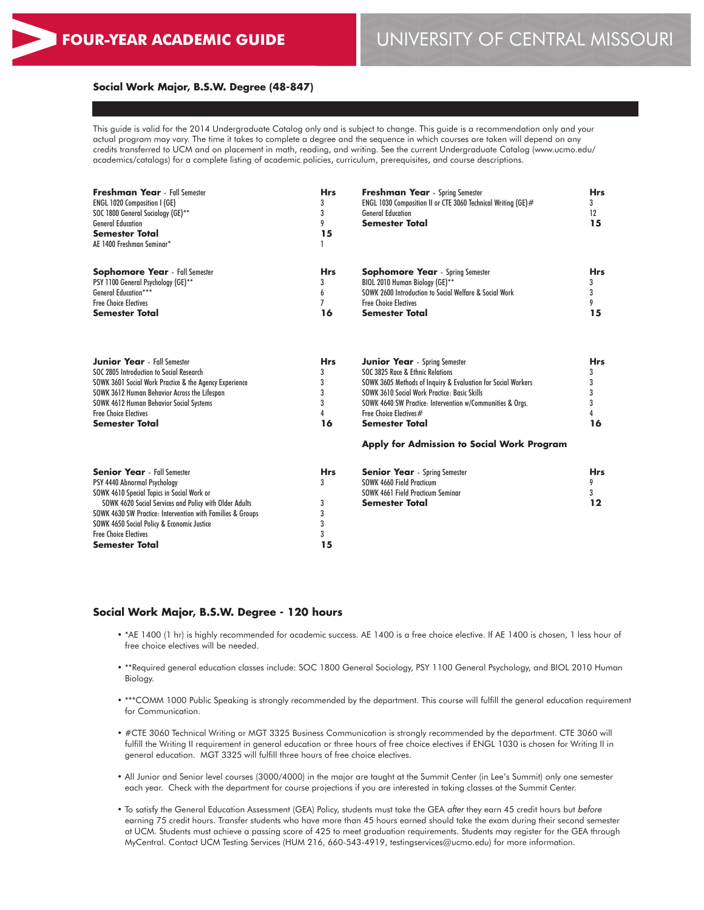#### **Social Work Major, B.S.W. Degree (48-847)**

This guide is valid for the 2014 Undergraduate Catalog only and is subject to change. This guide is a recommendation only and your actual program may vary. The time it takes to complete a degree and the sequence in which courses are taken will depend on any credits transferred to UCM and on placement in math, reading, and writing. See the current Undergraduate Catalog (www.ucmo.edu/ academics/catalogs) for a complete listing of academic policies, curriculum, prerequisites, and course descriptions.

| <b>Freshman Year</b> - Fall Semester<br><b>ENGL 1020 Composition I (GE)</b><br>SOC 1800 General Sociology (GE)**<br><b>General Education</b><br><b>Semester Total</b><br>AE 1400 Freshman Seminar*                                                                                                                                              | <b>Hrs</b><br>3<br>3<br>9<br>15           | <b>Freshman Year</b> - Spring Semester<br>ENGL 1030 Composition II or CTE 3060 Technical Writing (GE)#<br><b>General Education</b><br><b>Semester Total</b>            | <b>Hrs</b><br>3<br>12<br>15 |
|-------------------------------------------------------------------------------------------------------------------------------------------------------------------------------------------------------------------------------------------------------------------------------------------------------------------------------------------------|-------------------------------------------|------------------------------------------------------------------------------------------------------------------------------------------------------------------------|-----------------------------|
| <b>Sophomore Year</b> - Fall Semester                                                                                                                                                                                                                                                                                                           | <b>Hrs</b>                                | <b>Sophomore Year</b> - Spring Semester                                                                                                                                | <b>Hrs</b>                  |
| PSY 1100 General Psychology (GE)**                                                                                                                                                                                                                                                                                                              | 3                                         | BIOL 2010 Human Biology (GE)**                                                                                                                                         | 3                           |
| <b>General Education***</b>                                                                                                                                                                                                                                                                                                                     | 6                                         | SOWK 2600 Introduction to Social Welfare & Social Work                                                                                                                 | 3                           |
| <b>Free Choice Electives</b>                                                                                                                                                                                                                                                                                                                    | 7                                         | <b>Free Choice Electives</b>                                                                                                                                           | 9                           |
| <b>Semester Total</b>                                                                                                                                                                                                                                                                                                                           | 16                                        | <b>Semester Total</b>                                                                                                                                                  | 15                          |
| <b>Junior Year</b> - Fall Semester                                                                                                                                                                                                                                                                                                              | <b>Hrs</b>                                | <b>Junior Year</b> - Spring Semester                                                                                                                                   | <b>Hrs</b>                  |
| SOC 2805 Introduction to Social Research                                                                                                                                                                                                                                                                                                        | 3                                         | SOC 3825 Race & Ethnic Relations                                                                                                                                       | 3                           |
| SOWK 3601 Social Work Practice & the Agency Experience                                                                                                                                                                                                                                                                                          | 3                                         | SOWK 3605 Methods of Inquiry & Evaluation for Social Workers                                                                                                           | 3                           |
| SOWK 3612 Human Behavior Across the Lifespan                                                                                                                                                                                                                                                                                                    | 3                                         | SOWK 3610 Social Work Practice: Basic Skills                                                                                                                           | 3                           |
| <b>SOWK 4612 Human Behavior Social Systems</b>                                                                                                                                                                                                                                                                                                  | 3                                         | SOWK 4640 SW Practice: Intervention w/Communities & Orgs.                                                                                                              | 3                           |
| <b>Free Choice Electives</b>                                                                                                                                                                                                                                                                                                                    | 4                                         | Free Choice Electives#                                                                                                                                                 | 4                           |
| <b>Semester Total</b>                                                                                                                                                                                                                                                                                                                           | 16                                        | <b>Semester Total</b>                                                                                                                                                  | 16                          |
| <b>Senior Year</b> - Fall Semester<br>PSY 4440 Abnormal Psychology<br>SOWK 4610 Special Topics in Social Work or<br>SOWK 4620 Social Services and Policy with Older Adults<br>SOWK 4630 SW Practice: Intervention with Families & Groups<br>SOWK 4650 Social Policy & Economic Justice<br><b>Free Choice Electives</b><br><b>Semester Total</b> | <b>Hrs</b><br>3<br>3<br>3<br>3<br>3<br>15 | Apply for Admission to Social Work Program<br><b>Senior Year</b> - Spring Semester<br>SOWK 4660 Field Practicum<br>SOWK 4661 Field Practicum Seminar<br>Semester Total | <b>Hrs</b><br>9<br>3<br>12  |

#### **Social Work Major, B.S.W. Degree - 120 hours**

- \*AE 1400 (1 hr) is highly recommended for academic success. AE 1400 is a free choice elective. If AE 1400 is chosen, 1 less hour of free choice electives will be needed.
- \*\*Required general education classes include: SOC 1800 General Sociology, PSY 1100 General Psychology, and BIOL 2010 Human Biology.
- \*\*\*COMM 1000 Public Speaking is strongly recommended by the department. This course will fulfill the general education requirement for Communication.
- #CTE 3060 Technical Writing or MGT 3325 Business Communication is strongly recommended by the department. CTE 3060 will fulfill the Writing II requirement in general education or three hours of free choice electives if ENGL 1030 is chosen for Writing II in general education. MGT 3325 will fulfill three hours of free choice electives.
- All Junior and Senior level courses (3000/4000) in the major are taught at the Summit Center (in Lee's Summit) only one semester each year. Check with the department for course projections if you are interested in taking classes at the Summit Center.
- To satisfy the General Education Assessment (GEA) Policy, students must take the GEA *after* they earn 45 credit hours but *before* earning 75 credit hours. Transfer students who have more than 45 hours earned should take the exam during their second semester at UCM. Students must achieve a passing score of 425 to meet graduation requirements. Students may register for the GEA through MyCentral. Contact UCM Testing Services (HUM 216, 660-543-4919, testingservices@ucmo.edu) for more information.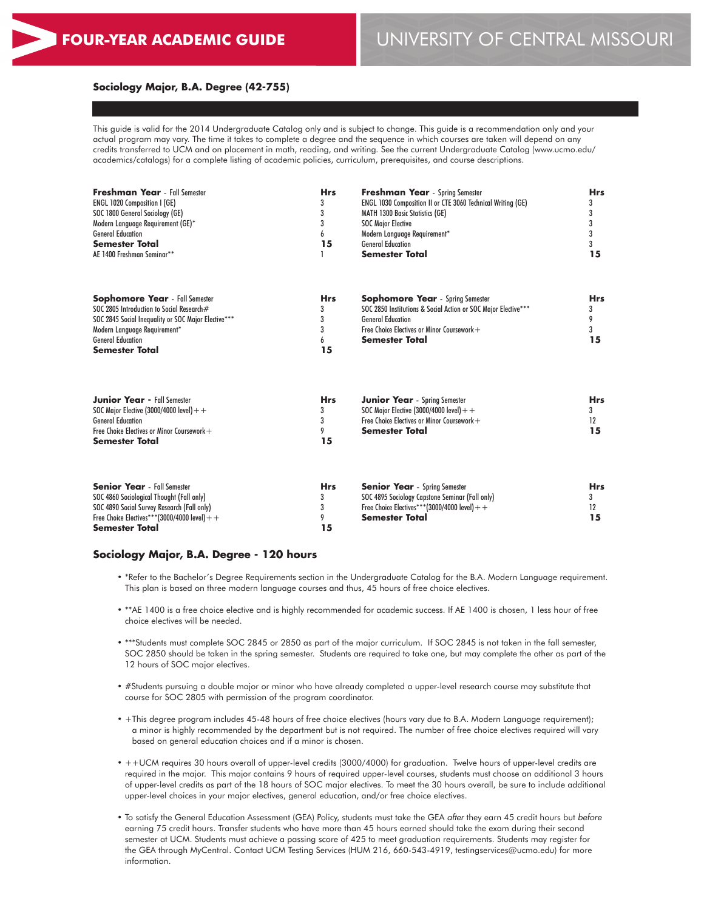### **Sociology Major, B.A. Degree (42-755)**

This guide is valid for the 2014 Undergraduate Catalog only and is subject to change. This guide is a recommendation only and your actual program may vary. The time it takes to complete a degree and the sequence in which courses are taken will depend on any credits transferred to UCM and on placement in math, reading, and writing. See the current Undergraduate Catalog (www.ucmo.edu/ academics/catalogs) for a complete listing of academic policies, curriculum, prerequisites, and course descriptions.

| <b>Freshman Year</b> - Fall Semester<br><b>ENGL 1020 Composition I (GE)</b><br>SOC 1800 General Sociology (GE)<br>Modern Language Requirement (GE)*<br><b>General Education</b><br><b>Semester Total</b><br>AE 1400 Freshman Seminar** | <b>Hrs</b><br>3<br>3<br>3<br>6<br>15 | <b>Freshman Year</b> - Spring Semester<br><b>ENGL 1030 Composition II or CTE 3060 Technical Writing (GE)</b><br><b>MATH 1300 Basic Statistics (GE)</b><br><b>SOC Major Elective</b><br>Modern Language Requirement*<br><b>General Education</b><br><b>Semester Total</b> | <b>Hrs</b><br>3<br>3<br>3<br>3<br>3<br>15 |
|----------------------------------------------------------------------------------------------------------------------------------------------------------------------------------------------------------------------------------------|--------------------------------------|--------------------------------------------------------------------------------------------------------------------------------------------------------------------------------------------------------------------------------------------------------------------------|-------------------------------------------|
| <b>Sophomore Year</b> - Fall Semester<br>SOC 2805 Introduction to Social Research#<br>SOC 2845 Social Inequality or SOC Major Elective***<br>Modern Language Requirement*<br><b>General Education</b><br><b>Semester Total</b>         | <b>Hrs</b><br>3<br>3<br>3<br>6<br>15 | <b>Sophomore Year</b> - Spring Semester<br>SOC 2850 Institutions & Social Action or SOC Major Elective***<br><b>General Education</b><br>Free Choice Electives or Minor Coursework +<br><b>Semester Total</b>                                                            | <b>Hrs</b><br>3<br>9<br>3<br>15           |
| <b>Junior Year - Fall Semester</b><br>SOC Major Elective (3000/4000 level) + +<br><b>General Education</b><br>Free Choice Electives or Minor Coursework +<br><b>Semester Total</b>                                                     | <b>Hrs</b><br>3<br>3<br>9<br>15      | <b>Junior Year</b> - Spring Semester<br>SOC Major Elective (3000/4000 level) $+$ +<br>Free Choice Electives or Minor Coursework +<br><b>Semester Total</b>                                                                                                               | <b>Hrs</b><br>3<br>12<br>15               |
|                                                                                                                                                                                                                                        |                                      |                                                                                                                                                                                                                                                                          |                                           |

| <b>Senior Year</b> - Fall Semester            | <b>Hrs</b> | <b>Senior Year</b> - Spring Semester            | <b>Hrs</b> |
|-----------------------------------------------|------------|-------------------------------------------------|------------|
| SOC 4860 Sociological Thought (Fall only)     |            | SOC 4895 Sociology Capstone Seminar (Fall only) |            |
| SOC 4890 Social Survey Research (Fall only)   |            | Free Choice Electives***(3000/4000 level) + +   |            |
| Free Choice Electives***(3000/4000 level) + + |            | Semester Total                                  |            |
| <b>Semester Total</b>                         | 15         |                                                 |            |

#### **Sociology Major, B.A. Degree - 120 hours**

- \*Refer to the Bachelor's Degree Requirements section in the Undergraduate Catalog for the B.A. Modern Language requirement. This plan is based on three modern language courses and thus, 45 hours of free choice electives.
- \*\*AE 1400 is a free choice elective and is highly recommended for academic success. If AE 1400 is chosen, 1 less hour of free choice electives will be needed.
- \*\*\*Students must complete SOC 2845 or 2850 as part of the major curriculum. If SOC 2845 is not taken in the fall semester, SOC 2850 should be taken in the spring semester. Students are required to take one, but may complete the other as part of the 12 hours of SOC major electives.
- #Students pursuing a double major or minor who have already completed a upper-level research course may substitute that course for SOC 2805 with permission of the program coordinator.
- +This degree program includes 45-48 hours of free choice electives (hours vary due to B.A. Modern Language requirement); a minor is highly recommended by the department but is not required. The number of free choice electives required will vary based on general education choices and if a minor is chosen.
- ++UCM requires 30 hours overall of upper-level credits (3000/4000) for graduation. Twelve hours of upper-level credits are required in the major. This major contains 9 hours of required upper-level courses, students must choose an additional 3 hours of upper-level credits as part of the 18 hours of SOC major electives. To meet the 30 hours overall, be sure to include additional upper-level choices in your major electives, general education, and/or free choice electives.
- To satisfy the General Education Assessment (GEA) Policy, students must take the GEA *after* they earn 45 credit hours but *before* earning 75 credit hours. Transfer students who have more than 45 hours earned should take the exam during their second semester at UCM. Students must achieve a passing score of 425 to meet graduation requirements. Students may register for the GEA through MyCentral. Contact UCM Testing Services (HUM 216, 660-543-4919, testingservices@ucmo.edu) for more information.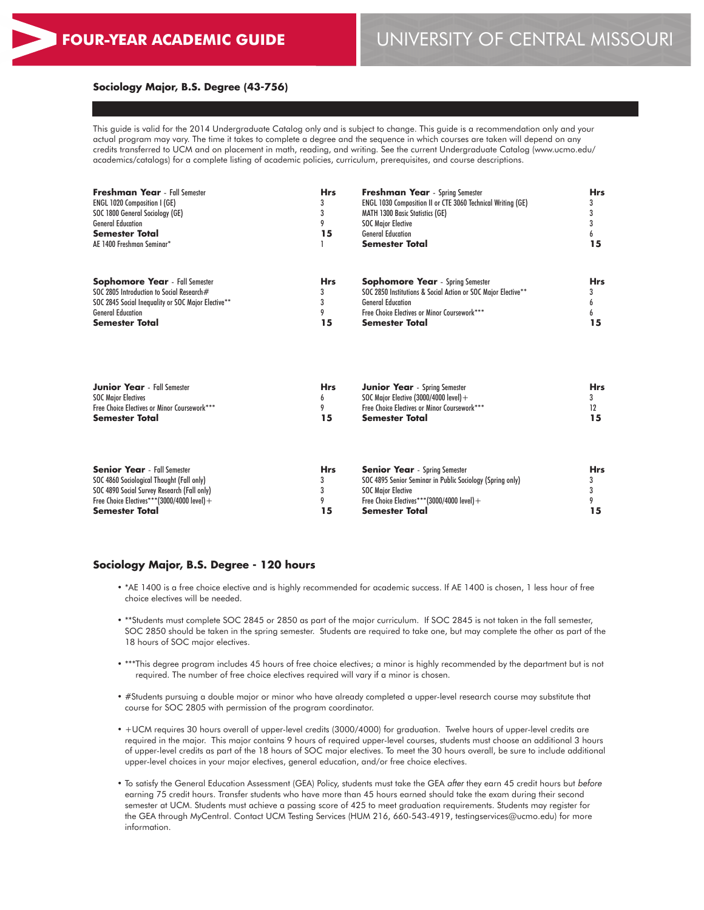### **Sociology Major, B.S. Degree (43-756)**

This guide is valid for the 2014 Undergraduate Catalog only and is subject to change. This guide is a recommendation only and your actual program may vary. The time it takes to complete a degree and the sequence in which courses are taken will depend on any credits transferred to UCM and on placement in math, reading, and writing. See the current Undergraduate Catalog (www.ucmo.edu/ academics/catalogs) for a complete listing of academic policies, curriculum, prerequisites, and course descriptions.

| <b>Freshman Year</b> - Fall Semester               | <b>Hrs</b> | <b>Freshman Year</b> - Spring Semester                        | <b>Hrs</b> |
|----------------------------------------------------|------------|---------------------------------------------------------------|------------|
| <b>ENGL 1020 Composition I (GE)</b>                |            | ENGL 1030 Composition II or CTE 3060 Technical Writing (GE)   |            |
| SOC 1800 General Sociology (GE)                    |            | <b>MATH 1300 Basic Statistics (GE)</b>                        |            |
| <b>General Education</b>                           |            | <b>SOC Major Elective</b>                                     |            |
| <b>Semester Total</b>                              | 15         | <b>General Education</b>                                      |            |
| AE 1400 Freshman Seminar*                          |            | <b>Semester Total</b>                                         | 15         |
| <b>Sophomore Year</b> - Fall Semester              | <b>Hrs</b> | <b>Sophomore Year</b> - Spring Semester                       | <b>Hrs</b> |
| SOC 2805 Introduction to Social Research#          |            | SOC 2850 Institutions & Social Action or SOC Major Elective** |            |
| SOC 2845 Social Inequality or SOC Major Elective** |            | <b>General Education</b>                                      |            |
| <b>General Education</b>                           |            | Free Choice Electives or Minor Coursework***                  |            |
| <b>Semester Total</b>                              | 15         | <b>Semester Total</b>                                         | 15         |
|                                                    |            |                                                               |            |

| <b>Junior Year</b> - Fall Semester           | <b>Hrs</b> | <b>Junior Year</b> - Spring Semester         | <b>Hrs</b> |
|----------------------------------------------|------------|----------------------------------------------|------------|
| <b>SOC Major Electives</b>                   |            | SOC Maior Elective (3000/4000 level) $+$     |            |
| Free Choice Electives or Minor Coursework*** |            | Free Choice Electives or Minor Coursework*** |            |
| <b>Semester Total</b>                        | 15         | Semester Total                               |            |

| <b>Senior Year</b> - Fall Semester          | <b>Hrs</b> | <b>Senior Year</b> - Spring Semester                      | Hrs |
|---------------------------------------------|------------|-----------------------------------------------------------|-----|
| SOC 4860 Sociological Thought (Fall only)   |            | SOC 4895 Senior Seminar in Public Sociology (Spring only) |     |
| SOC 4890 Social Survey Research (Fall only) |            | <b>SOC Major Elective</b>                                 |     |
| Free Choice Electives***(3000/4000 level) + |            | Free Choice Electives***(3000/4000 level) +               |     |
| <b>Semester Total</b>                       | 15         | <b>Semester Total</b>                                     | 15  |

### **Sociology Major, B.S. Degree - 120 hours**

- \*AE 1400 is a free choice elective and is highly recommended for academic success. If AE 1400 is chosen, 1 less hour of free choice electives will be needed.
- \*\*Students must complete SOC 2845 or 2850 as part of the major curriculum. If SOC 2845 is not taken in the fall semester, SOC 2850 should be taken in the spring semester. Students are required to take one, but may complete the other as part of the 18 hours of SOC major electives.
- \*\*\*This degree program includes 45 hours of free choice electives; a minor is highly recommended by the department but is not required. The number of free choice electives required will vary if a minor is chosen.
- #Students pursuing a double major or minor who have already completed a upper-level research course may substitute that course for SOC 2805 with permission of the program coordinator.
- +UCM requires 30 hours overall of upper-level credits (3000/4000) for graduation. Twelve hours of upper-level credits are required in the major. This major contains 9 hours of required upper-level courses, students must choose an additional 3 hours of upper-level credits as part of the 18 hours of SOC major electives. To meet the 30 hours overall, be sure to include additional upper-level choices in your major electives, general education, and/or free choice electives.
- To satisfy the General Education Assessment (GEA) Policy, students must take the GEA *after* they earn 45 credit hours but *before* earning 75 credit hours. Transfer students who have more than 45 hours earned should take the exam during their second semester at UCM. Students must achieve a passing score of 425 to meet graduation requirements. Students may register for the GEA through MyCentral. Contact UCM Testing Services (HUM 216, 660-543-4919, testingservices@ucmo.edu) for more information.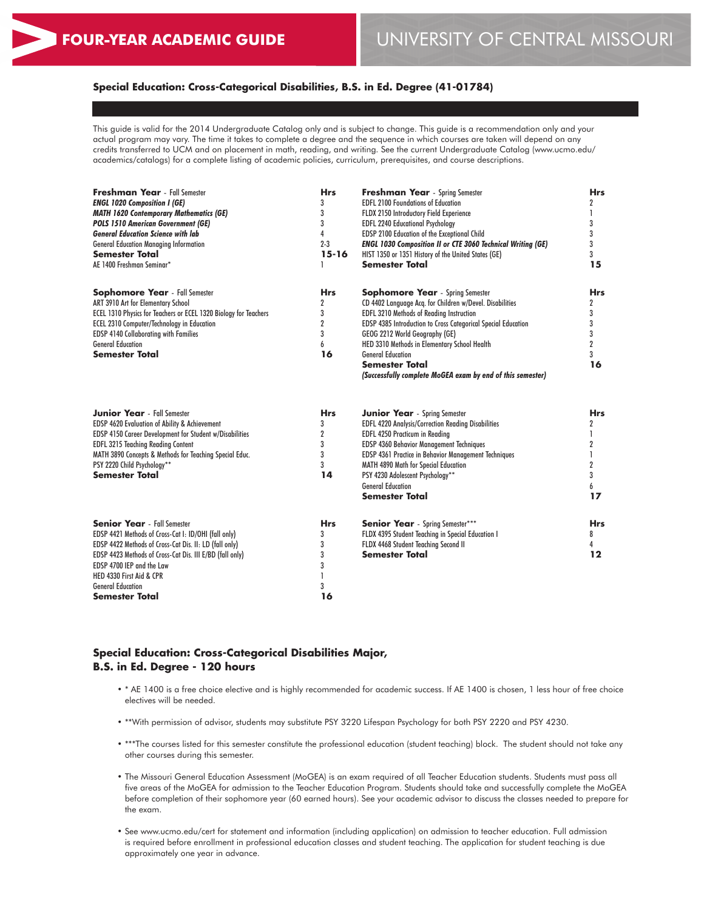# **Special Education: Cross-Categorical Disabilities, B.S. in Ed. Degree (41-01784)**

This guide is valid for the 2014 Undergraduate Catalog only and is subject to change. This guide is a recommendation only and your actual program may vary. The time it takes to complete a degree and the sequence in which courses are taken will depend on any credits transferred to UCM and on placement in math, reading, and writing. See the current Undergraduate Catalog (www.ucmo.edu/ academics/catalogs) for a complete listing of academic policies, curriculum, prerequisites, and course descriptions.

| <b>Freshman Year</b> - Fall Semester<br><b>ENGL 1020 Composition I (GE)</b><br><b>MATH 1620 Contemporary Mathematics (GE)</b><br><b>POLS 1510 American Government (GE)</b><br><b>General Education Science with lab</b><br><b>General Education Managing Information</b><br><b>Semester Total</b><br>AE 1400 Freshman Seminar* | <b>Hrs</b><br>3<br>3<br>3<br>4<br>$2 - 3$<br>$15 - 16$<br>ı | <b>Freshman Year</b> - Spring Semester<br><b>EDFL 2100 Foundations of Education</b><br>FLDX 2150 Introductory Field Experience<br><b>EDFL 2240 Educational Psychology</b><br>EDSP 2100 Education of the Exceptional Child<br><b>ENGL 1030 Composition II or CTE 3060 Technical Writing (GE)</b><br>HIST 1350 or 1351 History of the United States (GE)<br><b>Semester Total</b>                                              | <b>Hrs</b><br>2<br>1<br>3<br>3<br>3<br>3<br>15                   |
|--------------------------------------------------------------------------------------------------------------------------------------------------------------------------------------------------------------------------------------------------------------------------------------------------------------------------------|-------------------------------------------------------------|------------------------------------------------------------------------------------------------------------------------------------------------------------------------------------------------------------------------------------------------------------------------------------------------------------------------------------------------------------------------------------------------------------------------------|------------------------------------------------------------------|
| <b>Sophomore Year</b> - Fall Semester<br>ART 3910 Art for Elementary School<br>ECEL 1310 Physics for Teachers or ECEL 1320 Biology for Teachers<br><b>ECEL 2310 Computer/Technology in Education</b><br><b>EDSP 4140 Collaborating with Families</b><br><b>General Education</b><br><b>Semester Total</b>                      | <b>Hrs</b><br>2<br>3<br>$\overline{2}$<br>3<br>6<br>16      | <b>Sophomore Year</b> - Spring Semester<br>CD 4402 Language Acq. for Children w/Devel. Disabilities<br><b>EDFL 3210 Methods of Reading Instruction</b><br>EDSP 4385 Introduction to Cross Categorical Special Education<br>GEOG 2212 World Geography (GE)<br>HED 3310 Methods in Elementary School Health<br><b>General Education</b><br><b>Semester Total</b><br>(Successfully complete MoGEA exam by end of this semester) | <b>Hrs</b><br>2<br>3<br>3<br>3<br>$\overline{2}$<br>3<br>16      |
| <b>Junior Year</b> - Fall Semester<br>EDSP 4620 Evaluation of Ability & Achievement<br>EDSP 4150 Career Development for Student w/Disabilities<br><b>EDFL 3215 Teaching Reading Content</b><br>MATH 3890 Concepts & Methods for Teaching Special Educ.<br>PSY 2220 Child Psychology**<br><b>Semester Total</b>                 | <b>Hrs</b><br>3<br>$\overline{2}$<br>3<br>3<br>3<br>14      | <b>Junior Year</b> - Spring Semester<br>EDFL 4220 Analysis/Correction Reading Disabilities<br>EDFL 4250 Practicum in Reading<br>EDSP 4360 Behavior Management Techniques<br>EDSP 4361 Practice in Behavior Management Techniques<br>MATH 4890 Math for Special Education<br>PSY 4230 Adolescent Psychology**<br><b>General Education</b><br><b>Semester Total</b>                                                            | <b>Hrs</b><br>2<br>1<br>2<br>1<br>$\overline{2}$<br>3<br>6<br>17 |
| <b>Senior Year</b> - Fall Semester<br>EDSP 4421 Methods of Cross-Cat I: ID/OHI (fall only)<br>EDSP 4422 Methods of Cross-Cat Dis. II: LD (fall only)<br>EDSP 4423 Methods of Cross-Cat Dis. III E/BD (fall only)<br>EDSP 4700 IEP and the Law<br>HED 4330 First Aid & CPR<br><b>General Education</b><br>Semester Total        | <b>Hrs</b><br>3<br>3<br>3<br>3<br>3<br>16                   | <b>Senior Year</b> - Spring Semester***<br>FLDX 4395 Student Teaching in Special Education I<br>FLDX 4468 Student Teaching Second II<br><b>Semester Total</b>                                                                                                                                                                                                                                                                | <b>Hrs</b><br>8<br>4<br>12                                       |

# **Special Education: Cross-Categorical Disabilities Major, B.S. in Ed. Degree - 120 hours**

- \* AE 1400 is a free choice elective and is highly recommended for academic success. If AE 1400 is chosen, 1 less hour of free choice electives will be needed.
- \*\*With permission of advisor, students may substitute PSY 3220 Lifespan Psychology for both PSY 2220 and PSY 4230.
- \*\*\*The courses listed for this semester constitute the professional education (student teaching) block. The student should not take any other courses during this semester.
- The Missouri General Education Assessment (MoGEA) is an exam required of all Teacher Education students. Students must pass all five areas of the MoGEA for admission to the Teacher Education Program. Students should take and successfully complete the MoGEA before completion of their sophomore year (60 earned hours). See your academic advisor to discuss the classes needed to prepare for the exam.
- See www.ucmo.edu/cert for statement and information (including application) on admission to teacher education. Full admission is required before enrollment in professional education classes and student teaching. The application for student teaching is due approximately one year in advance.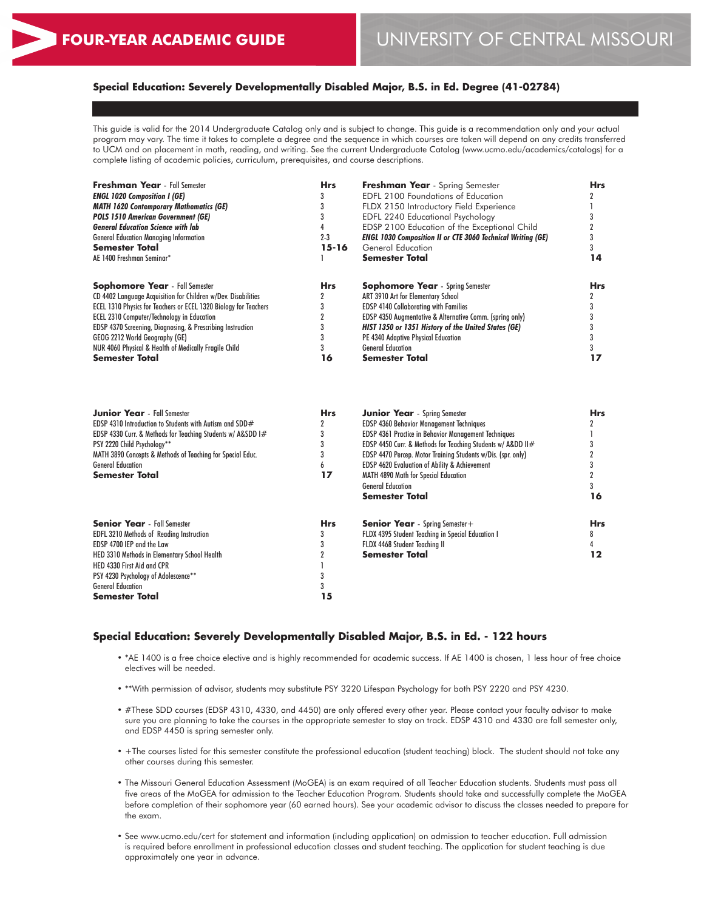# **Special Education: Severely Developmentally Disabled Major, B.S. in Ed. Degree (41-02784)**

This guide is valid for the 2014 Undergraduate Catalog only and is subject to change. This guide is a recommendation only and your actual program may vary. The time it takes to complete a degree and the sequence in which courses are taken will depend on any credits transferred to UCM and on placement in math, reading, and writing. See the current Undergraduate Catalog (www.ucmo.edu/academics/catalogs) for a complete listing of academic policies, curriculum, prerequisites, and course descriptions.

| <b>Freshman Year</b> - Fall Semester                             | <b>Hrs</b> | Freshman Year - Spring Semester                                    | <b>Hrs</b> |
|------------------------------------------------------------------|------------|--------------------------------------------------------------------|------------|
| <b>ENGL 1020 Composition I (GE)</b>                              |            | <b>EDFL 2100 Foundations of Education</b>                          |            |
| <b>MATH 1620 Contemporary Mathematics (GE)</b>                   |            | FLDX 2150 Introductory Field Experience                            |            |
| <b>POLS 1510 American Government (GE)</b>                        |            | EDFL 2240 Educational Psychology                                   |            |
| <b>General Education Science with lab</b>                        |            | EDSP 2100 Education of the Exceptional Child                       |            |
| <b>General Education Managing Information</b>                    | $2 - 3$    | <b>ENGL 1030 Composition II or CTE 3060 Technical Writing (GE)</b> |            |
| <b>Semester Total</b>                                            | 15-16      | General Education                                                  |            |
| AE 1400 Freshman Seminar*                                        |            | <b>Semester Total</b>                                              | 14         |
| <b>Sophomore Year</b> - Fall Semester                            | <b>Hrs</b> | <b>Sophomore Year</b> - Spring Semester                            | <b>Hrs</b> |
| CD 4402 Language Acquisition for Children w/Dev. Disabilities    |            | ART 3910 Art for Elementary School                                 |            |
| ECEL 1310 Physics for Teachers or ECEL 1320 Biology for Teachers |            | <b>EDSP 4140 Collaborating with Families</b>                       |            |
| <b>ECEL 2310 Computer/Technology in Education</b>                |            | EDSP 4350 Augmentative & Alternative Comm. (spring only)           |            |
| EDSP 4370 Screening, Diagnosing, & Prescribing Instruction       |            | HIST 1350 or 1351 History of the United States (GE)                |            |
| GEOG 2212 World Geography (GE)                                   |            | PE 4340 Adaptive Physical Education                                |            |
| NUR 4060 Physical & Health of Medically Fragile Child            |            | <b>General Education</b>                                           |            |
| <b>Semester Total</b>                                            | 16         | Semester Total                                                     | 17         |

| <b>Junior Year</b> - Fall Semester                          | <b>Hrs</b> | <b>Junior Year</b> - Spring Semester                         | <b>Hrs</b> |
|-------------------------------------------------------------|------------|--------------------------------------------------------------|------------|
| EDSP 4310 Introduction to Students with Autism and SDD $#$  |            | <b>EDSP 4360 Behavior Management Techniques</b>              |            |
| EDSP 4330 Curr. & Methods for Teaching Students w/ A&SDD 1# |            | <b>EDSP 4361 Practice in Behavior Management Techniques</b>  |            |
| PSY 2220 Child Psychology**                                 |            | EDSP 4450 Curr. & Methods for Teaching Students w/ Aⅅ II#    |            |
| MATH 3890 Concepts & Methods of Teaching for Special Educ.  |            | EDSP 4470 Percep. Motor Training Students w/Dis. (spr. only) |            |
| <b>General Education</b>                                    |            | <b>EDSP 4620 Evaluation of Ability &amp; Achievement</b>     |            |
| <b>Semester Total</b>                                       | 17         | <b>MATH 4890 Math for Special Education</b>                  |            |
|                                                             |            | <b>General Education</b>                                     |            |
|                                                             |            | Semester Total                                               | 16         |
| <b>Senior Year</b> - Fall Semester                          | <b>Hrs</b> | <b>Senior Year</b> - Spring Semester +                       | <b>Hrs</b> |
| <b>EDFL 3210 Methods of Reading Instruction</b>             |            | FLDX 4395 Student Teaching in Special Education I            | 8          |
| EDSP 4700 IEP and the Law                                   |            | FLDX 4468 Student Teaching II                                |            |
| HED 3310 Methods in Elementary School Health                |            | Semester Total                                               | l 2        |
| HED 4330 First Aid and CPR                                  |            |                                                              |            |
| PSY 4230 Psychology of Adolescence**                        |            |                                                              |            |
| <b>General Education</b>                                    |            |                                                              |            |
| <b>Semester Total</b>                                       | 15         |                                                              |            |

### **Special Education: Severely Developmentally Disabled Major, B.S. in Ed. - 122 hours**

- \*AE 1400 is a free choice elective and is highly recommended for academic success. If AE 1400 is chosen, 1 less hour of free choice electives will be needed.
- \*\*With permission of advisor, students may substitute PSY 3220 Lifespan Psychology for both PSY 2220 and PSY 4230.
- #These SDD courses (EDSP 4310, 4330, and 4450) are only offered every other year. Please contact your faculty advisor to make sure you are planning to take the courses in the appropriate semester to stay on track. EDSP 4310 and 4330 are fall semester only, and EDSP 4450 is spring semester only.
- +The courses listed for this semester constitute the professional education (student teaching) block. The student should not take any other courses during this semester.
- The Missouri General Education Assessment (MoGEA) is an exam required of all Teacher Education students. Students must pass all five areas of the MoGEA for admission to the Teacher Education Program. Students should take and successfully complete the MoGEA before completion of their sophomore year (60 earned hours). See your academic advisor to discuss the classes needed to prepare for the exam.
- See www.ucmo.edu/cert for statement and information (including application) on admission to teacher education. Full admission is required before enrollment in professional education classes and student teaching. The application for student teaching is due approximately one year in advance.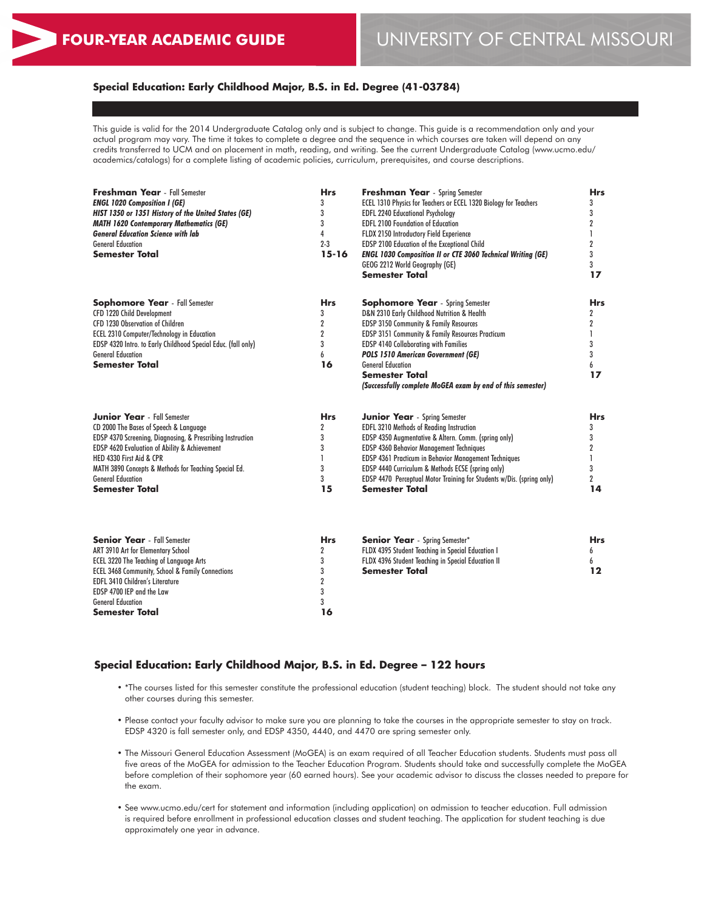## **Special Education: Early Childhood Major, B.S. in Ed. Degree (41-03784)**

This guide is valid for the 2014 Undergraduate Catalog only and is subject to change. This guide is a recommendation only and your actual program may vary. The time it takes to complete a degree and the sequence in which courses are taken will depend on any credits transferred to UCM and on placement in math, reading, and writing. See the current Undergraduate Catalog (www.ucmo.edu/ academics/catalogs) for a complete listing of academic policies, curriculum, prerequisites, and course descriptions.

| <b>Freshman Year</b> - Fall Semester<br><b>ENGL 1020 Composition I (GE)</b><br>HIST 1350 or 1351 History of the United States (GE)<br><b>MATH 1620 Contemporary Mathematics (GE)</b><br><b>General Education Science with lab</b><br><b>General Education</b><br>Semester Total                                                | Hrs<br>3<br>3<br>3<br>4<br>$2 - 3$<br>$15 - 16$                                   | <b>Freshman Year</b> - Spring Semester<br>ECEL 1310 Physics for Teachers or ECEL 1320 Biology for Teachers<br><b>EDFL 2240 Educational Psychology</b><br><b>EDFL 2100 Foundation of Education</b><br>FLDX 2150 Introductory Field Experience<br>EDSP 2100 Education of the Exceptional Child<br><b>ENGL 1030 Composition II or CTE 3060 Technical Writing (GE)</b><br>GEOG 2212 World Geography (GE)<br><b>Semester Total</b> | <b>Hrs</b><br>3<br>3<br>2<br>$\mathbf{I}$<br>$\boldsymbol{2}$<br>3<br>3<br>17  |
|--------------------------------------------------------------------------------------------------------------------------------------------------------------------------------------------------------------------------------------------------------------------------------------------------------------------------------|-----------------------------------------------------------------------------------|-------------------------------------------------------------------------------------------------------------------------------------------------------------------------------------------------------------------------------------------------------------------------------------------------------------------------------------------------------------------------------------------------------------------------------|--------------------------------------------------------------------------------|
| <b>Sophomore Year</b> - Fall Semester<br>CFD 1220 Child Development<br>CFD 1230 Observation of Children<br><b>ECEL 2310 Computer/Technology in Education</b><br>EDSP 4320 Intro. to Early Childhood Special Educ. (fall only)<br><b>General Education</b><br>Semester Total                                                    | <b>Hrs</b><br>3<br>2<br>$\overline{2}$<br>3<br>6<br>16                            | <b>Sophomore Year</b> - Spring Semester<br>D&N 2310 Early Childhood Nutrition & Health<br>EDSP 3150 Community & Family Resources<br>EDSP 3151 Community & Family Resources Practicum<br><b>EDSP 4140 Collaborating with Families</b><br><b>POLS 1510 American Government (GE)</b><br><b>General Education</b><br><b>Semester Total</b><br>(Successfully complete MoGEA exam by end of this semester)                          | <b>Hrs</b><br>$\overline{2}$<br>$\overline{2}$<br>1<br>3<br>3<br>6<br>17       |
| <b>Junior Year</b> - Fall Semester<br>CD 2000 The Bases of Speech & Language<br>EDSP 4370 Screening, Diagnosing, & Prescribing Instruction<br>EDSP 4620 Evaluation of Ability & Achievement<br>HED 4330 First Aid & CPR<br>MATH 3890 Concepts & Methods for Teaching Special Ed.<br><b>General Education</b><br>Semester Total | <b>Hrs</b><br>$\overline{2}$<br>3<br>3<br>1<br>3<br>3<br>15                       | <b>Junior Year</b> - Spring Semester<br><b>EDFL 3210 Methods of Reading Instruction</b><br>EDSP 4350 Augmentative & Altern. Comm. (spring only)<br>EDSP 4360 Behavior Management Techniques<br>EDSP 4361 Practicum in Behavior Management Techniques<br>EDSP 4440 Curriculum & Methods ECSE (spring only)<br>EDSP 4470 Perceptual Motor Training for Students w/Dis. (spring only)<br><b>Semester Total</b>                   | Hrs<br>3<br>3<br>$\boldsymbol{2}$<br>$\mathbf{I}$<br>3<br>$\overline{2}$<br>14 |
| <b>Senior Year</b> - Fall Semester<br>ART 3910 Art for Elementary School<br>ECEL 3220 The Teaching of Language Arts<br>ECEL 3468 Community, School & Family Connections<br><b>EDFL 3410 Children's Literature</b><br>EDSP 4700 IEP and the Law<br><b>General Education</b><br>Semester Total                                   | <b>Hrs</b><br>$\overline{2}$<br>3<br>3<br>$\overline{\mathbf{2}}$<br>3<br>3<br>16 | <b>Senior Year</b> - Spring Semester*<br>FLDX 4395 Student Teaching in Special Education I<br>FLDX 4396 Student Teaching in Special Education II<br><b>Semester Total</b>                                                                                                                                                                                                                                                     | <b>Hrs</b><br>6<br>6<br>12                                                     |

## **Special Education: Early Childhood Major, B.S. in Ed. Degree – 122 hours**

- \*The courses listed for this semester constitute the professional education (student teaching) block. The student should not take any other courses during this semester.
- Please contact your faculty advisor to make sure you are planning to take the courses in the appropriate semester to stay on track. EDSP 4320 is fall semester only, and EDSP 4350, 4440, and 4470 are spring semester only.
- The Missouri General Education Assessment (MoGEA) is an exam required of all Teacher Education students. Students must pass all five areas of the MoGEA for admission to the Teacher Education Program. Students should take and successfully complete the MoGEA before completion of their sophomore year (60 earned hours). See your academic advisor to discuss the classes needed to prepare for the exam.
- See www.ucmo.edu/cert for statement and information (including application) on admission to teacher education. Full admission is required before enrollment in professional education classes and student teaching. The application for student teaching is due approximately one year in advance.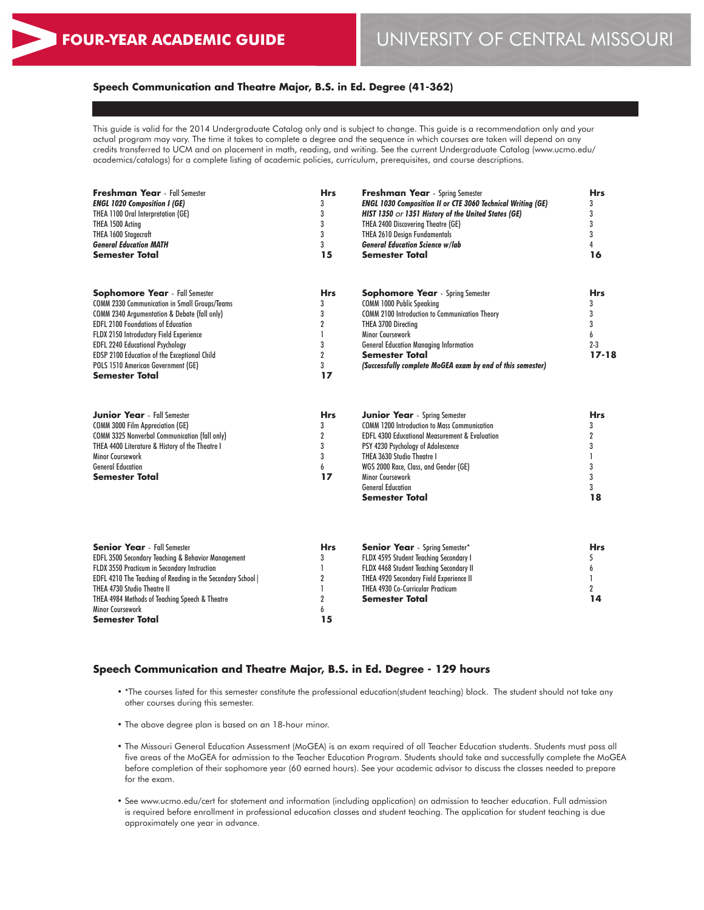# **Speech Communication and Theatre Major, B.S. in Ed. Degree (41-362)**

This guide is valid for the 2014 Undergraduate Catalog only and is subject to change. This guide is a recommendation only and your actual program may vary. The time it takes to complete a degree and the sequence in which courses are taken will depend on any credits transferred to UCM and on placement in math, reading, and writing. See the current Undergraduate Catalog (www.ucmo.edu/ academics/catalogs) for a complete listing of academic policies, curriculum, prerequisites, and course descriptions.

| <b>Freshman Year</b> - Fall Semester<br><b>ENGL 1020 Composition I (GE)</b><br>THEA 1100 Oral Interpretation (GE)<br>THEA 1500 Acting<br>THEA 1600 Stagecraft<br><b>General Education MATH</b><br><b>Semester Total</b>                                                                                                                                                                                    | <b>Hrs</b><br>3<br>3<br>3<br>3<br>3<br>15                                | <b>Freshman Year</b> - Spring Semester<br><b>ENGL 1030 Composition II or CTE 3060 Technical Writing (GE)</b><br>HIST 1350 or 1351 History of the United States (GE)<br>THEA 2400 Discovering Theatre (GE)<br><b>THEA 2610 Design Fundamentals</b><br><b>General Education Science w/lab</b><br><b>Semester Total</b>                    | <b>Hrs</b><br>3<br>3<br>3<br>$\overline{3}$<br>$\overline{4}$<br>16         |
|------------------------------------------------------------------------------------------------------------------------------------------------------------------------------------------------------------------------------------------------------------------------------------------------------------------------------------------------------------------------------------------------------------|--------------------------------------------------------------------------|-----------------------------------------------------------------------------------------------------------------------------------------------------------------------------------------------------------------------------------------------------------------------------------------------------------------------------------------|-----------------------------------------------------------------------------|
| <b>Sophomore Year</b> - Fall Semester<br><b>COMM 2330 Communication in Small Groups/Teams</b><br><b>COMM 2340 Argumentation &amp; Debate (fall only)</b><br><b>EDFL 2100 Foundations of Education</b><br>FLDX 2150 Introductory Field Experience<br><b>EDFL 2240 Educational Psychology</b><br>EDSP 2100 Education of the Exceptional Child<br>POLS 1510 American Government (GE)<br><b>Semester Total</b> | <b>Hrs</b><br>3<br>3<br>$\overline{2}$<br>3<br>$\overline{2}$<br>3<br>17 | <b>Sophomore Year</b> - Spring Semester<br><b>COMM 1000 Public Speaking</b><br>COMM 2100 Introduction to Communication Theory<br>THEA 3700 Directing<br><b>Minor Coursework</b><br><b>General Education Managing Information</b><br><b>Semester Total</b><br>(Successfully complete MoGEA exam by end of this semester)                 | <b>Hrs</b><br>3<br>3<br>3<br>6<br>$2 - 3$<br>$17 - 18$                      |
| <b>Junior Year</b> - Fall Semester<br><b>COMM 3000 Film Appreciation (GE)</b><br><b>COMM 3325 Nonverbal Communication (fall only)</b><br>THEA 4400 Literature & History of the Theatre I<br>Minor Coursework<br><b>General Education</b><br><b>Semester Total</b>                                                                                                                                          | <b>Hrs</b><br>3<br>$\overline{2}$<br>3<br>3<br>6<br>17                   | <b>Junior Year</b> - Spring Semester<br><b>COMM 1200 Introduction to Mass Communication</b><br><b>EDFL 4300 Educational Measurement &amp; Evaluation</b><br>PSY 4230 Psychology of Adolescence<br>THEA 3630 Studio Theatre I<br>WGS 2000 Race, Class, and Gender (GE)<br>Minor Coursework<br><b>General Education</b><br>Semester Total | <b>Hrs</b><br>3<br>$\overline{2}$<br>3<br>$\mathbf{I}$<br>3<br>3<br>3<br>18 |
| <b>Senior Year</b> - Fall Semester<br>EDFL 3500 Secondary Teaching & Behavior Management<br>FLDX 3550 Practicum in Secondary Instruction<br>EDFL 4210 The Teaching of Reading in the Secondary School  <br>THEA 4730 Studio Theatre II<br>THEA 4984 Methods of Teaching Speech & Theatre<br>Minor Coursework<br>Semester Total                                                                             | <b>Hrs</b><br>3<br>2<br>2<br>6<br>15                                     | <b>Senior Year</b> - Spring Semester*<br>FLDX 4595 Student Teaching Secondary I<br>FLDX 4468 Student Teaching Secondary II<br>THEA 4920 Secondary Field Experience II<br>THEA 4930 Co-Curricular Practicum<br><b>Semester Total</b>                                                                                                     | <b>Hrs</b><br>5<br>6<br>1<br>$\overline{2}$<br>14                           |

# **Speech Communication and Theatre Major, B.S. in Ed. Degree - 129 hours**

- \*The courses listed for this semester constitute the professional education(student teaching) block. The student should not take any other courses during this semester.
- The above degree plan is based on an 18-hour minor.
- The Missouri General Education Assessment (MoGEA) is an exam required of all Teacher Education students. Students must pass all five areas of the MoGEA for admission to the Teacher Education Program. Students should take and successfully complete the MoGEA before completion of their sophomore year (60 earned hours). See your academic advisor to discuss the classes needed to prepare for the exam.
- See www.ucmo.edu/cert for statement and information (including application) on admission to teacher education. Full admission is required before enrollment in professional education classes and student teaching. The application for student teaching is due approximately one year in advance.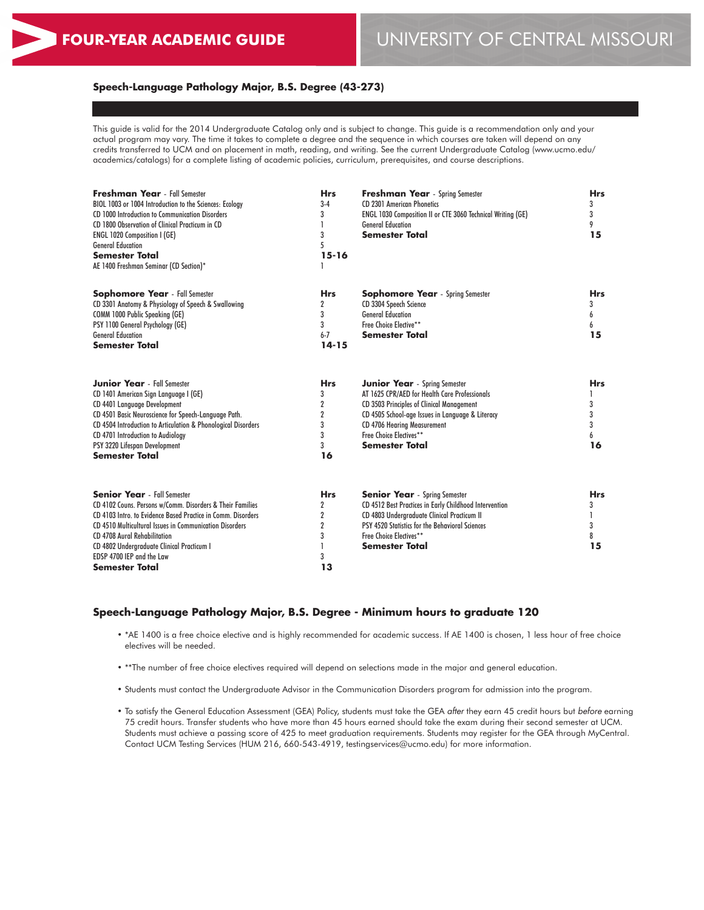## **Speech-Language Pathology Major, B.S. Degree (43-273)**

This guide is valid for the 2014 Undergraduate Catalog only and is subject to change. This guide is a recommendation only and your actual program may vary. The time it takes to complete a degree and the sequence in which courses are taken will depend on any credits transferred to UCM and on placement in math, reading, and writing. See the current Undergraduate Catalog (www.ucmo.edu/ academics/catalogs) for a complete listing of academic policies, curriculum, prerequisites, and course descriptions.

| Freshman Year - Fall Semester<br>BIOL 1003 or 1004 Introduction to the Sciences: Ecology<br>CD 1000 Introduction to Communication Disorders<br>CD 1800 Observation of Clinical Practicum in CD<br><b>ENGL 1020 Composition I (GE)</b><br><b>General Education</b><br><b>Semester Total</b><br>AE 1400 Freshman Seminar (CD Section)*                           | <b>Hrs</b><br>$3-4$<br>3<br>3<br>5<br>$15 - 16$                                  | Freshman Year - Spring Semester<br><b>CD 2301 American Phonetics</b><br>ENGL 1030 Composition II or CTE 3060 Technical Writing (GE)<br><b>General Education</b><br><b>Semester Total</b>                                                                                  | <b>Hrs</b><br>3<br>3<br>9<br>15      |
|----------------------------------------------------------------------------------------------------------------------------------------------------------------------------------------------------------------------------------------------------------------------------------------------------------------------------------------------------------------|----------------------------------------------------------------------------------|---------------------------------------------------------------------------------------------------------------------------------------------------------------------------------------------------------------------------------------------------------------------------|--------------------------------------|
| <b>Sophomore Year</b> - Fall Semester<br>CD 3301 Anatomy & Physiology of Speech & Swallowing<br>COMM 1000 Public Speaking (GE)<br>PSY 1100 General Psychology (GE)<br><b>General Education</b><br><b>Semester Total</b>                                                                                                                                        | <b>Hrs</b><br>$\overline{2}$<br>3<br>3<br>$6 - 7$<br>$14 - 15$                   | <b>Sophomore Year</b> - Spring Semester<br>CD 3304 Speech Science<br><b>General Education</b><br>Free Choice Elective**<br><b>Semester Total</b>                                                                                                                          | <b>Hrs</b><br>3<br>6<br>6<br>15      |
| <b>Junior Year</b> - Fall Semester<br>CD 1401 American Sign Language I (GE)<br>CD 4401 Language Development<br>CD 4501 Basic Neuroscience for Speech-Language Path.<br>CD 4504 Introduction to Articulation & Phonological Disorders<br>CD 4701 Introduction to Audiology<br>PSY 3220 Lifespan Development<br><b>Semester Total</b>                            | <b>Hrs</b><br>3<br>$\overline{2}$<br>$\overline{2}$<br>3<br>3<br>3<br>16         | <b>Junior Year</b> - Spring Semester<br>AT 1625 CPR/AED for Health Care Professionals<br>CD 3503 Principles of Clinical Management<br>CD 4505 School-age Issues in Language & Literacy<br>CD 4706 Hearing Measurement<br>Free Choice Electives**<br><b>Semester Total</b> | <b>Hrs</b><br>3<br>3<br>3<br>6<br>16 |
| <b>Senior Year</b> - Fall Semester<br>CD 4102 Couns, Persons w/Comm, Disorders & Their Families<br>CD 4103 Intro, to Evidence Based Practice in Comm. Disorders<br>CD 4510 Multicultural Issues in Communication Disorders<br>CD 4708 Aural Rehabilitation<br>CD 4802 Undergraduate Clinical Practicum I<br>EDSP 4700 IEP and the Law<br><b>Semester Total</b> | <b>Hrs</b><br>$\overline{2}$<br>$\overline{2}$<br>$\overline{2}$<br>3<br>3<br>13 | <b>Senior Year</b> - Spring Semester<br>CD 4512 Best Practices in Early Childhood Intervention<br>CD 4803 Undergraduate Clinical Practicum II<br>PSY 4520 Statistics for the Behavioral Sciences<br>Free Choice Electives**<br><b>Semester Total</b>                      | <b>Hrs</b><br>3<br>3<br>8<br>15      |

### **Speech-Language Pathology Major, B.S. Degree - Minimum hours to graduate 120**

- \*AE 1400 is a free choice elective and is highly recommended for academic success. If AE 1400 is chosen, 1 less hour of free choice electives will be needed.
- \*\*The number of free choice electives required will depend on selections made in the major and general education.
- Students must contact the Undergraduate Advisor in the Communication Disorders program for admission into the program.
- To satisfy the General Education Assessment (GEA) Policy, students must take the GEA *after* they earn 45 credit hours but *before* earning 75 credit hours. Transfer students who have more than 45 hours earned should take the exam during their second semester at UCM. Students must achieve a passing score of 425 to meet graduation requirements. Students may register for the GEA through MyCentral. Contact UCM Testing Services (HUM 216, 660-543-4919, testingservices@ucmo.edu) for more information.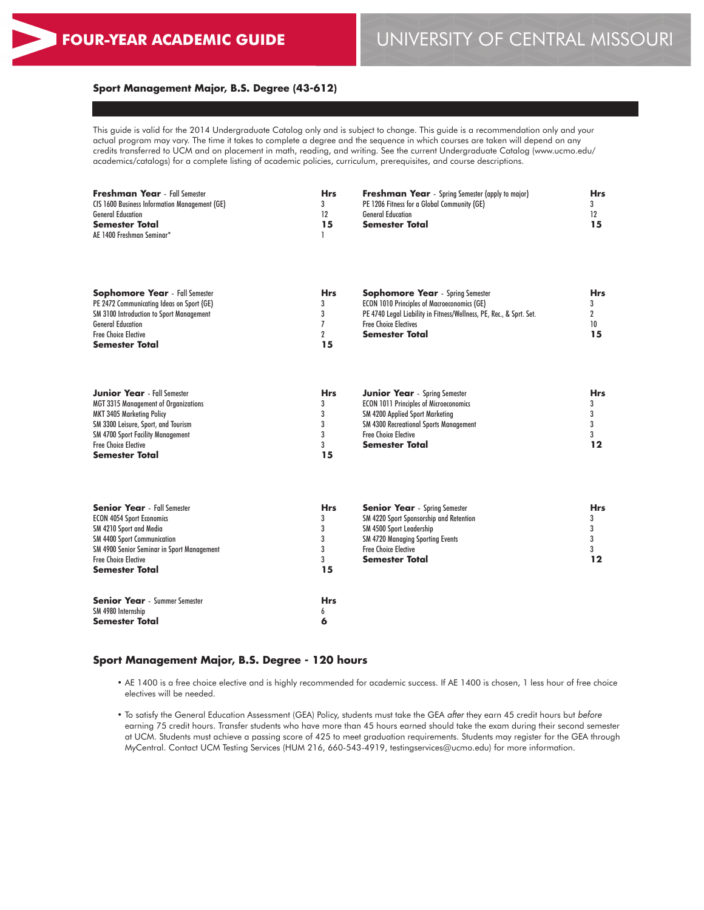# **Sport Management Major, B.S. Degree (43-612)**

This guide is valid for the 2014 Undergraduate Catalog only and is subject to change. This guide is a recommendation only and your actual program may vary. The time it takes to complete a degree and the sequence in which courses are taken will depend on any credits transferred to UCM and on placement in math, reading, and writing. See the current Undergraduate Catalog (www.ucmo.edu/ academics/catalogs) for a complete listing of academic policies, curriculum, prerequisites, and course descriptions.

| <b>Freshman Year</b> - Fall Semester          | <b>Hrs</b> | <b>Freshman Year</b> - Spring Semester (apply to major) | <b>Hrs</b> |
|-----------------------------------------------|------------|---------------------------------------------------------|------------|
| CIS 1600 Business Information Management (GE) | 3          | PE 1206 Fitness for a Global Community (GE)             |            |
| <b>General Education</b>                      | 12         | <b>General Education</b>                                | 12         |
| <b>Semester Total</b>                         | 15         | <b>Semester Total</b>                                   | 15         |
| AE 1400 Freshman Seminar*                     |            |                                                         |            |
|                                               |            |                                                         |            |
|                                               |            |                                                         |            |
|                                               |            |                                                         |            |

| <b>Sophomore Year</b> - Fall Semester           | <b>Hrs</b> | <b>Sophomore Year</b> - Spring Semester                             | Hrs |
|-------------------------------------------------|------------|---------------------------------------------------------------------|-----|
| PE 2472 Communicating Ideas on Sport (GE)       |            | <b>ECON 1010 Principles of Macroeconomics (GE)</b>                  |     |
| <b>SM 3100 Introduction to Sport Management</b> |            | PE 4740 Legal Liability in Fitness/Wellness, PE, Rec., & Sprt. Set. |     |
| <b>General Education</b>                        |            | <b>Free Choice Electives</b>                                        |     |
| <b>Free Choice Elective</b>                     |            | Semester Total                                                      | 15  |
| Semester Total                                  | 15         |                                                                     |     |

| <b>Junior Year</b> - Fall Semester          | <b>Hrs</b> | <b>Junior Year</b> - Spring Semester          | <b>Hrs</b> |
|---------------------------------------------|------------|-----------------------------------------------|------------|
| <b>MGT 3315 Management of Organizations</b> |            | <b>ECON 1011 Principles of Microeconomics</b> |            |
| MKT 3405 Marketing Policy                   |            | <b>SM 4200 Applied Sport Marketing</b>        |            |
| SM 3300 Leisure, Sport, and Tourism         |            | <b>SM 4300 Recreational Sports Management</b> |            |
| <b>SM 4700 Sport Facility Management</b>    |            | <b>Free Choice Elective</b>                   |            |
| <b>Free Choice Elective</b>                 |            | Semester Total                                |            |
| <b>Semester Total</b>                       |            |                                               |            |

| <b>Senior Year</b> - Fall Semester         | <b>Hrs</b>   | <b>Senior Year</b> - Spring Semester    | <b>Hrs</b> |
|--------------------------------------------|--------------|-----------------------------------------|------------|
| <b>ECON 4054 Sport Economics</b>           | 3            | SM 4220 Sport Sponsorship and Retention |            |
| SM 4210 Sport and Media                    |              | SM 4500 Sport Leadership                |            |
| <b>SM 4400 Sport Communication</b>         |              | <b>SM 4720 Managing Sporting Events</b> |            |
| SM 4900 Senior Seminar in Sport Management |              | <b>Free Choice Elective</b>             |            |
| <b>Free Choice Elective</b>                |              | <b>Semester Total</b>                   |            |
| <b>Semester Total</b>                      | 15           |                                         |            |
| <b>Senior Year</b> - Summer Semester       | <b>Hrs</b>   |                                         |            |
| SM 4980 Internship                         | <sub>0</sub> |                                         |            |
| <b>Semester Total</b>                      | О            |                                         |            |

## **Sport Management Major, B.S. Degree - 120 hours**

- AE 1400 is a free choice elective and is highly recommended for academic success. If AE 1400 is chosen, 1 less hour of free choice electives will be needed.
- To satisfy the General Education Assessment (GEA) Policy, students must take the GEA *after* they earn 45 credit hours but *before* earning 75 credit hours. Transfer students who have more than 45 hours earned should take the exam during their second semester at UCM. Students must achieve a passing score of 425 to meet graduation requirements. Students may register for the GEA through MyCentral. Contact UCM Testing Services (HUM 216, 660-543-4919, testingservices@ucmo.edu) for more information.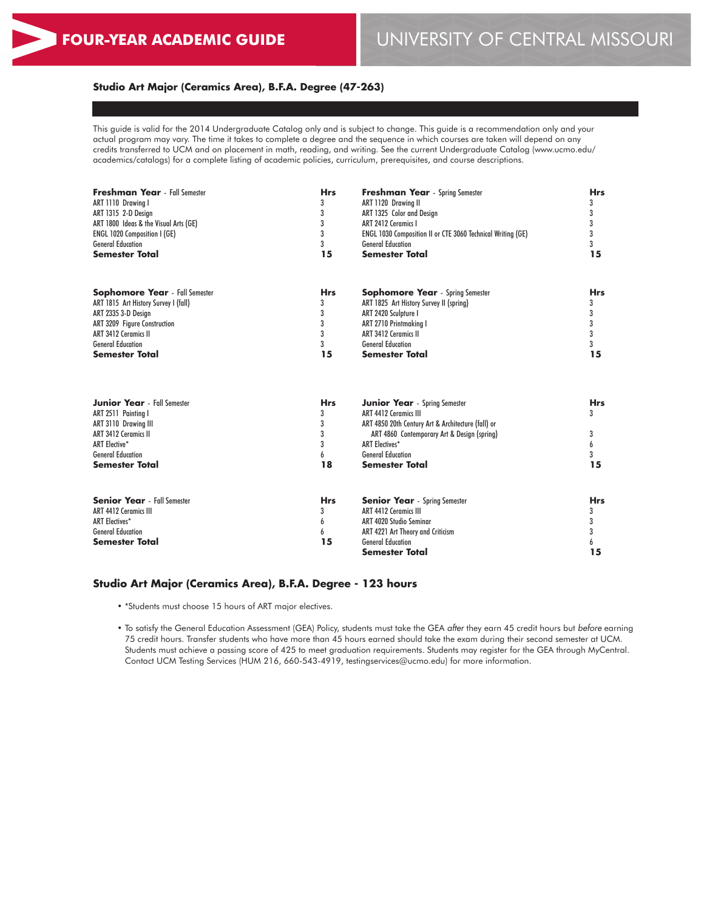### **Studio Art Major (Ceramics Area), B.F.A. Degree (47-263)**

This guide is valid for the 2014 Undergraduate Catalog only and is subject to change. This guide is a recommendation only and your actual program may vary. The time it takes to complete a degree and the sequence in which courses are taken will depend on any credits transferred to UCM and on placement in math, reading, and writing. See the current Undergraduate Catalog (www.ucmo.edu/ academics/catalogs) for a complete listing of academic policies, curriculum, prerequisites, and course descriptions.

| 3<br>ART 1120 Drawing II<br>ART 1110 Drawina I<br>3<br>ART 1315 2-D Design<br>ART 1325 Color and Design<br>3<br>ART 1800 Ideas & the Visual Arts (GE)<br>ART 2412 Ceramics I<br>3<br><b>ENGL 1020 Composition I (GE)</b><br>ENGL 1030 Composition II or CTE 3060 Technical Writing (GE)<br>3<br><b>General Education</b><br><b>General Education</b><br><b>Semester Total</b><br>15<br><b>Semester Total</b> | 3<br>3<br>3<br>3<br>3<br>15<br><b>Hrs</b><br>3<br>3<br>3<br>3 |
|--------------------------------------------------------------------------------------------------------------------------------------------------------------------------------------------------------------------------------------------------------------------------------------------------------------------------------------------------------------------------------------------------------------|---------------------------------------------------------------|
|                                                                                                                                                                                                                                                                                                                                                                                                              |                                                               |
|                                                                                                                                                                                                                                                                                                                                                                                                              |                                                               |
|                                                                                                                                                                                                                                                                                                                                                                                                              |                                                               |
|                                                                                                                                                                                                                                                                                                                                                                                                              |                                                               |
|                                                                                                                                                                                                                                                                                                                                                                                                              |                                                               |
|                                                                                                                                                                                                                                                                                                                                                                                                              |                                                               |
| <b>Sophomore Year</b> - Fall Semester<br><b>Hrs</b><br><b>Sophomore Year</b> - Spring Semester                                                                                                                                                                                                                                                                                                               |                                                               |
| ART 1815 Art History Survey I (fall)<br>3<br>ART 1825 Art History Survey II (spring)                                                                                                                                                                                                                                                                                                                         |                                                               |
| 3<br>ART 2335 3-D Design<br>ART 2420 Sculpture I                                                                                                                                                                                                                                                                                                                                                             |                                                               |
| 3<br>ART 3209 Figure Construction<br>ART 2710 Printmaking I                                                                                                                                                                                                                                                                                                                                                  |                                                               |
| 3<br><b>ART 3412 Ceramics II</b><br><b>ART 3412 Ceramics II</b>                                                                                                                                                                                                                                                                                                                                              |                                                               |
| 3<br><b>General Education</b><br><b>General Education</b>                                                                                                                                                                                                                                                                                                                                                    | 3                                                             |
| 15<br><b>Semester Total</b><br><b>Semester Total</b>                                                                                                                                                                                                                                                                                                                                                         | 15                                                            |
| <b>Junior Year</b> - Fall Semester<br><b>Hrs</b><br><b>Junior Year</b> - Spring Semester                                                                                                                                                                                                                                                                                                                     | <b>Hrs</b>                                                    |
| 3<br><b>ART 4412 Ceramics III</b><br>ART 2511 Painting I                                                                                                                                                                                                                                                                                                                                                     | 3                                                             |
| 3<br>ART 4850 20th Century Art & Architecture (fall) or<br>ART 3110 Drawing III                                                                                                                                                                                                                                                                                                                              |                                                               |
| 3<br><b>ART 3412 Ceramics II</b><br>ART 4860 Contemporary Art & Design (spring)                                                                                                                                                                                                                                                                                                                              | 3                                                             |
| 3<br><b>ART Elective*</b><br><b>ART Electives*</b>                                                                                                                                                                                                                                                                                                                                                           | 6                                                             |
| <b>General Education</b><br><b>General Education</b><br>6                                                                                                                                                                                                                                                                                                                                                    | 3                                                             |
| 18<br><b>Semester Total</b><br><b>Semester Total</b>                                                                                                                                                                                                                                                                                                                                                         | 15                                                            |
| <b>Senior Year</b> - Fall Semester<br><b>Hrs</b><br><b>Senior Year</b> - Spring Semester                                                                                                                                                                                                                                                                                                                     | <b>Hrs</b>                                                    |
| <b>ART 4412 Ceramics III</b><br>3<br><b>ART 4412 Ceramics III</b>                                                                                                                                                                                                                                                                                                                                            | 3                                                             |
| <b>ART Electives*</b><br>ART 4020 Studio Seminar<br>6                                                                                                                                                                                                                                                                                                                                                        | 3                                                             |
| <b>General Education</b><br>ART 4221 Art Theory and Criticism<br>6                                                                                                                                                                                                                                                                                                                                           | 3                                                             |
| 15<br><b>Semester Total</b><br><b>General Education</b>                                                                                                                                                                                                                                                                                                                                                      | 6                                                             |
| <b>Semester Total</b>                                                                                                                                                                                                                                                                                                                                                                                        | 15                                                            |

## **Studio Art Major (Ceramics Area), B.F.A. Degree - 123 hours**

- \*Students must choose 15 hours of ART major electives.
- To satisfy the General Education Assessment (GEA) Policy, students must take the GEA *after* they earn 45 credit hours but *before* earning 75 credit hours. Transfer students who have more than 45 hours earned should take the exam during their second semester at UCM. Students must achieve a passing score of 425 to meet graduation requirements. Students may register for the GEA through MyCentral. Contact UCM Testing Services (HUM 216, 660-543-4919, testingservices@ucmo.edu) for more information.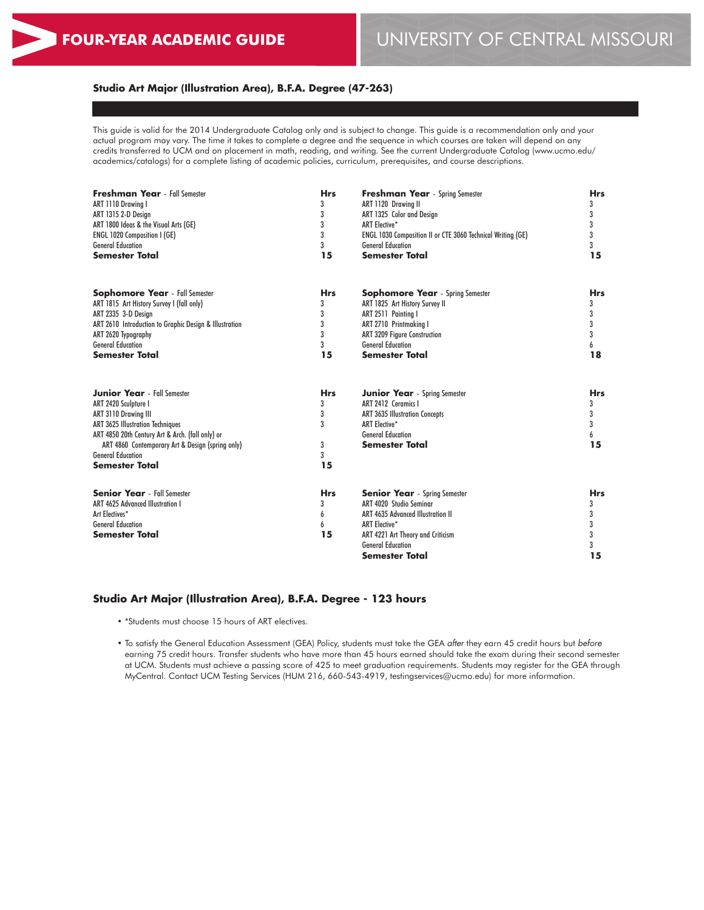# **Studio Art Major (Illustration Area), B.F.A. Degree (47-263)**

This guide is valid for the 2014 Undergraduate Catalog only and is subject to change. This guide is a recommendation only and your actual program may vary. The time it takes to complete a degree and the sequence in which courses are taken will depend on any credits transferred to UCM and on placement in math, reading, and writing. See the current Undergraduate Catalog (www.ucmo.edu/ academics/catalogs) for a complete listing of academic policies, curriculum, prerequisites, and course descriptions.

| <b>Freshman Year</b> - Fall Semester                   | <b>Hrs</b> | <b>Freshman Year</b> - Spring Semester                      | <b>Hrs</b> |
|--------------------------------------------------------|------------|-------------------------------------------------------------|------------|
| ART 1110 Drawina I                                     | 3          | ART 1120 Drawing II                                         | 3          |
| ART 1315 2-D Design                                    | 3          | ART 1325 Color and Design                                   | 3          |
| ART 1800 Ideas & the Visual Arts (GE)                  | 3          | <b>ART Elective*</b>                                        | 3          |
| <b>ENGL 1020 Composition I (GE)</b>                    | 3          | ENGL 1030 Composition II or CTE 3060 Technical Writing (GE) | 3          |
| <b>General Education</b>                               | 3          | <b>General Education</b>                                    | 3          |
| <b>Semester Total</b>                                  | 15         | <b>Semester Total</b>                                       | 15         |
| <b>Sophomore Year</b> - Fall Semester                  | <b>Hrs</b> | <b>Sophomore Year</b> - Spring Semester                     | <b>Hrs</b> |
| ART 1815 Art History Survey I (fall only)              | 3          | ART 1825 Art History Survey II                              | 3          |
| ART 2335 3-D Design                                    | 3          | ART 2511 Painting I                                         | 3          |
| ART 2610 Introduction to Graphic Design & Illustration | 3          | ART 2710 Printmaking I                                      | 3          |
| ART 2620 Typography                                    | 3          | <b>ART 3209 Figure Construction</b>                         | 3          |
| <b>General Education</b>                               | 3          | <b>General Education</b>                                    | 6          |
| <b>Semester Total</b>                                  | 15         | <b>Semester Total</b>                                       | 18         |
| <b>Junior Year</b> - Fall Semester                     | <b>Hrs</b> | <b>Junior Year</b> - Spring Semester                        | <b>Hrs</b> |
| ART 2420 Sculpture I                                   | 3          | ART 2412 Ceramics I                                         | 3          |
| ART 3110 Drawing III                                   | 3          | ART 3635 Illustration Concepts                              | 3          |
| <b>ART 3625 Illustration Techniques</b>                | 3          | <b>ART Elective*</b>                                        | 3          |
| ART 4850 20th Century Art & Arch. (fall only) or       |            | <b>General Education</b>                                    | 6          |
| ART 4860 Contemporary Art & Design (spring only)       | 3          | <b>Semester Total</b>                                       | 15         |
| <b>General Education</b>                               | 3          |                                                             |            |
| <b>Semester Total</b>                                  | 15         |                                                             |            |
| <b>Senior Year</b> - Fall Semester                     | <b>Hrs</b> | <b>Senior Year</b> - Spring Semester                        | <b>Hrs</b> |
| <b>ART 4625 Advanced Illustration I</b>                | 3          | ART 4020 Studio Seminar                                     | 3          |
| Art Electives*                                         | 6          | <b>ART 4635 Advanced Illustration II</b>                    | 3          |
| <b>General Education</b>                               | 6          | <b>ART Elective*</b>                                        | 3          |
| <b>Semester Total</b>                                  | 15         | ART 4221 Art Theory and Criticism                           | 3          |
|                                                        |            | <b>General Education</b>                                    | 3          |
|                                                        |            | <b>Semester Total</b>                                       | 15         |

### **Studio Art Major (Illustration Area), B.F.A. Degree - 123 hours**

• \*Students must choose 15 hours of ART electives.

• To satisfy the General Education Assessment (GEA) Policy, students must take the GEA *after* they earn 45 credit hours but *before* earning 75 credit hours. Transfer students who have more than 45 hours earned should take the exam during their second semester at UCM. Students must achieve a passing score of 425 to meet graduation requirements. Students may register for the GEA through MyCentral. Contact UCM Testing Services (HUM 216, 660-543-4919, testingservices@ucmo.edu) for more information.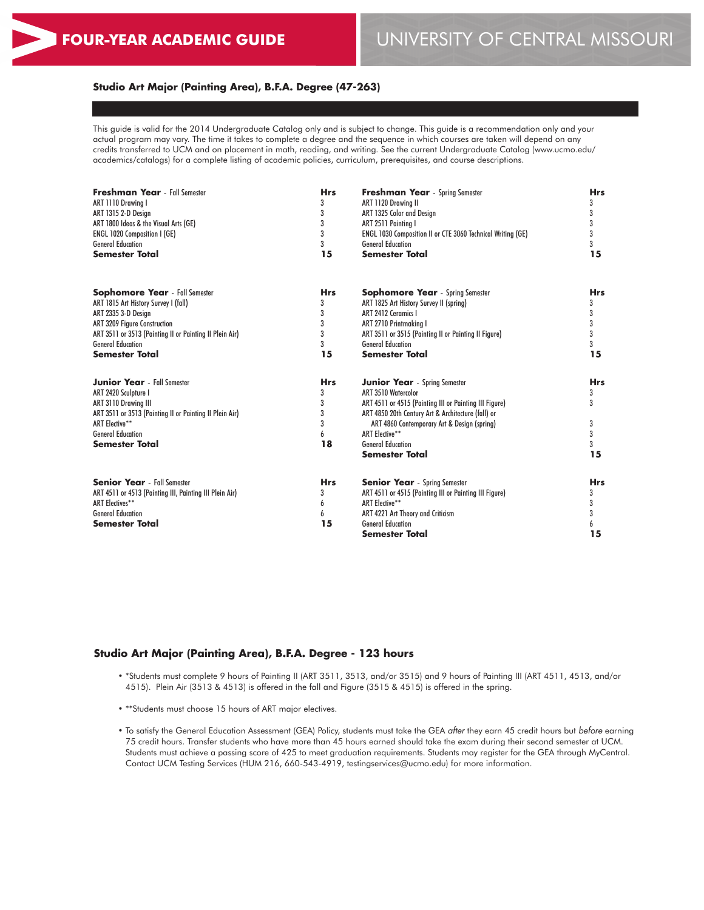## **Studio Art Major (Painting Area), B.F.A. Degree (47-263)**

This guide is valid for the 2014 Undergraduate Catalog only and is subject to change. This guide is a recommendation only and your actual program may vary. The time it takes to complete a degree and the sequence in which courses are taken will depend on any credits transferred to UCM and on placement in math, reading, and writing. See the current Undergraduate Catalog (www.ucmo.edu/ academics/catalogs) for a complete listing of academic policies, curriculum, prerequisites, and course descriptions.

| <b>Freshman Year</b> - Fall Semester<br>ART 1110 Drawina I<br>ART 1315 2-D Design<br>ART 1800 Ideas & the Visual Arts (GE) | <b>Hrs</b><br>3<br>3<br>3 | <b>Freshman Year</b> - Spring Semester<br>ART 1120 Drawing II<br>ART 1325 Color and Design<br>ART 2511 Painting I | <b>Hrs</b><br>3<br>3<br>3 |
|----------------------------------------------------------------------------------------------------------------------------|---------------------------|-------------------------------------------------------------------------------------------------------------------|---------------------------|
| <b>ENGL 1020 Composition I (GE)</b>                                                                                        | 3                         | ENGL 1030 Composition II or CTE 3060 Technical Writing (GE)                                                       | 3                         |
| <b>General Education</b>                                                                                                   | 3                         | <b>General Education</b>                                                                                          | 3                         |
| <b>Semester Total</b>                                                                                                      | 15                        | <b>Semester Total</b>                                                                                             | 15                        |
| <b>Sophomore Year</b> - Fall Semester                                                                                      | <b>Hrs</b>                | <b>Sophomore Year</b> - Spring Semester                                                                           | <b>Hrs</b>                |
| ART 1815 Art History Survey I (fall)                                                                                       | 3                         | ART 1825 Art History Survey II (spring)                                                                           | 3                         |
| ART 2335 3-D Desian                                                                                                        | 3                         | ART 2412 Ceramics I                                                                                               | 3                         |
| <b>ART 3209 Figure Construction</b>                                                                                        | 3                         | ART 2710 Printmaking I                                                                                            | 3                         |
| ART 3511 or 3513 (Painting II or Painting II Plein Air)                                                                    | 3                         | ART 3511 or 3515 (Painting II or Painting II Figure)                                                              | 3                         |
| <b>General Education</b>                                                                                                   | 3                         | <b>General Education</b>                                                                                          | 3                         |
| Semester Total                                                                                                             | 15                        | <b>Semester Total</b>                                                                                             | 15                        |
| <b>Junior Year</b> - Fall Semester                                                                                         | <b>Hrs</b>                | <b>Junior Year</b> - Spring Semester                                                                              | <b>Hrs</b>                |
| ART 2420 Sculpture I                                                                                                       | 3                         | ART 3510 Watercolor                                                                                               | 3                         |
| ART 3110 Drawing III                                                                                                       | 3                         | ART 4511 or 4515 (Painting III or Painting III Figure)                                                            | 3                         |
| ART 3511 or 3513 (Painting II or Painting II Plein Air)                                                                    | 3                         | ART 4850 20th Century Art & Architecture (fall) or                                                                |                           |
| <b>ART Elective**</b>                                                                                                      | 3                         | ART 4860 Contemporary Art & Design (spring)                                                                       | 3                         |
| <b>General Education</b>                                                                                                   | 6                         | <b>ART Elective**</b>                                                                                             | 3                         |
| Semester Total                                                                                                             | 18                        | <b>General Education</b><br><b>Semester Total</b>                                                                 | 3<br>15                   |
|                                                                                                                            |                           |                                                                                                                   |                           |
| <b>Senior Year</b> - Fall Semester                                                                                         | <b>Hrs</b>                | <b>Senior Year</b> - Spring Semester                                                                              | <b>Hrs</b>                |
| ART 4511 or 4513 (Painting III, Painting III Plein Air)                                                                    | 3                         | ART 4511 or 4515 (Painting III or Painting III Figure)                                                            | 3                         |
| <b>ART Electives**</b><br><b>General Education</b>                                                                         | 6                         | ART Elective**                                                                                                    | 3                         |
| <b>Semester Total</b>                                                                                                      | 6<br>15                   | ART 4221 Art Theory and Criticism<br><b>General Education</b>                                                     | 3                         |
|                                                                                                                            |                           | <b>Semester Total</b>                                                                                             | 6<br>15                   |
|                                                                                                                            |                           |                                                                                                                   |                           |

### **Studio Art Major (Painting Area), B.F.A. Degree - 123 hours**

- \*Students must complete 9 hours of Painting II (ART 3511, 3513, and/or 3515) and 9 hours of Painting III (ART 4511, 4513, and/or 4515). Plein Air (3513 & 4513) is offered in the fall and Figure (3515 & 4515) is offered in the spring.
- \*\*Students must choose 15 hours of ART major electives.
- To satisfy the General Education Assessment (GEA) Policy, students must take the GEA *after* they earn 45 credit hours but *before* earning 75 credit hours. Transfer students who have more than 45 hours earned should take the exam during their second semester at UCM. Students must achieve a passing score of 425 to meet graduation requirements. Students may register for the GEA through MyCentral. Contact UCM Testing Services (HUM 216, 660-543-4919, testingservices@ucmo.edu) for more information.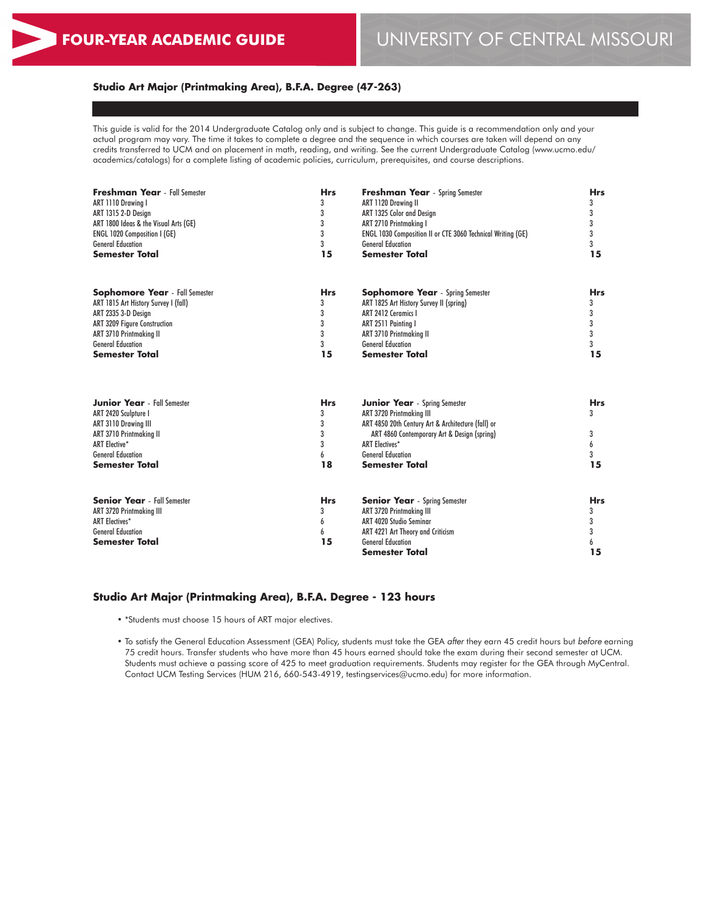## **Studio Art Major (Printmaking Area), B.F.A. Degree (47-263)**

This guide is valid for the 2014 Undergraduate Catalog only and is subject to change. This guide is a recommendation only and your actual program may vary. The time it takes to complete a degree and the sequence in which courses are taken will depend on any credits transferred to UCM and on placement in math, reading, and writing. See the current Undergraduate Catalog (www.ucmo.edu/ academics/catalogs) for a complete listing of academic policies, curriculum, prerequisites, and course descriptions.

| <b>Freshman Year</b> - Fall Semester  | <b>Hrs</b> | <b>Freshman Year</b> - Spring Semester                      | <b>Hrs</b> |
|---------------------------------------|------------|-------------------------------------------------------------|------------|
| ART 1110 Drawing I                    | 3          | ART 1120 Drawing II                                         | 3          |
| ART 1315 2-D Design                   | 3<br>3     | ART 1325 Color and Design                                   | 3<br>3     |
| ART 1800 Ideas & the Visual Arts (GE) |            | ART 2710 Printmaking I                                      |            |
| <b>ENGL 1020 Composition I (GE)</b>   | 3          | ENGL 1030 Composition II or CTE 3060 Technical Writing (GE) | 3          |
| <b>General Education</b>              | 3          | <b>General Education</b>                                    | 3          |
| <b>Semester Total</b>                 | 15         | Semester Total                                              | 15         |
| <b>Sophomore Year</b> - Fall Semester | <b>Hrs</b> | <b>Sophomore Year</b> - Spring Semester                     | <b>Hrs</b> |
| ART 1815 Art History Survey I (fall)  | 3          | ART 1825 Art History Survey II (spring)                     | 3          |
| ART 2335 3-D Design                   | 3          | ART 2412 Ceramics I                                         | 3          |
| <b>ART 3209 Figure Construction</b>   | 3          | ART 2511 Painting I                                         | 3          |
| <b>ART 3710 Printmaking II</b>        | 3          | <b>ART 3710 Printmaking II</b>                              | 3          |
| <b>General Education</b>              | 3          | <b>General Education</b>                                    | 3          |
| <b>Semester Total</b>                 | 15         | Semester Total                                              | 15         |
| <b>Junior Year</b> - Fall Semester    | <b>Hrs</b> | <b>Junior Year</b> - Spring Semester                        | <b>Hrs</b> |
| ART 2420 Sculpture I                  | 3          | ART 3720 Printmaking III                                    | 3          |
| ART 3110 Drawing III                  | 3          | ART 4850 20th Century Art & Architecture (fall) or          |            |
| <b>ART 3710 Printmaking II</b>        | 3          | ART 4860 Contemporary Art & Design (spring)                 | 3          |
| <b>ART Elective*</b>                  | 3          | <b>ART Electives*</b>                                       | 6          |
| <b>General Education</b>              | 6          | <b>General Education</b>                                    | 3          |
| <b>Semester Total</b>                 | 18         | Semester Total                                              | 15         |
| <b>Senior Year</b> - Fall Semester    | <b>Hrs</b> | <b>Senior Year</b> - Spring Semester                        | <b>Hrs</b> |
| <b>ART 3720 Printmaking III</b>       | 3          | ART 3720 Printmaking III                                    | 3          |
| <b>ART Electives*</b>                 | 6          | ART 4020 Studio Seminar                                     | 3          |
| <b>General Education</b>              | 6          | ART 4221 Art Theory and Criticism                           | 3          |
| <b>Semester Total</b>                 | 15         | <b>General Education</b>                                    | 6          |
|                                       |            | Semester Total                                              | 15         |

### **Studio Art Major (Printmaking Area), B.F.A. Degree - 123 hours**

- \*Students must choose 15 hours of ART major electives.
- To satisfy the General Education Assessment (GEA) Policy, students must take the GEA *after* they earn 45 credit hours but *before* earning 75 credit hours. Transfer students who have more than 45 hours earned should take the exam during their second semester at UCM. Students must achieve a passing score of 425 to meet graduation requirements. Students may register for the GEA through MyCentral. Contact UCM Testing Services (HUM 216, 660-543-4919, testingservices@ucmo.edu) for more information.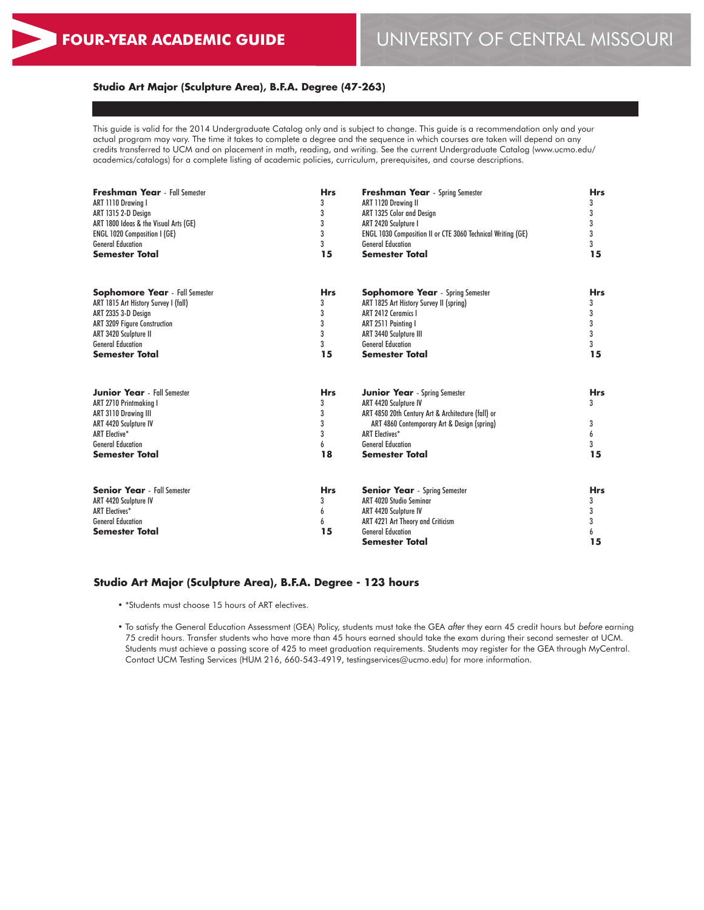### **Studio Art Major (Sculpture Area), B.F.A. Degree (47-263)**

This guide is valid for the 2014 Undergraduate Catalog only and is subject to change. This guide is a recommendation only and your actual program may vary. The time it takes to complete a degree and the sequence in which courses are taken will depend on any credits transferred to UCM and on placement in math, reading, and writing. See the current Undergraduate Catalog (www.ucmo.edu/ academics/catalogs) for a complete listing of academic policies, curriculum, prerequisites, and course descriptions.

| 3<br>ART 1315 2-D Design<br>3<br>ART 1800 Ideas & the Visual Arts (GE)<br>3<br><b>ENGL 1020 Composition I (GE)</b><br>3<br><b>General Education</b><br><b>Semester Total</b><br>15 | ART 1325 Color and Design<br>ART 2420 Sculpture I<br><b>ENGL 1030 Composition II or CTE 3060 Technical Writing (GE)</b><br><b>General Education</b><br><b>Semester Total</b> | 3<br>3<br>3<br>3<br>15 |
|------------------------------------------------------------------------------------------------------------------------------------------------------------------------------------|------------------------------------------------------------------------------------------------------------------------------------------------------------------------------|------------------------|
|                                                                                                                                                                                    |                                                                                                                                                                              |                        |
|                                                                                                                                                                                    |                                                                                                                                                                              |                        |
|                                                                                                                                                                                    |                                                                                                                                                                              |                        |
|                                                                                                                                                                                    |                                                                                                                                                                              |                        |
|                                                                                                                                                                                    |                                                                                                                                                                              |                        |
| <b>Sophomore Year</b> - Fall Semester<br><b>Hrs</b>                                                                                                                                | <b>Sophomore Year</b> - Spring Semester                                                                                                                                      | <b>Hrs</b>             |
| 3<br>ART 1815 Art History Survey I (fall)                                                                                                                                          | ART 1825 Art History Survey II (spring)                                                                                                                                      | 3                      |
| 3<br>ART 2335 3-D Design                                                                                                                                                           | ART 2412 Ceramics I                                                                                                                                                          | 3                      |
| 3<br><b>ART 3209 Figure Construction</b>                                                                                                                                           | ART 2511 Painting I                                                                                                                                                          | 3                      |
| 3<br>ART 3420 Sculpture II                                                                                                                                                         | ART 3440 Sculpture III                                                                                                                                                       | 3                      |
| 3<br><b>General Education</b>                                                                                                                                                      | <b>General Education</b>                                                                                                                                                     | 3                      |
| <b>Semester Total</b><br>15                                                                                                                                                        | <b>Semester Total</b>                                                                                                                                                        | 15                     |
| <b>Junior Year</b> - Fall Semester<br><b>Hrs</b>                                                                                                                                   | <b>Junior Year</b> - Spring Semester                                                                                                                                         | <b>Hrs</b>             |
| 3<br>ART 2710 Printmakina I                                                                                                                                                        | ART 4420 Sculpture IV                                                                                                                                                        | 3                      |
| 3<br>ART 3110 Drawing III                                                                                                                                                          | ART 4850 20th Century Art & Architecture (fall) or                                                                                                                           |                        |
| 3<br>ART 4420 Sculpture IV                                                                                                                                                         | ART 4860 Contemporary Art & Design (spring)                                                                                                                                  | 3                      |
| 3<br><b>ART Elective*</b>                                                                                                                                                          | <b>ART Electives*</b>                                                                                                                                                        | 6                      |
| <b>General Education</b><br>6                                                                                                                                                      | <b>General Education</b>                                                                                                                                                     | 3                      |
| 18<br><b>Semester Total</b>                                                                                                                                                        | <b>Semester Total</b>                                                                                                                                                        | 15                     |
| <b>Senior Year</b> - Fall Semester<br><b>Hrs</b>                                                                                                                                   | <b>Senior Year</b> - Spring Semester                                                                                                                                         | <b>Hrs</b>             |
| 3<br>ART 4420 Sculpture IV                                                                                                                                                         | ART 4020 Studio Seminar                                                                                                                                                      | 3                      |
| <b>ART Electives*</b><br>6                                                                                                                                                         | ART 4420 Sculpture IV                                                                                                                                                        | 3                      |
| <b>General Education</b><br>6                                                                                                                                                      | ART 4221 Art Theory and Criticism                                                                                                                                            | 3                      |
| 15<br><b>Semester Total</b>                                                                                                                                                        | <b>General Education</b>                                                                                                                                                     | 6                      |
|                                                                                                                                                                                    | Semester Total                                                                                                                                                               | 15                     |

#### **Studio Art Major (Sculpture Area), B.F.A. Degree - 123 hours**

• \*Students must choose 15 hours of ART electives.

• To satisfy the General Education Assessment (GEA) Policy, students must take the GEA *after* they earn 45 credit hours but *before* earning 75 credit hours. Transfer students who have more than 45 hours earned should take the exam during their second semester at UCM. Students must achieve a passing score of 425 to meet graduation requirements. Students may register for the GEA through MyCentral. Contact UCM Testing Services (HUM 216, 660-543-4919, testingservices@ucmo.edu) for more information.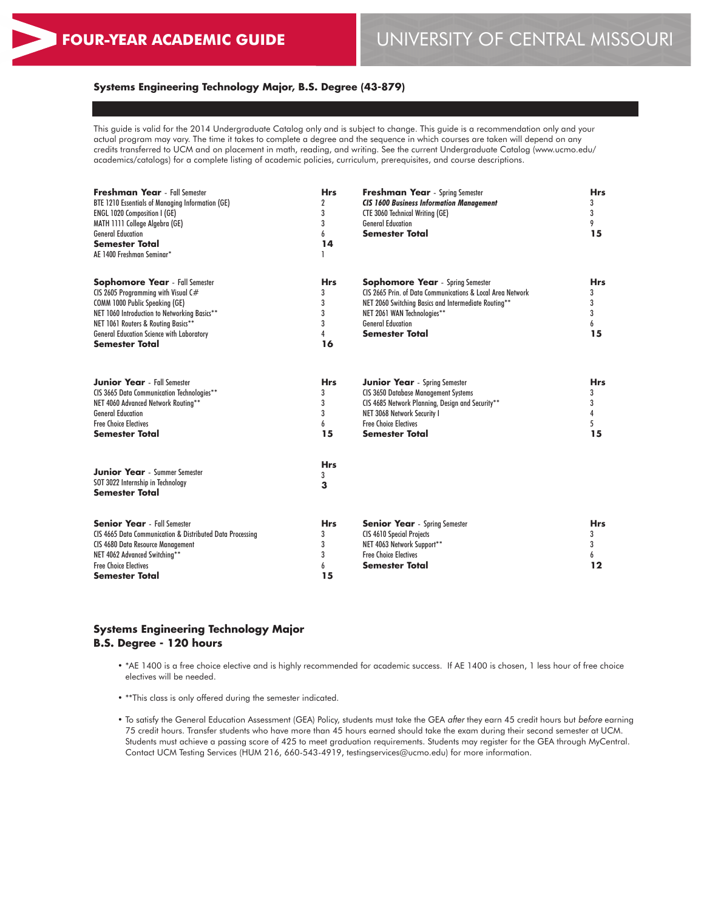# **Systems Engineering Technology Major, B.S. Degree (43-879)**

This guide is valid for the 2014 Undergraduate Catalog only and is subject to change. This guide is a recommendation only and your actual program may vary. The time it takes to complete a degree and the sequence in which courses are taken will depend on any credits transferred to UCM and on placement in math, reading, and writing. See the current Undergraduate Catalog (www.ucmo.edu/ academics/catalogs) for a complete listing of academic policies, curriculum, prerequisites, and course descriptions.

| <b>Freshman Year</b> - Fall Semester<br>BTE 1210 Essentials of Managing Information (GE)<br><b>ENGL 1020 Composition I (GE)</b><br>MATH 1111 College Algebra (GE)<br><b>General Education</b><br>Semester Total<br>AE 1400 Freshman Seminar*                                              | <b>Hrs</b><br>$\boldsymbol{2}$<br>3<br>3<br>6<br>14 | <b>Freshman Year</b> - Spring Semester<br><b>CIS 1600 Business Information Management</b><br>CTE 3060 Technical Writing (GE)<br><b>General Education</b><br><b>Semester Total</b>                                                                 | <b>Hrs</b><br>3<br>3<br>9<br>15      |
|-------------------------------------------------------------------------------------------------------------------------------------------------------------------------------------------------------------------------------------------------------------------------------------------|-----------------------------------------------------|---------------------------------------------------------------------------------------------------------------------------------------------------------------------------------------------------------------------------------------------------|--------------------------------------|
| <b>Sophomore Year</b> - Fall Semester<br>CIS 2605 Programming with Visual C#<br><b>COMM 1000 Public Speaking (GE)</b><br>NET 1060 Introduction to Networking Basics**<br>NET 1061 Routers & Routing Basics**<br><b>General Education Science with Laboratory</b><br><b>Semester Total</b> | <b>Hrs</b><br>3<br>3<br>3<br>3<br>4<br>16           | <b>Sophomore Year</b> - Spring Semester<br>CIS 2665 Prin. of Data Communications & Local Area Network<br>NET 2060 Switching Basics and Intermediate Routing**<br>NET 2061 WAN Technologies**<br><b>General Education</b><br><b>Semester Total</b> | <b>Hrs</b><br>3<br>3<br>3<br>6<br>15 |
| <b>Junior Year</b> - Fall Semester<br>CIS 3665 Data Communication Technologies**<br>NET 4060 Advanced Network Routing**<br><b>General Education</b><br><b>Free Choice Electives</b><br>Semester Total                                                                                     | <b>Hrs</b><br>3<br>3<br>3<br>6<br>15                | <b>Junior Year</b> - Spring Semester<br><b>CIS 3650 Database Management Systems</b><br>CIS 4685 Network Planning, Design and Security**<br>NET 3068 Network Security I<br><b>Free Choice Electives</b><br><b>Semester Total</b>                   | <b>Hrs</b><br>3<br>3<br>4<br>5<br>15 |
| <b>Junior Year</b> - Summer Semester<br>SOT 3022 Internship in Technology<br><b>Semester Total</b>                                                                                                                                                                                        | <b>Hrs</b><br>3<br>3                                |                                                                                                                                                                                                                                                   |                                      |
| <b>Senior Year</b> - Fall Semester<br>CIS 4665 Data Communication & Distributed Data Processing<br><b>CIS 4680 Data Resource Management</b><br>NET 4062 Advanced Switching**<br><b>Free Choice Electives</b><br><b>Semester Total</b>                                                     | <b>Hrs</b><br>3<br>3<br>3<br>6<br>15                | <b>Senior Year</b> - Spring Semester<br><b>CIS 4610 Special Projects</b><br>NET 4063 Network Support**<br><b>Free Choice Electives</b><br><b>Semester Total</b>                                                                                   | <b>Hrs</b><br>3<br>3<br>6<br>12      |

## **Systems Engineering Technology Major B.S. Degree - 120 hours**

- \*AE 1400 is a free choice elective and is highly recommended for academic success. If AE 1400 is chosen, 1 less hour of free choice electives will be needed.
- \*\*This class is only offered during the semester indicated.
- To satisfy the General Education Assessment (GEA) Policy, students must take the GEA *after* they earn 45 credit hours but *before* earning 75 credit hours. Transfer students who have more than 45 hours earned should take the exam during their second semester at UCM. Students must achieve a passing score of 425 to meet graduation requirements. Students may register for the GEA through MyCentral. Contact UCM Testing Services (HUM 216, 660-543-4919, testingservices@ucmo.edu) for more information.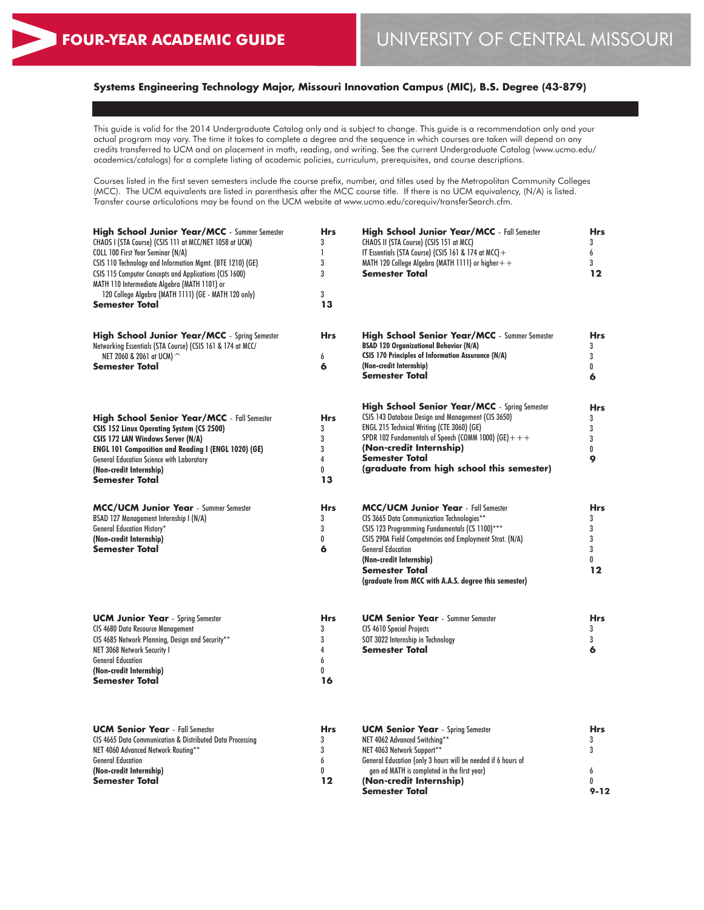# **Systems Engineering Technology Major, Missouri Innovation Campus (MIC), B.S. Degree (43-879)**

This guide is valid for the 2014 Undergraduate Catalog only and is subject to change. This guide is a recommendation only and your actual program may vary. The time it takes to complete a degree and the sequence in which courses are taken will depend on any credits transferred to UCM and on placement in math, reading, and writing. See the current Undergraduate Catalog (www.ucmo.edu/ academics/catalogs) for a complete listing of academic policies, curriculum, prerequisites, and course descriptions.

Courses listed in the first seven semesters include the course prefix, number, and titles used by the Metropolitan Community Colleges (MCC). The UCM equivalents are listed in parenthesis after the MCC course title. If there is no UCM equivalency, (N/A) is listed. Transfer course articulations may be found on the UCM website at www.ucmo.edu/corequiv/transferSearch.cfm.

| <b>High School Junior Year/MCC</b> - Summer Semester<br>CHAOS I (STA Course) (CSIS 111 at MCC/NET 1058 at UCM)<br>COLL 100 First Year Seminar (N/A)<br>CSIS 110 Technology and Information Mgmt. (BTE 1210) (GE)<br>CSIS 115 Computer Concepts and Applications (CIS 1600)<br>MATH 110 Intermediate Algebra (MATH 1101) or<br>120 College Algebra (MATH 1111) (GE - MATH 120 only)<br>Semester Total | <b>Hrs</b><br>3<br>$\mathbf{I}$<br>3<br>3<br>3<br>13 | <b>High School Junior Year/MCC</b> - Fall Semester<br>CHAOS II (STA Course) (CSIS 151 at MCC)<br>IT Essentials (STA Course) (CSIS 161 & 174 at MCC) +<br>MATH 120 College Algebra (MATH 1111) or higher + +<br>Semester Total                                                                                                           | <b>Hrs</b><br>3<br>6<br>3<br>12               |
|------------------------------------------------------------------------------------------------------------------------------------------------------------------------------------------------------------------------------------------------------------------------------------------------------------------------------------------------------------------------------------------------------|------------------------------------------------------|-----------------------------------------------------------------------------------------------------------------------------------------------------------------------------------------------------------------------------------------------------------------------------------------------------------------------------------------|-----------------------------------------------|
| <b>High School Junior Year/MCC</b> - Spring Semester<br>Networking Essentials (STA Course) (CSIS 161 & 174 at MCC/<br>NET 2060 & 2061 at UCM) ^<br><b>Semester Total</b>                                                                                                                                                                                                                             | <b>Hrs</b><br>6<br>6                                 | <b>High School Senior Year/MCC</b> - Summer Semester<br><b>BSAD 120 Organizational Behavior (N/A)</b><br><b>CSIS 170 Principles of Information Assurance (N/A)</b><br>(Non-credit Internship)<br><b>Semester Total</b>                                                                                                                  | <b>Hrs</b><br>3<br>3<br>0<br>6                |
| <b>High School Senior Year/MCC</b> - Fall Semester<br><b>CSIS 152 Linux Operating System (CS 2500)</b><br><b>CSIS 172 LAN Windows Server (N/A)</b><br><b>ENGL 101 Composition and Reading I (ENGL 1020) (GE)</b><br><b>General Education Science with Laboratory</b><br>(Non-credit Internship)<br><b>Semester Total</b>                                                                             | <b>Hrs</b><br>3<br>3<br>3<br>4<br>0<br>13            | <b>High School Senior Year/MCC</b> - Spring Semester<br>CSIS 143 Database Design and Management (CIS 3650)<br>ENGL 215 Technical Writing (CTE 3060) (GE)<br>SPDR 102 Fundamentals of Speech (COMM 1000) (GE) $+ + +$<br>(Non-credit Internship)<br><b>Semester Total</b><br>(graduate from high school this semester)                   | <b>Hrs</b><br>3<br>3<br>3<br>0<br>9           |
| <b>MCC/UCM Junior Year</b> - Summer Semester<br>BSAD 127 Management Internship I (N/A)<br>General Education History*<br>(Non-credit Internship)<br><b>Semester Total</b>                                                                                                                                                                                                                             | Hrs<br>3<br>3<br>0<br>6                              | <b>MCC/UCM Junior Year</b> - Fall Semester<br>CIS 3665 Data Communication Technologies**<br>CSIS 123 Programming Fundamentals (CS 1100)***<br>CSIS 290A Field Competencies and Employment Strat. (N/A)<br><b>General Education</b><br>(Non-credit Internship)<br>Semester Total<br>(graduate from MCC with A.A.S. degree this semester) | <b>Hrs</b><br>3<br>3<br>3<br>3<br>0<br>$12 \$ |
| <b>UCM Junior Year</b> - Spring Semester<br>CIS 4680 Data Resource Management<br>CIS 4685 Network Planning, Design and Security**<br>NET 3068 Network Security I<br><b>General Education</b><br>(Non-credit Internship)<br><b>Semester Total</b>                                                                                                                                                     | <b>Hrs</b><br>3<br>3<br>4<br>6<br>0<br>16            | <b>UCM Senior Year</b> - Summer Semester<br><b>CIS 4610 Special Projects</b><br>SOT 3022 Internship in Technology<br><b>Semester Total</b>                                                                                                                                                                                              | <b>Hrs</b><br>3<br>3<br>6                     |
| <b>UCM Senior Year</b> - Fall Semester<br>CIS 4665 Data Communication & Distributed Data Processing<br>NET 4060 Advanced Network Routing**<br><b>General Education</b><br>(Non-credit Internship)<br><b>Semester Total</b>                                                                                                                                                                           | <b>Hrs</b><br>3<br>3<br>6<br>0<br>$12 \$             | <b>UCM Senior Year</b> - Spring Semester<br>NET 4062 Advanced Switching**<br>NET 4063 Network Support**<br>General Education (only 3 hours will be needed if 6 hours of<br>gen ed MATH is completed in the first year)<br>(Non-credit Internship)<br><b>Semester Total</b>                                                              | <b>Hrs</b><br>3<br>3<br>6<br>0<br>$9 - 12$    |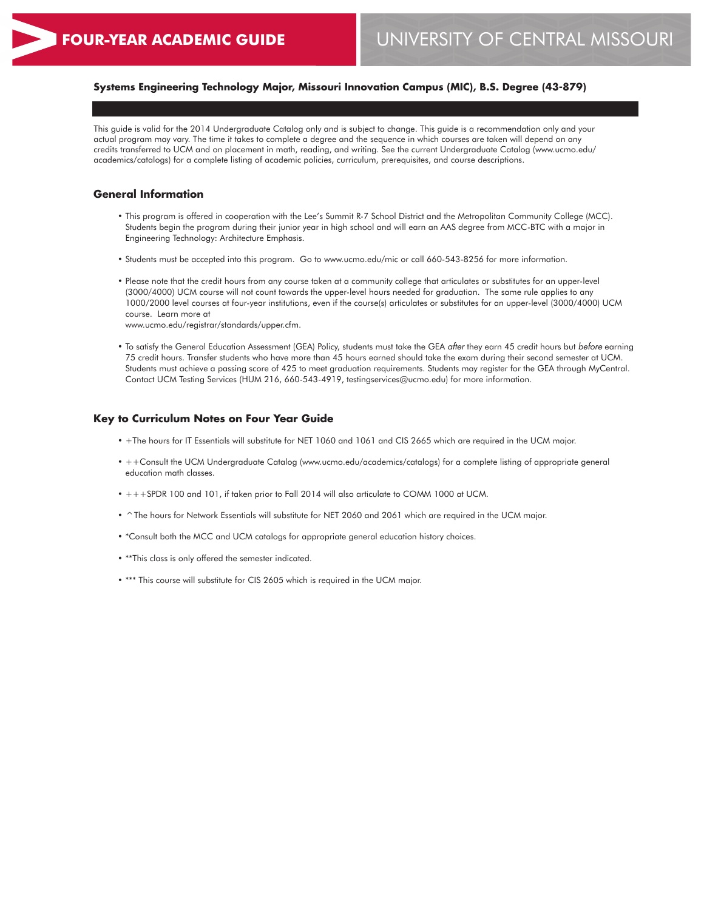# **Systems Engineering Technology Major, Missouri Innovation Campus (MIC), B.S. Degree (43-879)**

This guide is valid for the 2014 Undergraduate Catalog only and is subject to change. This guide is a recommendation only and your actual program may vary. The time it takes to complete a degree and the sequence in which courses are taken will depend on any credits transferred to UCM and on placement in math, reading, and writing. See the current Undergraduate Catalog (www.ucmo.edu/ academics/catalogs) for a complete listing of academic policies, curriculum, prerequisites, and course descriptions.

### **General Information**

- This program is offered in cooperation with the Lee's Summit R-7 School District and the Metropolitan Community College (MCC). Students begin the program during their junior year in high school and will earn an AAS degree from MCC-BTC with a major in Engineering Technology: Architecture Emphasis.
- Students must be accepted into this program. Go to www.ucmo.edu/mic or call 660-543-8256 for more information.
- Please note that the credit hours from any course taken at a community college that articulates or substitutes for an upper-level (3000/4000) UCM course will not count towards the upper-level hours needed for graduation. The same rule applies to any 1000/2000 level courses at four-year institutions, even if the course(s) articulates or substitutes for an upper-level (3000/4000) UCM course. Learn more at

www.ucmo.edu/registrar/standards/upper.cfm.

• To satisfy the General Education Assessment (GEA) Policy, students must take the GEA *after* they earn 45 credit hours but *before* earning 75 credit hours. Transfer students who have more than 45 hours earned should take the exam during their second semester at UCM. Students must achieve a passing score of 425 to meet graduation requirements. Students may register for the GEA through MyCentral. Contact UCM Testing Services (HUM 216, 660-543-4919, testingservices@ucmo.edu) for more information.

#### **Key to Curriculum Notes on Four Year Guide**

- +The hours for IT Essentials will substitute for NET 1060 and 1061 and CIS 2665 which are required in the UCM major.
- ++Consult the UCM Undergraduate Catalog (www.ucmo.edu/academics/catalogs) for a complete listing of appropriate general education math classes.
- +++SPDR 100 and 101, if taken prior to Fall 2014 will also articulate to COMM 1000 at UCM.
- ^The hours for Network Essentials will substitute for NET 2060 and 2061 which are required in the UCM major.
- \*Consult both the MCC and UCM catalogs for appropriate general education history choices.
- \*\*This class is only offered the semester indicated.
- \*\*\* This course will substitute for CIS 2605 which is required in the UCM major.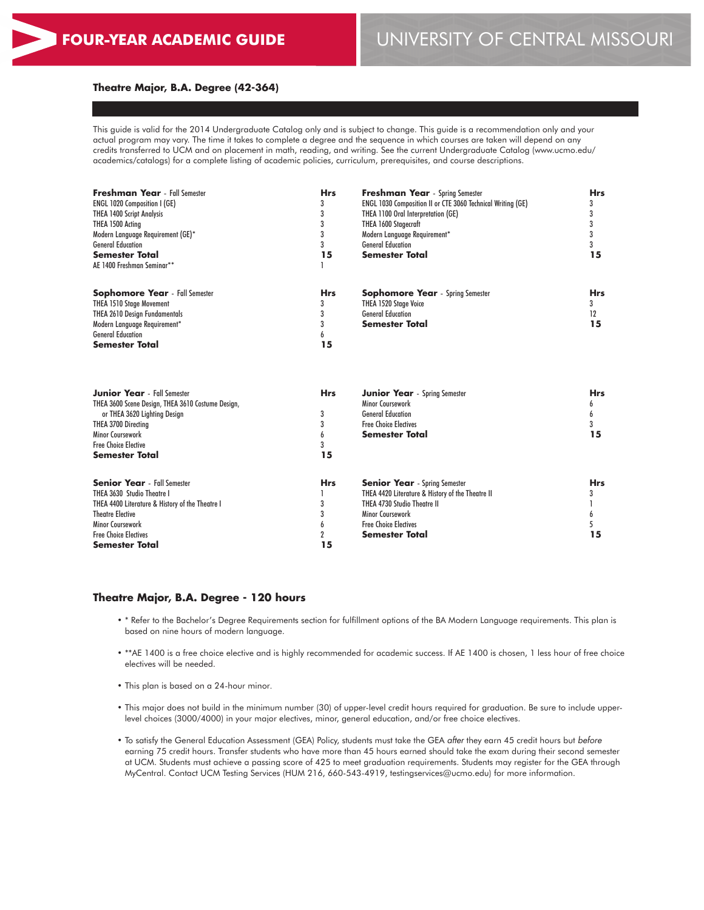### **Theatre Major, B.A. Degree (42-364)**

This guide is valid for the 2014 Undergraduate Catalog only and is subject to change. This guide is a recommendation only and your actual program may vary. The time it takes to complete a degree and the sequence in which courses are taken will depend on any credits transferred to UCM and on placement in math, reading, and writing. See the current Undergraduate Catalog (www.ucmo.edu/ academics/catalogs) for a complete listing of academic policies, curriculum, prerequisites, and course descriptions.

| <b>Freshman Year</b> - Fall Semester              | <b>Hrs</b> | <b>Freshman Year</b> - Spring Semester                      | <b>Hrs</b> |
|---------------------------------------------------|------------|-------------------------------------------------------------|------------|
| <b>ENGL 1020 Composition I (GE)</b>               |            | ENGL 1030 Composition II or CTE 3060 Technical Writing (GE) | 3          |
| <b>THEA 1400 Script Analysis</b>                  |            | THEA 1100 Oral Interpretation (GE)                          | 3          |
| THEA 1500 Acting                                  |            | THEA 1600 Stagecraft                                        | 3          |
| Modern Language Requirement (GE)*                 |            | Modern Language Requirement*                                | 3          |
| <b>General Education</b>                          |            | <b>General Education</b>                                    |            |
| <b>Semester Total</b>                             | 15         | <b>Semester Total</b>                                       | 15         |
| AE 1400 Freshman Seminar**                        |            |                                                             |            |
| <b>Sophomore Year</b> - Fall Semester             | <b>Hrs</b> | <b>Sophomore Year</b> - Spring Semester                     | <b>Hrs</b> |
| <b>THEA 1510 Stage Movement</b>                   | 3          | <b>THEA 1520 Stage Voice</b>                                | 3          |
| <b>THEA 2610 Design Fundamentals</b>              |            | <b>General Education</b>                                    | 12         |
| Modern Language Requirement*                      |            | Semester Total                                              | 15         |
| <b>General Education</b>                          |            |                                                             |            |
| Semester Total                                    | 15         |                                                             |            |
| <b>Junior Year</b> - Fall Semester                | <b>Hrs</b> | <b>Junior Year</b> - Spring Semester                        | <b>Hrs</b> |
| THEA 3600 Scene Design, THEA 3610 Costume Design, |            | <b>Minor Coursework</b>                                     | b          |
| or THEA 3620 Lighting Design                      | 3          | <b>General Education</b>                                    | 6          |
| THEA 3700 Directing                               |            | <b>Free Choice Electives</b>                                | 3          |
| Minor Coursework                                  |            | Semester Total                                              | 15         |
| <b>Free Choice Elective</b>                       |            |                                                             |            |
| Semester Total                                    | 15         |                                                             |            |

| <b>Senior Year</b> - Fall Semester              | <b>Hrs</b> | <b>Senior Year</b> - Spring Semester             | <b>Hrs</b> |
|-------------------------------------------------|------------|--------------------------------------------------|------------|
| THEA 3630 Studio Theatre I                      |            | THEA 4420 Literature & History of the Theatre II |            |
| THEA 4400 Literature & History of the Theatre I |            | THEA 4730 Studio Theatre II                      |            |
| <b>Theatre Elective</b>                         |            | Minor Coursework                                 |            |
| <b>Minor Coursework</b>                         |            | <b>Free Choice Electives</b>                     |            |
| <b>Free Choice Electives</b>                    |            | <b>Semester Total</b>                            |            |
| <b>Semester Total</b>                           | 15         |                                                  |            |

#### **Theatre Major, B.A. Degree - 120 hours**

- \* Refer to the Bachelor's Degree Requirements section for fulfillment options of the BA Modern Language requirements. This plan is based on nine hours of modern language.
- \*\*AE 1400 is a free choice elective and is highly recommended for academic success. If AE 1400 is chosen, 1 less hour of free choice electives will be needed.
- This plan is based on a 24-hour minor.
- This major does not build in the minimum number (30) of upper-level credit hours required for graduation. Be sure to include upperlevel choices (3000/4000) in your major electives, minor, general education, and/or free choice electives.
- To satisfy the General Education Assessment (GEA) Policy, students must take the GEA *after* they earn 45 credit hours but *before* earning 75 credit hours. Transfer students who have more than 45 hours earned should take the exam during their second semester at UCM. Students must achieve a passing score of 425 to meet graduation requirements. Students may register for the GEA through MyCentral. Contact UCM Testing Services (HUM 216, 660-543-4919, testingservices@ucmo.edu) for more information.